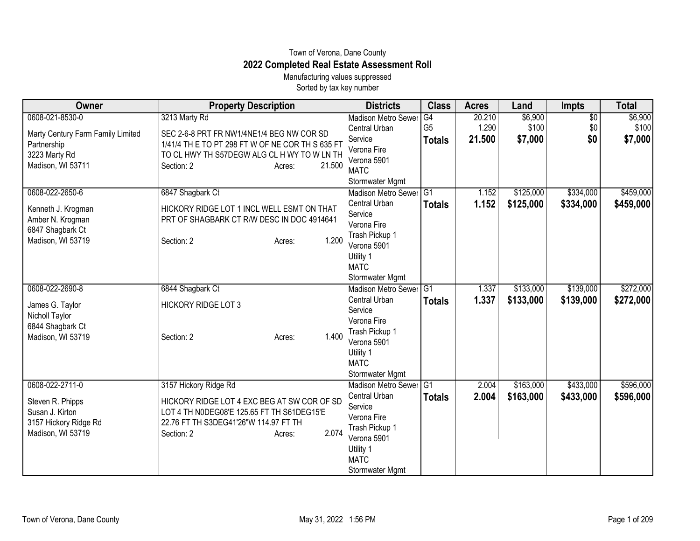## Town of Verona, Dane County **2022 Completed Real Estate Assessment Roll**

Manufacturing values suppressed Sorted by tax key number

| Owner                                 | <b>Property Description</b>                      | <b>Districts</b>              | <b>Class</b>   | <b>Acres</b> | Land      | <b>Impts</b>    | <b>Total</b> |
|---------------------------------------|--------------------------------------------------|-------------------------------|----------------|--------------|-----------|-----------------|--------------|
| 0608-021-8530-0                       | 3213 Marty Rd                                    | <b>Madison Metro Sewer</b>    | G4             | 20.210       | \$6,900   | $\overline{50}$ | \$6,900      |
| Marty Century Farm Family Limited     | SEC 2-6-8 PRT FR NW1/4NE1/4 BEG NW COR SD        | Central Urban                 | G <sub>5</sub> | 1.290        | \$100     | \$0             | \$100        |
| Partnership                           | 1/41/4 TH E TO PT 298 FT W OF NE COR TH S 635 FT | Service                       | <b>Totals</b>  | 21.500       | \$7,000   | \$0             | \$7,000      |
| 3223 Marty Rd                         | TO CL HWY TH S57DEGW ALG CL H WY TO W LN TH      | Verona Fire                   |                |              |           |                 |              |
| Madison, WI 53711                     | Section: 2<br>21.500<br>Acres:                   | Verona 5901<br><b>MATC</b>    |                |              |           |                 |              |
|                                       |                                                  | Stormwater Mgmt               |                |              |           |                 |              |
| 0608-022-2650-6                       | 6847 Shagbark Ct                                 | Madison Metro Sewer G1        |                | 1.152        | \$125,000 | \$334,000       | \$459,000    |
|                                       |                                                  | Central Urban                 | <b>Totals</b>  | 1.152        | \$125,000 | \$334,000       | \$459,000    |
| Kenneth J. Krogman                    | HICKORY RIDGE LOT 1 INCL WELL ESMT ON THAT       | Service                       |                |              |           |                 |              |
| Amber N. Krogman                      | PRT OF SHAGBARK CT R/W DESC IN DOC 4914641       | Verona Fire                   |                |              |           |                 |              |
| 6847 Shagbark Ct<br>Madison, WI 53719 | 1.200                                            | Trash Pickup 1                |                |              |           |                 |              |
|                                       | Section: 2<br>Acres:                             | Verona 5901                   |                |              |           |                 |              |
|                                       |                                                  | Utility 1                     |                |              |           |                 |              |
|                                       |                                                  | <b>MATC</b>                   |                |              |           |                 |              |
|                                       |                                                  | Stormwater Mgmt               |                |              |           |                 |              |
| 0608-022-2690-8                       | 6844 Shagbark Ct                                 | Madison Metro Sewer G1        |                | 1.337        | \$133,000 | \$139,000       | \$272,000    |
| James G. Taylor                       | <b>HICKORY RIDGE LOT 3</b>                       | Central Urban                 | <b>Totals</b>  | 1.337        | \$133,000 | \$139,000       | \$272,000    |
| Nicholl Taylor                        |                                                  | Service                       |                |              |           |                 |              |
| 6844 Shagbark Ct                      |                                                  | Verona Fire                   |                |              |           |                 |              |
| Madison, WI 53719                     | 1.400<br>Section: 2<br>Acres:                    | Trash Pickup 1<br>Verona 5901 |                |              |           |                 |              |
|                                       |                                                  | Utility 1                     |                |              |           |                 |              |
|                                       |                                                  | <b>MATC</b>                   |                |              |           |                 |              |
|                                       |                                                  | Stormwater Mgmt               |                |              |           |                 |              |
| 0608-022-2711-0                       | 3157 Hickory Ridge Rd                            | Madison Metro Sewer G1        |                | 2.004        | \$163,000 | \$433,000       | \$596,000    |
| Steven R. Phipps                      | HICKORY RIDGE LOT 4 EXC BEG AT SW COR OF SD      | Central Urban                 | <b>Totals</b>  | 2.004        | \$163,000 | \$433,000       | \$596,000    |
| Susan J. Kirton                       | LOT 4 TH N0DEG08'E 125.65 FT TH S61DEG15'E       | Service                       |                |              |           |                 |              |
| 3157 Hickory Ridge Rd                 | 22.76 FT TH S3DEG41'26"W 114.97 FT TH            | Verona Fire                   |                |              |           |                 |              |
| Madison, WI 53719                     | 2.074<br>Section: 2<br>Acres:                    | Trash Pickup 1                |                |              |           |                 |              |
|                                       |                                                  | Verona 5901                   |                |              |           |                 |              |
|                                       |                                                  | Utility 1                     |                |              |           |                 |              |
|                                       |                                                  | <b>MATC</b>                   |                |              |           |                 |              |
|                                       |                                                  | Stormwater Mgmt               |                |              |           |                 |              |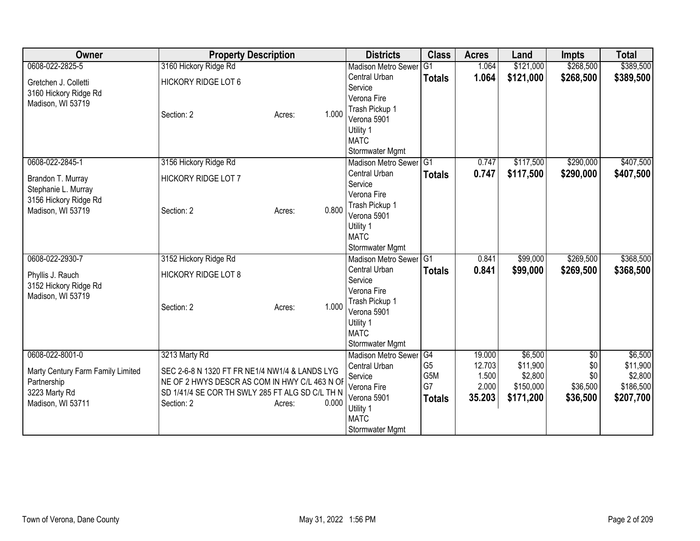| Owner                             | <b>Property Description</b>                     |                 | <b>Districts</b>                          | <b>Class</b>   | <b>Acres</b> | Land      | <b>Impts</b>    | <b>Total</b> |
|-----------------------------------|-------------------------------------------------|-----------------|-------------------------------------------|----------------|--------------|-----------|-----------------|--------------|
| 0608-022-2825-5                   | 3160 Hickory Ridge Rd                           |                 | <b>Madison Metro Sewer</b>                | G <sub>1</sub> | 1.064        | \$121,000 | \$268,500       | \$389,500    |
| Gretchen J. Colletti              | <b>HICKORY RIDGE LOT 6</b>                      |                 | Central Urban                             | <b>Totals</b>  | 1.064        | \$121,000 | \$268,500       | \$389,500    |
| 3160 Hickory Ridge Rd             |                                                 |                 | Service                                   |                |              |           |                 |              |
| Madison, WI 53719                 |                                                 |                 | Verona Fire                               |                |              |           |                 |              |
|                                   | Section: 2                                      | 1.000<br>Acres: | Trash Pickup 1                            |                |              |           |                 |              |
|                                   |                                                 |                 | Verona 5901                               |                |              |           |                 |              |
|                                   |                                                 |                 | Utility 1                                 |                |              |           |                 |              |
|                                   |                                                 |                 | <b>MATC</b>                               |                |              |           |                 |              |
| 0608-022-2845-1                   | 3156 Hickory Ridge Rd                           |                 | Stormwater Mgmt<br>Madison Metro Sewer G1 |                | 0.747        | \$117,500 | \$290,000       | \$407,500    |
|                                   |                                                 |                 | Central Urban                             |                | 0.747        |           |                 |              |
| Brandon T. Murray                 | HICKORY RIDGE LOT 7                             |                 | Service                                   | <b>Totals</b>  |              | \$117,500 | \$290,000       | \$407,500    |
| Stephanie L. Murray               |                                                 |                 | Verona Fire                               |                |              |           |                 |              |
| 3156 Hickory Ridge Rd             |                                                 |                 | Trash Pickup 1                            |                |              |           |                 |              |
| Madison, WI 53719                 | Section: 2                                      | 0.800<br>Acres: | Verona 5901                               |                |              |           |                 |              |
|                                   |                                                 |                 | Utility 1                                 |                |              |           |                 |              |
|                                   |                                                 |                 | <b>MATC</b>                               |                |              |           |                 |              |
|                                   |                                                 |                 | Stormwater Mgmt                           |                |              |           |                 |              |
| 0608-022-2930-7                   | 3152 Hickory Ridge Rd                           |                 | Madison Metro Sewer G1                    |                | 0.841        | \$99,000  | \$269,500       | \$368,500    |
| Phyllis J. Rauch                  | <b>HICKORY RIDGE LOT 8</b>                      |                 | Central Urban                             | <b>Totals</b>  | 0.841        | \$99,000  | \$269,500       | \$368,500    |
| 3152 Hickory Ridge Rd             |                                                 |                 | Service                                   |                |              |           |                 |              |
| Madison, WI 53719                 |                                                 |                 | Verona Fire                               |                |              |           |                 |              |
|                                   | Section: 2                                      | 1.000<br>Acres: | Trash Pickup 1                            |                |              |           |                 |              |
|                                   |                                                 |                 | Verona 5901                               |                |              |           |                 |              |
|                                   |                                                 |                 | Utility 1<br><b>MATC</b>                  |                |              |           |                 |              |
|                                   |                                                 |                 | Stormwater Mgmt                           |                |              |           |                 |              |
| 0608-022-8001-0                   | 3213 Marty Rd                                   |                 | <b>Madison Metro Sewer</b>                | G4             | 19.000       | \$6,500   | $\overline{50}$ | \$6,500      |
|                                   |                                                 |                 | Central Urban                             | G <sub>5</sub> | 12.703       | \$11,900  | \$0             | \$11,900     |
| Marty Century Farm Family Limited | SEC 2-6-8 N 1320 FT FR NE1/4 NW1/4 & LANDS LYG  |                 | Service                                   | G5M            | 1.500        | \$2,800   | \$0             | \$2,800      |
| Partnership                       | NE OF 2 HWYS DESCR AS COM IN HWY C/L 463 N OF   |                 | Verona Fire                               | G7             | 2.000        | \$150,000 | \$36,500        | \$186,500    |
| 3223 Marty Rd                     | SD 1/41/4 SE COR TH SWLY 285 FT ALG SD C/L TH N |                 | Verona 5901                               | <b>Totals</b>  | 35.203       | \$171,200 | \$36,500        | \$207,700    |
| Madison, WI 53711                 | Section: 2                                      | 0.000<br>Acres: | Utility 1                                 |                |              |           |                 |              |
|                                   |                                                 |                 | <b>MATC</b>                               |                |              |           |                 |              |
|                                   |                                                 |                 | Stormwater Mgmt                           |                |              |           |                 |              |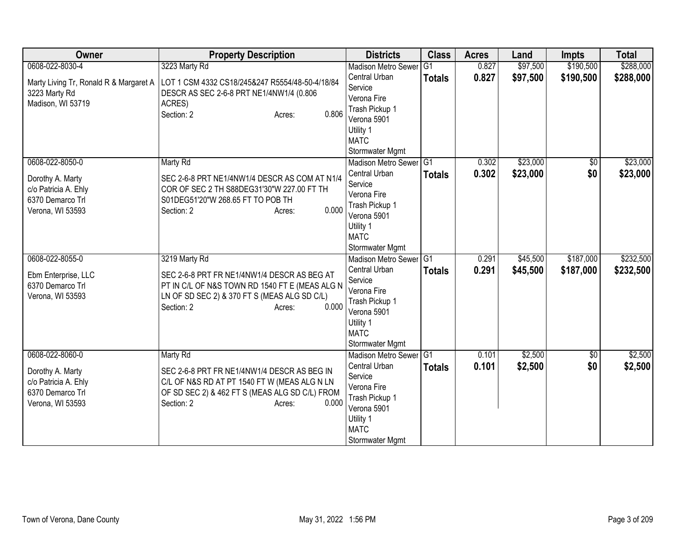| Owner                                  | <b>Property Description</b>                     | <b>Districts</b>           | <b>Class</b>   | <b>Acres</b> | Land     | <b>Impts</b>    | <b>Total</b> |
|----------------------------------------|-------------------------------------------------|----------------------------|----------------|--------------|----------|-----------------|--------------|
| 0608-022-8030-4                        | 3223 Marty Rd                                   | <b>Madison Metro Sewer</b> | G <sub>1</sub> | 0.827        | \$97,500 | \$190,500       | \$288,000    |
| Marty Living Tr, Ronald R & Margaret A | LOT 1 CSM 4332 CS18/245&247 R5554/48-50-4/18/84 | Central Urban              | <b>Totals</b>  | 0.827        | \$97,500 | \$190,500       | \$288,000    |
| 3223 Marty Rd                          | DESCR AS SEC 2-6-8 PRT NE1/4NW1/4 (0.806        | Service                    |                |              |          |                 |              |
| Madison, WI 53719                      | ACRES)                                          | Verona Fire                |                |              |          |                 |              |
|                                        | Section: 2<br>0.806<br>Acres:                   | Trash Pickup 1             |                |              |          |                 |              |
|                                        |                                                 | Verona 5901                |                |              |          |                 |              |
|                                        |                                                 | Utility 1<br><b>MATC</b>   |                |              |          |                 |              |
|                                        |                                                 | Stormwater Mgmt            |                |              |          |                 |              |
| 0608-022-8050-0                        | Marty Rd                                        | Madison Metro Sewer G1     |                | 0.302        | \$23,000 | $\overline{50}$ | \$23,000     |
|                                        |                                                 | Central Urban              |                | 0.302        |          | \$0             |              |
| Dorothy A. Marty                       | SEC 2-6-8 PRT NE1/4NW1/4 DESCR AS COM AT N1/4   | Service                    | <b>Totals</b>  |              | \$23,000 |                 | \$23,000     |
| c/o Patricia A. Ehly                   | COR OF SEC 2 TH S88DEG31'30"W 227.00 FT TH      | Verona Fire                |                |              |          |                 |              |
| 6370 Demarco Trl                       | S01DEG51'20"W 268.65 FT TO POB TH               | Trash Pickup 1             |                |              |          |                 |              |
| Verona, WI 53593                       | 0.000<br>Section: 2<br>Acres:                   | Verona 5901                |                |              |          |                 |              |
|                                        |                                                 | Utility 1                  |                |              |          |                 |              |
|                                        |                                                 | <b>MATC</b>                |                |              |          |                 |              |
|                                        |                                                 | Stormwater Mgmt            |                |              |          |                 |              |
| 0608-022-8055-0                        | 3219 Marty Rd                                   | Madison Metro Sewer G1     |                | 0.291        | \$45,500 | \$187,000       | \$232,500    |
| Ebm Enterprise, LLC                    | SEC 2-6-8 PRT FR NE1/4NW1/4 DESCR AS BEG AT     | Central Urban              | <b>Totals</b>  | 0.291        | \$45,500 | \$187,000       | \$232,500    |
| 6370 Demarco Trl                       | PT IN C/L OF N&S TOWN RD 1540 FT E (MEAS ALG N  | Service                    |                |              |          |                 |              |
| Verona, WI 53593                       | LN OF SD SEC 2) & 370 FT S (MEAS ALG SD C/L)    | Verona Fire                |                |              |          |                 |              |
|                                        | 0.000<br>Section: 2<br>Acres:                   | Trash Pickup 1             |                |              |          |                 |              |
|                                        |                                                 | Verona 5901                |                |              |          |                 |              |
|                                        |                                                 | Utility 1<br><b>MATC</b>   |                |              |          |                 |              |
|                                        |                                                 | Stormwater Mgmt            |                |              |          |                 |              |
| 0608-022-8060-0                        | Marty Rd                                        | Madison Metro Sewer        | G1             | 0.101        | \$2,500  | \$0             | \$2,500      |
|                                        |                                                 | Central Urban              | <b>Totals</b>  | 0.101        | \$2,500  | \$0             | \$2,500      |
| Dorothy A. Marty                       | SEC 2-6-8 PRT FR NE1/4NW1/4 DESCR AS BEG IN     | Service                    |                |              |          |                 |              |
| c/o Patricia A. Ehly                   | C/L OF N&S RD AT PT 1540 FT W (MEAS ALG N LN    | Verona Fire                |                |              |          |                 |              |
| 6370 Demarco Trl                       | OF SD SEC 2) & 462 FT S (MEAS ALG SD C/L) FROM  | Trash Pickup 1             |                |              |          |                 |              |
| Verona, WI 53593                       | Section: 2<br>0.000<br>Acres:                   | Verona 5901                |                |              |          |                 |              |
|                                        |                                                 | Utility 1                  |                |              |          |                 |              |
|                                        |                                                 | <b>MATC</b>                |                |              |          |                 |              |
|                                        |                                                 | Stormwater Mgmt            |                |              |          |                 |              |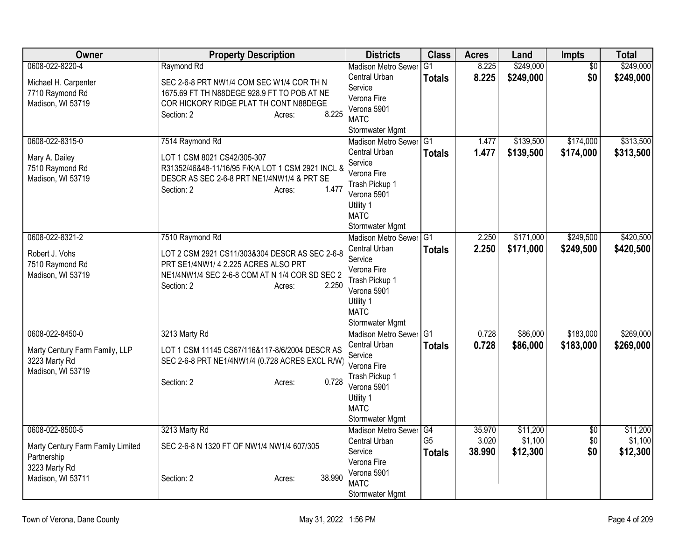| Owner                                                                                  | <b>Property Description</b>                                                                                                                                               | <b>Districts</b>                                                                                                        | <b>Class</b>                    | <b>Acres</b>    | Land                | Impts           | <b>Total</b>        |
|----------------------------------------------------------------------------------------|---------------------------------------------------------------------------------------------------------------------------------------------------------------------------|-------------------------------------------------------------------------------------------------------------------------|---------------------------------|-----------------|---------------------|-----------------|---------------------|
| 0608-022-8220-4                                                                        | Raymond Rd                                                                                                                                                                | <b>Madison Metro Sewer</b>                                                                                              | $\overline{G1}$                 | 8.225           | \$249,000           | $\overline{50}$ | \$249,000           |
| Michael H. Carpenter<br>7710 Raymond Rd<br>Madison, WI 53719                           | SEC 2-6-8 PRT NW1/4 COM SEC W1/4 COR TH N<br>1675.69 FT TH N88DEGE 928.9 FT TO POB AT NE<br>COR HICKORY RIDGE PLAT TH CONT N88DEGE<br>8.225<br>Section: 2<br>Acres:       | Central Urban<br>Service<br>Verona Fire<br>Verona 5901<br><b>MATC</b>                                                   | <b>Totals</b>                   | 8.225           | \$249,000           | \$0             | \$249,000           |
| 0608-022-8315-0                                                                        | 7514 Raymond Rd                                                                                                                                                           | Stormwater Mgmt<br><b>Madison Metro Sewer</b>                                                                           | IG1                             | 1.477           | \$139,500           | \$174,000       | \$313,500           |
| Mary A. Dailey<br>7510 Raymond Rd<br>Madison, WI 53719                                 | LOT 1 CSM 8021 CS42/305-307<br>R31352/46&48-11/16/95 F/K/A LOT 1 CSM 2921 INCL &<br>DESCR AS SEC 2-6-8 PRT NE1/4NW1/4 & PRT SE<br>1.477<br>Section: 2<br>Acres:           | Central Urban<br>Service<br>Verona Fire<br>Trash Pickup 1<br>Verona 5901<br>Utility 1<br><b>MATC</b><br>Stormwater Mgmt | <b>Totals</b>                   | 1.477           | \$139,500           | \$174,000       | \$313,500           |
| 0608-022-8321-2                                                                        | 7510 Raymond Rd                                                                                                                                                           | <b>Madison Metro Sewer</b>                                                                                              | G <sub>1</sub>                  | 2.250           | \$171,000           | \$249,500       | \$420,500           |
| Robert J. Vohs<br>7510 Raymond Rd<br>Madison, WI 53719                                 | LOT 2 CSM 2921 CS11/303&304 DESCR AS SEC 2-6-8<br>PRT SE1/4NW1/ 4 2.225 ACRES ALSO PRT<br>NE1/4NW1/4 SEC 2-6-8 COM AT N 1/4 COR SD SEC 2<br>2.250<br>Section: 2<br>Acres: | Central Urban<br>Service<br>Verona Fire<br>Trash Pickup 1<br>Verona 5901<br>Utility 1<br><b>MATC</b><br>Stormwater Mgmt | <b>Totals</b>                   | 2.250           | \$171,000           | \$249,500       | \$420,500           |
| 0608-022-8450-0                                                                        | 3213 Marty Rd                                                                                                                                                             | <b>Madison Metro Sewer</b>                                                                                              | IG <sub>1</sub>                 | 0.728           | \$86,000            | \$183,000       | \$269,000           |
| Marty Century Farm Family, LLP<br>3223 Marty Rd<br>Madison, WI 53719                   | LOT 1 CSM 11145 CS67/116&117-8/6/2004 DESCR AS<br>SEC 2-6-8 PRT NE1/4NW1/4 (0.728 ACRES EXCL R/W<br>0.728<br>Section: 2<br>Acres:                                         | Central Urban<br>Service<br>Verona Fire<br>Trash Pickup 1<br>Verona 5901<br>Utility 1<br><b>MATC</b><br>Stormwater Mgmt | <b>Totals</b>                   | 0.728           | \$86,000            | \$183,000       | \$269,000           |
| 0608-022-8500-5                                                                        | 3213 Marty Rd                                                                                                                                                             | <b>Madison Metro Sewer</b>                                                                                              | G4                              | 35.970          | \$11,200            | $\overline{50}$ | \$11,200            |
| Marty Century Farm Family Limited<br>Partnership<br>3223 Marty Rd<br>Madison, WI 53711 | SEC 2-6-8 N 1320 FT OF NW1/4 NW1/4 607/305<br>38.990<br>Section: 2<br>Acres:                                                                                              | Central Urban<br>Service<br>Verona Fire<br>Verona 5901<br><b>MATC</b>                                                   | G <sub>5</sub><br><b>Totals</b> | 3.020<br>38.990 | \$1,100<br>\$12,300 | \$0<br>\$0      | \$1,100<br>\$12,300 |
|                                                                                        |                                                                                                                                                                           | Stormwater Mgmt                                                                                                         |                                 |                 |                     |                 |                     |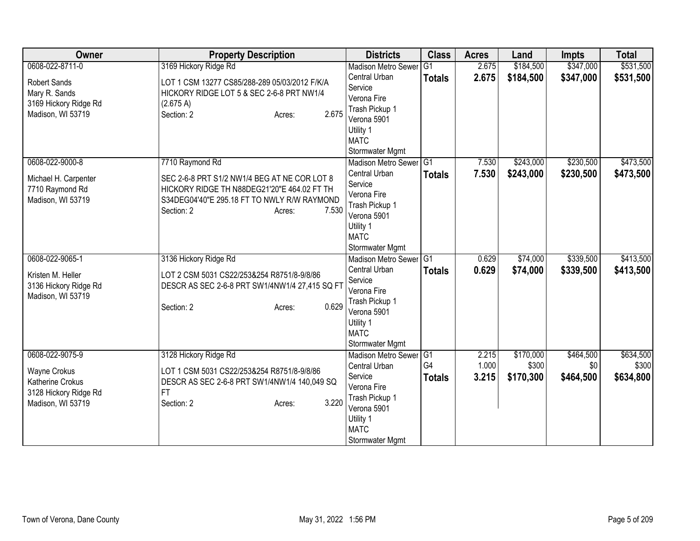| Owner                 | <b>Property Description</b>                    | <b>Districts</b>              | <b>Class</b>   | <b>Acres</b> | Land      | <b>Impts</b> | <b>Total</b> |
|-----------------------|------------------------------------------------|-------------------------------|----------------|--------------|-----------|--------------|--------------|
| 0608-022-8711-0       | 3169 Hickory Ridge Rd                          | <b>Madison Metro Sewer</b>    | G <sub>1</sub> | 2.675        | \$184,500 | \$347,000    | \$531,500    |
| Robert Sands          | LOT 1 CSM 13277 CS85/288-289 05/03/2012 F/K/A  | Central Urban                 | <b>Totals</b>  | 2.675        | \$184,500 | \$347,000    | \$531,500    |
| Mary R. Sands         | HICKORY RIDGE LOT 5 & SEC 2-6-8 PRT NW1/4      | Service                       |                |              |           |              |              |
| 3169 Hickory Ridge Rd | (2.675 A)                                      | Verona Fire                   |                |              |           |              |              |
| Madison, WI 53719     | 2.675<br>Section: 2<br>Acres:                  | Trash Pickup 1                |                |              |           |              |              |
|                       |                                                | Verona 5901                   |                |              |           |              |              |
|                       |                                                | Utility 1                     |                |              |           |              |              |
|                       |                                                | <b>MATC</b>                   |                |              |           |              |              |
|                       |                                                | Stormwater Mgmt               |                |              |           |              |              |
| 0608-022-9000-8       | 7710 Raymond Rd                                | Madison Metro Sewer           | G1             | 7.530        | \$243,000 | \$230,500    | \$473,500    |
| Michael H. Carpenter  | SEC 2-6-8 PRT S1/2 NW1/4 BEG AT NE COR LOT 8   | Central Urban                 | <b>Totals</b>  | 7.530        | \$243,000 | \$230,500    | \$473,500    |
| 7710 Raymond Rd       | HICKORY RIDGE TH N88DEG21'20"E 464.02 FT TH    | Service                       |                |              |           |              |              |
| Madison, WI 53719     | S34DEG04'40"E 295.18 FT TO NWLY R/W RAYMOND    | Verona Fire                   |                |              |           |              |              |
|                       | Section: 2<br>7.530<br>Acres:                  | Trash Pickup 1<br>Verona 5901 |                |              |           |              |              |
|                       |                                                | Utility 1                     |                |              |           |              |              |
|                       |                                                | <b>MATC</b>                   |                |              |           |              |              |
|                       |                                                | Stormwater Mgmt               |                |              |           |              |              |
| 0608-022-9065-1       | 3136 Hickory Ridge Rd                          | Madison Metro Sewer           | G1             | 0.629        | \$74,000  | \$339,500    | \$413,500    |
|                       |                                                | Central Urban                 | <b>Totals</b>  | 0.629        | \$74,000  | \$339,500    | \$413,500    |
| Kristen M. Heller     | LOT 2 CSM 5031 CS22/253&254 R8751/8-9/8/86     | Service                       |                |              |           |              |              |
| 3136 Hickory Ridge Rd | DESCR AS SEC 2-6-8 PRT SW1/4NW1/4 27,415 SQ FT | Verona Fire                   |                |              |           |              |              |
| Madison, WI 53719     |                                                | Trash Pickup 1                |                |              |           |              |              |
|                       | 0.629<br>Section: 2<br>Acres:                  | Verona 5901                   |                |              |           |              |              |
|                       |                                                | Utility 1                     |                |              |           |              |              |
|                       |                                                | <b>MATC</b>                   |                |              |           |              |              |
|                       |                                                | Stormwater Mgmt               |                |              |           |              |              |
| 0608-022-9075-9       | 3128 Hickory Ridge Rd                          | Madison Metro Sewer G1        |                | 2.215        | \$170,000 | \$464,500    | \$634,500    |
| <b>Wayne Crokus</b>   | LOT 1 CSM 5031 CS22/253&254 R8751/8-9/8/86     | Central Urban                 | G4             | 1.000        | \$300     | \$0          | \$300        |
| Katherine Crokus      | DESCR AS SEC 2-6-8 PRT SW1/4NW1/4 140,049 SQ   | Service                       | <b>Totals</b>  | 3.215        | \$170,300 | \$464,500    | \$634,800    |
| 3128 Hickory Ridge Rd | FT.                                            | Verona Fire                   |                |              |           |              |              |
| Madison, WI 53719     | 3.220<br>Section: 2<br>Acres:                  | Trash Pickup 1                |                |              |           |              |              |
|                       |                                                | Verona 5901                   |                |              |           |              |              |
|                       |                                                | Utility 1                     |                |              |           |              |              |
|                       |                                                | <b>MATC</b>                   |                |              |           |              |              |
|                       |                                                | Stormwater Mgmt               |                |              |           |              |              |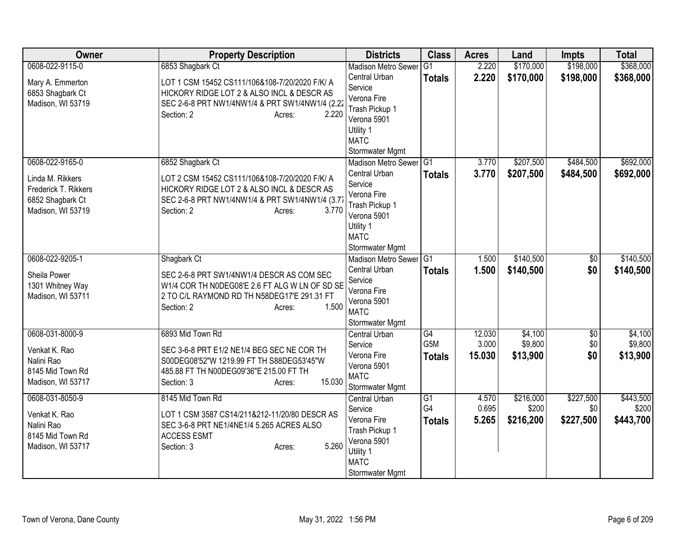| Owner                                                                                                | <b>Property Description</b>                                                                                                                                                                          | <b>Districts</b>                                                                                                                                  | <b>Class</b>                            | <b>Acres</b>              | Land                            | <b>Impts</b>                  | <b>Total</b>                    |
|------------------------------------------------------------------------------------------------------|------------------------------------------------------------------------------------------------------------------------------------------------------------------------------------------------------|---------------------------------------------------------------------------------------------------------------------------------------------------|-----------------------------------------|---------------------------|---------------------------------|-------------------------------|---------------------------------|
| 0608-022-9115-0                                                                                      | 6853 Shagbark Ct                                                                                                                                                                                     | <b>Madison Metro Sewer</b>                                                                                                                        | G1                                      | 2.220                     | \$170,000                       | \$198,000                     | \$368,000                       |
| Mary A. Emmerton<br>6853 Shagbark Ct<br>Madison, WI 53719                                            | LOT 1 CSM 15452 CS111/106&108-7/20/2020 F/K/ A<br>HICKORY RIDGE LOT 2 & ALSO INCL & DESCR AS<br>SEC 2-6-8 PRT NW1/4NW1/4 & PRT SW1/4NW1/4 (2.22<br>2.220<br>Section: 2<br>Acres:                     | Central Urban<br>Service<br>Verona Fire<br>Trash Pickup 1<br>Verona 5901                                                                          | <b>Totals</b>                           | 2.220                     | \$170,000                       | \$198,000                     | \$368,000                       |
|                                                                                                      |                                                                                                                                                                                                      | Utility 1<br><b>MATC</b><br>Stormwater Mgmt                                                                                                       |                                         |                           |                                 |                               |                                 |
| 0608-022-9165-0<br>Linda M. Rikkers<br>Frederick T. Rikkers<br>6852 Shagbark Ct<br>Madison, WI 53719 | 6852 Shagbark Ct<br>LOT 2 CSM 15452 CS111/106&108-7/20/2020 F/K/ A<br>HICKORY RIDGE LOT 2 & ALSO INCL & DESCR AS<br>SEC 2-6-8 PRT NW1/4NW1/4 & PRT SW1/4NW1/4 (3.77<br>Section: 2<br>3.770<br>Acres: | Madison Metro Sewer G1<br>Central Urban<br>Service<br>Verona Fire<br>Trash Pickup 1<br>Verona 5901<br>Utility 1<br><b>MATC</b><br>Stormwater Mgmt | <b>Totals</b>                           | 3.770<br>3.770            | \$207,500<br>\$207,500          | \$484,500<br>\$484,500        | \$692,000<br>\$692,000          |
| 0608-022-9205-1<br>Sheila Power<br>1301 Whitney Way<br>Madison, WI 53711                             | Shagbark Ct<br>SEC 2-6-8 PRT SW1/4NW1/4 DESCR AS COM SEC<br>W1/4 COR TH NODEG08'E 2.6 FT ALG W LN OF SD SE<br>2 TO C/L RAYMOND RD TH N58DEG17'E 291.31 FT<br>1.500<br>Section: 2<br>Acres:           | <b>Madison Metro Sewer</b><br>Central Urban<br>Service<br>Verona Fire<br>Verona 5901<br><b>MATC</b><br>Stormwater Mgmt                            | $\overline{G1}$<br><b>Totals</b>        | 1.500<br>1.500            | \$140,500<br>\$140,500          | $\overline{50}$<br>\$0        | \$140,500<br>\$140,500          |
| 0608-031-8000-9<br>Venkat K. Rao<br>Nalini Rao<br>8145 Mid Town Rd<br>Madison, WI 53717              | 6893 Mid Town Rd<br>SEC 3-6-8 PRT E1/2 NE1/4 BEG SEC NE COR TH<br>S00DEG08'52"W 1219.99 FT TH S88DEG53'45"W<br>485.88 FT TH N00DEG09'36"E 215.00 FT TH<br>15.030<br>Section: 3<br>Acres:             | Central Urban<br>Service<br>Verona Fire<br>Verona 5901<br><b>MATC</b><br>Stormwater Mgmt                                                          | G4<br>G <sub>5</sub> M<br><b>Totals</b> | 12.030<br>3.000<br>15.030 | \$4,100<br>\$9,800<br>\$13,900  | $\overline{50}$<br>\$0<br>\$0 | \$4,100<br>\$9,800<br>\$13,900  |
| 0608-031-8050-9<br>Venkat K. Rao<br>Nalini Rao<br>8145 Mid Town Rd<br>Madison, WI 53717              | 8145 Mid Town Rd<br>LOT 1 CSM 3587 CS14/211&212-11/20/80 DESCR AS<br>SEC 3-6-8 PRT NE1/4NE1/4 5.265 ACRES ALSO<br><b>ACCESS ESMT</b><br>5.260<br>Section: 3<br>Acres:                                | <b>Central Urban</b><br>Service<br>Verona Fire<br>Trash Pickup 1<br>Verona 5901<br>Utility 1<br><b>MATC</b><br>Stormwater Mgmt                    | G1<br>G4<br><b>Totals</b>               | 4.570<br>0.695<br>5.265   | \$216,000<br>\$200<br>\$216,200 | \$227,500<br>\$0<br>\$227,500 | \$443,500<br>\$200<br>\$443,700 |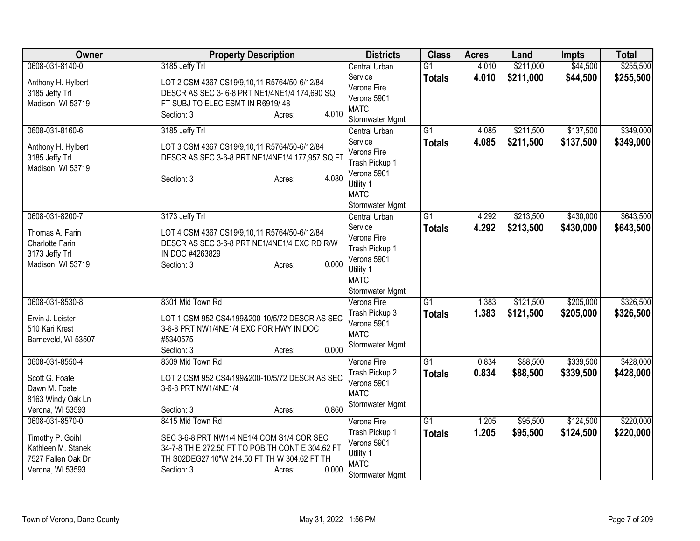| Owner                                                                            | <b>Property Description</b>                                                                                                                                                     | <b>Districts</b>                                                                                       | <b>Class</b>    | <b>Acres</b> | Land      | <b>Impts</b> | <b>Total</b> |
|----------------------------------------------------------------------------------|---------------------------------------------------------------------------------------------------------------------------------------------------------------------------------|--------------------------------------------------------------------------------------------------------|-----------------|--------------|-----------|--------------|--------------|
| 0608-031-8140-0                                                                  | 3185 Jeffy Trl                                                                                                                                                                  | <b>Central Urban</b>                                                                                   | $\overline{G1}$ | 4.010        | \$211,000 | \$44,500     | \$255,500    |
| Anthony H. Hylbert<br>3185 Jeffy Trl<br>Madison, WI 53719                        | LOT 2 CSM 4367 CS19/9,10,11 R5764/50-6/12/84<br>DESCR AS SEC 3-6-8 PRT NE1/4NE1/4 174,690 SQ<br>FT SUBJ TO ELEC ESMT IN R6919/48<br>4.010<br>Section: 3<br>Acres:               | Service<br>Verona Fire<br>Verona 5901<br><b>MATC</b><br>Stormwater Mgmt                                | <b>Totals</b>   | 4.010        | \$211,000 | \$44,500     | \$255,500    |
| 0608-031-8160-6                                                                  | 3185 Jeffy Trl                                                                                                                                                                  | <b>Central Urban</b>                                                                                   | $\overline{G1}$ | 4.085        | \$211,500 | \$137,500    | \$349,000    |
| Anthony H. Hylbert<br>3185 Jeffy Trl<br>Madison, WI 53719                        | LOT 3 CSM 4367 CS19/9,10,11 R5764/50-6/12/84<br>DESCR AS SEC 3-6-8 PRT NE1/4NE1/4 177,957 SQ FT<br>4.080<br>Section: 3<br>Acres:                                                | Service<br>Verona Fire<br>Trash Pickup 1<br>Verona 5901<br>Utility 1<br><b>MATC</b><br>Stormwater Mgmt | <b>Totals</b>   | 4.085        | \$211,500 | \$137,500    | \$349,000    |
| 0608-031-8200-7                                                                  | 3173 Jeffy Trl                                                                                                                                                                  | <b>Central Urban</b>                                                                                   | $\overline{G1}$ | 4.292        | \$213,500 | \$430,000    | \$643,500    |
| Thomas A. Farin<br>Charlotte Farin<br>3173 Jeffy Trl<br>Madison, WI 53719        | LOT 4 CSM 4367 CS19/9,10,11 R5764/50-6/12/84<br>DESCR AS SEC 3-6-8 PRT NE1/4NE1/4 EXC RD R/W<br>IN DOC #4263829<br>0.000<br>Section: 3<br>Acres:                                | Service<br>Verona Fire<br>Trash Pickup 1<br>Verona 5901<br>Utility 1<br><b>MATC</b><br>Stormwater Mgmt | <b>Totals</b>   | 4.292        | \$213,500 | \$430,000    | \$643,500    |
| 0608-031-8530-8                                                                  | 8301 Mid Town Rd                                                                                                                                                                | Verona Fire                                                                                            | G1              | 1.383        | \$121,500 | \$205,000    | \$326,500    |
| Ervin J. Leister<br>510 Kari Krest<br>Barneveld, WI 53507                        | LOT 1 CSM 952 CS4/199&200-10/5/72 DESCR AS SEC<br>3-6-8 PRT NW1/4NE1/4 EXC FOR HWY IN DOC<br>#5340575<br>0.000<br>Section: 3<br>Acres:                                          | Trash Pickup 3<br>Verona 5901<br><b>MATC</b><br>Stormwater Mgmt                                        | <b>Totals</b>   | 1.383        | \$121,500 | \$205,000    | \$326,500    |
| 0608-031-8550-4                                                                  | 8309 Mid Town Rd                                                                                                                                                                | Verona Fire                                                                                            | G1              | 0.834        | \$88,500  | \$339,500    | \$428,000    |
| Scott G. Foate<br>Dawn M. Foate<br>8163 Windy Oak Ln<br>Verona, WI 53593         | LOT 2 CSM 952 CS4/199&200-10/5/72 DESCR AS SEC<br>3-6-8 PRT NW1/4NE1/4<br>0.860<br>Section: 3<br>Acres:                                                                         | Trash Pickup 2<br>Verona 5901<br><b>MATC</b><br>Stormwater Mgmt                                        | <b>Totals</b>   | 0.834        | \$88,500  | \$339,500    | \$428,000    |
| 0608-031-8570-0                                                                  | 8415 Mid Town Rd                                                                                                                                                                | Verona Fire                                                                                            | $\overline{G1}$ | 1.205        | \$95,500  | \$124,500    | \$220,000    |
| Timothy P. Goihl<br>Kathleen M. Stanek<br>7527 Fallen Oak Dr<br>Verona, WI 53593 | SEC 3-6-8 PRT NW1/4 NE1/4 COM S1/4 COR SEC<br>34-7-8 TH E 272.50 FT TO POB TH CONT E 304.62 FT<br>TH S02DEG27'10"W 214.50 FT TH W 304.62 FT TH<br>0.000<br>Section: 3<br>Acres: | Trash Pickup 1<br>Verona 5901<br>Utility 1<br><b>MATC</b><br>Stormwater Mgmt                           | <b>Totals</b>   | 1.205        | \$95,500  | \$124,500    | \$220,000    |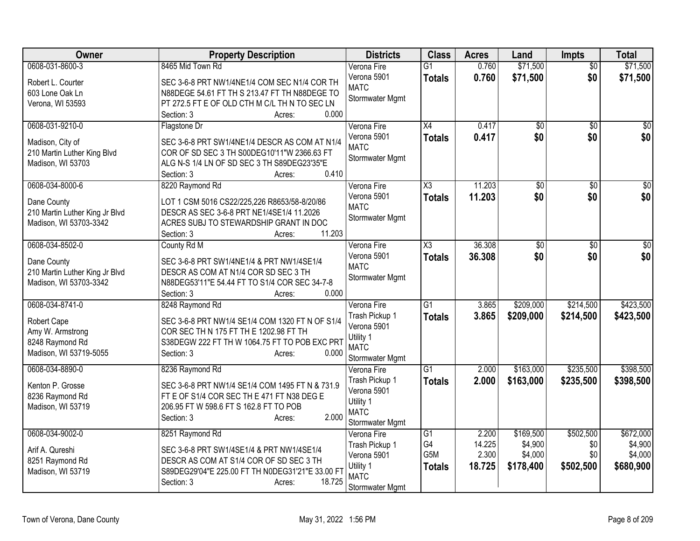| Owner                          | <b>Property Description</b>                                | <b>Districts</b>               | <b>Class</b>           | <b>Acres</b>    | Land            | Impts           | <b>Total</b>    |
|--------------------------------|------------------------------------------------------------|--------------------------------|------------------------|-----------------|-----------------|-----------------|-----------------|
| 0608-031-8600-3                | 8465 Mid Town Rd                                           | Verona Fire                    | $\overline{G1}$        | 0.760           | \$71,500        | $\overline{50}$ | \$71,500        |
| Robert L. Courter              | SEC 3-6-8 PRT NW1/4NE1/4 COM SEC N1/4 COR TH               | Verona 5901                    | <b>Totals</b>          | 0.760           | \$71,500        | \$0             | \$71,500        |
| 603 Lone Oak Ln                | N88DEGE 54.61 FT TH S 213.47 FT TH N88DEGE TO              | <b>MATC</b>                    |                        |                 |                 |                 |                 |
| Verona, WI 53593               | PT 272.5 FT E OF OLD CTH M C/L TH N TO SEC LN              | Stormwater Mgmt                |                        |                 |                 |                 |                 |
|                                | 0.000<br>Section: 3<br>Acres:                              |                                |                        |                 |                 |                 |                 |
| 0608-031-9210-0                | Flagstone Dr                                               | Verona Fire                    | $\overline{X4}$        | 0.417           | \$0             | \$0             | \$0             |
| Madison, City of               | SEC 3-6-8 PRT SW1/4NE1/4 DESCR AS COM AT N1/4              | Verona 5901                    | <b>Totals</b>          | 0.417           | \$0             | \$0             | \$0             |
| 210 Martin Luther King Blvd    | COR OF SD SEC 3 TH S00DEG10'11"W 2366.63 FT                | <b>MATC</b>                    |                        |                 |                 |                 |                 |
| Madison, WI 53703              | ALG N-S 1/4 LN OF SD SEC 3 TH S89DEG23'35"E                | Stormwater Mgmt                |                        |                 |                 |                 |                 |
|                                | 0.410<br>Section: 3<br>Acres:                              |                                |                        |                 |                 |                 |                 |
| 0608-034-8000-6                | 8220 Raymond Rd                                            | Verona Fire                    | $\overline{\text{X3}}$ | 11.203          | \$0             | \$0             | $\overline{50}$ |
| Dane County                    | LOT 1 CSM 5016 CS22/225,226 R8653/58-8/20/86               | Verona 5901                    | <b>Totals</b>          | 11.203          | \$0             | \$0             | \$0             |
| 210 Martin Luther King Jr Blvd | DESCR AS SEC 3-6-8 PRT NE1/4SE1/4 11.2026                  | <b>MATC</b><br>Stormwater Mgmt |                        |                 |                 |                 |                 |
| Madison, WI 53703-3342         | ACRES SUBJ TO STEWARDSHIP GRANT IN DOC                     |                                |                        |                 |                 |                 |                 |
|                                | 11.203<br>Section: 3<br>Acres:                             |                                |                        |                 |                 |                 |                 |
| 0608-034-8502-0                | County Rd M                                                | Verona Fire                    | $\overline{\text{X3}}$ | 36.308          | $\overline{50}$ | $\overline{50}$ | $\overline{50}$ |
| Dane County                    | SEC 3-6-8 PRT SW1/4NE1/4 & PRT NW1/4SE1/4                  | Verona 5901<br><b>MATC</b>     | <b>Totals</b>          | 36.308          | \$0             | \$0             | \$0             |
| 210 Martin Luther King Jr Blvd | DESCR AS COM AT N1/4 COR SD SEC 3 TH                       | Stormwater Mgmt                |                        |                 |                 |                 |                 |
| Madison, WI 53703-3342         | N88DEG53'11"E 54.44 FT TO S1/4 COR SEC 34-7-8              |                                |                        |                 |                 |                 |                 |
|                                | Section: 3<br>0.000<br>Acres:                              |                                |                        |                 |                 |                 |                 |
| 0608-034-8741-0                | 8248 Raymond Rd                                            | Verona Fire                    | $\overline{G1}$        | 3.865           | \$209,000       | \$214,500       | \$423,500       |
| Robert Cape                    | SEC 3-6-8 PRT NW1/4 SE1/4 COM 1320 FT N OF S1/4            | Trash Pickup 1                 | <b>Totals</b>          | 3.865           | \$209,000       | \$214,500       | \$423,500       |
| Amy W. Armstrong               | COR SEC TH N 175 FT TH E 1202.98 FT TH                     | Verona 5901<br>Utility 1       |                        |                 |                 |                 |                 |
| 8248 Raymond Rd                | S38DEGW 222 FT TH W 1064.75 FT TO POB EXC PRT              | <b>MATC</b>                    |                        |                 |                 |                 |                 |
| Madison, WI 53719-5055         | Section: 3<br>0.000<br>Acres:                              | Stormwater Mgmt                |                        |                 |                 |                 |                 |
| 0608-034-8890-0                | 8236 Raymond Rd                                            | Verona Fire                    | $\overline{G1}$        | 2.000           | \$163,000       | \$235,500       | \$398,500       |
| Kenton P. Grosse               | SEC 3-6-8 PRT NW1/4 SE1/4 COM 1495 FT N & 731.9            | Trash Pickup 1                 | <b>Totals</b>          | 2.000           | \$163,000       | \$235,500       | \$398,500       |
| 8236 Raymond Rd                | FT E OF S1/4 COR SEC TH E 471 FT N38 DEG E                 | Verona 5901                    |                        |                 |                 |                 |                 |
| Madison, WI 53719              | 206.95 FT W 598.6 FT S 162.8 FT TO POB                     | Utility 1                      |                        |                 |                 |                 |                 |
|                                | 2.000<br>Section: 3<br>Acres:                              | <b>MATC</b>                    |                        |                 |                 |                 |                 |
| 0608-034-9002-0                |                                                            | Stormwater Mgmt                | $\overline{G1}$        |                 | \$169,500       | \$502,500       | \$672,000       |
|                                | 8251 Raymond Rd                                            | Verona Fire<br>Trash Pickup 1  | G4                     | 2.200<br>14.225 | \$4,900         | \$0             | \$4,900         |
| Arif A. Qureshi                | SEC 3-6-8 PRT SW1/4SE1/4 & PRT NW1/4SE1/4                  | Verona 5901                    | G <sub>5</sub> M       | 2.300           | \$4,000         | \$0             | \$4,000         |
| 8251 Raymond Rd                | DESCR AS COM AT S1/4 COR OF SD SEC 3 TH                    | Utility 1                      | <b>Totals</b>          | 18.725          | \$178,400       | \$502,500       | \$680,900       |
| Madison, WI 53719              | S89DEG29'04"E 225.00 FT TH N0DEG31'21"E 33.00 FT<br>18.725 | <b>MATC</b>                    |                        |                 |                 |                 |                 |
|                                | Section: 3<br>Acres:                                       | Stormwater Mgmt                |                        |                 |                 |                 |                 |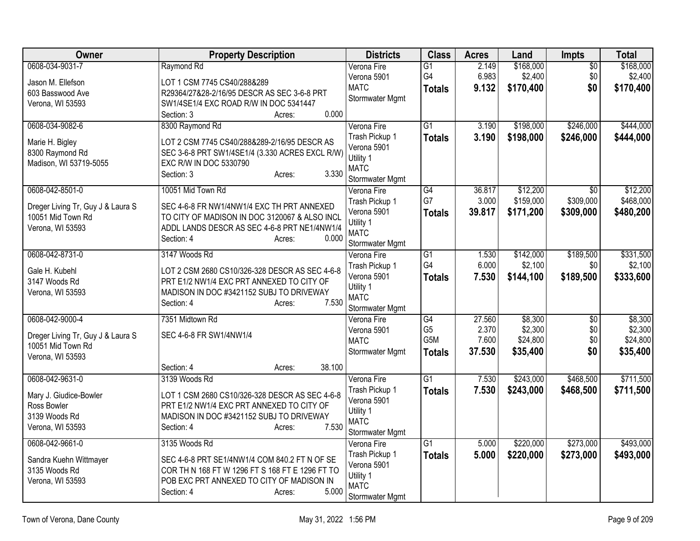| Owner                             | <b>Property Description</b>                     | <b>Districts</b>               | <b>Class</b>          | <b>Acres</b> | Land      | Impts           | <b>Total</b> |
|-----------------------------------|-------------------------------------------------|--------------------------------|-----------------------|--------------|-----------|-----------------|--------------|
| 0608-034-9031-7                   | Raymond Rd                                      | Verona Fire                    | $\overline{G1}$       | 2.149        | \$168,000 | $\overline{50}$ | \$168,000    |
| Jason M. Ellefson                 | LOT 1 CSM 7745 CS40/288&289                     | Verona 5901                    | G4                    | 6.983        | \$2,400   | \$0             | \$2,400      |
| 603 Basswood Ave                  | R29364/27&28-2/16/95 DESCR AS SEC 3-6-8 PRT     | <b>MATC</b>                    | <b>Totals</b>         | 9.132        | \$170,400 | \$0             | \$170,400    |
| Verona, WI 53593                  | SW1/4SE1/4 EXC ROAD R/W IN DOC 5341447          | Stormwater Mgmt                |                       |              |           |                 |              |
|                                   | 0.000<br>Section: 3<br>Acres:                   |                                |                       |              |           |                 |              |
| 0608-034-9082-6                   | 8300 Raymond Rd                                 | Verona Fire                    | $\overline{G1}$       | 3.190        | \$198,000 | \$246,000       | \$444,000    |
| Marie H. Bigley                   | LOT 2 CSM 7745 CS40/288&289-2/16/95 DESCR AS    | Trash Pickup 1                 | <b>Totals</b>         | 3.190        | \$198,000 | \$246,000       | \$444,000    |
| 8300 Raymond Rd                   | SEC 3-6-8 PRT SW1/4SE1/4 (3.330 ACRES EXCL R/W) | Verona 5901                    |                       |              |           |                 |              |
| Madison, WI 53719-5055            | EXC R/W IN DOC 5330790                          | Utility 1                      |                       |              |           |                 |              |
|                                   | 3.330<br>Section: 3<br>Acres:                   | <b>MATC</b>                    |                       |              |           |                 |              |
| 0608-042-8501-0                   | 10051 Mid Town Rd                               | Stormwater Mgmt<br>Verona Fire | $\overline{G4}$       | 36.817       | \$12,200  | $\overline{30}$ | \$12,200     |
|                                   |                                                 | Trash Pickup 1                 | G7                    | 3.000        | \$159,000 | \$309,000       | \$468,000    |
| Dreger Living Tr, Guy J & Laura S | SEC 4-6-8 FR NW1/4NW1/4 EXC TH PRT ANNEXED      | Verona 5901                    | <b>Totals</b>         | 39.817       | \$171,200 | \$309,000       | \$480,200    |
| 10051 Mid Town Rd                 | TO CITY OF MADISON IN DOC 3120067 & ALSO INCL   | Utility 1                      |                       |              |           |                 |              |
| Verona, WI 53593                  | ADDL LANDS DESCR AS SEC 4-6-8 PRT NE1/4NW1/4    | <b>MATC</b>                    |                       |              |           |                 |              |
|                                   | Section: 4<br>0.000<br>Acres:                   | Stormwater Mgmt                |                       |              |           |                 |              |
| 0608-042-8731-0                   | 3147 Woods Rd                                   | Verona Fire                    | $\overline{G1}$       | 1.530        | \$142,000 | \$189,500       | \$331,500    |
| Gale H. Kubehl                    | LOT 2 CSM 2680 CS10/326-328 DESCR AS SEC 4-6-8  | Trash Pickup 1                 | G4                    | 6.000        | \$2,100   | \$0             | \$2,100      |
| 3147 Woods Rd                     | PRT E1/2 NW1/4 EXC PRT ANNEXED TO CITY OF       | Verona 5901                    | <b>Totals</b>         | 7.530        | \$144,100 | \$189,500       | \$333,600    |
| Verona, WI 53593                  | MADISON IN DOC #3421152 SUBJ TO DRIVEWAY        | Utility 1                      |                       |              |           |                 |              |
|                                   | 7.530<br>Section: 4<br>Acres:                   | <b>MATC</b>                    |                       |              |           |                 |              |
|                                   |                                                 | Stormwater Mgmt                |                       |              |           |                 |              |
| 0608-042-9000-4                   | 7351 Midtown Rd                                 | Verona Fire                    | G4                    | 27.560       | \$8,300   | $\overline{60}$ | \$8,300      |
| Dreger Living Tr, Guy J & Laura S | SEC 4-6-8 FR SW1/4NW1/4                         | Verona 5901                    | G <sub>5</sub><br>G5M | 2.370        | \$2,300   | \$0<br>\$0      | \$2,300      |
| 10051 Mid Town Rd                 |                                                 | <b>MATC</b><br>Stormwater Mgmt |                       | 7.600        | \$24,800  | \$0             | \$24,800     |
| Verona, WI 53593                  |                                                 |                                | <b>Totals</b>         | 37.530       | \$35,400  |                 | \$35,400     |
|                                   | Section: 4<br>38.100<br>Acres:                  |                                |                       |              |           |                 |              |
| 0608-042-9631-0                   | 3139 Woods Rd                                   | Verona Fire                    | $\overline{G1}$       | 7.530        | \$243,000 | \$468,500       | \$711,500    |
| Mary J. Giudice-Bowler            | LOT 1 CSM 2680 CS10/326-328 DESCR AS SEC 4-6-8  | Trash Pickup 1                 | <b>Totals</b>         | 7.530        | \$243,000 | \$468,500       | \$711,500    |
| Ross Bowler                       | PRT E1/2 NW1/4 EXC PRT ANNEXED TO CITY OF       | Verona 5901                    |                       |              |           |                 |              |
| 3139 Woods Rd                     | MADISON IN DOC #3421152 SUBJ TO DRIVEWAY        | Utility 1<br><b>MATC</b>       |                       |              |           |                 |              |
| Verona, WI 53593                  | 7.530<br>Section: 4<br>Acres:                   | Stormwater Mgmt                |                       |              |           |                 |              |
| 0608-042-9661-0                   | 3135 Woods Rd                                   | Verona Fire                    | $\overline{G1}$       | 5.000        | \$220,000 | \$273,000       | \$493,000    |
|                                   |                                                 | Trash Pickup 1                 | <b>Totals</b>         | 5.000        | \$220,000 | \$273,000       | \$493,000    |
| Sandra Kuehn Wittmayer            | SEC 4-6-8 PRT SE1/4NW1/4 COM 840.2 FT N OF SE   | Verona 5901                    |                       |              |           |                 |              |
| 3135 Woods Rd                     | COR TH N 168 FT W 1296 FT S 168 FT E 1296 FT TO | Utility 1                      |                       |              |           |                 |              |
| Verona, WI 53593                  | POB EXC PRT ANNEXED TO CITY OF MADISON IN       | <b>MATC</b>                    |                       |              |           |                 |              |
|                                   | 5.000<br>Section: 4<br>Acres:                   | Stormwater Mgmt                |                       |              |           |                 |              |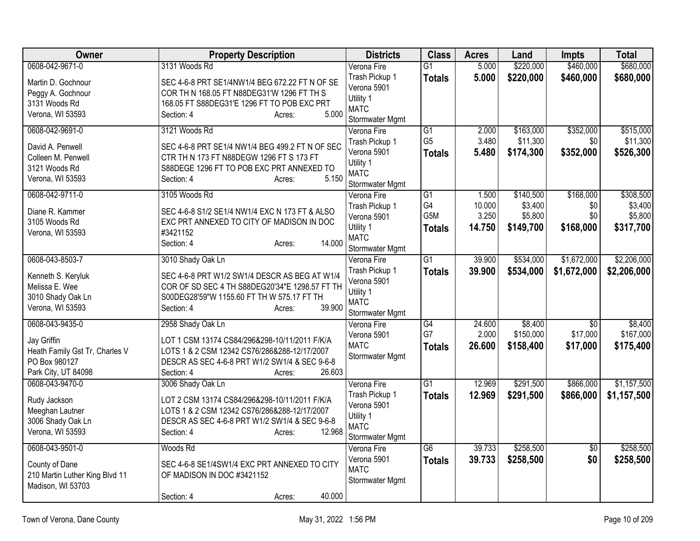| Owner                          | <b>Property Description</b>                     | <b>Districts</b>              | <b>Class</b>                      | <b>Acres</b>   | Land                  | <b>Impts</b>     | <b>Total</b>          |
|--------------------------------|-------------------------------------------------|-------------------------------|-----------------------------------|----------------|-----------------------|------------------|-----------------------|
| 0608-042-9671-0                | 3131 Woods Rd                                   | Verona Fire                   | $\overline{G1}$                   | 5.000          | \$220,000             | \$460,000        | \$680,000             |
| Martin D. Gochnour             | SEC 4-6-8 PRT SE1/4NW1/4 BEG 672.22 FT N OF SE  | Trash Pickup 1                | <b>Totals</b>                     | 5.000          | \$220,000             | \$460,000        | \$680,000             |
| Peggy A. Gochnour              | COR TH N 168.05 FT N88DEG31'W 1296 FT TH S      | Verona 5901                   |                                   |                |                       |                  |                       |
| 3131 Woods Rd                  | 168.05 FT S88DEG31'E 1296 FT TO POB EXC PRT     | Utility 1                     |                                   |                |                       |                  |                       |
| Verona, WI 53593               | 5.000<br>Section: 4<br>Acres:                   | <b>MATC</b>                   |                                   |                |                       |                  |                       |
|                                |                                                 | Stormwater Mgmt               |                                   |                |                       |                  |                       |
| 0608-042-9691-0                | 3121 Woods Rd                                   | Verona Fire                   | $\overline{G1}$<br>G <sub>5</sub> | 2.000<br>3.480 | \$163,000<br>\$11,300 | \$352,000<br>\$0 | \$515,000<br>\$11,300 |
| David A. Penwell               | SEC 4-6-8 PRT SE1/4 NW1/4 BEG 499.2 FT N OF SEC | Trash Pickup 1<br>Verona 5901 |                                   | 5.480          |                       |                  |                       |
| Colleen M. Penwell             | CTR TH N 173 FT N88DEGW 1296 FT S 173 FT        | Utility 1                     | <b>Totals</b>                     |                | \$174,300             | \$352,000        | \$526,300             |
| 3121 Woods Rd                  | S88DEGE 1296 FT TO POB EXC PRT ANNEXED TO       | <b>MATC</b>                   |                                   |                |                       |                  |                       |
| Verona, WI 53593               | 5.150<br>Section: 4<br>Acres:                   | Stormwater Mgmt               |                                   |                |                       |                  |                       |
| 0608-042-9711-0                | 3105 Woods Rd                                   | Verona Fire                   | $\overline{G1}$                   | 1.500          | \$140,500             | \$168,000        | \$308,500             |
|                                |                                                 | Trash Pickup 1                | G4                                | 10.000         | \$3,400               | \$0              | \$3,400               |
| Diane R. Kammer                | SEC 4-6-8 S1/2 SE1/4 NW1/4 EXC N 173 FT & ALSO  | Verona 5901                   | G5M                               | 3.250          | \$5,800               | \$0              | \$5,800               |
| 3105 Woods Rd                  | EXC PRT ANNEXED TO CITY OF MADISON IN DOC       | Utility 1                     | <b>Totals</b>                     | 14.750         | \$149,700             | \$168,000        | \$317,700             |
| Verona, WI 53593               | #3421152<br>14.000                              | <b>MATC</b>                   |                                   |                |                       |                  |                       |
|                                | Section: 4<br>Acres:                            | Stormwater Mgmt               |                                   |                |                       |                  |                       |
| 0608-043-8503-7                | 3010 Shady Oak Ln                               | Verona Fire                   | G1                                | 39.900         | \$534,000             | \$1,672,000      | \$2,206,000           |
| Kenneth S. Keryluk             | SEC 4-6-8 PRT W1/2 SW1/4 DESCR AS BEG AT W1/4   | Trash Pickup 1                | <b>Totals</b>                     | 39.900         | \$534,000             | \$1,672,000      | \$2,206,000           |
| Melissa E. Wee                 | COR OF SD SEC 4 TH S88DEG20'34"E 1298.57 FT TH  | Verona 5901                   |                                   |                |                       |                  |                       |
| 3010 Shady Oak Ln              | S00DEG28'59"W 1155.60 FT TH W 575.17 FT TH      | Utility 1                     |                                   |                |                       |                  |                       |
| Verona, WI 53593               | 39.900<br>Section: 4<br>Acres:                  | <b>MATC</b>                   |                                   |                |                       |                  |                       |
|                                |                                                 | Stormwater Mgmt               |                                   |                |                       |                  |                       |
| 0608-043-9435-0                | 2958 Shady Oak Ln                               | Verona Fire                   | $\overline{G4}$                   | 24.600         | \$8,400               | $\overline{50}$  | \$8,400               |
| Jay Griffin                    | LOT 1 CSM 13174 CS84/296&298-10/11/2011 F/K/A   | Verona 5901                   | G7                                | 2.000          | \$150,000             | \$17,000         | \$167,000             |
| Heath Family Gst Tr, Charles V | LOTS 1 & 2 CSM 12342 CS76/286&288-12/17/2007    | <b>MATC</b>                   | <b>Totals</b>                     | 26.600         | \$158,400             | \$17,000         | \$175,400             |
| PO Box 980127                  | DESCR AS SEC 4-6-8 PRT W1/2 SW1/4 & SEC 9-6-8   | Stormwater Mgmt               |                                   |                |                       |                  |                       |
| Park City, UT 84098            | 26.603<br>Section: 4<br>Acres:                  |                               |                                   |                |                       |                  |                       |
| 0608-043-9470-0                | 3006 Shady Oak Ln                               | Verona Fire                   | $\overline{G1}$                   | 12.969         | \$291,500             | \$866,000        | \$1,157,500           |
| Rudy Jackson                   | LOT 2 CSM 13174 CS84/296&298-10/11/2011 F/K/A   | Trash Pickup 1                | <b>Totals</b>                     | 12.969         | \$291,500             | \$866,000        | \$1,157,500           |
| Meeghan Lautner                | LOTS 1 & 2 CSM 12342 CS76/286&288-12/17/2007    | Verona 5901                   |                                   |                |                       |                  |                       |
| 3006 Shady Oak Ln              | DESCR AS SEC 4-6-8 PRT W1/2 SW1/4 & SEC 9-6-8   | Utility 1                     |                                   |                |                       |                  |                       |
| Verona, WI 53593               | 12.968<br>Section: 4<br>Acres:                  | <b>MATC</b>                   |                                   |                |                       |                  |                       |
|                                |                                                 | Stormwater Mgmt               |                                   |                |                       |                  |                       |
| 0608-043-9501-0                | Woods Rd                                        | Verona Fire                   | $\overline{G6}$                   | 39.733         | \$258,500             | $\overline{50}$  | \$258,500             |
| County of Dane                 | SEC 4-6-8 SE1/4SW1/4 EXC PRT ANNEXED TO CITY    | Verona 5901                   | <b>Totals</b>                     | 39.733         | \$258,500             | \$0              | \$258,500             |
| 210 Martin Luther King Blvd 11 | OF MADISON IN DOC #3421152                      | <b>MATC</b>                   |                                   |                |                       |                  |                       |
| Madison, WI 53703              |                                                 | Stormwater Mgmt               |                                   |                |                       |                  |                       |
|                                | 40.000<br>Section: 4<br>Acres:                  |                               |                                   |                |                       |                  |                       |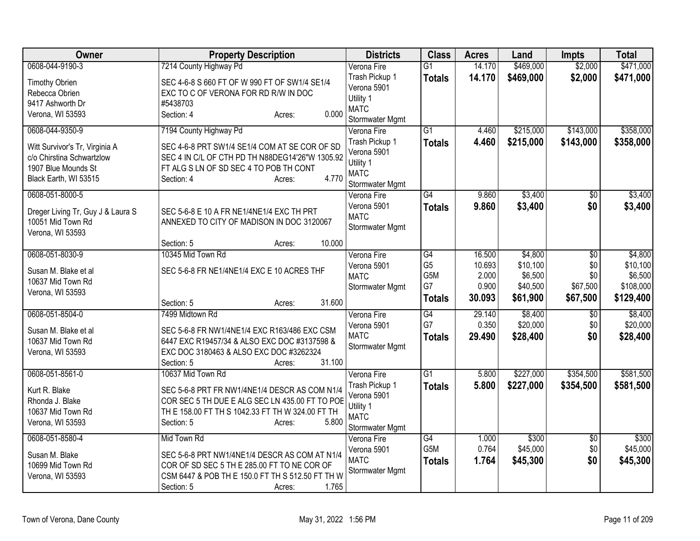| Owner                                                                                                       | <b>Property Description</b>                                                                                                                                                                      | <b>Districts</b>                                                             | <b>Class</b>                            | <b>Acres</b>                                 | Land                                                   | <b>Impts</b>                              | <b>Total</b>                                |
|-------------------------------------------------------------------------------------------------------------|--------------------------------------------------------------------------------------------------------------------------------------------------------------------------------------------------|------------------------------------------------------------------------------|-----------------------------------------|----------------------------------------------|--------------------------------------------------------|-------------------------------------------|---------------------------------------------|
| 0608-044-9190-3                                                                                             | 7214 County Highway Pd                                                                                                                                                                           | Verona Fire                                                                  | $\overline{G1}$                         | 14.170                                       | \$469,000                                              | \$2,000                                   | \$471,000                                   |
| <b>Timothy Obrien</b><br>Rebecca Obrien<br>9417 Ashworth Dr<br>Verona, WI 53593                             | SEC 4-6-8 S 660 FT OF W 990 FT OF SW1/4 SE1/4<br>EXC TO C OF VERONA FOR RD R/W IN DOC<br>#5438703<br>0.000<br>Section: 4<br>Acres:                                                               | Trash Pickup 1<br>Verona 5901<br>Utility 1<br><b>MATC</b><br>Stormwater Mgmt | <b>Totals</b>                           | 14.170                                       | \$469,000                                              | \$2,000                                   | \$471,000                                   |
| 0608-044-9350-9                                                                                             | 7194 County Highway Pd                                                                                                                                                                           | Verona Fire                                                                  | $\overline{G1}$                         | 4.460                                        | \$215,000                                              | \$143,000                                 | \$358,000                                   |
| Witt Survivor's Tr, Virginia A<br>c/o Chirstina Schwartzlow<br>1907 Blue Mounds St<br>Black Earth, WI 53515 | SEC 4-6-8 PRT SW1/4 SE1/4 COM AT SE COR OF SD<br>SEC 4 IN C/L OF CTH PD TH N88DEG14'26"W 1305.92<br>FT ALG S LN OF SD SEC 4 TO POB TH CONT<br>4.770<br>Section: 4<br>Acres:                      | Trash Pickup 1<br>Verona 5901<br>Utility 1<br><b>MATC</b><br>Stormwater Mgmt | <b>Totals</b>                           | 4.460                                        | \$215,000                                              | \$143,000                                 | \$358,000                                   |
| 0608-051-8000-5                                                                                             |                                                                                                                                                                                                  | Verona Fire                                                                  | $\overline{G4}$                         | 9.860                                        | \$3,400                                                | \$0                                       | \$3,400                                     |
| Dreger Living Tr, Guy J & Laura S<br>10051 Mid Town Rd<br>Verona, WI 53593                                  | SEC 5-6-8 E 10 A FR NE1/4NE1/4 EXC TH PRT<br>ANNEXED TO CITY OF MADISON IN DOC 3120067                                                                                                           | Verona 5901<br><b>MATC</b><br>Stormwater Mgmt                                | Totals                                  | 9.860                                        | \$3,400                                                | \$0                                       | \$3,400                                     |
|                                                                                                             | 10.000<br>Section: 5<br>Acres:                                                                                                                                                                   |                                                                              |                                         |                                              |                                                        |                                           |                                             |
| 0608-051-8030-9<br>Susan M. Blake et al<br>10637 Mid Town Rd<br>Verona, WI 53593                            | 10345 Mid Town Rd<br>SEC 5-6-8 FR NE1/4NE1/4 EXC E 10 ACRES THF                                                                                                                                  | Verona Fire<br>Verona 5901<br><b>MATC</b><br>Stormwater Mgmt                 | G4<br>G <sub>5</sub><br>G5M<br>G7       | 16.500<br>10.693<br>2.000<br>0.900<br>30.093 | \$4,800<br>\$10,100<br>\$6,500<br>\$40,500<br>\$61,900 | $\overline{30}$<br>\$0<br>\$0<br>\$67,500 | \$4,800<br>\$10,100<br>\$6,500<br>\$108,000 |
|                                                                                                             | 31.600<br>Section: 5<br>Acres:                                                                                                                                                                   |                                                                              | <b>Totals</b>                           |                                              |                                                        | \$67,500                                  | \$129,400                                   |
| 0608-051-8504-0<br>Susan M. Blake et al<br>10637 Mid Town Rd<br>Verona, WI 53593                            | 7499 Midtown Rd<br>SEC 5-6-8 FR NW1/4NE1/4 EXC R163/486 EXC CSM<br>6447 EXC R19457/34 & ALSO EXC DOC #3137598 &<br>EXC DOC 3180463 & ALSO EXC DOC #3262324<br>31.100<br>Section: 5<br>Acres:     | Verona Fire<br>Verona 5901<br><b>MATC</b><br>Stormwater Mgmt                 | $\overline{G4}$<br>G7<br><b>Totals</b>  | 29.140<br>0.350<br>29.490                    | \$8,400<br>\$20,000<br>\$28,400                        | $\overline{50}$<br>\$0<br>\$0             | \$8,400<br>\$20,000<br>\$28,400             |
| 0608-051-8561-0                                                                                             | 10637 Mid Town Rd                                                                                                                                                                                | Verona Fire                                                                  | $\overline{G1}$                         | 5.800                                        | \$227,000                                              | \$354,500                                 | \$581,500                                   |
| Kurt R. Blake<br>Rhonda J. Blake<br>10637 Mid Town Rd<br>Verona, WI 53593                                   | SEC 5-6-8 PRT FR NW1/4NE1/4 DESCR AS COM N1/4<br>COR SEC 5 TH DUE E ALG SEC LN 435.00 FT TO POE<br>TH E 158.00 FT TH S 1042.33 FT TH W 324.00 FT TH<br>Section: 5<br>5.800<br>Acres:             | Trash Pickup 1<br>Verona 5901<br>Utility 1<br><b>MATC</b><br>Stormwater Mgmt | <b>Totals</b>                           | 5.800                                        | \$227,000                                              | \$354,500                                 | \$581,500                                   |
| 0608-051-8580-4<br>Susan M. Blake<br>10699 Mid Town Rd<br>Verona, WI 53593                                  | Mid Town Rd<br>SEC 5-6-8 PRT NW1/4NE1/4 DESCR AS COM AT N1/4<br>COR OF SD SEC 5 TH E 285.00 FT TO NE COR OF<br>CSM 6447 & POB TH E 150.0 FT TH S 512.50 FT TH W<br>1.765<br>Section: 5<br>Acres: | Verona Fire<br>Verona 5901<br><b>MATC</b><br>Stormwater Mgmt                 | G4<br>G <sub>5</sub> M<br><b>Totals</b> | 1.000<br>0.764<br>1.764                      | \$300<br>\$45,000<br>\$45,300                          | $\overline{50}$<br>\$0<br>\$0             | \$300<br>\$45,000<br>\$45,300               |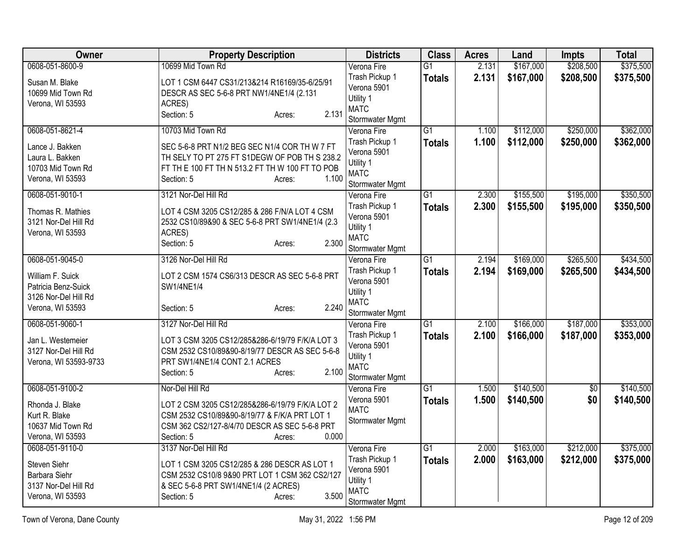| Owner                            | <b>Property Description</b>                                                                      | <b>Districts</b>              | <b>Class</b>    | <b>Acres</b> | Land      | <b>Impts</b>    | <b>Total</b> |
|----------------------------------|--------------------------------------------------------------------------------------------------|-------------------------------|-----------------|--------------|-----------|-----------------|--------------|
| 0608-051-8600-9                  | 10699 Mid Town Rd                                                                                | Verona Fire                   | $\overline{G1}$ | 2.131        | \$167,000 | \$208,500       | \$375,500    |
| Susan M. Blake                   | LOT 1 CSM 6447 CS31/213&214 R16169/35-6/25/91                                                    | Trash Pickup 1                | <b>Totals</b>   | 2.131        | \$167,000 | \$208,500       | \$375,500    |
| 10699 Mid Town Rd                | DESCR AS SEC 5-6-8 PRT NW1/4NE1/4 (2.131                                                         | Verona 5901                   |                 |              |           |                 |              |
| Verona, WI 53593                 | ACRES)                                                                                           | Utility 1<br><b>MATC</b>      |                 |              |           |                 |              |
|                                  | 2.131<br>Section: 5<br>Acres:                                                                    | Stormwater Mgmt               |                 |              |           |                 |              |
| 0608-051-8621-4                  | 10703 Mid Town Rd                                                                                | Verona Fire                   | $\overline{G1}$ | 1.100        | \$112,000 | \$250,000       | \$362,000    |
| Lance J. Bakken                  | SEC 5-6-8 PRT N1/2 BEG SEC N1/4 COR TH W 7 FT                                                    | Trash Pickup 1                | <b>Totals</b>   | 1.100        | \$112,000 | \$250,000       | \$362,000    |
| Laura L. Bakken                  | TH SELY TO PT 275 FT S1DEGW OF POB TH S 238.2                                                    | Verona 5901                   |                 |              |           |                 |              |
| 10703 Mid Town Rd                | FT TH E 100 FT TH N 513.2 FT TH W 100 FT TO POB                                                  | Utility 1                     |                 |              |           |                 |              |
| Verona, WI 53593                 | 1.100<br>Section: 5<br>Acres:                                                                    | <b>MATC</b>                   |                 |              |           |                 |              |
|                                  |                                                                                                  | Stormwater Mgmt               |                 |              |           |                 |              |
| 0608-051-9010-1                  | 3121 Nor-Del Hill Rd                                                                             | Verona Fire<br>Trash Pickup 1 | $\overline{G1}$ | 2.300        | \$155,500 | \$195,000       | \$350,500    |
| Thomas R. Mathies                | LOT 4 CSM 3205 CS12/285 & 286 F/N/A LOT 4 CSM                                                    | Verona 5901                   | <b>Totals</b>   | 2.300        | \$155,500 | \$195,000       | \$350,500    |
| 3121 Nor-Del Hill Rd             | 2532 CS10/89&90 & SEC 5-6-8 PRT SW1/4NE1/4 (2.3                                                  | Utility 1                     |                 |              |           |                 |              |
| Verona, WI 53593                 | ACRES)                                                                                           | <b>MATC</b>                   |                 |              |           |                 |              |
|                                  | 2.300<br>Section: 5<br>Acres:                                                                    | Stormwater Mgmt               |                 |              |           |                 |              |
| 0608-051-9045-0                  | 3126 Nor-Del Hill Rd                                                                             | Verona Fire                   | $\overline{G1}$ | 2.194        | \$169,000 | \$265,500       | \$434,500    |
| William F. Suick                 | LOT 2 CSM 1574 CS6/313 DESCR AS SEC 5-6-8 PRT                                                    | Trash Pickup 1                | <b>Totals</b>   | 2.194        | \$169,000 | \$265,500       | \$434,500    |
| Patricia Benz-Suick              | SW1/4NE1/4                                                                                       | Verona 5901                   |                 |              |           |                 |              |
| 3126 Nor-Del Hill Rd             |                                                                                                  | Utility 1                     |                 |              |           |                 |              |
| Verona, WI 53593                 | 2.240<br>Section: 5<br>Acres:                                                                    | <b>MATC</b>                   |                 |              |           |                 |              |
|                                  |                                                                                                  | Stormwater Mgmt               |                 |              |           |                 |              |
| 0608-051-9060-1                  | 3127 Nor-Del Hill Rd                                                                             | Verona Fire                   | $\overline{G1}$ | 2.100        | \$166,000 | \$187,000       | \$353,000    |
| Jan L. Westemeier                | LOT 3 CSM 3205 CS12/285&286-6/19/79 F/K/A LOT 3                                                  | Trash Pickup 1                | <b>Totals</b>   | 2.100        | \$166,000 | \$187,000       | \$353,000    |
| 3127 Nor-Del Hill Rd             | CSM 2532 CS10/89&90-8/19/77 DESCR AS SEC 5-6-8                                                   | Verona 5901<br>Utility 1      |                 |              |           |                 |              |
| Verona, WI 53593-9733            | PRT SW1/4NE1/4 CONT 2.1 ACRES                                                                    | <b>MATC</b>                   |                 |              |           |                 |              |
|                                  | 2.100<br>Section: 5<br>Acres:                                                                    | Stormwater Mgmt               |                 |              |           |                 |              |
| 0608-051-9100-2                  | Nor-Del Hill Rd                                                                                  | Verona Fire                   | $\overline{G1}$ | 1.500        | \$140,500 | $\overline{50}$ | \$140,500    |
|                                  |                                                                                                  | Verona 5901                   | <b>Totals</b>   | 1.500        | \$140,500 | \$0             | \$140,500    |
| Rhonda J. Blake<br>Kurt R. Blake | LOT 2 CSM 3205 CS12/285&286-6/19/79 F/K/A LOT 2<br>CSM 2532 CS10/89&90-8/19/77 & F/K/A PRT LOT 1 | <b>MATC</b>                   |                 |              |           |                 |              |
| 10637 Mid Town Rd                | CSM 362 CS2/127-8/4/70 DESCR AS SEC 5-6-8 PRT                                                    | Stormwater Mgmt               |                 |              |           |                 |              |
| Verona, WI 53593                 | 0.000<br>Section: 5<br>Acres:                                                                    |                               |                 |              |           |                 |              |
| 0608-051-9110-0                  | 3137 Nor-Del Hill Rd                                                                             | Verona Fire                   | $\overline{G1}$ | 2.000        | \$163,000 | \$212,000       | \$375,000    |
|                                  |                                                                                                  | Trash Pickup 1                | <b>Totals</b>   | 2.000        | \$163,000 | \$212,000       | \$375,000    |
| Steven Siehr                     | LOT 1 CSM 3205 CS12/285 & 286 DESCR AS LOT 1                                                     | Verona 5901                   |                 |              |           |                 |              |
| Barbara Siehr                    | CSM 2532 CS10/8 9&90 PRT LOT 1 CSM 362 CS2/127                                                   | Utility 1                     |                 |              |           |                 |              |
| 3137 Nor-Del Hill Rd             | & SEC 5-6-8 PRT SW1/4NE1/4 (2 ACRES)<br>3.500                                                    | <b>MATC</b>                   |                 |              |           |                 |              |
| Verona, WI 53593                 | Section: 5<br>Acres:                                                                             | Stormwater Mgmt               |                 |              |           |                 |              |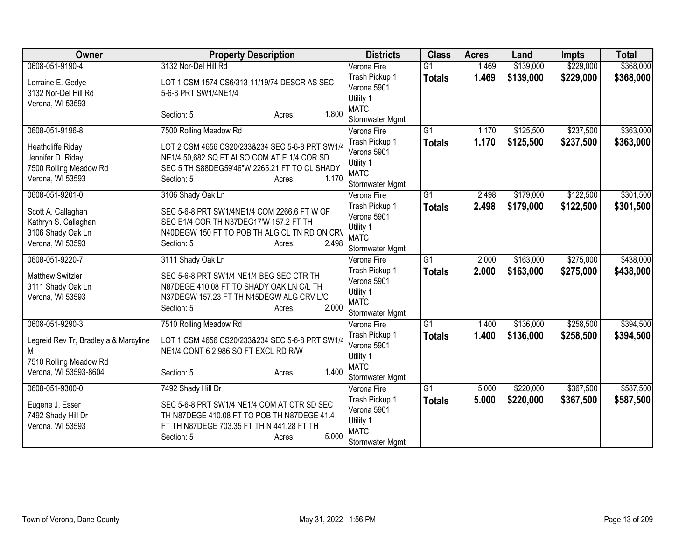| Owner                                                                                | <b>Property Description</b>                                                                                                                                                      | <b>Districts</b>                                                             | <b>Class</b>    | <b>Acres</b> | Land      | <b>Impts</b> | <b>Total</b> |
|--------------------------------------------------------------------------------------|----------------------------------------------------------------------------------------------------------------------------------------------------------------------------------|------------------------------------------------------------------------------|-----------------|--------------|-----------|--------------|--------------|
| 0608-051-9190-4                                                                      | 3132 Nor-Del Hill Rd                                                                                                                                                             | Verona Fire                                                                  | $\overline{G1}$ | 1.469        | \$139,000 | \$229,000    | \$368,000    |
| Lorraine E. Gedye<br>3132 Nor-Del Hill Rd<br>Verona, WI 53593                        | LOT 1 CSM 1574 CS6/313-11/19/74 DESCR AS SEC<br>5-6-8 PRT SW1/4NE1/4                                                                                                             | Trash Pickup 1<br>Verona 5901<br>Utility 1                                   | <b>Totals</b>   | 1.469        | \$139,000 | \$229,000    | \$368,000    |
|                                                                                      | 1.800<br>Section: 5<br>Acres:                                                                                                                                                    | <b>MATC</b><br>Stormwater Mgmt                                               |                 |              |           |              |              |
| 0608-051-9196-8                                                                      | 7500 Rolling Meadow Rd                                                                                                                                                           | Verona Fire                                                                  | $\overline{G1}$ | 1.170        | \$125,500 | \$237,500    | \$363,000    |
| Heathcliffe Riday<br>Jennifer D. Riday<br>7500 Rolling Meadow Rd<br>Verona, WI 53593 | LOT 2 CSM 4656 CS20/233&234 SEC 5-6-8 PRT SW1/4<br>NE1/4 50,682 SQ FT ALSO COM AT E 1/4 COR SD<br>SEC 5 TH S88DEG59'46"W 2265.21 FT TO CL SHADY<br>1.170<br>Section: 5<br>Acres: | Trash Pickup 1<br>Verona 5901<br>Utility 1<br><b>MATC</b><br>Stormwater Mgmt | <b>Totals</b>   | 1.170        | \$125,500 | \$237,500    | \$363,000    |
| 0608-051-9201-0                                                                      | 3106 Shady Oak Ln                                                                                                                                                                | Verona Fire                                                                  | $\overline{G1}$ | 2.498        | \$179,000 | \$122,500    | \$301,500    |
| Scott A. Callaghan<br>Kathryn S. Callaghan<br>3106 Shady Oak Ln<br>Verona, WI 53593  | SEC 5-6-8 PRT SW1/4NE1/4 COM 2266.6 FT W OF<br>SEC E1/4 COR TH N37DEG17'W 157.2 FT TH<br>N40DEGW 150 FT TO POB TH ALG CL TN RD ON CRV<br>2.498<br>Section: 5<br>Acres:           | Trash Pickup 1<br>Verona 5901<br>Utility 1<br><b>MATC</b><br>Stormwater Mgmt | <b>Totals</b>   | 2.498        | \$179,000 | \$122,500    | \$301,500    |
| 0608-051-9220-7                                                                      | 3111 Shady Oak Ln                                                                                                                                                                | Verona Fire                                                                  | $\overline{G1}$ | 2.000        | \$163,000 | \$275,000    | \$438,000    |
| <b>Matthew Switzler</b><br>3111 Shady Oak Ln<br>Verona, WI 53593                     | SEC 5-6-8 PRT SW1/4 NE1/4 BEG SEC CTR TH<br>N87DEGE 410.08 FT TO SHADY OAK LN C/L TH<br>N37DEGW 157.23 FT TH N45DEGW ALG CRV L/C<br>2.000<br>Section: 5<br>Acres:                | Trash Pickup 1<br>Verona 5901<br>Utility 1<br><b>MATC</b><br>Stormwater Mgmt | <b>Totals</b>   | 2.000        | \$163,000 | \$275,000    | \$438,000    |
| 0608-051-9290-3                                                                      | 7510 Rolling Meadow Rd                                                                                                                                                           | Verona Fire                                                                  | $\overline{G1}$ | 1.400        | \$136,000 | \$258,500    | \$394,500    |
| Legreid Rev Tr, Bradley a & Marcyline<br>M<br>7510 Rolling Meadow Rd                 | LOT 1 CSM 4656 CS20/233&234 SEC 5-6-8 PRT SW1/4<br>NE1/4 CONT 6 2,986 SQ FT EXCL RD R/W                                                                                          | Trash Pickup 1<br>Verona 5901<br>Utility 1                                   | <b>Totals</b>   | 1.400        | \$136,000 | \$258,500    | \$394,500    |
| Verona, WI 53593-8604                                                                | 1.400<br>Section: 5<br>Acres:                                                                                                                                                    | <b>MATC</b><br>Stormwater Mgmt                                               |                 |              |           |              |              |
| 0608-051-9300-0                                                                      | 7492 Shady Hill Dr                                                                                                                                                               | Verona Fire                                                                  | $\overline{G1}$ | 5.000        | \$220,000 | \$367,500    | \$587,500    |
| Eugene J. Esser<br>7492 Shady Hill Dr<br>Verona, WI 53593                            | SEC 5-6-8 PRT SW1/4 NE1/4 COM AT CTR SD SEC<br>TH N87DEGE 410.08 FT TO POB TH N87DEGE 41.4<br>FT TH N87DEGE 703.35 FT TH N 441.28 FT TH<br>5.000<br>Section: 5<br>Acres:         | Trash Pickup 1<br>Verona 5901<br>Utility 1<br><b>MATC</b><br>Stormwater Mgmt | <b>Totals</b>   | 5.000        | \$220,000 | \$367,500    | \$587,500    |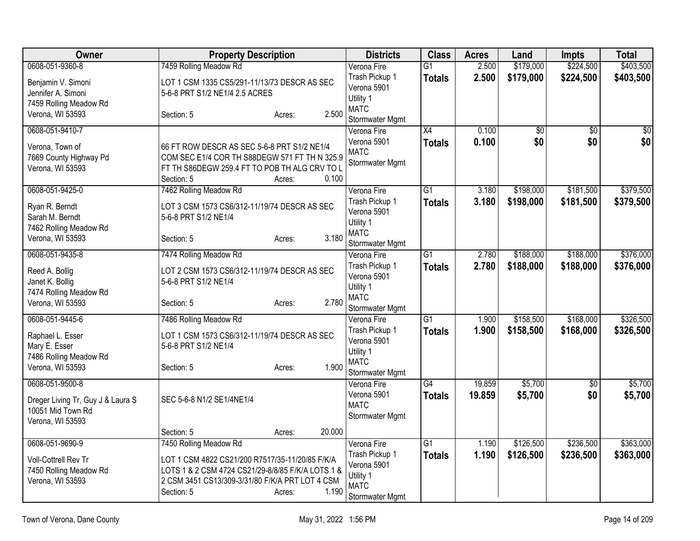| Owner                                      | <b>Property Description</b>                                                                    |                  | <b>Districts</b>           | <b>Class</b>    | <b>Acres</b> | Land            | Impts           | <b>Total</b>    |
|--------------------------------------------|------------------------------------------------------------------------------------------------|------------------|----------------------------|-----------------|--------------|-----------------|-----------------|-----------------|
| 0608-051-9360-8                            | 7459 Rolling Meadow Rd                                                                         |                  | Verona Fire                | $\overline{G1}$ | 2.500        | \$179,000       | \$224,500       | \$403,500       |
| Benjamin V. Simoni                         | LOT 1 CSM 1335 CS5/291-11/13/73 DESCR AS SEC                                                   |                  | Trash Pickup 1             | <b>Totals</b>   | 2.500        | \$179,000       | \$224,500       | \$403,500       |
| Jennifer A. Simoni                         | 5-6-8 PRT S1/2 NE1/4 2.5 ACRES                                                                 |                  | Verona 5901                |                 |              |                 |                 |                 |
| 7459 Rolling Meadow Rd                     |                                                                                                |                  | Utility 1<br><b>MATC</b>   |                 |              |                 |                 |                 |
| Verona, WI 53593                           | Section: 5                                                                                     | 2.500<br>Acres:  | Stormwater Mgmt            |                 |              |                 |                 |                 |
| 0608-051-9410-7                            |                                                                                                |                  | Verona Fire                | $\overline{X4}$ | 0.100        | $\overline{50}$ | $\overline{50}$ | $\overline{50}$ |
|                                            |                                                                                                |                  | Verona 5901                | <b>Totals</b>   | 0.100        | \$0             | \$0             | \$0             |
| Verona, Town of                            | 66 FT ROW DESCR AS SEC 5-6-8 PRT S1/2 NE1/4                                                    |                  | <b>MATC</b>                |                 |              |                 |                 |                 |
| 7669 County Highway Pd<br>Verona, WI 53593 | COM SEC E1/4 COR TH S88DEGW 571 FT TH N 325.9<br>FT TH S86DEGW 259.4 FT TO POB TH ALG CRV TO L |                  | Stormwater Mgmt            |                 |              |                 |                 |                 |
|                                            | Section: 5                                                                                     | 0.100<br>Acres:  |                            |                 |              |                 |                 |                 |
| 0608-051-9425-0                            | 7462 Rolling Meadow Rd                                                                         |                  | Verona Fire                | $\overline{G1}$ | 3.180        | \$198,000       | \$181,500       | \$379,500       |
|                                            |                                                                                                |                  | Trash Pickup 1             | <b>Totals</b>   | 3.180        | \$198,000       | \$181,500       | \$379,500       |
| Ryan R. Berndt                             | LOT 3 CSM 1573 CS6/312-11/19/74 DESCR AS SEC                                                   |                  | Verona 5901                |                 |              |                 |                 |                 |
| Sarah M. Berndt<br>7462 Rolling Meadow Rd  | 5-6-8 PRT S1/2 NE1/4                                                                           |                  | Utility 1                  |                 |              |                 |                 |                 |
| Verona, WI 53593                           | Section: 5                                                                                     | 3.180<br>Acres:  | <b>MATC</b>                |                 |              |                 |                 |                 |
|                                            |                                                                                                |                  | Stormwater Mgmt            |                 |              |                 |                 |                 |
| 0608-051-9435-8                            | 7474 Rolling Meadow Rd                                                                         |                  | Verona Fire                | $\overline{G1}$ | 2.780        | \$188,000       | \$188,000       | \$376,000       |
| Reed A. Bollig                             | LOT 2 CSM 1573 CS6/312-11/19/74 DESCR AS SEC                                                   |                  | Trash Pickup 1             | <b>Totals</b>   | 2.780        | \$188,000       | \$188,000       | \$376,000       |
| Janet K. Bollig                            | 5-6-8 PRT S1/2 NE1/4                                                                           |                  | Verona 5901<br>Utility 1   |                 |              |                 |                 |                 |
| 7474 Rolling Meadow Rd                     |                                                                                                |                  | <b>MATC</b>                |                 |              |                 |                 |                 |
| Verona, WI 53593                           | Section: 5                                                                                     | 2.780<br>Acres:  | Stormwater Mgmt            |                 |              |                 |                 |                 |
| 0608-051-9445-6                            | 7486 Rolling Meadow Rd                                                                         |                  | Verona Fire                | $\overline{G1}$ | 1.900        | \$158,500       | \$168,000       | \$326,500       |
|                                            |                                                                                                |                  | Trash Pickup 1             | <b>Totals</b>   | 1.900        | \$158,500       | \$168,000       | \$326,500       |
| Raphael L. Esser                           | LOT 1 CSM 1573 CS6/312-11/19/74 DESCR AS SEC<br>5-6-8 PRT S1/2 NE1/4                           |                  | Verona 5901                |                 |              |                 |                 |                 |
| Mary E. Esser<br>7486 Rolling Meadow Rd    |                                                                                                |                  | Utility 1                  |                 |              |                 |                 |                 |
| Verona, WI 53593                           | Section: 5                                                                                     | 1.900<br>Acres:  | <b>MATC</b>                |                 |              |                 |                 |                 |
|                                            |                                                                                                |                  | Stormwater Mgmt            |                 |              |                 |                 |                 |
| 0608-051-9500-8                            |                                                                                                |                  | Verona Fire                | G4              | 19.859       | \$5,700         | $\overline{50}$ | \$5,700         |
| Dreger Living Tr, Guy J & Laura S          | SEC 5-6-8 N1/2 SE1/4NE1/4                                                                      |                  | Verona 5901<br><b>MATC</b> | Totals          | 19.859       | \$5,700         | \$0             | \$5,700         |
| 10051 Mid Town Rd                          |                                                                                                |                  | Stormwater Mgmt            |                 |              |                 |                 |                 |
| Verona, WI 53593                           |                                                                                                |                  |                            |                 |              |                 |                 |                 |
|                                            | Section: 5                                                                                     | 20.000<br>Acres: |                            |                 |              |                 |                 |                 |
| 0608-051-9690-9                            | 7450 Rolling Meadow Rd                                                                         |                  | Verona Fire                | G1              | 1.190        | \$126,500       | \$236,500       | \$363,000       |
| Voll-Cottrell Rev Tr                       | LOT 1 CSM 4822 CS21/200 R7517/35-11/20/85 F/K/A                                                |                  | Trash Pickup 1             | <b>Totals</b>   | 1.190        | \$126,500       | \$236,500       | \$363,000       |
| 7450 Rolling Meadow Rd                     | LOTS 1 & 2 CSM 4724 CS21/29-8/8/85 F/K/A LOTS 1 &                                              |                  | Verona 5901<br>Utility 1   |                 |              |                 |                 |                 |
| Verona, WI 53593                           | 2 CSM 3451 CS13/309-3/31/80 F/K/A PRT LOT 4 CSM                                                |                  | <b>MATC</b>                |                 |              |                 |                 |                 |
|                                            | Section: 5                                                                                     | 1.190<br>Acres:  | Stormwater Mgmt            |                 |              |                 |                 |                 |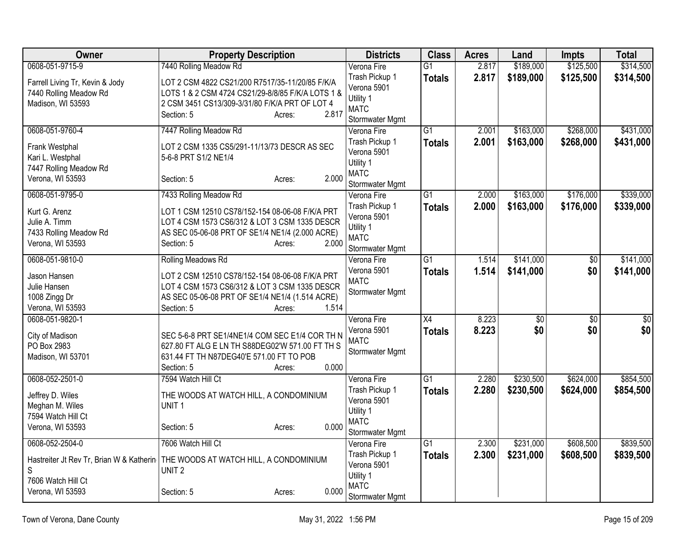| Owner                                      | <b>Property Description</b>                                                       | <b>Districts</b>               | <b>Class</b>    | <b>Acres</b> | Land            | <b>Impts</b>    | <b>Total</b>    |
|--------------------------------------------|-----------------------------------------------------------------------------------|--------------------------------|-----------------|--------------|-----------------|-----------------|-----------------|
| 0608-051-9715-9                            | 7440 Rolling Meadow Rd                                                            | Verona Fire                    | $\overline{G1}$ | 2.817        | \$189,000       | \$125,500       | \$314,500       |
| Farrell Living Tr, Kevin & Jody            | LOT 2 CSM 4822 CS21/200 R7517/35-11/20/85 F/K/A                                   | Trash Pickup 1                 | <b>Totals</b>   | 2.817        | \$189,000       | \$125,500       | \$314,500       |
| 7440 Rolling Meadow Rd                     | LOTS 1 & 2 CSM 4724 CS21/29-8/8/85 F/K/A LOTS 1 &                                 | Verona 5901                    |                 |              |                 |                 |                 |
| Madison, WI 53593                          | 2 CSM 3451 CS13/309-3/31/80 F/K/A PRT OF LOT 4                                    | Utility 1<br><b>MATC</b>       |                 |              |                 |                 |                 |
|                                            | 2.817<br>Section: 5<br>Acres:                                                     | Stormwater Mgmt                |                 |              |                 |                 |                 |
| 0608-051-9760-4                            | 7447 Rolling Meadow Rd                                                            | Verona Fire                    | $\overline{G1}$ | 2.001        | \$163,000       | \$268,000       | \$431,000       |
|                                            |                                                                                   | Trash Pickup 1                 | <b>Totals</b>   | 2.001        | \$163,000       | \$268,000       | \$431,000       |
| Frank Westphal                             | LOT 2 CSM 1335 CS5/291-11/13/73 DESCR AS SEC                                      | Verona 5901                    |                 |              |                 |                 |                 |
| Kari L. Westphal                           | 5-6-8 PRT S1/2 NE1/4                                                              | Utility 1                      |                 |              |                 |                 |                 |
| 7447 Rolling Meadow Rd<br>Verona, WI 53593 | 2.000<br>Section: 5<br>Acres:                                                     | <b>MATC</b>                    |                 |              |                 |                 |                 |
|                                            |                                                                                   | Stormwater Mgmt                |                 |              |                 |                 |                 |
| 0608-051-9795-0                            | 7433 Rolling Meadow Rd                                                            | Verona Fire                    | $\overline{G1}$ | 2.000        | \$163,000       | \$176,000       | \$339,000       |
| Kurt G. Arenz                              | LOT 1 CSM 12510 CS78/152-154 08-06-08 F/K/A PRT                                   | Trash Pickup 1                 | <b>Totals</b>   | 2.000        | \$163,000       | \$176,000       | \$339,000       |
| Julie A. Timm                              | LOT 4 CSM 1573 CS6/312 & LOT 3 CSM 1335 DESCR                                     | Verona 5901                    |                 |              |                 |                 |                 |
| 7433 Rolling Meadow Rd                     | AS SEC 05-06-08 PRT OF SE1/4 NE1/4 (2.000 ACRE)                                   | Utility 1                      |                 |              |                 |                 |                 |
| Verona, WI 53593                           | 2.000<br>Section: 5<br>Acres:                                                     | <b>MATC</b>                    |                 |              |                 |                 |                 |
| 0608-051-9810-0                            | Rolling Meadows Rd                                                                | Stormwater Mgmt<br>Verona Fire | $\overline{G1}$ | 1.514        | \$141,000       | $\overline{60}$ | \$141,000       |
|                                            |                                                                                   | Verona 5901                    | <b>Totals</b>   | 1.514        | \$141,000       | \$0             | \$141,000       |
| Jason Hansen                               | LOT 2 CSM 12510 CS78/152-154 08-06-08 F/K/A PRT                                   | <b>MATC</b>                    |                 |              |                 |                 |                 |
| Julie Hansen                               | LOT 4 CSM 1573 CS6/312 & LOT 3 CSM 1335 DESCR                                     | Stormwater Mgmt                |                 |              |                 |                 |                 |
| 1008 Zingg Dr                              | AS SEC 05-06-08 PRT OF SE1/4 NE1/4 (1.514 ACRE)                                   |                                |                 |              |                 |                 |                 |
| Verona, WI 53593                           | 1.514<br>Section: 5<br>Acres:                                                     |                                |                 |              |                 |                 |                 |
| 0608-051-9820-1                            |                                                                                   | Verona Fire                    | $\overline{X4}$ | 8.223        | $\overline{50}$ | $\overline{50}$ | $\overline{50}$ |
| City of Madison                            | SEC 5-6-8 PRT SE1/4NE1/4 COM SEC E1/4 COR TH N                                    | Verona 5901<br><b>MATC</b>     | <b>Totals</b>   | 8.223        | \$0             | \$0             | \$0             |
| PO Box 2983                                | 627.80 FT ALG E LN TH S88DEG02'W 571.00 FT TH S                                   | Stormwater Mgmt                |                 |              |                 |                 |                 |
| Madison, WI 53701                          | 631.44 FT TH N87DEG40'E 571.00 FT TO POB                                          |                                |                 |              |                 |                 |                 |
|                                            | 0.000<br>Section: 5<br>Acres:                                                     |                                |                 |              |                 |                 |                 |
| 0608-052-2501-0                            | 7594 Watch Hill Ct                                                                | Verona Fire                    | $\overline{G1}$ | 2.280        | \$230,500       | \$624,000       | \$854,500       |
| Jeffrey D. Wiles                           | THE WOODS AT WATCH HILL, A CONDOMINIUM                                            | Trash Pickup 1                 | <b>Totals</b>   | 2.280        | \$230,500       | \$624,000       | \$854,500       |
| Meghan M. Wiles                            | UNIT <sub>1</sub>                                                                 | Verona 5901                    |                 |              |                 |                 |                 |
| 7594 Watch Hill Ct                         |                                                                                   | Utility 1<br><b>MATC</b>       |                 |              |                 |                 |                 |
| Verona, WI 53593                           | 0.000<br>Section: 5<br>Acres:                                                     | Stormwater Mgmt                |                 |              |                 |                 |                 |
| 0608-052-2504-0                            | 7606 Watch Hill Ct                                                                | Verona Fire                    | $\overline{G1}$ | 2.300        | \$231,000       | \$608,500       | \$839,500       |
|                                            |                                                                                   | Trash Pickup 1                 | <b>Totals</b>   | 2.300        | \$231,000       | \$608,500       | \$839,500       |
|                                            | Hastreiter Jt Rev Tr, Brian W & Katherin   THE WOODS AT WATCH HILL, A CONDOMINIUM | Verona 5901                    |                 |              |                 |                 |                 |
| S                                          | UNIT <sub>2</sub>                                                                 | Utility 1                      |                 |              |                 |                 |                 |
| 7606 Watch Hill Ct                         |                                                                                   | <b>MATC</b>                    |                 |              |                 |                 |                 |
| Verona, WI 53593                           | 0.000<br>Section: 5<br>Acres:                                                     | Stormwater Mgmt                |                 |              |                 |                 |                 |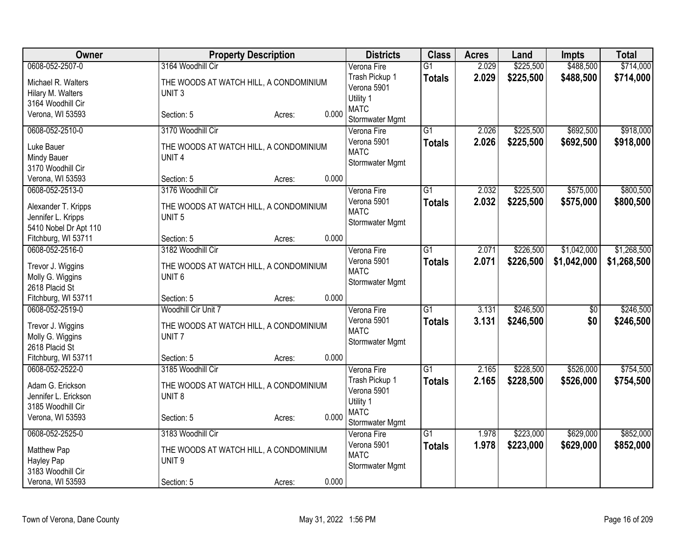| Owner                                                              | <b>Property Description</b>                                 | <b>Districts</b>                              | <b>Class</b>    | <b>Acres</b> | Land      | <b>Impts</b>    | <b>Total</b> |
|--------------------------------------------------------------------|-------------------------------------------------------------|-----------------------------------------------|-----------------|--------------|-----------|-----------------|--------------|
| 0608-052-2507-0                                                    | 3164 Woodhill Cir                                           | Verona Fire                                   | $\overline{G1}$ | 2.029        | \$225,500 | \$488,500       | \$714,000    |
| Michael R. Walters<br>Hilary M. Walters                            | THE WOODS AT WATCH HILL, A CONDOMINIUM<br>UNIT <sub>3</sub> | Trash Pickup 1<br>Verona 5901                 | <b>Totals</b>   | 2.029        | \$225,500 | \$488,500       | \$714,000    |
| 3164 Woodhill Cir                                                  |                                                             | Utility 1                                     |                 |              |           |                 |              |
| Verona, WI 53593                                                   | 0.000<br>Section: 5<br>Acres:                               | <b>MATC</b><br>Stormwater Mgmt                |                 |              |           |                 |              |
| 0608-052-2510-0                                                    | 3170 Woodhill Cir                                           | Verona Fire                                   | $\overline{G1}$ | 2.026        | \$225,500 | \$692,500       | \$918,000    |
| Luke Bauer<br>Mindy Bauer<br>3170 Woodhill Cir                     | THE WOODS AT WATCH HILL, A CONDOMINIUM<br>UNIT <sub>4</sub> | Verona 5901<br><b>MATC</b><br>Stormwater Mgmt | <b>Totals</b>   | 2.026        | \$225,500 | \$692,500       | \$918,000    |
| Verona, WI 53593                                                   | 0.000<br>Section: 5<br>Acres:                               |                                               |                 |              |           |                 |              |
| 0608-052-2513-0                                                    | 3176 Woodhill Cir                                           | Verona Fire                                   | $\overline{G1}$ | 2.032        | \$225,500 | \$575,000       | \$800,500    |
| Alexander T. Kripps<br>Jennifer L. Kripps<br>5410 Nobel Dr Apt 110 | THE WOODS AT WATCH HILL, A CONDOMINIUM<br>UNIT <sub>5</sub> | Verona 5901<br><b>MATC</b><br>Stormwater Mgmt | <b>Totals</b>   | 2.032        | \$225,500 | \$575,000       | \$800,500    |
| Fitchburg, WI 53711                                                | 0.000<br>Section: 5<br>Acres:                               |                                               |                 |              |           |                 |              |
| 0608-052-2516-0                                                    | 3182 Woodhill Cir                                           | Verona Fire                                   | $\overline{G1}$ | 2.071        | \$226,500 | \$1,042,000     | \$1,268,500  |
| Trevor J. Wiggins<br>Molly G. Wiggins                              | THE WOODS AT WATCH HILL, A CONDOMINIUM<br>UNIT <sub>6</sub> | Verona 5901<br><b>MATC</b><br>Stormwater Mgmt | <b>Totals</b>   | 2.071        | \$226,500 | \$1,042,000     | \$1,268,500  |
| 2618 Placid St<br>Fitchburg, WI 53711                              | 0.000<br>Section: 5<br>Acres:                               |                                               |                 |              |           |                 |              |
| 0608-052-2519-0                                                    | Woodhill Cir Unit 7                                         | Verona Fire                                   | $\overline{G1}$ | 3.131        | \$246,500 | $\overline{50}$ | \$246,500    |
| Trevor J. Wiggins<br>Molly G. Wiggins<br>2618 Placid St            | THE WOODS AT WATCH HILL, A CONDOMINIUM<br>UNIT <sub>7</sub> | Verona 5901<br><b>MATC</b><br>Stormwater Mgmt | <b>Totals</b>   | 3.131        | \$246,500 | \$0             | \$246,500    |
| Fitchburg, WI 53711                                                | 0.000<br>Section: 5<br>Acres:                               |                                               |                 |              |           |                 |              |
| 0608-052-2522-0                                                    | 3185 Woodhill Cir                                           | Verona Fire                                   | $\overline{G1}$ | 2.165        | \$228,500 | \$526,000       | \$754,500    |
| Adam G. Erickson<br>Jennifer L. Erickson                           | THE WOODS AT WATCH HILL, A CONDOMINIUM<br>UNIT <sub>8</sub> | Trash Pickup 1<br>Verona 5901<br>Utility 1    | <b>Totals</b>   | 2.165        | \$228,500 | \$526,000       | \$754,500    |
| 3185 Woodhill Cir<br>Verona, WI 53593                              | 0.000<br>Section: 5<br>Acres:                               | <b>MATC</b><br>Stormwater Mgmt                |                 |              |           |                 |              |
| 0608-052-2525-0                                                    | 3183 Woodhill Cir                                           | Verona Fire                                   | $\overline{G1}$ | 1.978        | \$223,000 | \$629,000       | \$852,000    |
| Matthew Pap<br>Hayley Pap<br>3183 Woodhill Cir                     | THE WOODS AT WATCH HILL, A CONDOMINIUM<br>UNIT <sub>9</sub> | Verona 5901<br><b>MATC</b><br>Stormwater Mgmt | <b>Totals</b>   | 1.978        | \$223,000 | \$629,000       | \$852,000    |
| Verona, WI 53593                                                   | 0.000<br>Section: 5<br>Acres:                               |                                               |                 |              |           |                 |              |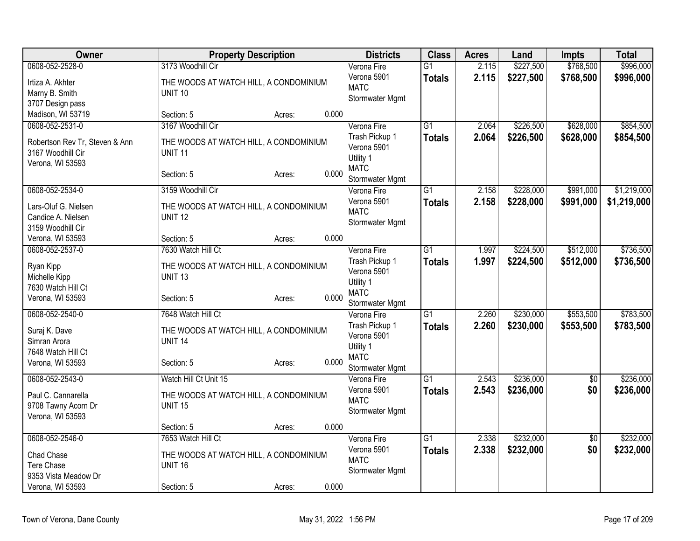| \$227,500<br>\$768,500<br>\$996,000<br>0608-052-2528-0<br>3173 Woodhill Cir<br>2.115<br>Verona Fire<br>$\overline{G1}$<br>Verona 5901<br>2.115<br>\$227,500<br>\$768,500<br>\$996,000<br><b>Totals</b><br>THE WOODS AT WATCH HILL, A CONDOMINIUM<br>Irtiza A. Akhter<br><b>MATC</b><br>Marny B. Smith<br><b>UNIT 10</b><br>Stormwater Mgmt<br>3707 Design pass<br>Madison, WI 53719<br>0.000<br>Section: 5<br>Acres:<br>\$854,500<br>0608-052-2531-0<br>3167 Woodhill Cir<br>$\overline{G1}$<br>2.064<br>\$226,500<br>\$628,000<br>Verona Fire<br>Trash Pickup 1<br>2.064<br>\$226,500<br>\$628,000<br>\$854,500<br><b>Totals</b><br>Robertson Rev Tr, Steven & Ann<br>THE WOODS AT WATCH HILL, A CONDOMINIUM<br>Verona 5901<br>3167 Woodhill Cir<br><b>UNIT 11</b><br>Utility 1<br>Verona, WI 53593<br><b>MATC</b><br>0.000<br>Section: 5<br>Acres:<br>Stormwater Mgmt<br>0608-052-2534-0<br>$\overline{G1}$<br>\$228,000<br>\$991,000<br>\$1,219,000<br>3159 Woodhill Cir<br>2.158<br>Verona Fire<br>Verona 5901<br>2.158<br>\$228,000<br>\$991,000<br>\$1,219,000<br><b>Totals</b><br>Lars-Oluf G. Nielsen<br>THE WOODS AT WATCH HILL, A CONDOMINIUM<br><b>MATC</b><br><b>UNIT 12</b><br>Candice A. Nielsen<br>Stormwater Mgmt<br>3159 Woodhill Cir<br>Verona, WI 53593<br>0.000<br>Section: 5<br>Acres:<br>\$736,500<br>0608-052-2537-0<br>7630 Watch Hill Ct<br>Verona Fire<br>$\overline{G1}$<br>\$224,500<br>\$512,000<br>1.997<br>1.997<br>\$224,500<br>\$512,000<br>Trash Pickup 1<br>\$736,500<br><b>Totals</b><br>Ryan Kipp<br>THE WOODS AT WATCH HILL, A CONDOMINIUM<br>Verona 5901<br>Michelle Kipp<br><b>UNIT 13</b><br>Utility 1<br>7630 Watch Hill Ct<br><b>MATC</b><br>0.000<br>Verona, WI 53593<br>Section: 5<br>Acres:<br>Stormwater Mgmt<br>7648 Watch Hill Ct<br>$\overline{G1}$<br>\$230,000<br>\$553,500<br>0608-052-2540-0<br>2.260<br>Verona Fire<br>2.260<br>Trash Pickup 1<br>\$230,000<br>\$553,500<br>\$783,500<br><b>Totals</b><br>Suraj K. Dave<br>THE WOODS AT WATCH HILL, A CONDOMINIUM<br>Verona 5901<br>Simran Arora<br>UNIT <sub>14</sub><br>Utility 1<br>7648 Watch Hill Ct<br><b>MATC</b><br>0.000<br>Verona, WI 53593<br>Section: 5<br>Acres:<br>Stormwater Mgmt<br>$\overline{G1}$<br>\$236,000<br>0608-052-2543-0<br>Watch Hill Ct Unit 15<br>2.543<br>$\overline{50}$<br>Verona Fire<br>Verona 5901<br>2.543<br>\$236,000<br>\$0<br>\$236,000<br><b>Totals</b><br>Paul C. Cannarella<br>THE WOODS AT WATCH HILL, A CONDOMINIUM<br><b>MATC</b><br>9708 Tawny Acorn Dr<br><b>UNIT 15</b> | Owner | <b>Property Description</b> | <b>Districts</b> | <b>Class</b> | <b>Acres</b> | Land | Impts | <b>Total</b> |
|----------------------------------------------------------------------------------------------------------------------------------------------------------------------------------------------------------------------------------------------------------------------------------------------------------------------------------------------------------------------------------------------------------------------------------------------------------------------------------------------------------------------------------------------------------------------------------------------------------------------------------------------------------------------------------------------------------------------------------------------------------------------------------------------------------------------------------------------------------------------------------------------------------------------------------------------------------------------------------------------------------------------------------------------------------------------------------------------------------------------------------------------------------------------------------------------------------------------------------------------------------------------------------------------------------------------------------------------------------------------------------------------------------------------------------------------------------------------------------------------------------------------------------------------------------------------------------------------------------------------------------------------------------------------------------------------------------------------------------------------------------------------------------------------------------------------------------------------------------------------------------------------------------------------------------------------------------------------------------------------------------------------------------------------------------------------------------------------------------------------------------------------------------------------------------------------------------------------------------------------------------------------------------------------------------------------------------------------------------------------------------------------------------------------------------------------------------------------------------------------------------------------------------|-------|-----------------------------|------------------|--------------|--------------|------|-------|--------------|
|                                                                                                                                                                                                                                                                                                                                                                                                                                                                                                                                                                                                                                                                                                                                                                                                                                                                                                                                                                                                                                                                                                                                                                                                                                                                                                                                                                                                                                                                                                                                                                                                                                                                                                                                                                                                                                                                                                                                                                                                                                                                                                                                                                                                                                                                                                                                                                                                                                                                                                                                  |       |                             |                  |              |              |      |       |              |
|                                                                                                                                                                                                                                                                                                                                                                                                                                                                                                                                                                                                                                                                                                                                                                                                                                                                                                                                                                                                                                                                                                                                                                                                                                                                                                                                                                                                                                                                                                                                                                                                                                                                                                                                                                                                                                                                                                                                                                                                                                                                                                                                                                                                                                                                                                                                                                                                                                                                                                                                  |       |                             |                  |              |              |      |       |              |
|                                                                                                                                                                                                                                                                                                                                                                                                                                                                                                                                                                                                                                                                                                                                                                                                                                                                                                                                                                                                                                                                                                                                                                                                                                                                                                                                                                                                                                                                                                                                                                                                                                                                                                                                                                                                                                                                                                                                                                                                                                                                                                                                                                                                                                                                                                                                                                                                                                                                                                                                  |       |                             |                  |              |              |      |       |              |
|                                                                                                                                                                                                                                                                                                                                                                                                                                                                                                                                                                                                                                                                                                                                                                                                                                                                                                                                                                                                                                                                                                                                                                                                                                                                                                                                                                                                                                                                                                                                                                                                                                                                                                                                                                                                                                                                                                                                                                                                                                                                                                                                                                                                                                                                                                                                                                                                                                                                                                                                  |       |                             |                  |              |              |      |       |              |
|                                                                                                                                                                                                                                                                                                                                                                                                                                                                                                                                                                                                                                                                                                                                                                                                                                                                                                                                                                                                                                                                                                                                                                                                                                                                                                                                                                                                                                                                                                                                                                                                                                                                                                                                                                                                                                                                                                                                                                                                                                                                                                                                                                                                                                                                                                                                                                                                                                                                                                                                  |       |                             |                  |              |              |      |       |              |
|                                                                                                                                                                                                                                                                                                                                                                                                                                                                                                                                                                                                                                                                                                                                                                                                                                                                                                                                                                                                                                                                                                                                                                                                                                                                                                                                                                                                                                                                                                                                                                                                                                                                                                                                                                                                                                                                                                                                                                                                                                                                                                                                                                                                                                                                                                                                                                                                                                                                                                                                  |       |                             |                  |              |              |      |       |              |
|                                                                                                                                                                                                                                                                                                                                                                                                                                                                                                                                                                                                                                                                                                                                                                                                                                                                                                                                                                                                                                                                                                                                                                                                                                                                                                                                                                                                                                                                                                                                                                                                                                                                                                                                                                                                                                                                                                                                                                                                                                                                                                                                                                                                                                                                                                                                                                                                                                                                                                                                  |       |                             |                  |              |              |      |       |              |
|                                                                                                                                                                                                                                                                                                                                                                                                                                                                                                                                                                                                                                                                                                                                                                                                                                                                                                                                                                                                                                                                                                                                                                                                                                                                                                                                                                                                                                                                                                                                                                                                                                                                                                                                                                                                                                                                                                                                                                                                                                                                                                                                                                                                                                                                                                                                                                                                                                                                                                                                  |       |                             |                  |              |              |      |       |              |
|                                                                                                                                                                                                                                                                                                                                                                                                                                                                                                                                                                                                                                                                                                                                                                                                                                                                                                                                                                                                                                                                                                                                                                                                                                                                                                                                                                                                                                                                                                                                                                                                                                                                                                                                                                                                                                                                                                                                                                                                                                                                                                                                                                                                                                                                                                                                                                                                                                                                                                                                  |       |                             |                  |              |              |      |       |              |
|                                                                                                                                                                                                                                                                                                                                                                                                                                                                                                                                                                                                                                                                                                                                                                                                                                                                                                                                                                                                                                                                                                                                                                                                                                                                                                                                                                                                                                                                                                                                                                                                                                                                                                                                                                                                                                                                                                                                                                                                                                                                                                                                                                                                                                                                                                                                                                                                                                                                                                                                  |       |                             |                  |              |              |      |       |              |
|                                                                                                                                                                                                                                                                                                                                                                                                                                                                                                                                                                                                                                                                                                                                                                                                                                                                                                                                                                                                                                                                                                                                                                                                                                                                                                                                                                                                                                                                                                                                                                                                                                                                                                                                                                                                                                                                                                                                                                                                                                                                                                                                                                                                                                                                                                                                                                                                                                                                                                                                  |       |                             |                  |              |              |      |       |              |
|                                                                                                                                                                                                                                                                                                                                                                                                                                                                                                                                                                                                                                                                                                                                                                                                                                                                                                                                                                                                                                                                                                                                                                                                                                                                                                                                                                                                                                                                                                                                                                                                                                                                                                                                                                                                                                                                                                                                                                                                                                                                                                                                                                                                                                                                                                                                                                                                                                                                                                                                  |       |                             |                  |              |              |      |       |              |
|                                                                                                                                                                                                                                                                                                                                                                                                                                                                                                                                                                                                                                                                                                                                                                                                                                                                                                                                                                                                                                                                                                                                                                                                                                                                                                                                                                                                                                                                                                                                                                                                                                                                                                                                                                                                                                                                                                                                                                                                                                                                                                                                                                                                                                                                                                                                                                                                                                                                                                                                  |       |                             |                  |              |              |      |       |              |
|                                                                                                                                                                                                                                                                                                                                                                                                                                                                                                                                                                                                                                                                                                                                                                                                                                                                                                                                                                                                                                                                                                                                                                                                                                                                                                                                                                                                                                                                                                                                                                                                                                                                                                                                                                                                                                                                                                                                                                                                                                                                                                                                                                                                                                                                                                                                                                                                                                                                                                                                  |       |                             |                  |              |              |      |       |              |
|                                                                                                                                                                                                                                                                                                                                                                                                                                                                                                                                                                                                                                                                                                                                                                                                                                                                                                                                                                                                                                                                                                                                                                                                                                                                                                                                                                                                                                                                                                                                                                                                                                                                                                                                                                                                                                                                                                                                                                                                                                                                                                                                                                                                                                                                                                                                                                                                                                                                                                                                  |       |                             |                  |              |              |      |       |              |
|                                                                                                                                                                                                                                                                                                                                                                                                                                                                                                                                                                                                                                                                                                                                                                                                                                                                                                                                                                                                                                                                                                                                                                                                                                                                                                                                                                                                                                                                                                                                                                                                                                                                                                                                                                                                                                                                                                                                                                                                                                                                                                                                                                                                                                                                                                                                                                                                                                                                                                                                  |       |                             |                  |              |              |      |       |              |
|                                                                                                                                                                                                                                                                                                                                                                                                                                                                                                                                                                                                                                                                                                                                                                                                                                                                                                                                                                                                                                                                                                                                                                                                                                                                                                                                                                                                                                                                                                                                                                                                                                                                                                                                                                                                                                                                                                                                                                                                                                                                                                                                                                                                                                                                                                                                                                                                                                                                                                                                  |       |                             |                  |              |              |      |       |              |
|                                                                                                                                                                                                                                                                                                                                                                                                                                                                                                                                                                                                                                                                                                                                                                                                                                                                                                                                                                                                                                                                                                                                                                                                                                                                                                                                                                                                                                                                                                                                                                                                                                                                                                                                                                                                                                                                                                                                                                                                                                                                                                                                                                                                                                                                                                                                                                                                                                                                                                                                  |       |                             |                  |              |              |      |       |              |
|                                                                                                                                                                                                                                                                                                                                                                                                                                                                                                                                                                                                                                                                                                                                                                                                                                                                                                                                                                                                                                                                                                                                                                                                                                                                                                                                                                                                                                                                                                                                                                                                                                                                                                                                                                                                                                                                                                                                                                                                                                                                                                                                                                                                                                                                                                                                                                                                                                                                                                                                  |       |                             |                  |              |              |      |       |              |
| \$783,500<br>\$236,000                                                                                                                                                                                                                                                                                                                                                                                                                                                                                                                                                                                                                                                                                                                                                                                                                                                                                                                                                                                                                                                                                                                                                                                                                                                                                                                                                                                                                                                                                                                                                                                                                                                                                                                                                                                                                                                                                                                                                                                                                                                                                                                                                                                                                                                                                                                                                                                                                                                                                                           |       |                             |                  |              |              |      |       |              |
|                                                                                                                                                                                                                                                                                                                                                                                                                                                                                                                                                                                                                                                                                                                                                                                                                                                                                                                                                                                                                                                                                                                                                                                                                                                                                                                                                                                                                                                                                                                                                                                                                                                                                                                                                                                                                                                                                                                                                                                                                                                                                                                                                                                                                                                                                                                                                                                                                                                                                                                                  |       |                             |                  |              |              |      |       |              |
|                                                                                                                                                                                                                                                                                                                                                                                                                                                                                                                                                                                                                                                                                                                                                                                                                                                                                                                                                                                                                                                                                                                                                                                                                                                                                                                                                                                                                                                                                                                                                                                                                                                                                                                                                                                                                                                                                                                                                                                                                                                                                                                                                                                                                                                                                                                                                                                                                                                                                                                                  |       |                             |                  |              |              |      |       |              |
|                                                                                                                                                                                                                                                                                                                                                                                                                                                                                                                                                                                                                                                                                                                                                                                                                                                                                                                                                                                                                                                                                                                                                                                                                                                                                                                                                                                                                                                                                                                                                                                                                                                                                                                                                                                                                                                                                                                                                                                                                                                                                                                                                                                                                                                                                                                                                                                                                                                                                                                                  |       |                             |                  |              |              |      |       |              |
|                                                                                                                                                                                                                                                                                                                                                                                                                                                                                                                                                                                                                                                                                                                                                                                                                                                                                                                                                                                                                                                                                                                                                                                                                                                                                                                                                                                                                                                                                                                                                                                                                                                                                                                                                                                                                                                                                                                                                                                                                                                                                                                                                                                                                                                                                                                                                                                                                                                                                                                                  |       |                             |                  |              |              |      |       |              |
|                                                                                                                                                                                                                                                                                                                                                                                                                                                                                                                                                                                                                                                                                                                                                                                                                                                                                                                                                                                                                                                                                                                                                                                                                                                                                                                                                                                                                                                                                                                                                                                                                                                                                                                                                                                                                                                                                                                                                                                                                                                                                                                                                                                                                                                                                                                                                                                                                                                                                                                                  |       |                             |                  |              |              |      |       |              |
|                                                                                                                                                                                                                                                                                                                                                                                                                                                                                                                                                                                                                                                                                                                                                                                                                                                                                                                                                                                                                                                                                                                                                                                                                                                                                                                                                                                                                                                                                                                                                                                                                                                                                                                                                                                                                                                                                                                                                                                                                                                                                                                                                                                                                                                                                                                                                                                                                                                                                                                                  |       |                             |                  |              |              |      |       |              |
|                                                                                                                                                                                                                                                                                                                                                                                                                                                                                                                                                                                                                                                                                                                                                                                                                                                                                                                                                                                                                                                                                                                                                                                                                                                                                                                                                                                                                                                                                                                                                                                                                                                                                                                                                                                                                                                                                                                                                                                                                                                                                                                                                                                                                                                                                                                                                                                                                                                                                                                                  |       |                             |                  |              |              |      |       |              |
|                                                                                                                                                                                                                                                                                                                                                                                                                                                                                                                                                                                                                                                                                                                                                                                                                                                                                                                                                                                                                                                                                                                                                                                                                                                                                                                                                                                                                                                                                                                                                                                                                                                                                                                                                                                                                                                                                                                                                                                                                                                                                                                                                                                                                                                                                                                                                                                                                                                                                                                                  |       |                             |                  |              |              |      |       |              |
|                                                                                                                                                                                                                                                                                                                                                                                                                                                                                                                                                                                                                                                                                                                                                                                                                                                                                                                                                                                                                                                                                                                                                                                                                                                                                                                                                                                                                                                                                                                                                                                                                                                                                                                                                                                                                                                                                                                                                                                                                                                                                                                                                                                                                                                                                                                                                                                                                                                                                                                                  |       |                             |                  |              |              |      |       |              |
|                                                                                                                                                                                                                                                                                                                                                                                                                                                                                                                                                                                                                                                                                                                                                                                                                                                                                                                                                                                                                                                                                                                                                                                                                                                                                                                                                                                                                                                                                                                                                                                                                                                                                                                                                                                                                                                                                                                                                                                                                                                                                                                                                                                                                                                                                                                                                                                                                                                                                                                                  |       |                             |                  |              |              |      |       |              |
| Verona, WI 53593                                                                                                                                                                                                                                                                                                                                                                                                                                                                                                                                                                                                                                                                                                                                                                                                                                                                                                                                                                                                                                                                                                                                                                                                                                                                                                                                                                                                                                                                                                                                                                                                                                                                                                                                                                                                                                                                                                                                                                                                                                                                                                                                                                                                                                                                                                                                                                                                                                                                                                                 |       |                             | Stormwater Mgmt  |              |              |      |       |              |
| 0.000<br>Section: 5<br>Acres:                                                                                                                                                                                                                                                                                                                                                                                                                                                                                                                                                                                                                                                                                                                                                                                                                                                                                                                                                                                                                                                                                                                                                                                                                                                                                                                                                                                                                                                                                                                                                                                                                                                                                                                                                                                                                                                                                                                                                                                                                                                                                                                                                                                                                                                                                                                                                                                                                                                                                                    |       |                             |                  |              |              |      |       |              |
| 0608-052-2546-0<br>7653 Watch Hill Ct<br>$\overline{G1}$<br>\$232,000<br>\$232,000<br>Verona Fire<br>2.338<br>$\overline{50}$                                                                                                                                                                                                                                                                                                                                                                                                                                                                                                                                                                                                                                                                                                                                                                                                                                                                                                                                                                                                                                                                                                                                                                                                                                                                                                                                                                                                                                                                                                                                                                                                                                                                                                                                                                                                                                                                                                                                                                                                                                                                                                                                                                                                                                                                                                                                                                                                    |       |                             |                  |              |              |      |       |              |
| Verona 5901<br>2.338<br>\$232,000<br>\$0<br>\$232,000<br><b>Totals</b>                                                                                                                                                                                                                                                                                                                                                                                                                                                                                                                                                                                                                                                                                                                                                                                                                                                                                                                                                                                                                                                                                                                                                                                                                                                                                                                                                                                                                                                                                                                                                                                                                                                                                                                                                                                                                                                                                                                                                                                                                                                                                                                                                                                                                                                                                                                                                                                                                                                           |       |                             |                  |              |              |      |       |              |
| Chad Chase<br>THE WOODS AT WATCH HILL, A CONDOMINIUM<br><b>MATC</b><br>Tere Chase<br>UNIT 16                                                                                                                                                                                                                                                                                                                                                                                                                                                                                                                                                                                                                                                                                                                                                                                                                                                                                                                                                                                                                                                                                                                                                                                                                                                                                                                                                                                                                                                                                                                                                                                                                                                                                                                                                                                                                                                                                                                                                                                                                                                                                                                                                                                                                                                                                                                                                                                                                                     |       |                             |                  |              |              |      |       |              |
| Stormwater Mgmt<br>9353 Vista Meadow Dr                                                                                                                                                                                                                                                                                                                                                                                                                                                                                                                                                                                                                                                                                                                                                                                                                                                                                                                                                                                                                                                                                                                                                                                                                                                                                                                                                                                                                                                                                                                                                                                                                                                                                                                                                                                                                                                                                                                                                                                                                                                                                                                                                                                                                                                                                                                                                                                                                                                                                          |       |                             |                  |              |              |      |       |              |
| 0.000<br>Verona, WI 53593<br>Section: 5<br>Acres:                                                                                                                                                                                                                                                                                                                                                                                                                                                                                                                                                                                                                                                                                                                                                                                                                                                                                                                                                                                                                                                                                                                                                                                                                                                                                                                                                                                                                                                                                                                                                                                                                                                                                                                                                                                                                                                                                                                                                                                                                                                                                                                                                                                                                                                                                                                                                                                                                                                                                |       |                             |                  |              |              |      |       |              |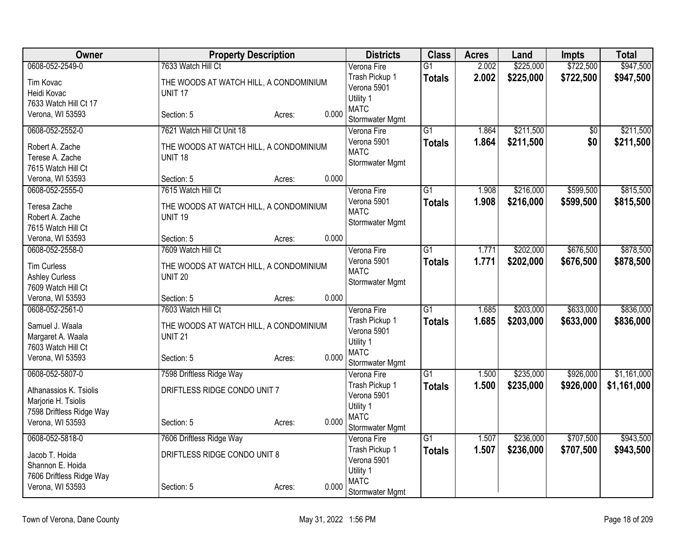| 0608-052-2549-0<br>7633 Watch Hill Ct<br>2.002<br>Verona Fire<br>$\overline{G1}$<br>Trash Pickup 1<br>2.002<br>\$225,000<br>\$722,500<br>\$947,500<br><b>Totals</b><br>THE WOODS AT WATCH HILL, A CONDOMINIUM<br>Tim Kovac<br>Verona 5901<br>Heidi Kovac<br><b>UNIT 17</b><br>Utility 1<br>7633 Watch Hill Ct 17<br><b>MATC</b><br>0.000<br>Verona, WI 53593<br>Section: 5<br>Acres:<br>Stormwater Mgmt<br>\$211,500<br>\$211,500<br>0608-052-2552-0<br>7621 Watch Hill Ct Unit 18<br>$\overline{G1}$<br>Verona Fire<br>1.864<br>$\sqrt{6}$<br>\$211,500<br>\$0<br>Verona 5901<br>1.864<br>\$211,500<br><b>Totals</b><br>Robert A. Zache<br>THE WOODS AT WATCH HILL, A CONDOMINIUM<br><b>MATC</b><br>Terese A. Zache<br>UNIT <sub>18</sub><br>Stormwater Mgmt<br>7615 Watch Hill Ct<br>0.000<br>Verona, WI 53593<br>Section: 5<br>Acres:<br>0608-052-2555-0<br>7615 Watch Hill Ct<br>$\overline{G1}$<br>\$216,000<br>\$599,500<br>Verona Fire<br>1.908<br>1.908<br>\$216,000<br>\$599,500<br>Verona 5901<br><b>Totals</b><br>\$815,500<br>Teresa Zache<br>THE WOODS AT WATCH HILL, A CONDOMINIUM<br><b>MATC</b><br>Robert A. Zache<br><b>UNIT 19</b><br>Stormwater Mgmt<br>7615 Watch Hill Ct<br>0.000<br>Verona, WI 53593<br>Section: 5<br>Acres:<br>7609 Watch Hill Ct<br>0608-052-2558-0<br>$\overline{G1}$<br>\$202,000<br>\$676,500<br>Verona Fire<br>1.771<br>Verona 5901<br>1.771<br>\$202,000<br>\$676,500<br>\$878,500<br><b>Totals</b><br><b>Tim Curless</b><br>THE WOODS AT WATCH HILL, A CONDOMINIUM<br><b>MATC</b><br><b>Ashley Curless</b><br><b>UNIT 20</b><br>Stormwater Mgmt<br>7609 Watch Hill Ct<br>0.000<br>Verona, WI 53593<br>Section: 5<br>Acres:<br>7603 Watch Hill Ct<br>\$203,000<br>\$633,000<br>0608-052-2561-0<br>$\overline{G1}$<br>Verona Fire<br>1.685<br>Trash Pickup 1<br>1.685<br>\$203,000<br>\$633,000<br>\$836,000<br><b>Totals</b><br>Samuel J. Waala<br>THE WOODS AT WATCH HILL, A CONDOMINIUM<br>Verona 5901<br>Margaret A. Waala<br><b>UNIT 21</b><br>Utility 1<br>7603 Watch Hill Ct<br><b>MATC</b><br>0.000<br>Verona, WI 53593<br>Section: 5<br>Acres:<br>Stormwater Mgmt<br>\$235,000<br>\$926,000<br>0608-052-5807-0<br>$\overline{G1}$<br>7598 Driftless Ridge Way<br>Verona Fire<br>1.500<br>Trash Pickup 1<br>1.500<br>\$235,000<br>\$926,000<br>\$1,161,000<br><b>Totals</b><br>DRIFTLESS RIDGE CONDO UNIT 7<br>Athanassios K. Tsiolis<br>Verona 5901<br>Marjorie H. Tsiolis<br>Utility 1<br>7598 Driftless Ridge Way<br><b>MATC</b><br>0.000<br>Verona, WI 53593<br>Section: 5<br>Acres:<br>Stormwater Mgmt<br>$\overline{G1}$<br>0608-052-5818-0<br>1.507<br>\$236,000<br>\$707,500<br>7606 Driftless Ridge Way<br>Verona Fire<br>Trash Pickup 1<br>1.507<br>\$236,000<br>\$707,500<br><b>Totals</b><br>DRIFTLESS RIDGE CONDO UNIT 8<br>Jacob T. Hoida<br>Verona 5901<br>Shannon E. Hoida<br>Utility 1<br>7606 Driftless Ridge Way<br><b>MATC</b><br>Verona, WI 53593<br>0.000<br>Section: 5<br>Acres: | Owner | <b>Property Description</b> | <b>Districts</b> | <b>Class</b> | <b>Acres</b> | Land      | Impts     | <b>Total</b> |
|-------------------------------------------------------------------------------------------------------------------------------------------------------------------------------------------------------------------------------------------------------------------------------------------------------------------------------------------------------------------------------------------------------------------------------------------------------------------------------------------------------------------------------------------------------------------------------------------------------------------------------------------------------------------------------------------------------------------------------------------------------------------------------------------------------------------------------------------------------------------------------------------------------------------------------------------------------------------------------------------------------------------------------------------------------------------------------------------------------------------------------------------------------------------------------------------------------------------------------------------------------------------------------------------------------------------------------------------------------------------------------------------------------------------------------------------------------------------------------------------------------------------------------------------------------------------------------------------------------------------------------------------------------------------------------------------------------------------------------------------------------------------------------------------------------------------------------------------------------------------------------------------------------------------------------------------------------------------------------------------------------------------------------------------------------------------------------------------------------------------------------------------------------------------------------------------------------------------------------------------------------------------------------------------------------------------------------------------------------------------------------------------------------------------------------------------------------------------------------------------------------------------------------------------------------------------------------------------------------------------------------------------------------------------------------------------------------------------------------------------------------------------------------------------------------------------------------------------------------------------------------------------------------------------------------------------------------------|-------|-----------------------------|------------------|--------------|--------------|-----------|-----------|--------------|
|                                                                                                                                                                                                                                                                                                                                                                                                                                                                                                                                                                                                                                                                                                                                                                                                                                                                                                                                                                                                                                                                                                                                                                                                                                                                                                                                                                                                                                                                                                                                                                                                                                                                                                                                                                                                                                                                                                                                                                                                                                                                                                                                                                                                                                                                                                                                                                                                                                                                                                                                                                                                                                                                                                                                                                                                                                                                                                                                                             |       |                             |                  |              |              | \$225,000 | \$722,500 | \$947,500    |
|                                                                                                                                                                                                                                                                                                                                                                                                                                                                                                                                                                                                                                                                                                                                                                                                                                                                                                                                                                                                                                                                                                                                                                                                                                                                                                                                                                                                                                                                                                                                                                                                                                                                                                                                                                                                                                                                                                                                                                                                                                                                                                                                                                                                                                                                                                                                                                                                                                                                                                                                                                                                                                                                                                                                                                                                                                                                                                                                                             |       |                             |                  |              |              |           |           |              |
|                                                                                                                                                                                                                                                                                                                                                                                                                                                                                                                                                                                                                                                                                                                                                                                                                                                                                                                                                                                                                                                                                                                                                                                                                                                                                                                                                                                                                                                                                                                                                                                                                                                                                                                                                                                                                                                                                                                                                                                                                                                                                                                                                                                                                                                                                                                                                                                                                                                                                                                                                                                                                                                                                                                                                                                                                                                                                                                                                             |       |                             |                  |              |              |           |           |              |
|                                                                                                                                                                                                                                                                                                                                                                                                                                                                                                                                                                                                                                                                                                                                                                                                                                                                                                                                                                                                                                                                                                                                                                                                                                                                                                                                                                                                                                                                                                                                                                                                                                                                                                                                                                                                                                                                                                                                                                                                                                                                                                                                                                                                                                                                                                                                                                                                                                                                                                                                                                                                                                                                                                                                                                                                                                                                                                                                                             |       |                             |                  |              |              |           |           |              |
|                                                                                                                                                                                                                                                                                                                                                                                                                                                                                                                                                                                                                                                                                                                                                                                                                                                                                                                                                                                                                                                                                                                                                                                                                                                                                                                                                                                                                                                                                                                                                                                                                                                                                                                                                                                                                                                                                                                                                                                                                                                                                                                                                                                                                                                                                                                                                                                                                                                                                                                                                                                                                                                                                                                                                                                                                                                                                                                                                             |       |                             |                  |              |              |           |           |              |
| \$815,500                                                                                                                                                                                                                                                                                                                                                                                                                                                                                                                                                                                                                                                                                                                                                                                                                                                                                                                                                                                                                                                                                                                                                                                                                                                                                                                                                                                                                                                                                                                                                                                                                                                                                                                                                                                                                                                                                                                                                                                                                                                                                                                                                                                                                                                                                                                                                                                                                                                                                                                                                                                                                                                                                                                                                                                                                                                                                                                                                   |       |                             |                  |              |              |           |           |              |
|                                                                                                                                                                                                                                                                                                                                                                                                                                                                                                                                                                                                                                                                                                                                                                                                                                                                                                                                                                                                                                                                                                                                                                                                                                                                                                                                                                                                                                                                                                                                                                                                                                                                                                                                                                                                                                                                                                                                                                                                                                                                                                                                                                                                                                                                                                                                                                                                                                                                                                                                                                                                                                                                                                                                                                                                                                                                                                                                                             |       |                             |                  |              |              |           |           |              |
|                                                                                                                                                                                                                                                                                                                                                                                                                                                                                                                                                                                                                                                                                                                                                                                                                                                                                                                                                                                                                                                                                                                                                                                                                                                                                                                                                                                                                                                                                                                                                                                                                                                                                                                                                                                                                                                                                                                                                                                                                                                                                                                                                                                                                                                                                                                                                                                                                                                                                                                                                                                                                                                                                                                                                                                                                                                                                                                                                             |       |                             |                  |              |              |           |           |              |
|                                                                                                                                                                                                                                                                                                                                                                                                                                                                                                                                                                                                                                                                                                                                                                                                                                                                                                                                                                                                                                                                                                                                                                                                                                                                                                                                                                                                                                                                                                                                                                                                                                                                                                                                                                                                                                                                                                                                                                                                                                                                                                                                                                                                                                                                                                                                                                                                                                                                                                                                                                                                                                                                                                                                                                                                                                                                                                                                                             |       |                             |                  |              |              |           |           |              |
|                                                                                                                                                                                                                                                                                                                                                                                                                                                                                                                                                                                                                                                                                                                                                                                                                                                                                                                                                                                                                                                                                                                                                                                                                                                                                                                                                                                                                                                                                                                                                                                                                                                                                                                                                                                                                                                                                                                                                                                                                                                                                                                                                                                                                                                                                                                                                                                                                                                                                                                                                                                                                                                                                                                                                                                                                                                                                                                                                             |       |                             |                  |              |              |           |           |              |
|                                                                                                                                                                                                                                                                                                                                                                                                                                                                                                                                                                                                                                                                                                                                                                                                                                                                                                                                                                                                                                                                                                                                                                                                                                                                                                                                                                                                                                                                                                                                                                                                                                                                                                                                                                                                                                                                                                                                                                                                                                                                                                                                                                                                                                                                                                                                                                                                                                                                                                                                                                                                                                                                                                                                                                                                                                                                                                                                                             |       |                             |                  |              |              |           |           |              |
| \$878,500<br>\$836,000<br>\$1,161,000<br>\$943,500                                                                                                                                                                                                                                                                                                                                                                                                                                                                                                                                                                                                                                                                                                                                                                                                                                                                                                                                                                                                                                                                                                                                                                                                                                                                                                                                                                                                                                                                                                                                                                                                                                                                                                                                                                                                                                                                                                                                                                                                                                                                                                                                                                                                                                                                                                                                                                                                                                                                                                                                                                                                                                                                                                                                                                                                                                                                                                          |       |                             |                  |              |              |           |           |              |
| \$943,500                                                                                                                                                                                                                                                                                                                                                                                                                                                                                                                                                                                                                                                                                                                                                                                                                                                                                                                                                                                                                                                                                                                                                                                                                                                                                                                                                                                                                                                                                                                                                                                                                                                                                                                                                                                                                                                                                                                                                                                                                                                                                                                                                                                                                                                                                                                                                                                                                                                                                                                                                                                                                                                                                                                                                                                                                                                                                                                                                   |       |                             |                  |              |              |           |           |              |
|                                                                                                                                                                                                                                                                                                                                                                                                                                                                                                                                                                                                                                                                                                                                                                                                                                                                                                                                                                                                                                                                                                                                                                                                                                                                                                                                                                                                                                                                                                                                                                                                                                                                                                                                                                                                                                                                                                                                                                                                                                                                                                                                                                                                                                                                                                                                                                                                                                                                                                                                                                                                                                                                                                                                                                                                                                                                                                                                                             |       |                             |                  |              |              |           |           |              |
|                                                                                                                                                                                                                                                                                                                                                                                                                                                                                                                                                                                                                                                                                                                                                                                                                                                                                                                                                                                                                                                                                                                                                                                                                                                                                                                                                                                                                                                                                                                                                                                                                                                                                                                                                                                                                                                                                                                                                                                                                                                                                                                                                                                                                                                                                                                                                                                                                                                                                                                                                                                                                                                                                                                                                                                                                                                                                                                                                             |       |                             |                  |              |              |           |           |              |
|                                                                                                                                                                                                                                                                                                                                                                                                                                                                                                                                                                                                                                                                                                                                                                                                                                                                                                                                                                                                                                                                                                                                                                                                                                                                                                                                                                                                                                                                                                                                                                                                                                                                                                                                                                                                                                                                                                                                                                                                                                                                                                                                                                                                                                                                                                                                                                                                                                                                                                                                                                                                                                                                                                                                                                                                                                                                                                                                                             |       |                             |                  |              |              |           |           |              |
|                                                                                                                                                                                                                                                                                                                                                                                                                                                                                                                                                                                                                                                                                                                                                                                                                                                                                                                                                                                                                                                                                                                                                                                                                                                                                                                                                                                                                                                                                                                                                                                                                                                                                                                                                                                                                                                                                                                                                                                                                                                                                                                                                                                                                                                                                                                                                                                                                                                                                                                                                                                                                                                                                                                                                                                                                                                                                                                                                             |       |                             |                  |              |              |           |           |              |
|                                                                                                                                                                                                                                                                                                                                                                                                                                                                                                                                                                                                                                                                                                                                                                                                                                                                                                                                                                                                                                                                                                                                                                                                                                                                                                                                                                                                                                                                                                                                                                                                                                                                                                                                                                                                                                                                                                                                                                                                                                                                                                                                                                                                                                                                                                                                                                                                                                                                                                                                                                                                                                                                                                                                                                                                                                                                                                                                                             |       |                             |                  |              |              |           |           |              |
|                                                                                                                                                                                                                                                                                                                                                                                                                                                                                                                                                                                                                                                                                                                                                                                                                                                                                                                                                                                                                                                                                                                                                                                                                                                                                                                                                                                                                                                                                                                                                                                                                                                                                                                                                                                                                                                                                                                                                                                                                                                                                                                                                                                                                                                                                                                                                                                                                                                                                                                                                                                                                                                                                                                                                                                                                                                                                                                                                             |       |                             |                  |              |              |           |           |              |
|                                                                                                                                                                                                                                                                                                                                                                                                                                                                                                                                                                                                                                                                                                                                                                                                                                                                                                                                                                                                                                                                                                                                                                                                                                                                                                                                                                                                                                                                                                                                                                                                                                                                                                                                                                                                                                                                                                                                                                                                                                                                                                                                                                                                                                                                                                                                                                                                                                                                                                                                                                                                                                                                                                                                                                                                                                                                                                                                                             |       |                             |                  |              |              |           |           |              |
|                                                                                                                                                                                                                                                                                                                                                                                                                                                                                                                                                                                                                                                                                                                                                                                                                                                                                                                                                                                                                                                                                                                                                                                                                                                                                                                                                                                                                                                                                                                                                                                                                                                                                                                                                                                                                                                                                                                                                                                                                                                                                                                                                                                                                                                                                                                                                                                                                                                                                                                                                                                                                                                                                                                                                                                                                                                                                                                                                             |       |                             |                  |              |              |           |           |              |
|                                                                                                                                                                                                                                                                                                                                                                                                                                                                                                                                                                                                                                                                                                                                                                                                                                                                                                                                                                                                                                                                                                                                                                                                                                                                                                                                                                                                                                                                                                                                                                                                                                                                                                                                                                                                                                                                                                                                                                                                                                                                                                                                                                                                                                                                                                                                                                                                                                                                                                                                                                                                                                                                                                                                                                                                                                                                                                                                                             |       |                             |                  |              |              |           |           |              |
|                                                                                                                                                                                                                                                                                                                                                                                                                                                                                                                                                                                                                                                                                                                                                                                                                                                                                                                                                                                                                                                                                                                                                                                                                                                                                                                                                                                                                                                                                                                                                                                                                                                                                                                                                                                                                                                                                                                                                                                                                                                                                                                                                                                                                                                                                                                                                                                                                                                                                                                                                                                                                                                                                                                                                                                                                                                                                                                                                             |       |                             |                  |              |              |           |           |              |
|                                                                                                                                                                                                                                                                                                                                                                                                                                                                                                                                                                                                                                                                                                                                                                                                                                                                                                                                                                                                                                                                                                                                                                                                                                                                                                                                                                                                                                                                                                                                                                                                                                                                                                                                                                                                                                                                                                                                                                                                                                                                                                                                                                                                                                                                                                                                                                                                                                                                                                                                                                                                                                                                                                                                                                                                                                                                                                                                                             |       |                             |                  |              |              |           |           |              |
|                                                                                                                                                                                                                                                                                                                                                                                                                                                                                                                                                                                                                                                                                                                                                                                                                                                                                                                                                                                                                                                                                                                                                                                                                                                                                                                                                                                                                                                                                                                                                                                                                                                                                                                                                                                                                                                                                                                                                                                                                                                                                                                                                                                                                                                                                                                                                                                                                                                                                                                                                                                                                                                                                                                                                                                                                                                                                                                                                             |       |                             |                  |              |              |           |           |              |
|                                                                                                                                                                                                                                                                                                                                                                                                                                                                                                                                                                                                                                                                                                                                                                                                                                                                                                                                                                                                                                                                                                                                                                                                                                                                                                                                                                                                                                                                                                                                                                                                                                                                                                                                                                                                                                                                                                                                                                                                                                                                                                                                                                                                                                                                                                                                                                                                                                                                                                                                                                                                                                                                                                                                                                                                                                                                                                                                                             |       |                             |                  |              |              |           |           |              |
|                                                                                                                                                                                                                                                                                                                                                                                                                                                                                                                                                                                                                                                                                                                                                                                                                                                                                                                                                                                                                                                                                                                                                                                                                                                                                                                                                                                                                                                                                                                                                                                                                                                                                                                                                                                                                                                                                                                                                                                                                                                                                                                                                                                                                                                                                                                                                                                                                                                                                                                                                                                                                                                                                                                                                                                                                                                                                                                                                             |       |                             |                  |              |              |           |           |              |
|                                                                                                                                                                                                                                                                                                                                                                                                                                                                                                                                                                                                                                                                                                                                                                                                                                                                                                                                                                                                                                                                                                                                                                                                                                                                                                                                                                                                                                                                                                                                                                                                                                                                                                                                                                                                                                                                                                                                                                                                                                                                                                                                                                                                                                                                                                                                                                                                                                                                                                                                                                                                                                                                                                                                                                                                                                                                                                                                                             |       |                             |                  |              |              |           |           |              |
|                                                                                                                                                                                                                                                                                                                                                                                                                                                                                                                                                                                                                                                                                                                                                                                                                                                                                                                                                                                                                                                                                                                                                                                                                                                                                                                                                                                                                                                                                                                                                                                                                                                                                                                                                                                                                                                                                                                                                                                                                                                                                                                                                                                                                                                                                                                                                                                                                                                                                                                                                                                                                                                                                                                                                                                                                                                                                                                                                             |       |                             |                  |              |              |           |           |              |
|                                                                                                                                                                                                                                                                                                                                                                                                                                                                                                                                                                                                                                                                                                                                                                                                                                                                                                                                                                                                                                                                                                                                                                                                                                                                                                                                                                                                                                                                                                                                                                                                                                                                                                                                                                                                                                                                                                                                                                                                                                                                                                                                                                                                                                                                                                                                                                                                                                                                                                                                                                                                                                                                                                                                                                                                                                                                                                                                                             |       |                             |                  |              |              |           |           |              |
|                                                                                                                                                                                                                                                                                                                                                                                                                                                                                                                                                                                                                                                                                                                                                                                                                                                                                                                                                                                                                                                                                                                                                                                                                                                                                                                                                                                                                                                                                                                                                                                                                                                                                                                                                                                                                                                                                                                                                                                                                                                                                                                                                                                                                                                                                                                                                                                                                                                                                                                                                                                                                                                                                                                                                                                                                                                                                                                                                             |       |                             |                  |              |              |           |           |              |
|                                                                                                                                                                                                                                                                                                                                                                                                                                                                                                                                                                                                                                                                                                                                                                                                                                                                                                                                                                                                                                                                                                                                                                                                                                                                                                                                                                                                                                                                                                                                                                                                                                                                                                                                                                                                                                                                                                                                                                                                                                                                                                                                                                                                                                                                                                                                                                                                                                                                                                                                                                                                                                                                                                                                                                                                                                                                                                                                                             |       |                             |                  |              |              |           |           |              |
|                                                                                                                                                                                                                                                                                                                                                                                                                                                                                                                                                                                                                                                                                                                                                                                                                                                                                                                                                                                                                                                                                                                                                                                                                                                                                                                                                                                                                                                                                                                                                                                                                                                                                                                                                                                                                                                                                                                                                                                                                                                                                                                                                                                                                                                                                                                                                                                                                                                                                                                                                                                                                                                                                                                                                                                                                                                                                                                                                             |       |                             |                  |              |              |           |           |              |
|                                                                                                                                                                                                                                                                                                                                                                                                                                                                                                                                                                                                                                                                                                                                                                                                                                                                                                                                                                                                                                                                                                                                                                                                                                                                                                                                                                                                                                                                                                                                                                                                                                                                                                                                                                                                                                                                                                                                                                                                                                                                                                                                                                                                                                                                                                                                                                                                                                                                                                                                                                                                                                                                                                                                                                                                                                                                                                                                                             |       |                             |                  |              |              |           |           |              |
|                                                                                                                                                                                                                                                                                                                                                                                                                                                                                                                                                                                                                                                                                                                                                                                                                                                                                                                                                                                                                                                                                                                                                                                                                                                                                                                                                                                                                                                                                                                                                                                                                                                                                                                                                                                                                                                                                                                                                                                                                                                                                                                                                                                                                                                                                                                                                                                                                                                                                                                                                                                                                                                                                                                                                                                                                                                                                                                                                             |       |                             |                  |              |              |           |           |              |
|                                                                                                                                                                                                                                                                                                                                                                                                                                                                                                                                                                                                                                                                                                                                                                                                                                                                                                                                                                                                                                                                                                                                                                                                                                                                                                                                                                                                                                                                                                                                                                                                                                                                                                                                                                                                                                                                                                                                                                                                                                                                                                                                                                                                                                                                                                                                                                                                                                                                                                                                                                                                                                                                                                                                                                                                                                                                                                                                                             |       |                             |                  |              |              |           |           |              |
|                                                                                                                                                                                                                                                                                                                                                                                                                                                                                                                                                                                                                                                                                                                                                                                                                                                                                                                                                                                                                                                                                                                                                                                                                                                                                                                                                                                                                                                                                                                                                                                                                                                                                                                                                                                                                                                                                                                                                                                                                                                                                                                                                                                                                                                                                                                                                                                                                                                                                                                                                                                                                                                                                                                                                                                                                                                                                                                                                             |       |                             |                  |              |              |           |           |              |
|                                                                                                                                                                                                                                                                                                                                                                                                                                                                                                                                                                                                                                                                                                                                                                                                                                                                                                                                                                                                                                                                                                                                                                                                                                                                                                                                                                                                                                                                                                                                                                                                                                                                                                                                                                                                                                                                                                                                                                                                                                                                                                                                                                                                                                                                                                                                                                                                                                                                                                                                                                                                                                                                                                                                                                                                                                                                                                                                                             |       |                             | Stormwater Mgmt  |              |              |           |           |              |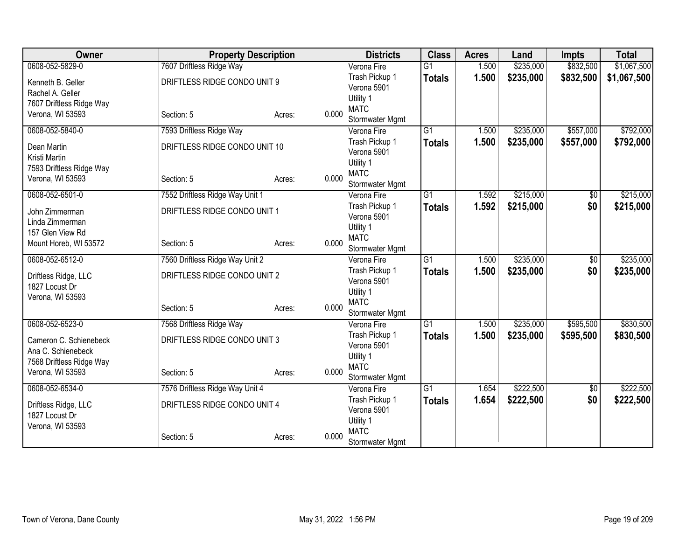| Owner                                  | <b>Property Description</b>     |                 | <b>Districts</b>         | <b>Class</b>    | <b>Acres</b> | Land      | <b>Impts</b>    | <b>Total</b> |
|----------------------------------------|---------------------------------|-----------------|--------------------------|-----------------|--------------|-----------|-----------------|--------------|
| 0608-052-5829-0                        | 7607 Driftless Ridge Way        |                 | Verona Fire              | $\overline{G1}$ | 1.500        | \$235,000 | \$832,500       | \$1,067,500  |
| Kenneth B. Geller                      | DRIFTLESS RIDGE CONDO UNIT 9    |                 | Trash Pickup 1           | <b>Totals</b>   | 1.500        | \$235,000 | \$832,500       | \$1,067,500  |
| Rachel A. Geller                       |                                 |                 | Verona 5901              |                 |              |           |                 |              |
| 7607 Driftless Ridge Way               |                                 |                 | Utility 1                |                 |              |           |                 |              |
| Verona, WI 53593                       | Section: 5                      | 0.000<br>Acres: | <b>MATC</b>              |                 |              |           |                 |              |
|                                        |                                 |                 | Stormwater Mgmt          |                 |              |           |                 |              |
| 0608-052-5840-0                        | 7593 Driftless Ridge Way        |                 | Verona Fire              | $\overline{G1}$ | 1.500        | \$235,000 | \$557,000       | \$792,000    |
| Dean Martin                            | DRIFTLESS RIDGE CONDO UNIT 10   |                 | Trash Pickup 1           | <b>Totals</b>   | 1.500        | \$235,000 | \$557,000       | \$792,000    |
| Kristi Martin                          |                                 |                 | Verona 5901              |                 |              |           |                 |              |
| 7593 Driftless Ridge Way               |                                 |                 | Utility 1                |                 |              |           |                 |              |
| Verona, WI 53593                       | Section: 5                      | 0.000<br>Acres: | <b>MATC</b>              |                 |              |           |                 |              |
|                                        |                                 |                 | Stormwater Mgmt          |                 |              |           |                 |              |
| 0608-052-6501-0                        | 7552 Driftless Ridge Way Unit 1 |                 | Verona Fire              | $\overline{G1}$ | 1.592        | \$215,000 | \$0             | \$215,000    |
| John Zimmerman                         | DRIFTLESS RIDGE CONDO UNIT 1    |                 | Trash Pickup 1           | <b>Totals</b>   | 1.592        | \$215,000 | \$0             | \$215,000    |
| Linda Zimmerman                        |                                 |                 | Verona 5901              |                 |              |           |                 |              |
| 157 Glen View Rd                       |                                 |                 | Utility 1<br><b>MATC</b> |                 |              |           |                 |              |
| Mount Horeb, WI 53572                  | Section: 5                      | 0.000<br>Acres: | Stormwater Mgmt          |                 |              |           |                 |              |
| 0608-052-6512-0                        | 7560 Driftless Ridge Way Unit 2 |                 | Verona Fire              | $\overline{G1}$ | 1.500        | \$235,000 | $\overline{50}$ | \$235,000    |
|                                        |                                 |                 | Trash Pickup 1           |                 | 1.500        | \$235,000 | \$0             | \$235,000    |
| Driftless Ridge, LLC                   | DRIFTLESS RIDGE CONDO UNIT 2    |                 | Verona 5901              | <b>Totals</b>   |              |           |                 |              |
| 1827 Locust Dr                         |                                 |                 | Utility 1                |                 |              |           |                 |              |
| Verona, WI 53593                       |                                 |                 | <b>MATC</b>              |                 |              |           |                 |              |
|                                        | Section: 5                      | 0.000<br>Acres: | Stormwater Mgmt          |                 |              |           |                 |              |
| 0608-052-6523-0                        | 7568 Driftless Ridge Way        |                 | Verona Fire              | $\overline{G1}$ | 1.500        | \$235,000 | \$595,500       | \$830,500    |
|                                        |                                 |                 | Trash Pickup 1           | <b>Totals</b>   | 1.500        | \$235,000 | \$595,500       | \$830,500    |
| Cameron C. Schienebeck                 | DRIFTLESS RIDGE CONDO UNIT 3    |                 | Verona 5901              |                 |              |           |                 |              |
| Ana C. Schienebeck                     |                                 |                 | Utility 1                |                 |              |           |                 |              |
| 7568 Driftless Ridge Way               |                                 |                 | <b>MATC</b>              |                 |              |           |                 |              |
| Verona, WI 53593                       | Section: 5                      | 0.000<br>Acres: | Stormwater Mgmt          |                 |              |           |                 |              |
| 0608-052-6534-0                        | 7576 Driftless Ridge Way Unit 4 |                 | Verona Fire              | $\overline{G1}$ | 1.654        | \$222,500 | \$0             | \$222,500    |
|                                        | DRIFTLESS RIDGE CONDO UNIT 4    |                 | Trash Pickup 1           | <b>Totals</b>   | 1.654        | \$222,500 | \$0             | \$222,500    |
| Driftless Ridge, LLC<br>1827 Locust Dr |                                 |                 | Verona 5901              |                 |              |           |                 |              |
| Verona, WI 53593                       |                                 |                 | Utility 1                |                 |              |           |                 |              |
|                                        | Section: 5                      | 0.000<br>Acres: | <b>MATC</b>              |                 |              |           |                 |              |
|                                        |                                 |                 | Stormwater Mgmt          |                 |              |           |                 |              |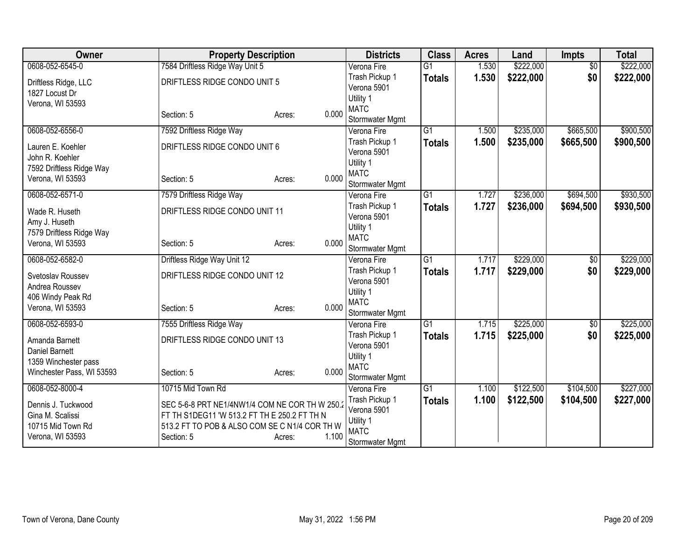| Owner                                     | <b>Property Description</b>                    |                 | <b>Districts</b>               | <b>Class</b>    | <b>Acres</b> | Land      | <b>Impts</b>    | <b>Total</b> |
|-------------------------------------------|------------------------------------------------|-----------------|--------------------------------|-----------------|--------------|-----------|-----------------|--------------|
| 0608-052-6545-0                           | 7584 Driftless Ridge Way Unit 5                |                 | Verona Fire                    | $\overline{G1}$ | 1.530        | \$222,000 | $\overline{50}$ | \$222,000    |
| Driftless Ridge, LLC                      | DRIFTLESS RIDGE CONDO UNIT 5                   |                 | Trash Pickup 1                 | <b>Totals</b>   | 1.530        | \$222,000 | \$0             | \$222,000    |
| 1827 Locust Dr                            |                                                |                 | Verona 5901                    |                 |              |           |                 |              |
| Verona, WI 53593                          |                                                |                 | Utility 1                      |                 |              |           |                 |              |
|                                           | Section: 5                                     | 0.000<br>Acres: | <b>MATC</b>                    |                 |              |           |                 |              |
| 0608-052-6556-0                           |                                                |                 | Stormwater Mgmt<br>Verona Fire | $\overline{G1}$ | 1.500        | \$235,000 | \$665,500       | \$900,500    |
|                                           | 7592 Driftless Ridge Way                       |                 | Trash Pickup 1                 |                 | 1.500        |           |                 |              |
| Lauren E. Koehler                         | DRIFTLESS RIDGE CONDO UNIT 6                   |                 | Verona 5901                    | <b>Totals</b>   |              | \$235,000 | \$665,500       | \$900,500    |
| John R. Koehler                           |                                                |                 | Utility 1                      |                 |              |           |                 |              |
| 7592 Driftless Ridge Way                  |                                                |                 | <b>MATC</b>                    |                 |              |           |                 |              |
| Verona, WI 53593                          | Section: 5                                     | 0.000<br>Acres: | Stormwater Mgmt                |                 |              |           |                 |              |
| 0608-052-6571-0                           | 7579 Driftless Ridge Way                       |                 | Verona Fire                    | $\overline{G1}$ | 1.727        | \$236,000 | \$694,500       | \$930,500    |
|                                           |                                                |                 | Trash Pickup 1                 | <b>Totals</b>   | 1.727        | \$236,000 | \$694,500       | \$930,500    |
| Wade R. Huseth                            | DRIFTLESS RIDGE CONDO UNIT 11                  |                 | Verona 5901                    |                 |              |           |                 |              |
| Amy J. Huseth<br>7579 Driftless Ridge Way |                                                |                 | Utility 1                      |                 |              |           |                 |              |
| Verona, WI 53593                          | Section: 5                                     | 0.000<br>Acres: | <b>MATC</b>                    |                 |              |           |                 |              |
|                                           |                                                |                 | Stormwater Mgmt                |                 |              |           |                 |              |
| 0608-052-6582-0                           | Driftless Ridge Way Unit 12                    |                 | Verona Fire                    | $\overline{G1}$ | 1.717        | \$229,000 | $\overline{50}$ | \$229,000    |
| Svetoslav Roussev                         | DRIFTLESS RIDGE CONDO UNIT 12                  |                 | Trash Pickup 1                 | <b>Totals</b>   | 1.717        | \$229,000 | \$0             | \$229,000    |
| Andrea Roussev                            |                                                |                 | Verona 5901                    |                 |              |           |                 |              |
| 406 Windy Peak Rd                         |                                                |                 | Utility 1<br><b>MATC</b>       |                 |              |           |                 |              |
| Verona, WI 53593                          | Section: 5                                     | 0.000<br>Acres: | Stormwater Mgmt                |                 |              |           |                 |              |
| 0608-052-6593-0                           | 7555 Driftless Ridge Way                       |                 | Verona Fire                    | $\overline{G1}$ | 1.715        | \$225,000 | $\sqrt{$0}$     | \$225,000    |
|                                           |                                                |                 | Trash Pickup 1                 | <b>Totals</b>   | 1.715        | \$225,000 | \$0             | \$225,000    |
| Amanda Barnett                            | DRIFTLESS RIDGE CONDO UNIT 13                  |                 | Verona 5901                    |                 |              |           |                 |              |
| Daniel Barnett                            |                                                |                 | Utility 1                      |                 |              |           |                 |              |
| 1359 Winchester pass                      |                                                | 0.000           | <b>MATC</b>                    |                 |              |           |                 |              |
| Winchester Pass, WI 53593                 | Section: 5                                     | Acres:          | Stormwater Mgmt                |                 |              |           |                 |              |
| 0608-052-8000-4                           | 10715 Mid Town Rd                              |                 | Verona Fire                    | $\overline{G1}$ | 1.100        | \$122,500 | \$104,500       | \$227,000    |
| Dennis J. Tuckwood                        | SEC 5-6-8 PRT NE1/4NW1/4 COM NE COR TH W 250.2 |                 | Trash Pickup 1                 | <b>Totals</b>   | 1.100        | \$122,500 | \$104,500       | \$227,000    |
| Gina M. Scalissi                          | FT TH S1DEG11 'W 513.2 FT TH E 250.2 FT TH N   |                 | Verona 5901                    |                 |              |           |                 |              |
| 10715 Mid Town Rd                         | 513.2 FT TO POB & ALSO COM SE C N1/4 COR TH W  |                 | Utility 1                      |                 |              |           |                 |              |
| Verona, WI 53593                          | Section: 5                                     | 1.100<br>Acres: | <b>MATC</b>                    |                 |              |           |                 |              |
|                                           |                                                |                 | Stormwater Mgmt                |                 |              |           |                 |              |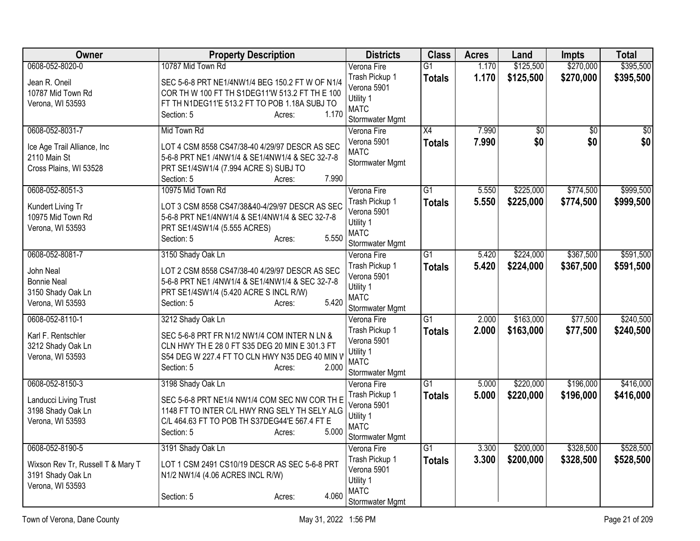| Owner                             | <b>Property Description</b>                     | <b>Districts</b>               | <b>Class</b>    | <b>Acres</b> | Land            | <b>Impts</b>    | <b>Total</b>    |
|-----------------------------------|-------------------------------------------------|--------------------------------|-----------------|--------------|-----------------|-----------------|-----------------|
| 0608-052-8020-0                   | 10787 Mid Town Rd                               | Verona Fire                    | $\overline{G1}$ | 1.170        | \$125,500       | \$270,000       | \$395,500       |
| Jean R. Oneil                     | SEC 5-6-8 PRT NE1/4NW1/4 BEG 150.2 FT W OF N1/4 | Trash Pickup 1                 | <b>Totals</b>   | 1.170        | \$125,500       | \$270,000       | \$395,500       |
| 10787 Mid Town Rd                 | COR TH W 100 FT TH S1DEG11'W 513.2 FT TH E 100  | Verona 5901                    |                 |              |                 |                 |                 |
| Verona, WI 53593                  | FT TH N1DEG11'E 513.2 FT TO POB 1.18A SUBJ TO   | Utility 1                      |                 |              |                 |                 |                 |
|                                   | 1.170<br>Section: 5<br>Acres:                   | <b>MATC</b>                    |                 |              |                 |                 |                 |
| 0608-052-8031-7                   | Mid Town Rd                                     | Stormwater Mgmt<br>Verona Fire | $\overline{X4}$ | 7.990        | $\overline{30}$ | $\overline{50}$ | $\overline{50}$ |
|                                   |                                                 | Verona 5901                    |                 | 7.990        | \$0             | \$0             | \$0             |
| Ice Age Trail Alliance, Inc       | LOT 4 CSM 8558 CS47/38-40 4/29/97 DESCR AS SEC  | <b>MATC</b>                    | <b>Totals</b>   |              |                 |                 |                 |
| 2110 Main St                      | 5-6-8 PRT NE1 /4NW1/4 & SE1/4NW1/4 & SEC 32-7-8 | Stormwater Mgmt                |                 |              |                 |                 |                 |
| Cross Plains, WI 53528            | PRT SE1/4SW1/4 (7.994 ACRE S) SUBJ TO           |                                |                 |              |                 |                 |                 |
|                                   | 7.990<br>Section: 5<br>Acres:                   |                                |                 |              |                 |                 |                 |
| 0608-052-8051-3                   | 10975 Mid Town Rd                               | Verona Fire                    | $\overline{G1}$ | 5.550        | \$225,000       | \$774,500       | \$999,500       |
| Kundert Living Tr                 | LOT 3 CSM 8558 CS47/38&40-4/29/97 DESCR AS SEC  | Trash Pickup 1                 | <b>Totals</b>   | 5.550        | \$225,000       | \$774,500       | \$999,500       |
| 10975 Mid Town Rd                 | 5-6-8 PRT NE1/4NW1/4 & SE1/4NW1/4 & SEC 32-7-8  | Verona 5901                    |                 |              |                 |                 |                 |
| Verona, WI 53593                  | PRT SE1/4SW1/4 (5.555 ACRES)                    | Utility 1<br><b>MATC</b>       |                 |              |                 |                 |                 |
|                                   | 5.550<br>Section: 5<br>Acres:                   |                                |                 |              |                 |                 |                 |
| 0608-052-8081-7                   | 3150 Shady Oak Ln                               | Stormwater Mgmt<br>Verona Fire | $\overline{G1}$ | 5.420        | \$224,000       | \$367,500       | \$591,500       |
|                                   |                                                 | Trash Pickup 1                 | <b>Totals</b>   | 5.420        | \$224,000       | \$367,500       | \$591,500       |
| John Neal                         | LOT 2 CSM 8558 CS47/38-40 4/29/97 DESCR AS SEC  | Verona 5901                    |                 |              |                 |                 |                 |
| <b>Bonnie Neal</b>                | 5-6-8 PRT NE1 /4NW1/4 & SE1/4NW1/4 & SEC 32-7-8 | Utility 1                      |                 |              |                 |                 |                 |
| 3150 Shady Oak Ln                 | PRT SE1/4SW1/4 (5.420 ACRE S INCL R/W)          | <b>MATC</b>                    |                 |              |                 |                 |                 |
| Verona, WI 53593                  | 5.420<br>Section: 5<br>Acres:                   | Stormwater Mgmt                |                 |              |                 |                 |                 |
| 0608-052-8110-1                   | 3212 Shady Oak Ln                               | Verona Fire                    | $\overline{G1}$ | 2.000        | \$163,000       | \$77,500        | \$240,500       |
| Karl F. Rentschler                | SEC 5-6-8 PRT FR N1/2 NW1/4 COM INTER N LN &    | Trash Pickup 1                 | <b>Totals</b>   | 2.000        | \$163,000       | \$77,500        | \$240,500       |
| 3212 Shady Oak Ln                 | CLN HWY TH E 28 0 FT S35 DEG 20 MIN E 301.3 FT  | Verona 5901                    |                 |              |                 |                 |                 |
| Verona, WI 53593                  | S54 DEG W 227.4 FT TO CLN HWY N35 DEG 40 MIN V  | Utility 1                      |                 |              |                 |                 |                 |
|                                   | Section: 5<br>2.000<br>Acres:                   | <b>MATC</b>                    |                 |              |                 |                 |                 |
|                                   |                                                 | Stormwater Mgmt                |                 |              |                 |                 |                 |
| 0608-052-8150-3                   | 3198 Shady Oak Ln                               | Verona Fire                    | $\overline{G1}$ | 5.000        | \$220,000       | \$196,000       | \$416,000       |
| Landucci Living Trust             | SEC 5-6-8 PRT NE1/4 NW1/4 COM SEC NW COR TH E   | Trash Pickup 1                 | <b>Totals</b>   | 5.000        | \$220,000       | \$196,000       | \$416,000       |
| 3198 Shady Oak Ln                 | 1148 FT TO INTER C/L HWY RNG SELY TH SELY ALG   | Verona 5901                    |                 |              |                 |                 |                 |
| Verona, WI 53593                  | C/L 464.63 FT TO POB TH S37DEG44'E 567.4 FT E   | Utility 1<br><b>MATC</b>       |                 |              |                 |                 |                 |
|                                   | Section: 5<br>5.000<br>Acres:                   | Stormwater Mgmt                |                 |              |                 |                 |                 |
| 0608-052-8190-5                   | 3191 Shady Oak Ln                               | Verona Fire                    | $\overline{G1}$ | 3.300        | \$200,000       | \$328,500       | \$528,500       |
|                                   |                                                 | Trash Pickup 1                 | <b>Totals</b>   | 3.300        | \$200,000       | \$328,500       | \$528,500       |
| Wixson Rev Tr, Russell T & Mary T | LOT 1 CSM 2491 CS10/19 DESCR AS SEC 5-6-8 PRT   | Verona 5901                    |                 |              |                 |                 |                 |
| 3191 Shady Oak Ln                 | N1/2 NW1/4 (4.06 ACRES INCL R/W)                | Utility 1                      |                 |              |                 |                 |                 |
| Verona, WI 53593                  |                                                 | <b>MATC</b>                    |                 |              |                 |                 |                 |
|                                   | 4.060<br>Section: 5<br>Acres:                   | Stormwater Mgmt                |                 |              |                 |                 |                 |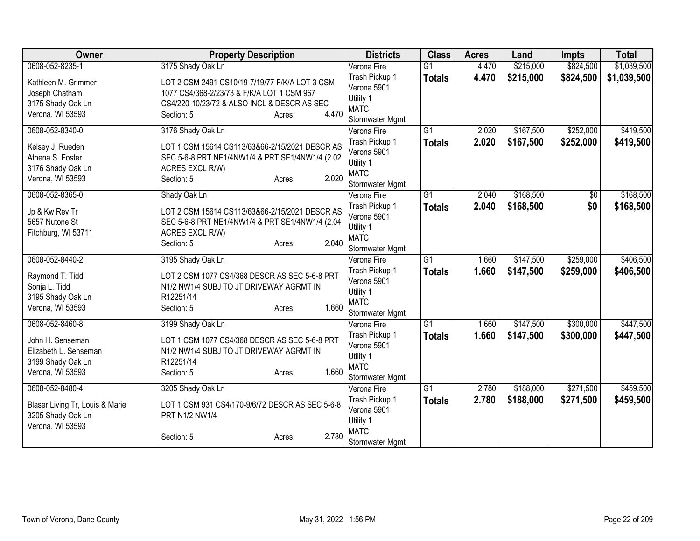| Owner                           | <b>Property Description</b>                     | <b>Districts</b>         | <b>Class</b>    | <b>Acres</b> | Land      | <b>Impts</b>    | <b>Total</b> |
|---------------------------------|-------------------------------------------------|--------------------------|-----------------|--------------|-----------|-----------------|--------------|
| 0608-052-8235-1                 | 3175 Shady Oak Ln                               | Verona Fire              | $\overline{G1}$ | 4.470        | \$215,000 | \$824,500       | \$1,039,500  |
| Kathleen M. Grimmer             | LOT 2 CSM 2491 CS10/19-7/19/77 F/K/A LOT 3 CSM  | Trash Pickup 1           | <b>Totals</b>   | 4.470        | \$215,000 | \$824,500       | \$1,039,500  |
| Joseph Chatham                  | 1077 CS4/368-2/23/73 & F/K/A LOT 1 CSM 967      | Verona 5901              |                 |              |           |                 |              |
| 3175 Shady Oak Ln               | CS4/220-10/23/72 & ALSO INCL & DESCR AS SEC     | Utility 1                |                 |              |           |                 |              |
| Verona, WI 53593                | 4.470<br>Section: 5<br>Acres:                   | <b>MATC</b>              |                 |              |           |                 |              |
|                                 |                                                 | Stormwater Mgmt          |                 |              |           |                 |              |
| 0608-052-8340-0                 | 3176 Shady Oak Ln                               | Verona Fire              | $\overline{G1}$ | 2.020        | \$167,500 | \$252,000       | \$419,500    |
| Kelsey J. Rueden                | LOT 1 CSM 15614 CS113/63&66-2/15/2021 DESCR AS  | Trash Pickup 1           | <b>Totals</b>   | 2.020        | \$167,500 | \$252,000       | \$419,500    |
| Athena S. Foster                | SEC 5-6-8 PRT NE1/4NW1/4 & PRT SE1/4NW1/4 (2.02 | Verona 5901              |                 |              |           |                 |              |
| 3176 Shady Oak Ln               | ACRES EXCL R/W)                                 | Utility 1                |                 |              |           |                 |              |
| Verona, WI 53593                | 2.020<br>Section: 5<br>Acres:                   | <b>MATC</b>              |                 |              |           |                 |              |
|                                 |                                                 | Stormwater Mgmt          |                 |              |           |                 |              |
| 0608-052-8365-0                 | Shady Oak Ln                                    | Verona Fire              | $\overline{G1}$ | 2.040        | \$168,500 | $\overline{50}$ | \$168,500    |
| Jp & Kw Rev Tr                  | LOT 2 CSM 15614 CS113/63&66-2/15/2021 DESCR AS  | Trash Pickup 1           | <b>Totals</b>   | 2.040        | \$168,500 | \$0             | \$168,500    |
| 5657 Nutone St                  | SEC 5-6-8 PRT NE1/4NW1/4 & PRT SE1/4NW1/4 (2.04 | Verona 5901              |                 |              |           |                 |              |
| Fitchburg, WI 53711             | ACRES EXCL R/W)                                 | Utility 1                |                 |              |           |                 |              |
|                                 | 2.040<br>Section: 5<br>Acres:                   | <b>MATC</b>              |                 |              |           |                 |              |
|                                 |                                                 | Stormwater Mgmt          |                 |              |           |                 |              |
| 0608-052-8440-2                 | 3195 Shady Oak Ln                               | Verona Fire              | $\overline{G1}$ | 1.660        | \$147,500 | \$259,000       | \$406,500    |
| Raymond T. Tidd                 | LOT 2 CSM 1077 CS4/368 DESCR AS SEC 5-6-8 PRT   | Trash Pickup 1           | <b>Totals</b>   | 1.660        | \$147,500 | \$259,000       | \$406,500    |
| Sonja L. Tidd                   | N1/2 NW1/4 SUBJ TO JT DRIVEWAY AGRMT IN         | Verona 5901              |                 |              |           |                 |              |
| 3195 Shady Oak Ln               | R12251/14                                       | Utility 1                |                 |              |           |                 |              |
| Verona, WI 53593                | 1.660<br>Section: 5<br>Acres:                   | <b>MATC</b>              |                 |              |           |                 |              |
|                                 |                                                 | Stormwater Mgmt          | $\overline{G1}$ |              |           |                 |              |
| 0608-052-8460-8                 | 3199 Shady Oak Ln                               | Verona Fire              |                 | 1.660        | \$147,500 | \$300,000       | \$447,500    |
| John H. Senseman                | LOT 1 CSM 1077 CS4/368 DESCR AS SEC 5-6-8 PRT   | Trash Pickup 1           | <b>Totals</b>   | 1.660        | \$147,500 | \$300,000       | \$447,500    |
| Elizabeth L. Senseman           | N1/2 NW1/4 SUBJ TO JT DRIVEWAY AGRMT IN         | Verona 5901              |                 |              |           |                 |              |
| 3199 Shady Oak Ln               | R12251/14                                       | Utility 1<br><b>MATC</b> |                 |              |           |                 |              |
| Verona, WI 53593                | 1.660<br>Section: 5<br>Acres:                   | Stormwater Mgmt          |                 |              |           |                 |              |
| 0608-052-8480-4                 | 3205 Shady Oak Ln                               | Verona Fire              | $\overline{G1}$ | 2.780        | \$188,000 | \$271,500       | \$459,500    |
|                                 |                                                 | Trash Pickup 1           |                 |              |           |                 |              |
| Blaser Living Tr, Louis & Marie | LOT 1 CSM 931 CS4/170-9/6/72 DESCR AS SEC 5-6-8 | Verona 5901              | <b>Totals</b>   | 2.780        | \$188,000 | \$271,500       | \$459,500    |
| 3205 Shady Oak Ln               | PRT N1/2 NW1/4                                  | Utility 1                |                 |              |           |                 |              |
| Verona, WI 53593                |                                                 | <b>MATC</b>              |                 |              |           |                 |              |
|                                 | 2.780<br>Section: 5<br>Acres:                   | Stormwater Mgmt          |                 |              |           |                 |              |
|                                 |                                                 |                          |                 |              |           |                 |              |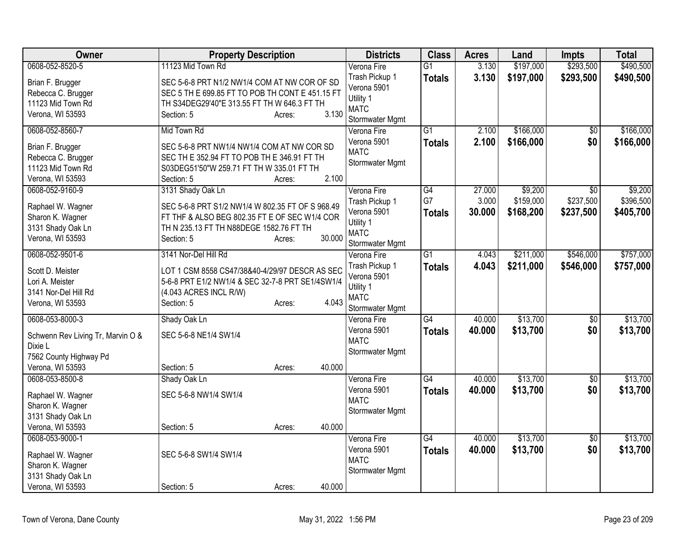| 0608-052-8520-5<br>\$197,000<br>Verona Fire<br>$\overline{G1}$<br>3.130<br>3.130<br>Trash Pickup 1<br>\$197,000<br>\$293,500<br>\$490,500<br><b>Totals</b><br>SEC 5-6-8 PRT N1/2 NW1/4 COM AT NW COR OF SD<br>Brian F. Brugger<br>Verona 5901<br>SEC 5 TH E 699.85 FT TO POB TH CONT E 451.15 FT<br>Rebecca C. Brugger<br>Utility 1<br>11123 Mid Town Rd<br>TH S34DEG29'40"E 313.55 FT TH W 646.3 FT TH<br><b>MATC</b><br>3.130<br>Verona, WI 53593<br>Section: 5<br>Acres:<br>Stormwater Mgmt<br>\$166,000<br>0608-052-8560-7<br>Mid Town Rd<br>$\overline{G1}$<br>2.100<br>$\sqrt{6}$<br>Verona Fire<br>\$0<br>2.100<br>\$166,000<br>\$166,000<br>Verona 5901<br><b>Totals</b><br>SEC 5-6-8 PRT NW1/4 NW1/4 COM AT NW COR SD<br>Brian F. Brugger<br><b>MATC</b><br>Rebecca C. Brugger<br>SEC TH E 352.94 FT TO POB TH E 346.91 FT TH<br>Stormwater Mgmt<br>11123 Mid Town Rd<br>S03DEG51'50"W 259.71 FT TH W 335.01 FT TH<br>2.100<br>Verona, WI 53593<br>Section: 5<br>Acres:<br>\$9,200<br>0608-052-9160-9<br>3131 Shady Oak Ln<br>Verona Fire<br>G4<br>27.000<br>$\overline{30}$<br>G7<br>\$237,500<br>3.000<br>\$159,000<br>Trash Pickup 1<br>SEC 5-6-8 PRT S1/2 NW1/4 W 802.35 FT OF S 968.49<br>Raphael W. Wagner<br>\$168,200<br>Verona 5901<br>30.000<br>\$237,500<br>\$405,700<br><b>Totals</b><br>FT THF & ALSO BEG 802.35 FT E OF SEC W1/4 COR<br>Sharon K. Wagner<br>Utility 1<br>3131 Shady Oak Ln<br>TH N 235.13 FT TH N88DEGE 1582.76 FT TH<br><b>MATC</b><br>30.000<br>Verona, WI 53593<br>Section: 5<br>Acres:<br>Stormwater Mgmt<br>0608-052-9501-6<br>3141 Nor-Del Hill Rd<br>$\overline{G1}$<br>\$211,000<br>\$546,000<br>4.043<br>Verona Fire<br>Trash Pickup 1<br>Totals<br>4.043<br>\$211,000<br>\$757,000<br>\$546,000<br>Scott D. Meister<br>LOT 1 CSM 8558 CS47/38&40-4/29/97 DESCR AS SEC<br>Verona 5901<br>5-6-8 PRT E1/2 NW1/4 & SEC 32-7-8 PRT SE1/4SW1/4<br>Lori A. Meister<br>Utility 1<br>3141 Nor-Del Hill Rd<br>(4.043 ACRES INCL R/W)<br><b>MATC</b><br>4.043<br>Section: 5<br>Verona, WI 53593<br>Acres:<br>Stormwater Mgmt<br>\$13,700<br>0608-053-8000-3<br>$\overline{G4}$<br>40.000<br>Shady Oak Ln<br>Verona Fire<br>$\overline{50}$<br>Verona 5901<br>\$13,700<br>\$0<br>40.000<br>\$13,700<br>Totals<br>SEC 5-6-8 NE1/4 SW1/4<br>Schwenn Rev Living Tr, Marvin O &<br><b>MATC</b><br>Dixie L<br>Stormwater Mgmt<br>7562 County Highway Pd<br>40.000<br>Verona, WI 53593<br>Section: 5<br>Acres:<br>\$13,700<br>0608-053-8500-8<br>Shady Oak Ln<br>Verona Fire<br>$\overline{G4}$<br>40.000<br>\$0<br>Verona 5901<br>40.000<br>\$13,700<br>\$0<br>\$13,700<br><b>Totals</b> | Owner             | <b>Property Description</b> | <b>Districts</b> | <b>Class</b> | <b>Acres</b> | Land | <b>Impts</b> | <b>Total</b> |
|--------------------------------------------------------------------------------------------------------------------------------------------------------------------------------------------------------------------------------------------------------------------------------------------------------------------------------------------------------------------------------------------------------------------------------------------------------------------------------------------------------------------------------------------------------------------------------------------------------------------------------------------------------------------------------------------------------------------------------------------------------------------------------------------------------------------------------------------------------------------------------------------------------------------------------------------------------------------------------------------------------------------------------------------------------------------------------------------------------------------------------------------------------------------------------------------------------------------------------------------------------------------------------------------------------------------------------------------------------------------------------------------------------------------------------------------------------------------------------------------------------------------------------------------------------------------------------------------------------------------------------------------------------------------------------------------------------------------------------------------------------------------------------------------------------------------------------------------------------------------------------------------------------------------------------------------------------------------------------------------------------------------------------------------------------------------------------------------------------------------------------------------------------------------------------------------------------------------------------------------------------------------------------------------------------------------------------------------------------------------------------------------------------------------------------------------------------------------------------------------------------------------------------------------------------------------------------------------------------------------------|-------------------|-----------------------------|------------------|--------------|--------------|------|--------------|--------------|
|                                                                                                                                                                                                                                                                                                                                                                                                                                                                                                                                                                                                                                                                                                                                                                                                                                                                                                                                                                                                                                                                                                                                                                                                                                                                                                                                                                                                                                                                                                                                                                                                                                                                                                                                                                                                                                                                                                                                                                                                                                                                                                                                                                                                                                                                                                                                                                                                                                                                                                                                                                                                                          |                   | 11123 Mid Town Rd           |                  |              |              |      | \$293,500    | \$490,500    |
|                                                                                                                                                                                                                                                                                                                                                                                                                                                                                                                                                                                                                                                                                                                                                                                                                                                                                                                                                                                                                                                                                                                                                                                                                                                                                                                                                                                                                                                                                                                                                                                                                                                                                                                                                                                                                                                                                                                                                                                                                                                                                                                                                                                                                                                                                                                                                                                                                                                                                                                                                                                                                          |                   |                             |                  |              |              |      |              |              |
| \$166,000                                                                                                                                                                                                                                                                                                                                                                                                                                                                                                                                                                                                                                                                                                                                                                                                                                                                                                                                                                                                                                                                                                                                                                                                                                                                                                                                                                                                                                                                                                                                                                                                                                                                                                                                                                                                                                                                                                                                                                                                                                                                                                                                                                                                                                                                                                                                                                                                                                                                                                                                                                                                                |                   |                             |                  |              |              |      |              |              |
|                                                                                                                                                                                                                                                                                                                                                                                                                                                                                                                                                                                                                                                                                                                                                                                                                                                                                                                                                                                                                                                                                                                                                                                                                                                                                                                                                                                                                                                                                                                                                                                                                                                                                                                                                                                                                                                                                                                                                                                                                                                                                                                                                                                                                                                                                                                                                                                                                                                                                                                                                                                                                          |                   |                             |                  |              |              |      |              |              |
|                                                                                                                                                                                                                                                                                                                                                                                                                                                                                                                                                                                                                                                                                                                                                                                                                                                                                                                                                                                                                                                                                                                                                                                                                                                                                                                                                                                                                                                                                                                                                                                                                                                                                                                                                                                                                                                                                                                                                                                                                                                                                                                                                                                                                                                                                                                                                                                                                                                                                                                                                                                                                          |                   |                             |                  |              |              |      |              |              |
| \$9,200<br>\$396,500<br>\$757,000<br>\$13,700<br>\$13,700                                                                                                                                                                                                                                                                                                                                                                                                                                                                                                                                                                                                                                                                                                                                                                                                                                                                                                                                                                                                                                                                                                                                                                                                                                                                                                                                                                                                                                                                                                                                                                                                                                                                                                                                                                                                                                                                                                                                                                                                                                                                                                                                                                                                                                                                                                                                                                                                                                                                                                                                                                |                   |                             |                  |              |              |      |              |              |
|                                                                                                                                                                                                                                                                                                                                                                                                                                                                                                                                                                                                                                                                                                                                                                                                                                                                                                                                                                                                                                                                                                                                                                                                                                                                                                                                                                                                                                                                                                                                                                                                                                                                                                                                                                                                                                                                                                                                                                                                                                                                                                                                                                                                                                                                                                                                                                                                                                                                                                                                                                                                                          |                   |                             |                  |              |              |      |              |              |
|                                                                                                                                                                                                                                                                                                                                                                                                                                                                                                                                                                                                                                                                                                                                                                                                                                                                                                                                                                                                                                                                                                                                                                                                                                                                                                                                                                                                                                                                                                                                                                                                                                                                                                                                                                                                                                                                                                                                                                                                                                                                                                                                                                                                                                                                                                                                                                                                                                                                                                                                                                                                                          |                   |                             |                  |              |              |      |              |              |
|                                                                                                                                                                                                                                                                                                                                                                                                                                                                                                                                                                                                                                                                                                                                                                                                                                                                                                                                                                                                                                                                                                                                                                                                                                                                                                                                                                                                                                                                                                                                                                                                                                                                                                                                                                                                                                                                                                                                                                                                                                                                                                                                                                                                                                                                                                                                                                                                                                                                                                                                                                                                                          |                   |                             |                  |              |              |      |              |              |
|                                                                                                                                                                                                                                                                                                                                                                                                                                                                                                                                                                                                                                                                                                                                                                                                                                                                                                                                                                                                                                                                                                                                                                                                                                                                                                                                                                                                                                                                                                                                                                                                                                                                                                                                                                                                                                                                                                                                                                                                                                                                                                                                                                                                                                                                                                                                                                                                                                                                                                                                                                                                                          |                   |                             |                  |              |              |      |              |              |
|                                                                                                                                                                                                                                                                                                                                                                                                                                                                                                                                                                                                                                                                                                                                                                                                                                                                                                                                                                                                                                                                                                                                                                                                                                                                                                                                                                                                                                                                                                                                                                                                                                                                                                                                                                                                                                                                                                                                                                                                                                                                                                                                                                                                                                                                                                                                                                                                                                                                                                                                                                                                                          |                   |                             |                  |              |              |      |              |              |
|                                                                                                                                                                                                                                                                                                                                                                                                                                                                                                                                                                                                                                                                                                                                                                                                                                                                                                                                                                                                                                                                                                                                                                                                                                                                                                                                                                                                                                                                                                                                                                                                                                                                                                                                                                                                                                                                                                                                                                                                                                                                                                                                                                                                                                                                                                                                                                                                                                                                                                                                                                                                                          |                   |                             |                  |              |              |      |              |              |
|                                                                                                                                                                                                                                                                                                                                                                                                                                                                                                                                                                                                                                                                                                                                                                                                                                                                                                                                                                                                                                                                                                                                                                                                                                                                                                                                                                                                                                                                                                                                                                                                                                                                                                                                                                                                                                                                                                                                                                                                                                                                                                                                                                                                                                                                                                                                                                                                                                                                                                                                                                                                                          |                   |                             |                  |              |              |      |              |              |
|                                                                                                                                                                                                                                                                                                                                                                                                                                                                                                                                                                                                                                                                                                                                                                                                                                                                                                                                                                                                                                                                                                                                                                                                                                                                                                                                                                                                                                                                                                                                                                                                                                                                                                                                                                                                                                                                                                                                                                                                                                                                                                                                                                                                                                                                                                                                                                                                                                                                                                                                                                                                                          |                   |                             |                  |              |              |      |              |              |
|                                                                                                                                                                                                                                                                                                                                                                                                                                                                                                                                                                                                                                                                                                                                                                                                                                                                                                                                                                                                                                                                                                                                                                                                                                                                                                                                                                                                                                                                                                                                                                                                                                                                                                                                                                                                                                                                                                                                                                                                                                                                                                                                                                                                                                                                                                                                                                                                                                                                                                                                                                                                                          |                   |                             |                  |              |              |      |              |              |
|                                                                                                                                                                                                                                                                                                                                                                                                                                                                                                                                                                                                                                                                                                                                                                                                                                                                                                                                                                                                                                                                                                                                                                                                                                                                                                                                                                                                                                                                                                                                                                                                                                                                                                                                                                                                                                                                                                                                                                                                                                                                                                                                                                                                                                                                                                                                                                                                                                                                                                                                                                                                                          |                   |                             |                  |              |              |      |              |              |
|                                                                                                                                                                                                                                                                                                                                                                                                                                                                                                                                                                                                                                                                                                                                                                                                                                                                                                                                                                                                                                                                                                                                                                                                                                                                                                                                                                                                                                                                                                                                                                                                                                                                                                                                                                                                                                                                                                                                                                                                                                                                                                                                                                                                                                                                                                                                                                                                                                                                                                                                                                                                                          |                   |                             |                  |              |              |      |              |              |
|                                                                                                                                                                                                                                                                                                                                                                                                                                                                                                                                                                                                                                                                                                                                                                                                                                                                                                                                                                                                                                                                                                                                                                                                                                                                                                                                                                                                                                                                                                                                                                                                                                                                                                                                                                                                                                                                                                                                                                                                                                                                                                                                                                                                                                                                                                                                                                                                                                                                                                                                                                                                                          |                   |                             |                  |              |              |      |              |              |
|                                                                                                                                                                                                                                                                                                                                                                                                                                                                                                                                                                                                                                                                                                                                                                                                                                                                                                                                                                                                                                                                                                                                                                                                                                                                                                                                                                                                                                                                                                                                                                                                                                                                                                                                                                                                                                                                                                                                                                                                                                                                                                                                                                                                                                                                                                                                                                                                                                                                                                                                                                                                                          |                   |                             |                  |              |              |      |              |              |
|                                                                                                                                                                                                                                                                                                                                                                                                                                                                                                                                                                                                                                                                                                                                                                                                                                                                                                                                                                                                                                                                                                                                                                                                                                                                                                                                                                                                                                                                                                                                                                                                                                                                                                                                                                                                                                                                                                                                                                                                                                                                                                                                                                                                                                                                                                                                                                                                                                                                                                                                                                                                                          |                   |                             |                  |              |              |      |              |              |
|                                                                                                                                                                                                                                                                                                                                                                                                                                                                                                                                                                                                                                                                                                                                                                                                                                                                                                                                                                                                                                                                                                                                                                                                                                                                                                                                                                                                                                                                                                                                                                                                                                                                                                                                                                                                                                                                                                                                                                                                                                                                                                                                                                                                                                                                                                                                                                                                                                                                                                                                                                                                                          |                   |                             |                  |              |              |      |              |              |
|                                                                                                                                                                                                                                                                                                                                                                                                                                                                                                                                                                                                                                                                                                                                                                                                                                                                                                                                                                                                                                                                                                                                                                                                                                                                                                                                                                                                                                                                                                                                                                                                                                                                                                                                                                                                                                                                                                                                                                                                                                                                                                                                                                                                                                                                                                                                                                                                                                                                                                                                                                                                                          |                   |                             |                  |              |              |      |              |              |
|                                                                                                                                                                                                                                                                                                                                                                                                                                                                                                                                                                                                                                                                                                                                                                                                                                                                                                                                                                                                                                                                                                                                                                                                                                                                                                                                                                                                                                                                                                                                                                                                                                                                                                                                                                                                                                                                                                                                                                                                                                                                                                                                                                                                                                                                                                                                                                                                                                                                                                                                                                                                                          |                   |                             |                  |              |              |      |              |              |
|                                                                                                                                                                                                                                                                                                                                                                                                                                                                                                                                                                                                                                                                                                                                                                                                                                                                                                                                                                                                                                                                                                                                                                                                                                                                                                                                                                                                                                                                                                                                                                                                                                                                                                                                                                                                                                                                                                                                                                                                                                                                                                                                                                                                                                                                                                                                                                                                                                                                                                                                                                                                                          |                   |                             |                  |              |              |      |              |              |
|                                                                                                                                                                                                                                                                                                                                                                                                                                                                                                                                                                                                                                                                                                                                                                                                                                                                                                                                                                                                                                                                                                                                                                                                                                                                                                                                                                                                                                                                                                                                                                                                                                                                                                                                                                                                                                                                                                                                                                                                                                                                                                                                                                                                                                                                                                                                                                                                                                                                                                                                                                                                                          |                   |                             |                  |              |              |      |              |              |
|                                                                                                                                                                                                                                                                                                                                                                                                                                                                                                                                                                                                                                                                                                                                                                                                                                                                                                                                                                                                                                                                                                                                                                                                                                                                                                                                                                                                                                                                                                                                                                                                                                                                                                                                                                                                                                                                                                                                                                                                                                                                                                                                                                                                                                                                                                                                                                                                                                                                                                                                                                                                                          |                   |                             |                  |              |              |      |              |              |
|                                                                                                                                                                                                                                                                                                                                                                                                                                                                                                                                                                                                                                                                                                                                                                                                                                                                                                                                                                                                                                                                                                                                                                                                                                                                                                                                                                                                                                                                                                                                                                                                                                                                                                                                                                                                                                                                                                                                                                                                                                                                                                                                                                                                                                                                                                                                                                                                                                                                                                                                                                                                                          |                   |                             |                  |              |              |      |              |              |
|                                                                                                                                                                                                                                                                                                                                                                                                                                                                                                                                                                                                                                                                                                                                                                                                                                                                                                                                                                                                                                                                                                                                                                                                                                                                                                                                                                                                                                                                                                                                                                                                                                                                                                                                                                                                                                                                                                                                                                                                                                                                                                                                                                                                                                                                                                                                                                                                                                                                                                                                                                                                                          |                   |                             |                  |              |              |      |              |              |
|                                                                                                                                                                                                                                                                                                                                                                                                                                                                                                                                                                                                                                                                                                                                                                                                                                                                                                                                                                                                                                                                                                                                                                                                                                                                                                                                                                                                                                                                                                                                                                                                                                                                                                                                                                                                                                                                                                                                                                                                                                                                                                                                                                                                                                                                                                                                                                                                                                                                                                                                                                                                                          |                   |                             |                  |              |              |      |              |              |
| <b>MATC</b>                                                                                                                                                                                                                                                                                                                                                                                                                                                                                                                                                                                                                                                                                                                                                                                                                                                                                                                                                                                                                                                                                                                                                                                                                                                                                                                                                                                                                                                                                                                                                                                                                                                                                                                                                                                                                                                                                                                                                                                                                                                                                                                                                                                                                                                                                                                                                                                                                                                                                                                                                                                                              | Raphael W. Wagner | SEC 5-6-8 NW1/4 SW1/4       |                  |              |              |      |              |              |
| Sharon K. Wagner<br>Stormwater Mgmt                                                                                                                                                                                                                                                                                                                                                                                                                                                                                                                                                                                                                                                                                                                                                                                                                                                                                                                                                                                                                                                                                                                                                                                                                                                                                                                                                                                                                                                                                                                                                                                                                                                                                                                                                                                                                                                                                                                                                                                                                                                                                                                                                                                                                                                                                                                                                                                                                                                                                                                                                                                      |                   |                             |                  |              |              |      |              |              |
| 3131 Shady Oak Ln                                                                                                                                                                                                                                                                                                                                                                                                                                                                                                                                                                                                                                                                                                                                                                                                                                                                                                                                                                                                                                                                                                                                                                                                                                                                                                                                                                                                                                                                                                                                                                                                                                                                                                                                                                                                                                                                                                                                                                                                                                                                                                                                                                                                                                                                                                                                                                                                                                                                                                                                                                                                        |                   |                             |                  |              |              |      |              |              |
| 40.000<br>Verona, WI 53593<br>Section: 5<br>Acres:                                                                                                                                                                                                                                                                                                                                                                                                                                                                                                                                                                                                                                                                                                                                                                                                                                                                                                                                                                                                                                                                                                                                                                                                                                                                                                                                                                                                                                                                                                                                                                                                                                                                                                                                                                                                                                                                                                                                                                                                                                                                                                                                                                                                                                                                                                                                                                                                                                                                                                                                                                       |                   |                             |                  |              |              |      |              |              |
| \$13,700<br>\$13,700<br>0608-053-9000-1<br>Verona Fire<br>$\overline{G4}$<br>40.000<br>\$0                                                                                                                                                                                                                                                                                                                                                                                                                                                                                                                                                                                                                                                                                                                                                                                                                                                                                                                                                                                                                                                                                                                                                                                                                                                                                                                                                                                                                                                                                                                                                                                                                                                                                                                                                                                                                                                                                                                                                                                                                                                                                                                                                                                                                                                                                                                                                                                                                                                                                                                               |                   |                             |                  |              |              |      |              |              |
| Verona 5901<br>\$0<br>40.000<br>\$13,700<br>\$13,700<br><b>Totals</b><br>SEC 5-6-8 SW1/4 SW1/4<br>Raphael W. Wagner                                                                                                                                                                                                                                                                                                                                                                                                                                                                                                                                                                                                                                                                                                                                                                                                                                                                                                                                                                                                                                                                                                                                                                                                                                                                                                                                                                                                                                                                                                                                                                                                                                                                                                                                                                                                                                                                                                                                                                                                                                                                                                                                                                                                                                                                                                                                                                                                                                                                                                      |                   |                             |                  |              |              |      |              |              |
| <b>MATC</b><br>Sharon K. Wagner                                                                                                                                                                                                                                                                                                                                                                                                                                                                                                                                                                                                                                                                                                                                                                                                                                                                                                                                                                                                                                                                                                                                                                                                                                                                                                                                                                                                                                                                                                                                                                                                                                                                                                                                                                                                                                                                                                                                                                                                                                                                                                                                                                                                                                                                                                                                                                                                                                                                                                                                                                                          |                   |                             |                  |              |              |      |              |              |
| Stormwater Mgmt<br>3131 Shady Oak Ln                                                                                                                                                                                                                                                                                                                                                                                                                                                                                                                                                                                                                                                                                                                                                                                                                                                                                                                                                                                                                                                                                                                                                                                                                                                                                                                                                                                                                                                                                                                                                                                                                                                                                                                                                                                                                                                                                                                                                                                                                                                                                                                                                                                                                                                                                                                                                                                                                                                                                                                                                                                     |                   |                             |                  |              |              |      |              |              |
| Verona, WI 53593<br>40.000<br>Section: 5<br>Acres:                                                                                                                                                                                                                                                                                                                                                                                                                                                                                                                                                                                                                                                                                                                                                                                                                                                                                                                                                                                                                                                                                                                                                                                                                                                                                                                                                                                                                                                                                                                                                                                                                                                                                                                                                                                                                                                                                                                                                                                                                                                                                                                                                                                                                                                                                                                                                                                                                                                                                                                                                                       |                   |                             |                  |              |              |      |              |              |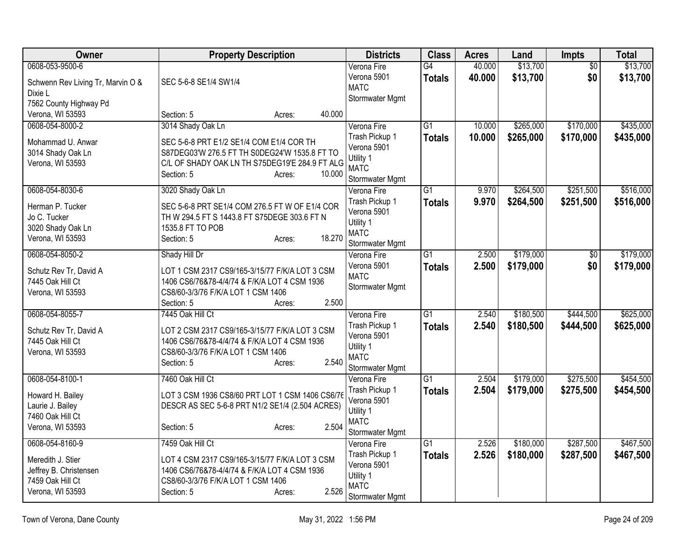| Owner                                       | <b>Property Description</b>                                                                    | <b>Districts</b>               | <b>Class</b>    | <b>Acres</b> | Land      | <b>Impts</b>    | <b>Total</b> |
|---------------------------------------------|------------------------------------------------------------------------------------------------|--------------------------------|-----------------|--------------|-----------|-----------------|--------------|
| 0608-053-9500-6                             |                                                                                                | Verona Fire                    | $\overline{G4}$ | 40.000       | \$13,700  | $\overline{60}$ | \$13,700     |
| Schwenn Rev Living Tr, Marvin O &           | SEC 5-6-8 SE1/4 SW1/4                                                                          | Verona 5901                    | <b>Totals</b>   | 40.000       | \$13,700  | \$0             | \$13,700     |
| Dixie L                                     |                                                                                                | <b>MATC</b>                    |                 |              |           |                 |              |
| 7562 County Highway Pd                      |                                                                                                | Stormwater Mgmt                |                 |              |           |                 |              |
| Verona, WI 53593                            | 40.000<br>Section: 5<br>Acres:                                                                 |                                |                 |              |           |                 |              |
| 0608-054-8000-2                             | 3014 Shady Oak Ln                                                                              | Verona Fire                    | $\overline{G1}$ | 10.000       | \$265,000 | \$170,000       | \$435,000    |
| Mohammad U. Anwar                           | SEC 5-6-8 PRT E1/2 SE1/4 COM E1/4 COR TH                                                       | Trash Pickup 1                 | <b>Totals</b>   | 10.000       | \$265,000 | \$170,000       | \$435,000    |
| 3014 Shady Oak Ln                           | S87DEG03'W 276.5 FT TH S0DEG24'W 1535.8 FT TO                                                  | Verona 5901                    |                 |              |           |                 |              |
| Verona, WI 53593                            | C/L OF SHADY OAK LN TH S75DEG19'E 284.9 FT ALG                                                 | Utility 1                      |                 |              |           |                 |              |
|                                             | 10.000<br>Section: 5<br>Acres:                                                                 | <b>MATC</b><br>Stormwater Mgmt |                 |              |           |                 |              |
| 0608-054-8030-6                             | 3020 Shady Oak Ln                                                                              | Verona Fire                    | $\overline{G1}$ | 9.970        | \$264,500 | \$251,500       | \$516,000    |
|                                             |                                                                                                | Trash Pickup 1                 | <b>Totals</b>   | 9.970        | \$264,500 | \$251,500       | \$516,000    |
| Herman P. Tucker                            | SEC 5-6-8 PRT SE1/4 COM 276.5 FT W OF E1/4 COR                                                 | Verona 5901                    |                 |              |           |                 |              |
| Jo C. Tucker                                | TH W 294.5 FT S 1443.8 FT S75DEGE 303.6 FT N                                                   | Utility 1                      |                 |              |           |                 |              |
| 3020 Shady Oak Ln                           | 1535.8 FT TO POB                                                                               | <b>MATC</b>                    |                 |              |           |                 |              |
| Verona, WI 53593                            | 18.270<br>Section: 5<br>Acres:                                                                 | Stormwater Mgmt                |                 |              |           |                 |              |
| 0608-054-8050-2                             | Shady Hill Dr                                                                                  | Verona Fire                    | $\overline{G1}$ | 2.500        | \$179,000 | \$0             | \$179,000    |
| Schutz Rev Tr, David A                      | LOT 1 CSM 2317 CS9/165-3/15/77 F/K/A LOT 3 CSM                                                 | Verona 5901                    | <b>Totals</b>   | 2.500        | \$179,000 | \$0             | \$179,000    |
| 7445 Oak Hill Ct                            | 1406 CS6/76&78-4/4/74 & F/K/A LOT 4 CSM 1936                                                   | <b>MATC</b>                    |                 |              |           |                 |              |
| Verona, WI 53593                            | CS8/60-3/3/76 F/K/A LOT 1 CSM 1406                                                             | Stormwater Mgmt                |                 |              |           |                 |              |
|                                             | 2.500<br>Section: 5<br>Acres:                                                                  |                                |                 |              |           |                 |              |
| 0608-054-8055-7                             | 7445 Oak Hill Ct                                                                               | Verona Fire                    | $\overline{G1}$ | 2.540        | \$180,500 | \$444,500       | \$625,000    |
| Schutz Rev Tr, David A                      | LOT 2 CSM 2317 CS9/165-3/15/77 F/K/A LOT 3 CSM                                                 | Trash Pickup 1                 | Totals          | 2.540        | \$180,500 | \$444,500       | \$625,000    |
| 7445 Oak Hill Ct                            | 1406 CS6/76&78-4/4/74 & F/K/A LOT 4 CSM 1936                                                   | Verona 5901                    |                 |              |           |                 |              |
| Verona, WI 53593                            | CS8/60-3/3/76 F/K/A LOT 1 CSM 1406                                                             | Utility 1                      |                 |              |           |                 |              |
|                                             | 2.540<br>Section: 5<br>Acres:                                                                  | <b>MATC</b>                    |                 |              |           |                 |              |
| 0608-054-8100-1                             | 7460 Oak Hill Ct                                                                               | Stormwater Mgmt                | $\overline{G1}$ | 2.504        | \$179,000 | \$275,500       | \$454,500    |
|                                             |                                                                                                | Verona Fire<br>Trash Pickup 1  |                 |              |           |                 |              |
| Howard H. Bailey                            | LOT 3 CSM 1936 CS8/60 PRT LOT 1 CSM 1406 CS6/76                                                | Verona 5901                    | <b>Totals</b>   | 2.504        | \$179,000 | \$275,500       | \$454,500    |
| Laurie J. Bailey                            | DESCR AS SEC 5-6-8 PRT N1/2 SE1/4 (2.504 ACRES)                                                | Utility 1                      |                 |              |           |                 |              |
| 7460 Oak Hill Ct                            |                                                                                                | <b>MATC</b>                    |                 |              |           |                 |              |
| Verona, WI 53593                            | 2.504<br>Section: 5<br>Acres:                                                                  | Stormwater Mgmt                |                 |              |           |                 |              |
| 0608-054-8160-9                             | 7459 Oak Hill Ct                                                                               | Verona Fire                    | $\overline{G1}$ | 2.526        | \$180,000 | \$287,500       | \$467,500    |
|                                             |                                                                                                | Trash Pickup 1                 | Totals          | 2.526        | \$180,000 | \$287,500       | \$467,500    |
| Meredith J. Stier<br>Jeffrey B. Christensen | LOT 4 CSM 2317 CS9/165-3/15/77 F/K/A LOT 3 CSM<br>1406 CS6/76&78-4/4/74 & F/K/A LOT 4 CSM 1936 | Verona 5901                    |                 |              |           |                 |              |
| 7459 Oak Hill Ct                            | CS8/60-3/3/76 F/K/A LOT 1 CSM 1406                                                             | Utility 1                      |                 |              |           |                 |              |
| Verona, WI 53593                            | 2.526<br>Section: 5<br>Acres:                                                                  | <b>MATC</b>                    |                 |              |           |                 |              |
|                                             |                                                                                                | Stormwater Mgmt                |                 |              |           |                 |              |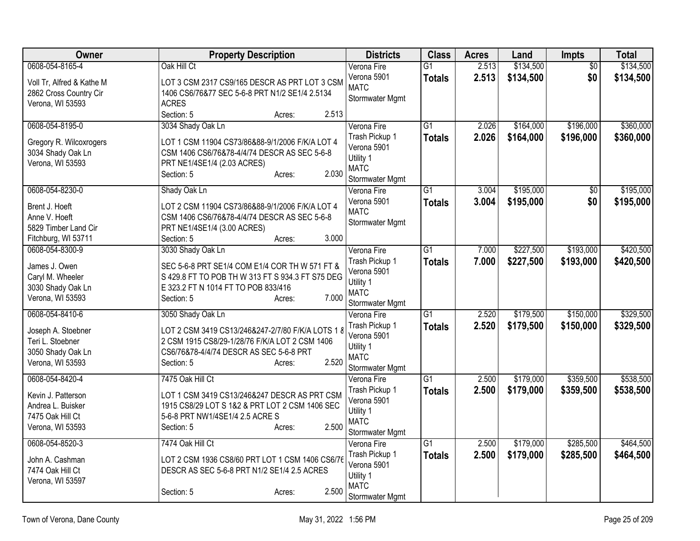| Owner                     | <b>Property Description</b>                       | <b>Districts</b>               | <b>Class</b>    | <b>Acres</b> | Land      | <b>Impts</b>    | <b>Total</b> |
|---------------------------|---------------------------------------------------|--------------------------------|-----------------|--------------|-----------|-----------------|--------------|
| 0608-054-8165-4           | Oak Hill Ct                                       | Verona Fire                    | $\overline{G1}$ | 2.513        | \$134,500 | $\overline{50}$ | \$134,500    |
| Voll Tr, Alfred & Kathe M | LOT 3 CSM 2317 CS9/165 DESCR AS PRT LOT 3 CSM     | Verona 5901                    | <b>Totals</b>   | 2.513        | \$134,500 | \$0             | \$134,500    |
| 2862 Cross Country Cir    | 1406 CS6/76&77 SEC 5-6-8 PRT N1/2 SE1/4 2.5134    | <b>MATC</b>                    |                 |              |           |                 |              |
| Verona, WI 53593          | <b>ACRES</b>                                      | Stormwater Mgmt                |                 |              |           |                 |              |
|                           | 2.513<br>Section: 5<br>Acres:                     |                                |                 |              |           |                 |              |
| 0608-054-8195-0           | 3034 Shady Oak Ln                                 | Verona Fire                    | $\overline{G1}$ | 2.026        | \$164,000 | \$196,000       | \$360,000    |
| Gregory R. Wilcoxrogers   | LOT 1 CSM 11904 CS73/86&88-9/1/2006 F/K/A LOT 4   | Trash Pickup 1                 | <b>Totals</b>   | 2.026        | \$164,000 | \$196,000       | \$360,000    |
| 3034 Shady Oak Ln         | CSM 1406 CS6/76&78-4/4/74 DESCR AS SEC 5-6-8      | Verona 5901                    |                 |              |           |                 |              |
| Verona, WI 53593          | PRT NE1/4SE1/4 (2.03 ACRES)                       | Utility 1                      |                 |              |           |                 |              |
|                           | 2.030<br>Section: 5<br>Acres:                     | <b>MATC</b>                    |                 |              |           |                 |              |
| 0608-054-8230-0           | Shady Oak Ln                                      | Stormwater Mgmt<br>Verona Fire | $\overline{G1}$ | 3.004        | \$195,000 | $\overline{50}$ | \$195,000    |
|                           |                                                   | Verona 5901                    | <b>Totals</b>   | 3.004        | \$195,000 | \$0             | \$195,000    |
| Brent J. Hoeft            | LOT 2 CSM 11904 CS73/86&88-9/1/2006 F/K/A LOT 4   | <b>MATC</b>                    |                 |              |           |                 |              |
| Anne V. Hoeft             | CSM 1406 CS6/76&78-4/4/74 DESCR AS SEC 5-6-8      | Stormwater Mgmt                |                 |              |           |                 |              |
| 5829 Timber Land Cir      | PRT NE1/4SE1/4 (3.00 ACRES)                       |                                |                 |              |           |                 |              |
| Fitchburg, WI 53711       | 3.000<br>Section: 5<br>Acres:                     |                                |                 |              |           |                 |              |
| 0608-054-8300-9           | 3030 Shady Oak Ln                                 | Verona Fire                    | $\overline{G1}$ | 7.000        | \$227,500 | \$193,000       | \$420,500    |
| James J. Owen             | SEC 5-6-8 PRT SE1/4 COM E1/4 COR TH W 571 FT &    | Trash Pickup 1                 | <b>Totals</b>   | 7.000        | \$227,500 | \$193,000       | \$420,500    |
| Caryl M. Wheeler          | S 429.8 FT TO POB TH W 313 FT S 934.3 FT S75 DEG  | Verona 5901                    |                 |              |           |                 |              |
| 3030 Shady Oak Ln         | E 323.2 FT N 1014 FT TO POB 833/416               | Utility 1<br><b>MATC</b>       |                 |              |           |                 |              |
| Verona, WI 53593          | 7.000<br>Section: 5<br>Acres:                     | Stormwater Mgmt                |                 |              |           |                 |              |
| 0608-054-8410-6           | 3050 Shady Oak Ln                                 | Verona Fire                    | $\overline{G1}$ | 2.520        | \$179,500 | \$150,000       | \$329,500    |
|                           |                                                   | Trash Pickup 1                 | <b>Totals</b>   | 2.520        | \$179,500 | \$150,000       | \$329,500    |
| Joseph A. Stoebner        | LOT 2 CSM 3419 CS13/246&247-2/7/80 F/K/A LOTS 1 8 | Verona 5901                    |                 |              |           |                 |              |
| Teri L. Stoebner          | 2 CSM 1915 CS8/29-1/28/76 F/K/A LOT 2 CSM 1406    | Utility 1                      |                 |              |           |                 |              |
| 3050 Shady Oak Ln         | CS6/76&78-4/4/74 DESCR AS SEC 5-6-8 PRT           | <b>MATC</b>                    |                 |              |           |                 |              |
| Verona, WI 53593          | 2.520<br>Section: 5<br>Acres:                     | Stormwater Mgmt                |                 |              |           |                 |              |
| 0608-054-8420-4           | 7475 Oak Hill Ct                                  | Verona Fire                    | $\overline{G1}$ | 2.500        | \$179,000 | \$359,500       | \$538,500    |
| Kevin J. Patterson        | LOT 1 CSM 3419 CS13/246&247 DESCR AS PRT CSM      | Trash Pickup 1                 | <b>Totals</b>   | 2.500        | \$179,000 | \$359,500       | \$538,500    |
| Andrea L. Buisker         | 1915 CS8/29 LOT S 1&2 & PRT LOT 2 CSM 1406 SEC    | Verona 5901                    |                 |              |           |                 |              |
| 7475 Oak Hill Ct          | 5-6-8 PRT NW1/4SE1/4 2.5 ACRE S                   | Utility 1                      |                 |              |           |                 |              |
| Verona, WI 53593          | 2.500<br>Section: 5<br>Acres:                     | <b>MATC</b>                    |                 |              |           |                 |              |
|                           |                                                   | Stormwater Mgmt                |                 |              |           |                 |              |
| 0608-054-8520-3           | 7474 Oak Hill Ct                                  | Verona Fire                    | $\overline{G1}$ | 2.500        | \$179,000 | \$285,500       | \$464,500    |
| John A. Cashman           | LOT 2 CSM 1936 CS8/60 PRT LOT 1 CSM 1406 CS6/76   | Trash Pickup 1                 | <b>Totals</b>   | 2.500        | \$179,000 | \$285,500       | \$464,500    |
| 7474 Oak Hill Ct          | DESCR AS SEC 5-6-8 PRT N1/2 SE1/4 2.5 ACRES       | Verona 5901                    |                 |              |           |                 |              |
| Verona, WI 53597          |                                                   | Utility 1<br><b>MATC</b>       |                 |              |           |                 |              |
|                           | 2.500<br>Section: 5<br>Acres:                     | <b>Stormwater Mgmt</b>         |                 |              |           |                 |              |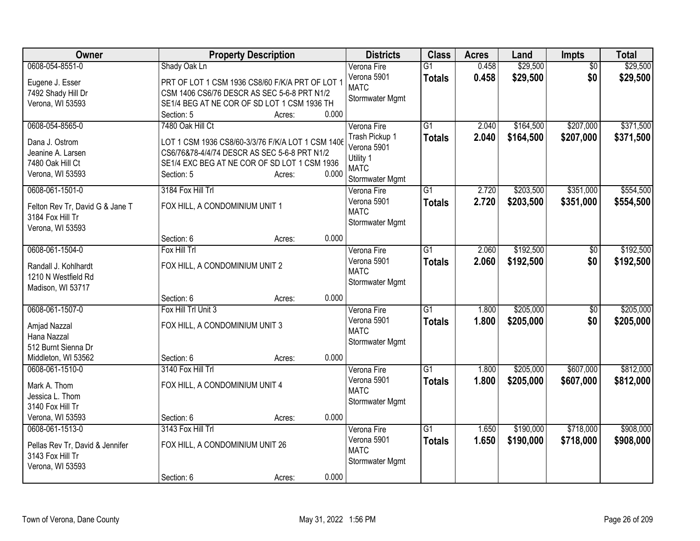| <b>Owner</b>                    |                                                                                                   | <b>Property Description</b> |       | <b>Districts</b> | <b>Class</b>    | <b>Acres</b> | Land      | <b>Impts</b>    | <b>Total</b> |
|---------------------------------|---------------------------------------------------------------------------------------------------|-----------------------------|-------|------------------|-----------------|--------------|-----------|-----------------|--------------|
| 0608-054-8551-0                 | Shady Oak Ln                                                                                      |                             |       | Verona Fire      | $\overline{G1}$ | 0.458        | \$29,500  | $\overline{50}$ | \$29,500     |
| Eugene J. Esser                 | PRT OF LOT 1 CSM 1936 CS8/60 F/K/A PRT OF LOT 1                                                   |                             |       | Verona 5901      | <b>Totals</b>   | 0.458        | \$29,500  | \$0             | \$29,500     |
| 7492 Shady Hill Dr              | CSM 1406 CS6/76 DESCR AS SEC 5-6-8 PRT N1/2                                                       |                             |       | <b>MATC</b>      |                 |              |           |                 |              |
| Verona, WI 53593                | SE1/4 BEG AT NE COR OF SD LOT 1 CSM 1936 TH                                                       |                             |       | Stormwater Mgmt  |                 |              |           |                 |              |
|                                 | Section: 5                                                                                        | Acres:                      | 0.000 |                  |                 |              |           |                 |              |
| 0608-054-8565-0                 | 7480 Oak Hill Ct                                                                                  |                             |       | Verona Fire      | $\overline{G1}$ | 2.040        | \$164,500 | \$207,000       | \$371,500    |
| Dana J. Ostrom                  |                                                                                                   |                             |       | Trash Pickup 1   | <b>Totals</b>   | 2.040        | \$164,500 | \$207,000       | \$371,500    |
| Jeanine A. Larsen               | LOT 1 CSM 1936 CS8/60-3/3/76 F/K/A LOT 1 CSM 1406<br>CS6/76&78-4/4/74 DESCR AS SEC 5-6-8 PRT N1/2 |                             |       | Verona 5901      |                 |              |           |                 |              |
| 7480 Oak Hill Ct                | SE1/4 EXC BEG AT NE COR OF SD LOT 1 CSM 1936                                                      |                             |       | Utility 1        |                 |              |           |                 |              |
| Verona, WI 53593                | Section: 5                                                                                        | Acres:                      | 0.000 | <b>MATC</b>      |                 |              |           |                 |              |
|                                 |                                                                                                   |                             |       | Stormwater Mgmt  |                 |              |           |                 |              |
| 0608-061-1501-0                 | 3184 Fox Hill Trl                                                                                 |                             |       | Verona Fire      | $\overline{G1}$ | 2.720        | \$203,500 | \$351,000       | \$554,500    |
| Felton Rev Tr, David G & Jane T | FOX HILL, A CONDOMINIUM UNIT 1                                                                    |                             |       | Verona 5901      | <b>Totals</b>   | 2.720        | \$203,500 | \$351,000       | \$554,500    |
| 3184 Fox Hill Tr                |                                                                                                   |                             |       | <b>MATC</b>      |                 |              |           |                 |              |
| Verona, WI 53593                |                                                                                                   |                             |       | Stormwater Mgmt  |                 |              |           |                 |              |
|                                 | Section: 6                                                                                        | Acres:                      | 0.000 |                  |                 |              |           |                 |              |
| 0608-061-1504-0                 | Fox Hill Trl                                                                                      |                             |       | Verona Fire      | $\overline{G1}$ | 2.060        | \$192,500 | $\sqrt{$0}$     | \$192,500    |
| Randall J. Kohlhardt            | FOX HILL, A CONDOMINIUM UNIT 2                                                                    |                             |       | Verona 5901      | <b>Totals</b>   | 2.060        | \$192,500 | \$0             | \$192,500    |
| 1210 N Westfield Rd             |                                                                                                   |                             |       | <b>MATC</b>      |                 |              |           |                 |              |
| Madison, WI 53717               |                                                                                                   |                             |       | Stormwater Mgmt  |                 |              |           |                 |              |
|                                 | Section: 6                                                                                        | Acres:                      | 0.000 |                  |                 |              |           |                 |              |
| 0608-061-1507-0                 | Fox Hill Trl Unit 3                                                                               |                             |       | Verona Fire      | $\overline{G1}$ | 1.800        | \$205,000 | \$0             | \$205,000    |
|                                 |                                                                                                   |                             |       | Verona 5901      | <b>Totals</b>   | 1.800        | \$205,000 | \$0             | \$205,000    |
| Amjad Nazzal                    | FOX HILL, A CONDOMINIUM UNIT 3                                                                    |                             |       | <b>MATC</b>      |                 |              |           |                 |              |
| Hana Nazzal                     |                                                                                                   |                             |       | Stormwater Mgmt  |                 |              |           |                 |              |
| 512 Burnt Sienna Dr             |                                                                                                   |                             |       |                  |                 |              |           |                 |              |
| Middleton, WI 53562             | Section: 6                                                                                        | Acres:                      | 0.000 |                  |                 |              |           |                 |              |
| 0608-061-1510-0                 | 3140 Fox Hill Trl                                                                                 |                             |       | Verona Fire      | $\overline{G1}$ | 1.800        | \$205,000 | \$607,000       | \$812,000    |
| Mark A. Thom                    | FOX HILL, A CONDOMINIUM UNIT 4                                                                    |                             |       | Verona 5901      | <b>Totals</b>   | 1.800        | \$205,000 | \$607,000       | \$812,000    |
| Jessica L. Thom                 |                                                                                                   |                             |       | <b>MATC</b>      |                 |              |           |                 |              |
| 3140 Fox Hill Tr                |                                                                                                   |                             |       | Stormwater Mgmt  |                 |              |           |                 |              |
| Verona, WI 53593                | Section: 6                                                                                        | Acres:                      | 0.000 |                  |                 |              |           |                 |              |
| 0608-061-1513-0                 | 3143 Fox Hill Trl                                                                                 |                             |       | Verona Fire      | $\overline{G1}$ | 1.650        | \$190,000 | \$718,000       | \$908,000    |
| Pellas Rev Tr, David & Jennifer | FOX HILL, A CONDOMINIUM UNIT 26                                                                   |                             |       | Verona 5901      | <b>Totals</b>   | 1.650        | \$190,000 | \$718,000       | \$908,000    |
| 3143 Fox Hill Tr                |                                                                                                   |                             |       | <b>MATC</b>      |                 |              |           |                 |              |
| Verona, WI 53593                |                                                                                                   |                             |       | Stormwater Mgmt  |                 |              |           |                 |              |
|                                 | Section: 6                                                                                        | Acres:                      | 0.000 |                  |                 |              |           |                 |              |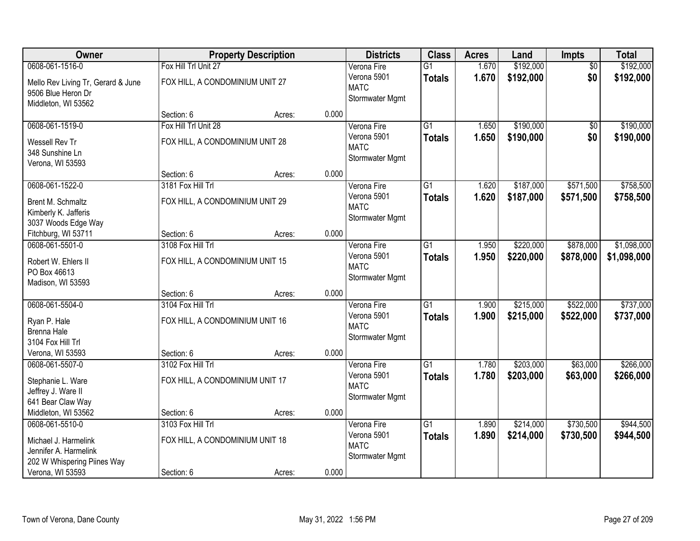| Owner                              |                                 | <b>Property Description</b> |       | <b>Districts</b> | <b>Class</b>    | <b>Acres</b> | Land      | <b>Impts</b>    | <b>Total</b> |
|------------------------------------|---------------------------------|-----------------------------|-------|------------------|-----------------|--------------|-----------|-----------------|--------------|
| 0608-061-1516-0                    | Fox Hill Trl Unit 27            |                             |       | Verona Fire      | $\overline{G1}$ | 1.670        | \$192,000 | $\overline{50}$ | \$192,000    |
| Mello Rev Living Tr, Gerard & June | FOX HILL, A CONDOMINIUM UNIT 27 |                             |       | Verona 5901      | <b>Totals</b>   | 1.670        | \$192,000 | \$0             | \$192,000    |
| 9506 Blue Heron Dr                 |                                 |                             |       | <b>MATC</b>      |                 |              |           |                 |              |
| Middleton, WI 53562                |                                 |                             |       | Stormwater Mgmt  |                 |              |           |                 |              |
|                                    | Section: 6                      | Acres:                      | 0.000 |                  |                 |              |           |                 |              |
| 0608-061-1519-0                    | Fox Hill Trl Unit 28            |                             |       | Verona Fire      | $\overline{G1}$ | 1.650        | \$190,000 | \$0             | \$190,000    |
| Wessell Rev Tr                     | FOX HILL, A CONDOMINIUM UNIT 28 |                             |       | Verona 5901      | <b>Totals</b>   | 1.650        | \$190,000 | \$0             | \$190,000    |
| 348 Sunshine Ln                    |                                 |                             |       | <b>MATC</b>      |                 |              |           |                 |              |
| Verona, WI 53593                   |                                 |                             |       | Stormwater Mgmt  |                 |              |           |                 |              |
|                                    | Section: 6                      | Acres:                      | 0.000 |                  |                 |              |           |                 |              |
| 0608-061-1522-0                    | 3181 Fox Hill Trl               |                             |       | Verona Fire      | $\overline{G1}$ | 1.620        | \$187,000 | \$571,500       | \$758,500    |
| Brent M. Schmaltz                  | FOX HILL, A CONDOMINIUM UNIT 29 |                             |       | Verona 5901      | <b>Totals</b>   | 1.620        | \$187,000 | \$571,500       | \$758,500    |
| Kimberly K. Jafferis               |                                 |                             |       | <b>MATC</b>      |                 |              |           |                 |              |
| 3037 Woods Edge Way                |                                 |                             |       | Stormwater Mgmt  |                 |              |           |                 |              |
| Fitchburg, WI 53711                | Section: 6                      | Acres:                      | 0.000 |                  |                 |              |           |                 |              |
| 0608-061-5501-0                    | 3108 Fox Hill Trl               |                             |       | Verona Fire      | $\overline{G1}$ | 1.950        | \$220,000 | \$878,000       | \$1,098,000  |
|                                    |                                 |                             |       | Verona 5901      | <b>Totals</b>   | 1.950        | \$220,000 | \$878,000       | \$1,098,000  |
| Robert W. Ehlers II                | FOX HILL, A CONDOMINIUM UNIT 15 |                             |       | <b>MATC</b>      |                 |              |           |                 |              |
| PO Box 46613<br>Madison, WI 53593  |                                 |                             |       | Stormwater Mgmt  |                 |              |           |                 |              |
|                                    | Section: 6                      | Acres:                      | 0.000 |                  |                 |              |           |                 |              |
| 0608-061-5504-0                    | 3104 Fox Hill Trl               |                             |       | Verona Fire      | $\overline{G1}$ | 1.900        | \$215,000 | \$522,000       | \$737,000    |
|                                    |                                 |                             |       | Verona 5901      | <b>Totals</b>   | 1.900        | \$215,000 | \$522,000       | \$737,000    |
| Ryan P. Hale                       | FOX HILL, A CONDOMINIUM UNIT 16 |                             |       | <b>MATC</b>      |                 |              |           |                 |              |
| Brenna Hale                        |                                 |                             |       | Stormwater Mgmt  |                 |              |           |                 |              |
| 3104 Fox Hill Trl                  |                                 |                             |       |                  |                 |              |           |                 |              |
| Verona, WI 53593                   | Section: 6                      | Acres:                      | 0.000 |                  |                 |              |           |                 |              |
| 0608-061-5507-0                    | 3102 Fox Hill Trl               |                             |       | Verona Fire      | $\overline{G1}$ | 1.780        | \$203,000 | \$63,000        | \$266,000    |
| Stephanie L. Ware                  | FOX HILL, A CONDOMINIUM UNIT 17 |                             |       | Verona 5901      | <b>Totals</b>   | 1.780        | \$203,000 | \$63,000        | \$266,000    |
| Jeffrey J. Ware II                 |                                 |                             |       | <b>MATC</b>      |                 |              |           |                 |              |
| 641 Bear Claw Way                  |                                 |                             |       | Stormwater Mgmt  |                 |              |           |                 |              |
| Middleton, WI 53562                | Section: 6                      | Acres:                      | 0.000 |                  |                 |              |           |                 |              |
| 0608-061-5510-0                    | 3103 Fox Hill Trl               |                             |       | Verona Fire      | $\overline{G1}$ | 1.890        | \$214,000 | \$730,500       | \$944,500    |
| Michael J. Harmelink               | FOX HILL, A CONDOMINIUM UNIT 18 |                             |       | Verona 5901      | <b>Totals</b>   | 1.890        | \$214,000 | \$730,500       | \$944,500    |
| Jennifer A. Harmelink              |                                 |                             |       | <b>MATC</b>      |                 |              |           |                 |              |
| 202 W Whispering Piines Way        |                                 |                             |       | Stormwater Mgmt  |                 |              |           |                 |              |
| Verona, WI 53593                   | Section: 6                      | Acres:                      | 0.000 |                  |                 |              |           |                 |              |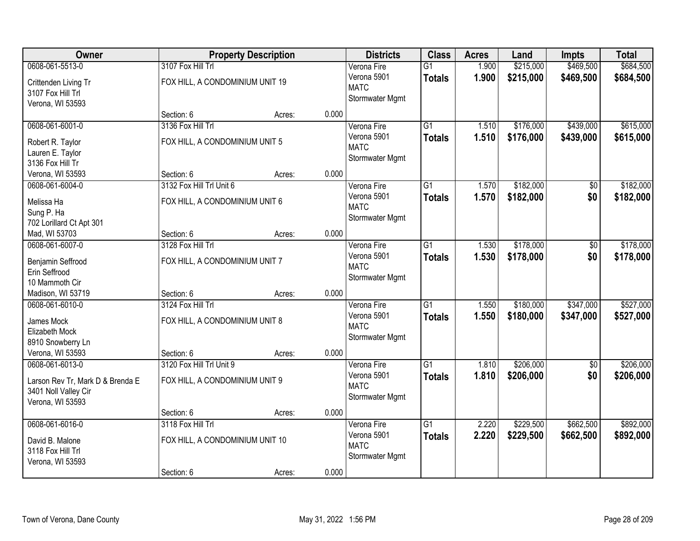| Owner                                     |                                 | <b>Property Description</b> |       | <b>Districts</b> | <b>Class</b>    | <b>Acres</b> | Land      | <b>Impts</b>    | <b>Total</b> |
|-------------------------------------------|---------------------------------|-----------------------------|-------|------------------|-----------------|--------------|-----------|-----------------|--------------|
| 0608-061-5513-0                           | 3107 Fox Hill Trl               |                             |       | Verona Fire      | $\overline{G1}$ | 1.900        | \$215,000 | \$469,500       | \$684,500    |
| Crittenden Living Tr                      | FOX HILL, A CONDOMINIUM UNIT 19 |                             |       | Verona 5901      | <b>Totals</b>   | 1.900        | \$215,000 | \$469,500       | \$684,500    |
| 3107 Fox Hill Trl                         |                                 |                             |       | <b>MATC</b>      |                 |              |           |                 |              |
| Verona, WI 53593                          |                                 |                             |       | Stormwater Mgmt  |                 |              |           |                 |              |
|                                           | Section: 6                      | Acres:                      | 0.000 |                  |                 |              |           |                 |              |
| 0608-061-6001-0                           | 3136 Fox Hill Trl               |                             |       | Verona Fire      | $\overline{G1}$ | 1.510        | \$176,000 | \$439,000       | \$615,000    |
| Robert R. Taylor                          | FOX HILL, A CONDOMINIUM UNIT 5  |                             |       | Verona 5901      | <b>Totals</b>   | 1.510        | \$176,000 | \$439,000       | \$615,000    |
| Lauren E. Taylor                          |                                 |                             |       | <b>MATC</b>      |                 |              |           |                 |              |
| 3136 Fox Hill Tr                          |                                 |                             |       | Stormwater Mgmt  |                 |              |           |                 |              |
| Verona, WI 53593                          | Section: 6                      | Acres:                      | 0.000 |                  |                 |              |           |                 |              |
| 0608-061-6004-0                           | 3132 Fox Hill Trl Unit 6        |                             |       | Verona Fire      | G1              | 1.570        | \$182,000 | \$0             | \$182,000    |
|                                           |                                 |                             |       | Verona 5901      | <b>Totals</b>   | 1.570        | \$182,000 | \$0             | \$182,000    |
| Melissa Ha                                | FOX HILL, A CONDOMINIUM UNIT 6  |                             |       | <b>MATC</b>      |                 |              |           |                 |              |
| Sung P. Ha                                |                                 |                             |       | Stormwater Mgmt  |                 |              |           |                 |              |
| 702 Lorillard Ct Apt 301<br>Mad, WI 53703 | Section: 6                      | Acres:                      | 0.000 |                  |                 |              |           |                 |              |
| 0608-061-6007-0                           | 3128 Fox Hill Trl               |                             |       | Verona Fire      | G1              | 1.530        | \$178,000 | \$0             | \$178,000    |
|                                           |                                 |                             |       | Verona 5901      |                 |              |           |                 |              |
| Benjamin Seffrood                         | FOX HILL, A CONDOMINIUM UNIT 7  |                             |       | <b>MATC</b>      | <b>Totals</b>   | 1.530        | \$178,000 | \$0             | \$178,000    |
| Erin Seffrood                             |                                 |                             |       | Stormwater Mgmt  |                 |              |           |                 |              |
| 10 Mammoth Cir                            |                                 |                             |       |                  |                 |              |           |                 |              |
| Madison, WI 53719                         | Section: 6                      | Acres:                      | 0.000 |                  |                 |              |           |                 |              |
| 0608-061-6010-0                           | 3124 Fox Hill Trl               |                             |       | Verona Fire      | $\overline{G1}$ | 1.550        | \$180,000 | \$347,000       | \$527,000    |
| James Mock                                | FOX HILL, A CONDOMINIUM UNIT 8  |                             |       | Verona 5901      | <b>Totals</b>   | 1.550        | \$180,000 | \$347,000       | \$527,000    |
| Elizabeth Mock                            |                                 |                             |       | <b>MATC</b>      |                 |              |           |                 |              |
| 8910 Snowberry Ln                         |                                 |                             |       | Stormwater Mgmt  |                 |              |           |                 |              |
| Verona, WI 53593                          | Section: 6                      | Acres:                      | 0.000 |                  |                 |              |           |                 |              |
| 0608-061-6013-0                           | 3120 Fox Hill Trl Unit 9        |                             |       | Verona Fire      | $\overline{G1}$ | 1.810        | \$206,000 | $\overline{60}$ | \$206,000    |
|                                           |                                 |                             |       | Verona 5901      | <b>Totals</b>   | 1.810        | \$206,000 | \$0             | \$206,000    |
| Larson Rev Tr, Mark D & Brenda E          | FOX HILL, A CONDOMINIUM UNIT 9  |                             |       | <b>MATC</b>      |                 |              |           |                 |              |
| 3401 Noll Valley Cir                      |                                 |                             |       | Stormwater Mgmt  |                 |              |           |                 |              |
| Verona, WI 53593                          | Section: 6                      | Acres:                      | 0.000 |                  |                 |              |           |                 |              |
| 0608-061-6016-0                           | 3118 Fox Hill Trl               |                             |       | Verona Fire      | $\overline{G1}$ | 2.220        | \$229,500 | \$662,500       | \$892,000    |
|                                           |                                 |                             |       | Verona 5901      | <b>Totals</b>   | 2.220        | \$229,500 | \$662,500       | \$892,000    |
| David B. Malone                           | FOX HILL, A CONDOMINIUM UNIT 10 |                             |       | <b>MATC</b>      |                 |              |           |                 |              |
| 3118 Fox Hill Trl                         |                                 |                             |       | Stormwater Mgmt  |                 |              |           |                 |              |
| Verona, WI 53593                          |                                 |                             |       |                  |                 |              |           |                 |              |
|                                           | Section: 6                      | Acres:                      | 0.000 |                  |                 |              |           |                 |              |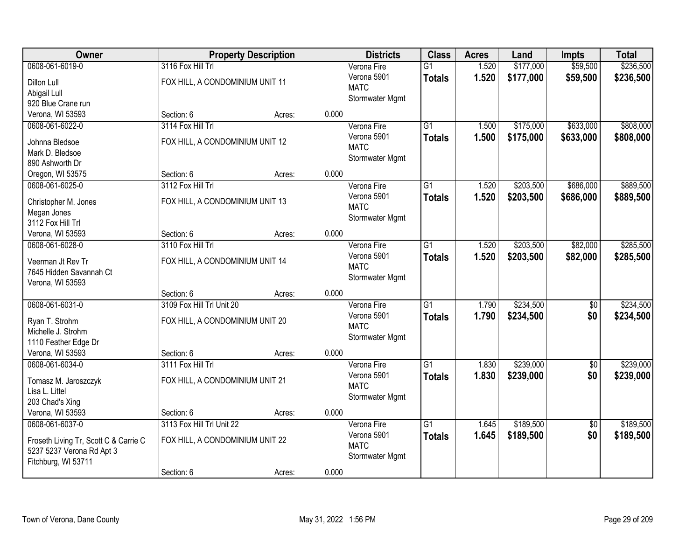| <b>Owner</b>                          |                                 | <b>Property Description</b> |       | <b>Districts</b> | <b>Class</b>    | <b>Acres</b> | Land      | <b>Impts</b>    | <b>Total</b> |
|---------------------------------------|---------------------------------|-----------------------------|-------|------------------|-----------------|--------------|-----------|-----------------|--------------|
| 0608-061-6019-0                       | 3116 Fox Hill Trl               |                             |       | Verona Fire      | $\overline{G1}$ | 1.520        | \$177,000 | \$59,500        | \$236,500    |
| Dillon Lull                           | FOX HILL, A CONDOMINIUM UNIT 11 |                             |       | Verona 5901      | <b>Totals</b>   | 1.520        | \$177,000 | \$59,500        | \$236,500    |
| Abigail Lull                          |                                 |                             |       | <b>MATC</b>      |                 |              |           |                 |              |
| 920 Blue Crane run                    |                                 |                             |       | Stormwater Mgmt  |                 |              |           |                 |              |
| Verona, WI 53593                      | Section: 6                      | Acres:                      | 0.000 |                  |                 |              |           |                 |              |
| 0608-061-6022-0                       | 3114 Fox Hill Trl               |                             |       | Verona Fire      | $\overline{G1}$ | 1.500        | \$175,000 | \$633,000       | \$808,000    |
|                                       |                                 |                             |       | Verona 5901      | <b>Totals</b>   | 1.500        | \$175,000 | \$633,000       | \$808,000    |
| Johnna Bledsoe                        | FOX HILL, A CONDOMINIUM UNIT 12 |                             |       | <b>MATC</b>      |                 |              |           |                 |              |
| Mark D. Bledsoe                       |                                 |                             |       | Stormwater Mgmt  |                 |              |           |                 |              |
| 890 Ashworth Dr                       |                                 |                             | 0.000 |                  |                 |              |           |                 |              |
| Oregon, WI 53575                      | Section: 6                      | Acres:                      |       |                  |                 |              |           |                 |              |
| 0608-061-6025-0                       | 3112 Fox Hill Trl               |                             |       | Verona Fire      | G1              | 1.520        | \$203,500 | \$686,000       | \$889,500    |
| Christopher M. Jones                  | FOX HILL, A CONDOMINIUM UNIT 13 |                             |       | Verona 5901      | <b>Totals</b>   | 1.520        | \$203,500 | \$686,000       | \$889,500    |
| Megan Jones                           |                                 |                             |       | <b>MATC</b>      |                 |              |           |                 |              |
| 3112 Fox Hill Trl                     |                                 |                             |       | Stormwater Mgmt  |                 |              |           |                 |              |
| Verona, WI 53593                      | Section: 6                      | Acres:                      | 0.000 |                  |                 |              |           |                 |              |
| 0608-061-6028-0                       | 3110 Fox Hill Trl               |                             |       | Verona Fire      | $\overline{G1}$ | 1.520        | \$203,500 | \$82,000        | \$285,500    |
| Veerman Jt Rev Tr                     | FOX HILL, A CONDOMINIUM UNIT 14 |                             |       | Verona 5901      | <b>Totals</b>   | 1.520        | \$203,500 | \$82,000        | \$285,500    |
| 7645 Hidden Savannah Ct               |                                 |                             |       | <b>MATC</b>      |                 |              |           |                 |              |
| Verona, WI 53593                      |                                 |                             |       | Stormwater Mgmt  |                 |              |           |                 |              |
|                                       | Section: 6                      | Acres:                      | 0.000 |                  |                 |              |           |                 |              |
| 0608-061-6031-0                       | 3109 Fox Hill Trl Unit 20       |                             |       | Verona Fire      | $\overline{G1}$ | 1.790        | \$234,500 | $\overline{50}$ | \$234,500    |
|                                       |                                 |                             |       | Verona 5901      |                 | 1.790        | \$234,500 | \$0             | \$234,500    |
| Ryan T. Strohm                        | FOX HILL, A CONDOMINIUM UNIT 20 |                             |       | <b>MATC</b>      | <b>Totals</b>   |              |           |                 |              |
| Michelle J. Strohm                    |                                 |                             |       | Stormwater Mgmt  |                 |              |           |                 |              |
| 1110 Feather Edge Dr                  |                                 |                             |       |                  |                 |              |           |                 |              |
| Verona, WI 53593                      | Section: 6                      | Acres:                      | 0.000 |                  |                 |              |           |                 |              |
| 0608-061-6034-0                       | 3111 Fox Hill Trl               |                             |       | Verona Fire      | $\overline{G1}$ | 1.830        | \$239,000 | $\overline{60}$ | \$239,000    |
| Tomasz M. Jaroszczyk                  | FOX HILL, A CONDOMINIUM UNIT 21 |                             |       | Verona 5901      | <b>Totals</b>   | 1.830        | \$239,000 | \$0             | \$239,000    |
| Lisa L. Littel                        |                                 |                             |       | <b>MATC</b>      |                 |              |           |                 |              |
| 203 Chad's Xing                       |                                 |                             |       | Stormwater Mgmt  |                 |              |           |                 |              |
| Verona, WI 53593                      | Section: 6                      | Acres:                      | 0.000 |                  |                 |              |           |                 |              |
| 0608-061-6037-0                       | 3113 Fox Hill Trl Unit 22       |                             |       | Verona Fire      | $\overline{G1}$ | 1.645        | \$189,500 | $\overline{50}$ | \$189,500    |
|                                       |                                 |                             |       | Verona 5901      | <b>Totals</b>   | 1.645        | \$189,500 | \$0             | \$189,500    |
| Froseth Living Tr, Scott C & Carrie C | FOX HILL, A CONDOMINIUM UNIT 22 |                             |       | <b>MATC</b>      |                 |              |           |                 |              |
| 5237 5237 Verona Rd Apt 3             |                                 |                             |       | Stormwater Mgmt  |                 |              |           |                 |              |
| Fitchburg, WI 53711                   |                                 |                             |       |                  |                 |              |           |                 |              |
|                                       | Section: 6                      | Acres:                      | 0.000 |                  |                 |              |           |                 |              |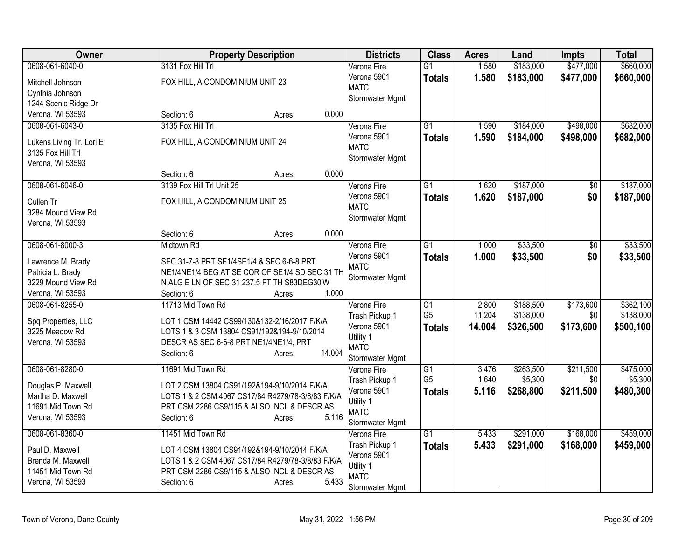| <b>Owner</b>             | <b>Property Description</b>                          | <b>Districts</b>           | <b>Class</b>    | <b>Acres</b> | Land      | <b>Impts</b> | <b>Total</b> |
|--------------------------|------------------------------------------------------|----------------------------|-----------------|--------------|-----------|--------------|--------------|
| 0608-061-6040-0          | 3131 Fox Hill Trl                                    | Verona Fire                | $\overline{G1}$ | 1.580        | \$183,000 | \$477,000    | \$660,000    |
| Mitchell Johnson         | FOX HILL, A CONDOMINIUM UNIT 23                      | Verona 5901                | <b>Totals</b>   | 1.580        | \$183,000 | \$477,000    | \$660,000    |
| Cynthia Johnson          |                                                      | <b>MATC</b>                |                 |              |           |              |              |
| 1244 Scenic Ridge Dr     |                                                      | Stormwater Mgmt            |                 |              |           |              |              |
| Verona, WI 53593         | 0.000<br>Section: 6<br>Acres:                        |                            |                 |              |           |              |              |
| 0608-061-6043-0          | 3135 Fox Hill Trl                                    | Verona Fire                | $\overline{G1}$ | 1.590        | \$184,000 | \$498,000    | \$682,000    |
|                          |                                                      | Verona 5901                | <b>Totals</b>   | 1.590        | \$184,000 | \$498,000    | \$682,000    |
| Lukens Living Tr, Lori E | FOX HILL, A CONDOMINIUM UNIT 24                      | <b>MATC</b>                |                 |              |           |              |              |
| 3135 Fox Hill Trl        |                                                      | Stormwater Mgmt            |                 |              |           |              |              |
| Verona, WI 53593         | 0.000                                                |                            |                 |              |           |              |              |
|                          | Section: 6<br>Acres:                                 |                            |                 |              |           |              |              |
| 0608-061-6046-0          | 3139 Fox Hill Trl Unit 25                            | Verona Fire                | $\overline{G1}$ | 1.620        | \$187,000 | \$0          | \$187,000    |
| Cullen Tr                | FOX HILL, A CONDOMINIUM UNIT 25                      | Verona 5901<br><b>MATC</b> | <b>Totals</b>   | 1.620        | \$187,000 | \$0          | \$187,000    |
| 3284 Mound View Rd       |                                                      |                            |                 |              |           |              |              |
| Verona, WI 53593         |                                                      | Stormwater Mgmt            |                 |              |           |              |              |
|                          | 0.000<br>Section: 6<br>Acres:                        |                            |                 |              |           |              |              |
| 0608-061-8000-3          | <b>Midtown Rd</b>                                    | Verona Fire                | $\overline{G1}$ | 1.000        | \$33,500  | \$0          | \$33,500     |
| Lawrence M. Brady        | SEC 31-7-8 PRT SE1/4SE1/4 & SEC 6-6-8 PRT            | Verona 5901                | <b>Totals</b>   | 1.000        | \$33,500  | \$0          | \$33,500     |
| Patricia L. Brady        | NE1/4NE1/4 BEG AT SE COR OF SE1/4 SD SEC 31 TH       | <b>MATC</b>                |                 |              |           |              |              |
| 3229 Mound View Rd       | N ALG E LN OF SEC 31 237.5 FT TH S83DEG30'W          | Stormwater Mgmt            |                 |              |           |              |              |
| Verona, WI 53593         | 1.000<br>Section: 6<br>Acres:                        |                            |                 |              |           |              |              |
| 0608-061-8255-0          | 11713 Mid Town Rd                                    | Verona Fire                | $\overline{G1}$ | 2.800        | \$188,500 | \$173,600    | \$362,100    |
|                          |                                                      | Trash Pickup 1             | G <sub>5</sub>  | 11.204       | \$138,000 | \$0          | \$138,000    |
| Spq Properties, LLC      | LOT 1 CSM 14442 CS99/130&132-2/16/2017 F/K/A         | Verona 5901                | <b>Totals</b>   | 14.004       | \$326,500 | \$173,600    | \$500,100    |
| 3225 Meadow Rd           | LOTS 1 & 3 CSM 13804 CS91/192&194-9/10/2014          | Utility 1                  |                 |              |           |              |              |
| Verona, WI 53593         | DESCR AS SEC 6-6-8 PRT NE1/4NE1/4, PRT               | <b>MATC</b>                |                 |              |           |              |              |
|                          | 14.004<br>Section: 6<br>Acres:                       | Stormwater Mgmt            |                 |              |           |              |              |
| 0608-061-8280-0          | 11691 Mid Town Rd                                    | Verona Fire                | $\overline{G1}$ | 3.476        | \$263,500 | \$211,500    | \$475,000    |
|                          |                                                      | Trash Pickup 1             | G <sub>5</sub>  | 1.640        | \$5,300   | \$0          | \$5,300      |
| Douglas P. Maxwell       | LOT 2 CSM 13804 CS91/192&194-9/10/2014 F/K/A         | Verona 5901                | <b>Totals</b>   | 5.116        | \$268,800 | \$211,500    | \$480,300    |
| Martha D. Maxwell        | LOTS 1 & 2 CSM 4067 CS17/84 R4279/78-3/8/83 F/K/A    | Utility 1                  |                 |              |           |              |              |
| 11691 Mid Town Rd        | PRT CSM 2286 CS9/115 & ALSO INCL & DESCR AS<br>5.116 | <b>MATC</b>                |                 |              |           |              |              |
| Verona, WI 53593         | Section: 6<br>Acres:                                 | Stormwater Mgmt            |                 |              |           |              |              |
| 0608-061-8360-0          | 11451 Mid Town Rd                                    | Verona Fire                | $\overline{G1}$ | 5.433        | \$291,000 | \$168,000    | \$459,000    |
| Paul D. Maxwell          | LOT 4 CSM 13804 CS91/192&194-9/10/2014 F/K/A         | Trash Pickup 1             | <b>Totals</b>   | 5.433        | \$291,000 | \$168,000    | \$459,000    |
| Brenda M. Maxwell        | LOTS 1 & 2 CSM 4067 CS17/84 R4279/78-3/8/83 F/K/A    | Verona 5901                |                 |              |           |              |              |
| 11451 Mid Town Rd        | PRT CSM 2286 CS9/115 & ALSO INCL & DESCR AS          | Utility 1                  |                 |              |           |              |              |
| Verona, WI 53593         | 5.433<br>Section: 6<br>Acres:                        | <b>MATC</b>                |                 |              |           |              |              |
|                          |                                                      | Stormwater Mgmt            |                 |              |           |              |              |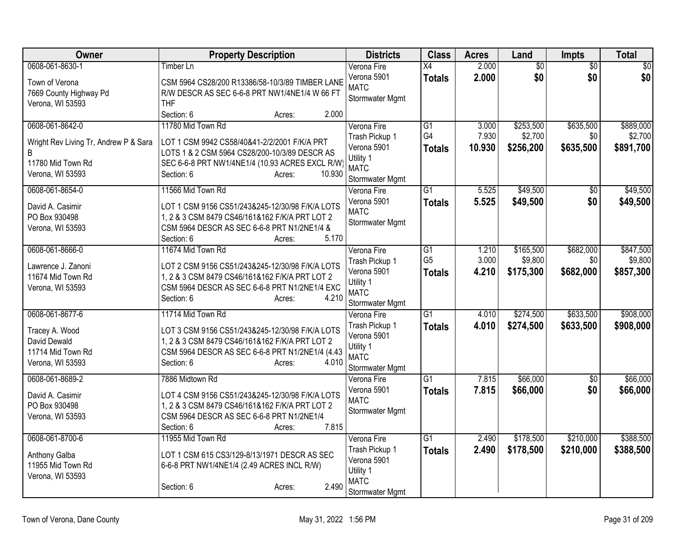| Owner                                 | <b>Property Description</b>                                                                       | <b>Districts</b>               | <b>Class</b>    | <b>Acres</b>    | Land            | <b>Impts</b>    | <b>Total</b>     |
|---------------------------------------|---------------------------------------------------------------------------------------------------|--------------------------------|-----------------|-----------------|-----------------|-----------------|------------------|
| 0608-061-8630-1                       | Timber Ln                                                                                         | Verona Fire                    | X4              | 2.000           | $\overline{60}$ | $\overline{50}$ | $\overline{\$0}$ |
| Town of Verona                        | CSM 5964 CS28/200 R13386/58-10/3/89 TIMBER LANE                                                   | Verona 5901<br><b>MATC</b>     | <b>Totals</b>   | 2.000           | \$0             | \$0             | \$0              |
| 7669 County Highway Pd                | R/W DESCR AS SEC 6-6-8 PRT NW1/4NE1/4 W 66 FT                                                     | Stormwater Mgmt                |                 |                 |                 |                 |                  |
| Verona, WI 53593                      | <b>THF</b>                                                                                        |                                |                 |                 |                 |                 |                  |
|                                       | Section: 6<br>2.000<br>Acres:                                                                     |                                |                 |                 |                 |                 |                  |
| 0608-061-8642-0                       | 11780 Mid Town Rd                                                                                 | Verona Fire                    | $\overline{G1}$ | 3.000           | \$253,500       | \$635,500       | \$889,000        |
| Wright Rev Living Tr, Andrew P & Sara | LOT 1 CSM 9942 CS58/40&41-2/2/2001 F/K/A PRT                                                      | Trash Pickup 1<br>Verona 5901  | G4              | 7.930<br>10.930 | \$2,700         | \$0             | \$2,700          |
| B                                     | LOTS 1 & 2 CSM 5964 CS28/200-10/3/89 DESCR AS                                                     | Utility 1                      | <b>Totals</b>   |                 | \$256,200       | \$635,500       | \$891,700        |
| 11780 Mid Town Rd                     | SEC 6-6-8 PRT NW1/4NE1/4 (10.93 ACRES EXCL R/W)                                                   | <b>MATC</b>                    |                 |                 |                 |                 |                  |
| Verona, WI 53593                      | Section: 6<br>10.930<br>Acres:                                                                    | Stormwater Mgmt                |                 |                 |                 |                 |                  |
| 0608-061-8654-0                       | 11566 Mid Town Rd                                                                                 | Verona Fire                    | $\overline{G1}$ | 5.525           | \$49,500        | $\overline{50}$ | \$49,500         |
| David A. Casimir                      | LOT 1 CSM 9156 CS51/243&245-12/30/98 F/K/A LOTS                                                   | Verona 5901                    | <b>Totals</b>   | 5.525           | \$49,500        | \$0             | \$49,500         |
| PO Box 930498                         | 1, 2 & 3 CSM 8479 CS46/161&162 F/K/A PRT LOT 2                                                    | <b>MATC</b>                    |                 |                 |                 |                 |                  |
| Verona, WI 53593                      | CSM 5964 DESCR AS SEC 6-6-8 PRT N1/2NE1/4 &                                                       | Stormwater Mgmt                |                 |                 |                 |                 |                  |
|                                       | 5.170<br>Section: 6<br>Acres:                                                                     |                                |                 |                 |                 |                 |                  |
| 0608-061-8666-0                       | 11674 Mid Town Rd                                                                                 | Verona Fire                    | $\overline{G1}$ | 1.210           | \$165,500       | \$682,000       | \$847,500        |
| Lawrence J. Zanoni                    | LOT 2 CSM 9156 CS51/243&245-12/30/98 F/K/A LOTS                                                   | Trash Pickup 1                 | G <sub>5</sub>  | 3.000           | \$9,800         | \$0             | \$9,800          |
| 11674 Mid Town Rd                     | 1, 2 & 3 CSM 8479 CS46/161&162 F/K/A PRT LOT 2                                                    | Verona 5901                    | <b>Totals</b>   | 4.210           | \$175,300       | \$682,000       | \$857,300        |
| Verona, WI 53593                      | CSM 5964 DESCR AS SEC 6-6-8 PRT N1/2NE1/4 EXC                                                     | Utility 1<br><b>MATC</b>       |                 |                 |                 |                 |                  |
|                                       | 4.210<br>Section: 6<br>Acres:                                                                     | Stormwater Mgmt                |                 |                 |                 |                 |                  |
| 0608-061-8677-6                       | 11714 Mid Town Rd                                                                                 | Verona Fire                    | $\overline{G1}$ | 4.010           | \$274,500       | \$633,500       | \$908,000        |
|                                       |                                                                                                   | Trash Pickup 1                 | <b>Totals</b>   | 4.010           | \$274,500       | \$633,500       | \$908,000        |
| Tracey A. Wood<br>David Dewald        | LOT 3 CSM 9156 CS51/243&245-12/30/98 F/K/A LOTS<br>1, 2 & 3 CSM 8479 CS46/161&162 F/K/A PRT LOT 2 | Verona 5901                    |                 |                 |                 |                 |                  |
| 11714 Mid Town Rd                     | CSM 5964 DESCR AS SEC 6-6-8 PRT N1/2NE1/4 (4.43                                                   | Utility 1                      |                 |                 |                 |                 |                  |
| Verona, WI 53593                      | Section: 6<br>4.010<br>Acres:                                                                     | <b>MATC</b>                    |                 |                 |                 |                 |                  |
| 0608-061-8689-2                       | 7886 Midtown Rd                                                                                   | Stormwater Mgmt<br>Verona Fire | $\overline{G1}$ | 7.815           | \$66,000        | \$0             | \$66,000         |
|                                       |                                                                                                   | Verona 5901                    | <b>Totals</b>   | 7.815           | \$66,000        | \$0             | \$66,000         |
| David A. Casimir                      | LOT 4 CSM 9156 CS51/243&245-12/30/98 F/K/A LOTS                                                   | <b>MATC</b>                    |                 |                 |                 |                 |                  |
| PO Box 930498                         | 1, 2 & 3 CSM 8479 CS46/161&162 F/K/A PRT LOT 2                                                    | Stormwater Mgmt                |                 |                 |                 |                 |                  |
| Verona, WI 53593                      | CSM 5964 DESCR AS SEC 6-6-8 PRT N1/2NE1/4<br>7.815<br>Section: 6<br>Acres:                        |                                |                 |                 |                 |                 |                  |
| 0608-061-8700-6                       | 11955 Mid Town Rd                                                                                 | Verona Fire                    | G1              | 2.490           | \$178,500       | \$210,000       | \$388,500        |
|                                       |                                                                                                   | Trash Pickup 1                 | <b>Totals</b>   | 2.490           | \$178,500       | \$210,000       | \$388,500        |
| Anthony Galba                         | LOT 1 CSM 615 CS3/129-8/13/1971 DESCR AS SEC                                                      | Verona 5901                    |                 |                 |                 |                 |                  |
| 11955 Mid Town Rd                     | 6-6-8 PRT NW1/4NE1/4 (2.49 ACRES INCL R/W)                                                        | Utility 1                      |                 |                 |                 |                 |                  |
| Verona, WI 53593                      | 2.490<br>Section: 6<br>Acres:                                                                     | <b>MATC</b>                    |                 |                 |                 |                 |                  |
|                                       |                                                                                                   | Stormwater Mgmt                |                 |                 |                 |                 |                  |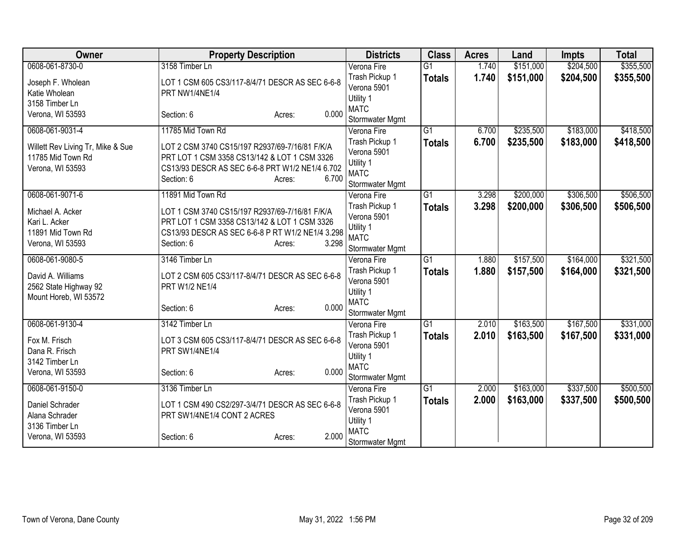| Owner                                                                      | <b>Property Description</b>                                                                                                                                                         | <b>Districts</b>                                                             | <b>Class</b>                     | <b>Acres</b>   | Land                   | <b>Impts</b>           | <b>Total</b>           |
|----------------------------------------------------------------------------|-------------------------------------------------------------------------------------------------------------------------------------------------------------------------------------|------------------------------------------------------------------------------|----------------------------------|----------------|------------------------|------------------------|------------------------|
| 0608-061-8730-0                                                            | 3158 Timber Ln                                                                                                                                                                      | Verona Fire                                                                  | $\overline{G1}$                  | 1.740          | \$151,000              | \$204,500              | \$355,500              |
| Joseph F. Wholean<br>Katie Wholean<br>3158 Timber Ln                       | LOT 1 CSM 605 CS3/117-8/4/71 DESCR AS SEC 6-6-8<br>PRT NW1/4NE1/4                                                                                                                   | Trash Pickup 1<br>Verona 5901<br>Utility 1                                   | <b>Totals</b>                    | 1.740          | \$151,000              | \$204,500              | \$355,500              |
| Verona, WI 53593                                                           | 0.000<br>Section: 6<br>Acres:                                                                                                                                                       | <b>MATC</b><br>Stormwater Mgmt                                               |                                  |                |                        |                        |                        |
| 0608-061-9031-4                                                            | 11785 Mid Town Rd                                                                                                                                                                   | Verona Fire                                                                  | $\overline{G1}$                  | 6.700          | \$235,500              | \$183,000              | \$418,500              |
| Willett Rev Living Tr, Mike & Sue<br>11785 Mid Town Rd<br>Verona, WI 53593 | LOT 2 CSM 3740 CS15/197 R2937/69-7/16/81 F/K/A<br>PRT LOT 1 CSM 3358 CS13/142 & LOT 1 CSM 3326<br>CS13/93 DESCR AS SEC 6-6-8 PRT W1/2 NE1/4 6.702<br>6.700<br>Section: 6<br>Acres:  | Trash Pickup 1<br>Verona 5901<br>Utility 1<br><b>MATC</b><br>Stormwater Mgmt | <b>Totals</b>                    | 6.700          | \$235,500              | \$183,000              | \$418,500              |
| 0608-061-9071-6                                                            | 11891 Mid Town Rd                                                                                                                                                                   | Verona Fire                                                                  | $\overline{G1}$                  | 3.298          | \$200,000              | \$306,500              | \$506,500              |
| Michael A. Acker<br>Kari L. Acker<br>11891 Mid Town Rd<br>Verona, WI 53593 | LOT 1 CSM 3740 CS15/197 R2937/69-7/16/81 F/K/A<br>PRT LOT 1 CSM 3358 CS13/142 & LOT 1 CSM 3326<br>CS13/93 DESCR AS SEC 6-6-8 P RT W1/2 NE1/4 3.298<br>3.298<br>Section: 6<br>Acres: | Trash Pickup 1<br>Verona 5901<br>Utility 1<br><b>MATC</b><br>Stormwater Mgmt | <b>Totals</b>                    | 3.298          | \$200,000              | \$306,500              | \$506,500              |
| 0608-061-9080-5                                                            | 3146 Timber Ln                                                                                                                                                                      | Verona Fire                                                                  | G1                               | 1.880          | \$157,500              | \$164,000              | \$321,500              |
| David A. Williams<br>2562 State Highway 92<br>Mount Horeb, WI 53572        | LOT 2 CSM 605 CS3/117-8/4/71 DESCR AS SEC 6-6-8<br>PRT W1/2 NE1/4<br>0.000<br>Section: 6<br>Acres:                                                                                  | Trash Pickup 1<br>Verona 5901<br>Utility 1<br><b>MATC</b>                    | <b>Totals</b>                    | 1.880          | \$157,500              | \$164,000              | \$321,500              |
|                                                                            |                                                                                                                                                                                     | Stormwater Mgmt                                                              |                                  |                |                        |                        |                        |
| 0608-061-9130-4<br>Fox M. Frisch<br>Dana R. Frisch<br>3142 Timber Ln       | 3142 Timber Ln<br>LOT 3 CSM 605 CS3/117-8/4/71 DESCR AS SEC 6-6-8<br>PRT SW1/4NE1/4                                                                                                 | Verona Fire<br>Trash Pickup 1<br>Verona 5901<br>Utility 1                    | $\overline{G1}$<br><b>Totals</b> | 2.010<br>2.010 | \$163,500<br>\$163,500 | \$167,500<br>\$167,500 | \$331,000<br>\$331,000 |
| Verona, WI 53593                                                           | 0.000<br>Section: 6<br>Acres:                                                                                                                                                       | <b>MATC</b><br>Stormwater Mgmt                                               |                                  |                |                        |                        |                        |
| 0608-061-9150-0                                                            | 3136 Timber Ln                                                                                                                                                                      | Verona Fire                                                                  | $\overline{G1}$                  | 2.000          | \$163,000              | \$337,500              | \$500,500              |
| Daniel Schrader<br>Alana Schrader<br>3136 Timber Ln                        | LOT 1 CSM 490 CS2/297-3/4/71 DESCR AS SEC 6-6-8<br>PRT SW1/4NE1/4 CONT 2 ACRES                                                                                                      | Trash Pickup 1<br>Verona 5901<br>Utility 1<br><b>MATC</b>                    | <b>Totals</b>                    | 2.000          | \$163,000              | \$337,500              | \$500,500              |
| Verona, WI 53593                                                           | 2.000<br>Section: 6<br>Acres:                                                                                                                                                       | Stormwater Mgmt                                                              |                                  |                |                        |                        |                        |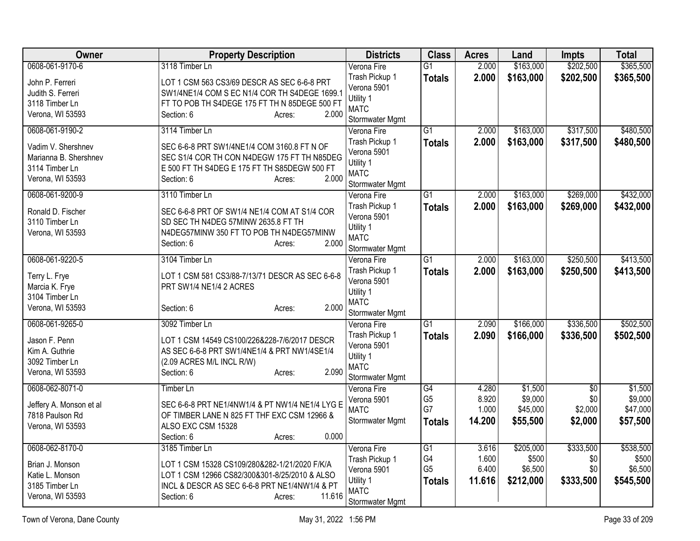| Owner                                      | <b>Property Description</b>                                                                    | <b>Districts</b>               | <b>Class</b>    | <b>Acres</b> | Land      | <b>Impts</b>    | <b>Total</b> |
|--------------------------------------------|------------------------------------------------------------------------------------------------|--------------------------------|-----------------|--------------|-----------|-----------------|--------------|
| 0608-061-9170-6                            | 3118 Timber Ln                                                                                 | Verona Fire                    | $\overline{G1}$ | 2.000        | \$163,000 | \$202,500       | \$365,500    |
| John P. Ferreri                            | LOT 1 CSM 563 CS3/69 DESCR AS SEC 6-6-8 PRT                                                    | Trash Pickup 1                 | <b>Totals</b>   | 2.000        | \$163,000 | \$202,500       | \$365,500    |
| Judith S. Ferreri                          | SW1/4NE1/4 COM S EC N1/4 COR TH S4DEGE 1699.1                                                  | Verona 5901                    |                 |              |           |                 |              |
| 3118 Timber Ln                             | FT TO POB TH S4DEGE 175 FT TH N 85DEGE 500 FT                                                  | Utility 1                      |                 |              |           |                 |              |
| Verona, WI 53593                           | 2.000<br>Section: 6<br>Acres:                                                                  | <b>MATC</b>                    |                 |              |           |                 |              |
| 0608-061-9190-2                            | 3114 Timber Ln                                                                                 | Stormwater Mgmt<br>Verona Fire | $\overline{G1}$ | 2.000        | \$163,000 | \$317,500       | \$480,500    |
|                                            |                                                                                                | Trash Pickup 1                 |                 | 2.000        |           |                 |              |
| Vadim V. Shershnev                         | SEC 6-6-8 PRT SW1/4NE1/4 COM 3160.8 FT N OF                                                    | Verona 5901                    | <b>Totals</b>   |              | \$163,000 | \$317,500       | \$480,500    |
| Marianna B. Shershnev                      | SEC S1/4 COR TH CON N4DEGW 175 FT TH N85DEG                                                    | Utility 1                      |                 |              |           |                 |              |
| 3114 Timber Ln                             | E 500 FT TH S4DEG E 175 FT TH S85DEGW 500 FT                                                   | <b>MATC</b>                    |                 |              |           |                 |              |
| Verona, WI 53593                           | 2.000<br>Section: 6<br>Acres:                                                                  | Stormwater Mgmt                |                 |              |           |                 |              |
| 0608-061-9200-9                            | 3110 Timber Ln                                                                                 | Verona Fire                    | $\overline{G1}$ | 2.000        | \$163,000 | \$269,000       | \$432,000    |
|                                            |                                                                                                | Trash Pickup 1                 | <b>Totals</b>   | 2.000        | \$163,000 | \$269,000       | \$432,000    |
| Ronald D. Fischer<br>3110 Timber Ln        | SEC 6-6-8 PRT OF SW1/4 NE1/4 COM AT S1/4 COR<br>SD SEC TH N4DEG 57MINW 2635.8 FT TH            | Verona 5901                    |                 |              |           |                 |              |
| Verona, WI 53593                           | N4DEG57MINW 350 FT TO POB TH N4DEG57MINW                                                       | Utility 1                      |                 |              |           |                 |              |
|                                            | 2.000<br>Section: 6<br>Acres:                                                                  | <b>MATC</b>                    |                 |              |           |                 |              |
|                                            |                                                                                                | Stormwater Mgmt                |                 |              |           |                 |              |
| 0608-061-9220-5                            | 3104 Timber Ln                                                                                 | Verona Fire                    | G1              | 2.000        | \$163,000 | \$250,500       | \$413,500    |
| Terry L. Frye                              | LOT 1 CSM 581 CS3/88-7/13/71 DESCR AS SEC 6-6-8                                                | Trash Pickup 1                 | <b>Totals</b>   | 2.000        | \$163,000 | \$250,500       | \$413,500    |
| Marcia K. Frye                             | PRT SW1/4 NE1/4 2 ACRES                                                                        | Verona 5901                    |                 |              |           |                 |              |
| 3104 Timber Ln                             |                                                                                                | Utility 1                      |                 |              |           |                 |              |
| Verona, WI 53593                           | 2.000<br>Section: 6<br>Acres:                                                                  | <b>MATC</b><br>Stormwater Mgmt |                 |              |           |                 |              |
| 0608-061-9265-0                            | 3092 Timber Ln                                                                                 | Verona Fire                    | $\overline{G1}$ | 2.090        | \$166,000 | \$336,500       | \$502,500    |
|                                            |                                                                                                | Trash Pickup 1                 |                 | 2.090        | \$166,000 | \$336,500       | \$502,500    |
| Jason F. Penn                              | LOT 1 CSM 14549 CS100/226&228-7/6/2017 DESCR                                                   | Verona 5901                    | <b>Totals</b>   |              |           |                 |              |
| Kim A. Guthrie                             | AS SEC 6-6-8 PRT SW1/4NE1/4 & PRT NW1/4SE1/4                                                   | Utility 1                      |                 |              |           |                 |              |
| 3092 Timber Ln                             | (2.09 ACRES M/L INCL R/W)                                                                      | <b>MATC</b>                    |                 |              |           |                 |              |
| Verona, WI 53593                           | 2.090<br>Section: 6<br>Acres:                                                                  | Stormwater Mgmt                |                 |              |           |                 |              |
| 0608-062-8071-0                            | <b>Timber Ln</b>                                                                               | Verona Fire                    | $\overline{G4}$ | 4.280        | \$1,500   | $\overline{50}$ | \$1,500      |
|                                            |                                                                                                | Verona 5901                    | G <sub>5</sub>  | 8.920        | \$9,000   | \$0             | \$9,000      |
| Jeffery A. Monson et al<br>7818 Paulson Rd | SEC 6-6-8 PRT NE1/4NW1/4 & PT NW1/4 NE1/4 LYG E<br>OF TIMBER LANE N 825 FT THF EXC CSM 12966 & | <b>MATC</b>                    | G7              | 1.000        | \$45,000  | \$2,000         | \$47,000     |
| Verona, WI 53593                           | ALSO EXC CSM 15328                                                                             | Stormwater Mgmt                | <b>Totals</b>   | 14.200       | \$55,500  | \$2,000         | \$57,500     |
|                                            | 0.000<br>Section: 6<br>Acres:                                                                  |                                |                 |              |           |                 |              |
| 0608-062-8170-0                            | 3185 Timber Ln                                                                                 | Verona Fire                    | $\overline{G1}$ | 3.616        | \$205,000 | \$333,500       | \$538,500    |
|                                            |                                                                                                | Trash Pickup 1                 | G4              | 1.600        | \$500     | \$0             | \$500        |
| Brian J. Monson                            | LOT 1 CSM 15328 CS109/280&282-1/21/2020 F/K/A                                                  | Verona 5901                    | G <sub>5</sub>  | 6.400        | \$6,500   | \$0             | \$6,500      |
| Katie L. Monson                            | LOT 1 CSM 12966 CS82/300&301-8/25/2010 & ALSO                                                  | Utility 1                      | <b>Totals</b>   | 11.616       | \$212,000 | \$333,500       | \$545,500    |
| 3185 Timber Ln                             | INCL & DESCR AS SEC 6-6-8 PRT NE1/4NW1/4 & PT                                                  | <b>MATC</b>                    |                 |              |           |                 |              |
| Verona, WI 53593                           | 11.616<br>Section: 6<br>Acres:                                                                 | Stormwater Mgmt                |                 |              |           |                 |              |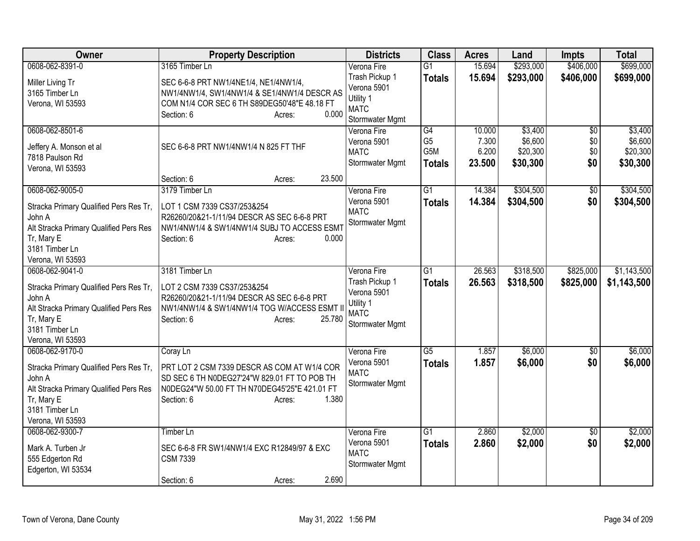| Owner                                                                                                                                                             | <b>Property Description</b>                                                                                                                                                               | <b>Districts</b>                                                                            | <b>Class</b>                          | <b>Acres</b>                       | Land                                       | Impts                                | <b>Total</b>                               |
|-------------------------------------------------------------------------------------------------------------------------------------------------------------------|-------------------------------------------------------------------------------------------------------------------------------------------------------------------------------------------|---------------------------------------------------------------------------------------------|---------------------------------------|------------------------------------|--------------------------------------------|--------------------------------------|--------------------------------------------|
| 0608-062-8391-0                                                                                                                                                   | 3165 Timber Ln                                                                                                                                                                            | Verona Fire                                                                                 | $\overline{G1}$                       | 15.694                             | \$293,000                                  | \$406,000                            | \$699,000                                  |
| Miller Living Tr<br>3165 Timber Ln<br>Verona, WI 53593                                                                                                            | SEC 6-6-8 PRT NW1/4NE1/4, NE1/4NW1/4,<br>NW1/4NW1/4, SW1/4NW1/4 & SE1/4NW1/4 DESCR AS<br>COM N1/4 COR SEC 6 TH S89DEG50'48"E 48.18 FT<br>0.000<br>Section: 6<br>Acres:                    | Trash Pickup 1<br>Verona 5901<br>Utility 1<br><b>MATC</b><br>Stormwater Mgmt                | <b>Totals</b>                         | 15.694                             | \$293,000                                  | \$406,000                            | \$699,000                                  |
| 0608-062-8501-6<br>Jeffery A. Monson et al<br>7818 Paulson Rd<br>Verona, WI 53593                                                                                 | SEC 6-6-8 PRT NW1/4NW1/4 N 825 FT THF<br>23.500<br>Section: 6<br>Acres:                                                                                                                   | Verona Fire<br>Verona 5901<br><b>MATC</b><br>Stormwater Mgmt                                | G4<br>G <sub>5</sub><br>G5M<br>Totals | 10.000<br>7.300<br>6.200<br>23.500 | \$3,400<br>\$6,600<br>\$20,300<br>\$30,300 | $\overline{50}$<br>\$0<br>\$0<br>\$0 | \$3,400<br>\$6,600<br>\$20,300<br>\$30,300 |
| 0608-062-9005-0<br>Stracka Primary Qualified Pers Res Tr,<br>John A<br>Alt Stracka Primary Qualified Pers Res<br>Tr, Mary E<br>3181 Timber Ln<br>Verona, WI 53593 | 3179 Timber Ln<br>LOT 1 CSM 7339 CS37/253&254<br>R26260/20&21-1/11/94 DESCR AS SEC 6-6-8 PRT<br>NW1/4NW1/4 & SW1/4NW1/4 SUBJ TO ACCESS ESMT<br>Section: 6<br>0.000<br>Acres:              | Verona Fire<br>Verona 5901<br><b>MATC</b><br>Stormwater Mgmt                                | $\overline{G1}$<br><b>Totals</b>      | 14.384<br>14.384                   | \$304,500<br>\$304,500                     | \$0<br>\$0                           | \$304,500<br>\$304,500                     |
| 0608-062-9041-0<br>Stracka Primary Qualified Pers Res Tr,<br>John A<br>Alt Stracka Primary Qualified Pers Res<br>Tr, Mary E<br>3181 Timber Ln<br>Verona, WI 53593 | 3181 Timber Ln<br>LOT 2 CSM 7339 CS37/253&254<br>R26260/20&21-1/11/94 DESCR AS SEC 6-6-8 PRT<br>NW1/4NW1/4 & SW1/4NW1/4 TOG W/ACCESS ESMT II<br>25.780<br>Section: 6<br>Acres:            | Verona Fire<br>Trash Pickup 1<br>Verona 5901<br>Utility 1<br><b>MATC</b><br>Stormwater Mgmt | G1<br><b>Totals</b>                   | 26.563<br>26.563                   | \$318,500<br>\$318,500                     | \$825,000<br>\$825,000               | \$1,143,500<br>\$1,143,500                 |
| 0608-062-9170-0<br>Stracka Primary Qualified Pers Res Tr,<br>John A<br>Alt Stracka Primary Qualified Pers Res<br>Tr, Mary E<br>3181 Timber Ln<br>Verona, WI 53593 | Coray Ln<br>PRT LOT 2 CSM 7339 DESCR AS COM AT W1/4 COR<br>SD SEC 6 TH N0DEG27'24"W 829.01 FT TO POB TH<br>N0DEG24"W 50.00 FT TH N70DEG45'25"E 421.01 FT<br>1.380<br>Section: 6<br>Acres: | Verona Fire<br>Verona 5901<br><b>MATC</b><br>Stormwater Mgmt                                | $\overline{G5}$<br><b>Totals</b>      | 1.857<br>1.857                     | \$6,000<br>\$6,000                         | $\overline{50}$<br>\$0               | \$6,000<br>\$6,000                         |
| 0608-062-9300-7<br>Mark A. Turben Jr<br>555 Edgerton Rd<br>Edgerton, WI 53534                                                                                     | <b>Timber Ln</b><br>SEC 6-6-8 FR SW1/4NW1/4 EXC R12849/97 & EXC<br><b>CSM 7339</b><br>2.690<br>Section: 6<br>Acres:                                                                       | Verona Fire<br>Verona 5901<br><b>MATC</b><br>Stormwater Mgmt                                | $\overline{G1}$<br><b>Totals</b>      | 2.860<br>2.860                     | \$2,000<br>\$2,000                         | $\overline{50}$<br>\$0               | \$2,000<br>\$2,000                         |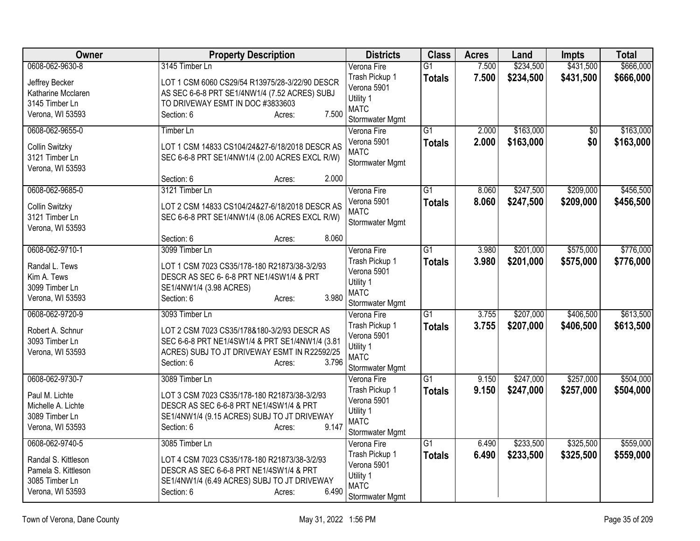| Owner                                                                                               | <b>Property Description</b>                                                                                                                                                               | <b>Districts</b>                                                                            | <b>Class</b>                     | <b>Acres</b>   | Land                   | <b>Impts</b>           | <b>Total</b>           |
|-----------------------------------------------------------------------------------------------------|-------------------------------------------------------------------------------------------------------------------------------------------------------------------------------------------|---------------------------------------------------------------------------------------------|----------------------------------|----------------|------------------------|------------------------|------------------------|
| 0608-062-9630-8                                                                                     | 3145 Timber Ln                                                                                                                                                                            | Verona Fire                                                                                 | $\overline{G1}$                  | 7.500          | \$234,500              | \$431,500              | \$666,000              |
| Jeffrey Becker<br>Katharine Mcclaren<br>3145 Timber Ln<br>Verona, WI 53593                          | LOT 1 CSM 6060 CS29/54 R13975/28-3/22/90 DESCR<br>AS SEC 6-6-8 PRT SE1/4NW1/4 (7.52 ACRES) SUBJ<br>TO DRIVEWAY ESMT IN DOC #3833603<br>7.500<br>Section: 6<br>Acres:                      | Trash Pickup 1<br>Verona 5901<br>Utility 1<br><b>MATC</b><br>Stormwater Mgmt                | <b>Totals</b>                    | 7.500          | \$234,500              | \$431,500              | \$666,000              |
| 0608-062-9655-0<br>Collin Switzky<br>3121 Timber Ln<br>Verona, WI 53593                             | <b>Timber Ln</b><br>LOT 1 CSM 14833 CS104/24&27-6/18/2018 DESCR AS<br>SEC 6-6-8 PRT SE1/4NW1/4 (2.00 ACRES EXCL R/W)                                                                      | Verona Fire<br>Verona 5901<br><b>MATC</b><br>Stormwater Mgmt                                | $\overline{G1}$<br><b>Totals</b> | 2.000<br>2.000 | \$163,000<br>\$163,000 | $\overline{50}$<br>\$0 | \$163,000<br>\$163,000 |
|                                                                                                     | Section: 6<br>2.000<br>Acres:                                                                                                                                                             |                                                                                             |                                  |                |                        |                        |                        |
| 0608-062-9685-0<br>Collin Switzky<br>3121 Timber Ln<br>Verona, WI 53593                             | 3121 Timber Ln<br>LOT 2 CSM 14833 CS104/24&27-6/18/2018 DESCR AS<br>SEC 6-6-8 PRT SE1/4NW1/4 (8.06 ACRES EXCL R/W)<br>8.060                                                               | Verona Fire<br>Verona 5901<br><b>MATC</b><br>Stormwater Mgmt                                | $\overline{G1}$<br><b>Totals</b> | 8.060<br>8.060 | \$247,500<br>\$247,500 | \$209,000<br>\$209,000 | \$456,500<br>\$456,500 |
| 0608-062-9710-1                                                                                     | Section: 6<br>Acres:<br>3099 Timber Ln                                                                                                                                                    | Verona Fire                                                                                 | $\overline{G1}$                  | 3.980          | \$201,000              | \$575,000              | \$776,000              |
| Randal L. Tews<br>Kim A. Tews<br>3099 Timber Ln<br>Verona, WI 53593                                 | LOT 1 CSM 7023 CS35/178-180 R21873/38-3/2/93<br>DESCR AS SEC 6-6-8 PRT NE1/4SW1/4 & PRT<br>SE1/4NW1/4 (3.98 ACRES)<br>3.980<br>Section: 6<br>Acres:                                       | Trash Pickup 1<br>Verona 5901<br>Utility 1<br><b>MATC</b><br>Stormwater Mgmt                | <b>Totals</b>                    | 3.980          | \$201,000              | \$575,000              | \$776,000              |
| 0608-062-9720-9                                                                                     | 3093 Timber Ln                                                                                                                                                                            | Verona Fire                                                                                 | $\overline{G1}$                  | 3.755          | \$207,000              | \$406,500              | \$613,500              |
| Robert A. Schnur<br>3093 Timber Ln<br>Verona, WI 53593                                              | LOT 2 CSM 7023 CS35/178&180-3/2/93 DESCR AS<br>SEC 6-6-8 PRT NE1/4SW1/4 & PRT SE1/4NW1/4 (3.81<br>ACRES) SUBJ TO JT DRIVEWAY ESMT IN R22592/25<br>3.796<br>Section: 6<br>Acres:           | Trash Pickup 1<br>Verona 5901<br>Utility 1<br><b>MATC</b><br>Stormwater Mgmt                | <b>Totals</b>                    | 3.755          | \$207,000              | \$406,500              | \$613,500              |
| 0608-062-9730-7                                                                                     | 3089 Timber Ln                                                                                                                                                                            | Verona Fire                                                                                 | $\overline{G1}$                  | 9.150          | \$247,000              | \$257,000              | \$504,000              |
| Paul M. Lichte<br>Michelle A. Lichte<br>3089 Timber Ln<br>Verona, WI 53593                          | LOT 3 CSM 7023 CS35/178-180 R21873/38-3/2/93<br>DESCR AS SEC 6-6-8 PRT NE1/4SW1/4 & PRT<br>SE1/4NW1/4 (9.15 ACRES) SUBJ TO JT DRIVEWAY<br>9.147<br>Section: 6<br>Acres:                   | Trash Pickup 1<br>Verona 5901<br>Utility 1<br><b>MATC</b><br>Stormwater Mgmt                | <b>Totals</b>                    | 9.150          | \$247,000              | \$257,000              | \$504,000              |
| 0608-062-9740-5<br>Randal S. Kittleson<br>Pamela S. Kittleson<br>3085 Timber Ln<br>Verona, WI 53593 | 3085 Timber Ln<br>LOT 4 CSM 7023 CS35/178-180 R21873/38-3/2/93<br>DESCR AS SEC 6-6-8 PRT NE1/4SW1/4 & PRT<br>SE1/4NW1/4 (6.49 ACRES) SUBJ TO JT DRIVEWAY<br>6.490<br>Section: 6<br>Acres: | Verona Fire<br>Trash Pickup 1<br>Verona 5901<br>Utility 1<br><b>MATC</b><br>Stormwater Mgmt | G1<br><b>Totals</b>              | 6.490<br>6.490 | \$233,500<br>\$233,500 | \$325,500<br>\$325,500 | \$559,000<br>\$559,000 |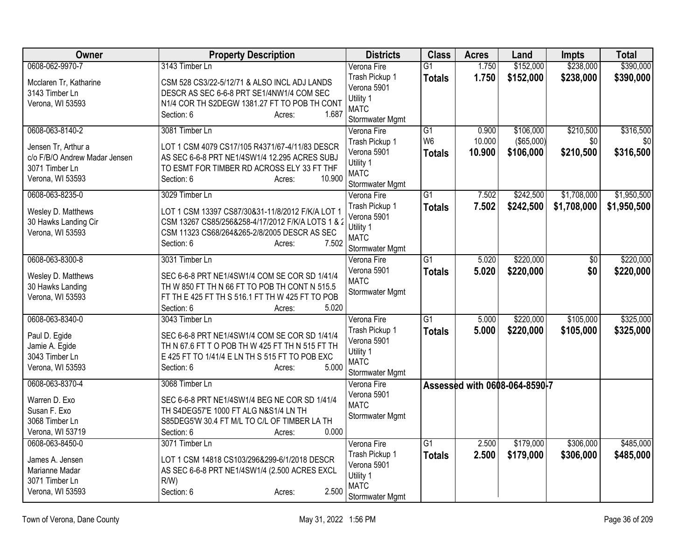| Owner                         | <b>Property Description</b>                       | <b>Districts</b>              | <b>Class</b>    | <b>Acres</b>    | Land                          | <b>Impts</b>     | <b>Total</b>     |
|-------------------------------|---------------------------------------------------|-------------------------------|-----------------|-----------------|-------------------------------|------------------|------------------|
| 0608-062-9970-7               | 3143 Timber Ln                                    | Verona Fire                   | $\overline{G1}$ | 1.750           | \$152,000                     | \$238,000        | \$390,000        |
| Mcclaren Tr, Katharine        | CSM 528 CS3/22-5/12/71 & ALSO INCL ADJ LANDS      | Trash Pickup 1                | <b>Totals</b>   | 1.750           | \$152,000                     | \$238,000        | \$390,000        |
| 3143 Timber Ln                | DESCR AS SEC 6-6-8 PRT SE1/4NW1/4 COM SEC         | Verona 5901                   |                 |                 |                               |                  |                  |
| Verona, WI 53593              | N1/4 COR TH S2DEGW 1381.27 FT TO POB TH CONT      | Utility 1                     |                 |                 |                               |                  |                  |
|                               | 1.687<br>Section: 6<br>Acres:                     | <b>MATC</b>                   |                 |                 |                               |                  |                  |
| 0608-063-8140-2               |                                                   | Stormwater Mgmt               | $\overline{G1}$ |                 |                               |                  |                  |
|                               | 3081 Timber Ln                                    | Verona Fire                   | W <sub>6</sub>  | 0.900<br>10.000 | \$106,000<br>(\$65,000)       | \$210,500<br>\$0 | \$316,500<br>\$0 |
| Jensen Tr, Arthur a           | LOT 1 CSM 4079 CS17/105 R4371/67-4/11/83 DESCR    | Trash Pickup 1<br>Verona 5901 |                 |                 |                               |                  |                  |
| c/o F/B/O Andrew Madar Jensen | AS SEC 6-6-8 PRT NE1/4SW1/4 12.295 ACRES SUBJ     | Utility 1                     | <b>Totals</b>   | 10.900          | \$106,000                     | \$210,500        | \$316,500        |
| 3071 Timber Ln                | TO ESMT FOR TIMBER RD ACROSS ELY 33 FT THF        | <b>MATC</b>                   |                 |                 |                               |                  |                  |
| Verona, WI 53593              | 10.900<br>Section: 6<br>Acres:                    | Stormwater Mgmt               |                 |                 |                               |                  |                  |
| 0608-063-8235-0               | 3029 Timber Ln                                    | Verona Fire                   | $\overline{G1}$ | 7.502           | \$242,500                     | \$1,708,000      | \$1,950,500      |
|                               |                                                   | Trash Pickup 1                | <b>Totals</b>   | 7.502           | \$242,500                     | \$1,708,000      | \$1,950,500      |
| Wesley D. Matthews            | LOT 1 CSM 13397 CS87/30&31-11/8/2012 F/K/A LOT 1  | Verona 5901                   |                 |                 |                               |                  |                  |
| 30 Hawks Landing Cir          | CSM 13267 CS85/256&258-4/17/2012 F/K/A LOTS 1 & 2 | Utility 1                     |                 |                 |                               |                  |                  |
| Verona, WI 53593              | CSM 11323 CS68/264&265-2/8/2005 DESCR AS SEC      | <b>MATC</b>                   |                 |                 |                               |                  |                  |
|                               | 7.502<br>Section: 6<br>Acres:                     | Stormwater Mgmt               |                 |                 |                               |                  |                  |
| 0608-063-8300-8               | 3031 Timber Ln                                    | Verona Fire                   | G1              | 5.020           | \$220,000                     | $\overline{60}$  | \$220,000        |
| Wesley D. Matthews            | SEC 6-6-8 PRT NE1/4SW1/4 COM SE COR SD 1/41/4     | Verona 5901                   | <b>Totals</b>   | 5.020           | \$220,000                     | \$0              | \$220,000        |
| 30 Hawks Landing              | TH W 850 FT TH N 66 FT TO POB TH CONT N 515.5     | <b>MATC</b>                   |                 |                 |                               |                  |                  |
| Verona, WI 53593              | FT TH E 425 FT TH S 516.1 FT TH W 425 FT TO POB   | Stormwater Mgmt               |                 |                 |                               |                  |                  |
|                               | 5.020<br>Section: 6<br>Acres:                     |                               |                 |                 |                               |                  |                  |
| 0608-063-8340-0               | 3043 Timber Ln                                    | Verona Fire                   | $\overline{G1}$ | 5.000           | \$220,000                     | \$105,000        | \$325,000        |
|                               |                                                   | Trash Pickup 1                | <b>Totals</b>   | 5.000           | \$220,000                     | \$105,000        | \$325,000        |
| Paul D. Egide                 | SEC 6-6-8 PRT NE1/4SW1/4 COM SE COR SD 1/41/4     | Verona 5901                   |                 |                 |                               |                  |                  |
| Jamie A. Egide                | TH N 67.6 FT T O POB TH W 425 FT TH N 515 FT TH   | Utility 1                     |                 |                 |                               |                  |                  |
| 3043 Timber Ln                | E 425 FT TO 1/41/4 E LN TH S 515 FT TO POB EXC    | <b>MATC</b>                   |                 |                 |                               |                  |                  |
| Verona, WI 53593              | 5.000<br>Section: 6<br>Acres:                     | Stormwater Mgmt               |                 |                 |                               |                  |                  |
| 0608-063-8370-4               | 3068 Timber Ln                                    | Verona Fire                   |                 |                 | Assessed with 0608-064-8590-7 |                  |                  |
| Warren D. Exo                 | SEC 6-6-8 PRT NE1/4SW1/4 BEG NE COR SD 1/41/4     | Verona 5901                   |                 |                 |                               |                  |                  |
| Susan F. Exo                  | TH S4DEG57'E 1000 FT ALG N&S1/4 LN TH             | <b>MATC</b>                   |                 |                 |                               |                  |                  |
| 3068 Timber Ln                | S85DEG5'W 30.4 FT M/L TO C/L OF TIMBER LA TH      | Stormwater Mgmt               |                 |                 |                               |                  |                  |
| Verona, WI 53719              | 0.000<br>Section: 6<br>Acres:                     |                               |                 |                 |                               |                  |                  |
| 0608-063-8450-0               | 3071 Timber Ln                                    | Verona Fire                   | G1              | 2.500           | \$179,000                     | \$306,000        | \$485,000        |
|                               |                                                   | Trash Pickup 1                | <b>Totals</b>   | 2.500           | \$179,000                     | \$306,000        | \$485,000        |
| James A. Jensen               | LOT 1 CSM 14818 CS103/296&299-6/1/2018 DESCR      | Verona 5901                   |                 |                 |                               |                  |                  |
| Marianne Madar                | AS SEC 6-6-8 PRT NE1/4SW1/4 (2.500 ACRES EXCL     | Utility 1                     |                 |                 |                               |                  |                  |
| 3071 Timber Ln                | R/W                                               | <b>MATC</b>                   |                 |                 |                               |                  |                  |
| Verona, WI 53593              | 2.500<br>Section: 6<br>Acres:                     | Stormwater Mgmt               |                 |                 |                               |                  |                  |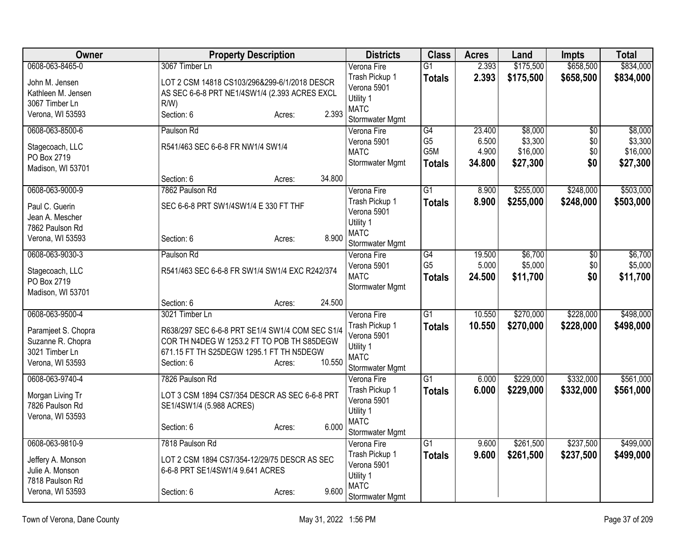| Owner                            | <b>Property Description</b>                     |        | <b>Districts</b>               | <b>Class</b>    | <b>Acres</b> | Land      | <b>Impts</b>    | <b>Total</b> |
|----------------------------------|-------------------------------------------------|--------|--------------------------------|-----------------|--------------|-----------|-----------------|--------------|
| 0608-063-8465-0                  | 3067 Timber Ln                                  |        | Verona Fire                    | $\overline{G1}$ | 2.393        | \$175,500 | \$658,500       | \$834,000    |
| John M. Jensen                   | LOT 2 CSM 14818 CS103/296&299-6/1/2018 DESCR    |        | Trash Pickup 1                 | <b>Totals</b>   | 2.393        | \$175,500 | \$658,500       | \$834,000    |
| Kathleen M. Jensen               | AS SEC 6-6-8 PRT NE1/4SW1/4 (2.393 ACRES EXCL   |        | Verona 5901                    |                 |              |           |                 |              |
| 3067 Timber Ln                   | R/W                                             |        | Utility 1                      |                 |              |           |                 |              |
| Verona, WI 53593                 | Section: 6<br>Acres:                            | 2.393  | <b>MATC</b><br>Stormwater Mgmt |                 |              |           |                 |              |
| 0608-063-8500-6                  | Paulson Rd                                      |        | Verona Fire                    | $\overline{G4}$ | 23.400       | \$8,000   | $\overline{50}$ | \$8,000      |
|                                  |                                                 |        | Verona 5901                    | G <sub>5</sub>  | 6.500        | \$3,300   | \$0             | \$3,300      |
| Stagecoach, LLC                  | R541/463 SEC 6-6-8 FR NW1/4 SW1/4               |        | <b>MATC</b>                    | G5M             | 4.900        | \$16,000  | \$0             | \$16,000     |
| PO Box 2719                      |                                                 |        | Stormwater Mgmt                | <b>Totals</b>   | 34.800       | \$27,300  | \$0             | \$27,300     |
| Madison, WI 53701                |                                                 |        |                                |                 |              |           |                 |              |
|                                  | Section: 6<br>Acres:                            | 34.800 |                                |                 |              |           |                 |              |
| 0608-063-9000-9                  | 7862 Paulson Rd                                 |        | Verona Fire                    | $\overline{G1}$ | 8.900        | \$255,000 | \$248,000       | \$503,000    |
| Paul C. Guerin                   | SEC 6-6-8 PRT SW1/4SW1/4 E 330 FT THF           |        | Trash Pickup 1<br>Verona 5901  | <b>Totals</b>   | 8.900        | \$255,000 | \$248,000       | \$503,000    |
| Jean A. Mescher                  |                                                 |        | Utility 1                      |                 |              |           |                 |              |
| 7862 Paulson Rd                  |                                                 |        | <b>MATC</b>                    |                 |              |           |                 |              |
| Verona, WI 53593                 | Section: 6<br>Acres:                            | 8.900  | Stormwater Mgmt                |                 |              |           |                 |              |
| 0608-063-9030-3                  | Paulson Rd                                      |        | Verona Fire                    | $\overline{G4}$ | 19.500       | \$6,700   | $\overline{60}$ | \$6,700      |
|                                  |                                                 |        | Verona 5901                    | G <sub>5</sub>  | 5.000        | \$5,000   | \$0\$           | \$5,000      |
| Stagecoach, LLC                  | R541/463 SEC 6-6-8 FR SW1/4 SW1/4 EXC R242/374  |        | <b>MATC</b>                    | <b>Totals</b>   | 24.500       | \$11,700  | \$0             | \$11,700     |
| PO Box 2719<br>Madison, WI 53701 |                                                 |        | Stormwater Mgmt                |                 |              |           |                 |              |
|                                  | Section: 6<br>Acres:                            | 24.500 |                                |                 |              |           |                 |              |
| 0608-063-9500-4                  | 3021 Timber Ln                                  |        | Verona Fire                    | $\overline{G1}$ | 10.550       | \$270,000 | \$228,000       | \$498,000    |
|                                  |                                                 |        | Trash Pickup 1                 | <b>Totals</b>   | 10.550       | \$270,000 | \$228,000       | \$498,000    |
| Paramjeet S. Chopra              | R638/297 SEC 6-6-8 PRT SE1/4 SW1/4 COM SEC S1/4 |        | Verona 5901                    |                 |              |           |                 |              |
| Suzanne R. Chopra                | COR TH N4DEG W 1253.2 FT TO POB TH S85DEGW      |        | Utility 1                      |                 |              |           |                 |              |
| 3021 Timber Ln                   | 671.15 FT TH S25DEGW 1295.1 FT TH N5DEGW        | 10.550 | <b>MATC</b>                    |                 |              |           |                 |              |
| Verona, WI 53593                 | Section: 6<br>Acres:                            |        | Stormwater Mgmt                |                 |              |           |                 |              |
| 0608-063-9740-4                  | 7826 Paulson Rd                                 |        | Verona Fire                    | $\overline{G1}$ | 6.000        | \$229,000 | \$332,000       | \$561,000    |
| Morgan Living Tr                 | LOT 3 CSM 1894 CS7/354 DESCR AS SEC 6-6-8 PRT   |        | Trash Pickup 1                 | <b>Totals</b>   | 6.000        | \$229,000 | \$332,000       | \$561,000    |
| 7826 Paulson Rd                  | SE1/4SW1/4 (5.988 ACRES)                        |        | Verona 5901                    |                 |              |           |                 |              |
| Verona, WI 53593                 |                                                 |        | Utility 1                      |                 |              |           |                 |              |
|                                  | Section: 6<br>Acres:                            | 6.000  | <b>MATC</b>                    |                 |              |           |                 |              |
| 0608-063-9810-9                  | 7818 Paulson Rd                                 |        | Stormwater Mgmt<br>Verona Fire | $\overline{G1}$ | 9.600        | \$261,500 | \$237,500       | \$499,000    |
|                                  |                                                 |        | Trash Pickup 1                 |                 | 9.600        | \$261,500 | \$237,500       | \$499,000    |
| Jeffery A. Monson                | LOT 2 CSM 1894 CS7/354-12/29/75 DESCR AS SEC    |        | Verona 5901                    | <b>Totals</b>   |              |           |                 |              |
| Julie A. Monson                  | 6-6-8 PRT SE1/4SW1/4 9.641 ACRES                |        | Utility 1                      |                 |              |           |                 |              |
| 7818 Paulson Rd                  |                                                 |        | <b>MATC</b>                    |                 |              |           |                 |              |
| Verona, WI 53593                 | Section: 6<br>Acres:                            | 9.600  | Stormwater Mgmt                |                 |              |           |                 |              |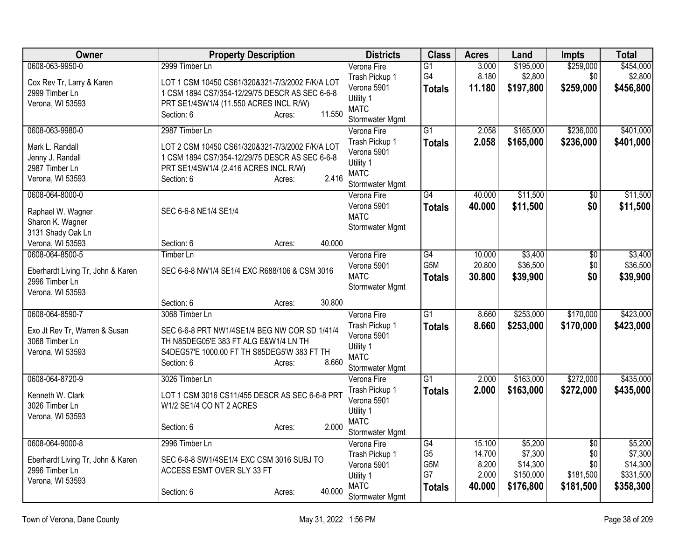| Owner                             | <b>Property Description</b>                     | <b>Districts</b>           | <b>Class</b>     | <b>Acres</b> | Land      | Impts           | <b>Total</b> |
|-----------------------------------|-------------------------------------------------|----------------------------|------------------|--------------|-----------|-----------------|--------------|
| 0608-063-9950-0                   | 2999 Timber Ln                                  | Verona Fire                | $\overline{G1}$  | 3.000        | \$195,000 | \$259,000       | \$454,000    |
| Cox Rev Tr, Larry & Karen         | LOT 1 CSM 10450 CS61/320&321-7/3/2002 F/K/A LOT | Trash Pickup 1             | G4               | 8.180        | \$2,800   | \$0             | \$2,800      |
| 2999 Timber Ln                    | 1 CSM 1894 CS7/354-12/29/75 DESCR AS SEC 6-6-8  | Verona 5901                | Totals           | 11.180       | \$197,800 | \$259,000       | \$456,800    |
| Verona, WI 53593                  | PRT SE1/4SW1/4 (11.550 ACRES INCL R/W)          | Utility 1                  |                  |              |           |                 |              |
|                                   | 11.550<br>Section: 6<br>Acres:                  | <b>MATC</b>                |                  |              |           |                 |              |
|                                   |                                                 | Stormwater Mgmt            |                  |              |           |                 |              |
| 0608-063-9980-0                   | 2987 Timber Ln                                  | Verona Fire                | $\overline{G1}$  | 2.058        | \$165,000 | \$236,000       | \$401,000    |
| Mark L. Randall                   | LOT 2 CSM 10450 CS61/320&321-7/3/2002 F/K/A LOT | Trash Pickup 1             | Totals           | 2.058        | \$165,000 | \$236,000       | \$401,000    |
| Jenny J. Randall                  | 1 CSM 1894 CS7/354-12/29/75 DESCR AS SEC 6-6-8  | Verona 5901                |                  |              |           |                 |              |
| 2987 Timber Ln                    | PRT SE1/4SW1/4 (2.416 ACRES INCL R/W)           | Utility 1                  |                  |              |           |                 |              |
| Verona, WI 53593                  | 2.416<br>Section: 6<br>Acres:                   | <b>MATC</b>                |                  |              |           |                 |              |
|                                   |                                                 | Stormwater Mgmt            |                  |              |           |                 |              |
| 0608-064-8000-0                   |                                                 | Verona Fire<br>Verona 5901 | $\overline{G4}$  | 40.000       | \$11,500  | \$0             | \$11,500     |
| Raphael W. Wagner                 | SEC 6-6-8 NE1/4 SE1/4                           | <b>MATC</b>                | <b>Totals</b>    | 40.000       | \$11,500  | \$0             | \$11,500     |
| Sharon K. Wagner                  |                                                 | Stormwater Mgmt            |                  |              |           |                 |              |
| 3131 Shady Oak Ln                 |                                                 |                            |                  |              |           |                 |              |
| Verona, WI 53593                  | 40.000<br>Section: 6<br>Acres:                  |                            |                  |              |           |                 |              |
| 0608-064-8500-5                   | <b>Timber Ln</b>                                | Verona Fire                | $\overline{G4}$  | 10.000       | \$3,400   | $\overline{50}$ | \$3,400      |
| Eberhardt Living Tr, John & Karen | SEC 6-6-8 NW1/4 SE1/4 EXC R688/106 & CSM 3016   | Verona 5901                | G <sub>5</sub> M | 20.800       | \$36,500  | \$0             | \$36,500     |
| 2996 Timber Ln                    |                                                 | <b>MATC</b>                | <b>Totals</b>    | 30.800       | \$39,900  | \$0             | \$39,900     |
| Verona, WI 53593                  |                                                 | Stormwater Mgmt            |                  |              |           |                 |              |
|                                   | 30.800<br>Section: 6<br>Acres:                  |                            |                  |              |           |                 |              |
| 0608-064-8590-7                   | 3068 Timber Ln                                  | Verona Fire                | $\overline{G1}$  | 8.660        | \$253,000 | \$170,000       | \$423,000    |
|                                   |                                                 | Trash Pickup 1             | Totals           | 8.660        | \$253,000 | \$170,000       | \$423,000    |
| Exo Jt Rev Tr, Warren & Susan     | SEC 6-6-8 PRT NW1/4SE1/4 BEG NW COR SD 1/41/4   | Verona 5901                |                  |              |           |                 |              |
| 3068 Timber Ln                    | TH N85DEG05'E 383 FT ALG E&W1/4 LN TH           | Utility 1                  |                  |              |           |                 |              |
| Verona, WI 53593                  | S4DEG57'E 1000.00 FT TH S85DEG5'W 383 FT TH     | <b>MATC</b>                |                  |              |           |                 |              |
|                                   | 8.660<br>Section: 6<br>Acres:                   | Stormwater Mgmt            |                  |              |           |                 |              |
| 0608-064-8720-9                   | 3026 Timber Ln                                  | Verona Fire                | $\overline{G1}$  | 2.000        | \$163,000 | \$272,000       | \$435,000    |
| Kenneth W. Clark                  | LOT 1 CSM 3016 CS11/455 DESCR AS SEC 6-6-8 PRT  | Trash Pickup 1             | <b>Totals</b>    | 2.000        | \$163,000 | \$272,000       | \$435,000    |
| 3026 Timber Ln                    | W1/2 SE1/4 CO NT 2 ACRES                        | Verona 5901                |                  |              |           |                 |              |
| Verona, WI 53593                  |                                                 | Utility 1                  |                  |              |           |                 |              |
|                                   | 2.000<br>Section: 6<br>Acres:                   | <b>MATC</b>                |                  |              |           |                 |              |
|                                   |                                                 | Stormwater Mgmt            |                  |              |           |                 |              |
| 0608-064-9000-8                   | 2996 Timber Ln                                  | Verona Fire                | G4               | 15.100       | \$5,200   | $\overline{50}$ | \$5,200      |
| Eberhardt Living Tr, John & Karen | SEC 6-6-8 SW1/4SE1/4 EXC CSM 3016 SUBJ TO       | Trash Pickup 1             | G <sub>5</sub>   | 14.700       | \$7,300   | \$0             | \$7,300      |
| 2996 Timber Ln                    | ACCESS ESMT OVER SLY 33 FT                      | Verona 5901                | G5M              | 8.200        | \$14,300  | \$0             | \$14,300     |
| Verona, WI 53593                  |                                                 | Utility 1                  | G7               | 2.000        | \$150,000 | \$181,500       | \$331,500    |
|                                   | 40.000<br>Section: 6<br>Acres:                  | <b>MATC</b>                | <b>Totals</b>    | 40.000       | \$176,800 | \$181,500       | \$358,300    |
|                                   |                                                 | Stormwater Mgmt            |                  |              |           |                 |              |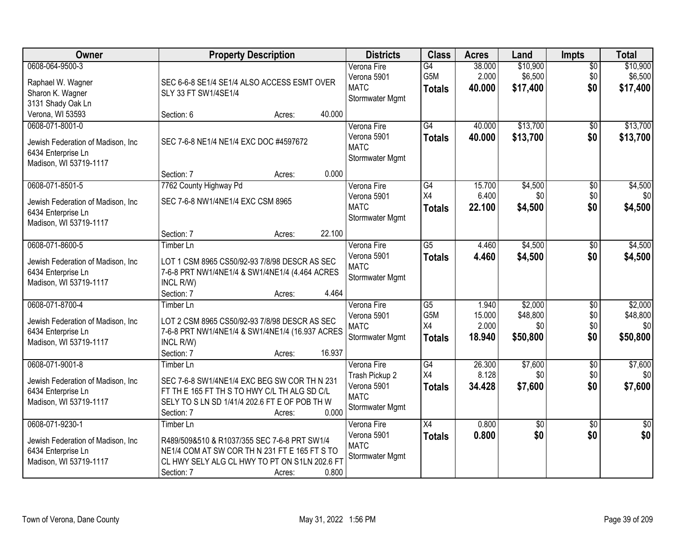| Owner                                                                                                 | <b>Property Description</b>                                                                                                                                                                  | <b>Districts</b>                                                               | <b>Class</b>                                               | <b>Acres</b>                       | Land                                   | Impts                                | <b>Total</b>                           |
|-------------------------------------------------------------------------------------------------------|----------------------------------------------------------------------------------------------------------------------------------------------------------------------------------------------|--------------------------------------------------------------------------------|------------------------------------------------------------|------------------------------------|----------------------------------------|--------------------------------------|----------------------------------------|
| 0608-064-9500-3<br>Raphael W. Wagner<br>Sharon K. Wagner<br>3131 Shady Oak Ln                         | SEC 6-6-8 SE1/4 SE1/4 ALSO ACCESS ESMT OVER<br>SLY 33 FT SW1/4SE1/4                                                                                                                          | Verona Fire<br>Verona 5901<br><b>MATC</b><br>Stormwater Mgmt                   | G4<br>G5M<br><b>Totals</b>                                 | 38.000<br>2.000<br>40.000          | \$10,900<br>\$6,500<br>\$17,400        | $\overline{50}$<br>\$0<br>\$0        | \$10,900<br>\$6,500<br>\$17,400        |
| Verona, WI 53593                                                                                      | 40.000<br>Section: 6<br>Acres:                                                                                                                                                               |                                                                                |                                                            |                                    |                                        |                                      |                                        |
| 0608-071-8001-0<br>Jewish Federation of Madison, Inc<br>6434 Enterprise Ln<br>Madison, WI 53719-1117  | SEC 7-6-8 NE1/4 NE1/4 EXC DOC #4597672                                                                                                                                                       | Verona Fire<br>Verona 5901<br><b>MATC</b><br>Stormwater Mgmt                   | G4<br><b>Totals</b>                                        | 40.000<br>40.000                   | \$13,700<br>\$13,700                   | $\overline{50}$<br>\$0               | \$13,700<br>\$13,700                   |
|                                                                                                       | 0.000<br>Section: 7<br>Acres:                                                                                                                                                                |                                                                                |                                                            |                                    |                                        |                                      |                                        |
| 0608-071-8501-5<br>Jewish Federation of Madison, Inc.<br>6434 Enterprise Ln<br>Madison, WI 53719-1117 | 7762 County Highway Pd<br>SEC 7-6-8 NW1/4NE1/4 EXC CSM 8965                                                                                                                                  | Verona Fire<br>Verona 5901<br><b>MATC</b><br>Stormwater Mgmt                   | $\overline{G4}$<br>X4<br><b>Totals</b>                     | 15.700<br>6.400<br>22.100          | \$4,500<br>\$0<br>\$4,500              | $\overline{50}$<br>\$0<br>\$0        | \$4,500<br>\$0<br>\$4,500              |
|                                                                                                       | 22.100<br>Section: 7<br>Acres:                                                                                                                                                               |                                                                                |                                                            |                                    |                                        |                                      |                                        |
| 0608-071-8600-5<br>Jewish Federation of Madison, Inc<br>6434 Enterprise Ln<br>Madison, WI 53719-1117  | <b>Timber Ln</b><br>LOT 1 CSM 8965 CS50/92-93 7/8/98 DESCR AS SEC<br>7-6-8 PRT NW1/4NE1/4 & SW1/4NE1/4 (4.464 ACRES<br>INCL R/W)                                                             | Verona Fire<br>Verona 5901<br><b>MATC</b><br>Stormwater Mgmt                   | $\overline{G5}$<br><b>Totals</b>                           | 4.460<br>4.460                     | \$4,500<br>\$4,500                     | \$0<br>\$0                           | \$4,500<br>\$4,500                     |
|                                                                                                       | 4.464<br>Section: 7<br>Acres:                                                                                                                                                                |                                                                                |                                                            |                                    |                                        |                                      |                                        |
| 0608-071-8700-4<br>Jewish Federation of Madison, Inc<br>6434 Enterprise Ln<br>Madison, WI 53719-1117  | Timber Ln<br>LOT 2 CSM 8965 CS50/92-93 7/8/98 DESCR AS SEC<br>7-6-8 PRT NW1/4NE1/4 & SW1/4NE1/4 (16.937 ACRES<br>INCL R/W)<br>16.937<br>Section: 7<br>Acres:                                 | Verona Fire<br>Verona 5901<br><b>MATC</b><br>Stormwater Mgmt                   | $\overline{G5}$<br>G <sub>5</sub> M<br>X4<br><b>Totals</b> | 1.940<br>15.000<br>2.000<br>18.940 | \$2,000<br>\$48,800<br>\$0<br>\$50,800 | $\overline{50}$<br>\$0<br>\$0<br>\$0 | \$2,000<br>\$48,800<br>\$0<br>\$50,800 |
| 0608-071-9001-8<br>Jewish Federation of Madison, Inc<br>6434 Enterprise Ln<br>Madison, WI 53719-1117  | Timber Ln<br>SEC 7-6-8 SW1/4NE1/4 EXC BEG SW COR TH N 231<br>FT TH E 165 FT TH S TO HWY C/L TH ALG SD C/L<br>SELY TO S LN SD 1/41/4 202.6 FT E OF POB TH W<br>0.000<br>Section: 7<br>Acres:  | Verona Fire<br>Trash Pickup 2<br>Verona 5901<br><b>MATC</b><br>Stormwater Mgmt | $\overline{G4}$<br>X4<br><b>Totals</b>                     | 26.300<br>8.128<br>34.428          | \$7,600<br>\$0<br>\$7,600              | $\overline{50}$<br>\$0<br>\$0        | \$7,600<br>\$0<br>\$7,600              |
| 0608-071-9230-1<br>Jewish Federation of Madison, Inc<br>6434 Enterprise Ln<br>Madison, WI 53719-1117  | Timber Ln<br>R489/509&510 & R1037/355 SEC 7-6-8 PRT SW1/4<br>NE1/4 COM AT SW COR TH N 231 FT E 165 FT S TO<br>CL HWY SELY ALG CL HWY TO PT ON S1LN 202.6 FT<br>0.800<br>Section: 7<br>Acres: | Verona Fire<br>Verona 5901<br><b>MATC</b><br>Stormwater Mgmt                   | $\overline{X4}$<br><b>Totals</b>                           | 0.800<br>0.800                     | $\overline{50}$<br>\$0                 | $\overline{30}$<br>\$0               | $\overline{50}$<br>\$0                 |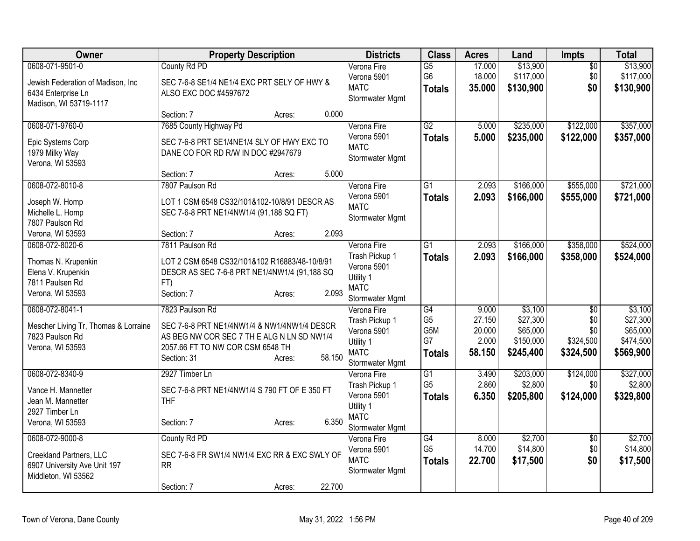| Owner                                                                                                | <b>Property Description</b>                                                                                                                                                         | <b>Districts</b>                                                                            | <b>Class</b>                                                    | <b>Acres</b>                                 | Land                                                      | <b>Impts</b>                                            | <b>Total</b>                                              |
|------------------------------------------------------------------------------------------------------|-------------------------------------------------------------------------------------------------------------------------------------------------------------------------------------|---------------------------------------------------------------------------------------------|-----------------------------------------------------------------|----------------------------------------------|-----------------------------------------------------------|---------------------------------------------------------|-----------------------------------------------------------|
| 0608-071-9501-0<br>Jewish Federation of Madison, Inc<br>6434 Enterprise Ln<br>Madison, WI 53719-1117 | County Rd PD<br>SEC 7-6-8 SE1/4 NE1/4 EXC PRT SELY OF HWY &<br>ALSO EXC DOC #4597672                                                                                                | Verona Fire<br>Verona 5901<br><b>MATC</b><br>Stormwater Mgmt                                | $\overline{G5}$<br>G <sub>6</sub><br><b>Totals</b>              | 17.000<br>18.000<br>35.000                   | \$13,900<br>\$117,000<br>\$130,900                        | $\overline{50}$<br>\$0<br>\$0                           | \$13,900<br>\$117,000<br>\$130,900                        |
|                                                                                                      | 0.000<br>Section: 7<br>Acres:                                                                                                                                                       |                                                                                             |                                                                 |                                              |                                                           |                                                         |                                                           |
| 0608-071-9760-0<br>Epic Systems Corp<br>1979 Milky Way<br>Verona, WI 53593                           | 7685 County Highway Pd<br>SEC 7-6-8 PRT SE1/4NE1/4 SLY OF HWY EXC TO<br>DANE CO FOR RD R/W IN DOC #2947679<br>5.000<br>Section: 7<br>Acres:                                         | Verona Fire<br>Verona 5901<br><b>MATC</b><br>Stormwater Mgmt                                | G2<br><b>Totals</b>                                             | 5.000<br>5.000                               | \$235,000<br>\$235,000                                    | \$122,000<br>\$122,000                                  | \$357,000<br>\$357,000                                    |
| 0608-072-8010-8<br>Joseph W. Homp<br>Michelle L. Homp<br>7807 Paulson Rd<br>Verona, WI 53593         | 7807 Paulson Rd<br>LOT 1 CSM 6548 CS32/101&102-10/8/91 DESCR AS<br>SEC 7-6-8 PRT NE1/4NW1/4 (91,188 SQ FT)<br>2.093<br>Section: 7                                                   | Verona Fire<br>Verona 5901<br><b>MATC</b><br>Stormwater Mgmt                                | $\overline{G1}$<br><b>Totals</b>                                | 2.093<br>2.093                               | \$166,000<br>\$166,000                                    | \$555,000<br>\$555,000                                  | \$721,000<br>\$721,000                                    |
| 0608-072-8020-6                                                                                      | Acres:<br>7811 Paulson Rd                                                                                                                                                           | Verona Fire                                                                                 | $\overline{G1}$                                                 | 2.093                                        | \$166,000                                                 | \$358,000                                               | \$524,000                                                 |
| Thomas N. Krupenkin<br>Elena V. Krupenkin<br>7811 Paulsen Rd<br>Verona, WI 53593                     | LOT 2 CSM 6548 CS32/101&102 R16883/48-10/8/91<br>DESCR AS SEC 7-6-8 PRT NE1/4NW1/4 (91,188 SQ<br>FT)<br>2.093<br>Section: 7<br>Acres:                                               | Trash Pickup 1<br>Verona 5901<br>Utility 1<br><b>MATC</b><br>Stormwater Mgmt                | <b>Totals</b>                                                   | 2.093                                        | \$166,000                                                 | \$358,000                                               | \$524,000                                                 |
| 0608-072-8041-1<br>Mescher Living Tr, Thomas & Lorraine<br>7823 Paulson Rd<br>Verona, WI 53593       | 7823 Paulson Rd<br>SEC 7-6-8 PRT NE1/4NW1/4 & NW1/4NW1/4 DESCR<br>AS BEG NW COR SEC 7 TH E ALG N LN SD NW1/4<br>2057.66 FT TO NW COR CSM 6548 TH<br>58.150<br>Section: 31<br>Acres: | Verona Fire<br>Trash Pickup 1<br>Verona 5901<br>Utility 1<br><b>MATC</b><br>Stormwater Mgmt | $\overline{G4}$<br>G <sub>5</sub><br>G5M<br>G7<br><b>Totals</b> | 9.000<br>27.150<br>20.000<br>2.000<br>58.150 | \$3,100<br>\$27,300<br>\$65,000<br>\$150,000<br>\$245,400 | $\overline{50}$<br>\$0<br>\$0<br>\$324,500<br>\$324,500 | \$3,100<br>\$27,300<br>\$65,000<br>\$474,500<br>\$569,900 |
| 0608-072-8340-9<br>Vance H. Mannetter<br>Jean M. Mannetter<br>2927 Timber Ln<br>Verona, WI 53593     | 2927 Timber Ln<br>SEC 7-6-8 PRT NE1/4NW1/4 S 790 FT OF E 350 FT<br><b>THF</b><br>6.350<br>Section: 7<br>Acres:                                                                      | Verona Fire<br>Trash Pickup 1<br>Verona 5901<br>Utility 1<br><b>MATC</b><br>Stormwater Mgmt | $\overline{G1}$<br>G <sub>5</sub><br><b>Totals</b>              | 3.490<br>2.860<br>6.350                      | \$203,000<br>\$2,800<br>\$205,800                         | \$124,000<br>\$0<br>\$124,000                           | \$327,000<br>\$2,800<br>\$329,800                         |
| 0608-072-9000-8<br>Creekland Partners, LLC<br>6907 University Ave Unit 197<br>Middleton, WI 53562    | County Rd PD<br>SEC 7-6-8 FR SW1/4 NW1/4 EXC RR & EXC SWLY OF<br><b>RR</b><br>22.700<br>Section: 7<br>Acres:                                                                        | Verona Fire<br>Verona 5901<br><b>MATC</b><br>Stormwater Mgmt                                | $\overline{G4}$<br>G <sub>5</sub><br><b>Totals</b>              | 8.000<br>14.700<br>22.700                    | \$2,700<br>\$14,800<br>\$17,500                           | \$0<br>\$0<br>\$0                                       | \$2,700<br>\$14,800<br>\$17,500                           |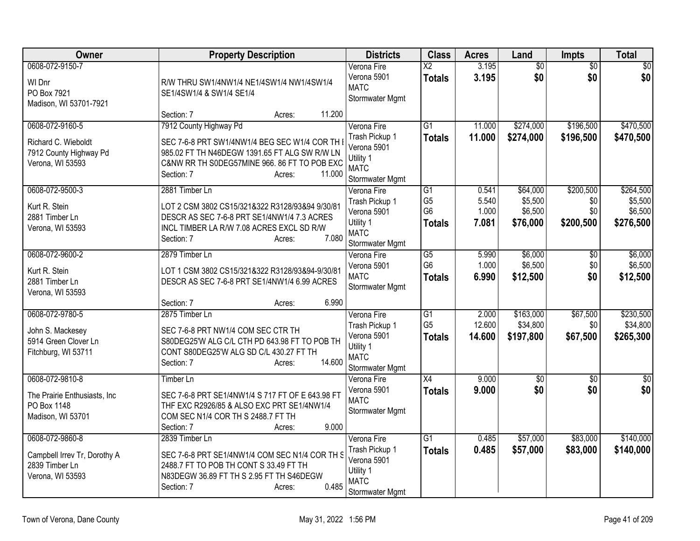| Owner                                                                                 | <b>Property Description</b>                                                                                                                                                                               | <b>Districts</b>                                                                            | <b>Class</b>                                                         | <b>Acres</b>                     | Land                                       | <b>Impts</b>                         | <b>Total</b>                                 |
|---------------------------------------------------------------------------------------|-----------------------------------------------------------------------------------------------------------------------------------------------------------------------------------------------------------|---------------------------------------------------------------------------------------------|----------------------------------------------------------------------|----------------------------------|--------------------------------------------|--------------------------------------|----------------------------------------------|
| 0608-072-9150-7<br>WI Dnr<br>PO Box 7921<br>Madison, WI 53701-7921                    | R/W THRU SW1/4NW1/4 NE1/4SW1/4 NW1/4SW1/4<br>SE1/4SW1/4 & SW1/4 SE1/4                                                                                                                                     | Verona Fire<br>Verona 5901<br><b>MATC</b><br>Stormwater Mgmt                                | $\overline{X2}$<br><b>Totals</b>                                     | 3.195<br>3.195                   | $\overline{60}$<br>\$0                     | $\overline{50}$<br>\$0               | $\overline{50}$<br>\$0                       |
|                                                                                       | 11.200<br>Section: 7<br>Acres:                                                                                                                                                                            |                                                                                             |                                                                      |                                  |                                            |                                      |                                              |
| 0608-072-9160-5<br>Richard C. Wieboldt<br>7912 County Highway Pd<br>Verona, WI 53593  | 7912 County Highway Pd<br>SEC 7-6-8 PRT SW1/4NW1/4 BEG SEC W1/4 COR TH<br>985.02 FT TH N46DEGW 1391.65 FT ALG SW R/W LN<br>C&NW RR TH S0DEG57MINE 966. 86 FT TO POB EXC<br>Section: 7<br>11.000<br>Acres: | Verona Fire<br>Trash Pickup 1<br>Verona 5901<br>Utility 1<br><b>MATC</b><br>Stormwater Mgmt | $\overline{G1}$<br><b>Totals</b>                                     | 11.000<br>11.000                 | \$274,000<br>\$274,000                     | \$196,500<br>\$196,500               | \$470,500<br>\$470,500                       |
| 0608-072-9500-3<br>Kurt R. Stein<br>2881 Timber Ln<br>Verona, WI 53593                | 2881 Timber Ln<br>LOT 2 CSM 3802 CS15/321&322 R3128/93&94 9/30/81<br>DESCR AS SEC 7-6-8 PRT SE1/4NW1/4 7.3 ACRES<br>INCL TIMBER LA R/W 7.08 ACRES EXCL SD R/W<br>7.080<br>Section: 7<br>Acres:            | Verona Fire<br>Trash Pickup 1<br>Verona 5901<br>Utility 1<br><b>MATC</b><br>Stormwater Mgmt | $\overline{G1}$<br>G <sub>5</sub><br>G <sub>6</sub><br><b>Totals</b> | 0.541<br>5.540<br>1.000<br>7.081 | \$64,000<br>\$5,500<br>\$6,500<br>\$76,000 | \$200,500<br>\$0<br>\$0<br>\$200,500 | \$264,500<br>\$5,500<br>\$6,500<br>\$276,500 |
| 0608-072-9600-2<br>Kurt R. Stein<br>2881 Timber Ln<br>Verona, WI 53593                | 2879 Timber Ln<br>LOT 1 CSM 3802 CS15/321&322 R3128/93&94-9/30/81<br>DESCR AS SEC 7-6-8 PRT SE1/4NW1/4 6.99 ACRES<br>6.990<br>Section: 7<br>Acres:                                                        | Verona Fire<br>Verona 5901<br><b>MATC</b><br>Stormwater Mgmt                                | $\overline{G5}$<br>G <sub>6</sub><br><b>Totals</b>                   | 5.990<br>1.000<br>6.990          | \$6,000<br>\$6,500<br>\$12,500             | \$0<br>\$0<br>\$0                    | \$6,000<br>\$6,500<br>\$12,500               |
| 0608-072-9780-5<br>John S. Mackesey<br>5914 Green Clover Ln<br>Fitchburg, WI 53711    | 2875 Timber Ln<br>SEC 7-6-8 PRT NW1/4 COM SEC CTR TH<br>S80DEG25'W ALG C/L CTH PD 643.98 FT TO POB TH<br>CONT S80DEG25'W ALG SD C/L 430.27 FT TH<br>14.600<br>Section: 7<br>Acres:                        | Verona Fire<br>Trash Pickup 1<br>Verona 5901<br>Utility 1<br><b>MATC</b><br>Stormwater Mgmt | $\overline{G1}$<br>G <sub>5</sub><br><b>Totals</b>                   | 2.000<br>12.600<br>14.600        | \$163,000<br>\$34,800<br>\$197,800         | \$67,500<br>\$0<br>\$67,500          | \$230,500<br>\$34,800<br>\$265,300           |
| 0608-072-9810-8<br>The Prairie Enthusiasts, Inc.<br>PO Box 1148<br>Madison, WI 53701  | Timber Ln<br>SEC 7-6-8 PRT SE1/4NW1/4 S 717 FT OF E 643.98 FT<br>THF EXC R2926/85 & ALSO EXC PRT SE1/4NW1/4<br>COM SEC N1/4 COR TH S 2488.7 FT TH<br>9.000<br>Section: 7<br>Acres:                        | Verona Fire<br>Verona 5901<br><b>MATC</b><br>Stormwater Mgmt                                | X4<br><b>Totals</b>                                                  | 9.000<br>9.000                   | $\overline{50}$<br>\$0                     | \$0<br>\$0                           | $\overline{\$0}$<br>\$0                      |
| 0608-072-9860-8<br>Campbell Irrev Tr, Dorothy A<br>2839 Timber Ln<br>Verona, WI 53593 | 2839 Timber Ln<br>SEC 7-6-8 PRT SE1/4NW1/4 COM SEC N1/4 COR TH S<br>2488.7 FT TO POB TH CONT S 33.49 FT TH<br>N83DEGW 36.89 FT TH S 2.95 FT TH S46DEGW<br>0.485<br>Section: 7<br>Acres:                   | Verona Fire<br>Trash Pickup 1<br>Verona 5901<br>Utility 1<br><b>MATC</b><br>Stormwater Mgmt | $\overline{G1}$<br><b>Totals</b>                                     | 0.485<br>0.485                   | \$57,000<br>\$57,000                       | \$83,000<br>\$83,000                 | \$140,000<br>\$140,000                       |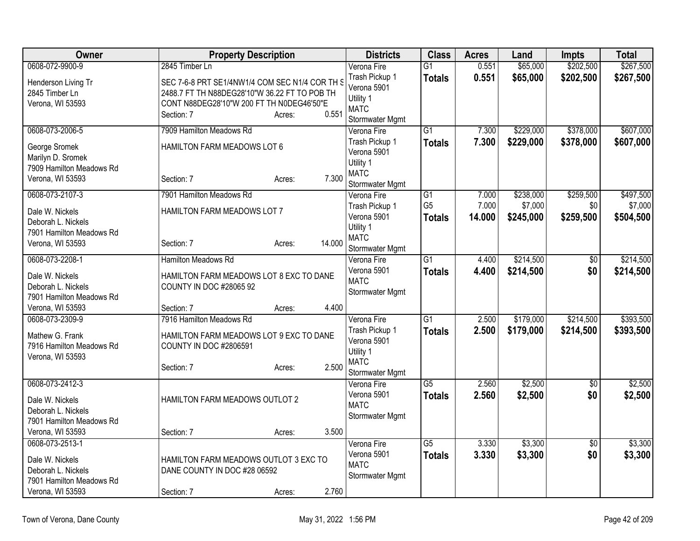| Owner                                 | <b>Property Description</b>                                        |        |        | <b>Districts</b>         | <b>Class</b>    | <b>Acres</b> | Land      | <b>Impts</b>    | <b>Total</b> |
|---------------------------------------|--------------------------------------------------------------------|--------|--------|--------------------------|-----------------|--------------|-----------|-----------------|--------------|
| 0608-072-9900-9                       | 2845 Timber Ln                                                     |        |        | Verona Fire              | $\overline{G1}$ | 0.551        | \$65,000  | \$202,500       | \$267,500    |
| Henderson Living Tr                   | SEC 7-6-8 PRT SE1/4NW1/4 COM SEC N1/4 COR TH S                     |        |        | Trash Pickup 1           | <b>Totals</b>   | 0.551        | \$65,000  | \$202,500       | \$267,500    |
| 2845 Timber Ln                        | 2488.7 FT TH N88DEG28'10"W 36.22 FT TO POB TH                      |        |        | Verona 5901<br>Utility 1 |                 |              |           |                 |              |
| Verona, WI 53593                      | CONT N88DEG28'10"W 200 FT TH N0DEG46'50"E                          |        |        | <b>MATC</b>              |                 |              |           |                 |              |
|                                       | Section: 7                                                         | Acres: | 0.551  | Stormwater Mgmt          |                 |              |           |                 |              |
| 0608-073-2006-5                       | 7909 Hamilton Meadows Rd                                           |        |        | Verona Fire              | $\overline{G1}$ | 7.300        | \$229,000 | \$378,000       | \$607,000    |
| George Sromek                         | HAMILTON FARM MEADOWS LOT 6                                        |        |        | Trash Pickup 1           | <b>Totals</b>   | 7.300        | \$229,000 | \$378,000       | \$607,000    |
| Marilyn D. Sromek                     |                                                                    |        |        | Verona 5901<br>Utility 1 |                 |              |           |                 |              |
| 7909 Hamilton Meadows Rd              |                                                                    |        |        | <b>MATC</b>              |                 |              |           |                 |              |
| Verona, WI 53593                      | Section: 7                                                         | Acres: | 7.300  | Stormwater Mgmt          |                 |              |           |                 |              |
| 0608-073-2107-3                       | 7901 Hamilton Meadows Rd                                           |        |        | Verona Fire              | $\overline{G1}$ | 7.000        | \$238,000 | \$259,500       | \$497,500    |
| Dale W. Nickels                       | HAMILTON FARM MEADOWS LOT 7                                        |        |        | Trash Pickup 1           | G <sub>5</sub>  | 7.000        | \$7,000   | \$0             | \$7,000      |
| Deborah L. Nickels                    |                                                                    |        |        | Verona 5901              | <b>Totals</b>   | 14.000       | \$245,000 | \$259,500       | \$504,500    |
| 7901 Hamilton Meadows Rd              |                                                                    |        |        | Utility 1<br><b>MATC</b> |                 |              |           |                 |              |
| Verona, WI 53593                      | Section: 7                                                         | Acres: | 14.000 | Stormwater Mgmt          |                 |              |           |                 |              |
| 0608-073-2208-1                       | Hamilton Meadows Rd                                                |        |        | Verona Fire              | $\overline{G1}$ | 4.400        | \$214,500 | $\overline{50}$ | \$214,500    |
|                                       |                                                                    |        |        | Verona 5901              | <b>Totals</b>   | 4.400        | \$214,500 | \$0             | \$214,500    |
| Dale W. Nickels<br>Deborah L. Nickels | HAMILTON FARM MEADOWS LOT 8 EXC TO DANE<br>COUNTY IN DOC #28065 92 |        |        | <b>MATC</b>              |                 |              |           |                 |              |
| 7901 Hamilton Meadows Rd              |                                                                    |        |        | Stormwater Mgmt          |                 |              |           |                 |              |
| Verona, WI 53593                      | Section: 7                                                         | Acres: | 4.400  |                          |                 |              |           |                 |              |
| 0608-073-2309-9                       | 7916 Hamilton Meadows Rd                                           |        |        | Verona Fire              | $\overline{G1}$ | 2.500        | \$179,000 | \$214,500       | \$393,500    |
| Mathew G. Frank                       | HAMILTON FARM MEADOWS LOT 9 EXC TO DANE                            |        |        | Trash Pickup 1           | <b>Totals</b>   | 2.500        | \$179,000 | \$214,500       | \$393,500    |
| 7916 Hamilton Meadows Rd              | <b>COUNTY IN DOC #2806591</b>                                      |        |        | Verona 5901              |                 |              |           |                 |              |
| Verona, WI 53593                      |                                                                    |        |        | Utility 1<br><b>MATC</b> |                 |              |           |                 |              |
|                                       | Section: 7                                                         | Acres: | 2.500  | Stormwater Mgmt          |                 |              |           |                 |              |
| 0608-073-2412-3                       |                                                                    |        |        | Verona Fire              | $\overline{G5}$ | 2.560        | \$2,500   | $\overline{50}$ | \$2,500      |
|                                       | HAMILTON FARM MEADOWS OUTLOT 2                                     |        |        | Verona 5901              | <b>Totals</b>   | 2.560        | \$2,500   | \$0             | \$2,500      |
| Dale W. Nickels<br>Deborah L. Nickels |                                                                    |        |        | <b>MATC</b>              |                 |              |           |                 |              |
| 7901 Hamilton Meadows Rd              |                                                                    |        |        | Stormwater Mgmt          |                 |              |           |                 |              |
| Verona, WI 53593                      | Section: 7                                                         | Acres: | 3.500  |                          |                 |              |           |                 |              |
| 0608-073-2513-1                       |                                                                    |        |        | Verona Fire              | $\overline{G5}$ | 3.330        | \$3,300   | $\overline{50}$ | \$3,300      |
| Dale W. Nickels                       | HAMILTON FARM MEADOWS OUTLOT 3 EXC TO                              |        |        | Verona 5901              | <b>Totals</b>   | 3.330        | \$3,300   | \$0             | \$3,300      |
| Deborah L. Nickels                    | DANE COUNTY IN DOC #28 06592                                       |        |        | <b>MATC</b>              |                 |              |           |                 |              |
| 7901 Hamilton Meadows Rd              |                                                                    |        |        | Stormwater Mgmt          |                 |              |           |                 |              |
| Verona, WI 53593                      | Section: 7                                                         | Acres: | 2.760  |                          |                 |              |           |                 |              |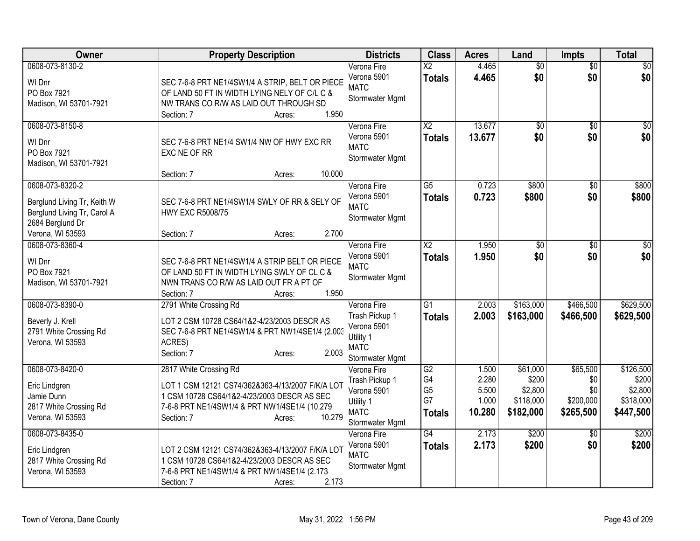| Owner                                                                                                                 | <b>Property Description</b>                                                                                                                                                                                  | <b>Districts</b>                                                                            | <b>Class</b>                                      | <b>Acres</b>                               | Land                                                   | <b>Impts</b>                                     | <b>Total</b>                                            |
|-----------------------------------------------------------------------------------------------------------------------|--------------------------------------------------------------------------------------------------------------------------------------------------------------------------------------------------------------|---------------------------------------------------------------------------------------------|---------------------------------------------------|--------------------------------------------|--------------------------------------------------------|--------------------------------------------------|---------------------------------------------------------|
| 0608-073-8130-2<br>WI Dnr<br>PO Box 7921<br>Madison, WI 53701-7921                                                    | SEC 7-6-8 PRT NE1/4SW1/4 A STRIP, BELT OR PIECE<br>OF LAND 50 FT IN WIDTH LYING NELY OF C/L C &<br>NW TRANS CO R/W AS LAID OUT THROUGH SD<br>1.950<br>Section: 7<br>Acres:                                   | Verona Fire<br>Verona 5901<br><b>MATC</b><br>Stormwater Mgmt                                | $\overline{X2}$<br><b>Totals</b>                  | 4.465<br>4.465                             | $\overline{50}$<br>\$0                                 | $\overline{50}$<br>\$0                           | $\sqrt{50}$<br>\$0                                      |
| 0608-073-8150-8<br>WI Dnr<br>PO Box 7921<br>Madison, WI 53701-7921                                                    | SEC 7-6-8 PRT NE1/4 SW1/4 NW OF HWY EXC RR<br>EXC NE OF RR<br>10.000<br>Section: 7<br>Acres:                                                                                                                 | Verona Fire<br>Verona 5901<br><b>MATC</b><br>Stormwater Mgmt                                | $\overline{X2}$<br><b>Totals</b>                  | 13.677<br>13.677                           | \$0<br>\$0                                             | $\sqrt{6}$<br>\$0                                | $\sqrt{50}$<br>\$0                                      |
| 0608-073-8320-2<br>Berglund Living Tr, Keith W<br>Berglund Living Tr, Carol A<br>2684 Berglund Dr<br>Verona, WI 53593 | SEC 7-6-8 PRT NE1/4SW1/4 SWLY OF RR & SELY OF<br><b>HWY EXC R5008/75</b><br>2.700<br>Section: 7<br>Acres:                                                                                                    | Verona Fire<br>Verona 5901<br><b>MATC</b><br>Stormwater Mgmt                                | $\overline{G5}$<br><b>Totals</b>                  | 0.723<br>0.723                             | \$800<br>\$800                                         | \$0<br>\$0                                       | \$800<br>\$800                                          |
| 0608-073-8360-4<br>WI Dnr<br>PO Box 7921<br>Madison, WI 53701-7921                                                    | SEC 7-6-8 PRT NE1/4SW1/4 A STRIP BELT OR PIECE<br>OF LAND 50 FT IN WIDTH LYING SWLY OF CL C &<br>NWN TRANS CO R/W AS LAID OUT FR A PT OF<br>1.950<br>Section: 7<br>Acres:                                    | Verona Fire<br>Verona 5901<br><b>MATC</b><br>Stormwater Mgmt                                | $\overline{\text{X2}}$<br><b>Totals</b>           | 1.950<br>1.950                             | $\overline{50}$<br>\$0                                 | \$0<br>\$0                                       | $\overline{30}$<br>\$0                                  |
| 0608-073-8390-0<br>Beverly J. Krell<br>2791 White Crossing Rd<br>Verona, WI 53593                                     | 2791 White Crossing Rd<br>LOT 2 CSM 10728 CS64/1&2-4/23/2003 DESCR AS<br>SEC 7-6-8 PRT NE1/4SW1/4 & PRT NW1/4SE1/4 (2.003<br>ACRES)<br>2.003<br>Section: 7<br>Acres:                                         | Verona Fire<br>Trash Pickup 1<br>Verona 5901<br>Utility 1<br><b>MATC</b><br>Stormwater Mgmt | $\overline{G1}$<br><b>Totals</b>                  | 2.003<br>2.003                             | \$163,000<br>\$163,000                                 | \$466,500<br>\$466,500                           | \$629,500<br>\$629,500                                  |
| 0608-073-8420-0<br>Eric Lindgren<br>Jamie Dunn<br>2817 White Crossing Rd<br>Verona, WI 53593                          | 2817 White Crossing Rd<br>LOT 1 CSM 12121 CS74/362&363-4/13/2007 F/K/A LOT<br>1 CSM 10728 CS64/1&2-4/23/2003 DESCR AS SEC<br>7-6-8 PRT NE1/4SW1/4 & PRT NW1/4SE1/4 (10.279<br>10.279<br>Section: 7<br>Acres: | Verona Fire<br>Trash Pickup 1<br>Verona 5901<br>Utility 1<br><b>MATC</b><br>Stormwater Mgmt | G2<br>G4<br>G <sub>5</sub><br>G7<br><b>Totals</b> | 1.500<br>2.280<br>5.500<br>1.000<br>10.280 | \$61,000<br>\$200<br>\$2,800<br>\$118,000<br>\$182,000 | \$65,500<br>\$0<br>\$0<br>\$200,000<br>\$265,500 | \$126,500<br>\$200<br>\$2,800<br>\$318,000<br>\$447,500 |
| 0608-073-8435-0<br>Eric Lindgren<br>2817 White Crossing Rd<br>Verona, WI 53593                                        | LOT 2 CSM 12121 CS74/362&363-4/13/2007 F/K/A LOT<br>1 CSM 10728 CS64/1&2-4/23/2003 DESCR AS SEC<br>7-6-8 PRT NE1/4SW1/4 & PRT NW1/4SE1/4 (2.173<br>2.173<br>Section: 7<br>Acres:                             | Verona Fire<br>Verona 5901<br><b>MATC</b><br>Stormwater Mgmt                                | $\overline{G4}$<br><b>Totals</b>                  | 2.173<br>2.173                             | \$200<br>\$200                                         | $\overline{50}$<br>\$0                           | \$200<br>\$200                                          |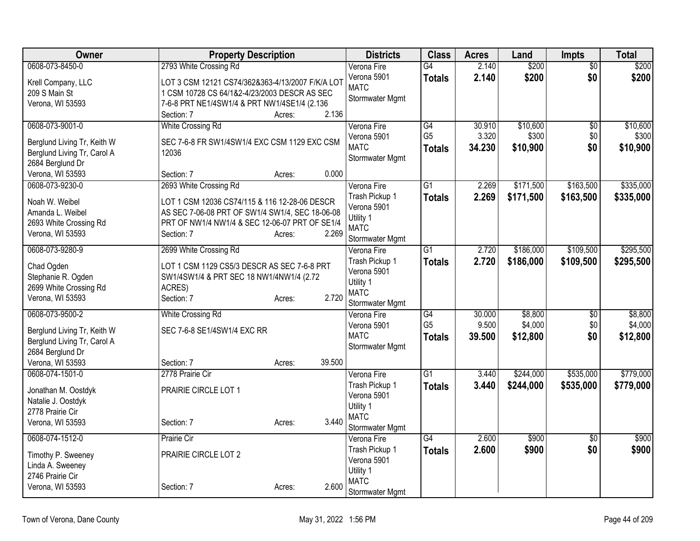| Owner                                                      | <b>Property Description</b>                      |        |        | <b>Districts</b>              | <b>Class</b>    | <b>Acres</b> | Land      | <b>Impts</b>    | Total     |
|------------------------------------------------------------|--------------------------------------------------|--------|--------|-------------------------------|-----------------|--------------|-----------|-----------------|-----------|
| 0608-073-8450-0                                            | 2793 White Crossing Rd                           |        |        | Verona Fire                   | $\overline{G4}$ | 2.140        | \$200     | $\overline{50}$ | \$200     |
| Krell Company, LLC                                         | LOT 3 CSM 12121 CS74/362&363-4/13/2007 F/K/A LOT |        |        | Verona 5901                   | <b>Totals</b>   | 2.140        | \$200     | \$0             | \$200     |
| 209 S Main St                                              | 1 CSM 10728 CS 64/1&2-4/23/2003 DESCR AS SEC     |        |        | <b>MATC</b>                   |                 |              |           |                 |           |
| Verona, WI 53593                                           | 7-6-8 PRT NE1/4SW1/4 & PRT NW1/4SE1/4 (2.136     |        |        | Stormwater Mgmt               |                 |              |           |                 |           |
|                                                            | Section: 7                                       | Acres: | 2.136  |                               |                 |              |           |                 |           |
| 0608-073-9001-0                                            | White Crossing Rd                                |        |        | Verona Fire                   | G4              | 30.910       | \$10,600  | \$0             | \$10,600  |
| Berglund Living Tr, Keith W                                | SEC 7-6-8 FR SW1/4SW1/4 EXC CSM 1129 EXC CSM     |        |        | Verona 5901                   | G <sub>5</sub>  | 3.320        | \$300     | \$0             | \$300     |
| Berglund Living Tr, Carol A                                | 12036                                            |        |        | <b>MATC</b>                   | Totals          | 34.230       | \$10,900  | \$0             | \$10,900  |
| 2684 Berglund Dr                                           |                                                  |        |        | Stormwater Mgmt               |                 |              |           |                 |           |
| Verona, WI 53593                                           | Section: 7                                       | Acres: | 0.000  |                               |                 |              |           |                 |           |
| 0608-073-9230-0                                            | 2693 White Crossing Rd                           |        |        | Verona Fire                   | $\overline{G1}$ | 2.269        | \$171,500 | \$163,500       | \$335,000 |
| Noah W. Weibel                                             | LOT 1 CSM 12036 CS74/115 & 116 12-28-06 DESCR    |        |        | Trash Pickup 1                | <b>Totals</b>   | 2.269        | \$171,500 | \$163,500       | \$335,000 |
| Amanda L. Weibel                                           | AS SEC 7-06-08 PRT OF SW1/4 SW1/4, SEC 18-06-08  |        |        | Verona 5901                   |                 |              |           |                 |           |
| 2693 White Crossing Rd                                     | PRT OF NW1/4 NW1/4 & SEC 12-06-07 PRT OF SE1/4   |        |        | Utility 1                     |                 |              |           |                 |           |
| Verona, WI 53593                                           | Section: 7                                       | Acres: | 2.269  | <b>MATC</b>                   |                 |              |           |                 |           |
|                                                            |                                                  |        |        | Stormwater Mgmt               |                 |              |           |                 |           |
| 0608-073-9280-9                                            | 2699 White Crossing Rd                           |        |        | Verona Fire                   | $\overline{G1}$ | 2.720        | \$186,000 | \$109,500       | \$295,500 |
| Chad Ogden                                                 | LOT 1 CSM 1129 CS5/3 DESCR AS SEC 7-6-8 PRT      |        |        | Trash Pickup 1<br>Verona 5901 | <b>Totals</b>   | 2.720        | \$186,000 | \$109,500       | \$295,500 |
| Stephanie R. Ogden                                         | SW1/4SW1/4 & PRT SEC 18 NW1/4NW1/4 (2.72         |        |        | Utility 1                     |                 |              |           |                 |           |
| 2699 White Crossing Rd                                     | ACRES)                                           |        |        | <b>MATC</b>                   |                 |              |           |                 |           |
| Verona, WI 53593                                           | Section: 7                                       | Acres: | 2.720  | Stormwater Mgmt               |                 |              |           |                 |           |
| 0608-073-9500-2                                            | <b>White Crossing Rd</b>                         |        |        | Verona Fire                   | $\overline{G4}$ | 30.000       | \$8,800   | $\sqrt{6}$      | \$8,800   |
|                                                            |                                                  |        |        | Verona 5901                   | G <sub>5</sub>  | 9.500        | \$4,000   | \$0             | \$4,000   |
| Berglund Living Tr, Keith W<br>Berglund Living Tr, Carol A | SEC 7-6-8 SE1/4SW1/4 EXC RR                      |        |        | <b>MATC</b>                   | <b>Totals</b>   | 39.500       | \$12,800  | \$0             | \$12,800  |
| 2684 Berglund Dr                                           |                                                  |        |        | Stormwater Mgmt               |                 |              |           |                 |           |
| Verona, WI 53593                                           | Section: 7                                       | Acres: | 39.500 |                               |                 |              |           |                 |           |
| 0608-074-1501-0                                            | 2778 Prairie Cir                                 |        |        | Verona Fire                   | $\overline{G1}$ | 3.440        | \$244,000 | \$535,000       | \$779,000 |
|                                                            |                                                  |        |        | Trash Pickup 1                | <b>Totals</b>   | 3.440        | \$244,000 | \$535,000       | \$779,000 |
| Jonathan M. Oostdyk                                        | PRAIRIE CIRCLE LOT 1                             |        |        | Verona 5901                   |                 |              |           |                 |           |
| Natalie J. Oostdyk                                         |                                                  |        |        | Utility 1                     |                 |              |           |                 |           |
| 2778 Prairie Cir                                           |                                                  |        | 3.440  | <b>MATC</b>                   |                 |              |           |                 |           |
| Verona, WI 53593                                           | Section: 7                                       | Acres: |        | Stormwater Mgmt               |                 |              |           |                 |           |
| 0608-074-1512-0                                            | Prairie Cir                                      |        |        | Verona Fire                   | G4              | 2.600        | \$900     | $\overline{30}$ | \$900     |
| Timothy P. Sweeney                                         | PRAIRIE CIRCLE LOT 2                             |        |        | Trash Pickup 1                | <b>Totals</b>   | 2.600        | \$900     | \$0             | \$900     |
| Linda A. Sweeney                                           |                                                  |        |        | Verona 5901                   |                 |              |           |                 |           |
| 2746 Prairie Cir                                           |                                                  |        |        | Utility 1                     |                 |              |           |                 |           |
| Verona, WI 53593                                           | Section: 7                                       | Acres: | 2.600  | <b>MATC</b>                   |                 |              |           |                 |           |
|                                                            |                                                  |        |        | Stormwater Mgmt               |                 |              |           |                 |           |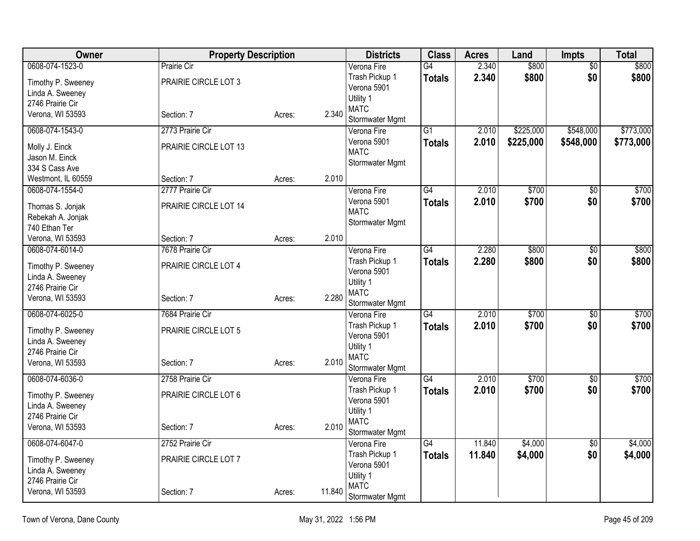| Owner                                | <b>Property Description</b> |        |        | <b>Districts</b>               | <b>Class</b>    | <b>Acres</b> | Land      | <b>Impts</b>    | Total     |
|--------------------------------------|-----------------------------|--------|--------|--------------------------------|-----------------|--------------|-----------|-----------------|-----------|
| 0608-074-1523-0                      | Prairie Cir                 |        |        | Verona Fire                    | G4              | 2.340        | \$800     | $\sqrt{6}$      | \$800     |
| Timothy P. Sweeney                   | PRAIRIE CIRCLE LOT 3        |        |        | Trash Pickup 1                 | <b>Totals</b>   | 2.340        | \$800     | \$0             | \$800     |
| Linda A. Sweeney                     |                             |        |        | Verona 5901                    |                 |              |           |                 |           |
| 2746 Prairie Cir                     |                             |        |        | Utility 1                      |                 |              |           |                 |           |
| Verona, WI 53593                     | Section: 7                  | Acres: | 2.340  | <b>MATC</b><br>Stormwater Mgmt |                 |              |           |                 |           |
| 0608-074-1543-0                      | 2773 Prairie Cir            |        |        | Verona Fire                    | $\overline{G1}$ | 2.010        | \$225,000 | \$548,000       | \$773,000 |
|                                      |                             |        |        | Verona 5901                    | <b>Totals</b>   | 2.010        | \$225,000 | \$548,000       | \$773,000 |
| Molly J. Einck                       | PRAIRIE CIRCLE LOT 13       |        |        | <b>MATC</b>                    |                 |              |           |                 |           |
| Jason M. Einck                       |                             |        |        | Stormwater Mgmt                |                 |              |           |                 |           |
| 334 S Cass Ave                       |                             |        |        |                                |                 |              |           |                 |           |
| Westmont, IL 60559                   | Section: 7                  | Acres: | 2.010  |                                |                 | 2.010        | \$700     |                 | \$700     |
| 0608-074-1554-0                      | 2777 Prairie Cir            |        |        | Verona Fire<br>Verona 5901     | G4              |              |           | $\overline{50}$ |           |
| Thomas S. Jonjak                     | PRAIRIE CIRCLE LOT 14       |        |        | <b>MATC</b>                    | <b>Totals</b>   | 2.010        | \$700     | \$0             | \$700     |
| Rebekah A. Jonjak                    |                             |        |        | Stormwater Mgmt                |                 |              |           |                 |           |
| 740 Ethan Ter                        |                             |        |        |                                |                 |              |           |                 |           |
| Verona, WI 53593                     | Section: 7                  | Acres: | 2.010  |                                |                 |              |           |                 |           |
| 0608-074-6014-0                      | 7678 Prairie Cir            |        |        | Verona Fire                    | G4              | 2.280        | \$800     | $\overline{50}$ | \$800     |
| Timothy P. Sweeney                   | PRAIRIE CIRCLE LOT 4        |        |        | Trash Pickup 1                 | <b>Totals</b>   | 2.280        | \$800     | \$0             | \$800     |
| Linda A. Sweeney                     |                             |        |        | Verona 5901                    |                 |              |           |                 |           |
| 2746 Prairie Cir                     |                             |        |        | Utility 1<br><b>MATC</b>       |                 |              |           |                 |           |
| Verona, WI 53593                     | Section: 7                  | Acres: | 2.280  | Stormwater Mgmt                |                 |              |           |                 |           |
| 0608-074-6025-0                      | 7684 Prairie Cir            |        |        | Verona Fire                    | G4              | 2.010        | \$700     | $\sqrt{6}$      | \$700     |
|                                      |                             |        |        | Trash Pickup 1                 | <b>Totals</b>   | 2.010        | \$700     | \$0             | \$700     |
| Timothy P. Sweeney                   | PRAIRIE CIRCLE LOT 5        |        |        | Verona 5901                    |                 |              |           |                 |           |
| Linda A. Sweeney<br>2746 Prairie Cir |                             |        |        | Utility 1                      |                 |              |           |                 |           |
| Verona, WI 53593                     | Section: 7                  |        | 2.010  | <b>MATC</b>                    |                 |              |           |                 |           |
|                                      |                             | Acres: |        | Stormwater Mgmt                |                 |              |           |                 |           |
| 0608-074-6036-0                      | 2758 Prairie Cir            |        |        | Verona Fire                    | $\overline{G4}$ | 2.010        | \$700     | \$0             | \$700     |
| Timothy P. Sweeney                   | PRAIRIE CIRCLE LOT 6        |        |        | Trash Pickup 1                 | <b>Totals</b>   | 2.010        | \$700     | \$0             | \$700     |
| Linda A. Sweeney                     |                             |        |        | Verona 5901                    |                 |              |           |                 |           |
| 2746 Prairie Cir                     |                             |        |        | Utility 1                      |                 |              |           |                 |           |
| Verona, WI 53593                     | Section: 7                  | Acres: | 2.010  | <b>MATC</b>                    |                 |              |           |                 |           |
| 0608-074-6047-0                      | 2752 Prairie Cir            |        |        | Stormwater Mgmt<br>Verona Fire | G4              | 11.840       | \$4,000   | $\overline{50}$ | \$4,000   |
|                                      |                             |        |        | Trash Pickup 1                 |                 | 11.840       | \$4,000   | \$0             | \$4,000   |
| Timothy P. Sweeney                   | PRAIRIE CIRCLE LOT 7        |        |        | Verona 5901                    | <b>Totals</b>   |              |           |                 |           |
| Linda A. Sweeney                     |                             |        |        | Utility 1                      |                 |              |           |                 |           |
| 2746 Prairie Cir                     |                             |        |        | <b>MATC</b>                    |                 |              |           |                 |           |
| Verona, WI 53593                     | Section: 7                  | Acres: | 11.840 | Stormwater Mgmt                |                 |              |           |                 |           |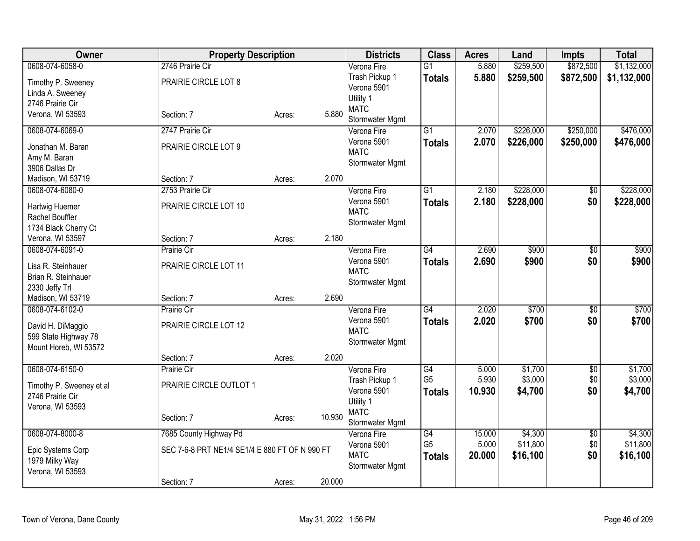| Owner                               | <b>Property Description</b>                    |        |        | <b>Districts</b>           | <b>Class</b>                      | <b>Acres</b>    | Land                | <b>Impts</b>           | <b>Total</b>        |
|-------------------------------------|------------------------------------------------|--------|--------|----------------------------|-----------------------------------|-----------------|---------------------|------------------------|---------------------|
| 0608-074-6058-0                     | 2746 Prairie Cir                               |        |        | Verona Fire                | $\overline{G1}$                   | 5.880           | \$259,500           | \$872,500              | \$1,132,000         |
| Timothy P. Sweeney                  | PRAIRIE CIRCLE LOT 8                           |        |        | Trash Pickup 1             | <b>Totals</b>                     | 5.880           | \$259,500           | \$872,500              | \$1,132,000         |
| Linda A. Sweeney                    |                                                |        |        | Verona 5901                |                                   |                 |                     |                        |                     |
| 2746 Prairie Cir                    |                                                |        |        | Utility 1                  |                                   |                 |                     |                        |                     |
| Verona, WI 53593                    | Section: 7                                     | Acres: | 5.880  | <b>MATC</b>                |                                   |                 |                     |                        |                     |
| 0608-074-6069-0                     | 2747 Prairie Cir                               |        |        | Stormwater Mgmt            | $\overline{G1}$                   | 2.070           | \$226,000           | \$250,000              | \$476,000           |
|                                     |                                                |        |        | Verona Fire<br>Verona 5901 |                                   | 2.070           | \$226,000           | \$250,000              |                     |
| Jonathan M. Baran                   | PRAIRIE CIRCLE LOT 9                           |        |        | <b>MATC</b>                | <b>Totals</b>                     |                 |                     |                        | \$476,000           |
| Amy M. Baran                        |                                                |        |        | Stormwater Mgmt            |                                   |                 |                     |                        |                     |
| 3906 Dallas Dr                      |                                                |        |        |                            |                                   |                 |                     |                        |                     |
| Madison, WI 53719                   | Section: 7                                     | Acres: | 2.070  |                            |                                   |                 |                     |                        |                     |
| 0608-074-6080-0                     | 2753 Prairie Cir                               |        |        | Verona Fire                | $\overline{G1}$                   | 2.180           | \$228,000           | $\overline{50}$        | \$228,000           |
| Hartwig Huemer                      | PRAIRIE CIRCLE LOT 10                          |        |        | Verona 5901                | <b>Totals</b>                     | 2.180           | \$228,000           | \$0                    | \$228,000           |
| Rachel Bouffler                     |                                                |        |        | <b>MATC</b>                |                                   |                 |                     |                        |                     |
| 1734 Black Cherry Ct                |                                                |        |        | Stormwater Mgmt            |                                   |                 |                     |                        |                     |
| Verona, WI 53597                    | Section: 7                                     | Acres: | 2.180  |                            |                                   |                 |                     |                        |                     |
| 0608-074-6091-0                     | Prairie Cir                                    |        |        | Verona Fire                | G4                                | 2.690           | \$900               | $\overline{50}$        | \$900               |
|                                     |                                                |        |        | Verona 5901                | <b>Totals</b>                     | 2.690           | \$900               | \$0                    | \$900               |
| Lisa R. Steinhauer                  | PRAIRIE CIRCLE LOT 11                          |        |        | <b>MATC</b>                |                                   |                 |                     |                        |                     |
| Brian R. Steinhauer                 |                                                |        |        | Stormwater Mgmt            |                                   |                 |                     |                        |                     |
| 2330 Jeffy Trl<br>Madison, WI 53719 | Section: 7                                     | Acres: | 2.690  |                            |                                   |                 |                     |                        |                     |
| 0608-074-6102-0                     | Prairie Cir                                    |        |        | Verona Fire                | $\overline{G4}$                   | 2.020           | \$700               | $\overline{30}$        | \$700               |
|                                     |                                                |        |        | Verona 5901                |                                   | 2.020           | \$700               | \$0                    | \$700               |
| David H. DiMaggio                   | PRAIRIE CIRCLE LOT 12                          |        |        | <b>MATC</b>                | <b>Totals</b>                     |                 |                     |                        |                     |
| 599 State Highway 78                |                                                |        |        | Stormwater Mgmt            |                                   |                 |                     |                        |                     |
| Mount Horeb, WI 53572               |                                                |        |        |                            |                                   |                 |                     |                        |                     |
|                                     | Section: 7                                     | Acres: | 2.020  |                            |                                   |                 |                     |                        |                     |
| 0608-074-6150-0                     | Prairie Cir                                    |        |        | Verona Fire                | G4                                | 5.000           | \$1,700             | $\overline{50}$        | \$1,700             |
| Timothy P. Sweeney et al            | PRAIRIE CIRCLE OUTLOT 1                        |        |        | Trash Pickup 1             | G <sub>5</sub>                    | 5.930           | \$3,000             | \$0                    | \$3,000             |
| 2746 Prairie Cir                    |                                                |        |        | Verona 5901                | <b>Totals</b>                     | 10.930          | \$4,700             | \$0                    | \$4,700             |
| Verona, WI 53593                    |                                                |        |        | Utility 1                  |                                   |                 |                     |                        |                     |
|                                     | Section: 7                                     | Acres: | 10.930 | <b>MATC</b>                |                                   |                 |                     |                        |                     |
|                                     |                                                |        |        | Stormwater Mgmt            |                                   |                 |                     |                        |                     |
| 0608-074-8000-8                     | 7685 County Highway Pd                         |        |        | Verona Fire                | $\overline{G4}$<br>G <sub>5</sub> | 15.000<br>5.000 | \$4,300<br>\$11,800 | $\overline{50}$<br>\$0 | \$4,300<br>\$11,800 |
| Epic Systems Corp                   | SEC 7-6-8 PRT NE1/4 SE1/4 E 880 FT OF N 990 FT |        |        | Verona 5901<br><b>MATC</b> |                                   |                 |                     |                        |                     |
| 1979 Milky Way                      |                                                |        |        |                            | <b>Totals</b>                     | 20.000          | \$16,100            | \$0                    | \$16,100            |
| Verona, WI 53593                    |                                                |        |        | Stormwater Mgmt            |                                   |                 |                     |                        |                     |
|                                     | Section: 7                                     | Acres: | 20.000 |                            |                                   |                 |                     |                        |                     |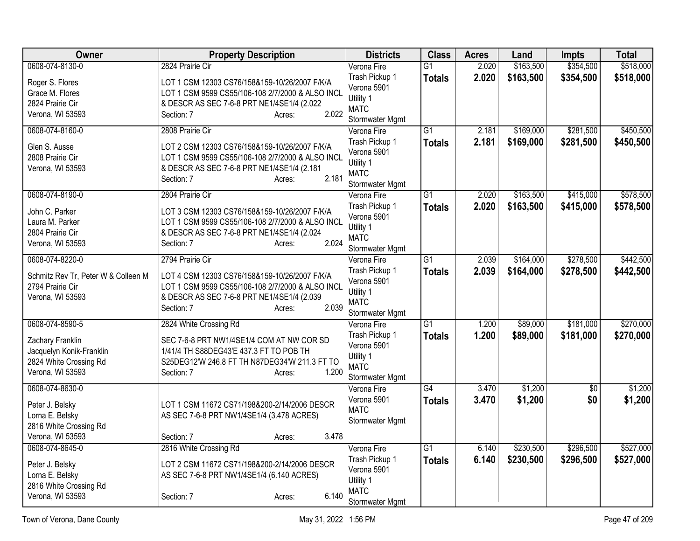| Owner                               | <b>Property Description</b>                      | <b>Districts</b>               | <b>Class</b>    | <b>Acres</b> | Land      | Impts           | <b>Total</b> |
|-------------------------------------|--------------------------------------------------|--------------------------------|-----------------|--------------|-----------|-----------------|--------------|
| 0608-074-8130-0                     | 2824 Prairie Cir                                 | Verona Fire                    | $\overline{G1}$ | 2.020        | \$163,500 | \$354,500       | \$518,000    |
| Roger S. Flores                     | LOT 1 CSM 12303 CS76/158&159-10/26/2007 F/K/A    | Trash Pickup 1                 | <b>Totals</b>   | 2.020        | \$163,500 | \$354,500       | \$518,000    |
| Grace M. Flores                     | LOT 1 CSM 9599 CS55/106-108 2/7/2000 & ALSO INCL | Verona 5901                    |                 |              |           |                 |              |
| 2824 Prairie Cir                    | & DESCR AS SEC 7-6-8 PRT NE1/4SE1/4 (2.022       | Utility 1                      |                 |              |           |                 |              |
| Verona, WI 53593                    | 2.022<br>Section: 7<br>Acres:                    | <b>MATC</b>                    |                 |              |           |                 |              |
|                                     |                                                  | Stormwater Mgmt                |                 |              |           |                 |              |
| 0608-074-8160-0                     | 2808 Prairie Cir                                 | Verona Fire                    | $\overline{G1}$ | 2.181        | \$169,000 | \$281,500       | \$450,500    |
| Glen S. Ausse                       | LOT 2 CSM 12303 CS76/158&159-10/26/2007 F/K/A    | Trash Pickup 1                 | <b>Totals</b>   | 2.181        | \$169,000 | \$281,500       | \$450,500    |
| 2808 Prairie Cir                    | LOT 1 CSM 9599 CS55/106-108 2/7/2000 & ALSO INCL | Verona 5901                    |                 |              |           |                 |              |
| Verona, WI 53593                    | & DESCR AS SEC 7-6-8 PRT NE1/4SE1/4 (2.181       | Utility 1<br><b>MATC</b>       |                 |              |           |                 |              |
|                                     | 2.181<br>Section: 7<br>Acres:                    | Stormwater Mgmt                |                 |              |           |                 |              |
| 0608-074-8190-0                     | 2804 Prairie Cir                                 | Verona Fire                    | $\overline{G1}$ | 2.020        | \$163,500 | \$415,000       | \$578,500    |
|                                     |                                                  | Trash Pickup 1                 | <b>Totals</b>   | 2.020        | \$163,500 | \$415,000       | \$578,500    |
| John C. Parker                      | LOT 3 CSM 12303 CS76/158&159-10/26/2007 F/K/A    | Verona 5901                    |                 |              |           |                 |              |
| Laura M. Parker                     | LOT 1 CSM 9599 CS55/106-108 2/7/2000 & ALSO INCL | Utility 1                      |                 |              |           |                 |              |
| 2804 Prairie Cir                    | & DESCR AS SEC 7-6-8 PRT NE1/4SE1/4 (2.024       | <b>MATC</b>                    |                 |              |           |                 |              |
| Verona, WI 53593                    | 2.024<br>Section: 7<br>Acres:                    | Stormwater Mgmt                |                 |              |           |                 |              |
| 0608-074-8220-0                     | 2794 Prairie Cir                                 | Verona Fire                    | $\overline{G1}$ | 2.039        | \$164,000 | \$278,500       | \$442,500    |
| Schmitz Rev Tr, Peter W & Colleen M | LOT 4 CSM 12303 CS76/158&159-10/26/2007 F/K/A    | Trash Pickup 1                 | <b>Totals</b>   | 2.039        | \$164,000 | \$278,500       | \$442,500    |
| 2794 Prairie Cir                    | LOT 1 CSM 9599 CS55/106-108 2/7/2000 & ALSO INCL | Verona 5901                    |                 |              |           |                 |              |
| Verona, WI 53593                    | & DESCR AS SEC 7-6-8 PRT NE1/4SE1/4 (2.039       | Utility 1                      |                 |              |           |                 |              |
|                                     | 2.039<br>Section: 7<br>Acres:                    | <b>MATC</b>                    |                 |              |           |                 |              |
|                                     |                                                  | Stormwater Mgmt                |                 |              |           |                 |              |
| 0608-074-8590-5                     | 2824 White Crossing Rd                           | Verona Fire                    | $\overline{G1}$ | 1.200        | \$89,000  | \$181,000       | \$270,000    |
| Zachary Franklin                    | SEC 7-6-8 PRT NW1/4SE1/4 COM AT NW COR SD        | Trash Pickup 1                 | <b>Totals</b>   | 1.200        | \$89,000  | \$181,000       | \$270,000    |
| Jacquelyn Konik-Franklin            | 1/41/4 TH S88DEG43'E 437.3 FT TO POB TH          | Verona 5901                    |                 |              |           |                 |              |
| 2824 White Crossing Rd              | S25DEG12'W 246.8 FT TH N87DEG34'W 211.3 FT TO    | Utility 1                      |                 |              |           |                 |              |
| Verona, WI 53593                    | 1.200<br>Section: 7<br>Acres:                    | <b>MATC</b><br>Stormwater Mgmt |                 |              |           |                 |              |
| 0608-074-8630-0                     |                                                  | Verona Fire                    | G4              | 3.470        | \$1,200   | $\overline{50}$ | \$1,200      |
|                                     |                                                  | Verona 5901                    | <b>Totals</b>   | 3.470        | \$1,200   | \$0             | \$1,200      |
| Peter J. Belsky                     | LOT 1 CSM 11672 CS71/198&200-2/14/2006 DESCR     | <b>MATC</b>                    |                 |              |           |                 |              |
| Lorna E. Belsky                     | AS SEC 7-6-8 PRT NW1/4SE1/4 (3.478 ACRES)        | Stormwater Mgmt                |                 |              |           |                 |              |
| 2816 White Crossing Rd              |                                                  |                                |                 |              |           |                 |              |
| Verona, WI 53593                    | 3.478<br>Section: 7<br>Acres:                    |                                |                 |              |           |                 |              |
| 0608-074-8645-0                     | 2816 White Crossing Rd                           | Verona Fire                    | $\overline{G1}$ | 6.140        | \$230,500 | \$296,500       | \$527,000    |
| Peter J. Belsky                     | LOT 2 CSM 11672 CS71/198&200-2/14/2006 DESCR     | Trash Pickup 1                 | <b>Totals</b>   | 6.140        | \$230,500 | \$296,500       | \$527,000    |
| Lorna E. Belsky                     | AS SEC 7-6-8 PRT NW1/4SE1/4 (6.140 ACRES)        | Verona 5901                    |                 |              |           |                 |              |
| 2816 White Crossing Rd              |                                                  | Utility 1                      |                 |              |           |                 |              |
| Verona, WI 53593                    | 6.140<br>Section: 7<br>Acres:                    | <b>MATC</b>                    |                 |              |           |                 |              |
|                                     |                                                  | Stormwater Mgmt                |                 |              |           |                 |              |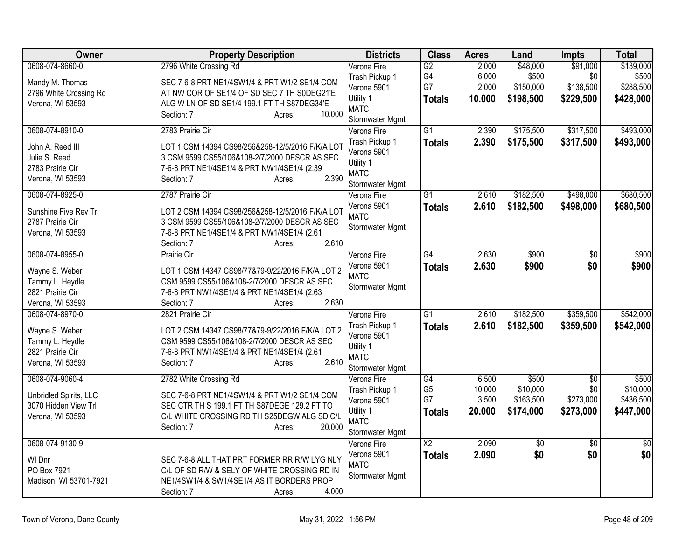| Owner                  | <b>Property Description</b>                           | <b>Districts</b>               | <b>Class</b>         | <b>Acres</b>    | Land                  | <b>Impts</b>     | <b>Total</b>          |
|------------------------|-------------------------------------------------------|--------------------------------|----------------------|-----------------|-----------------------|------------------|-----------------------|
| 0608-074-8660-0        | 2796 White Crossing Rd                                | Verona Fire<br>Trash Pickup 1  | G2<br>G4             | 2.000<br>6.000  | \$48,000<br>\$500     | \$91,000<br>\$0  | \$139,000<br>\$500    |
| Mandy M. Thomas        | SEC 7-6-8 PRT NE1/4SW1/4 & PRT W1/2 SE1/4 COM         | Verona 5901                    | G7                   | 2.000           | \$150,000             | \$138,500        | \$288,500             |
| 2796 White Crossing Rd | AT NW COR OF SE1/4 OF SD SEC 7 TH S0DEG21'E           | Utility 1                      | <b>Totals</b>        | 10.000          | \$198,500             | \$229,500        | \$428,000             |
| Verona, WI 53593       | ALG W LN OF SD SE1/4 199.1 FT TH S87DEG34'E<br>10.000 | <b>MATC</b>                    |                      |                 |                       |                  |                       |
|                        | Section: 7<br>Acres:                                  | Stormwater Mgmt                |                      |                 |                       |                  |                       |
| 0608-074-8910-0        | 2783 Prairie Cir                                      | Verona Fire                    | $\overline{G1}$      | 2.390           | \$175,500             | \$317,500        | \$493,000             |
| John A. Reed III       | LOT 1 CSM 14394 CS98/256&258-12/5/2016 F/K/A LOT      | Trash Pickup 1                 | <b>Totals</b>        | 2.390           | \$175,500             | \$317,500        | \$493,000             |
| Julie S. Reed          | 3 CSM 9599 CS55/106&108-2/7/2000 DESCR AS SEC         | Verona 5901                    |                      |                 |                       |                  |                       |
| 2783 Prairie Cir       | 7-6-8 PRT NE1/4SE1/4 & PRT NW1/4SE1/4 (2.39           | Utility 1                      |                      |                 |                       |                  |                       |
| Verona, WI 53593       | 2.390<br>Section: 7<br>Acres:                         | <b>MATC</b>                    |                      |                 |                       |                  |                       |
| 0608-074-8925-0        | 2787 Prairie Cir                                      | Stormwater Mgmt<br>Verona Fire | $\overline{G1}$      | 2.610           | \$182,500             | \$498,000        | \$680,500             |
|                        |                                                       | Verona 5901                    |                      | 2.610           |                       |                  |                       |
| Sunshine Five Rev Tr   | LOT 2 CSM 14394 CS98/256&258-12/5/2016 F/K/A LOT      | <b>MATC</b>                    | <b>Totals</b>        |                 | \$182,500             | \$498,000        | \$680,500             |
| 2787 Prairie Cir       | 3 CSM 9599 CS55/106&108-2/7/2000 DESCR AS SEC         | Stormwater Mgmt                |                      |                 |                       |                  |                       |
| Verona, WI 53593       | 7-6-8 PRT NE1/4SE1/4 & PRT NW1/4SE1/4 (2.61           |                                |                      |                 |                       |                  |                       |
|                        | 2.610<br>Section: 7<br>Acres:                         |                                |                      |                 |                       |                  |                       |
| 0608-074-8955-0        | Prairie Cir                                           | Verona Fire                    | $\overline{G4}$      | 2.630           | \$900                 | $\overline{50}$  | \$900                 |
| Wayne S. Weber         | LOT 1 CSM 14347 CS98/77&79-9/22/2016 F/K/A LOT 2      | Verona 5901                    | <b>Totals</b>        | 2.630           | \$900                 | \$0              | \$900                 |
| Tammy L. Heydle        | CSM 9599 CS55/106&108-2/7/2000 DESCR AS SEC           | <b>MATC</b>                    |                      |                 |                       |                  |                       |
| 2821 Prairie Cir       | 7-6-8 PRT NW1/4SE1/4 & PRT NE1/4SE1/4 (2.63           | Stormwater Mgmt                |                      |                 |                       |                  |                       |
| Verona, WI 53593       | 2.630<br>Section: 7<br>Acres:                         |                                |                      |                 |                       |                  |                       |
| 0608-074-8970-0        | 2821 Prairie Cir                                      | Verona Fire                    | $\overline{G1}$      | 2.610           | \$182,500             | \$359,500        | \$542,000             |
| Wayne S. Weber         | LOT 2 CSM 14347 CS98/77&79-9/22/2016 F/K/A LOT 2      | Trash Pickup 1                 | <b>Totals</b>        | 2.610           | \$182,500             | \$359,500        | \$542,000             |
| Tammy L. Heydle        | CSM 9599 CS55/106&108-2/7/2000 DESCR AS SEC           | Verona 5901                    |                      |                 |                       |                  |                       |
| 2821 Prairie Cir       | 7-6-8 PRT NW1/4SE1/4 & PRT NE1/4SE1/4 (2.61           | Utility 1                      |                      |                 |                       |                  |                       |
| Verona, WI 53593       | 2.610<br>Section: 7<br>Acres:                         | <b>MATC</b>                    |                      |                 |                       |                  |                       |
|                        |                                                       | Stormwater Mgmt                |                      |                 |                       |                  |                       |
| 0608-074-9060-4        | 2782 White Crossing Rd                                | Verona Fire                    | G4                   | 6.500           | \$500                 | $\overline{50}$  | \$500                 |
| Unbridled Spirits, LLC | SEC 7-6-8 PRT NE1/4SW1/4 & PRT W1/2 SE1/4 COM         | Trash Pickup 1                 | G <sub>5</sub><br>G7 | 10.000<br>3.500 | \$10,000<br>\$163,500 | \$0<br>\$273,000 | \$10,000<br>\$436,500 |
| 3070 Hidden View Trl   | SEC CTR TH S 199.1 FT TH S87DEGE 129.2 FT TO          | Verona 5901                    |                      |                 |                       |                  |                       |
| Verona, WI 53593       | C/L WHITE CROSSING RD TH S25DEGW ALG SD C/L           | Utility 1<br><b>MATC</b>       | <b>Totals</b>        | 20.000          | \$174,000             | \$273,000        | \$447,000             |
|                        | 20.000<br>Section: 7<br>Acres:                        | Stormwater Mgmt                |                      |                 |                       |                  |                       |
| 0608-074-9130-9        |                                                       | Verona Fire                    | $\overline{X2}$      | 2.090           | \$0                   | $\overline{50}$  | $\overline{50}$       |
|                        |                                                       | Verona 5901                    | <b>Totals</b>        | 2.090           | \$0                   | \$0              | \$0                   |
| WI Dnr                 | SEC 7-6-8 ALL THAT PRT FORMER RR R/W LYG NLY          | <b>MATC</b>                    |                      |                 |                       |                  |                       |
| PO Box 7921            | C/L OF SD R/W & SELY OF WHITE CROSSING RD IN          | Stormwater Mgmt                |                      |                 |                       |                  |                       |
| Madison, WI 53701-7921 | NE1/4SW1/4 & SW1/4SE1/4 AS IT BORDERS PROP            |                                |                      |                 |                       |                  |                       |
|                        | 4.000<br>Section: 7<br>Acres:                         |                                |                      |                 |                       |                  |                       |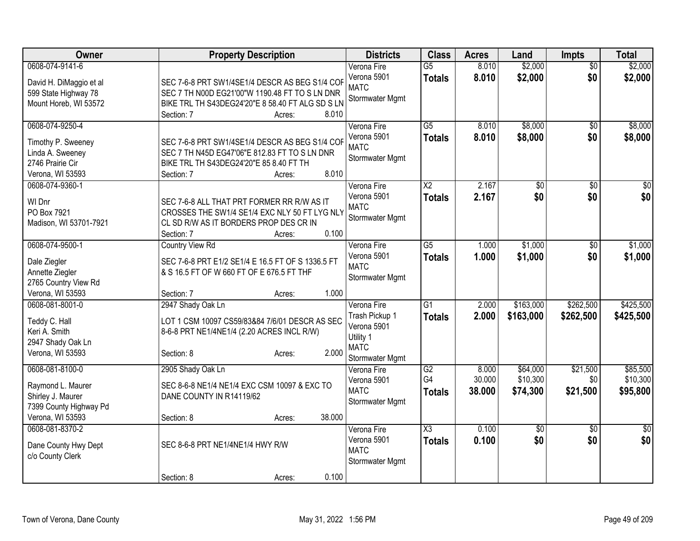| Owner                                                                                                   | <b>Property Description</b>                                                                                                                                                           | <b>Districts</b>                                                                            | <b>Class</b>                            | <b>Acres</b>              | Land                             | Impts                       | <b>Total</b>                     |
|---------------------------------------------------------------------------------------------------------|---------------------------------------------------------------------------------------------------------------------------------------------------------------------------------------|---------------------------------------------------------------------------------------------|-----------------------------------------|---------------------------|----------------------------------|-----------------------------|----------------------------------|
| 0608-074-9141-6<br>David H. DiMaggio et al<br>599 State Highway 78<br>Mount Horeb, WI 53572             | SEC 7-6-8 PRT SW1/4SE1/4 DESCR AS BEG S1/4 COF<br>SEC 7 TH N00D EG21'00"W 1190.48 FT TO S LN DNR<br>BIKE TRL TH S43DEG24'20"E 8 58.40 FT ALG SD S LN<br>8.010<br>Section: 7<br>Acres: | Verona Fire<br>Verona 5901<br><b>MATC</b><br>Stormwater Mgmt                                | $\overline{G5}$<br><b>Totals</b>        | 8.010<br>8.010            | \$2,000<br>\$2,000               | $\overline{50}$<br>\$0      | \$2,000<br>\$2,000               |
| 0608-074-9250-4<br>Timothy P. Sweeney<br>Linda A. Sweeney<br>2746 Prairie Cir<br>Verona, WI 53593       | SEC 7-6-8 PRT SW1/4SE1/4 DESCR AS BEG S1/4 COF<br>SEC 7 TH N45D EG47'06"E 812.83 FT TO S LN DNR<br>BIKE TRL TH S43DEG24'20"E 85 8.40 FT TH<br>8.010<br>Section: 7<br>Acres:           | Verona Fire<br>Verona 5901<br><b>MATC</b><br>Stormwater Mgmt                                | $\overline{G5}$<br><b>Totals</b>        | 8.010<br>8.010            | \$8,000<br>\$8,000               | $\overline{50}$<br>\$0      | \$8,000<br>\$8,000               |
| 0608-074-9360-1<br>WI Dnr<br>PO Box 7921<br>Madison, WI 53701-7921                                      | SEC 7-6-8 ALL THAT PRT FORMER RR R/W AS IT<br>CROSSES THE SW1/4 SE1/4 EXC NLY 50 FT LYG NLY<br>CL SD R/W AS IT BORDERS PROP DES CR IN<br>0.100<br>Section: 7<br>Acres:                | Verona Fire<br>Verona 5901<br><b>MATC</b><br>Stormwater Mgmt                                | $\overline{\text{X2}}$<br><b>Totals</b> | 2.167<br>2.167            | $\overline{50}$<br>\$0           | $\overline{50}$<br>\$0      | $\sqrt{50}$<br>\$0               |
| 0608-074-9500-1<br>Dale Ziegler<br>Annette Ziegler<br>2765 Country View Rd<br>Verona, WI 53593          | <b>Country View Rd</b><br>SEC 7-6-8 PRT E1/2 SE1/4 E 16.5 FT OF S 1336.5 FT<br>& S 16.5 FT OF W 660 FT OF E 676.5 FT THF<br>1.000<br>Section: 7<br>Acres:                             | Verona Fire<br>Verona 5901<br><b>MATC</b><br>Stormwater Mgmt                                | $\overline{G5}$<br><b>Totals</b>        | 1.000<br>1.000            | \$1,000<br>\$1,000               | \$0<br>\$0                  | \$1,000<br>\$1,000               |
| 0608-081-8001-0<br>Teddy C. Hall<br>Keri A. Smith<br>2947 Shady Oak Ln<br>Verona, WI 53593              | 2947 Shady Oak Ln<br>LOT 1 CSM 10097 CS59/83&84 7/6/01 DESCR AS SEC<br>8-6-8 PRT NE1/4NE1/4 (2.20 ACRES INCL R/W)<br>2.000<br>Section: 8<br>Acres:                                    | Verona Fire<br>Trash Pickup 1<br>Verona 5901<br>Utility 1<br><b>MATC</b><br>Stormwater Mgmt | $\overline{G1}$<br><b>Totals</b>        | 2.000<br>2.000            | \$163,000<br>\$163,000           | \$262,500<br>\$262,500      | \$425,500<br>\$425,500           |
| 0608-081-8100-0<br>Raymond L. Maurer<br>Shirley J. Maurer<br>7399 County Highway Pd<br>Verona, WI 53593 | 2905 Shady Oak Ln<br>SEC 8-6-8 NE1/4 NE1/4 EXC CSM 10097 & EXC TO<br>DANE COUNTY IN R14119/62<br>38.000<br>Section: 8<br>Acres:                                                       | Verona Fire<br>Verona 5901<br><b>MATC</b><br>Stormwater Mgmt                                | G2<br>G4<br><b>Totals</b>               | 8.000<br>30.000<br>38.000 | \$64,000<br>\$10,300<br>\$74,300 | \$21,500<br>\$0<br>\$21,500 | \$85,500<br>\$10,300<br>\$95,800 |
| 0608-081-8370-2<br>Dane County Hwy Dept<br>c/o County Clerk                                             | SEC 8-6-8 PRT NE1/4NE1/4 HWY R/W<br>0.100<br>Section: 8<br>Acres:                                                                                                                     | Verona Fire<br>Verona 5901<br><b>MATC</b><br>Stormwater Mgmt                                | $\overline{\chi_3}$<br><b>Totals</b>    | 0.100<br>0.100            | \$0<br>\$0                       | \$0<br>\$0                  | \$0<br>\$0                       |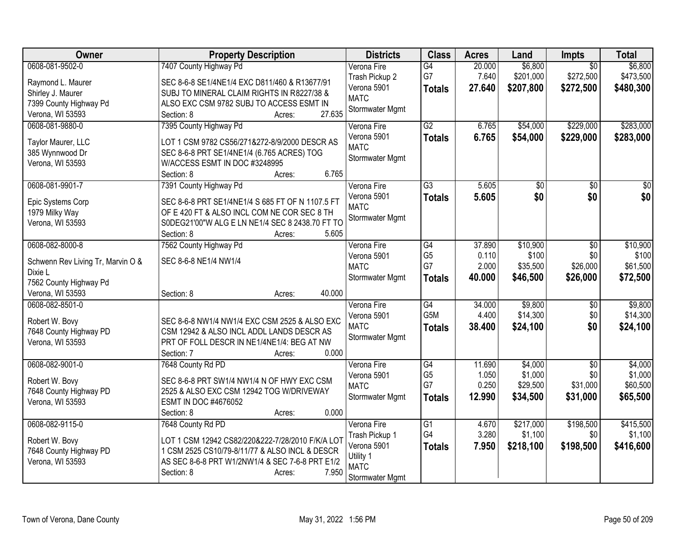| <b>Class</b><br>Owner<br><b>Property Description</b><br><b>Districts</b><br><b>Acres</b><br>Land                                      | <b>Impts</b>    | <b>Total</b> |
|---------------------------------------------------------------------------------------------------------------------------------------|-----------------|--------------|
| 0608-081-9502-0<br>\$6,800<br>7407 County Highway Pd<br>G4<br>20.000<br>Verona Fire                                                   | $\overline{50}$ | \$6,800      |
| G7<br>7.640<br>\$201,000<br>Trash Pickup 2<br>Raymond L. Maurer<br>SEC 8-6-8 SE1/4NE1/4 EXC D811/460 & R13677/91                      | \$272,500       | \$473,500    |
| Verona 5901<br>27.640<br>\$207,800<br><b>Totals</b><br>Shirley J. Maurer<br>SUBJ TO MINERAL CLAIM RIGHTS IN R8227/38 &                | \$272,500       | \$480,300    |
| <b>MATC</b><br>7399 County Highway Pd<br>ALSO EXC CSM 9782 SUBJ TO ACCESS ESMT IN                                                     |                 |              |
| Stormwater Mgmt<br>27.635<br>Verona, WI 53593<br>Section: 8<br>Acres:                                                                 |                 |              |
| 7395 County Highway Pd<br>G2<br>\$54,000<br>0608-081-9880-0<br>6.765<br>Verona Fire                                                   | \$229,000       | \$283,000    |
| 6.765<br>Verona 5901<br>\$54,000<br><b>Totals</b>                                                                                     | \$229,000       | \$283,000    |
| Taylor Maurer, LLC<br>LOT 1 CSM 9782 CS56/271&272-8/9/2000 DESCR AS<br><b>MATC</b>                                                    |                 |              |
| 385 Wynnwood Dr<br>SEC 8-6-8 PRT SE1/4NE1/4 (6.765 ACRES) TOG<br>Stormwater Mgmt<br>Verona, WI 53593<br>W/ACCESS ESMT IN DOC #3248995 |                 |              |
| 6.765<br>Section: 8<br>Acres:                                                                                                         |                 |              |
| 0608-081-9901-7<br>7391 County Highway Pd<br>$\overline{G3}$<br>Verona Fire<br>5.605<br>\$0                                           | \$0             | \$0          |
| Verona 5901<br>5.605<br>\$0<br><b>Totals</b>                                                                                          | \$0             | \$0          |
| SEC 8-6-8 PRT SE1/4NE1/4 S 685 FT OF N 1107.5 FT<br>Epic Systems Corp<br><b>MATC</b>                                                  |                 |              |
| 1979 Milky Way<br>OF E 420 FT & ALSO INCL COM NE COR SEC 8 TH<br>Stormwater Mgmt                                                      |                 |              |
| S0DEG21'00"W ALG E LN NE1/4 SEC 8 2438.70 FT TO<br>Verona, WI 53593                                                                   |                 |              |
| 5.605<br>Section: 8<br>Acres:                                                                                                         |                 |              |
| 0608-082-8000-8<br>7562 County Highway Pd<br>G4<br>37.890<br>\$10,900<br>Verona Fire                                                  | \$0             | \$10,900     |
| G <sub>5</sub><br>0.110<br>\$100<br>Verona 5901<br>SEC 8-6-8 NE1/4 NW1/4<br>Schwenn Rev Living Tr, Marvin O &                         | \$0             | \$100        |
| G7<br><b>MATC</b><br>2.000<br>\$35,500<br>Dixie L                                                                                     | \$26,000        | \$61,500     |
| Stormwater Mgmt<br>40.000<br>\$46,500<br><b>Totals</b><br>7562 County Highway Pd                                                      | \$26,000        | \$72,500     |
| 40.000<br>Verona, WI 53593<br>Section: 8<br>Acres:                                                                                    |                 |              |
| 0608-082-8501-0<br>\$9,800<br>G4<br>34.000<br>Verona Fire                                                                             | $\sqrt[6]{30}$  | \$9,800      |
| G <sub>5</sub> M<br>4.400<br>\$14,300<br>Verona 5901<br>Robert W. Bovy<br>SEC 8-6-8 NW1/4 NW1/4 EXC CSM 2525 & ALSO EXC               | \$0             | \$14,300     |
| <b>MATC</b><br>38.400<br>\$24,100<br><b>Totals</b><br>7648 County Highway PD<br>CSM 12942 & ALSO INCL ADDL LANDS DESCR AS             | \$0             | \$24,100     |
| Stormwater Mgmt<br>Verona, WI 53593<br>PRT OF FOLL DESCR IN NE1/4NE1/4: BEG AT NW                                                     |                 |              |
| 0.000<br>Section: 7<br>Acres:                                                                                                         |                 |              |
| 0608-082-9001-0<br>$\overline{G4}$<br>\$4,000<br>7648 County Rd PD<br>Verona Fire<br>11.690                                           | $\overline{30}$ | \$4,000      |
| G <sub>5</sub><br>1.050<br>\$1,000<br>Verona 5901                                                                                     | \$0             | \$1,000      |
| Robert W. Bovy<br>SEC 8-6-8 PRT SW1/4 NW1/4 N OF HWY EXC CSM<br>G7<br>0.250<br>\$29,500<br><b>MATC</b>                                | \$31,000        | \$60,500     |
| 7648 County Highway PD<br>2525 & ALSO EXC CSM 12942 TOG W/DRIVEWAY<br>12.990<br>\$34,500<br>Stormwater Mgmt<br><b>Totals</b>          | \$31,000        | \$65,500     |
| ESMT IN DOC #4676052<br>Verona, WI 53593                                                                                              |                 |              |
| 0.000<br>Section: 8<br>Acres:                                                                                                         |                 |              |
| 0608-082-9115-0<br>Verona Fire<br>$\overline{G1}$<br>\$217,000<br>7648 County Rd PD<br>4.670                                          | \$198,500       | \$415,500    |
| G4<br>3.280<br>\$1,100<br>Trash Pickup 1<br>LOT 1 CSM 12942 CS82/220&222-7/28/2010 F/K/A LOT<br>Robert W. Bovy                        | \$0             | \$1,100      |
| Verona 5901<br>7.950<br>\$218,100<br><b>Totals</b><br>7648 County Highway PD<br>1 CSM 2525 CS10/79-8/11/77 & ALSO INCL & DESCR        | \$198,500       | \$416,600    |
| Utility 1<br>AS SEC 8-6-8 PRT W1/2NW1/4 & SEC 7-6-8 PRT E1/2<br>Verona, WI 53593<br><b>MATC</b>                                       |                 |              |
| 7.950<br>Section: 8<br>Acres:<br>Stormwater Mgmt                                                                                      |                 |              |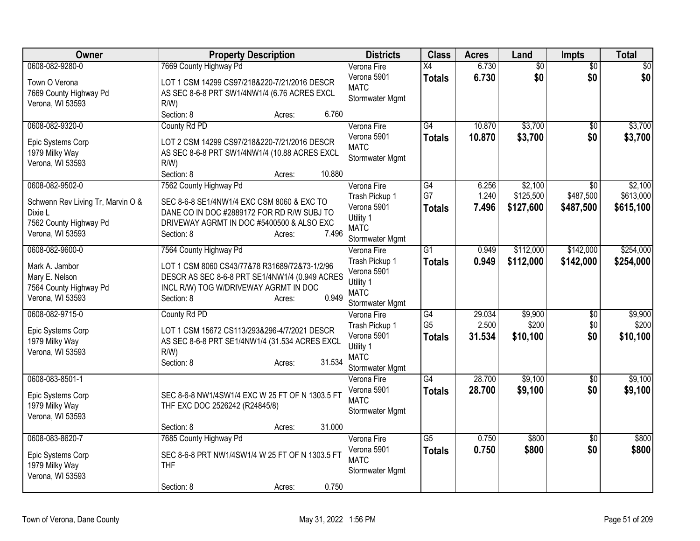| Owner                              | <b>Property Description</b>                               | <b>Districts</b>               | <b>Class</b>    | <b>Acres</b>   | Land            | <b>Impts</b>           | <b>Total</b>    |
|------------------------------------|-----------------------------------------------------------|--------------------------------|-----------------|----------------|-----------------|------------------------|-----------------|
| 0608-082-9280-0                    | 7669 County Highway Pd                                    | Verona Fire                    | X4              | 6.730          | $\overline{60}$ | $\overline{50}$        | $\overline{50}$ |
| Town O Verona                      | LOT 1 CSM 14299 CS97/218&220-7/21/2016 DESCR              | Verona 5901<br><b>MATC</b>     | <b>Totals</b>   | 6.730          | \$0             | \$0                    | \$0             |
| 7669 County Highway Pd             | AS SEC 8-6-8 PRT SW1/4NW1/4 (6.76 ACRES EXCL              | Stormwater Mgmt                |                 |                |                 |                        |                 |
| Verona, WI 53593                   | R/W                                                       |                                |                 |                |                 |                        |                 |
|                                    | 6.760<br>Section: 8<br>Acres:                             |                                |                 |                |                 |                        |                 |
| 0608-082-9320-0                    | County Rd PD                                              | Verona Fire                    | G4              | 10.870         | \$3,700         | \$0                    | \$3,700         |
| Epic Systems Corp                  | LOT 2 CSM 14299 CS97/218&220-7/21/2016 DESCR              | Verona 5901<br><b>MATC</b>     | <b>Totals</b>   | 10.870         | \$3,700         | \$0                    | \$3,700         |
| 1979 Milky Way                     | AS SEC 8-6-8 PRT SW1/4NW1/4 (10.88 ACRES EXCL             | Stormwater Mgmt                |                 |                |                 |                        |                 |
| Verona, WI 53593                   | R/W                                                       |                                |                 |                |                 |                        |                 |
|                                    | 10.880<br>Section: 8<br>Acres:                            |                                |                 |                |                 |                        |                 |
| 0608-082-9502-0                    | 7562 County Highway Pd                                    | Verona Fire                    | G4              | 6.256          | \$2,100         | $\sqrt{50}$            | \$2,100         |
| Schwenn Rev Living Tr, Marvin O &  | SEC 8-6-8 SE1/4NW1/4 EXC CSM 8060 & EXC TO                | Trash Pickup 1<br>Verona 5901  | G7              | 1.240<br>7.496 | \$125,500       | \$487,500              | \$613,000       |
| Dixie L                            | DANE CO IN DOC #2889172 FOR RD R/W SUBJ TO                | Utility 1                      | <b>Totals</b>   |                | \$127,600       | \$487,500              | \$615,100       |
| 7562 County Highway Pd             | DRIVEWAY AGRMT IN DOC #5400500 & ALSO EXC                 | <b>MATC</b>                    |                 |                |                 |                        |                 |
| Verona, WI 53593                   | 7.496<br>Section: 8<br>Acres:                             | Stormwater Mgmt                |                 |                |                 |                        |                 |
| 0608-082-9600-0                    | 7564 County Highway Pd                                    | Verona Fire                    | $\overline{G1}$ | 0.949          | \$112,000       | \$142,000              | \$254,000       |
| Mark A. Jambor                     | LOT 1 CSM 8060 CS43/77&78 R31689/72&73-1/2/96             | Trash Pickup 1                 | <b>Totals</b>   | 0.949          | \$112,000       | \$142,000              | \$254,000       |
| Mary E. Nelson                     | DESCR AS SEC 8-6-8 PRT SE1/4NW1/4 (0.949 ACRES            | Verona 5901                    |                 |                |                 |                        |                 |
| 7564 County Highway Pd             | INCL R/W) TOG W/DRIVEWAY AGRMT IN DOC                     | Utility 1                      |                 |                |                 |                        |                 |
| Verona, WI 53593                   | 0.949<br>Section: 8<br>Acres:                             | <b>MATC</b><br>Stormwater Mgmt |                 |                |                 |                        |                 |
| 0608-082-9715-0                    | County Rd PD                                              | Verona Fire                    | G4              | 29.034         | \$9,900         | $\overline{60}$        | \$9,900         |
|                                    |                                                           | Trash Pickup 1                 | G <sub>5</sub>  | 2.500          | \$200           | \$0                    | \$200           |
| Epic Systems Corp                  | LOT 1 CSM 15672 CS113/293&296-4/7/2021 DESCR              | Verona 5901                    | <b>Totals</b>   | 31.534         | \$10,100        | \$0                    | \$10,100        |
| 1979 Milky Way<br>Verona, WI 53593 | AS SEC 8-6-8 PRT SE1/4NW1/4 (31.534 ACRES EXCL<br>$R/W$ ) | Utility 1                      |                 |                |                 |                        |                 |
|                                    | 31.534<br>Section: 8<br>Acres:                            | <b>MATC</b>                    |                 |                |                 |                        |                 |
|                                    |                                                           | Stormwater Mgmt                |                 |                |                 |                        |                 |
| 0608-083-8501-1                    |                                                           | Verona Fire                    | G4              | 28.700         | \$9,100         | $\overline{50}$        | \$9,100         |
| Epic Systems Corp                  | SEC 8-6-8 NW1/4SW1/4 EXC W 25 FT OF N 1303.5 FT           | Verona 5901<br><b>MATC</b>     | <b>Totals</b>   | 28.700         | \$9,100         | \$0                    | \$9,100         |
| 1979 Milky Way                     | THF EXC DOC 2526242 (R24845/8)                            | Stormwater Mgmt                |                 |                |                 |                        |                 |
| Verona, WI 53593                   |                                                           |                                |                 |                |                 |                        |                 |
| 0608-083-8620-7                    | 31.000<br>Section: 8<br>Acres:                            |                                | $\overline{G5}$ | 0.750          | \$800           |                        | \$800           |
|                                    | 7685 County Highway Pd                                    | Verona Fire<br>Verona 5901     |                 | 0.750          | \$800           | $\overline{50}$<br>\$0 | \$800           |
| Epic Systems Corp                  | SEC 8-6-8 PRT NW1/4SW1/4 W 25 FT OF N 1303.5 FT           | <b>MATC</b>                    | <b>Totals</b>   |                |                 |                        |                 |
| 1979 Milky Way                     | <b>THF</b>                                                | Stormwater Mgmt                |                 |                |                 |                        |                 |
| Verona, WI 53593                   |                                                           |                                |                 |                |                 |                        |                 |
|                                    | 0.750<br>Section: 8<br>Acres:                             |                                |                 |                |                 |                        |                 |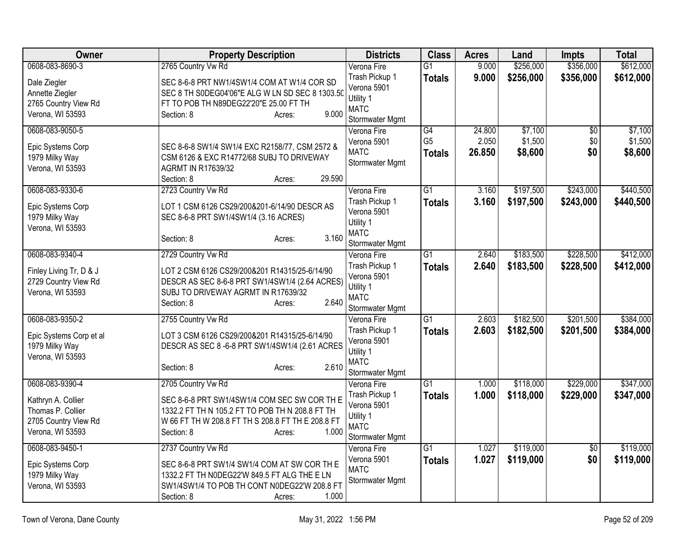| Owner                                                                               | <b>Property Description</b>                                                                                                                                                           | <b>Districts</b>                                                                            | <b>Class</b>                          | <b>Acres</b>              | Land                          | <b>Impts</b>                  | <b>Total</b>                  |
|-------------------------------------------------------------------------------------|---------------------------------------------------------------------------------------------------------------------------------------------------------------------------------------|---------------------------------------------------------------------------------------------|---------------------------------------|---------------------------|-------------------------------|-------------------------------|-------------------------------|
| 0608-083-8690-3                                                                     | 2765 Country Vw Rd                                                                                                                                                                    | Verona Fire                                                                                 | $\overline{G1}$                       | 9.000                     | \$256,000                     | \$356,000                     | \$612,000                     |
| Dale Ziegler<br>Annette Ziegler<br>2765 Country View Rd<br>Verona, WI 53593         | SEC 8-6-8 PRT NW1/4SW1/4 COM AT W1/4 COR SD<br>SEC 8 TH S0DEG04'06"E ALG W LN SD SEC 8 1303.50<br>FT TO POB TH N89DEG22'20"E 25.00 FT TH<br>9.000<br>Section: 8<br>Acres:             | Trash Pickup 1<br>Verona 5901<br>Utility 1<br><b>MATC</b><br>Stormwater Mgmt                | <b>Totals</b>                         | 9.000                     | \$256,000                     | \$356,000                     | \$612,000                     |
| 0608-083-9050-5<br>Epic Systems Corp<br>1979 Milky Way<br>Verona, WI 53593          | SEC 8-6-8 SW1/4 SW1/4 EXC R2158/77, CSM 2572 &<br>CSM 6126 & EXC R14772/68 SUBJ TO DRIVEWAY<br><b>AGRMT IN R17639/32</b><br>29.590<br>Section: 8<br>Acres:                            | Verona Fire<br>Verona 5901<br><b>MATC</b><br>Stormwater Mgmt                                | G4<br>G <sub>5</sub><br><b>Totals</b> | 24.800<br>2.050<br>26.850 | \$7,100<br>\$1,500<br>\$8,600 | $\overline{50}$<br>\$0<br>\$0 | \$7,100<br>\$1,500<br>\$8,600 |
| 0608-083-9330-6                                                                     | 2723 Country Vw Rd                                                                                                                                                                    | Verona Fire                                                                                 | $\overline{G1}$                       | 3.160                     | \$197,500                     | \$243,000                     | \$440,500                     |
| Epic Systems Corp<br>1979 Milky Way<br>Verona, WI 53593                             | LOT 1 CSM 6126 CS29/200&201-6/14/90 DESCR AS<br>SEC 8-6-8 PRT SW1/4SW1/4 (3.16 ACRES)<br>3.160<br>Section: 8<br>Acres:                                                                | Trash Pickup 1<br>Verona 5901<br>Utility 1<br><b>MATC</b><br>Stormwater Mgmt                | <b>Totals</b>                         | 3.160                     | \$197,500                     | \$243,000                     | \$440,500                     |
| 0608-083-9340-4                                                                     | 2729 Country Vw Rd                                                                                                                                                                    | Verona Fire                                                                                 | $\overline{G1}$                       | 2.640                     | \$183,500                     | \$228,500                     | \$412,000                     |
| Finley Living Tr, D & J<br>2729 Country View Rd<br>Verona, WI 53593                 | LOT 2 CSM 6126 CS29/200&201 R14315/25-6/14/90<br>DESCR AS SEC 8-6-8 PRT SW1/4SW1/4 (2.64 ACRES)<br>SUBJ TO DRIVEWAY AGRMT IN R17639/32<br>2.640<br>Section: 8<br>Acres:               | Trash Pickup 1<br>Verona 5901<br>Utility 1<br><b>MATC</b><br>Stormwater Mgmt                | <b>Totals</b>                         | 2.640                     | \$183,500                     | \$228,500                     | \$412,000                     |
| 0608-083-9350-2<br>Epic Systems Corp et al<br>1979 Milky Way<br>Verona, WI 53593    | 2755 Country Vw Rd<br>LOT 3 CSM 6126 CS29/200&201 R14315/25-6/14/90<br>DESCR AS SEC 8 -6-8 PRT SW1/4SW1/4 (2.61 ACRES<br>2.610<br>Section: 8<br>Acres:                                | Verona Fire<br>Trash Pickup 1<br>Verona 5901<br>Utility 1<br><b>MATC</b><br>Stormwater Mgmt | $\overline{G1}$<br><b>Totals</b>      | 2.603<br>2.603            | \$182,500<br>\$182,500        | \$201,500<br>\$201,500        | \$384,000<br>\$384,000        |
| 0608-083-9390-4                                                                     | 2705 Country Vw Rd                                                                                                                                                                    | Verona Fire                                                                                 | $\overline{G1}$                       | 1.000                     | \$118,000                     | \$229,000                     | \$347,000                     |
| Kathryn A. Collier<br>Thomas P. Collier<br>2705 Country View Rd<br>Verona, WI 53593 | SEC 8-6-8 PRT SW1/4SW1/4 COM SEC SW COR TH E<br>1332.2 FT TH N 105.2 FT TO POB TH N 208.8 FT TH<br>W 66 FT TH W 208.8 FT TH S 208.8 FT TH E 208.8 FT<br>1.000<br>Section: 8<br>Acres: | Trash Pickup 1<br>Verona 5901<br>Utility 1<br><b>MATC</b><br>Stormwater Mgmt                | <b>Totals</b>                         | 1.000                     | \$118,000                     | \$229,000                     | \$347,000                     |
| 0608-083-9450-1                                                                     | 2737 Country Vw Rd                                                                                                                                                                    | Verona Fire                                                                                 | $\overline{G1}$                       | 1.027                     | \$119,000                     | $\overline{60}$               | \$119,000                     |
| Epic Systems Corp<br>1979 Milky Way<br>Verona, WI 53593                             | SEC 8-6-8 PRT SW1/4 SW1/4 COM AT SW COR TH E<br>1332.2 FT TH N0DEG22'W 849.5 FT ALG THE E LN<br>SW1/4SW1/4 TO POB TH CONT N0DEG22'W 208.8 FT<br>1.000<br>Section: 8<br>Acres:         | Verona 5901<br><b>MATC</b><br>Stormwater Mgmt                                               | <b>Totals</b>                         | 1.027                     | \$119,000                     | \$0                           | \$119,000                     |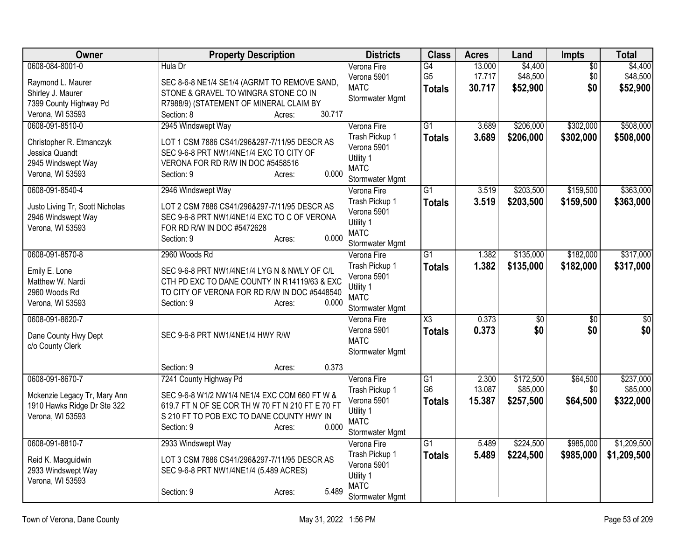| Owner                                                       | <b>Property Description</b>                      | <b>Districts</b>         | <b>Class</b>           | <b>Acres</b> | Land            | Impts           | <b>Total</b>    |
|-------------------------------------------------------------|--------------------------------------------------|--------------------------|------------------------|--------------|-----------------|-----------------|-----------------|
| 0608-084-8001-0                                             | Hula Dr                                          | Verona Fire              | G4                     | 13.000       | \$4,400         | $\overline{50}$ | \$4,400         |
| Raymond L. Maurer                                           | SEC 8-6-8 NE1/4 SE1/4 (AGRMT TO REMOVE SAND,     | Verona 5901              | G <sub>5</sub>         | 17.717       | \$48,500        | \$0             | \$48,500        |
| Shirley J. Maurer                                           | STONE & GRAVEL TO WINGRA STONE CO IN             | <b>MATC</b>              | <b>Totals</b>          | 30.717       | \$52,900        | \$0             | \$52,900        |
| 7399 County Highway Pd                                      | R7988/9) (STATEMENT OF MINERAL CLAIM BY          | Stormwater Mgmt          |                        |              |                 |                 |                 |
| Verona, WI 53593                                            | 30.717<br>Section: 8<br>Acres:                   |                          |                        |              |                 |                 |                 |
| 0608-091-8510-0                                             | 2945 Windswept Way                               | Verona Fire              | $\overline{G1}$        | 3.689        | \$206,000       | \$302,000       | \$508,000       |
| Christopher R. Etmanczyk                                    | LOT 1 CSM 7886 CS41/296&297-7/11/95 DESCR AS     | Trash Pickup 1           | <b>Totals</b>          | 3.689        | \$206,000       | \$302,000       | \$508,000       |
| Jessica Quandt                                              | SEC 9-6-8 PRT NW1/4NE1/4 EXC TO CITY OF          | Verona 5901              |                        |              |                 |                 |                 |
| 2945 Windswept Way                                          | VERONA FOR RD R/W IN DOC #5458516                | Utility 1                |                        |              |                 |                 |                 |
| Verona, WI 53593                                            | 0.000<br>Section: 9<br>Acres:                    | <b>MATC</b>              |                        |              |                 |                 |                 |
|                                                             |                                                  | Stormwater Mgmt          |                        |              |                 |                 |                 |
| 0608-091-8540-4                                             | 2946 Windswept Way                               | Verona Fire              | $\overline{G1}$        | 3.519        | \$203,500       | \$159,500       | \$363,000       |
| Justo Living Tr, Scott Nicholas                             | LOT 2 CSM 7886 CS41/296&297-7/11/95 DESCR AS     | Trash Pickup 1           | <b>Totals</b>          | 3.519        | \$203,500       | \$159,500       | \$363,000       |
| 2946 Windswept Way                                          | SEC 9-6-8 PRT NW1/4NE1/4 EXC TO C OF VERONA      | Verona 5901              |                        |              |                 |                 |                 |
| Verona, WI 53593                                            | FOR RD R/W IN DOC #5472628                       | Utility 1<br><b>MATC</b> |                        |              |                 |                 |                 |
|                                                             | 0.000<br>Section: 9<br>Acres:                    | Stormwater Mgmt          |                        |              |                 |                 |                 |
| 0608-091-8570-8                                             | 2960 Woods Rd                                    | Verona Fire              | $\overline{G1}$        | 1.382        | \$135,000       | \$182,000       | \$317,000       |
|                                                             |                                                  | Trash Pickup 1           | <b>Totals</b>          | 1.382        | \$135,000       | \$182,000       | \$317,000       |
| Emily E. Lone                                               | SEC 9-6-8 PRT NW1/4NE1/4 LYG N & NWLY OF C/L     | Verona 5901              |                        |              |                 |                 |                 |
| Matthew W. Nardi                                            | CTH PD EXC TO DANE COUNTY IN R14119/63 & EXC     | Utility 1                |                        |              |                 |                 |                 |
| 2960 Woods Rd                                               | TO CITY OF VERONA FOR RD R/W IN DOC #5448540     | <b>MATC</b>              |                        |              |                 |                 |                 |
| Verona, WI 53593                                            | Section: 9<br>0.000<br>Acres:                    | Stormwater Mgmt          |                        |              |                 |                 |                 |
| 0608-091-8620-7                                             |                                                  | Verona Fire              | $\overline{\text{X3}}$ | 0.373        | $\overline{50}$ | $\overline{50}$ | $\overline{50}$ |
| Dane County Hwy Dept                                        | SEC 9-6-8 PRT NW1/4NE1/4 HWY R/W                 | Verona 5901              | <b>Totals</b>          | 0.373        | \$0             | \$0             | \$0             |
| c/o County Clerk                                            |                                                  | <b>MATC</b>              |                        |              |                 |                 |                 |
|                                                             |                                                  | Stormwater Mgmt          |                        |              |                 |                 |                 |
|                                                             | 0.373<br>Section: 9<br>Acres:                    |                          |                        |              |                 |                 |                 |
| 0608-091-8670-7                                             | 7241 County Highway Pd                           | Verona Fire              | $\overline{G1}$        | 2.300        | \$172,500       | \$64,500        | \$237,000       |
|                                                             | SEC 9-6-8 W1/2 NW1/4 NE1/4 EXC COM 660 FT W &    | Trash Pickup 1           | G <sub>6</sub>         | 13.087       | \$85,000        | \$0             | \$85,000        |
| Mckenzie Legacy Tr, Mary Ann<br>1910 Hawks Ridge Dr Ste 322 | 619.7 FT N OF SE COR TH W 70 FT N 210 FT E 70 FT | Verona 5901              | <b>Totals</b>          | 15.387       | \$257,500       | \$64,500        | \$322,000       |
| Verona, WI 53593                                            | S 210 FT TO POB EXC TO DANE COUNTY HWY IN        | Utility 1                |                        |              |                 |                 |                 |
|                                                             | 0.000<br>Section: 9<br>Acres:                    | <b>MATC</b>              |                        |              |                 |                 |                 |
|                                                             |                                                  | Stormwater Mgmt          |                        |              |                 |                 |                 |
| 0608-091-8810-7                                             | 2933 Windswept Way                               | Verona Fire              | $\overline{G1}$        | 5.489        | \$224,500       | \$985,000       | \$1,209,500     |
| Reid K. Macguidwin                                          | LOT 3 CSM 7886 CS41/296&297-7/11/95 DESCR AS     | Trash Pickup 1           | <b>Totals</b>          | 5.489        | \$224,500       | \$985,000       | \$1,209,500     |
| 2933 Windswept Way                                          | SEC 9-6-8 PRT NW1/4NE1/4 (5.489 ACRES)           | Verona 5901              |                        |              |                 |                 |                 |
| Verona, WI 53593                                            |                                                  | Utility 1                |                        |              |                 |                 |                 |
|                                                             | 5.489<br>Section: 9<br>Acres:                    | <b>MATC</b>              |                        |              |                 |                 |                 |
|                                                             |                                                  | Stormwater Mgmt          |                        |              |                 |                 |                 |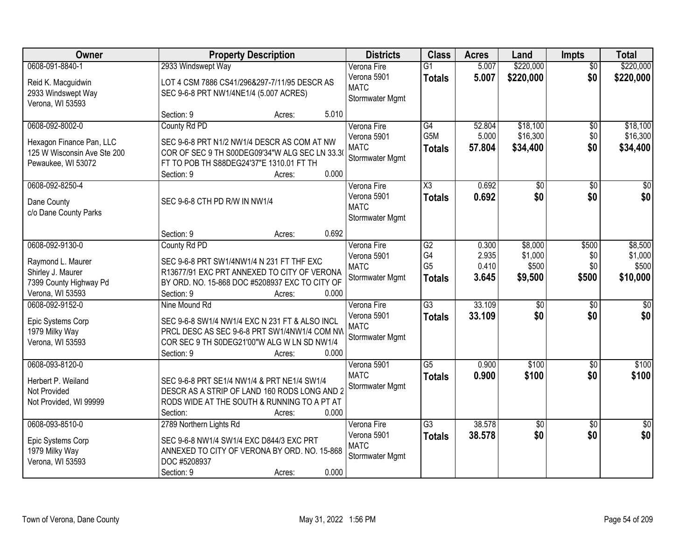| Owner                                                                                                               | <b>Property Description</b>                                                                                                                                                                                                 | <b>Districts</b>                                                            | <b>Class</b>                                             | <b>Acres</b>                       | Land                                    | Impts                        | <b>Total</b>                                    |
|---------------------------------------------------------------------------------------------------------------------|-----------------------------------------------------------------------------------------------------------------------------------------------------------------------------------------------------------------------------|-----------------------------------------------------------------------------|----------------------------------------------------------|------------------------------------|-----------------------------------------|------------------------------|-------------------------------------------------|
| 0608-091-8840-1<br>Reid K. Macguidwin<br>2933 Windswept Way<br>Verona, WI 53593                                     | 2933 Windswept Way<br>LOT 4 CSM 7886 CS41/296&297-7/11/95 DESCR AS<br>SEC 9-6-8 PRT NW1/4NE1/4 (5.007 ACRES)                                                                                                                | Verona Fire<br>Verona 5901<br><b>MATC</b><br>Stormwater Mgmt                | $\overline{G1}$<br><b>Totals</b>                         | 5.007<br>5.007                     | \$220,000<br>\$220,000                  | $\overline{50}$<br>\$0       | \$220,000<br>\$220,000                          |
| 0608-092-8002-0<br>Hexagon Finance Pan, LLC<br>125 W Wisconsin Ave Ste 200<br>Pewaukee, WI 53072<br>0608-092-8250-4 | 5.010<br>Section: 9<br>Acres:<br>County Rd PD<br>SEC 9-6-8 PRT N1/2 NW1/4 DESCR AS COM AT NW<br>COR OF SEC 9 TH S00DEG09'34"W ALG SEC LN 33.30<br>FT TO POB TH S88DEG24'37"E 1310.01 FT TH<br>0.000<br>Section: 9<br>Acres: | Verona Fire<br>Verona 5901<br><b>MATC</b><br>Stormwater Mgmt<br>Verona Fire | G4<br>G5M<br><b>Totals</b><br>X3                         | 52.804<br>5.000<br>57.804<br>0.692 | \$18,100<br>\$16,300<br>\$34,400<br>\$0 | \$0<br>\$0<br>\$0<br>\$0     | \$18,100<br>\$16,300<br>\$34,400<br>$\sqrt{50}$ |
| Dane County<br>c/o Dane County Parks                                                                                | SEC 9-6-8 CTH PD R/W IN NW1/4<br>0.692<br>Section: 9<br>Acres:                                                                                                                                                              | Verona 5901<br><b>MATC</b><br>Stormwater Mgmt                               | <b>Totals</b>                                            | 0.692                              | \$0                                     | \$0                          | \$0                                             |
| 0608-092-9130-0<br>Raymond L. Maurer<br>Shirley J. Maurer<br>7399 County Highway Pd<br>Verona, WI 53593             | County Rd PD<br>SEC 9-6-8 PRT SW1/4NW1/4 N 231 FT THF EXC<br>R13677/91 EXC PRT ANNEXED TO CITY OF VERONA<br>BY ORD. NO. 15-868 DOC #5208937 EXC TO CITY OF<br>Section: 9<br>0.000<br>Acres:                                 | Verona Fire<br>Verona 5901<br><b>MATC</b><br>Stormwater Mgmt                | $\overline{G2}$<br>G4<br>G <sub>5</sub><br><b>Totals</b> | 0.300<br>2.935<br>0.410<br>3.645   | \$8,000<br>\$1,000<br>\$500<br>\$9,500  | \$500<br>\$0<br>\$0<br>\$500 | \$8,500<br>\$1,000<br>\$500<br>\$10,000         |
| 0608-092-9152-0<br>Epic Systems Corp<br>1979 Milky Way<br>Verona, WI 53593                                          | Nine Mound Rd<br>SEC 9-6-8 SW1/4 NW1/4 EXC N 231 FT & ALSO INCL<br>PRCL DESC AS SEC 9-6-8 PRT SW1/4NW1/4 COM NW<br>COR SEC 9 TH S0DEG21'00"W ALG W LN SD NW1/4<br>0.000<br>Section: 9<br>Acres:                             | Verona Fire<br>Verona 5901<br><b>MATC</b><br>Stormwater Mgmt                | $\overline{G3}$<br><b>Totals</b>                         | 33.109<br>33.109                   | $\overline{50}$<br>\$0                  | \$0<br>\$0                   | $\sqrt{50}$<br>\$0                              |
| 0608-093-8120-0<br>Herbert P. Weiland<br>Not Provided<br>Not Provided, WI 99999                                     | SEC 9-6-8 PRT SE1/4 NW1/4 & PRT NE1/4 SW1/4<br>DESCR AS A STRIP OF LAND 160 RODS LONG AND 2<br>RODS WIDE AT THE SOUTH & RUNNING TO A PT AT<br>0.000<br>Section:<br>Acres:                                                   | Verona 5901<br><b>MATC</b><br>Stormwater Mgmt                               | $\overline{G5}$<br><b>Totals</b>                         | 0.900<br>0.900                     | \$100<br>\$100                          | $\overline{30}$<br>\$0       | \$100<br>\$100                                  |
| 0608-093-8510-0<br>Epic Systems Corp<br>1979 Milky Way<br>Verona, WI 53593                                          | 2789 Northern Lights Rd<br>SEC 9-6-8 NW1/4 SW1/4 EXC D844/3 EXC PRT<br>ANNEXED TO CITY OF VERONA BY ORD. NO. 15-868<br>DOC #5208937<br>0.000<br>Section: 9<br>Acres:                                                        | Verona Fire<br>Verona 5901<br><b>MATC</b><br>Stormwater Mgmt                | $\overline{G3}$<br><b>Totals</b>                         | 38.578<br>38.578                   | $\overline{50}$<br>\$0                  | $\overline{30}$<br>\$0       | $\sqrt{50}$<br>\$0                              |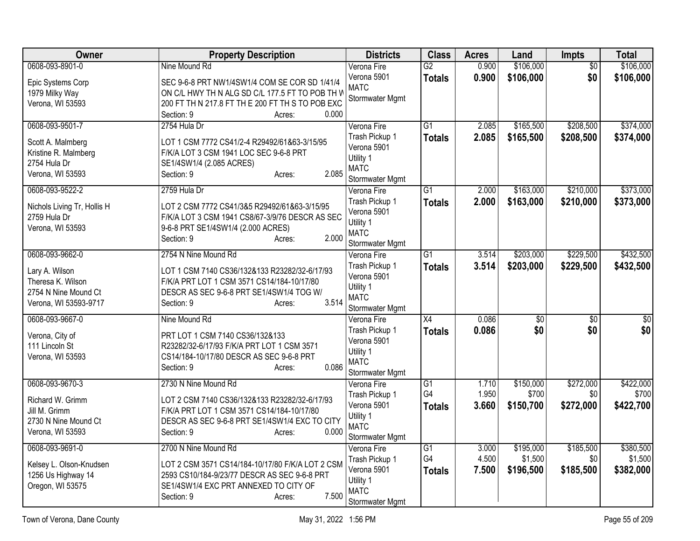| Owner                                       | <b>Property Description</b>                                                                     | <b>Districts</b>               | <b>Class</b>    | <b>Acres</b> | Land      | Impts           | <b>Total</b>    |
|---------------------------------------------|-------------------------------------------------------------------------------------------------|--------------------------------|-----------------|--------------|-----------|-----------------|-----------------|
| 0608-093-8901-0                             | Nine Mound Rd                                                                                   | Verona Fire                    | $\overline{G2}$ | 0.900        | \$106,000 | $\overline{50}$ | \$106,000       |
| Epic Systems Corp                           | SEC 9-6-8 PRT NW1/4SW1/4 COM SE COR SD 1/41/4                                                   | Verona 5901                    | <b>Totals</b>   | 0.900        | \$106,000 | \$0             | \$106,000       |
| 1979 Milky Way                              | ON C/L HWY TH N ALG SD C/L 177.5 FT TO POB TH W                                                 | <b>MATC</b><br>Stormwater Mgmt |                 |              |           |                 |                 |
| Verona, WI 53593                            | 200 FT TH N 217.8 FT TH E 200 FT TH S TO POB EXC                                                |                                |                 |              |           |                 |                 |
|                                             | Section: 9<br>0.000<br>Acres:                                                                   |                                |                 |              |           |                 |                 |
| 0608-093-9501-7                             | 2754 Hula Dr                                                                                    | Verona Fire                    | $\overline{G1}$ | 2.085        | \$165,500 | \$208,500       | \$374,000       |
| Scott A. Malmberg                           | LOT 1 CSM 7772 CS41/2-4 R29492/61&63-3/15/95                                                    | Trash Pickup 1                 | <b>Totals</b>   | 2.085        | \$165,500 | \$208,500       | \$374,000       |
| Kristine R. Malmberg                        | F/K/A LOT 3 CSM 1941 LOC SEC 9-6-8 PRT                                                          | Verona 5901<br>Utility 1       |                 |              |           |                 |                 |
| 2754 Hula Dr                                | SE1/4SW1/4 (2.085 ACRES)                                                                        | <b>MATC</b>                    |                 |              |           |                 |                 |
| Verona, WI 53593                            | 2.085<br>Section: 9<br>Acres:                                                                   | Stormwater Mgmt                |                 |              |           |                 |                 |
| 0608-093-9522-2                             | 2759 Hula Dr                                                                                    | Verona Fire                    | $\overline{G1}$ | 2.000        | \$163,000 | \$210,000       | \$373,000       |
|                                             |                                                                                                 | Trash Pickup 1                 | <b>Totals</b>   | 2.000        | \$163,000 | \$210,000       | \$373,000       |
| Nichols Living Tr, Hollis H<br>2759 Hula Dr | LOT 2 CSM 7772 CS41/3&5 R29492/61&63-3/15/95<br>F/K/A LOT 3 CSM 1941 CS8/67-3/9/76 DESCR AS SEC | Verona 5901                    |                 |              |           |                 |                 |
| Verona, WI 53593                            | 9-6-8 PRT SE1/4SW1/4 (2.000 ACRES)                                                              | Utility 1                      |                 |              |           |                 |                 |
|                                             | 2.000<br>Section: 9<br>Acres:                                                                   | <b>MATC</b>                    |                 |              |           |                 |                 |
|                                             |                                                                                                 | Stormwater Mgmt                |                 |              |           |                 |                 |
| 0608-093-9662-0                             | 2754 N Nine Mound Rd                                                                            | Verona Fire                    | $\overline{G1}$ | 3.514        | \$203,000 | \$229,500       | \$432,500       |
| Lary A. Wilson                              | LOT 1 CSM 7140 CS36/132&133 R23282/32-6/17/93                                                   | Trash Pickup 1<br>Verona 5901  | <b>Totals</b>   | 3.514        | \$203,000 | \$229,500       | \$432,500       |
| Theresa K. Wilson                           | F/K/A PRT LOT 1 CSM 3571 CS14/184-10/17/80                                                      | Utility 1                      |                 |              |           |                 |                 |
| 2754 N Nine Mound Ct                        | DESCR AS SEC 9-6-8 PRT SE1/4SW1/4 TOG W/                                                        | <b>MATC</b>                    |                 |              |           |                 |                 |
| Verona, WI 53593-9717                       | 3.514<br>Section: 9<br>Acres:                                                                   | Stormwater Mgmt                |                 |              |           |                 |                 |
| 0608-093-9667-0                             | Nine Mound Rd                                                                                   | Verona Fire                    | X4              | 0.086        | \$0       | \$0             | $\overline{50}$ |
| Verona, City of                             | PRT LOT 1 CSM 7140 CS36/132&133                                                                 | Trash Pickup 1                 | <b>Totals</b>   | 0.086        | \$0       | \$0             | \$0             |
| 111 Lincoln St                              | R23282/32-6/17/93 F/K/A PRT LOT 1 CSM 3571                                                      | Verona 5901                    |                 |              |           |                 |                 |
| Verona, WI 53593                            | CS14/184-10/17/80 DESCR AS SEC 9-6-8 PRT                                                        | Utility 1<br><b>MATC</b>       |                 |              |           |                 |                 |
|                                             | 0.086<br>Section: 9<br>Acres:                                                                   | Stormwater Mgmt                |                 |              |           |                 |                 |
| 0608-093-9670-3                             | 2730 N Nine Mound Rd                                                                            | Verona Fire                    | $\overline{G1}$ | 1.710        | \$150,000 | \$272,000       | \$422,000       |
|                                             |                                                                                                 | Trash Pickup 1                 | G4              | 1.950        | \$700     | \$0             | \$700           |
| Richard W. Grimm                            | LOT 2 CSM 7140 CS36/132&133 R23282/32-6/17/93                                                   | Verona 5901                    | <b>Totals</b>   | 3.660        | \$150,700 | \$272,000       | \$422,700       |
| Jill M. Grimm<br>2730 N Nine Mound Ct       | F/K/A PRT LOT 1 CSM 3571 CS14/184-10/17/80<br>DESCR AS SEC 9-6-8 PRT SE1/4SW1/4 EXC TO CITY     | Utility 1                      |                 |              |           |                 |                 |
| Verona, WI 53593                            | Section: 9<br>0.000<br>Acres:                                                                   | <b>MATC</b>                    |                 |              |           |                 |                 |
|                                             |                                                                                                 | Stormwater Mgmt                |                 |              |           |                 |                 |
| 0608-093-9691-0                             | 2700 N Nine Mound Rd                                                                            | Verona Fire                    | $\overline{G1}$ | 3.000        | \$195,000 | \$185,500       | \$380,500       |
| Kelsey L. Olson-Knudsen                     | LOT 2 CSM 3571 CS14/184-10/17/80 F/K/A LOT 2 CSM                                                | Trash Pickup 1                 | G4              | 4.500        | \$1,500   | \$0             | \$1,500         |
| 1256 Us Highway 14                          | 2593 CS10/184-9/23/77 DESCR AS SEC 9-6-8 PRT                                                    | Verona 5901<br>Utility 1       | <b>Totals</b>   | 7.500        | \$196,500 | \$185,500       | \$382,000       |
| Oregon, WI 53575                            | SE1/4SW1/4 EXC PRT ANNEXED TO CITY OF                                                           | <b>MATC</b>                    |                 |              |           |                 |                 |
|                                             | 7.500<br>Section: 9<br>Acres:                                                                   | Stormwater Mgmt                |                 |              |           |                 |                 |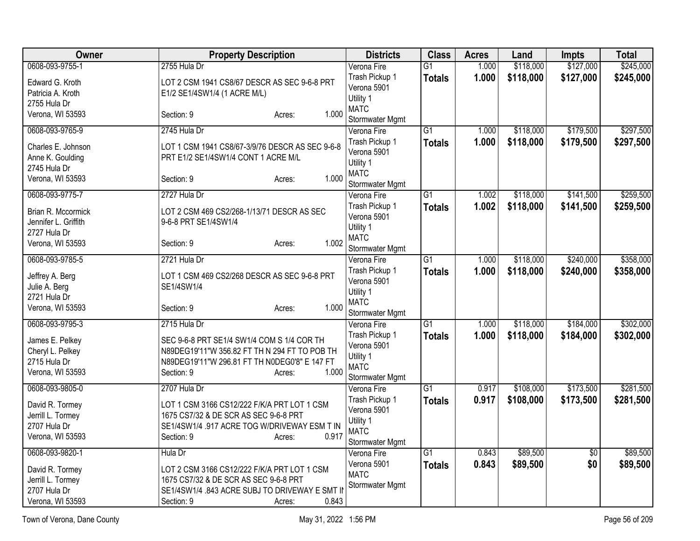| <b>Owner</b>                         | <b>Property Description</b>                                                          | <b>Districts</b>               | <b>Class</b>    | <b>Acres</b>   | Land                 | Impts      | <b>Total</b>         |
|--------------------------------------|--------------------------------------------------------------------------------------|--------------------------------|-----------------|----------------|----------------------|------------|----------------------|
| 0608-093-9755-1                      | 2755 Hula Dr                                                                         | Verona Fire                    | $\overline{G1}$ | 1.000          | \$118,000            | \$127,000  | \$245,000            |
| Edward G. Kroth                      | LOT 2 CSM 1941 CS8/67 DESCR AS SEC 9-6-8 PRT                                         | Trash Pickup 1                 | <b>Totals</b>   | 1.000          | \$118,000            | \$127,000  | \$245,000            |
| Patricia A. Kroth                    | E1/2 SE1/4SW1/4 (1 ACRE M/L)                                                         | Verona 5901                    |                 |                |                      |            |                      |
| 2755 Hula Dr                         |                                                                                      | Utility 1<br><b>MATC</b>       |                 |                |                      |            |                      |
| Verona, WI 53593                     | 1.000<br>Section: 9<br>Acres:                                                        | Stormwater Mgmt                |                 |                |                      |            |                      |
| 0608-093-9765-9                      | 2745 Hula Dr                                                                         | Verona Fire                    | $\overline{G1}$ | 1.000          | \$118,000            | \$179,500  | \$297,500            |
| Charles E. Johnson                   | LOT 1 CSM 1941 CS8/67-3/9/76 DESCR AS SEC 9-6-8                                      | Trash Pickup 1                 | <b>Totals</b>   | 1.000          | \$118,000            | \$179,500  | \$297,500            |
| Anne K. Goulding                     | PRT E1/2 SE1/4SW1/4 CONT 1 ACRE M/L                                                  | Verona 5901                    |                 |                |                      |            |                      |
| 2745 Hula Dr                         |                                                                                      | Utility 1<br><b>MATC</b>       |                 |                |                      |            |                      |
| Verona, WI 53593                     | 1.000<br>Section: 9<br>Acres:                                                        | Stormwater Mgmt                |                 |                |                      |            |                      |
| 0608-093-9775-7                      | 2727 Hula Dr                                                                         | Verona Fire                    | $\overline{G1}$ | 1.002          | \$118,000            | \$141,500  | \$259,500            |
| Brian R. Mccormick                   | LOT 2 CSM 469 CS2/268-1/13/71 DESCR AS SEC                                           | Trash Pickup 1                 | <b>Totals</b>   | 1.002          | \$118,000            | \$141,500  | \$259,500            |
| Jennifer L. Griffith                 | 9-6-8 PRT SE1/4SW1/4                                                                 | Verona 5901                    |                 |                |                      |            |                      |
| 2727 Hula Dr                         |                                                                                      | Utility 1                      |                 |                |                      |            |                      |
| Verona, WI 53593                     | 1.002<br>Section: 9<br>Acres:                                                        | <b>MATC</b><br>Stormwater Mgmt |                 |                |                      |            |                      |
| 0608-093-9785-5                      | 2721 Hula Dr                                                                         | Verona Fire                    | $\overline{G1}$ | 1.000          | \$118,000            | \$240,000  | \$358,000            |
|                                      |                                                                                      | Trash Pickup 1                 | <b>Totals</b>   | 1.000          | \$118,000            | \$240,000  | \$358,000            |
| Jeffrey A. Berg                      | LOT 1 CSM 469 CS2/268 DESCR AS SEC 9-6-8 PRT                                         | Verona 5901                    |                 |                |                      |            |                      |
| Julie A. Berg<br>2721 Hula Dr        | SE1/4SW1/4                                                                           | Utility 1                      |                 |                |                      |            |                      |
| Verona, WI 53593                     | 1.000<br>Section: 9<br>Acres:                                                        | <b>MATC</b>                    |                 |                |                      |            |                      |
|                                      |                                                                                      | Stormwater Mgmt                |                 |                |                      |            |                      |
| 0608-093-9795-3                      | 2715 Hula Dr                                                                         | Verona Fire                    | $\overline{G1}$ | 1.000          | \$118,000            | \$184,000  | \$302,000            |
| James E. Pelkey                      | SEC 9-6-8 PRT SE1/4 SW1/4 COM S 1/4 COR TH                                           | Trash Pickup 1                 | <b>Totals</b>   | 1.000          | \$118,000            | \$184,000  | \$302,000            |
| Cheryl L. Pelkey                     | N89DEG19'11"W 356.82 FT TH N 294 FT TO POB TH                                        | Verona 5901                    |                 |                |                      |            |                      |
| 2715 Hula Dr                         | N89DEG19'11"W 296.81 FT TH N0DEG0'8" E 147 FT                                        | Utility 1<br><b>MATC</b>       |                 |                |                      |            |                      |
| Verona, WI 53593                     | 1.000<br>Section: 9<br>Acres:                                                        | Stormwater Mgmt                |                 |                |                      |            |                      |
| 0608-093-9805-0                      | 2707 Hula Dr                                                                         | Verona Fire                    | $\overline{G1}$ | 0.917          | \$108,000            | \$173,500  | \$281,500            |
|                                      |                                                                                      | Trash Pickup 1                 | <b>Totals</b>   | 0.917          | \$108,000            | \$173,500  | \$281,500            |
| David R. Tormey<br>Jerrill L. Tormey | LOT 1 CSM 3166 CS12/222 F/K/A PRT LOT 1 CSM<br>1675 CS7/32 & DE SCR AS SEC 9-6-8 PRT | Verona 5901                    |                 |                |                      |            |                      |
| 2707 Hula Dr                         | SE1/4SW1/4 .917 ACRE TOG W/DRIVEWAY ESM T IN                                         | Utility 1                      |                 |                |                      |            |                      |
| Verona, WI 53593                     | 0.917<br>Section: 9<br>Acres:                                                        | <b>MATC</b>                    |                 |                |                      |            |                      |
|                                      |                                                                                      | Stormwater Mgmt                |                 |                |                      |            |                      |
| 0608-093-9820-1                      | Hula Dr                                                                              | Verona Fire<br>Verona 5901     | $\overline{G1}$ | 0.843<br>0.843 | \$89,500<br>\$89,500 | \$0<br>\$0 | \$89,500<br>\$89,500 |
| David R. Tormey                      | LOT 2 CSM 3166 CS12/222 F/K/A PRT LOT 1 CSM                                          | <b>MATC</b>                    | <b>Totals</b>   |                |                      |            |                      |
| Jerrill L. Tormey                    | 1675 CS7/32 & DE SCR AS SEC 9-6-8 PRT                                                | Stormwater Mgmt                |                 |                |                      |            |                      |
| 2707 Hula Dr                         | SE1/4SW1/4 .843 ACRE SUBJ TO DRIVEWAY E SMT II                                       |                                |                 |                |                      |            |                      |
| Verona, WI 53593                     | 0.843<br>Section: 9<br>Acres:                                                        |                                |                 |                |                      |            |                      |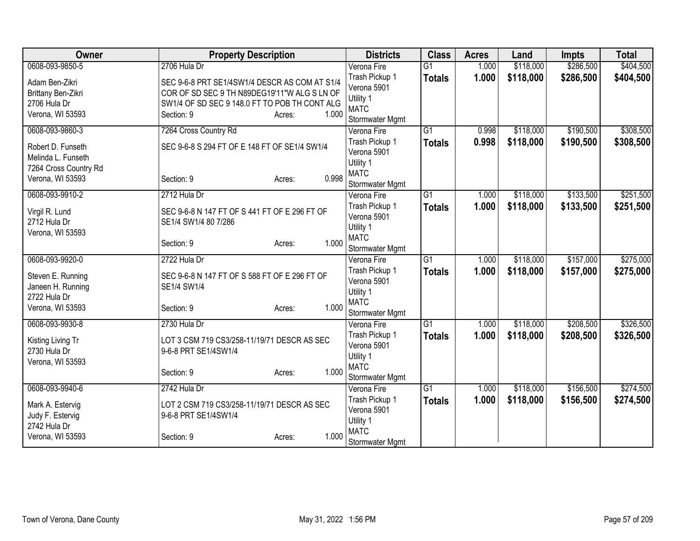| Owner                 | <b>Property Description</b>                   |                 | <b>Districts</b>         | <b>Class</b>    | <b>Acres</b> | Land      | <b>Impts</b> | <b>Total</b> |
|-----------------------|-----------------------------------------------|-----------------|--------------------------|-----------------|--------------|-----------|--------------|--------------|
| 0608-093-9850-5       | 2706 Hula Dr                                  |                 | Verona Fire              | $\overline{G1}$ | 1.000        | \$118,000 | \$286,500    | \$404,500    |
| Adam Ben-Zikri        | SEC 9-6-8 PRT SE1/4SW1/4 DESCR AS COM AT S1/4 |                 | Trash Pickup 1           | <b>Totals</b>   | 1.000        | \$118,000 | \$286,500    | \$404,500    |
| Brittany Ben-Zikri    | COR OF SD SEC 9 TH N89DEG19'11"W ALG S LN OF  |                 | Verona 5901              |                 |              |           |              |              |
| 2706 Hula Dr          | SW1/4 OF SD SEC 9 148.0 FT TO POB TH CONT ALG |                 | Utility 1                |                 |              |           |              |              |
| Verona, WI 53593      | Section: 9                                    | 1.000<br>Acres: | <b>MATC</b>              |                 |              |           |              |              |
|                       |                                               |                 | Stormwater Mgmt          |                 |              |           |              |              |
| 0608-093-9860-3       | 7264 Cross Country Rd                         |                 | Verona Fire              | $\overline{G1}$ | 0.998        | \$118,000 | \$190,500    | \$308,500    |
| Robert D. Funseth     | SEC 9-6-8 S 294 FT OF E 148 FT OF SE1/4 SW1/4 |                 | Trash Pickup 1           | <b>Totals</b>   | 0.998        | \$118,000 | \$190,500    | \$308,500    |
| Melinda L. Funseth    |                                               |                 | Verona 5901              |                 |              |           |              |              |
| 7264 Cross Country Rd |                                               |                 | Utility 1                |                 |              |           |              |              |
| Verona, WI 53593      | Section: 9                                    | 0.998<br>Acres: | <b>MATC</b>              |                 |              |           |              |              |
|                       |                                               |                 | Stormwater Mgmt          |                 |              |           |              |              |
| 0608-093-9910-2       | 2712 Hula Dr                                  |                 | Verona Fire              | $\overline{G1}$ | 1.000        | \$118,000 | \$133,500    | \$251,500    |
| Virgil R. Lund        | SEC 9-6-8 N 147 FT OF S 441 FT OF E 296 FT OF |                 | Trash Pickup 1           | <b>Totals</b>   | 1.000        | \$118,000 | \$133,500    | \$251,500    |
| 2712 Hula Dr          | SE1/4 SW1/4 80 7/286                          |                 | Verona 5901              |                 |              |           |              |              |
| Verona, WI 53593      |                                               |                 | Utility 1                |                 |              |           |              |              |
|                       | Section: 9                                    | 1.000<br>Acres: | <b>MATC</b>              |                 |              |           |              |              |
|                       |                                               |                 | Stormwater Mgmt          |                 |              |           |              |              |
| 0608-093-9920-0       | 2722 Hula Dr                                  |                 | Verona Fire              | $\overline{G1}$ | 1.000        | \$118,000 | \$157,000    | \$275,000    |
| Steven E. Running     | SEC 9-6-8 N 147 FT OF S 588 FT OF E 296 FT OF |                 | Trash Pickup 1           | <b>Totals</b>   | 1.000        | \$118,000 | \$157,000    | \$275,000    |
| Janeen H. Running     | SE1/4 SW1/4                                   |                 | Verona 5901              |                 |              |           |              |              |
| 2722 Hula Dr          |                                               |                 | Utility 1                |                 |              |           |              |              |
| Verona, WI 53593      | Section: 9                                    | 1.000<br>Acres: | <b>MATC</b>              |                 |              |           |              |              |
|                       |                                               |                 | Stormwater Mgmt          |                 |              |           |              |              |
| 0608-093-9930-8       | 2730 Hula Dr                                  |                 | Verona Fire              | $\overline{G1}$ | 1.000        | \$118,000 | \$208,500    | \$326,500    |
| Kisting Living Tr     | LOT 3 CSM 719 CS3/258-11/19/71 DESCR AS SEC   |                 | Trash Pickup 1           | <b>Totals</b>   | 1.000        | \$118,000 | \$208,500    | \$326,500    |
| 2730 Hula Dr          | 9-6-8 PRT SE1/4SW1/4                          |                 | Verona 5901              |                 |              |           |              |              |
| Verona, WI 53593      |                                               |                 | Utility 1<br><b>MATC</b> |                 |              |           |              |              |
|                       | Section: 9                                    | 1.000<br>Acres: |                          |                 |              |           |              |              |
|                       |                                               |                 | Stormwater Mgmt          | $\overline{G1}$ |              |           |              |              |
| 0608-093-9940-6       | 2742 Hula Dr                                  |                 | Verona Fire              |                 | 1.000        | \$118,000 | \$156,500    | \$274,500    |
| Mark A. Estervig      | LOT 2 CSM 719 CS3/258-11/19/71 DESCR AS SEC   |                 | Trash Pickup 1           | <b>Totals</b>   | 1.000        | \$118,000 | \$156,500    | \$274,500    |
| Judy F. Estervig      | 9-6-8 PRT SE1/4SW1/4                          |                 | Verona 5901<br>Utility 1 |                 |              |           |              |              |
| 2742 Hula Dr          |                                               |                 | <b>MATC</b>              |                 |              |           |              |              |
| Verona, WI 53593      | Section: 9                                    | 1.000<br>Acres: | Stormwater Mgmt          |                 |              |           |              |              |
|                       |                                               |                 |                          |                 |              |           |              |              |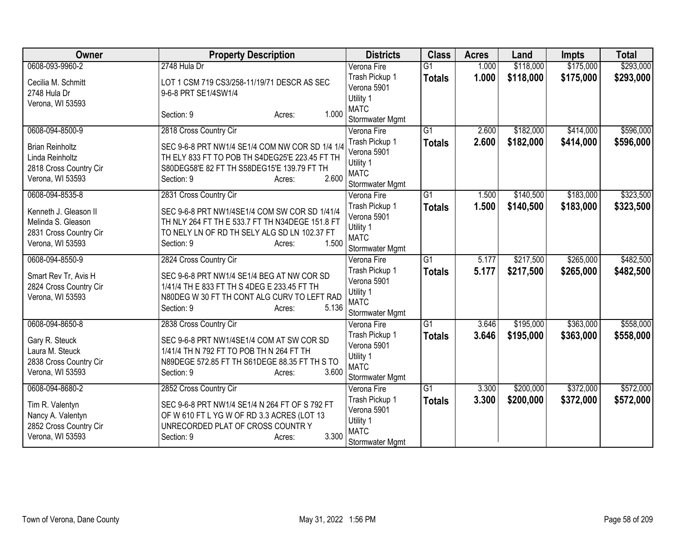| <b>Owner</b>                                                                              | <b>Property Description</b>                                                                                                                                                       | <b>Districts</b>                                                             | <b>Class</b>    | <b>Acres</b> | Land      | <b>Impts</b> | <b>Total</b> |
|-------------------------------------------------------------------------------------------|-----------------------------------------------------------------------------------------------------------------------------------------------------------------------------------|------------------------------------------------------------------------------|-----------------|--------------|-----------|--------------|--------------|
| 0608-093-9960-2                                                                           | 2748 Hula Dr                                                                                                                                                                      | Verona Fire                                                                  | $\overline{G1}$ | 1.000        | \$118,000 | \$175,000    | \$293,000    |
| Cecilia M. Schmitt<br>2748 Hula Dr<br>Verona, WI 53593                                    | LOT 1 CSM 719 CS3/258-11/19/71 DESCR AS SEC<br>9-6-8 PRT SE1/4SW1/4                                                                                                               | Trash Pickup 1<br>Verona 5901<br>Utility 1                                   | <b>Totals</b>   | 1.000        | \$118,000 | \$175,000    | \$293,000    |
|                                                                                           | 1.000<br>Section: 9<br>Acres:                                                                                                                                                     | <b>MATC</b><br>Stormwater Mgmt                                               |                 |              |           |              |              |
| 0608-094-8500-9                                                                           | 2818 Cross Country Cir                                                                                                                                                            | Verona Fire                                                                  | $\overline{G1}$ | 2.600        | \$182,000 | \$414,000    | \$596,000    |
| <b>Brian Reinholtz</b><br>Linda Reinholtz<br>2818 Cross Country Cir<br>Verona, WI 53593   | SEC 9-6-8 PRT NW1/4 SE1/4 COM NW COR SD 1/4 1/4<br>TH ELY 833 FT TO POB TH S4DEG25'E 223.45 FT TH<br>S80DEG58'E 82 FT TH S58DEG15'E 139.79 FT TH<br>2.600<br>Section: 9<br>Acres: | Trash Pickup 1<br>Verona 5901<br>Utility 1<br><b>MATC</b><br>Stormwater Mgmt | <b>Totals</b>   | 2.600        | \$182,000 | \$414,000    | \$596,000    |
| 0608-094-8535-8                                                                           | 2831 Cross Country Cir                                                                                                                                                            | Verona Fire                                                                  | $\overline{G1}$ | 1.500        | \$140,500 | \$183,000    | \$323,500    |
| Kenneth J. Gleason II<br>Melinda S. Gleason<br>2831 Cross Country Cir<br>Verona, WI 53593 | SEC 9-6-8 PRT NW1/4SE1/4 COM SW COR SD 1/41/4<br>TH NLY 264 FT TH E 533.7 FT TH N34DEGE 151.8 FT<br>TO NELY LN OF RD TH SELY ALG SD LN 102.37 FT<br>1.500<br>Section: 9<br>Acres: | Trash Pickup 1<br>Verona 5901<br>Utility 1<br><b>MATC</b><br>Stormwater Mgmt | <b>Totals</b>   | 1.500        | \$140,500 | \$183,000    | \$323,500    |
| 0608-094-8550-9                                                                           | 2824 Cross Country Cir                                                                                                                                                            | Verona Fire                                                                  | $\overline{G1}$ | 5.177        | \$217,500 | \$265,000    | \$482,500    |
| Smart Rev Tr, Avis H<br>2824 Cross Country Cir<br>Verona, WI 53593                        | SEC 9-6-8 PRT NW1/4 SE1/4 BEG AT NW COR SD<br>1/41/4 TH E 833 FT TH S 4DEG E 233.45 FT TH<br>N80DEG W 30 FT TH CONT ALG CURV TO LEFT RAD<br>5.136<br>Section: 9<br>Acres:         | Trash Pickup 1<br>Verona 5901<br>Utility 1<br><b>MATC</b><br>Stormwater Mgmt | <b>Totals</b>   | 5.177        | \$217,500 | \$265,000    | \$482,500    |
| 0608-094-8650-8                                                                           | 2838 Cross Country Cir                                                                                                                                                            | Verona Fire                                                                  | $\overline{G1}$ | 3.646        | \$195,000 | \$363,000    | \$558,000    |
| Gary R. Steuck<br>Laura M. Steuck<br>2838 Cross Country Cir<br>Verona, WI 53593           | SEC 9-6-8 PRT NW1/4SE1/4 COM AT SW COR SD<br>1/41/4 TH N 792 FT TO POB TH N 264 FT TH<br>N89DEGE 572.85 FT TH S61DEGE 88.35 FT TH S TO<br>3.600<br>Section: 9<br>Acres:           | Trash Pickup 1<br>Verona 5901<br>Utility 1<br><b>MATC</b><br>Stormwater Mgmt | <b>Totals</b>   | 3.646        | \$195,000 | \$363,000    | \$558,000    |
| 0608-094-8680-2                                                                           | 2852 Cross Country Cir                                                                                                                                                            | Verona Fire                                                                  | $\overline{G1}$ | 3.300        | \$200,000 | \$372,000    | \$572,000    |
| Tim R. Valentyn<br>Nancy A. Valentyn<br>2852 Cross Country Cir<br>Verona, WI 53593        | SEC 9-6-8 PRT NW1/4 SE1/4 N 264 FT OF S 792 FT<br>OF W 610 FT L YG W OF RD 3.3 ACRES (LOT 13<br>UNRECORDED PLAT OF CROSS COUNTRY<br>3.300<br>Section: 9<br>Acres:                 | Trash Pickup 1<br>Verona 5901<br>Utility 1<br><b>MATC</b><br>Stormwater Mgmt | <b>Totals</b>   | 3.300        | \$200,000 | \$372,000    | \$572,000    |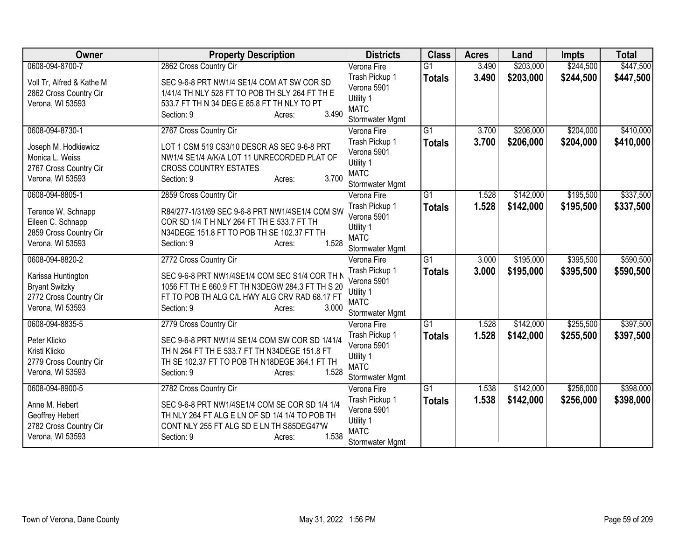| Owner                                                                                     | <b>Property Description</b>                                                                                                                                                          | <b>Districts</b>                                                                    | <b>Class</b>    | <b>Acres</b> | Land      | <b>Impts</b> | <b>Total</b> |
|-------------------------------------------------------------------------------------------|--------------------------------------------------------------------------------------------------------------------------------------------------------------------------------------|-------------------------------------------------------------------------------------|-----------------|--------------|-----------|--------------|--------------|
| 0608-094-8700-7                                                                           | 2862 Cross Country Cir                                                                                                                                                               | Verona Fire                                                                         | $\overline{G1}$ | 3.490        | \$203,000 | \$244,500    | \$447,500    |
| Voll Tr, Alfred & Kathe M<br>2862 Cross Country Cir<br>Verona, WI 53593                   | SEC 9-6-8 PRT NW1/4 SE1/4 COM AT SW COR SD<br>1/41/4 TH NLY 528 FT TO POB TH SLY 264 FT TH E<br>533.7 FT TH N 34 DEG E 85.8 FT TH NLY TO PT<br>3.490<br>Section: 9<br>Acres:         | Trash Pickup 1<br>Verona 5901<br>Utility 1<br><b>MATC</b><br>Stormwater Mgmt        | <b>Totals</b>   | 3.490        | \$203,000 | \$244,500    | \$447,500    |
| 0608-094-8730-1                                                                           | 2767 Cross Country Cir                                                                                                                                                               | Verona Fire                                                                         | $\overline{G1}$ | 3.700        | \$206,000 | \$204,000    | \$410,000    |
| Joseph M. Hodkiewicz<br>Monica L. Weiss<br>2767 Cross Country Cir<br>Verona, WI 53593     | LOT 1 CSM 519 CS3/10 DESCR AS SEC 9-6-8 PRT<br>NW1/4 SE1/4 A/K/A LOT 11 UNRECORDED PLAT OF<br><b>CROSS COUNTRY ESTATES</b><br>3.700<br>Section: 9<br>Acres:                          | Trash Pickup 1<br>Verona 5901<br>Utility 1<br><b>MATC</b><br>Stormwater Mgmt        | <b>Totals</b>   | 3.700        | \$206,000 | \$204,000    | \$410,000    |
| 0608-094-8805-1                                                                           | 2859 Cross Country Cir                                                                                                                                                               | Verona Fire                                                                         | $\overline{G1}$ | 1.528        | \$142,000 | \$195,500    | \$337,500    |
| Terence W. Schnapp<br>Eileen C. Schnapp<br>2859 Cross Country Cir<br>Verona, WI 53593     | R84/277-1/31/69 SEC 9-6-8 PRT NW1/4SE1/4 COM SW<br>COR SD 1/4 T H NLY 264 FT TH E 533.7 FT TH<br>N34DEGE 151.8 FT TO POB TH SE 102.37 FT TH<br>1.528<br>Section: 9<br>Acres:         | Trash Pickup 1<br>Verona 5901<br>Utility 1<br><b>MATC</b><br>Stormwater Mgmt        | <b>Totals</b>   | 1.528        | \$142,000 | \$195,500    | \$337,500    |
| 0608-094-8820-2                                                                           | 2772 Cross Country Cir                                                                                                                                                               | Verona Fire                                                                         | $\overline{G1}$ | 3.000        | \$195,000 | \$395,500    | \$590,500    |
| Karissa Huntington<br><b>Bryant Switzky</b><br>2772 Cross Country Cir<br>Verona, WI 53593 | SEC 9-6-8 PRT NW1/4SE1/4 COM SEC S1/4 COR TH N<br>1056 FT TH E 660.9 FT TH N3DEGW 284.3 FT TH S 20<br>FT TO POB TH ALG C/L HWY ALG CRV RAD 68.17 FT<br>3.000<br>Section: 9<br>Acres: | Trash Pickup 1<br>Verona 5901<br>Utility 1<br><b>MATC</b><br>Stormwater Mgmt        | <b>Totals</b>   | 3.000        | \$195,000 | \$395,500    | \$590,500    |
| 0608-094-8835-5                                                                           | 2779 Cross Country Cir                                                                                                                                                               | Verona Fire                                                                         | $\overline{G1}$ | 1.528        | \$142,000 | \$255,500    | \$397,500    |
| Peter Klicko<br>Kristi Klicko<br>2779 Cross Country Cir<br>Verona, WI 53593               | SEC 9-6-8 PRT NW1/4 SE1/4 COM SW COR SD 1/41/4<br>TH N 264 FT TH E 533.7 FT TH N34DEGE 151.8 FT<br>TH SE 102.37 FT TO POB TH N18DEGE 364.1 FT TH<br>1.528<br>Section: 9<br>Acres:    | Trash Pickup 1<br>Verona 5901<br>Utility 1<br><b>MATC</b><br>Stormwater Mgmt        | <b>Totals</b>   | 1.528        | \$142,000 | \$255,500    | \$397,500    |
| 0608-094-8900-5                                                                           | 2782 Cross Country Cir                                                                                                                                                               | Verona Fire                                                                         | G1              | 1.538        | \$142,000 | \$256,000    | \$398,000    |
| Anne M. Hebert<br>Geoffrey Hebert<br>2782 Cross Country Cir<br>Verona, WI 53593           | SEC 9-6-8 PRT NW1/4SE1/4 COM SE COR SD 1/4 1/4<br>TH NLY 264 FT ALG E LN OF SD 1/4 1/4 TO POB TH<br>CONT NLY 255 FT ALG SD E LN TH S85DEG47'W<br>1.538<br>Section: 9<br>Acres:       | Trash Pickup 1<br>Verona 5901<br>Utility 1<br><b>MATC</b><br><b>Stormwater Mgmt</b> | <b>Totals</b>   | 1.538        | \$142,000 | \$256,000    | \$398,000    |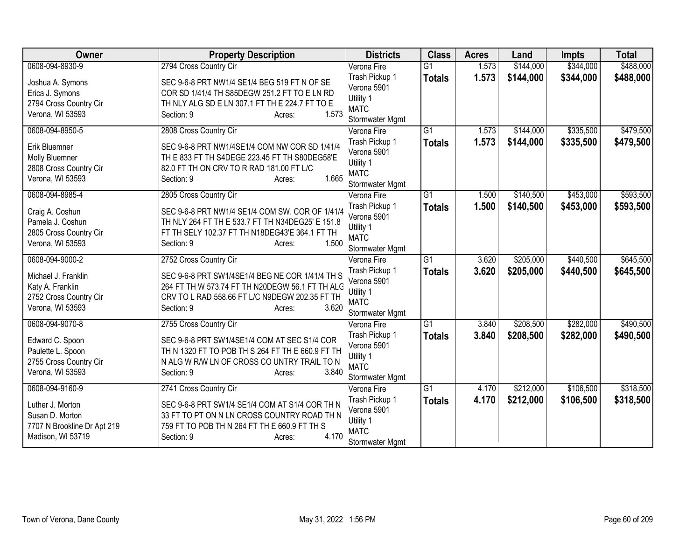| Owner                                                                                   | <b>Property Description</b>                                                                                                                                                            | <b>Districts</b>                                                             | <b>Class</b>    | <b>Acres</b> | Land      | <b>Impts</b> | <b>Total</b> |
|-----------------------------------------------------------------------------------------|----------------------------------------------------------------------------------------------------------------------------------------------------------------------------------------|------------------------------------------------------------------------------|-----------------|--------------|-----------|--------------|--------------|
| 0608-094-8930-9                                                                         | 2794 Cross Country Cir                                                                                                                                                                 | Verona Fire                                                                  | $\overline{G1}$ | 1.573        | \$144,000 | \$344,000    | \$488,000    |
| Joshua A. Symons<br>Erica J. Symons                                                     | SEC 9-6-8 PRT NW1/4 SE1/4 BEG 519 FT N OF SE<br>COR SD 1/41/4 TH S85DEGW 251.2 FT TO E LN RD                                                                                           | Trash Pickup 1<br>Verona 5901<br>Utility 1                                   | <b>Totals</b>   | 1.573        | \$144,000 | \$344,000    | \$488,000    |
| 2794 Cross Country Cir<br>Verona, WI 53593                                              | TH NLY ALG SD E LN 307.1 FT TH E 224.7 FT TO E<br>1.573<br>Section: 9<br>Acres:                                                                                                        | <b>MATC</b><br>Stormwater Mgmt                                               |                 |              |           |              |              |
| 0608-094-8950-5                                                                         | 2808 Cross Country Cir                                                                                                                                                                 | Verona Fire                                                                  | $\overline{G1}$ | 1.573        | \$144,000 | \$335,500    | \$479,500    |
| Erik Bluemner<br>Molly Bluemner<br>2808 Cross Country Cir<br>Verona, WI 53593           | SEC 9-6-8 PRT NW1/4SE1/4 COM NW COR SD 1/41/4<br>TH E 833 FT TH S4DEGE 223.45 FT TH S80DEG58'E<br>82.0 FT TH ON CRV TO R RAD 181.00 FT L/C<br>1.665<br>Section: 9<br>Acres:            | Trash Pickup 1<br>Verona 5901<br>Utility 1<br><b>MATC</b><br>Stormwater Mgmt | <b>Totals</b>   | 1.573        | \$144,000 | \$335,500    | \$479,500    |
| 0608-094-8985-4                                                                         | 2805 Cross Country Cir                                                                                                                                                                 | Verona Fire                                                                  | $\overline{G1}$ | 1.500        | \$140,500 | \$453,000    | \$593,500    |
| Craig A. Coshun<br>Pamela J. Coshun<br>2805 Cross Country Cir<br>Verona, WI 53593       | SEC 9-6-8 PRT NW1/4 SE1/4 COM SW. COR OF 1/41/4<br>TH NLY 264 FT TH E 533.7 FT TH N34DEG25' E 151.8<br>FT TH SELY 102.37 FT TH N18DEG43'E 364.1 FT TH<br>1.500<br>Section: 9<br>Acres: | Trash Pickup 1<br>Verona 5901<br>Utility 1<br><b>MATC</b><br>Stormwater Mgmt | <b>Totals</b>   | 1.500        | \$140,500 | \$453,000    | \$593,500    |
| 0608-094-9000-2                                                                         | 2752 Cross Country Cir                                                                                                                                                                 | Verona Fire                                                                  | $\overline{G1}$ | 3.620        | \$205,000 | \$440,500    | \$645,500    |
| Michael J. Franklin<br>Katy A. Franklin<br>2752 Cross Country Cir<br>Verona, WI 53593   | SEC 9-6-8 PRT SW1/4SE1/4 BEG NE COR 1/41/4 TH S<br>264 FT TH W 573.74 FT TH N20DEGW 56.1 FT TH ALG<br>CRV TO L RAD 558.66 FT L/C N9DEGW 202.35 FT TH<br>3.620<br>Section: 9<br>Acres:  | Trash Pickup 1<br>Verona 5901<br>Utility 1<br><b>MATC</b><br>Stormwater Mgmt | <b>Totals</b>   | 3.620        | \$205,000 | \$440,500    | \$645,500    |
| 0608-094-9070-8                                                                         | 2755 Cross Country Cir                                                                                                                                                                 | Verona Fire                                                                  | $\overline{G1}$ | 3.840        | \$208,500 | \$282,000    | \$490,500    |
| Edward C. Spoon<br>Paulette L. Spoon<br>2755 Cross Country Cir<br>Verona, WI 53593      | SEC 9-6-8 PRT SW1/4SE1/4 COM AT SEC S1/4 COR<br>TH N 1320 FT TO POB TH S 264 FT TH E 660.9 FT TH<br>N ALG W R/W LN OF CROSS CO UNTRY TRAIL TO N<br>3.840<br>Section: 9<br>Acres:       | Trash Pickup 1<br>Verona 5901<br>Utility 1<br><b>MATC</b><br>Stormwater Mgmt | <b>Totals</b>   | 3.840        | \$208,500 | \$282,000    | \$490,500    |
| 0608-094-9160-9                                                                         | 2741 Cross Country Cir                                                                                                                                                                 | Verona Fire                                                                  | G1              | 4.170        | \$212,000 | \$106,500    | \$318,500    |
| Luther J. Morton<br>Susan D. Morton<br>7707 N Brookline Dr Apt 219<br>Madison, WI 53719 | SEC 9-6-8 PRT SW1/4 SE1/4 COM AT S1/4 COR TH N<br>33 FT TO PT ON N LN CROSS COUNTRY ROAD TH N<br>759 FT TO POB TH N 264 FT TH E 660.9 FT TH S<br>4.170<br>Section: 9<br>Acres:         | Trash Pickup 1<br>Verona 5901<br>Utility 1<br><b>MATC</b><br>Stormwater Mgmt | <b>Totals</b>   | 4.170        | \$212,000 | \$106,500    | \$318,500    |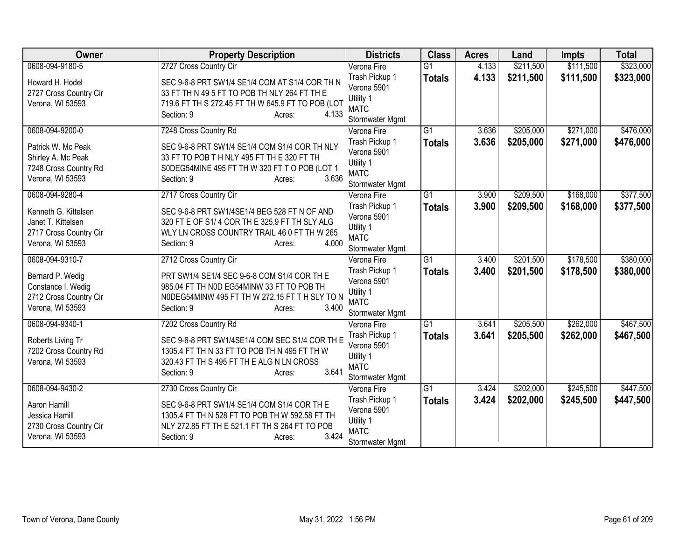| Owner                                                                                    | <b>Property Description</b>                                                                                                                                                          | <b>Districts</b>                                                             | <b>Class</b>    | <b>Acres</b> | Land      | <b>Impts</b> | <b>Total</b> |
|------------------------------------------------------------------------------------------|--------------------------------------------------------------------------------------------------------------------------------------------------------------------------------------|------------------------------------------------------------------------------|-----------------|--------------|-----------|--------------|--------------|
| 0608-094-9180-5                                                                          | 2727 Cross Country Cir                                                                                                                                                               | Verona Fire                                                                  | $\overline{G1}$ | 4.133        | \$211,500 | \$111,500    | \$323,000    |
| Howard H. Hodel<br>2727 Cross Country Cir<br>Verona, WI 53593                            | SEC 9-6-8 PRT SW1/4 SE1/4 COM AT S1/4 COR TH N<br>33 FT TH N 49 5 FT TO POB TH NLY 264 FT TH E<br>719.6 FT TH S 272.45 FT TH W 645.9 FT TO POB (LOT<br>Section: 9<br>4.133<br>Acres: | Trash Pickup 1<br>Verona 5901<br>Utility 1<br><b>MATC</b><br>Stormwater Mgmt | <b>Totals</b>   | 4.133        | \$211,500 | \$111,500    | \$323,000    |
| 0608-094-9200-0                                                                          | 7248 Cross Country Rd                                                                                                                                                                | Verona Fire                                                                  | $\overline{G1}$ | 3.636        | \$205,000 | \$271,000    | \$476,000    |
| Patrick W. Mc Peak<br>Shirley A. Mc Peak<br>7248 Cross Country Rd<br>Verona, WI 53593    | SEC 9-6-8 PRT SW1/4 SE1/4 COM S1/4 COR TH NLY<br>33 FT TO POB T H NLY 495 FT TH E 320 FT TH<br>S0DEG54MINE 495 FT TH W 320 FT T O POB (LOT 1<br>3.636<br>Section: 9<br>Acres:        | Trash Pickup 1<br>Verona 5901<br>Utility 1<br><b>MATC</b><br>Stormwater Mgmt | <b>Totals</b>   | 3.636        | \$205,000 | \$271,000    | \$476,000    |
| 0608-094-9280-4                                                                          | 2717 Cross Country Cir                                                                                                                                                               | Verona Fire                                                                  | $\overline{G1}$ | 3.900        | \$209,500 | \$168,000    | \$377,500    |
| Kenneth G. Kittelsen<br>Janet T. Kittelsen<br>2717 Cross Country Cir<br>Verona, WI 53593 | SEC 9-6-8 PRT SW1/4SE1/4 BEG 528 FT N OF AND<br>320 FT E OF S1/4 COR TH E 325.9 FT TH SLY ALG<br>WLY LN CROSS COUNTRY TRAIL 46 0 FT TH W 265<br>4.000<br>Section: 9<br>Acres:        | Trash Pickup 1<br>Verona 5901<br>Utility 1<br><b>MATC</b><br>Stormwater Mgmt | <b>Totals</b>   | 3.900        | \$209,500 | \$168,000    | \$377,500    |
| 0608-094-9310-7                                                                          | 2712 Cross Country Cir                                                                                                                                                               | Verona Fire                                                                  | $\overline{G1}$ | 3,400        | \$201,500 | \$178,500    | \$380,000    |
| Bernard P. Wedig<br>Constance I. Wedig<br>2712 Cross Country Cir<br>Verona, WI 53593     | PRT SW1/4 SE1/4 SEC 9-6-8 COM S1/4 COR TH E<br>985.04 FT TH N0D EG54MINW 33 FT TO POB TH<br>NODEG54MINW 495 FT TH W 272.15 FT TH SLY TO N<br>3.400<br>Section: 9<br>Acres:           | Trash Pickup 1<br>Verona 5901<br>Utility 1<br><b>MATC</b><br>Stormwater Mgmt | <b>Totals</b>   | 3.400        | \$201,500 | \$178,500    | \$380,000    |
| 0608-094-9340-1                                                                          | 7202 Cross Country Rd                                                                                                                                                                | Verona Fire                                                                  | $\overline{G1}$ | 3.641        | \$205,500 | \$262,000    | \$467,500    |
| Roberts Living Tr<br>7202 Cross Country Rd<br>Verona, WI 53593                           | SEC 9-6-8 PRT SW1/4SE1/4 COM SEC S1/4 COR TH E<br>1305.4 FT TH N 33 FT TO POB TH N 495 FT TH W<br>320.43 FT TH S 495 FT TH E ALG N LN CROSS<br>3.641<br>Section: 9<br>Acres:         | Trash Pickup 1<br>Verona 5901<br>Utility 1<br><b>MATC</b><br>Stormwater Mgmt | <b>Totals</b>   | 3.641        | \$205,500 | \$262,000    | \$467,500    |
| 0608-094-9430-2                                                                          | 2730 Cross Country Cir                                                                                                                                                               | Verona Fire                                                                  | G1              | 3.424        | \$202,000 | \$245,500    | \$447,500    |
| Aaron Hamill<br>Jessica Hamill<br>2730 Cross Country Cir<br>Verona, WI 53593             | SEC 9-6-8 PRT SW1/4 SE1/4 COM S1/4 COR TH E<br>1305.4 FT TH N 528 FT TO POB TH W 592.58 FT TH<br>NLY 272.85 FT TH E 521.1 FT TH S 264 FT TO POB<br>3.424<br>Section: 9<br>Acres:     | Trash Pickup 1<br>Verona 5901<br>Utility 1<br><b>MATC</b><br>Stormwater Mgmt | <b>Totals</b>   | 3.424        | \$202,000 | \$245,500    | \$447,500    |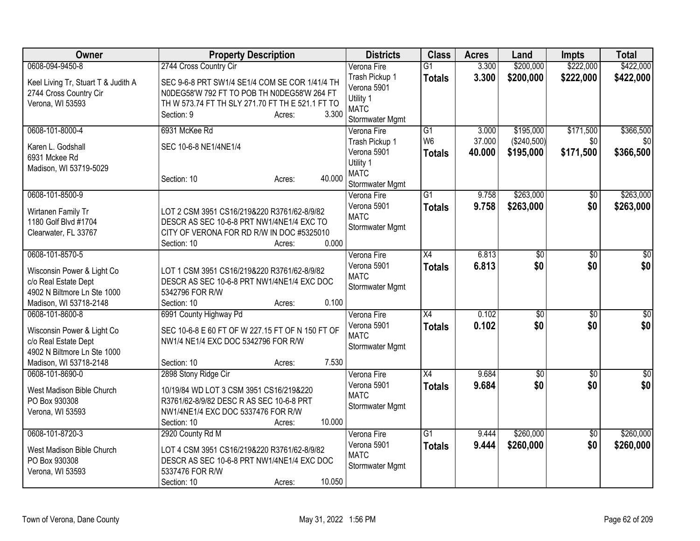| Owner                                                                                                       | <b>Property Description</b>                                                                                                                                                        | <b>Districts</b>                                                             | <b>Class</b>                    | <b>Acres</b>     | Land                     | <b>Impts</b>     | <b>Total</b>     |
|-------------------------------------------------------------------------------------------------------------|------------------------------------------------------------------------------------------------------------------------------------------------------------------------------------|------------------------------------------------------------------------------|---------------------------------|------------------|--------------------------|------------------|------------------|
| 0608-094-9450-8                                                                                             | 2744 Cross Country Cir                                                                                                                                                             | Verona Fire                                                                  | $\overline{G1}$                 | 3.300            | \$200,000                | \$222,000        | \$422,000        |
| Keel Living Tr, Stuart T & Judith A<br>2744 Cross Country Cir<br>Verona, WI 53593                           | SEC 9-6-8 PRT SW1/4 SE1/4 COM SE COR 1/41/4 TH<br>N0DEG58'W 792 FT TO POB TH N0DEG58'W 264 FT<br>TH W 573.74 FT TH SLY 271.70 FT TH E 521.1 FT TO<br>3.300<br>Section: 9<br>Acres: | Trash Pickup 1<br>Verona 5901<br>Utility 1<br><b>MATC</b><br>Stormwater Mgmt | <b>Totals</b>                   | 3.300            | \$200,000                | \$222,000        | \$422,000        |
| 0608-101-8000-4                                                                                             | 6931 McKee Rd                                                                                                                                                                      | Verona Fire                                                                  | G1                              | 3.000            | \$195,000                | \$171,500        | \$366,500        |
| Karen L. Godshall<br>6931 Mckee Rd<br>Madison, WI 53719-5029                                                | SEC 10-6-8 NE1/4NE1/4<br>40.000<br>Section: 10<br>Acres:                                                                                                                           | Trash Pickup 1<br>Verona 5901<br>Utility 1<br><b>MATC</b><br>Stormwater Mgmt | W <sub>6</sub><br><b>Totals</b> | 37.000<br>40.000 | (\$240,500)<br>\$195,000 | \$0<br>\$171,500 | \$0<br>\$366,500 |
| 0608-101-8500-9                                                                                             |                                                                                                                                                                                    | Verona Fire                                                                  | G1                              | 9.758            | \$263,000                | \$0              | \$263,000        |
| Wirtanen Family Tr<br>1180 Golf Blvd #1704<br>Clearwater, FL 33767                                          | LOT 2 CSM 3951 CS16/219&220 R3761/62-8/9/82<br>DESCR AS SEC 10-6-8 PRT NW1/4NE1/4 EXC TO<br>CITY OF VERONA FOR RD R/W IN DOC #5325010<br>0.000<br>Section: 10<br>Acres:            | Verona 5901<br><b>MATC</b><br>Stormwater Mgmt                                | <b>Totals</b>                   | 9.758            | \$263,000                | \$0              | \$263,000        |
| 0608-101-8570-5                                                                                             |                                                                                                                                                                                    | Verona Fire                                                                  | X4                              | 6.813            | \$0                      | \$0              | $\overline{\$0}$ |
| Wisconsin Power & Light Co<br>c/o Real Estate Dept<br>4902 N Biltmore Ln Ste 1000<br>Madison, WI 53718-2148 | LOT 1 CSM 3951 CS16/219&220 R3761/62-8/9/82<br>DESCR AS SEC 10-6-8 PRT NW1/4NE1/4 EXC DOC<br>5342796 FOR R/W<br>0.100<br>Section: 10<br>Acres:                                     | Verona 5901<br><b>MATC</b><br>Stormwater Mgmt                                | <b>Totals</b>                   | 6.813            | \$0                      | \$0              | \$0              |
| 0608-101-8600-8                                                                                             | 6991 County Highway Pd                                                                                                                                                             | Verona Fire                                                                  | X4                              | 0.102            | $\overline{60}$          | $\sqrt{6}$       | $\sqrt{50}$      |
| Wisconsin Power & Light Co<br>c/o Real Estate Dept<br>4902 N Biltmore Ln Ste 1000<br>Madison, WI 53718-2148 | SEC 10-6-8 E 60 FT OF W 227.15 FT OF N 150 FT OF<br>NW1/4 NE1/4 EXC DOC 5342796 FOR R/W<br>7.530<br>Section: 10<br>Acres:                                                          | Verona 5901<br><b>MATC</b><br>Stormwater Mgmt                                | <b>Totals</b>                   | 0.102            | \$0                      | \$0              | \$0              |
| 0608-101-8690-0                                                                                             | 2898 Stony Ridge Cir                                                                                                                                                               | Verona Fire                                                                  | $\overline{X4}$                 | 9.684            | $\overline{60}$          | $\overline{30}$  | $\sqrt{30}$      |
| West Madison Bible Church<br>PO Box 930308<br>Verona, WI 53593                                              | 10/19/84 WD LOT 3 CSM 3951 CS16/219&220<br>R3761/62-8/9/82 DESC R AS SEC 10-6-8 PRT<br>NW1/4NE1/4 EXC DOC 5337476 FOR R/W<br>10.000<br>Section: 10<br>Acres:                       | Verona 5901<br><b>MATC</b><br>Stormwater Mgmt                                | <b>Totals</b>                   | 9.684            | \$0                      | \$0              | \$0              |
| 0608-101-8720-3                                                                                             | 2920 County Rd M                                                                                                                                                                   | Verona Fire                                                                  | $\overline{G1}$                 | 9.444            | \$260,000                | $\overline{50}$  | \$260,000        |
| West Madison Bible Church<br>PO Box 930308<br>Verona, WI 53593                                              | LOT 4 CSM 3951 CS16/219&220 R3761/62-8/9/82<br>DESCR AS SEC 10-6-8 PRT NW1/4NE1/4 EXC DOC<br>5337476 FOR R/W<br>10.050<br>Section: 10<br>Acres:                                    | Verona 5901<br><b>MATC</b><br>Stormwater Mgmt                                | <b>Totals</b>                   | 9.444            | \$260,000                | \$0              | \$260,000        |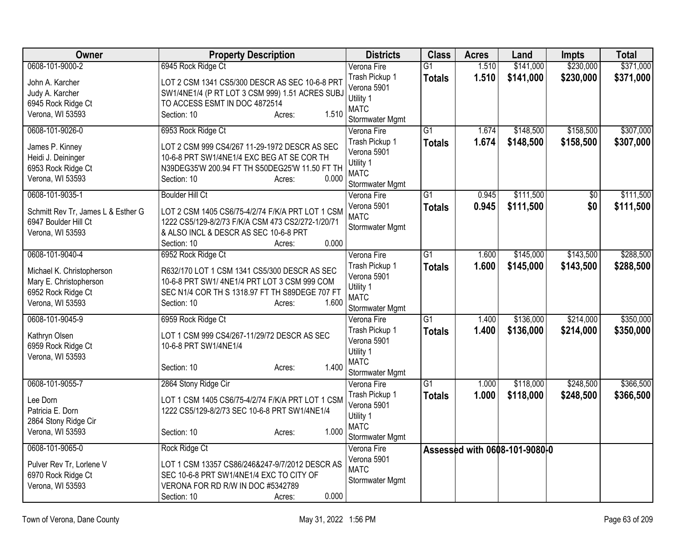| <b>Owner</b>                       | <b>Property Description</b>                       | <b>Districts</b>           | <b>Class</b>    | <b>Acres</b> | Land                          | <b>Impts</b> | <b>Total</b> |
|------------------------------------|---------------------------------------------------|----------------------------|-----------------|--------------|-------------------------------|--------------|--------------|
| 0608-101-9000-2                    | 6945 Rock Ridge Ct                                | Verona Fire                | $\overline{G1}$ | 1.510        | \$141,000                     | \$230,000    | \$371,000    |
| John A. Karcher                    | LOT 2 CSM 1341 CS5/300 DESCR AS SEC 10-6-8 PRT    | Trash Pickup 1             | <b>Totals</b>   | 1.510        | \$141,000                     | \$230,000    | \$371,000    |
| Judy A. Karcher                    | SW1/4NE1/4 (P RT LOT 3 CSM 999) 1.51 ACRES SUBJ   | Verona 5901                |                 |              |                               |              |              |
| 6945 Rock Ridge Ct                 | TO ACCESS ESMT IN DOC 4872514                     | Utility 1                  |                 |              |                               |              |              |
| Verona, WI 53593                   | 1.510<br>Section: 10<br>Acres:                    | <b>MATC</b>                |                 |              |                               |              |              |
|                                    |                                                   | Stormwater Mgmt            |                 |              |                               |              |              |
| 0608-101-9026-0                    | 6953 Rock Ridge Ct                                | Verona Fire                | $\overline{G1}$ | 1.674        | \$148,500                     | \$158,500    | \$307,000    |
| James P. Kinney                    | LOT 2 CSM 999 CS4/267 11-29-1972 DESCR AS SEC     | Trash Pickup 1             | <b>Totals</b>   | 1.674        | \$148,500                     | \$158,500    | \$307,000    |
| Heidi J. Deininger                 | 10-6-8 PRT SW1/4NE1/4 EXC BEG AT SE COR TH        | Verona 5901                |                 |              |                               |              |              |
| 6953 Rock Ridge Ct                 | N39DEG35'W 200.94 FT TH S50DEG25'W 11.50 FT TH    | Utility 1<br><b>MATC</b>   |                 |              |                               |              |              |
| Verona, WI 53593                   | 0.000<br>Section: 10<br>Acres:                    | Stormwater Mgmt            |                 |              |                               |              |              |
| 0608-101-9035-1                    | <b>Boulder Hill Ct</b>                            | Verona Fire                | $\overline{G1}$ | 0.945        | \$111,500                     | \$0          | \$111,500    |
|                                    |                                                   | Verona 5901                |                 |              |                               | \$0          |              |
| Schmitt Rev Tr, James L & Esther G | LOT 2 CSM 1405 CS6/75-4/2/74 F/K/A PRT LOT 1 CSM  | <b>MATC</b>                | <b>Totals</b>   | 0.945        | \$111,500                     |              | \$111,500    |
| 6947 Boulder Hill Ct               | 1222 CS5/129-8/2/73 F/K/A CSM 473 CS2/272-1/20/71 | Stormwater Mgmt            |                 |              |                               |              |              |
| Verona, WI 53593                   | & ALSO INCL & DESCR AS SEC 10-6-8 PRT             |                            |                 |              |                               |              |              |
|                                    | 0.000<br>Section: 10<br>Acres:                    |                            |                 |              |                               |              |              |
| 0608-101-9040-4                    | 6952 Rock Ridge Ct                                | Verona Fire                | $\overline{G1}$ | 1.600        | \$145,000                     | \$143,500    | \$288,500    |
| Michael K. Christopherson          | R632/170 LOT 1 CSM 1341 CS5/300 DESCR AS SEC      | Trash Pickup 1             | <b>Totals</b>   | 1.600        | \$145,000                     | \$143,500    | \$288,500    |
| Mary E. Christopherson             | 10-6-8 PRT SW1/4NE1/4 PRT LOT 3 CSM 999 COM       | Verona 5901                |                 |              |                               |              |              |
| 6952 Rock Ridge Ct                 | SEC N1/4 COR TH S 1318.97 FT TH S89DEGE 707 FT    | Utility 1                  |                 |              |                               |              |              |
| Verona, WI 53593                   | Section: 10<br>1.600<br>Acres:                    | <b>MATC</b>                |                 |              |                               |              |              |
|                                    |                                                   | Stormwater Mgmt            |                 |              |                               |              |              |
| 0608-101-9045-9                    | 6959 Rock Ridge Ct                                | Verona Fire                | $\overline{G1}$ | 1.400        | \$136,000                     | \$214,000    | \$350,000    |
| Kathryn Olsen                      | LOT 1 CSM 999 CS4/267-11/29/72 DESCR AS SEC       | Trash Pickup 1             | <b>Totals</b>   | 1.400        | \$136,000                     | \$214,000    | \$350,000    |
| 6959 Rock Ridge Ct                 | 10-6-8 PRT SW1/4NE1/4                             | Verona 5901                |                 |              |                               |              |              |
| Verona, WI 53593                   |                                                   | Utility 1                  |                 |              |                               |              |              |
|                                    | 1.400<br>Section: 10<br>Acres:                    | <b>MATC</b>                |                 |              |                               |              |              |
|                                    |                                                   | Stormwater Mgmt            |                 |              |                               |              |              |
| 0608-101-9055-7                    | 2864 Stony Ridge Cir                              | Verona Fire                | $\overline{G1}$ | 1.000        | \$118,000                     | \$248,500    | \$366,500    |
| Lee Dorn                           | LOT 1 CSM 1405 CS6/75-4/2/74 F/K/A PRT LOT 1 CSM  | Trash Pickup 1             | <b>Totals</b>   | 1.000        | \$118,000                     | \$248,500    | \$366,500    |
| Patricia E. Dorn                   | 1222 CS5/129-8/2/73 SEC 10-6-8 PRT SW1/4NE1/4     | Verona 5901                |                 |              |                               |              |              |
| 2864 Stony Ridge Cir               |                                                   | Utility 1                  |                 |              |                               |              |              |
| Verona, WI 53593                   | 1.000<br>Section: 10<br>Acres:                    | <b>MATC</b>                |                 |              |                               |              |              |
|                                    |                                                   | Stormwater Mgmt            |                 |              |                               |              |              |
| 0608-101-9065-0                    | Rock Ridge Ct                                     | Verona Fire                |                 |              | Assessed with 0608-101-9080-0 |              |              |
| Pulver Rev Tr, Lorlene V           | LOT 1 CSM 13357 CS86/246&247-9/7/2012 DESCR AS    | Verona 5901<br><b>MATC</b> |                 |              |                               |              |              |
| 6970 Rock Ridge Ct                 | SEC 10-6-8 PRT SW1/4NE1/4 EXC TO CITY OF          | Stormwater Mgmt            |                 |              |                               |              |              |
| Verona, WI 53593                   | VERONA FOR RD R/W IN DOC #5342789                 |                            |                 |              |                               |              |              |
|                                    | 0.000<br>Section: 10<br>Acres:                    |                            |                 |              |                               |              |              |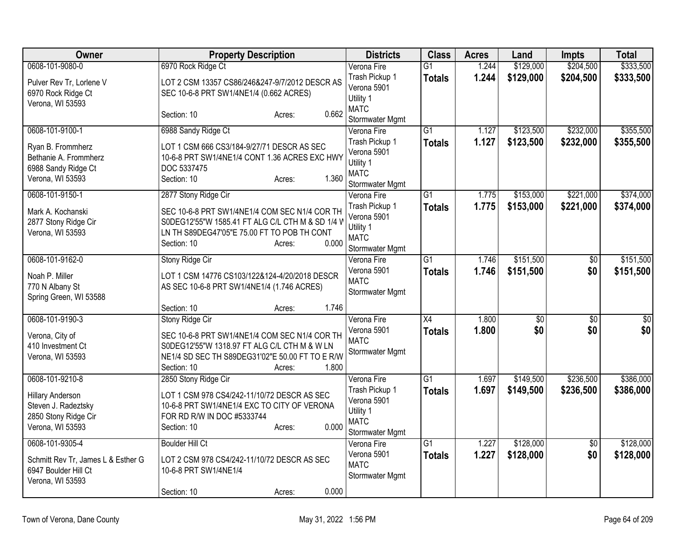| Owner                                                                                      | <b>Property Description</b>                                                                                                                                                                         |       | <b>Districts</b>                                                             | <b>Class</b>        | <b>Acres</b>   | Land                   | Impts                  | <b>Total</b>       |
|--------------------------------------------------------------------------------------------|-----------------------------------------------------------------------------------------------------------------------------------------------------------------------------------------------------|-------|------------------------------------------------------------------------------|---------------------|----------------|------------------------|------------------------|--------------------|
| 0608-101-9080-0                                                                            | 6970 Rock Ridge Ct                                                                                                                                                                                  |       | Verona Fire                                                                  | $\overline{G1}$     | 1.244          | \$129,000              | \$204,500              | \$333,500          |
| Pulver Rev Tr, Lorlene V<br>6970 Rock Ridge Ct<br>Verona, WI 53593                         | LOT 2 CSM 13357 CS86/246&247-9/7/2012 DESCR AS<br>SEC 10-6-8 PRT SW1/4NE1/4 (0.662 ACRES)                                                                                                           |       | Trash Pickup 1<br>Verona 5901<br>Utility 1<br><b>MATC</b>                    | <b>Totals</b>       | 1.244          | \$129,000              | \$204,500              | \$333,500          |
|                                                                                            | Section: 10<br>Acres:                                                                                                                                                                               | 0.662 | Stormwater Mgmt                                                              |                     |                |                        |                        |                    |
| 0608-101-9100-1                                                                            | 6988 Sandy Ridge Ct                                                                                                                                                                                 |       | Verona Fire                                                                  | $\overline{G1}$     | 1.127          | \$123,500              | \$232,000              | \$355,500          |
| Ryan B. Frommherz<br>Bethanie A. Frommherz<br>6988 Sandy Ridge Ct<br>Verona, WI 53593      | LOT 1 CSM 666 CS3/184-9/27/71 DESCR AS SEC<br>10-6-8 PRT SW1/4NE1/4 CONT 1.36 ACRES EXC HWY<br>DOC 5337475<br>Section: 10<br>Acres:                                                                 | 1.360 | Trash Pickup 1<br>Verona 5901<br>Utility 1<br><b>MATC</b><br>Stormwater Mgmt | <b>Totals</b>       | 1.127          | \$123,500              | \$232,000              | \$355,500          |
| 0608-101-9150-1                                                                            | 2877 Stony Ridge Cir                                                                                                                                                                                |       | Verona Fire                                                                  | $\overline{G1}$     | 1.775          | \$153,000              | \$221,000              | \$374,000          |
| Mark A. Kochanski<br>2877 Stony Ridge Cir<br>Verona, WI 53593                              | SEC 10-6-8 PRT SW1/4NE1/4 COM SEC N1/4 COR TH<br>S0DEG12'55"W 1585.41 FT ALG C/L CTH M & SD 1/4 V<br>LN TH S89DEG47'05"E 75.00 FT TO POB TH CONT<br>Section: 10<br>Acres:                           | 0.000 | Trash Pickup 1<br>Verona 5901<br>Utility 1<br><b>MATC</b><br>Stormwater Mgmt | <b>Totals</b>       | 1.775          | \$153,000              | \$221,000              | \$374,000          |
| 0608-101-9162-0                                                                            | Stony Ridge Cir                                                                                                                                                                                     |       | Verona Fire                                                                  | $\overline{G1}$     | 1.746          | \$151,500              | $\overline{50}$        | \$151,500          |
| Noah P. Miller<br>770 N Albany St<br>Spring Green, WI 53588                                | LOT 1 CSM 14776 CS103/122&124-4/20/2018 DESCR<br>AS SEC 10-6-8 PRT SW1/4NE1/4 (1.746 ACRES)                                                                                                         |       | Verona 5901<br><b>MATC</b><br>Stormwater Mgmt                                | <b>Totals</b>       | 1.746          | \$151,500              | \$0                    | \$151,500          |
|                                                                                            | Section: 10<br>Acres:                                                                                                                                                                               | 1.746 |                                                                              |                     |                |                        |                        |                    |
| 0608-101-9190-3<br>Verona, City of<br>410 Investment Ct<br>Verona, WI 53593                | <b>Stony Ridge Cir</b><br>SEC 10-6-8 PRT SW1/4NE1/4 COM SEC N1/4 COR TH<br>S0DEG12'55"W 1318.97 FT ALG C/L CTH M & W LN<br>NE1/4 SD SEC TH S89DEG31'02"E 50.00 FT TO E R/W<br>Section: 10<br>Acres: | 1.800 | Verona Fire<br>Verona 5901<br><b>MATC</b><br>Stormwater Mgmt                 | X4<br><b>Totals</b> | 1.800<br>1.800 | $\overline{50}$<br>\$0 | $\overline{50}$<br>\$0 | $\sqrt{50}$<br>\$0 |
| 0608-101-9210-8                                                                            | 2850 Stony Ridge Cir                                                                                                                                                                                |       | Verona Fire                                                                  | G1                  | 1.697          | \$149,500              | \$236,500              | \$386,000          |
| <b>Hillary Anderson</b><br>Steven J. Radeztsky<br>2850 Stony Ridge Cir<br>Verona, WI 53593 | LOT 1 CSM 978 CS4/242-11/10/72 DESCR AS SEC<br>10-6-8 PRT SW1/4NE1/4 EXC TO CITY OF VERONA<br>FOR RD R/W IN DOC #5333744<br>Section: 10<br>Acres:                                                   | 0.000 | Trash Pickup 1<br>Verona 5901<br>Utility 1<br><b>MATC</b><br>Stormwater Mgmt | <b>Totals</b>       | 1.697          | \$149,500              | \$236,500              | \$386,000          |
| 0608-101-9305-4                                                                            | <b>Boulder Hill Ct</b>                                                                                                                                                                              |       | Verona Fire                                                                  | $\overline{G1}$     | 1.227          | \$128,000              | $\overline{50}$        | \$128,000          |
| Schmitt Rev Tr, James L & Esther G<br>6947 Boulder Hill Ct<br>Verona, WI 53593             | LOT 2 CSM 978 CS4/242-11/10/72 DESCR AS SEC<br>10-6-8 PRT SW1/4NE1/4                                                                                                                                |       | Verona 5901<br><b>MATC</b><br>Stormwater Mgmt                                | Totals              | 1.227          | \$128,000              | \$0                    | \$128,000          |
|                                                                                            | Section: 10<br>Acres:                                                                                                                                                                               | 0.000 |                                                                              |                     |                |                        |                        |                    |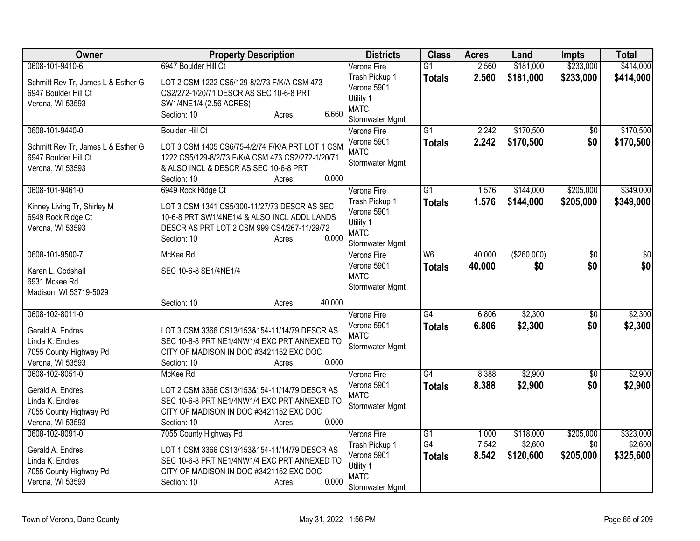| Owner                                                                                                | <b>Property Description</b>                                                                                                                                                   | <b>Districts</b>                                                             | <b>Class</b>                     | <b>Acres</b>   | Land                   | <b>Impts</b>           | <b>Total</b>           |
|------------------------------------------------------------------------------------------------------|-------------------------------------------------------------------------------------------------------------------------------------------------------------------------------|------------------------------------------------------------------------------|----------------------------------|----------------|------------------------|------------------------|------------------------|
| 0608-101-9410-6<br>Schmitt Rev Tr, James L & Esther G<br>6947 Boulder Hill Ct                        | 6947 Boulder Hill Ct<br>LOT 2 CSM 1222 CS5/129-8/2/73 F/K/A CSM 473<br>CS2/272-1/20/71 DESCR AS SEC 10-6-8 PRT                                                                | Verona Fire<br>Trash Pickup 1<br>Verona 5901                                 | $\overline{G1}$<br><b>Totals</b> | 2.560<br>2.560 | \$181,000<br>\$181,000 | \$233,000<br>\$233,000 | \$414,000<br>\$414,000 |
| Verona, WI 53593                                                                                     | SW1/4NE1/4 (2.56 ACRES)<br>6.660<br>Section: 10<br>Acres:                                                                                                                     | Utility 1<br><b>MATC</b><br>Stormwater Mgmt                                  |                                  |                |                        |                        |                        |
| 0608-101-9440-0                                                                                      | <b>Boulder Hill Ct</b>                                                                                                                                                        | Verona Fire                                                                  | $\overline{G1}$                  | 2.242          | \$170,500              | $\sqrt{6}$             | \$170,500              |
| Schmitt Rev Tr, James L & Esther G<br>6947 Boulder Hill Ct<br>Verona, WI 53593                       | LOT 3 CSM 1405 CS6/75-4/2/74 F/K/A PRT LOT 1 CSM<br>1222 CS5/129-8/2/73 F/K/A CSM 473 CS2/272-1/20/71<br>& ALSO INCL & DESCR AS SEC 10-6-8 PRT                                | Verona 5901<br><b>MATC</b><br>Stormwater Mgmt                                | <b>Totals</b>                    | 2.242          | \$170,500              | \$0                    | \$170,500              |
| 0608-101-9461-0                                                                                      | 0.000<br>Section: 10<br>Acres:<br>6949 Rock Ridge Ct                                                                                                                          | Verona Fire                                                                  | $\overline{G1}$                  | 1.576          | \$144,000              | \$205,000              | \$349,000              |
| Kinney Living Tr, Shirley M<br>6949 Rock Ridge Ct<br>Verona, WI 53593                                | LOT 3 CSM 1341 CS5/300-11/27/73 DESCR AS SEC<br>10-6-8 PRT SW1/4NE1/4 & ALSO INCL ADDL LANDS<br>DESCR AS PRT LOT 2 CSM 999 CS4/267-11/29/72<br>Section: 10<br>0.000<br>Acres: | Trash Pickup 1<br>Verona 5901<br>Utility 1<br><b>MATC</b><br>Stormwater Mgmt | <b>Totals</b>                    | 1.576          | \$144,000              | \$205,000              | \$349,000              |
| 0608-101-9500-7                                                                                      | McKee Rd                                                                                                                                                                      | Verona Fire                                                                  | W <sub>6</sub>                   | 40.000         | (\$260,000)            | \$0                    | $\overline{30}$        |
| Karen L. Godshall<br>6931 Mckee Rd<br>Madison, WI 53719-5029                                         | SEC 10-6-8 SE1/4NE1/4                                                                                                                                                         | Verona 5901<br><b>MATC</b><br>Stormwater Mgmt                                | <b>Totals</b>                    | 40.000         | \$0                    | \$0                    | \$0                    |
|                                                                                                      | 40.000<br>Section: 10<br>Acres:                                                                                                                                               |                                                                              |                                  |                |                        |                        |                        |
| 0608-102-8011-0<br>Gerald A. Endres<br>Linda K. Endres<br>7055 County Highway Pd<br>Verona, WI 53593 | LOT 3 CSM 3366 CS13/153&154-11/14/79 DESCR AS<br>SEC 10-6-8 PRT NE1/4NW1/4 EXC PRT ANNEXED TO<br>CITY OF MADISON IN DOC #3421152 EXC DOC<br>0.000<br>Section: 10<br>Acres:    | Verona Fire<br>Verona 5901<br><b>MATC</b><br>Stormwater Mgmt                 | $\overline{G4}$<br><b>Totals</b> | 6.806<br>6.806 | \$2,300<br>\$2,300     | $\sqrt{6}$<br>\$0      | \$2,300<br>\$2,300     |
| 0608-102-8051-0                                                                                      | McKee Rd                                                                                                                                                                      | Verona Fire                                                                  | $\overline{G4}$                  | 8.388          | \$2,900                | $\overline{50}$        | \$2,900                |
| Gerald A. Endres<br>Linda K. Endres<br>7055 County Highway Pd<br>Verona, WI 53593                    | LOT 2 CSM 3366 CS13/153&154-11/14/79 DESCR AS<br>SEC 10-6-8 PRT NE1/4NW1/4 EXC PRT ANNEXED TO<br>CITY OF MADISON IN DOC #3421152 EXC DOC<br>0.000<br>Section: 10<br>Acres:    | Verona 5901<br><b>MATC</b><br>Stormwater Mgmt                                | <b>Totals</b>                    | 8.388          | \$2,900                | \$0                    | \$2,900                |
| 0608-102-8091-0                                                                                      | 7055 County Highway Pd                                                                                                                                                        | Verona Fire                                                                  | $\overline{G1}$                  | 1.000          | \$118,000              | \$205,000              | \$323,000              |
| Gerald A. Endres<br>Linda K. Endres<br>7055 County Highway Pd<br>Verona, WI 53593                    | LOT 1 CSM 3366 CS13/153&154-11/14/79 DESCR AS<br>SEC 10-6-8 PRT NE1/4NW1/4 EXC PRT ANNEXED TO<br>CITY OF MADISON IN DOC #3421152 EXC DOC<br>0.000<br>Section: 10<br>Acres:    | Trash Pickup 1<br>Verona 5901<br>Utility 1<br><b>MATC</b><br>Stormwater Mgmt | G4<br><b>Totals</b>              | 7.542<br>8.542 | \$2,600<br>\$120,600   | \$0<br>\$205,000       | \$2,600<br>\$325,600   |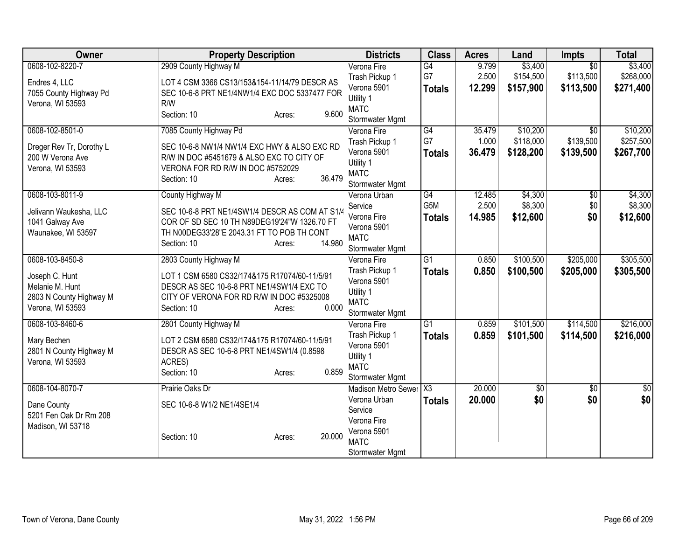| Owner                                                                                               | <b>Property Description</b>                                                                                                                                                                         | <b>Districts</b>                                                                                                    | <b>Class</b>                            | <b>Acres</b>              | Land                               | <b>Impts</b>                              | <b>Total</b>                       |
|-----------------------------------------------------------------------------------------------------|-----------------------------------------------------------------------------------------------------------------------------------------------------------------------------------------------------|---------------------------------------------------------------------------------------------------------------------|-----------------------------------------|---------------------------|------------------------------------|-------------------------------------------|------------------------------------|
| 0608-102-8220-7<br>Endres 4, LLC<br>7055 County Highway Pd<br>Verona, WI 53593                      | 2909 County Highway M<br>LOT 4 CSM 3366 CS13/153&154-11/14/79 DESCR AS<br>SEC 10-6-8 PRT NE1/4NW1/4 EXC DOC 5337477 FOR<br>R/W<br>9.600<br>Section: 10<br>Acres:                                    | Verona Fire<br>Trash Pickup 1<br>Verona 5901<br>Utility 1<br><b>MATC</b><br>Stormwater Mgmt                         | G4<br>G7<br><b>Totals</b>               | 9.799<br>2.500<br>12.299  | \$3,400<br>\$154,500<br>\$157,900  | $\overline{30}$<br>\$113,500<br>\$113,500 | \$3,400<br>\$268,000<br>\$271,400  |
| 0608-102-8501-0<br>Dreger Rev Tr, Dorothy L<br>200 W Verona Ave<br>Verona, WI 53593                 | 7085 County Highway Pd<br>SEC 10-6-8 NW1/4 NW1/4 EXC HWY & ALSO EXC RD<br>R/W IN DOC #5451679 & ALSO EXC TO CITY OF<br>VERONA FOR RD R/W IN DOC #5752029<br>36.479<br>Section: 10<br>Acres:         | Verona Fire<br>Trash Pickup 1<br>Verona 5901<br>Utility 1<br><b>MATC</b><br>Stormwater Mgmt                         | G4<br>G7<br><b>Totals</b>               | 35.479<br>1.000<br>36.479 | \$10,200<br>\$118,000<br>\$128,200 | $\overline{30}$<br>\$139,500<br>\$139,500 | \$10,200<br>\$257,500<br>\$267,700 |
| 0608-103-8011-9<br>Jelivann Waukesha, LLC<br>1041 Galway Ave<br>Waunakee, WI 53597                  | County Highway M<br>SEC 10-6-8 PRT NE1/4SW1/4 DESCR AS COM AT S1/4<br>COR OF SD SEC 10 TH N89DEG19'24"W 1326.70 FT<br>TH N00DEG33'28"E 2043.31 FT TO POB TH CONT<br>14.980<br>Section: 10<br>Acres: | Verona Urban<br>Service<br>Verona Fire<br>Verona 5901<br><b>MATC</b><br>Stormwater Mgmt                             | G4<br>G <sub>5</sub> M<br><b>Totals</b> | 12.485<br>2.500<br>14.985 | \$4,300<br>\$8,300<br>\$12,600     | \$0<br>\$0<br>\$0                         | \$4,300<br>\$8,300<br>\$12,600     |
| 0608-103-8450-8<br>Joseph C. Hunt<br>Melanie M. Hunt<br>2803 N County Highway M<br>Verona, WI 53593 | 2803 County Highway M<br>LOT 1 CSM 6580 CS32/174&175 R17074/60-11/5/91<br>DESCR AS SEC 10-6-8 PRT NE1/4SW1/4 EXC TO<br>CITY OF VERONA FOR RD R/W IN DOC #5325008<br>0.000<br>Section: 10<br>Acres:  | Verona Fire<br>Trash Pickup 1<br>Verona 5901<br>Utility 1<br><b>MATC</b><br>Stormwater Mgmt                         | $\overline{G1}$<br><b>Totals</b>        | 0.850<br>0.850            | \$100,500<br>\$100,500             | \$205,000<br>\$205,000                    | \$305,500<br>\$305,500             |
| 0608-103-8460-6<br>Mary Bechen<br>2801 N County Highway M<br>Verona, WI 53593                       | 2801 County Highway M<br>LOT 2 CSM 6580 CS32/174&175 R17074/60-11/5/91<br>DESCR AS SEC 10-6-8 PRT NE1/4SW1/4 (0.8598<br>ACRES)<br>0.859<br>Section: 10<br>Acres:                                    | Verona Fire<br>Trash Pickup 1<br>Verona 5901<br>Utility 1<br><b>MATC</b><br>Stormwater Mgmt                         | G1<br><b>Totals</b>                     | 0.859<br>0.859            | \$101,500<br>\$101,500             | \$114,500<br>\$114,500                    | \$216,000<br>\$216,000             |
| 0608-104-8070-7<br>Dane County<br>5201 Fen Oak Dr Rm 208<br>Madison, WI 53718                       | Prairie Oaks Dr<br>SEC 10-6-8 W1/2 NE1/4SE1/4<br>20.000<br>Section: 10<br>Acres:                                                                                                                    | Madison Metro Sewer   X3<br>Verona Urban<br>Service<br>Verona Fire<br>Verona 5901<br><b>MATC</b><br>Stormwater Mgmt | <b>Totals</b>                           | 20.000<br>20.000          | \$0<br>\$0                         | $\sqrt{$0}$<br>\$0                        | $\sqrt{50}$<br>\$0                 |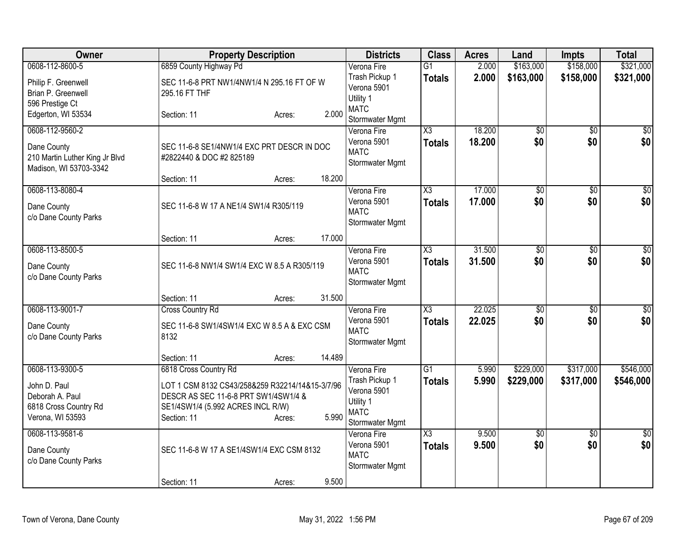| Owner                                                                        |                                                                                                                                             | <b>Property Description</b> |        | <b>Districts</b>                                                             | <b>Class</b>                     | <b>Acres</b>     | Land                   | <b>Impts</b>           | <b>Total</b>           |
|------------------------------------------------------------------------------|---------------------------------------------------------------------------------------------------------------------------------------------|-----------------------------|--------|------------------------------------------------------------------------------|----------------------------------|------------------|------------------------|------------------------|------------------------|
| 0608-112-8600-5                                                              | 6859 County Highway Pd                                                                                                                      |                             |        | Verona Fire                                                                  | $\overline{G1}$                  | 2.000            | \$163,000              | \$158,000              | \$321,000              |
| Philip F. Greenwell<br>Brian P. Greenwell<br>596 Prestige Ct                 | SEC 11-6-8 PRT NW1/4NW1/4 N 295.16 FT OF W<br>295.16 FT THF                                                                                 |                             |        | Trash Pickup 1<br>Verona 5901<br>Utility 1                                   | <b>Totals</b>                    | 2.000            | \$163,000              | \$158,000              | \$321,000              |
| Edgerton, WI 53534                                                           | Section: 11                                                                                                                                 | Acres:                      | 2.000  | <b>MATC</b><br>Stormwater Mgmt                                               |                                  |                  |                        |                        |                        |
| 0608-112-9560-2                                                              |                                                                                                                                             |                             |        | Verona Fire                                                                  | X3                               | 18.200           | $\overline{50}$        | $\overline{50}$        | $\sqrt{30}$            |
| Dane County<br>210 Martin Luther King Jr Blvd<br>Madison, WI 53703-3342      | SEC 11-6-8 SE1/4NW1/4 EXC PRT DESCR IN DOC<br>#2822440 & DOC #2 825189                                                                      |                             |        | Verona 5901<br><b>MATC</b><br>Stormwater Mgmt                                | <b>Totals</b>                    | 18.200           | \$0                    | \$0                    | \$0                    |
|                                                                              | Section: 11                                                                                                                                 | Acres:                      | 18.200 |                                                                              |                                  |                  |                        |                        |                        |
| 0608-113-8080-4<br>Dane County<br>c/o Dane County Parks                      | SEC 11-6-8 W 17 A NE1/4 SW1/4 R305/119                                                                                                      |                             |        | Verona Fire<br>Verona 5901<br><b>MATC</b><br>Stormwater Mgmt                 | X3<br>Totals                     | 17.000<br>17.000 | $\overline{50}$<br>\$0 | $\overline{60}$<br>\$0 | $\sqrt{50}$<br>\$0     |
|                                                                              | Section: 11                                                                                                                                 | Acres:                      | 17.000 |                                                                              |                                  |                  |                        |                        |                        |
| 0608-113-8500-5<br>Dane County<br>c/o Dane County Parks                      | SEC 11-6-8 NW1/4 SW1/4 EXC W 8.5 A R305/119                                                                                                 |                             |        | Verona Fire<br>Verona 5901<br><b>MATC</b><br>Stormwater Mgmt                 | X3<br><b>Totals</b>              | 31.500<br>31.500 | $\overline{50}$<br>\$0 | $\overline{50}$<br>\$0 | \$0<br>\$0             |
|                                                                              | Section: 11                                                                                                                                 | Acres:                      | 31.500 |                                                                              |                                  |                  |                        |                        |                        |
| 0608-113-9001-7                                                              | <b>Cross Country Rd</b>                                                                                                                     |                             |        | Verona Fire                                                                  | X3                               | 22.025           | $\overline{50}$        | $\overline{50}$        | \$0                    |
| Dane County<br>c/o Dane County Parks                                         | SEC 11-6-8 SW1/4SW1/4 EXC W 8.5 A & EXC CSM<br>8132                                                                                         |                             |        | Verona 5901<br><b>MATC</b><br>Stormwater Mgmt                                | <b>Totals</b>                    | 22.025           | \$0                    | \$0                    | \$0                    |
|                                                                              | Section: 11                                                                                                                                 | Acres:                      | 14.489 |                                                                              |                                  |                  |                        |                        |                        |
| 0608-113-9300-5                                                              | 6818 Cross Country Rd                                                                                                                       |                             |        | Verona Fire                                                                  | $\overline{G1}$                  | 5.990            | \$229,000              | \$317,000              | \$546,000              |
| John D. Paul<br>Deborah A. Paul<br>6818 Cross Country Rd<br>Verona, WI 53593 | LOT 1 CSM 8132 CS43/258&259 R32214/14&15-3/7/96<br>DESCR AS SEC 11-6-8 PRT SW1/4SW1/4 &<br>SE1/4SW1/4 (5.992 ACRES INCL R/W)<br>Section: 11 | Acres:                      | 5.990  | Trash Pickup 1<br>Verona 5901<br>Utility 1<br><b>MATC</b><br>Stormwater Mgmt | <b>Totals</b>                    | 5.990            | \$229,000              | \$317,000              | \$546,000              |
| 0608-113-9581-6<br>Dane County<br>c/o Dane County Parks                      | SEC 11-6-8 W 17 A SE1/4SW1/4 EXC CSM 8132                                                                                                   |                             |        | Verona Fire<br>Verona 5901<br><b>MATC</b><br>Stormwater Mgmt                 | $\overline{\text{X3}}$<br>Totals | 9.500<br>9.500   | $\overline{50}$<br>\$0 | $\overline{50}$<br>\$0 | $\overline{30}$<br>\$0 |
|                                                                              | Section: 11                                                                                                                                 | Acres:                      | 9.500  |                                                                              |                                  |                  |                        |                        |                        |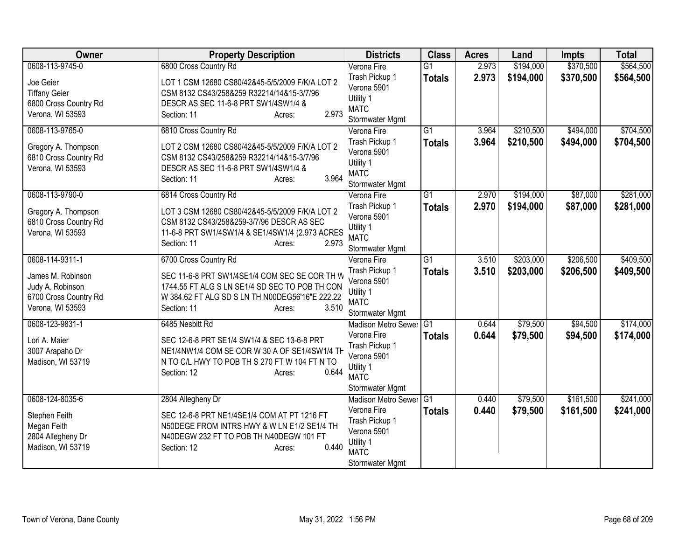| Owner                        | <b>Property Description</b>                     | <b>Districts</b>              | <b>Class</b>    | <b>Acres</b> | Land      | <b>Impts</b> | <b>Total</b> |
|------------------------------|-------------------------------------------------|-------------------------------|-----------------|--------------|-----------|--------------|--------------|
| 0608-113-9745-0              | 6800 Cross Country Rd                           | Verona Fire                   | $\overline{G1}$ | 2.973        | \$194,000 | \$370,500    | \$564,500    |
| Joe Geier                    | LOT 1 CSM 12680 CS80/42&45-5/5/2009 F/K/A LOT 2 | Trash Pickup 1                | <b>Totals</b>   | 2.973        | \$194,000 | \$370,500    | \$564,500    |
| <b>Tiffany Geier</b>         | CSM 8132 CS43/258&259 R32214/14&15-3/7/96       | Verona 5901                   |                 |              |           |              |              |
| 6800 Cross Country Rd        | DESCR AS SEC 11-6-8 PRT SW1/4SW1/4 &            | Utility 1                     |                 |              |           |              |              |
| Verona, WI 53593             | 2.973<br>Section: 11<br>Acres:                  | <b>MATC</b>                   |                 |              |           |              |              |
|                              |                                                 | Stormwater Mgmt               |                 |              |           |              |              |
| 0608-113-9765-0              | 6810 Cross Country Rd                           | Verona Fire                   | $\overline{G1}$ | 3.964        | \$210,500 | \$494,000    | \$704,500    |
| Gregory A. Thompson          | LOT 2 CSM 12680 CS80/42&45-5/5/2009 F/K/A LOT 2 | Trash Pickup 1<br>Verona 5901 | <b>Totals</b>   | 3.964        | \$210,500 | \$494,000    | \$704,500    |
| 6810 Cross Country Rd        | CSM 8132 CS43/258&259 R32214/14&15-3/7/96       | Utility 1                     |                 |              |           |              |              |
| Verona, WI 53593             | DESCR AS SEC 11-6-8 PRT SW1/4SW1/4 &            | <b>MATC</b>                   |                 |              |           |              |              |
|                              | 3.964<br>Section: 11<br>Acres:                  | Stormwater Mgmt               |                 |              |           |              |              |
| 0608-113-9790-0              | 6814 Cross Country Rd                           | Verona Fire                   | $\overline{G1}$ | 2.970        | \$194,000 | \$87,000     | \$281,000    |
|                              |                                                 | Trash Pickup 1                | <b>Totals</b>   | 2.970        | \$194,000 | \$87,000     | \$281,000    |
| Gregory A. Thompson          | LOT 3 CSM 12680 CS80/42&45-5/5/2009 F/K/A LOT 2 | Verona 5901                   |                 |              |           |              |              |
| 6810 Cross Country Rd        | CSM 8132 CS43/258&259-3/7/96 DESCR AS SEC       | Utility 1                     |                 |              |           |              |              |
| Verona, WI 53593             | 11-6-8 PRT SW1/4SW1/4 & SE1/4SW1/4 (2.973 ACRES | <b>MATC</b>                   |                 |              |           |              |              |
|                              | 2.973<br>Section: 11<br>Acres:                  | Stormwater Mgmt               |                 |              |           |              |              |
| 0608-114-9311-1              | 6700 Cross Country Rd                           | Verona Fire                   | $\overline{G1}$ | 3.510        | \$203,000 | \$206,500    | \$409,500    |
| James M. Robinson            | SEC 11-6-8 PRT SW1/4SE1/4 COM SEC SE COR TH W   | Trash Pickup 1                | <b>Totals</b>   | 3.510        | \$203,000 | \$206,500    | \$409,500    |
| Judy A. Robinson             | 1744.55 FT ALG S LN SE1/4 SD SEC TO POB TH CON  | Verona 5901                   |                 |              |           |              |              |
| 6700 Cross Country Rd        | W 384.62 FT ALG SD S LN TH N00DEG56'16"E 222.22 | Utility 1                     |                 |              |           |              |              |
| Verona, WI 53593             | Section: 11<br>3.510<br>Acres:                  | <b>MATC</b>                   |                 |              |           |              |              |
|                              |                                                 | Stormwater Mgmt               |                 |              |           |              |              |
| 0608-123-9831-1              | 6485 Nesbitt Rd                                 | <b>Madison Metro Sewer</b>    | G1              | 0.644        | \$79,500  | \$94,500     | \$174,000    |
| Lori A. Maier                | SEC 12-6-8 PRT SE1/4 SW1/4 & SEC 13-6-8 PRT     | Verona Fire                   | <b>Totals</b>   | 0.644        | \$79,500  | \$94,500     | \$174,000    |
| 3007 Arapaho Dr              | NE1/4NW1/4 COM SE COR W 30 A OF SE1/4SW1/4 TH   | Trash Pickup 1<br>Verona 5901 |                 |              |           |              |              |
| Madison, WI 53719            | N TO C/L HWY TO POB TH S 270 FT W 104 FT N TO   | Utility 1                     |                 |              |           |              |              |
|                              | 0.644<br>Section: 12<br>Acres:                  | <b>MATC</b>                   |                 |              |           |              |              |
|                              |                                                 | Stormwater Mgmt               |                 |              |           |              |              |
| 0608-124-8035-6              | 2804 Allegheny Dr                               | Madison Metro Sewer           | $\overline{G1}$ | 0.440        | \$79,500  | \$161,500    | \$241,000    |
|                              | SEC 12-6-8 PRT NE1/4SE1/4 COM AT PT 1216 FT     | Verona Fire                   | <b>Totals</b>   | 0.440        | \$79,500  | \$161,500    | \$241,000    |
| Stephen Feith<br>Megan Feith | N50DEGE FROM INTRS HWY & W LN E1/2 SE1/4 TH     | Trash Pickup 1                |                 |              |           |              |              |
| 2804 Allegheny Dr            | N40DEGW 232 FT TO POB TH N40DEGW 101 FT         | Verona 5901                   |                 |              |           |              |              |
| Madison, WI 53719            | 0.440<br>Section: 12<br>Acres:                  | Utility 1                     |                 |              |           |              |              |
|                              |                                                 | <b>MATC</b>                   |                 |              |           |              |              |
|                              |                                                 | Stormwater Mgmt               |                 |              |           |              |              |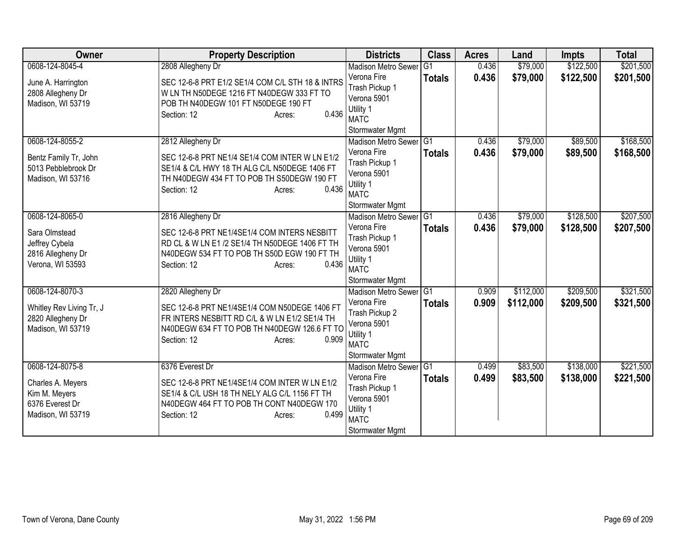| Owner                    | <b>Property Description</b>                      | <b>Districts</b>                          | <b>Class</b>    | <b>Acres</b> | Land      | <b>Impts</b> | <b>Total</b> |
|--------------------------|--------------------------------------------------|-------------------------------------------|-----------------|--------------|-----------|--------------|--------------|
| 0608-124-8045-4          | 2808 Allegheny Dr                                | <b>Madison Metro Sewer</b>                | $\overline{G1}$ | 0.436        | \$79,000  | \$122,500    | \$201,500    |
| June A. Harrington       | SEC 12-6-8 PRT E1/2 SE1/4 COM C/L STH 18 & INTRS | Verona Fire                               | <b>Totals</b>   | 0.436        | \$79,000  | \$122,500    | \$201,500    |
| 2808 Allegheny Dr        | W LN TH N50DEGE 1216 FT N40DEGW 333 FT TO        | Trash Pickup 1                            |                 |              |           |              |              |
| Madison, WI 53719        | POB TH N40DEGW 101 FT N50DEGE 190 FT             | Verona 5901                               |                 |              |           |              |              |
|                          | 0.436<br>Section: 12<br>Acres:                   | Utility 1                                 |                 |              |           |              |              |
|                          |                                                  | <b>MATC</b>                               |                 |              |           |              |              |
| 0608-124-8055-2          | 2812 Allegheny Dr                                | Stormwater Mgmt<br>Madison Metro Sewer G1 |                 | 0.436        | \$79,000  | \$89,500     | \$168,500    |
|                          |                                                  | Verona Fire                               |                 | 0.436        | \$79,000  | \$89,500     | \$168,500    |
| Bentz Family Tr, John    | SEC 12-6-8 PRT NE1/4 SE1/4 COM INTER W LN E1/2   | Trash Pickup 1                            | <b>Totals</b>   |              |           |              |              |
| 5013 Pebblebrook Dr      | SE1/4 & C/L HWY 18 TH ALG C/L N50DEGE 1406 FT    | Verona 5901                               |                 |              |           |              |              |
| Madison, WI 53716        | TH N40DEGW 434 FT TO POB TH S50DEGW 190 FT       | Utility 1                                 |                 |              |           |              |              |
|                          | 0.436<br>Section: 12<br>Acres:                   | <b>MATC</b>                               |                 |              |           |              |              |
|                          |                                                  | Stormwater Mgmt                           |                 |              |           |              |              |
| 0608-124-8065-0          | 2816 Allegheny Dr                                | <b>Madison Metro Sewer</b>                | $\overline{G1}$ | 0.436        | \$79,000  | \$128,500    | \$207,500    |
| Sara Olmstead            | SEC 12-6-8 PRT NE1/4SE1/4 COM INTERS NESBITT     | Verona Fire                               | <b>Totals</b>   | 0.436        | \$79,000  | \$128,500    | \$207,500    |
| Jeffrey Cybela           | RD CL & W LN E1 /2 SE1/4 TH N50DEGE 1406 FT TH   | Trash Pickup 1                            |                 |              |           |              |              |
| 2816 Allegheny Dr        | N40DEGW 534 FT TO POB TH S50D EGW 190 FT TH      | Verona 5901                               |                 |              |           |              |              |
| Verona, WI 53593         | 0.436<br>Section: 12<br>Acres:                   | Utility 1                                 |                 |              |           |              |              |
|                          |                                                  | <b>MATC</b>                               |                 |              |           |              |              |
|                          |                                                  | Stormwater Mgmt                           |                 |              |           |              |              |
| 0608-124-8070-3          | 2820 Allegheny Dr                                | Madison Metro Sewer G1<br>Verona Fire     |                 | 0.909        | \$112,000 | \$209,500    | \$321,500    |
| Whitley Rev Living Tr, J | SEC 12-6-8 PRT NE1/4SE1/4 COM N50DEGE 1406 FT    | Trash Pickup 2                            | <b>Totals</b>   | 0.909        | \$112,000 | \$209,500    | \$321,500    |
| 2820 Allegheny Dr        | FR INTERS NESBITT RD C/L & W LN E1/2 SE1/4 TH    | Verona 5901                               |                 |              |           |              |              |
| Madison, WI 53719        | N40DEGW 634 FT TO POB TH N40DEGW 126.6 FT TO     | Utility 1                                 |                 |              |           |              |              |
|                          | 0.909<br>Section: 12<br>Acres:                   | <b>MATC</b>                               |                 |              |           |              |              |
|                          |                                                  | Stormwater Mgmt                           |                 |              |           |              |              |
| 0608-124-8075-8          | 6376 Everest Dr                                  | <b>Madison Metro Sewer</b>                | IG1             | 0.499        | \$83,500  | \$138,000    | \$221,500    |
| Charles A. Meyers        | SEC 12-6-8 PRT NE1/4SE1/4 COM INTER W LN E1/2    | Verona Fire                               | <b>Totals</b>   | 0.499        | \$83,500  | \$138,000    | \$221,500    |
| Kim M. Meyers            | SE1/4 & C/L USH 18 TH NELY ALG C/L 1156 FT TH    | Trash Pickup 1                            |                 |              |           |              |              |
| 6376 Everest Dr          | N40DEGW 464 FT TO POB TH CONT N40DEGW 170        | Verona 5901                               |                 |              |           |              |              |
| Madison, WI 53719        | 0.499<br>Section: 12<br>Acres:                   | Utility 1                                 |                 |              |           |              |              |
|                          |                                                  | <b>MATC</b>                               |                 |              |           |              |              |
|                          |                                                  | Stormwater Mgmt                           |                 |              |           |              |              |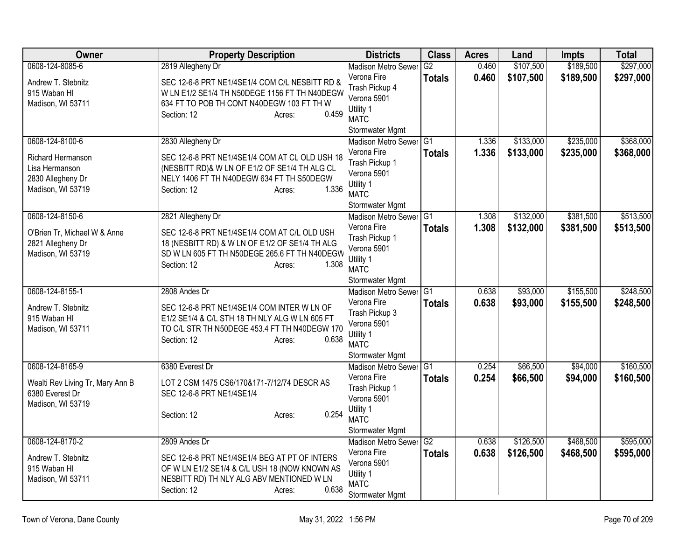| Owner                                                                         | <b>Property Description</b>                                                                                                                                                                       | <b>Districts</b>                                                                                                          | <b>Class</b>                     | <b>Acres</b>   | Land                 | <b>Impts</b>           | <b>Total</b>           |
|-------------------------------------------------------------------------------|---------------------------------------------------------------------------------------------------------------------------------------------------------------------------------------------------|---------------------------------------------------------------------------------------------------------------------------|----------------------------------|----------------|----------------------|------------------------|------------------------|
| 0608-124-8085-6                                                               | 2819 Allegheny Dr                                                                                                                                                                                 | <b>Madison Metro Sewer</b>                                                                                                | G2                               | 0.460          | \$107,500            | \$189,500              | \$297,000              |
| Andrew T. Stebnitz<br>915 Waban HI<br>Madison, WI 53711                       | SEC 12-6-8 PRT NE1/4SE1/4 COM C/L NESBITT RD &<br>W LN E1/2 SE1/4 TH N50DEGE 1156 FT TH N40DEGW<br>634 FT TO POB TH CONT N40DEGW 103 FT TH W<br>0.459<br>Section: 12<br>Acres:                    | Verona Fire<br>Trash Pickup 4<br>Verona 5901<br>Utility 1<br><b>MATC</b><br>Stormwater Mgmt                               | <b>Totals</b>                    | 0.460          | \$107,500            | \$189,500              | \$297,000              |
| 0608-124-8100-6                                                               | 2830 Allegheny Dr                                                                                                                                                                                 | <b>Madison Metro Sewer</b>                                                                                                | G <sub>1</sub>                   | 1.336          | \$133,000            | \$235,000              | \$368,000              |
| Richard Hermanson<br>Lisa Hermanson<br>2830 Allegheny Dr<br>Madison, WI 53719 | SEC 12-6-8 PRT NE1/4SE1/4 COM AT CL OLD USH 18<br>(NESBITT RD)& W LN OF E1/2 OF SE1/4 TH ALG CL<br>NELY 1406 FT TH N40DEGW 634 FT TH S50DEGW<br>1.336<br>Section: 12<br>Acres:                    | Verona Fire<br>Trash Pickup 1<br>Verona 5901<br>Utility 1<br><b>MATC</b><br>Stormwater Mgmt                               | <b>Totals</b>                    | 1.336          | \$133,000            | \$235,000              | \$368,000              |
| 0608-124-8150-6                                                               | 2821 Allegheny Dr                                                                                                                                                                                 | Madison Metro Sewer G1                                                                                                    |                                  | 1.308          | \$132,000            | \$381,500              | \$513,500              |
| O'Brien Tr, Michael W & Anne<br>2821 Allegheny Dr<br>Madison, WI 53719        | SEC 12-6-8 PRT NE1/4SE1/4 COM AT C/L OLD USH<br>18 (NESBITT RD) & W LN OF E1/2 OF SE1/4 TH ALG<br>SD W LN 605 FT TH N50DEGE 265.6 FT TH N40DEGW<br>1.308<br>Section: 12<br>Acres:                 | Verona Fire<br>Trash Pickup 1<br>Verona 5901<br>Utility 1<br><b>MATC</b>                                                  | <b>Totals</b>                    | 1.308          | \$132,000            | \$381,500              | \$513,500              |
|                                                                               |                                                                                                                                                                                                   | Stormwater Mgmt                                                                                                           |                                  |                |                      |                        |                        |
| 0608-124-8155-1<br>Andrew T. Stebnitz<br>915 Waban HI<br>Madison, WI 53711    | 2808 Andes Dr<br>SEC 12-6-8 PRT NE1/4SE1/4 COM INTER W LN OF<br>E1/2 SE1/4 & C/L STH 18 TH NLY ALG W LN 605 FT<br>TO C/L STR TH N50DEGE 453.4 FT TH N40DEGW 170<br>0.638<br>Section: 12<br>Acres: | <b>Madison Metro Sewer</b><br>Verona Fire<br>Trash Pickup 3<br>Verona 5901<br>Utility 1<br><b>MATC</b><br>Stormwater Mgmt | $\overline{G1}$<br><b>Totals</b> | 0.638<br>0.638 | \$93,000<br>\$93,000 | \$155,500<br>\$155,500 | \$248,500<br>\$248,500 |
| 0608-124-8165-9                                                               | 6380 Everest Dr                                                                                                                                                                                   | <b>Madison Metro Sewer</b>                                                                                                | G <sub>1</sub>                   | 0.254          | \$66,500             | \$94,000               | \$160,500              |
| Wealti Rev Living Tr, Mary Ann B<br>6380 Everest Dr<br>Madison, WI 53719      | LOT 2 CSM 1475 CS6/170&171-7/12/74 DESCR AS<br>SEC 12-6-8 PRT NE1/4SE1/4<br>0.254<br>Section: 12<br>Acres:                                                                                        | Verona Fire<br>Trash Pickup 1<br>Verona 5901<br>Utility 1<br><b>MATC</b><br>Stormwater Mgmt                               | <b>Totals</b>                    | 0.254          | \$66,500             | \$94,000               | \$160,500              |
| 0608-124-8170-2                                                               | 2809 Andes Dr                                                                                                                                                                                     | Madison Metro Sewer <sup>G2</sup>                                                                                         |                                  | 0.638          | \$126,500            | \$468,500              | \$595,000              |
| Andrew T. Stebnitz<br>915 Waban HI<br>Madison, WI 53711                       | SEC 12-6-8 PRT NE1/4SE1/4 BEG AT PT OF INTERS<br>OF W LN E1/2 SE1/4 & C/L USH 18 (NOW KNOWN AS<br>NESBITT RD) TH NLY ALG ABV MENTIONED W LN<br>0.638<br>Section: 12<br>Acres:                     | Verona Fire<br>Verona 5901<br>Utility 1<br><b>MATC</b><br>Stormwater Mgmt                                                 | <b>Totals</b>                    | 0.638          | \$126,500            | \$468,500              | \$595,000              |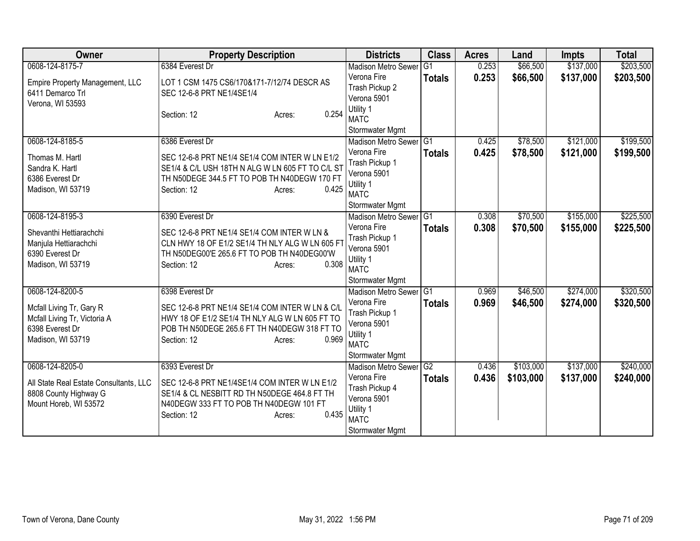| Owner                                                           | <b>Property Description</b>                      | <b>Districts</b>                      | <b>Class</b>    | <b>Acres</b> | Land      | <b>Impts</b> | <b>Total</b> |
|-----------------------------------------------------------------|--------------------------------------------------|---------------------------------------|-----------------|--------------|-----------|--------------|--------------|
| 0608-124-8175-7                                                 | 6384 Everest Dr                                  | <b>Madison Metro Sewer</b>            | $\overline{G1}$ | 0.253        | \$66,500  | \$137,000    | \$203,500    |
| Empire Property Management, LLC                                 | LOT 1 CSM 1475 CS6/170&171-7/12/74 DESCR AS      | Verona Fire                           | <b>Totals</b>   | 0.253        | \$66,500  | \$137,000    | \$203,500    |
| 6411 Demarco Trl                                                | SEC 12-6-8 PRT NE1/4SE1/4                        | Trash Pickup 2                        |                 |              |           |              |              |
| Verona, WI 53593                                                |                                                  | Verona 5901                           |                 |              |           |              |              |
|                                                                 | 0.254<br>Section: 12<br>Acres:                   | Utility 1                             |                 |              |           |              |              |
|                                                                 |                                                  | <b>MATC</b>                           |                 |              |           |              |              |
| 0608-124-8185-5                                                 |                                                  | Stormwater Mgmt                       |                 |              |           |              |              |
|                                                                 | 6386 Everest Dr                                  | Madison Metro Sewer G1<br>Verona Fire |                 | 0.425        | \$78,500  | \$121,000    | \$199,500    |
| Thomas M. Hartl                                                 | SEC 12-6-8 PRT NE1/4 SE1/4 COM INTER W LN E1/2   | Trash Pickup 1                        | <b>Totals</b>   | 0.425        | \$78,500  | \$121,000    | \$199,500    |
| Sandra K. Hartl                                                 | SE1/4 & C/L USH 18TH N ALG W LN 605 FT TO C/L ST | Verona 5901                           |                 |              |           |              |              |
| 6386 Everest Dr                                                 | TH N50DEGE 344.5 FT TO POB TH N40DEGW 170 FT     | Utility 1                             |                 |              |           |              |              |
| Madison, WI 53719                                               | Section: 12<br>0.425<br>Acres:                   | <b>MATC</b>                           |                 |              |           |              |              |
|                                                                 |                                                  | Stormwater Mgmt                       |                 |              |           |              |              |
| 0608-124-8195-3                                                 | 6390 Everest Dr                                  | <b>Madison Metro Sewer</b>            | $\overline{G1}$ | 0.308        | \$70,500  | \$155,000    | \$225,500    |
| Shevanthi Hettiarachchi                                         | SEC 12-6-8 PRT NE1/4 SE1/4 COM INTER W LN &      | Verona Fire                           | <b>Totals</b>   | 0.308        | \$70,500  | \$155,000    | \$225,500    |
| Manjula Hettiarachchi                                           | CLN HWY 18 OF E1/2 SE1/4 TH NLY ALG W LN 605 F   | Trash Pickup 1                        |                 |              |           |              |              |
| 6390 Everest Dr                                                 | TH N50DEG00'E 265.6 FT TO POB TH N40DEG00'W      | Verona 5901                           |                 |              |           |              |              |
| Madison, WI 53719                                               | 0.308<br>Section: 12<br>Acres:                   | Utility 1                             |                 |              |           |              |              |
|                                                                 |                                                  | <b>MATC</b>                           |                 |              |           |              |              |
|                                                                 |                                                  | Stormwater Mgmt                       |                 |              |           |              |              |
| 0608-124-8200-5                                                 | 6398 Everest Dr                                  | Madison Metro Sewer G1                |                 | 0.969        | \$46,500  | \$274,000    | \$320,500    |
| Mcfall Living Tr, Gary R                                        | SEC 12-6-8 PRT NE1/4 SE1/4 COM INTER W LN & C/L  | Verona Fire                           | <b>Totals</b>   | 0.969        | \$46,500  | \$274,000    | \$320,500    |
| Mcfall Living Tr, Victoria A                                    | HWY 18 OF E1/2 SE1/4 TH NLY ALG W LN 605 FT TO   | Trash Pickup 1<br>Verona 5901         |                 |              |           |              |              |
| 6398 Everest Dr                                                 | POB TH N50DEGE 265.6 FT TH N40DEGW 318 FT TO     | Utility 1                             |                 |              |           |              |              |
| Madison, WI 53719                                               | 0.969<br>Section: 12<br>Acres:                   | <b>MATC</b>                           |                 |              |           |              |              |
|                                                                 |                                                  | Stormwater Mgmt                       |                 |              |           |              |              |
| 0608-124-8205-0                                                 | 6393 Everest Dr                                  | <b>Madison Metro Sewer</b>            | G2              | 0.436        | \$103,000 | \$137,000    | \$240,000    |
|                                                                 | SEC 12-6-8 PRT NE1/4SE1/4 COM INTER W LN E1/2    | Verona Fire                           | <b>Totals</b>   | 0.436        | \$103,000 | \$137,000    | \$240,000    |
| All State Real Estate Consultants, LLC<br>8808 County Highway G | SE1/4 & CL NESBITT RD TH N50DEGE 464.8 FT TH     | Trash Pickup 4                        |                 |              |           |              |              |
| Mount Horeb, WI 53572                                           | N40DEGW 333 FT TO POB TH N40DEGW 101 FT          | Verona 5901                           |                 |              |           |              |              |
|                                                                 | 0.435<br>Section: 12<br>Acres:                   | Utility 1                             |                 |              |           |              |              |
|                                                                 |                                                  | <b>MATC</b>                           |                 |              |           |              |              |
|                                                                 |                                                  | Stormwater Mgmt                       |                 |              |           |              |              |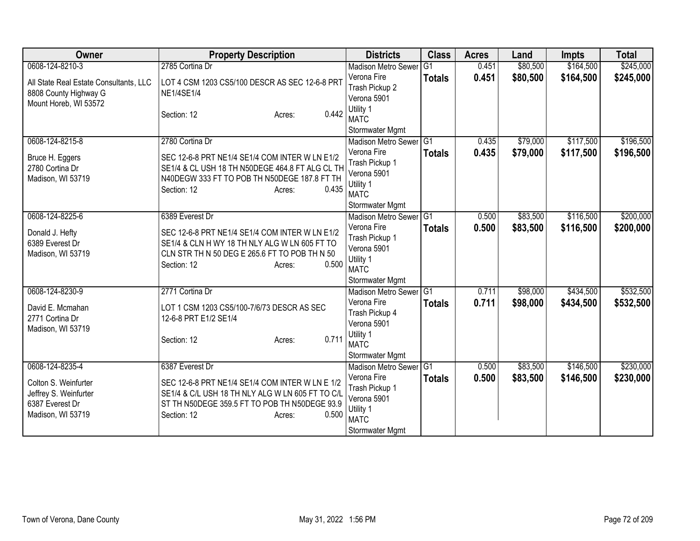| Owner                                                           | <b>Property Description</b>                                         | <b>Districts</b>                          | <b>Class</b>    | <b>Acres</b> | Land     | <b>Impts</b> | <b>Total</b> |
|-----------------------------------------------------------------|---------------------------------------------------------------------|-------------------------------------------|-----------------|--------------|----------|--------------|--------------|
| 0608-124-8210-3                                                 | 2785 Cortina Dr                                                     | <b>Madison Metro Sewer</b>                | G <sub>1</sub>  | 0.451        | \$80,500 | \$164,500    | \$245,000    |
| All State Real Estate Consultants, LLC<br>8808 County Highway G | LOT 4 CSM 1203 CS5/100 DESCR AS SEC 12-6-8 PRT<br><b>NE1/4SE1/4</b> | Verona Fire<br>Trash Pickup 2             | <b>Totals</b>   | 0.451        | \$80,500 | \$164,500    | \$245,000    |
| Mount Horeb, WI 53572                                           |                                                                     | Verona 5901                               |                 |              |          |              |              |
|                                                                 | 0.442<br>Section: 12<br>Acres:                                      | Utility 1<br><b>MATC</b>                  |                 |              |          |              |              |
|                                                                 |                                                                     | Stormwater Mgmt                           |                 |              |          |              |              |
| 0608-124-8215-8                                                 | 2780 Cortina Dr                                                     | Madison Metro Sewer G1                    |                 | 0.435        | \$79,000 | \$117,500    | \$196,500    |
| Bruce H. Eggers                                                 | SEC 12-6-8 PRT NE1/4 SE1/4 COM INTER W LN E1/2                      | Verona Fire                               | <b>Totals</b>   | 0.435        | \$79,000 | \$117,500    | \$196,500    |
| 2780 Cortina Dr                                                 | SE1/4 & CL USH 18 TH N50DEGE 464.8 FT ALG CL TH                     | Trash Pickup 1                            |                 |              |          |              |              |
| Madison, WI 53719                                               | N40DEGW 333 FT TO POB TH N50DEGE 187.8 FT TH                        | Verona 5901<br>Utility 1                  |                 |              |          |              |              |
|                                                                 | 0.435<br>Section: 12<br>Acres:                                      | <b>MATC</b>                               |                 |              |          |              |              |
|                                                                 |                                                                     | Stormwater Mgmt                           |                 |              |          |              |              |
| 0608-124-8225-6                                                 | 6389 Everest Dr                                                     | Madison Metro Sewer G1                    |                 | 0.500        | \$83,500 | \$116,500    | \$200,000    |
| Donald J. Hefty                                                 | SEC 12-6-8 PRT NE1/4 SE1/4 COM INTER W LN E1/2                      | Verona Fire                               | <b>Totals</b>   | 0.500        | \$83,500 | \$116,500    | \$200,000    |
| 6389 Everest Dr                                                 | SE1/4 & CLN H WY 18 TH NLY ALG W LN 605 FT TO                       | Trash Pickup 1                            |                 |              |          |              |              |
| Madison, WI 53719                                               | CLN STR TH N 50 DEG E 265.6 FT TO POB TH N 50                       | Verona 5901                               |                 |              |          |              |              |
|                                                                 | 0.500<br>Section: 12<br>Acres:                                      | Utility 1                                 |                 |              |          |              |              |
|                                                                 |                                                                     | <b>MATC</b>                               |                 |              |          |              |              |
| 0608-124-8230-9                                                 | 2771 Cortina Dr                                                     | Stormwater Mgmt<br>Madison Metro Sewer G1 |                 | 0.711        | \$98,000 | \$434,500    | \$532,500    |
|                                                                 |                                                                     | Verona Fire                               | <b>Totals</b>   | 0.711        | \$98,000 | \$434,500    | \$532,500    |
| David E. Mcmahan                                                | LOT 1 CSM 1203 CS5/100-7/6/73 DESCR AS SEC                          | Trash Pickup 4                            |                 |              |          |              |              |
| 2771 Cortina Dr                                                 | 12-6-8 PRT E1/2 SE1/4                                               | Verona 5901                               |                 |              |          |              |              |
| Madison, WI 53719                                               | 0.711<br>Section: 12<br>Acres:                                      | Utility 1                                 |                 |              |          |              |              |
|                                                                 |                                                                     | <b>MATC</b>                               |                 |              |          |              |              |
|                                                                 |                                                                     | Stormwater Mgmt                           |                 |              |          |              |              |
| 0608-124-8235-4                                                 | 6387 Everest Dr                                                     | Madison Metro Sewer                       | $\overline{G1}$ | 0.500        | \$83,500 | \$146,500    | \$230,000    |
| Colton S. Weinfurter                                            | SEC 12-6-8 PRT NE1/4 SE1/4 COM INTER W LN E 1/2                     | Verona Fire                               | <b>Totals</b>   | 0.500        | \$83,500 | \$146,500    | \$230,000    |
| Jeffrey S. Weinfurter                                           | SE1/4 & C/L USH 18 TH NLY ALG W LN 605 FT TO C/L                    | Trash Pickup 1<br>Verona 5901             |                 |              |          |              |              |
| 6387 Everest Dr                                                 | ST TH N50DEGE 359.5 FT TO POB TH N50DEGE 93.9                       | Utility 1                                 |                 |              |          |              |              |
| Madison, WI 53719                                               | Section: 12<br>0.500<br>Acres:                                      | <b>MATC</b>                               |                 |              |          |              |              |
|                                                                 |                                                                     | Stormwater Mgmt                           |                 |              |          |              |              |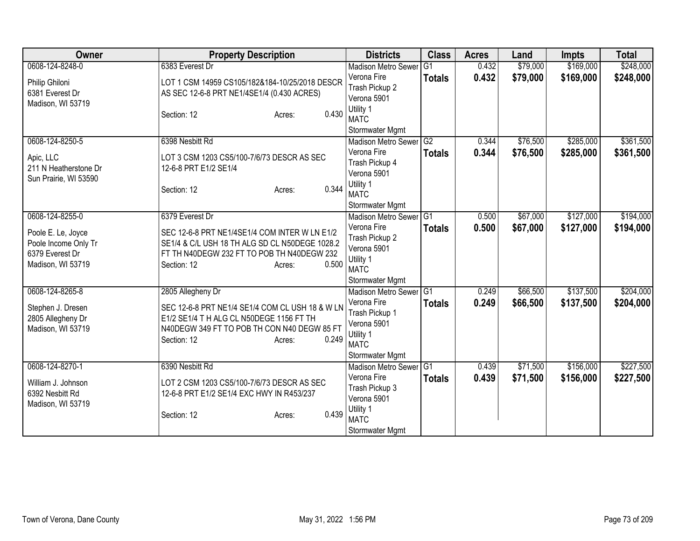| Owner                                                                                                 | <b>Property Description</b>                                                                                                                                                                        | <b>Districts</b>                                                                                                          | <b>Class</b>                     | <b>Acres</b>   | Land                 | <b>Impts</b>           | <b>Total</b>           |
|-------------------------------------------------------------------------------------------------------|----------------------------------------------------------------------------------------------------------------------------------------------------------------------------------------------------|---------------------------------------------------------------------------------------------------------------------------|----------------------------------|----------------|----------------------|------------------------|------------------------|
| 0608-124-8248-0                                                                                       | 6383 Everest Dr                                                                                                                                                                                    | <b>Madison Metro Sewer</b>                                                                                                | G1                               | 0.432          | \$79,000             | \$169,000              | \$248,000              |
| Philip Ghiloni<br>6381 Everest Dr<br>Madison, WI 53719                                                | LOT 1 CSM 14959 CS105/182&184-10/25/2018 DESCR<br>AS SEC 12-6-8 PRT NE1/4SE1/4 (0.430 ACRES)                                                                                                       | Verona Fire<br>Trash Pickup 2<br>Verona 5901<br>Utility 1                                                                 | <b>Totals</b>                    | 0.432          | \$79,000             | \$169,000              | \$248,000              |
|                                                                                                       | 0.430<br>Section: 12<br>Acres:                                                                                                                                                                     | <b>MATC</b><br>Stormwater Mgmt                                                                                            |                                  |                |                      |                        |                        |
| 0608-124-8250-5<br>Apic, LLC<br>211 N Heatherstone Dr<br>Sun Prairie, WI 53590                        | 6398 Nesbitt Rd<br>LOT 3 CSM 1203 CS5/100-7/6/73 DESCR AS SEC<br>12-6-8 PRT E1/2 SE1/4<br>0.344<br>Section: 12<br>Acres:                                                                           | <b>Madison Metro Sewer</b><br>Verona Fire<br>Trash Pickup 4<br>Verona 5901<br>Utility 1<br><b>MATC</b><br>Stormwater Mgmt | $\overline{G2}$<br><b>Totals</b> | 0.344<br>0.344 | \$76,500<br>\$76,500 | \$285,000<br>\$285,000 | \$361,500<br>\$361,500 |
| 0608-124-8255-0<br>Poole E. Le, Joyce<br>Poole Income Only Tr<br>6379 Everest Dr<br>Madison, WI 53719 | 6379 Everest Dr<br>SEC 12-6-8 PRT NE1/4SE1/4 COM INTER W LN E1/2<br>SE1/4 & C/L USH 18 TH ALG SD CL N50DEGE 1028.2<br>FT TH N40DEGW 232 FT TO POB TH N40DEGW 232<br>0.500<br>Section: 12<br>Acres: | <b>Madison Metro Sewer</b><br>Verona Fire<br>Trash Pickup 2<br>Verona 5901<br>Utility 1<br><b>MATC</b><br>Stormwater Mgmt | G <sub>1</sub><br><b>Totals</b>  | 0.500<br>0.500 | \$67,000<br>\$67,000 | \$127,000<br>\$127,000 | \$194,000<br>\$194,000 |
| 0608-124-8265-8<br>Stephen J. Dresen<br>2805 Allegheny Dr<br>Madison, WI 53719                        | 2805 Allegheny Dr<br>SEC 12-6-8 PRT NE1/4 SE1/4 COM CL USH 18 & W LN<br>E1/2 SE1/4 T H ALG CL N50DEGE 1156 FT TH<br>N40DEGW 349 FT TO POB TH CON N40 DEGW 85 FT<br>0.249<br>Section: 12<br>Acres:  | Madison Metro Sewer G1<br>Verona Fire<br>Trash Pickup 1<br>Verona 5901<br>Utility 1<br><b>MATC</b><br>Stormwater Mgmt     | <b>Totals</b>                    | 0.249<br>0.249 | \$66,500<br>\$66,500 | \$137,500<br>\$137,500 | \$204,000<br>\$204,000 |
| 0608-124-8270-1<br>William J. Johnson<br>6392 Nesbitt Rd<br>Madison, WI 53719                         | 6390 Nesbitt Rd<br>LOT 2 CSM 1203 CS5/100-7/6/73 DESCR AS SEC<br>12-6-8 PRT E1/2 SE1/4 EXC HWY IN R453/237<br>0.439<br>Section: 12<br>Acres:                                                       | <b>Madison Metro Sewer</b><br>Verona Fire<br>Trash Pickup 3<br>Verona 5901<br>Utility 1<br><b>MATC</b><br>Stormwater Mgmt | IG <sub>1</sub><br><b>Totals</b> | 0.439<br>0.439 | \$71,500<br>\$71,500 | \$156,000<br>\$156,000 | \$227,500<br>\$227,500 |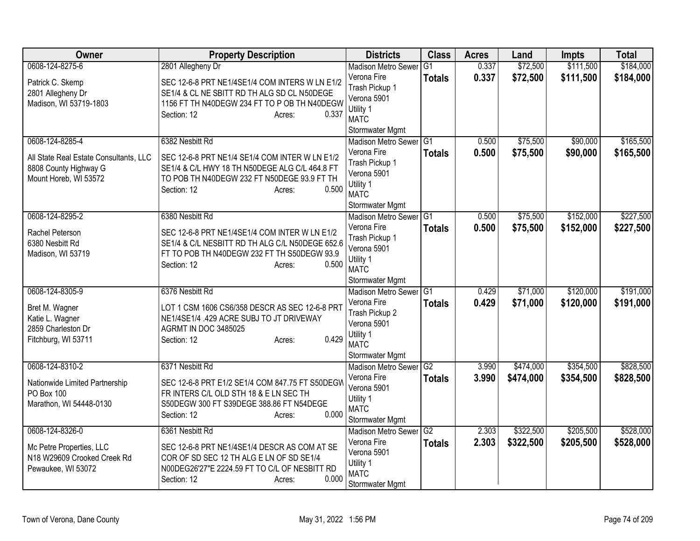| Owner                                                           | <b>Property Description</b>                                                                      | <b>Districts</b>              | <b>Class</b>  | <b>Acres</b> | Land      | Impts     | <b>Total</b> |
|-----------------------------------------------------------------|--------------------------------------------------------------------------------------------------|-------------------------------|---------------|--------------|-----------|-----------|--------------|
| 0608-124-8275-6                                                 | 2801 Allegheny Dr                                                                                | <b>Madison Metro Sewer</b>    | G1            | 0.337        | \$72,500  | \$111,500 | \$184,000    |
| Patrick C. Skemp                                                | SEC 12-6-8 PRT NE1/4SE1/4 COM INTERS W LN E1/2                                                   | Verona Fire                   | <b>Totals</b> | 0.337        | \$72,500  | \$111,500 | \$184,000    |
| 2801 Allegheny Dr                                               | SE1/4 & CL NE SBITT RD TH ALG SD CL N50DEGE                                                      | Trash Pickup 1                |               |              |           |           |              |
| Madison, WI 53719-1803                                          | 1156 FT TH N40DEGW 234 FT TO P OB TH N40DEGW                                                     | Verona 5901                   |               |              |           |           |              |
|                                                                 | 0.337<br>Section: 12<br>Acres:                                                                   | Utility 1<br><b>MATC</b>      |               |              |           |           |              |
|                                                                 |                                                                                                  | Stormwater Mgmt               |               |              |           |           |              |
| 0608-124-8285-4                                                 | 6382 Nesbitt Rd                                                                                  | Madison Metro Sewer G1        |               | 0.500        | \$75,500  | \$90,000  | \$165,500    |
|                                                                 |                                                                                                  | Verona Fire                   | <b>Totals</b> | 0.500        | \$75,500  | \$90,000  | \$165,500    |
| All State Real Estate Consultants, LLC<br>8808 County Highway G | SEC 12-6-8 PRT NE1/4 SE1/4 COM INTER W LN E1/2<br>SE1/4 & C/L HWY 18 TH N50DEGE ALG C/L 464.8 FT | Trash Pickup 1                |               |              |           |           |              |
| Mount Horeb, WI 53572                                           | TO POB TH N40DEGW 232 FT N50DEGE 93.9 FT TH                                                      | Verona 5901                   |               |              |           |           |              |
|                                                                 | 0.500<br>Section: 12<br>Acres:                                                                   | Utility 1                     |               |              |           |           |              |
|                                                                 |                                                                                                  | <b>MATC</b>                   |               |              |           |           |              |
|                                                                 |                                                                                                  | Stormwater Mgmt               |               |              |           |           |              |
| 0608-124-8295-2                                                 | 6380 Nesbitt Rd                                                                                  | <b>Madison Metro Sewer</b>    | TG1           | 0.500        | \$75,500  | \$152,000 | \$227,500    |
| Rachel Peterson                                                 | SEC 12-6-8 PRT NE1/4SE1/4 COM INTER W LN E1/2                                                    | Verona Fire                   | <b>Totals</b> | 0.500        | \$75,500  | \$152,000 | \$227,500    |
| 6380 Nesbitt Rd                                                 | SE1/4 & C/L NESBITT RD TH ALG C/L N50DEGE 652.6                                                  | Trash Pickup 1<br>Verona 5901 |               |              |           |           |              |
| Madison, WI 53719                                               | FT TO POB TH N40DEGW 232 FT TH S50DEGW 93.9                                                      | Utility 1                     |               |              |           |           |              |
|                                                                 | 0.500<br>Section: 12<br>Acres:                                                                   | <b>MATC</b>                   |               |              |           |           |              |
|                                                                 |                                                                                                  | Stormwater Mgmt               |               |              |           |           |              |
| 0608-124-8305-9                                                 | 6376 Nesbitt Rd                                                                                  | <b>Madison Metro Sewer</b>    | IG1           | 0.429        | \$71,000  | \$120,000 | \$191,000    |
|                                                                 | LOT 1 CSM 1606 CS6/358 DESCR AS SEC 12-6-8 PRT                                                   | Verona Fire                   | <b>Totals</b> | 0.429        | \$71,000  | \$120,000 | \$191,000    |
| Bret M. Wagner<br>Katie L. Wagner                               | NE1/4SE1/4 .429 ACRE SUBJ TO JT DRIVEWAY                                                         | Trash Pickup 2                |               |              |           |           |              |
| 2859 Charleston Dr                                              | AGRMT IN DOC 3485025                                                                             | Verona 5901                   |               |              |           |           |              |
| Fitchburg, WI 53711                                             | 0.429<br>Section: 12<br>Acres:                                                                   | Utility 1                     |               |              |           |           |              |
|                                                                 |                                                                                                  | <b>MATC</b>                   |               |              |           |           |              |
|                                                                 |                                                                                                  | Stormwater Mgmt               |               |              |           |           |              |
| 0608-124-8310-2                                                 | 6371 Nesbitt Rd                                                                                  | Madison Metro Sewer G2        |               | 3.990        | \$474,000 | \$354,500 | \$828,500    |
| Nationwide Limited Partnership                                  | SEC 12-6-8 PRT E1/2 SE1/4 COM 847.75 FT S50DEGW                                                  | Verona Fire<br>Verona 5901    | <b>Totals</b> | 3.990        | \$474,000 | \$354,500 | \$828,500    |
| PO Box 100                                                      | FR INTERS C/L OLD STH 18 & E LN SEC TH                                                           | Utility 1                     |               |              |           |           |              |
| Marathon, WI 54448-0130                                         | S50DEGW 300 FT S39DEGE 388.86 FT N54DEGE                                                         | <b>MATC</b>                   |               |              |           |           |              |
|                                                                 | 0.000<br>Section: 12<br>Acres:                                                                   | Stormwater Mgmt               |               |              |           |           |              |
| 0608-124-8326-0                                                 | 6361 Nesbitt Rd                                                                                  | Madison Metro Sewer G2        |               | 2.303        | \$322,500 | \$205,500 | \$528,000    |
|                                                                 |                                                                                                  | Verona Fire                   | <b>Totals</b> | 2.303        | \$322,500 | \$205,500 | \$528,000    |
| Mc Petre Properties, LLC<br>N18 W29609 Crooked Creek Rd         | SEC 12-6-8 PRT NE1/4SE1/4 DESCR AS COM AT SE<br>COR OF SD SEC 12 TH ALG E LN OF SD SE1/4         | Verona 5901                   |               |              |           |           |              |
| Pewaukee, WI 53072                                              | N00DEG26'27"E 2224.59 FT TO C/L OF NESBITT RD                                                    | Utility 1                     |               |              |           |           |              |
|                                                                 | 0.000<br>Section: 12<br>Acres:                                                                   | <b>MATC</b>                   |               |              |           |           |              |
|                                                                 |                                                                                                  | Stormwater Mgmt               |               |              |           |           |              |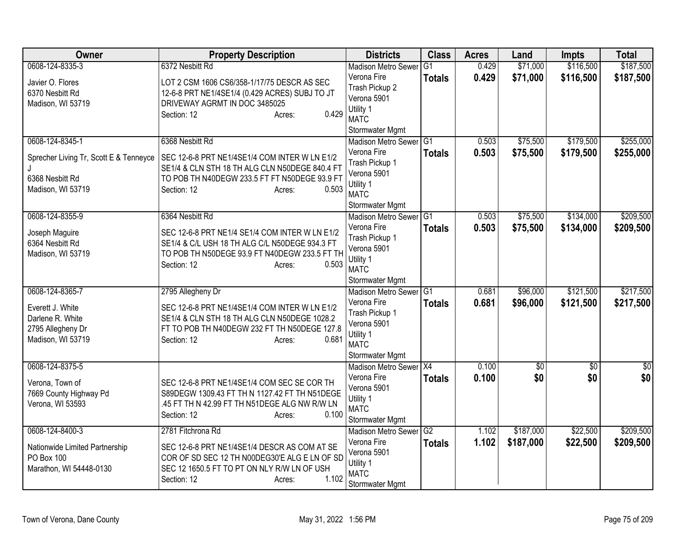| Owner                                  | <b>Property Description</b>                    | <b>Districts</b>                                     | <b>Class</b>    | <b>Acres</b> | Land            | <b>Impts</b>    | <b>Total</b>    |
|----------------------------------------|------------------------------------------------|------------------------------------------------------|-----------------|--------------|-----------------|-----------------|-----------------|
| 0608-124-8335-3                        | 6372 Nesbitt Rd                                | <b>Madison Metro Sewer</b>                           | G1              | 0.429        | \$71,000        | \$116,500       | \$187,500       |
| Javier O. Flores                       | LOT 2 CSM 1606 CS6/358-1/17/75 DESCR AS SEC    | Verona Fire                                          | <b>Totals</b>   | 0.429        | \$71,000        | \$116,500       | \$187,500       |
| 6370 Nesbitt Rd                        | 12-6-8 PRT NE1/4SE1/4 (0.429 ACRES) SUBJ TO JT | Trash Pickup 2                                       |                 |              |                 |                 |                 |
| Madison, WI 53719                      | DRIVEWAY AGRMT IN DOC 3485025                  | Verona 5901                                          |                 |              |                 |                 |                 |
|                                        | 0.429<br>Section: 12<br>Acres:                 | Utility 1                                            |                 |              |                 |                 |                 |
|                                        |                                                | <b>MATC</b>                                          |                 |              |                 |                 |                 |
| 0608-124-8345-1                        | 6368 Nesbitt Rd                                | Stormwater Mgmt<br>Madison Metro Sewer G1            |                 | 0.503        | \$75,500        | \$179,500       | \$255,000       |
|                                        |                                                | Verona Fire                                          |                 | 0.503        | \$75,500        | \$179,500       | \$255,000       |
| Sprecher Living Tr, Scott E & Tenneyce | SEC 12-6-8 PRT NE1/4SE1/4 COM INTER W LN E1/2  | Trash Pickup 1                                       | <b>Totals</b>   |              |                 |                 |                 |
|                                        | SE1/4 & CLN STH 18 TH ALG CLN N50DEGE 840.4 FT | Verona 5901                                          |                 |              |                 |                 |                 |
| 6368 Nesbitt Rd                        | TO POB TH N40DEGW 233.5 FT FT N50DEGE 93.9 FT  | Utility 1                                            |                 |              |                 |                 |                 |
| Madison, WI 53719                      | 0.503<br>Section: 12<br>Acres:                 | <b>MATC</b>                                          |                 |              |                 |                 |                 |
|                                        |                                                | Stormwater Mgmt                                      |                 |              |                 |                 |                 |
| 0608-124-8355-9                        | 6364 Nesbitt Rd                                | <b>Madison Metro Sewer</b>                           | IG <sub>1</sub> | 0.503        | \$75,500        | \$134,000       | \$209,500       |
|                                        |                                                | Verona Fire                                          | <b>Totals</b>   | 0.503        | \$75,500        | \$134,000       | \$209,500       |
| Joseph Maguire                         | SEC 12-6-8 PRT NE1/4 SE1/4 COM INTER W LN E1/2 | Trash Pickup 1                                       |                 |              |                 |                 |                 |
| 6364 Nesbitt Rd                        | SE1/4 & C/L USH 18 TH ALG C/L N50DEGE 934.3 FT | Verona 5901                                          |                 |              |                 |                 |                 |
| Madison, WI 53719                      | TO POB TH N50DEGE 93.9 FT N40DEGW 233.5 FT TH  | Utility 1                                            |                 |              |                 |                 |                 |
|                                        | 0.503<br>Section: 12<br>Acres:                 | <b>MATC</b>                                          |                 |              |                 |                 |                 |
|                                        |                                                | Stormwater Mgmt                                      |                 |              |                 |                 |                 |
| 0608-124-8365-7                        | 2795 Allegheny Dr                              | Madison Metro Sewer                                  | IG1             | 0.681        | \$96,000        | \$121,500       | \$217,500       |
| Everett J. White                       | SEC 12-6-8 PRT NE1/4SE1/4 COM INTER W LN E1/2  | Verona Fire                                          | <b>Totals</b>   | 0.681        | \$96,000        | \$121,500       | \$217,500       |
| Darlene R. White                       | SE1/4 & CLN STH 18 TH ALG CLN N50DEGE 1028.2   | Trash Pickup 1                                       |                 |              |                 |                 |                 |
| 2795 Allegheny Dr                      | FT TO POB TH N40DEGW 232 FT TH N50DEGE 127.8   | Verona 5901                                          |                 |              |                 |                 |                 |
| Madison, WI 53719                      | Section: 12<br>0.681<br>Acres:                 | Utility 1                                            |                 |              |                 |                 |                 |
|                                        |                                                | <b>MATC</b>                                          |                 |              |                 |                 |                 |
|                                        |                                                | Stormwater Mgmt                                      |                 |              |                 |                 |                 |
| 0608-124-8375-5                        |                                                | Madison Metro Sewer X4                               |                 | 0.100        | $\overline{60}$ | $\overline{50}$ | $\overline{50}$ |
| Verona, Town of                        | SEC 12-6-8 PRT NE1/4SE1/4 COM SEC SE COR TH    | Verona Fire                                          | <b>Totals</b>   | 0.100        | \$0             | \$0             | \$0             |
| 7669 County Highway Pd                 | S89DEGW 1309.43 FT TH N 1127.42 FT TH N51DEGE  | Verona 5901                                          |                 |              |                 |                 |                 |
| Verona, WI 53593                       | .45 FT TH N 42.99 FT TH N51DEGE ALG NW R/W LN  | Utility 1                                            |                 |              |                 |                 |                 |
|                                        | 0.100<br>Section: 12<br>Acres:                 | <b>MATC</b>                                          |                 |              |                 |                 |                 |
| 0608-124-8400-3                        | 2781 Fitchrona Rd                              | Stormwater Mgmt<br>Madison Metro Sewer <sup>G2</sup> |                 | 1.102        | \$187,000       | \$22,500        | \$209,500       |
|                                        |                                                | Verona Fire                                          |                 |              |                 |                 |                 |
| Nationwide Limited Partnership         | SEC 12-6-8 PRT NE1/4SE1/4 DESCR AS COM AT SE   | Verona 5901                                          | <b>Totals</b>   | 1.102        | \$187,000       | \$22,500        | \$209,500       |
| PO Box 100                             | COR OF SD SEC 12 TH N00DEG30'E ALG E LN OF SD  | Utility 1                                            |                 |              |                 |                 |                 |
| Marathon, WI 54448-0130                | SEC 12 1650.5 FT TO PT ON NLY R/W LN OF USH    | <b>MATC</b>                                          |                 |              |                 |                 |                 |
|                                        | 1.102<br>Section: 12<br>Acres:                 | Stormwater Mgmt                                      |                 |              |                 |                 |                 |
|                                        |                                                |                                                      |                 |              |                 |                 |                 |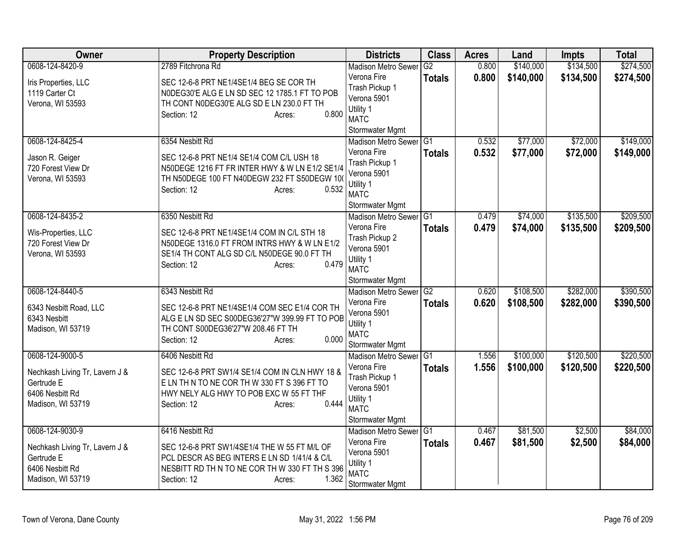| Owner                                  | <b>Property Description</b>                                                              | <b>Districts</b>              | <b>Class</b>  | <b>Acres</b> | Land      | <b>Impts</b> | <b>Total</b> |
|----------------------------------------|------------------------------------------------------------------------------------------|-------------------------------|---------------|--------------|-----------|--------------|--------------|
| 0608-124-8420-9                        | 2789 Fitchrona Rd                                                                        | <b>Madison Metro Sewer</b>    | G2            | 0.800        | \$140,000 | \$134,500    | \$274,500    |
| Iris Properties, LLC<br>1119 Carter Ct | SEC 12-6-8 PRT NE1/4SE1/4 BEG SE COR TH<br>N0DEG30'E ALG E LN SD SEC 12 1785.1 FT TO POB | Verona Fire<br>Trash Pickup 1 | <b>Totals</b> | 0.800        | \$140,000 | \$134,500    | \$274,500    |
| Verona, WI 53593                       | TH CONT N0DEG30'E ALG SD E LN 230.0 FT TH                                                | Verona 5901                   |               |              |           |              |              |
|                                        | 0.800<br>Section: 12<br>Acres:                                                           | Utility 1                     |               |              |           |              |              |
|                                        |                                                                                          | <b>MATC</b>                   |               |              |           |              |              |
|                                        |                                                                                          | Stormwater Mgmt               |               |              |           |              |              |
| 0608-124-8425-4                        | 6354 Nesbitt Rd                                                                          | Madison Metro Sewer G1        |               | 0.532        | \$77,000  | \$72,000     | \$149,000    |
| Jason R. Geiger                        | SEC 12-6-8 PRT NE1/4 SE1/4 COM C/L USH 18                                                | Verona Fire                   | <b>Totals</b> | 0.532        | \$77,000  | \$72,000     | \$149,000    |
| 720 Forest View Dr                     | N50DEGE 1216 FT FR INTER HWY & W LN E1/2 SE1/4                                           | Trash Pickup 1<br>Verona 5901 |               |              |           |              |              |
| Verona, WI 53593                       | TH N50DEGE 100 FT N40DEGW 232 FT S50DEGW 100                                             | Utility 1                     |               |              |           |              |              |
|                                        | 0.532<br>Section: 12<br>Acres:                                                           | <b>MATC</b>                   |               |              |           |              |              |
|                                        |                                                                                          | Stormwater Mgmt               |               |              |           |              |              |
| 0608-124-8435-2                        | 6350 Nesbitt Rd                                                                          | <b>Madison Metro Sewer</b>    | G1            | 0.479        | \$74,000  | \$135,500    | \$209,500    |
|                                        |                                                                                          | Verona Fire                   | <b>Totals</b> | 0.479        | \$74,000  | \$135,500    | \$209,500    |
| Wis-Properties, LLC                    | SEC 12-6-8 PRT NE1/4SE1/4 COM IN C/L STH 18                                              | Trash Pickup 2                |               |              |           |              |              |
| 720 Forest View Dr                     | N50DEGE 1316.0 FT FROM INTRS HWY & W LN E1/2                                             | Verona 5901                   |               |              |           |              |              |
| Verona, WI 53593                       | SE1/4 TH CONT ALG SD C/L N50DEGE 90.0 FT TH                                              | Utility 1                     |               |              |           |              |              |
|                                        | 0.479<br>Section: 12<br>Acres:                                                           | <b>MATC</b>                   |               |              |           |              |              |
|                                        |                                                                                          | Stormwater Mgmt               |               |              |           |              |              |
| 0608-124-8440-5                        | 6343 Nesbitt Rd                                                                          | <b>Madison Metro Sewer</b>    | G2            | 0.620        | \$108,500 | \$282,000    | \$390,500    |
| 6343 Nesbitt Road, LLC                 | SEC 12-6-8 PRT NE1/4SE1/4 COM SEC E1/4 COR TH                                            | Verona Fire                   | <b>Totals</b> | 0.620        | \$108,500 | \$282,000    | \$390,500    |
| 6343 Nesbitt                           | ALG E LN SD SEC S00DEG36'27"W 399.99 FT TO POB                                           | Verona 5901                   |               |              |           |              |              |
| Madison, WI 53719                      | TH CONT S00DEG36'27"W 208.46 FT TH                                                       | Utility 1                     |               |              |           |              |              |
|                                        | 0.000<br>Section: 12<br>Acres:                                                           | <b>MATC</b>                   |               |              |           |              |              |
|                                        |                                                                                          | Stormwater Mgmt               |               |              |           |              |              |
| 0608-124-9000-5                        | 6406 Nesbitt Rd                                                                          | Madison Metro Sewer G1        |               | 1.556        | \$100,000 | \$120,500    | \$220,500    |
| Nechkash Living Tr, Lavern J &         | SEC 12-6-8 PRT SW1/4 SE1/4 COM IN CLN HWY 18 &                                           | Verona Fire                   | <b>Totals</b> | 1.556        | \$100,000 | \$120,500    | \$220,500    |
| Gertrude E                             | ELN THN TO NE COR THW 330 FT S 396 FT TO                                                 | Trash Pickup 1                |               |              |           |              |              |
| 6406 Nesbitt Rd                        | HWY NELY ALG HWY TO POB EXC W 55 FT THF                                                  | Verona 5901                   |               |              |           |              |              |
| Madison, WI 53719                      | 0.444<br>Section: 12<br>Acres:                                                           | Utility 1<br><b>MATC</b>      |               |              |           |              |              |
|                                        |                                                                                          | Stormwater Mgmt               |               |              |           |              |              |
| 0608-124-9030-9                        | 6416 Nesbitt Rd                                                                          | Madison Metro Sewer G1        |               | 0.467        | \$81,500  | \$2,500      | \$84,000     |
|                                        |                                                                                          | Verona Fire                   | <b>Totals</b> | 0.467        | \$81,500  | \$2,500      | \$84,000     |
| Nechkash Living Tr, Lavern J &         | SEC 12-6-8 PRT SW1/4SE1/4 THE W 55 FT M/L OF                                             | Verona 5901                   |               |              |           |              |              |
| Gertrude E                             | PCL DESCR AS BEG INTERS E LN SD 1/41/4 & C/L                                             | Utility 1                     |               |              |           |              |              |
| 6406 Nesbitt Rd                        | NESBITT RD TH N TO NE COR TH W 330 FT TH S 396                                           | <b>MATC</b>                   |               |              |           |              |              |
| Madison, WI 53719                      | 1.362<br>Section: 12<br>Acres:                                                           | Stormwater Mgmt               |               |              |           |              |              |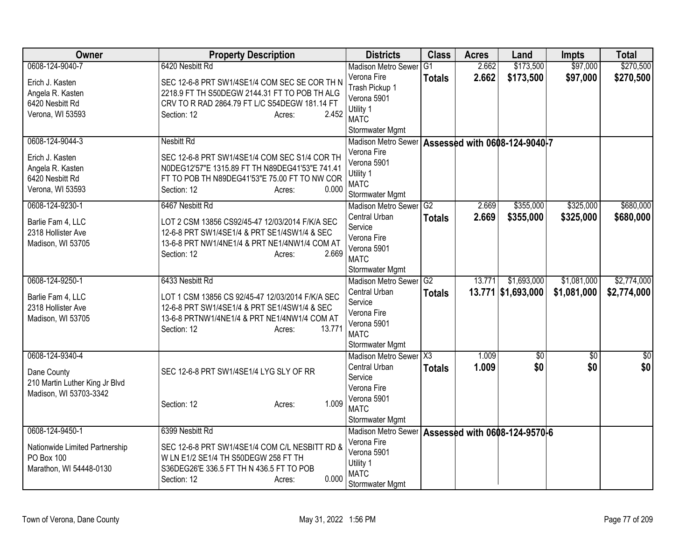| <b>Owner</b>                   | <b>Property Description</b>                      | <b>Districts</b>                                    | <b>Class</b>    | <b>Acres</b> | Land               | <b>Impts</b> | <b>Total</b>    |
|--------------------------------|--------------------------------------------------|-----------------------------------------------------|-----------------|--------------|--------------------|--------------|-----------------|
| 0608-124-9040-7                | 6420 Nesbitt Rd                                  | <b>Madison Metro Sewer</b>                          | $\overline{G1}$ | 2.662        | \$173,500          | \$97,000     | \$270,500       |
| Erich J. Kasten                | SEC 12-6-8 PRT SW1/4SE1/4 COM SEC SE COR TH N    | Verona Fire                                         | <b>Totals</b>   | 2.662        | \$173,500          | \$97,000     | \$270,500       |
| Angela R. Kasten               | 2218.9 FT TH S50DEGW 2144.31 FT TO POB TH ALG    | Trash Pickup 1                                      |                 |              |                    |              |                 |
| 6420 Nesbitt Rd                | CRV TO R RAD 2864.79 FT L/C S54DEGW 181.14 FT    | Verona 5901                                         |                 |              |                    |              |                 |
| Verona, WI 53593               | 2.452<br>Section: 12<br>Acres:                   | Utility 1                                           |                 |              |                    |              |                 |
|                                |                                                  | <b>MATC</b>                                         |                 |              |                    |              |                 |
|                                |                                                  | Stormwater Mgmt                                     |                 |              |                    |              |                 |
| 0608-124-9044-3                | <b>Nesbitt Rd</b>                                | Madison Metro Sewer   Assessed with 0608-124-9040-7 |                 |              |                    |              |                 |
| Erich J. Kasten                | SEC 12-6-8 PRT SW1/4SE1/4 COM SEC S1/4 COR TH    | Verona Fire                                         |                 |              |                    |              |                 |
| Angela R. Kasten               | N0DEG12'57"E 1315.89 FT TH N89DEG41'53"E 741.41  | Verona 5901                                         |                 |              |                    |              |                 |
| 6420 Nesbitt Rd                | FT TO POB TH N89DEG41'53"E 75.00 FT TO NW COR    | Utility 1                                           |                 |              |                    |              |                 |
| Verona, WI 53593               | 0.000<br>Section: 12<br>Acres:                   | <b>MATC</b>                                         |                 |              |                    |              |                 |
|                                |                                                  | Stormwater Mgmt                                     |                 |              |                    |              |                 |
| 0608-124-9230-1                | 6467 Nesbitt Rd                                  | Madison Metro Sewer <sup>G2</sup>                   |                 | 2.669        | \$355,000          | \$325,000    | \$680,000       |
| Barlie Fam 4, LLC              | LOT 2 CSM 13856 CS92/45-47 12/03/2014 F/K/A SEC  | Central Urban                                       | <b>Totals</b>   | 2.669        | \$355,000          | \$325,000    | \$680,000       |
| 2318 Hollister Ave             | 12-6-8 PRT SW1/4SE1/4 & PRT SE1/4SW1/4 & SEC     | Service                                             |                 |              |                    |              |                 |
| Madison, WI 53705              | 13-6-8 PRT NW1/4NE1/4 & PRT NE1/4NW1/4 COM AT    | Verona Fire                                         |                 |              |                    |              |                 |
|                                | 2.669<br>Section: 12<br>Acres:                   | Verona 5901                                         |                 |              |                    |              |                 |
|                                |                                                  | <b>MATC</b>                                         |                 |              |                    |              |                 |
|                                |                                                  | Stormwater Mgmt                                     |                 |              |                    |              |                 |
| 0608-124-9250-1                | 6433 Nesbitt Rd                                  | <b>Madison Metro Sewer</b>                          | G <sub>2</sub>  | 13.771       | \$1,693,000        | \$1,081,000  | \$2,774,000     |
| Barlie Fam 4, LLC              | LOT 1 CSM 13856 CS 92/45-47 12/03/2014 F/K/A SEC | Central Urban                                       | <b>Totals</b>   |              | 13.771 \$1,693,000 | \$1,081,000  | \$2,774,000     |
| 2318 Hollister Ave             | 12-6-8 PRT SW1/4SE1/4 & PRT SE1/4SW1/4 & SEC     | Service                                             |                 |              |                    |              |                 |
| Madison, WI 53705              | 13-6-8 PRTNW1/4NE1/4 & PRT NE1/4NW1/4 COM AT     | Verona Fire                                         |                 |              |                    |              |                 |
|                                | 13.771<br>Section: 12<br>Acres:                  | Verona 5901                                         |                 |              |                    |              |                 |
|                                |                                                  | <b>MATC</b>                                         |                 |              |                    |              |                 |
|                                |                                                  | Stormwater Mgmt                                     |                 |              |                    |              |                 |
| 0608-124-9340-4                |                                                  | Madison Metro Sewer X3                              |                 | 1.009        | $\overline{60}$    | \$0          | $\overline{50}$ |
| Dane County                    | SEC 12-6-8 PRT SW1/4SE1/4 LYG SLY OF RR          | Central Urban                                       | <b>Totals</b>   | 1.009        | \$0                | \$0          | \$0             |
| 210 Martin Luther King Jr Blvd |                                                  | Service                                             |                 |              |                    |              |                 |
| Madison, WI 53703-3342         |                                                  | Verona Fire                                         |                 |              |                    |              |                 |
|                                | 1.009<br>Section: 12<br>Acres:                   | Verona 5901                                         |                 |              |                    |              |                 |
|                                |                                                  | <b>MATC</b>                                         |                 |              |                    |              |                 |
|                                |                                                  | Stormwater Mgmt                                     |                 |              |                    |              |                 |
| 0608-124-9450-1                | 6399 Nesbitt Rd                                  | Madison Metro Sewer   Assessed with 0608-124-9570-6 |                 |              |                    |              |                 |
| Nationwide Limited Partnership | SEC 12-6-8 PRT SW1/4SE1/4 COM C/L NESBITT RD &   | Verona Fire                                         |                 |              |                    |              |                 |
| PO Box 100                     | W LN E1/2 SE1/4 TH S50DEGW 258 FT TH             | Verona 5901                                         |                 |              |                    |              |                 |
| Marathon, WI 54448-0130        | S36DEG26'E 336.5 FT TH N 436.5 FT TO POB         | Utility 1                                           |                 |              |                    |              |                 |
|                                | 0.000<br>Section: 12<br>Acres:                   | <b>MATC</b>                                         |                 |              |                    |              |                 |
|                                |                                                  | Stormwater Mgmt                                     |                 |              |                    |              |                 |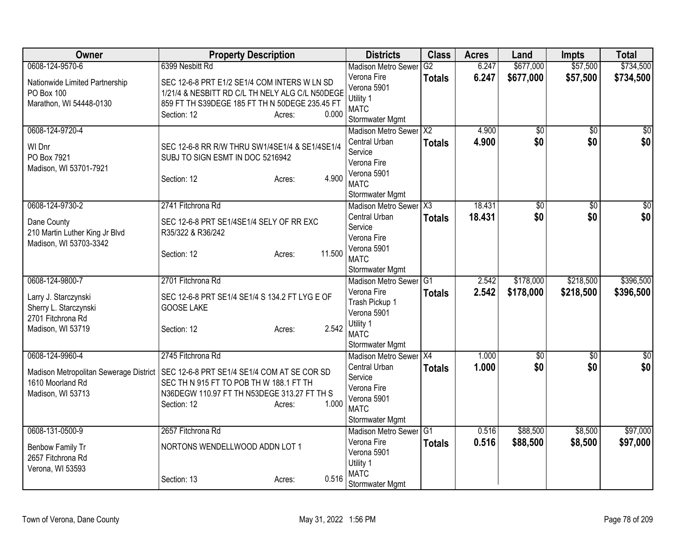| Owner                                                                                              | <b>Property Description</b>                                                                                                                                                                  | <b>Districts</b>                                                                                                   | <b>Class</b>  | <b>Acres</b>     | Land                   | <b>Impts</b>           | <b>Total</b>           |
|----------------------------------------------------------------------------------------------------|----------------------------------------------------------------------------------------------------------------------------------------------------------------------------------------------|--------------------------------------------------------------------------------------------------------------------|---------------|------------------|------------------------|------------------------|------------------------|
| 0608-124-9570-6                                                                                    | 6399 Nesbitt Rd                                                                                                                                                                              | <b>Madison Metro Sewer</b>                                                                                         | G2            | 6.247            | \$677,000              | \$57,500               | \$734,500              |
| Nationwide Limited Partnership<br>PO Box 100<br>Marathon, WI 54448-0130                            | SEC 12-6-8 PRT E1/2 SE1/4 COM INTERS W LN SD<br>1/21/4 & NESBITT RD C/L TH NELY ALG C/L N50DEGE<br>859 FT TH S39DEGE 185 FT TH N 50DEGE 235.45 FT<br>0.000<br>Section: 12<br>Acres:          | Verona Fire<br>Verona 5901<br>Utility 1<br><b>MATC</b><br>Stormwater Mgmt                                          | <b>Totals</b> | 6.247            | \$677,000              | \$57,500               | \$734,500              |
| 0608-124-9720-4<br>WI Dnr<br>PO Box 7921<br>Madison, WI 53701-7921                                 | SEC 12-6-8 RR R/W THRU SW1/4SE1/4 & SE1/4SE1/4<br>SUBJ TO SIGN ESMT IN DOC 5216942<br>4.900<br>Section: 12<br>Acres:                                                                         | Madison Metro Sewer X2<br>Central Urban<br>Service<br>Verona Fire<br>Verona 5901<br><b>MATC</b><br>Stormwater Mgmt | <b>Totals</b> | 4.900<br>4.900   | $\overline{60}$<br>\$0 | $\overline{50}$<br>\$0 | \$0<br>\$0             |
| 0608-124-9730-2<br>Dane County<br>210 Martin Luther King Jr Blvd                                   | 2741 Fitchrona Rd<br>SEC 12-6-8 PRT SE1/4SE1/4 SELY OF RR EXC<br>R35/322 & R36/242                                                                                                           | Madison Metro Sewer X3<br>Central Urban<br>Service<br>Verona Fire                                                  | <b>Totals</b> | 18.431<br>18.431 | \$0<br>\$0             | $\overline{50}$<br>\$0 | $\overline{50}$<br>\$0 |
| Madison, WI 53703-3342                                                                             | 11.500<br>Section: 12<br>Acres:                                                                                                                                                              | Verona 5901<br><b>MATC</b><br>Stormwater Mgmt                                                                      |               |                  |                        |                        |                        |
| 0608-124-9800-7                                                                                    | 2701 Fitchrona Rd                                                                                                                                                                            | <b>Madison Metro Sewer</b>                                                                                         | IG1           | 2.542            | \$178,000              | \$218,500              | \$396,500              |
| Larry J. Starczynski<br>Sherry L. Starczynski<br>2701 Fitchrona Rd<br>Madison, WI 53719            | SEC 12-6-8 PRT SE1/4 SE1/4 S 134.2 FT LYG E OF<br><b>GOOSE LAKE</b><br>2.542<br>Section: 12<br>Acres:                                                                                        | Verona Fire<br>Trash Pickup 1<br>Verona 5901<br>Utility 1<br><b>MATC</b><br>Stormwater Mgmt                        | <b>Totals</b> | 2.542            | \$178,000              | \$218,500              | \$396,500              |
| 0608-124-9960-4<br>Madison Metropolitan Sewerage District<br>1610 Moorland Rd<br>Madison, WI 53713 | 2745 Fitchrona Rd<br>SEC 12-6-8 PRT SE1/4 SE1/4 COM AT SE COR SD<br>SEC TH N 915 FT TO POB TH W 188.1 FT TH<br>N36DEGW 110.97 FT TH N53DEGE 313.27 FT TH S<br>1.000<br>Section: 12<br>Acres: | Madison Metro Sewer X4<br>Central Urban<br>Service<br>Verona Fire<br>Verona 5901<br><b>MATC</b><br>Stormwater Mgmt | <b>Totals</b> | 1.000<br>1.000   | $\sqrt{50}$<br>\$0     | $\overline{50}$<br>\$0 | $\frac{6}{3}$<br>\$0   |
| 0608-131-0500-9                                                                                    | 2657 Fitchrona Rd                                                                                                                                                                            | Madison Metro Sewer G1                                                                                             |               | 0.516            | \$88,500               | \$8,500                | \$97,000               |
| Benbow Family Tr<br>2657 Fitchrona Rd<br>Verona, WI 53593                                          | NORTONS WENDELLWOOD ADDN LOT 1                                                                                                                                                               | Verona Fire<br>Verona 5901<br>Utility 1                                                                            | <b>Totals</b> | 0.516            | \$88,500               | \$8,500                | \$97,000               |
|                                                                                                    | 0.516<br>Section: 13<br>Acres:                                                                                                                                                               | <b>MATC</b><br>Stormwater Mgmt                                                                                     |               |                  |                        |                        |                        |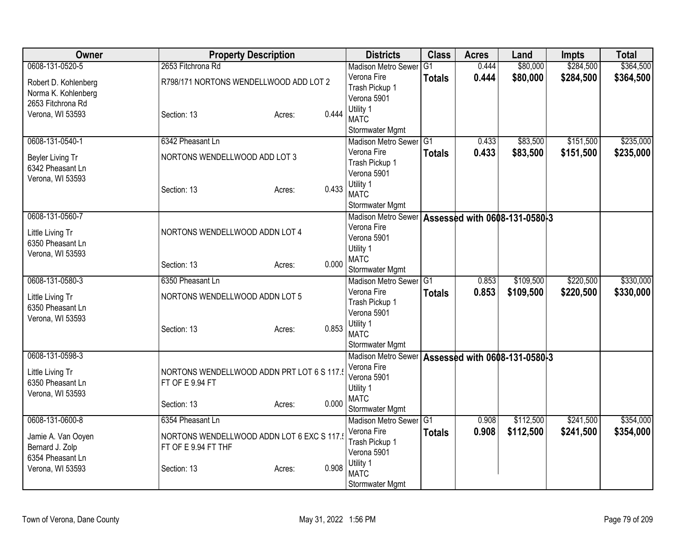| <b>Owner</b>         | <b>Property Description</b>               |       | <b>Districts</b>                                     | <b>Class</b>    | <b>Acres</b> | Land                          | <b>Impts</b> | <b>Total</b> |
|----------------------|-------------------------------------------|-------|------------------------------------------------------|-----------------|--------------|-------------------------------|--------------|--------------|
| 0608-131-0520-5      | 2653 Fitchrona Rd                         |       | <b>Madison Metro Sewer</b>                           | $\overline{G1}$ | 0.444        | \$80,000                      | \$284,500    | \$364,500    |
| Robert D. Kohlenberg | R798/171 NORTONS WENDELLWOOD ADD LOT 2    |       | Verona Fire                                          | <b>Totals</b>   | 0.444        | \$80,000                      | \$284,500    | \$364,500    |
| Norma K. Kohlenberg  |                                           |       | Trash Pickup 1                                       |                 |              |                               |              |              |
| 2653 Fitchrona Rd    |                                           |       | Verona 5901                                          |                 |              |                               |              |              |
| Verona, WI 53593     | Section: 13<br>Acres:                     | 0.444 | Utility 1<br><b>MATC</b>                             |                 |              |                               |              |              |
|                      |                                           |       | Stormwater Mgmt                                      |                 |              |                               |              |              |
| 0608-131-0540-1      | 6342 Pheasant Ln                          |       | Madison Metro Sewer G1                               |                 | 0.433        | \$83,500                      | \$151,500    | \$235,000    |
|                      |                                           |       | Verona Fire                                          | <b>Totals</b>   | 0.433        | \$83,500                      | \$151,500    | \$235,000    |
| Beyler Living Tr     | NORTONS WENDELLWOOD ADD LOT 3             |       | Trash Pickup 1                                       |                 |              |                               |              |              |
| 6342 Pheasant Ln     |                                           |       | Verona 5901                                          |                 |              |                               |              |              |
| Verona, WI 53593     | Section: 13                               | 0.433 | Utility 1                                            |                 |              |                               |              |              |
|                      | Acres:                                    |       | <b>MATC</b>                                          |                 |              |                               |              |              |
|                      |                                           |       | Stormwater Mgmt                                      |                 |              |                               |              |              |
| 0608-131-0560-7      |                                           |       | Madison Metro Sewer                                  |                 |              | Assessed with 0608-131-0580-3 |              |              |
| Little Living Tr     | NORTONS WENDELLWOOD ADDN LOT 4            |       | Verona Fire                                          |                 |              |                               |              |              |
| 6350 Pheasant Ln     |                                           |       | Verona 5901                                          |                 |              |                               |              |              |
| Verona, WI 53593     |                                           |       | Utility 1                                            |                 |              |                               |              |              |
|                      | Section: 13<br>Acres:                     | 0.000 | <b>MATC</b><br>Stormwater Mgmt                       |                 |              |                               |              |              |
| 0608-131-0580-3      | 6350 Pheasant Ln                          |       | <b>Madison Metro Sewer</b>                           | G <sub>1</sub>  | 0.853        | \$109,500                     | \$220,500    | \$330,000    |
|                      |                                           |       | Verona Fire                                          | <b>Totals</b>   | 0.853        | \$109,500                     | \$220,500    | \$330,000    |
| Little Living Tr     | NORTONS WENDELLWOOD ADDN LOT 5            |       | Trash Pickup 1                                       |                 |              |                               |              |              |
| 6350 Pheasant Ln     |                                           |       | Verona 5901                                          |                 |              |                               |              |              |
| Verona, WI 53593     |                                           |       | Utility 1                                            |                 |              |                               |              |              |
|                      | Section: 13<br>Acres:                     | 0.853 | <b>MATC</b>                                          |                 |              |                               |              |              |
|                      |                                           |       | Stormwater Mgmt                                      |                 |              |                               |              |              |
| 0608-131-0598-3      |                                           |       | <b>Madison Metro Sewer</b>                           |                 |              | Assessed with 0608-131-0580-3 |              |              |
| Little Living Tr     | NORTONS WENDELLWOOD ADDN PRT LOT 6 S 117. |       | Verona Fire                                          |                 |              |                               |              |              |
| 6350 Pheasant Ln     | FT OF E 9.94 FT                           |       | Verona 5901                                          |                 |              |                               |              |              |
| Verona, WI 53593     |                                           |       | Utility 1                                            |                 |              |                               |              |              |
|                      | Section: 13<br>Acres:                     | 0.000 | <b>MATC</b>                                          |                 |              |                               |              |              |
| 0608-131-0600-8      | 6354 Pheasant Ln                          |       | Stormwater Mgmt<br>Madison Metro Sewer <sup>G1</sup> |                 | 0.908        | \$112,500                     | \$241,500    | \$354,000    |
|                      |                                           |       | Verona Fire                                          |                 | 0.908        | \$112,500                     | \$241,500    | \$354,000    |
| Jamie A. Van Ooyen   | NORTONS WENDELLWOOD ADDN LOT 6 EXC S 117. |       | Trash Pickup 1                                       | Totals          |              |                               |              |              |
| Bernard J. Zolp      | FT OF E 9.94 FT THF                       |       | Verona 5901                                          |                 |              |                               |              |              |
| 6354 Pheasant Ln     |                                           |       | Utility 1                                            |                 |              |                               |              |              |
| Verona, WI 53593     | Section: 13<br>Acres:                     | 0.908 | <b>MATC</b>                                          |                 |              |                               |              |              |
|                      |                                           |       | Stormwater Mgmt                                      |                 |              |                               |              |              |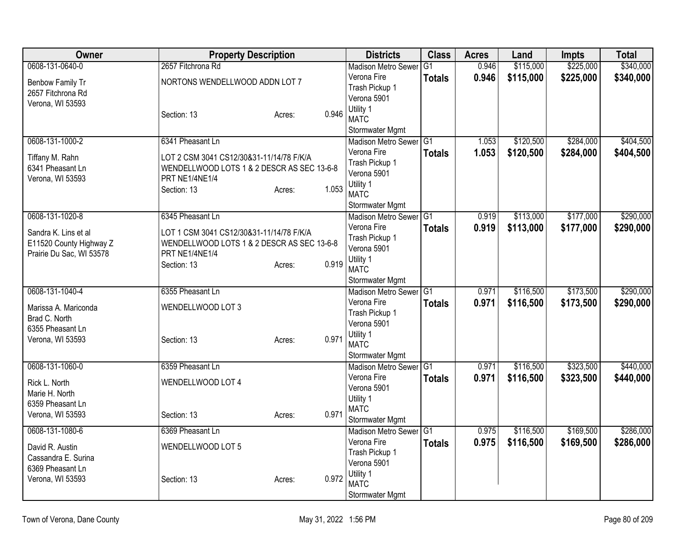| Owner                                                                       | <b>Property Description</b>                                                                              |                 | <b>Districts</b>                              | <b>Class</b>  | <b>Acres</b> | Land      | <b>Impts</b> | <b>Total</b> |
|-----------------------------------------------------------------------------|----------------------------------------------------------------------------------------------------------|-----------------|-----------------------------------------------|---------------|--------------|-----------|--------------|--------------|
| 0608-131-0640-0                                                             | 2657 Fitchrona Rd                                                                                        |                 | <b>Madison Metro Sewer</b>                    | lG1           | 0.946        | \$115,000 | \$225,000    | \$340,000    |
| Benbow Family Tr<br>2657 Fitchrona Rd<br>Verona, WI 53593                   | NORTONS WENDELLWOOD ADDN LOT 7                                                                           |                 | Verona Fire<br>Trash Pickup 1<br>Verona 5901  | <b>Totals</b> | 0.946        | \$115,000 | \$225,000    | \$340,000    |
|                                                                             | Section: 13                                                                                              | 0.946<br>Acres: | Utility 1<br><b>MATC</b>                      |               |              |           |              |              |
| 0608-131-1000-2                                                             | 6341 Pheasant Ln                                                                                         |                 | Stormwater Mgmt<br>Madison Metro Sewer G1     |               | 1.053        | \$120,500 | \$284,000    | \$404,500    |
|                                                                             |                                                                                                          |                 | Verona Fire                                   | <b>Totals</b> | 1.053        | \$120,500 | \$284,000    | \$404,500    |
| Tiffany M. Rahn<br>6341 Pheasant Ln<br>Verona, WI 53593                     | LOT 2 CSM 3041 CS12/30&31-11/14/78 F/K/A<br>WENDELLWOOD LOTS 1 & 2 DESCR AS SEC 13-6-8<br>PRT NE1/4NE1/4 |                 | Trash Pickup 1<br>Verona 5901                 |               |              |           |              |              |
|                                                                             | Section: 13                                                                                              | 1.053<br>Acres: | Utility 1<br><b>MATC</b>                      |               |              |           |              |              |
| 0608-131-1020-8                                                             | 6345 Pheasant Ln                                                                                         |                 | Stormwater Mgmt<br>Madison Metro Sewer G1     |               | 0.919        | \$113,000 | \$177,000    | \$290,000    |
|                                                                             |                                                                                                          |                 | Verona Fire                                   | <b>Totals</b> | 0.919        | \$113,000 | \$177,000    | \$290,000    |
| Sandra K. Lins et al<br>E11520 County Highway Z<br>Prairie Du Sac, WI 53578 | LOT 1 CSM 3041 CS12/30&31-11/14/78 F/K/A<br>WENDELLWOOD LOTS 1 & 2 DESCR AS SEC 13-6-8<br>PRT NE1/4NE1/4 |                 | Trash Pickup 1<br>Verona 5901                 |               |              |           |              |              |
|                                                                             | Section: 13                                                                                              | 0.919<br>Acres: | Utility 1<br><b>MATC</b>                      |               |              |           |              |              |
| 0608-131-1040-4                                                             | 6355 Pheasant Ln                                                                                         |                 | Stormwater Mgmt<br><b>Madison Metro Sewer</b> | IG1           | 0.971        | \$116,500 | \$173,500    | \$290,000    |
|                                                                             |                                                                                                          |                 | Verona Fire                                   | <b>Totals</b> | 0.971        | \$116,500 | \$173,500    | \$290,000    |
| Marissa A. Mariconda                                                        | WENDELLWOOD LOT 3                                                                                        |                 | Trash Pickup 1                                |               |              |           |              |              |
| Brad C. North                                                               |                                                                                                          |                 | Verona 5901                                   |               |              |           |              |              |
| 6355 Pheasant Ln<br>Verona, WI 53593                                        | Section: 13                                                                                              | 0.971<br>Acres: | Utility 1<br><b>MATC</b>                      |               |              |           |              |              |
|                                                                             |                                                                                                          |                 | Stormwater Mgmt                               |               |              |           |              |              |
| 0608-131-1060-0                                                             | 6359 Pheasant Ln                                                                                         |                 | Madison Metro Sewer<br>Verona Fire            | TG1           | 0.971        | \$116,500 | \$323,500    | \$440,000    |
| Rick L. North<br>Marie H. North                                             | WENDELLWOOD LOT 4                                                                                        |                 | Verona 5901                                   | <b>Totals</b> | 0.971        | \$116,500 | \$323,500    | \$440,000    |
| 6359 Pheasant Ln                                                            |                                                                                                          |                 | Utility 1<br><b>MATC</b>                      |               |              |           |              |              |
| Verona, WI 53593                                                            | Section: 13                                                                                              | 0.971<br>Acres: | Stormwater Mgmt                               |               |              |           |              |              |
| 0608-131-1080-6                                                             | 6369 Pheasant Ln                                                                                         |                 | Madison Metro Sewer G1                        |               | 0.975        | \$116,500 | \$169,500    | \$286,000    |
| David R. Austin                                                             | WENDELLWOOD LOT 5                                                                                        |                 | Verona Fire                                   | <b>Totals</b> | 0.975        | \$116,500 | \$169,500    | \$286,000    |
| Cassandra E. Surina                                                         |                                                                                                          |                 | Trash Pickup 1                                |               |              |           |              |              |
| 6369 Pheasant Ln                                                            |                                                                                                          |                 | Verona 5901<br>Utility 1                      |               |              |           |              |              |
| Verona, WI 53593                                                            | Section: 13                                                                                              | 0.972<br>Acres: | <b>MATC</b>                                   |               |              |           |              |              |
|                                                                             |                                                                                                          |                 | Stormwater Mgmt                               |               |              |           |              |              |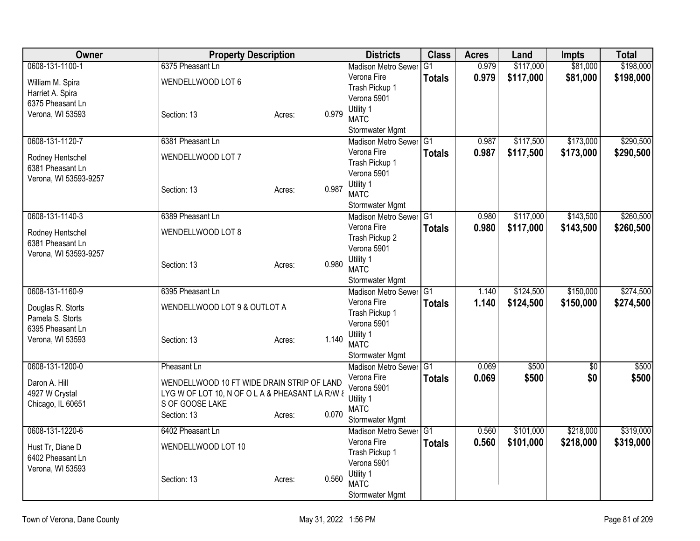| Owner                 | <b>Property Description</b>                     |                 | <b>Districts</b>                          | <b>Class</b>    | <b>Acres</b> | Land      | <b>Impts</b>    | <b>Total</b> |
|-----------------------|-------------------------------------------------|-----------------|-------------------------------------------|-----------------|--------------|-----------|-----------------|--------------|
| 0608-131-1100-1       | 6375 Pheasant Ln                                |                 | <b>Madison Metro Sewer</b>                | l G1            | 0.979        | \$117,000 | \$81,000        | \$198,000    |
| William M. Spira      | WENDELLWOOD LOT 6                               |                 | Verona Fire                               | <b>Totals</b>   | 0.979        | \$117,000 | \$81,000        | \$198,000    |
| Harriet A. Spira      |                                                 |                 | Trash Pickup 1                            |                 |              |           |                 |              |
| 6375 Pheasant Ln      |                                                 |                 | Verona 5901                               |                 |              |           |                 |              |
| Verona, WI 53593      | Section: 13                                     | 0.979<br>Acres: | Utility 1<br><b>MATC</b>                  |                 |              |           |                 |              |
|                       |                                                 |                 | Stormwater Mgmt                           |                 |              |           |                 |              |
| 0608-131-1120-7       | 6381 Pheasant Ln                                |                 | <b>Madison Metro Sewer</b>                | $\overline{G1}$ | 0.987        | \$117,500 | \$173,000       | \$290,500    |
| Rodney Hentschel      | WENDELLWOOD LOT 7                               |                 | Verona Fire                               | <b>Totals</b>   | 0.987        | \$117,500 | \$173,000       | \$290,500    |
| 6381 Pheasant Ln      |                                                 |                 | Trash Pickup 1                            |                 |              |           |                 |              |
| Verona, WI 53593-9257 |                                                 |                 | Verona 5901                               |                 |              |           |                 |              |
|                       | Section: 13                                     | 0.987<br>Acres: | Utility 1                                 |                 |              |           |                 |              |
|                       |                                                 |                 | <b>MATC</b>                               |                 |              |           |                 |              |
| 0608-131-1140-3       | 6389 Pheasant Ln                                |                 | Stormwater Mgmt<br>Madison Metro Sewer G1 |                 | 0.980        | \$117,000 | \$143,500       | \$260,500    |
|                       |                                                 |                 | Verona Fire                               |                 |              |           |                 |              |
| Rodney Hentschel      | WENDELLWOOD LOT 8                               |                 | Trash Pickup 2                            | <b>Totals</b>   | 0.980        | \$117,000 | \$143,500       | \$260,500    |
| 6381 Pheasant Ln      |                                                 |                 | Verona 5901                               |                 |              |           |                 |              |
| Verona, WI 53593-9257 |                                                 |                 | Utility 1                                 |                 |              |           |                 |              |
|                       | Section: 13                                     | 0.980<br>Acres: | <b>MATC</b>                               |                 |              |           |                 |              |
|                       |                                                 |                 | Stormwater Mgmt                           |                 |              |           |                 |              |
| 0608-131-1160-9       | 6395 Pheasant Ln                                |                 | Madison Metro Sewer G1                    |                 | 1.140        | \$124,500 | \$150,000       | \$274,500    |
| Douglas R. Storts     | WENDELLWOOD LOT 9 & OUTLOT A                    |                 | Verona Fire                               | <b>Totals</b>   | 1.140        | \$124,500 | \$150,000       | \$274,500    |
| Pamela S. Storts      |                                                 |                 | Trash Pickup 1                            |                 |              |           |                 |              |
| 6395 Pheasant Ln      |                                                 |                 | Verona 5901                               |                 |              |           |                 |              |
| Verona, WI 53593      | Section: 13                                     | 1.140<br>Acres: | Utility 1                                 |                 |              |           |                 |              |
|                       |                                                 |                 | <b>MATC</b>                               |                 |              |           |                 |              |
|                       |                                                 |                 | Stormwater Mgmt                           |                 |              |           |                 |              |
| 0608-131-1200-0       | Pheasant Ln                                     |                 | Madison Metro Sewer<br>Verona Fire        | TG1             | 0.069        | \$500     | $\overline{50}$ | \$500        |
| Daron A. Hill         | WENDELLWOOD 10 FT WIDE DRAIN STRIP OF LAND      |                 | Verona 5901                               | <b>Totals</b>   | 0.069        | \$500     | \$0             | \$500        |
| 4927 W Crystal        | LYG W OF LOT 10, N OF O L A & PHEASANT LA R/W & |                 | Utility 1                                 |                 |              |           |                 |              |
| Chicago, IL 60651     | S OF GOOSE LAKE                                 |                 | <b>MATC</b>                               |                 |              |           |                 |              |
|                       | Section: 13                                     | 0.070<br>Acres: | Stormwater Mgmt                           |                 |              |           |                 |              |
| 0608-131-1220-6       | 6402 Pheasant Ln                                |                 | Madison Metro Sewer G1                    |                 | 0.560        | \$101,000 | \$218,000       | \$319,000    |
|                       |                                                 |                 | Verona Fire                               | <b>Totals</b>   | 0.560        | \$101,000 | \$218,000       | \$319,000    |
| Hust Tr, Diane D      | WENDELLWOOD LOT 10                              |                 | Trash Pickup 1                            |                 |              |           |                 |              |
| 6402 Pheasant Ln      |                                                 |                 | Verona 5901                               |                 |              |           |                 |              |
| Verona, WI 53593      | Section: 13                                     | 0.560<br>Acres: | Utility 1                                 |                 |              |           |                 |              |
|                       |                                                 |                 | <b>MATC</b>                               |                 |              |           |                 |              |
|                       |                                                 |                 | Stormwater Mgmt                           |                 |              |           |                 |              |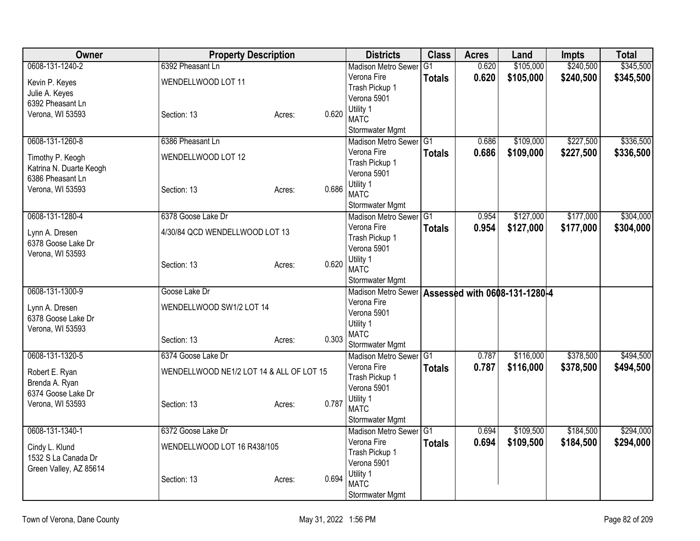| <b>Owner</b>            | <b>Property Description</b>              |                 | <b>Districts</b>                                  | <b>Class</b>    | <b>Acres</b> | Land      | <b>Impts</b> | <b>Total</b> |
|-------------------------|------------------------------------------|-----------------|---------------------------------------------------|-----------------|--------------|-----------|--------------|--------------|
| 0608-131-1240-2         | 6392 Pheasant Ln                         |                 | <b>Madison Metro Sewer</b>                        | IG <sub>1</sub> | 0.620        | \$105,000 | \$240,500    | \$345,500    |
| Kevin P. Keyes          | WENDELLWOOD LOT 11                       |                 | Verona Fire                                       | <b>Totals</b>   | 0.620        | \$105,000 | \$240,500    | \$345,500    |
| Julie A. Keyes          |                                          |                 | Trash Pickup 1                                    |                 |              |           |              |              |
| 6392 Pheasant Ln        |                                          |                 | Verona 5901                                       |                 |              |           |              |              |
| Verona, WI 53593        | Section: 13                              | 0.620<br>Acres: | Utility 1<br><b>MATC</b>                          |                 |              |           |              |              |
|                         |                                          |                 |                                                   |                 |              |           |              |              |
| 0608-131-1260-8         | 6386 Pheasant Ln                         |                 | Stormwater Mgmt<br>Madison Metro Sewer G1         |                 | 0.686        | \$109,000 | \$227,500    | \$336,500    |
|                         |                                          |                 | Verona Fire                                       | <b>Totals</b>   | 0.686        | \$109,000 | \$227,500    | \$336,500    |
| Timothy P. Keogh        | WENDELLWOOD LOT 12                       |                 | Trash Pickup 1                                    |                 |              |           |              |              |
| Katrina N. Duarte Keogh |                                          |                 | Verona 5901                                       |                 |              |           |              |              |
| 6386 Pheasant Ln        |                                          |                 | Utility 1                                         |                 |              |           |              |              |
| Verona, WI 53593        | Section: 13                              | 0.686<br>Acres: | <b>MATC</b>                                       |                 |              |           |              |              |
|                         |                                          |                 | Stormwater Mgmt                                   |                 |              |           |              |              |
| 0608-131-1280-4         | 6378 Goose Lake Dr                       |                 | Madison Metro Sewer G1                            |                 | 0.954        | \$127,000 | \$177,000    | \$304,000    |
| Lynn A. Dresen          | 4/30/84 QCD WENDELLWOOD LOT 13           |                 | Verona Fire                                       | <b>Totals</b>   | 0.954        | \$127,000 | \$177,000    | \$304,000    |
| 6378 Goose Lake Dr      |                                          |                 | Trash Pickup 1                                    |                 |              |           |              |              |
| Verona, WI 53593        |                                          |                 | Verona 5901                                       |                 |              |           |              |              |
|                         | Section: 13                              | 0.620<br>Acres: | Utility 1                                         |                 |              |           |              |              |
|                         |                                          |                 | <b>MATC</b>                                       |                 |              |           |              |              |
|                         |                                          |                 | Stormwater Mgmt                                   |                 |              |           |              |              |
| 0608-131-1300-9         | Goose Lake Dr                            |                 | Madison Metro Sewer Assessed with 0608-131-1280-4 |                 |              |           |              |              |
| Lynn A. Dresen          | WENDELLWOOD SW1/2 LOT 14                 |                 | Verona Fire<br>Verona 5901                        |                 |              |           |              |              |
| 6378 Goose Lake Dr      |                                          |                 | Utility 1                                         |                 |              |           |              |              |
| Verona, WI 53593        |                                          |                 | <b>MATC</b>                                       |                 |              |           |              |              |
|                         | Section: 13                              | 0.303<br>Acres: | Stormwater Mgmt                                   |                 |              |           |              |              |
| 0608-131-1320-5         | 6374 Goose Lake Dr                       |                 | Madison Metro Sewer G1                            |                 | 0.787        | \$116,000 | \$378,500    | \$494,500    |
|                         |                                          |                 | Verona Fire                                       | <b>Totals</b>   | 0.787        | \$116,000 | \$378,500    | \$494,500    |
| Robert E. Ryan          | WENDELLWOOD NE1/2 LOT 14 & ALL OF LOT 15 |                 | Trash Pickup 1                                    |                 |              |           |              |              |
| Brenda A. Ryan          |                                          |                 | Verona 5901                                       |                 |              |           |              |              |
| 6374 Goose Lake Dr      |                                          | 0.787           | Utility 1                                         |                 |              |           |              |              |
| Verona, WI 53593        | Section: 13                              | Acres:          | <b>MATC</b>                                       |                 |              |           |              |              |
|                         |                                          |                 | Stormwater Mgmt                                   |                 |              |           |              |              |
| 0608-131-1340-1         | 6372 Goose Lake Dr                       |                 | Madison Metro Sewer G1                            |                 | 0.694        | \$109,500 | \$184,500    | \$294,000    |
| Cindy L. Klund          | WENDELLWOOD LOT 16 R438/105              |                 | Verona Fire                                       | <b>Totals</b>   | 0.694        | \$109,500 | \$184,500    | \$294,000    |
| 1532 S La Canada Dr     |                                          |                 | Trash Pickup 1                                    |                 |              |           |              |              |
| Green Valley, AZ 85614  |                                          |                 | Verona 5901                                       |                 |              |           |              |              |
|                         | Section: 13                              | 0.694<br>Acres: | Utility 1                                         |                 |              |           |              |              |
|                         |                                          |                 | <b>MATC</b>                                       |                 |              |           |              |              |
|                         |                                          |                 | Stormwater Mgmt                                   |                 |              |           |              |              |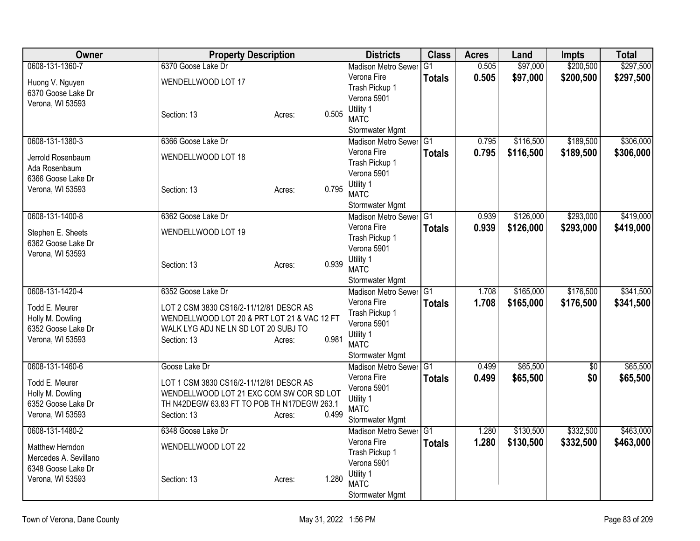| <b>Owner</b>                             | <b>Property Description</b>                 |        |       | <b>Districts</b>                             | <b>Class</b>   | <b>Acres</b> | Land      | <b>Impts</b>    | <b>Total</b> |
|------------------------------------------|---------------------------------------------|--------|-------|----------------------------------------------|----------------|--------------|-----------|-----------------|--------------|
| 0608-131-1360-7                          | 6370 Goose Lake Dr                          |        |       | <b>Madison Metro Sewer</b>                   | G1             | 0.505        | \$97,000  | \$200,500       | \$297,500    |
| Huong V. Nguyen<br>6370 Goose Lake Dr    | WENDELLWOOD LOT 17                          |        |       | Verona Fire<br>Trash Pickup 1<br>Verona 5901 | <b>Totals</b>  | 0.505        | \$97,000  | \$200,500       | \$297,500    |
| Verona, WI 53593                         | Section: 13                                 | Acres: | 0.505 | Utility 1<br><b>MATC</b><br>Stormwater Mgmt  |                |              |           |                 |              |
| 0608-131-1380-3                          | 6366 Goose Lake Dr                          |        |       | <b>Madison Metro Sewer</b>                   | IG1            | 0.795        | \$116,500 | \$189,500       | \$306,000    |
|                                          |                                             |        |       | Verona Fire                                  | <b>Totals</b>  | 0.795        | \$116,500 | \$189,500       | \$306,000    |
| Jerrold Rosenbaum<br>Ada Rosenbaum       | WENDELLWOOD LOT 18                          |        |       | Trash Pickup 1<br>Verona 5901                |                |              |           |                 |              |
| 6366 Goose Lake Dr<br>Verona, WI 53593   | Section: 13                                 | Acres: | 0.795 | Utility 1<br><b>MATC</b>                     |                |              |           |                 |              |
|                                          |                                             |        |       | Stormwater Mgmt                              |                |              |           |                 |              |
| 0608-131-1400-8                          | 6362 Goose Lake Dr                          |        |       | Madison Metro Sewer G1                       |                | 0.939        | \$126,000 | \$293,000       | \$419,000    |
| Stephen E. Sheets<br>6362 Goose Lake Dr  | WENDELLWOOD LOT 19                          |        |       | Verona Fire<br>Trash Pickup 1<br>Verona 5901 | <b>Totals</b>  | 0.939        | \$126,000 | \$293,000       | \$419,000    |
| Verona, WI 53593                         | Section: 13                                 | Acres: | 0.939 | Utility 1<br><b>MATC</b>                     |                |              |           |                 |              |
|                                          |                                             |        |       | Stormwater Mgmt                              |                |              |           |                 |              |
| 0608-131-1420-4                          | 6352 Goose Lake Dr                          |        |       | <b>Madison Metro Sewer</b><br>Verona Fire    | G <sub>1</sub> | 1.708        | \$165,000 | \$176,500       | \$341,500    |
| Todd E. Meurer                           | LOT 2 CSM 3830 CS16/2-11/12/81 DESCR AS     |        |       | Trash Pickup 1                               | <b>Totals</b>  | 1.708        | \$165,000 | \$176,500       | \$341,500    |
| Holly M. Dowling                         | WENDELLWOOD LOT 20 & PRT LOT 21 & VAC 12 FT |        |       | Verona 5901                                  |                |              |           |                 |              |
| 6352 Goose Lake Dr                       | WALK LYG ADJ NE LN SD LOT 20 SUBJ TO        |        |       | Utility 1                                    |                |              |           |                 |              |
| Verona, WI 53593                         | Section: 13                                 | Acres: | 0.981 | <b>MATC</b>                                  |                |              |           |                 |              |
|                                          |                                             |        |       | Stormwater Mgmt                              |                |              |           |                 |              |
| 0608-131-1460-6                          | Goose Lake Dr                               |        |       | Madison Metro Sewer G1                       |                | 0.499        | \$65,500  | $\overline{50}$ | \$65,500     |
| Todd E. Meurer                           | LOT 1 CSM 3830 CS16/2-11/12/81 DESCR AS     |        |       | Verona Fire                                  | <b>Totals</b>  | 0.499        | \$65,500  | \$0             | \$65,500     |
| Holly M. Dowling                         | WENDELLWOOD LOT 21 EXC COM SW COR SD LOT    |        |       | Verona 5901                                  |                |              |           |                 |              |
| 6352 Goose Lake Dr                       | TH N42DEGW 63.83 FT TO POB TH N17DEGW 263.1 |        |       | Utility 1<br><b>MATC</b>                     |                |              |           |                 |              |
| Verona, WI 53593                         | Section: 13                                 | Acres: | 0.499 | Stormwater Mgmt                              |                |              |           |                 |              |
| 0608-131-1480-2                          | 6348 Goose Lake Dr                          |        |       | Madison Metro Sewer                          | IG1            | 1.280        | \$130,500 | \$332,500       | \$463,000    |
|                                          |                                             |        |       | Verona Fire                                  | <b>Totals</b>  | 1.280        | \$130,500 | \$332,500       | \$463,000    |
| Matthew Herndon<br>Mercedes A. Sevillano | WENDELLWOOD LOT 22                          |        |       | Trash Pickup 1                               |                |              |           |                 |              |
| 6348 Goose Lake Dr                       |                                             |        |       | Verona 5901                                  |                |              |           |                 |              |
| Verona, WI 53593                         | Section: 13                                 | Acres: | 1.280 | Utility 1                                    |                |              |           |                 |              |
|                                          |                                             |        |       | <b>MATC</b><br>Stormwater Mgmt               |                |              |           |                 |              |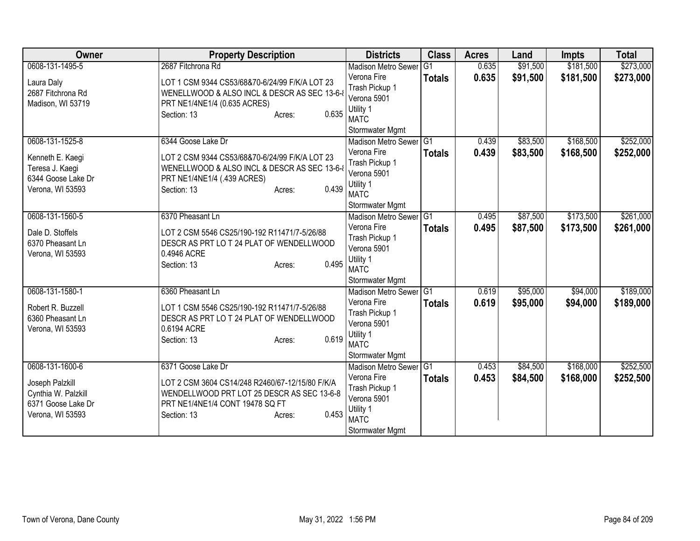| Owner                                 | <b>Property Description</b>                             | <b>Districts</b>                              | <b>Class</b>    | <b>Acres</b> | Land     | <b>Impts</b> | <b>Total</b> |
|---------------------------------------|---------------------------------------------------------|-----------------------------------------------|-----------------|--------------|----------|--------------|--------------|
| 0608-131-1495-5                       | 2687 Fitchrona Rd                                       | <b>Madison Metro Sewer</b>                    | $\overline{G1}$ | 0.635        | \$91,500 | \$181,500    | \$273,000    |
| Laura Daly                            | LOT 1 CSM 9344 CS53/68&70-6/24/99 F/K/A LOT 23          | Verona Fire                                   | <b>Totals</b>   | 0.635        | \$91,500 | \$181,500    | \$273,000    |
| 2687 Fitchrona Rd                     | WENELLWOOD & ALSO INCL & DESCR AS SEC 13-6-             | Trash Pickup 1                                |                 |              |          |              |              |
| Madison, WI 53719                     | PRT NE1/4NE1/4 (0.635 ACRES)                            | Verona 5901                                   |                 |              |          |              |              |
|                                       | 0.635<br>Section: 13<br>Acres:                          | Utility 1                                     |                 |              |          |              |              |
|                                       |                                                         | <b>MATC</b>                                   |                 |              |          |              |              |
|                                       |                                                         | Stormwater Mgmt                               |                 |              |          |              |              |
| 0608-131-1525-8                       | 6344 Goose Lake Dr                                      | Madison Metro Sewer G1                        |                 | 0.439        | \$83,500 | \$168,500    | \$252,000    |
| Kenneth E. Kaegi                      | LOT 2 CSM 9344 CS53/68&70-6/24/99 F/K/A LOT 23          | Verona Fire                                   | <b>Totals</b>   | 0.439        | \$83,500 | \$168,500    | \$252,000    |
| Teresa J. Kaegi                       | WENELLWOOD & ALSO INCL & DESCR AS SEC 13-6-             | Trash Pickup 1                                |                 |              |          |              |              |
| 6344 Goose Lake Dr                    | PRT NE1/4NE1/4 (.439 ACRES)                             | Verona 5901                                   |                 |              |          |              |              |
| Verona, WI 53593                      | 0.439<br>Section: 13<br>Acres:                          | Utility 1<br><b>MATC</b>                      |                 |              |          |              |              |
|                                       |                                                         |                                               |                 |              |          |              |              |
| 0608-131-1560-5                       | 6370 Pheasant Ln                                        | Stormwater Mgmt<br><b>Madison Metro Sewer</b> | TG1             | 0.495        | \$87,500 | \$173,500    | \$261,000    |
|                                       |                                                         | Verona Fire                                   |                 |              |          |              |              |
| Dale D. Stoffels                      | LOT 2 CSM 5546 CS25/190-192 R11471/7-5/26/88            | Trash Pickup 1                                | <b>Totals</b>   | 0.495        | \$87,500 | \$173,500    | \$261,000    |
| 6370 Pheasant Ln                      | DESCR AS PRT LO T 24 PLAT OF WENDELLWOOD                | Verona 5901                                   |                 |              |          |              |              |
| Verona, WI 53593                      | 0.4946 ACRE                                             | Utility 1                                     |                 |              |          |              |              |
|                                       | 0.495<br>Section: 13<br>Acres:                          | <b>MATC</b>                                   |                 |              |          |              |              |
|                                       |                                                         | Stormwater Mgmt                               |                 |              |          |              |              |
| 0608-131-1580-1                       | 6360 Pheasant Ln                                        | Madison Metro Sewer G1                        |                 | 0.619        | \$95,000 | \$94,000     | \$189,000    |
|                                       |                                                         | Verona Fire                                   | <b>Totals</b>   | 0.619        | \$95,000 | \$94,000     | \$189,000    |
| Robert R. Buzzell<br>6360 Pheasant Ln | LOT 1 CSM 5546 CS25/190-192 R11471/7-5/26/88            | Trash Pickup 1                                |                 |              |          |              |              |
| Verona, WI 53593                      | DESCR AS PRT LO T 24 PLAT OF WENDELLWOOD<br>0.6194 ACRE | Verona 5901                                   |                 |              |          |              |              |
|                                       | 0.619<br>Section: 13<br>Acres:                          | Utility 1                                     |                 |              |          |              |              |
|                                       |                                                         | <b>MATC</b>                                   |                 |              |          |              |              |
|                                       |                                                         | Stormwater Mgmt                               |                 |              |          |              |              |
| 0608-131-1600-6                       | 6371 Goose Lake Dr                                      | Madison Metro Sewer G1                        |                 | 0.453        | \$84,500 | \$168,000    | \$252,500    |
| Joseph Palzkill                       | LOT 2 CSM 3604 CS14/248 R2460/67-12/15/80 F/K/A         | Verona Fire                                   | <b>Totals</b>   | 0.453        | \$84,500 | \$168,000    | \$252,500    |
| Cynthia W. Palzkill                   | WENDELLWOOD PRT LOT 25 DESCR AS SEC 13-6-8              | Trash Pickup 1                                |                 |              |          |              |              |
| 6371 Goose Lake Dr                    | PRT NE1/4NE1/4 CONT 19478 SQ FT                         | Verona 5901                                   |                 |              |          |              |              |
| Verona, WI 53593                      | 0.453<br>Section: 13<br>Acres:                          | Utility 1                                     |                 |              |          |              |              |
|                                       |                                                         | <b>MATC</b>                                   |                 |              |          |              |              |
|                                       |                                                         | Stormwater Mgmt                               |                 |              |          |              |              |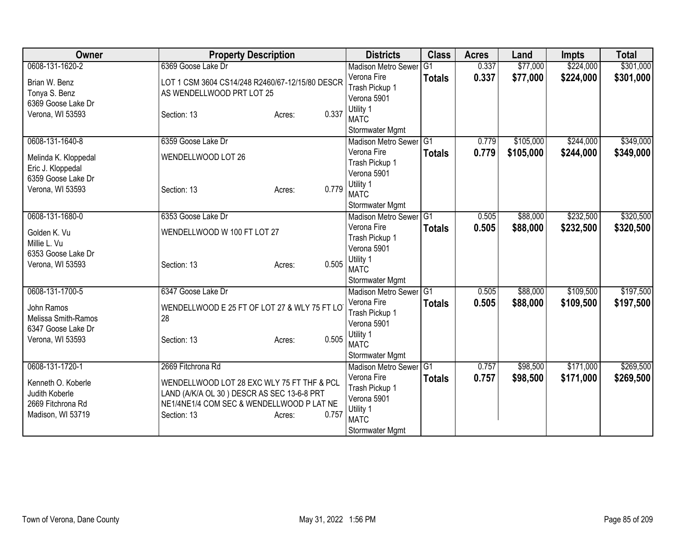| Owner                                | <b>Property Description</b>                                                             |                 | <b>Districts</b>                              | <b>Class</b>   | <b>Acres</b> | Land      | <b>Impts</b> | <b>Total</b> |
|--------------------------------------|-----------------------------------------------------------------------------------------|-----------------|-----------------------------------------------|----------------|--------------|-----------|--------------|--------------|
| 0608-131-1620-2                      | 6369 Goose Lake Dr                                                                      |                 | <b>Madison Metro Sewer</b>                    | G <sub>1</sub> | 0.337        | \$77,000  | \$224,000    | \$301,000    |
| Brian W. Benz                        | LOT 1 CSM 3604 CS14/248 R2460/67-12/15/80 DESCR                                         |                 | Verona Fire                                   | <b>Totals</b>  | 0.337        | \$77,000  | \$224,000    | \$301,000    |
| Tonya S. Benz                        | AS WENDELLWOOD PRT LOT 25                                                               |                 | Trash Pickup 1                                |                |              |           |              |              |
| 6369 Goose Lake Dr                   |                                                                                         |                 | Verona 5901                                   |                |              |           |              |              |
| Verona, WI 53593                     | Section: 13                                                                             | 0.337<br>Acres: | Utility 1                                     |                |              |           |              |              |
|                                      |                                                                                         |                 | <b>MATC</b>                                   |                |              |           |              |              |
| 0608-131-1640-8                      | 6359 Goose Lake Dr                                                                      |                 | Stormwater Mgmt<br><b>Madison Metro Sewer</b> | IG1            | 0.779        | \$105,000 | \$244,000    | \$349,000    |
|                                      |                                                                                         |                 | Verona Fire                                   | <b>Totals</b>  | 0.779        | \$105,000 | \$244,000    | \$349,000    |
| Melinda K. Kloppedal                 | WENDELLWOOD LOT 26                                                                      |                 | Trash Pickup 1                                |                |              |           |              |              |
| Eric J. Kloppedal                    |                                                                                         |                 | Verona 5901                                   |                |              |           |              |              |
| 6359 Goose Lake Dr                   |                                                                                         |                 | Utility 1                                     |                |              |           |              |              |
| Verona, WI 53593                     | Section: 13                                                                             | 0.779<br>Acres: | <b>MATC</b>                                   |                |              |           |              |              |
|                                      |                                                                                         |                 | Stormwater Mgmt                               |                |              |           |              |              |
| 0608-131-1680-0                      | 6353 Goose Lake Dr                                                                      |                 | <b>Madison Metro Sewer</b>                    | TG1            | 0.505        | \$88,000  | \$232,500    | \$320,500    |
| Golden K. Vu                         | WENDELLWOOD W 100 FT LOT 27                                                             |                 | Verona Fire                                   | <b>Totals</b>  | 0.505        | \$88,000  | \$232,500    | \$320,500    |
| Millie L. Vu                         |                                                                                         |                 | Trash Pickup 1                                |                |              |           |              |              |
| 6353 Goose Lake Dr                   |                                                                                         |                 | Verona 5901                                   |                |              |           |              |              |
| Verona, WI 53593                     | Section: 13                                                                             | 0.505<br>Acres: | Utility 1                                     |                |              |           |              |              |
|                                      |                                                                                         |                 | <b>MATC</b>                                   |                |              |           |              |              |
|                                      |                                                                                         |                 | Stormwater Mgmt                               |                |              |           |              |              |
| 0608-131-1700-5                      | 6347 Goose Lake Dr                                                                      |                 | Madison Metro Sewer G1                        |                | 0.505        | \$88,000  | \$109,500    | \$197,500    |
| John Ramos                           | WENDELLWOOD E 25 FT OF LOT 27 & WLY 75 FT LO                                            |                 | Verona Fire                                   | <b>Totals</b>  | 0.505        | \$88,000  | \$109,500    | \$197,500    |
| Melissa Smith-Ramos                  | 28                                                                                      |                 | Trash Pickup 1<br>Verona 5901                 |                |              |           |              |              |
| 6347 Goose Lake Dr                   |                                                                                         |                 | Utility 1                                     |                |              |           |              |              |
| Verona, WI 53593                     | Section: 13                                                                             | 0.505<br>Acres: | <b>MATC</b>                                   |                |              |           |              |              |
|                                      |                                                                                         |                 | Stormwater Mgmt                               |                |              |           |              |              |
| 0608-131-1720-1                      | 2669 Fitchrona Rd                                                                       |                 | <b>Madison Metro Sewer</b>                    | G1             | 0.757        | \$98,500  | \$171,000    | \$269,500    |
|                                      |                                                                                         |                 | Verona Fire                                   | <b>Totals</b>  | 0.757        | \$98,500  | \$171,000    | \$269,500    |
| Kenneth O. Koberle<br>Judith Koberle | WENDELLWOOD LOT 28 EXC WLY 75 FT THF & PCL                                              |                 | Trash Pickup 1                                |                |              |           |              |              |
| 2669 Fitchrona Rd                    | LAND (A/K/A OL 30) DESCR AS SEC 13-6-8 PRT<br>NE1/4NE1/4 COM SEC & WENDELLWOOD P LAT NE |                 | Verona 5901                                   |                |              |           |              |              |
| Madison, WI 53719                    | Section: 13                                                                             | 0.757<br>Acres: | Utility 1                                     |                |              |           |              |              |
|                                      |                                                                                         |                 | <b>MATC</b>                                   |                |              |           |              |              |
|                                      |                                                                                         |                 | Stormwater Mgmt                               |                |              |           |              |              |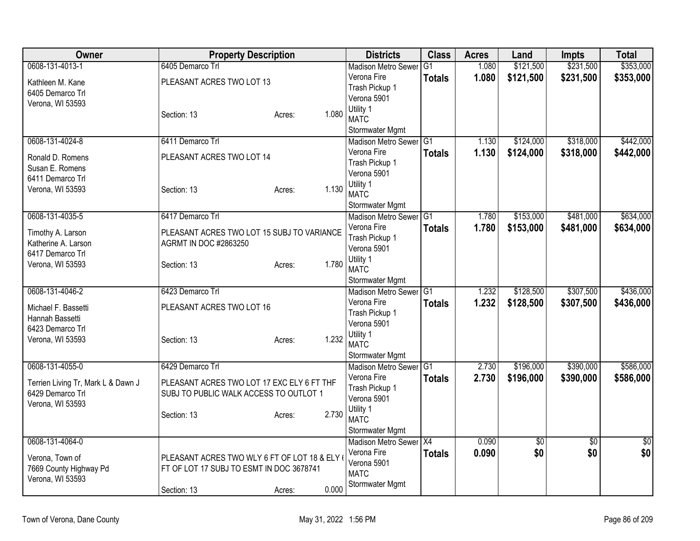| <b>Owner</b>                                                               | <b>Property Description</b>                                                             |                 | <b>Districts</b>                             | <b>Class</b>    | <b>Acres</b> | Land      | <b>Impts</b>    | <b>Total</b> |
|----------------------------------------------------------------------------|-----------------------------------------------------------------------------------------|-----------------|----------------------------------------------|-----------------|--------------|-----------|-----------------|--------------|
| 0608-131-4013-1                                                            | 6405 Demarco Trl                                                                        |                 | <b>Madison Metro Sewer</b>                   | $\overline{G1}$ | 1.080        | \$121,500 | \$231,500       | \$353,000    |
| Kathleen M. Kane<br>6405 Demarco Trl<br>Verona, WI 53593                   | PLEASANT ACRES TWO LOT 13                                                               |                 | Verona Fire<br>Trash Pickup 1<br>Verona 5901 | <b>Totals</b>   | 1.080        | \$121,500 | \$231,500       | \$353,000    |
|                                                                            | Section: 13                                                                             | 1.080<br>Acres: | Utility 1<br><b>MATC</b><br>Stormwater Mgmt  |                 |              |           |                 |              |
| 0608-131-4024-8                                                            | 6411 Demarco Trl                                                                        |                 | Madison Metro Sewer                          | $\overline{G1}$ | 1.130        | \$124,000 | \$318,000       | \$442,000    |
| Ronald D. Romens<br>Susan E. Romens<br>6411 Demarco Trl                    | PLEASANT ACRES TWO LOT 14                                                               |                 | Verona Fire<br>Trash Pickup 1<br>Verona 5901 | <b>Totals</b>   | 1.130        | \$124,000 | \$318,000       | \$442,000    |
| Verona, WI 53593                                                           | Section: 13                                                                             | 1.130<br>Acres: | Utility 1<br><b>MATC</b><br>Stormwater Mgmt  |                 |              |           |                 |              |
| 0608-131-4035-5                                                            | 6417 Demarco Trl                                                                        |                 | Madison Metro Sewer G1                       |                 | 1.780        | \$153,000 | \$481,000       | \$634,000    |
| Timothy A. Larson<br>Katherine A. Larson<br>6417 Demarco Trl               | PLEASANT ACRES TWO LOT 15 SUBJ TO VARIANCE<br><b>AGRMT IN DOC #2863250</b>              |                 | Verona Fire<br>Trash Pickup 1<br>Verona 5901 | <b>Totals</b>   | 1.780        | \$153,000 | \$481,000       | \$634,000    |
| Verona, WI 53593                                                           | Section: 13                                                                             | 1.780<br>Acres: | Utility 1<br><b>MATC</b><br>Stormwater Mgmt  |                 |              |           |                 |              |
| 0608-131-4046-2                                                            | 6423 Demarco Trl                                                                        |                 | Madison Metro Sewer G1                       |                 | 1.232        | \$128,500 | \$307,500       | \$436,000    |
| Michael F. Bassetti<br>Hannah Bassetti<br>6423 Demarco Trl                 | PLEASANT ACRES TWO LOT 16                                                               |                 | Verona Fire<br>Trash Pickup 1<br>Verona 5901 | Totals          | 1.232        | \$128,500 | \$307,500       | \$436,000    |
| Verona, WI 53593                                                           | Section: 13                                                                             | 1.232<br>Acres: | Utility 1<br><b>MATC</b><br>Stormwater Mgmt  |                 |              |           |                 |              |
| 0608-131-4055-0                                                            | 6429 Demarco Trl                                                                        |                 | Madison Metro Sewer G1                       |                 | 2.730        | \$196,000 | \$390,000       | \$586,000    |
| Terrien Living Tr, Mark L & Dawn J<br>6429 Demarco Trl<br>Verona, WI 53593 | PLEASANT ACRES TWO LOT 17 EXC ELY 6 FT THF<br>SUBJ TO PUBLIC WALK ACCESS TO OUTLOT 1    |                 | Verona Fire<br>Trash Pickup 1<br>Verona 5901 | <b>Totals</b>   | 2.730        | \$196,000 | \$390,000       | \$586,000    |
|                                                                            | Section: 13                                                                             | 2.730<br>Acres: | Utility 1<br><b>MATC</b><br>Stormwater Mgmt  |                 |              |           |                 |              |
| 0608-131-4064-0                                                            |                                                                                         |                 | Madison Metro Sewer X4                       |                 | 0.090        | \$0       | $\overline{50}$ | \$0          |
| Verona, Town of<br>7669 County Highway Pd<br>Verona, WI 53593              | PLEASANT ACRES TWO WLY 6 FT OF LOT 18 & ELY<br>FT OF LOT 17 SUBJ TO ESMT IN DOC 3678741 |                 | Verona Fire<br>Verona 5901<br><b>MATC</b>    | <b>Totals</b>   | 0.090        | \$0       | \$0             | \$0          |
|                                                                            | Section: 13                                                                             | 0.000<br>Acres: | Stormwater Mgmt                              |                 |              |           |                 |              |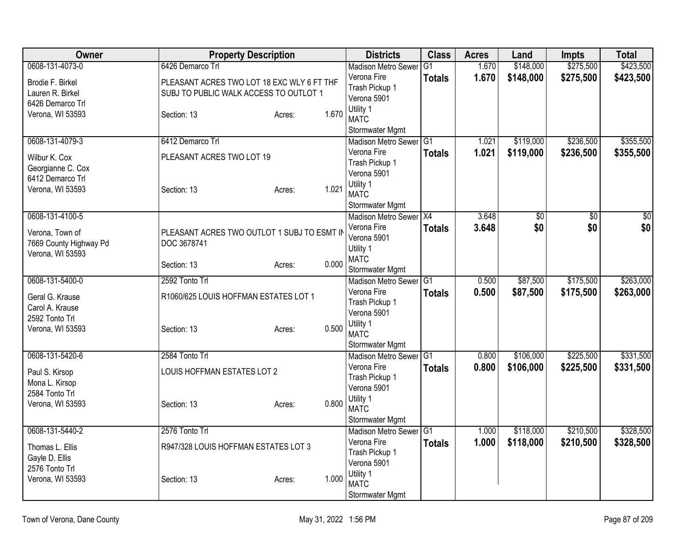| <b>Owner</b>                         | <b>Property Description</b>                                                          |        |       | <b>Districts</b>               | <b>Class</b>  | <b>Acres</b> | Land            | <b>Impts</b>    | <b>Total</b>    |
|--------------------------------------|--------------------------------------------------------------------------------------|--------|-------|--------------------------------|---------------|--------------|-----------------|-----------------|-----------------|
| 0608-131-4073-0                      | 6426 Demarco Trl                                                                     |        |       | <b>Madison Metro Sewer</b>     | G1            | 1.670        | \$148,000       | \$275,500       | \$423,500       |
| Brodie F. Birkel<br>Lauren R. Birkel | PLEASANT ACRES TWO LOT 18 EXC WLY 6 FT THF<br>SUBJ TO PUBLIC WALK ACCESS TO OUTLOT 1 |        |       | Verona Fire<br>Trash Pickup 1  | <b>Totals</b> | 1.670        | \$148,000       | \$275,500       | \$423,500       |
| 6426 Demarco Trl                     |                                                                                      |        |       | Verona 5901                    |               |              |                 |                 |                 |
| Verona, WI 53593                     | Section: 13                                                                          | Acres: | 1.670 | Utility 1<br><b>MATC</b>       |               |              |                 |                 |                 |
|                                      |                                                                                      |        |       | Stormwater Mgmt                |               |              |                 |                 |                 |
| 0608-131-4079-3                      | 6412 Demarco Trl                                                                     |        |       | Madison Metro Sewer G1         |               | 1.021        | \$119,000       | \$236,500       | \$355,500       |
| Wilbur K. Cox<br>Georgianne C. Cox   | PLEASANT ACRES TWO LOT 19                                                            |        |       | Verona Fire<br>Trash Pickup 1  | <b>Totals</b> | 1.021        | \$119,000       | \$236,500       | \$355,500       |
| 6412 Demarco Trl                     |                                                                                      |        |       | Verona 5901                    |               |              |                 |                 |                 |
| Verona, WI 53593                     | Section: 13                                                                          | Acres: | 1.021 | Utility 1<br><b>MATC</b>       |               |              |                 |                 |                 |
|                                      |                                                                                      |        |       | Stormwater Mgmt                |               |              |                 |                 |                 |
| 0608-131-4100-5                      |                                                                                      |        |       | Madison Metro Sewer X4         |               | 3.648        | $\overline{60}$ | $\overline{50}$ | $\overline{50}$ |
| Verona, Town of                      | PLEASANT ACRES TWO OUTLOT 1 SUBJ TO ESMT IN                                          |        |       | Verona Fire<br>Verona 5901     | <b>Totals</b> | 3.648        | \$0             | \$0             | \$0             |
| 7669 County Highway Pd               | DOC 3678741                                                                          |        |       | Utility 1                      |               |              |                 |                 |                 |
| Verona, WI 53593                     |                                                                                      |        |       | <b>MATC</b>                    |               |              |                 |                 |                 |
|                                      | Section: 13                                                                          | Acres: | 0.000 | Stormwater Mgmt                |               |              |                 |                 |                 |
| 0608-131-5400-0                      | 2592 Tonto Trl                                                                       |        |       | <b>Madison Metro Sewer</b>     | IG1           | 0.500        | \$87,500        | \$175,500       | \$263,000       |
| Geral G. Krause                      | R1060/625 LOUIS HOFFMAN ESTATES LOT 1                                                |        |       | Verona Fire                    | Totals        | 0.500        | \$87,500        | \$175,500       | \$263,000       |
| Carol A. Krause                      |                                                                                      |        |       | Trash Pickup 1                 |               |              |                 |                 |                 |
| 2592 Tonto Trl                       |                                                                                      |        |       | Verona 5901                    |               |              |                 |                 |                 |
| Verona, WI 53593                     | Section: 13                                                                          | Acres: | 0.500 | Utility 1                      |               |              |                 |                 |                 |
|                                      |                                                                                      |        |       | <b>MATC</b><br>Stormwater Mgmt |               |              |                 |                 |                 |
| 0608-131-5420-6                      | 2584 Tonto Trl                                                                       |        |       | Madison Metro Sewer G1         |               | 0.800        | \$106,000       | \$225,500       | \$331,500       |
|                                      |                                                                                      |        |       | Verona Fire                    | <b>Totals</b> | 0.800        | \$106,000       | \$225,500       | \$331,500       |
| Paul S. Kirsop                       | LOUIS HOFFMAN ESTATES LOT 2                                                          |        |       | Trash Pickup 1                 |               |              |                 |                 |                 |
| Mona L. Kirsop                       |                                                                                      |        |       | Verona 5901                    |               |              |                 |                 |                 |
| 2584 Tonto Trl<br>Verona, WI 53593   |                                                                                      |        | 0.800 | Utility 1                      |               |              |                 |                 |                 |
|                                      | Section: 13                                                                          | Acres: |       | <b>MATC</b>                    |               |              |                 |                 |                 |
|                                      |                                                                                      |        |       | Stormwater Mgmt                |               |              |                 |                 |                 |
| 0608-131-5440-2                      | 2576 Tonto Trl                                                                       |        |       | Madison Metro Sewer G1         |               | 1.000        | \$118,000       | \$210,500       | \$328,500       |
| Thomas L. Ellis                      | R947/328 LOUIS HOFFMAN ESTATES LOT 3                                                 |        |       | Verona Fire                    | <b>Totals</b> | 1.000        | \$118,000       | \$210,500       | \$328,500       |
| Gayle D. Ellis                       |                                                                                      |        |       | Trash Pickup 1                 |               |              |                 |                 |                 |
| 2576 Tonto Trl                       |                                                                                      |        |       | Verona 5901<br>Utility 1       |               |              |                 |                 |                 |
| Verona, WI 53593                     | Section: 13                                                                          | Acres: | 1.000 | <b>MATC</b>                    |               |              |                 |                 |                 |
|                                      |                                                                                      |        |       | Stormwater Mgmt                |               |              |                 |                 |                 |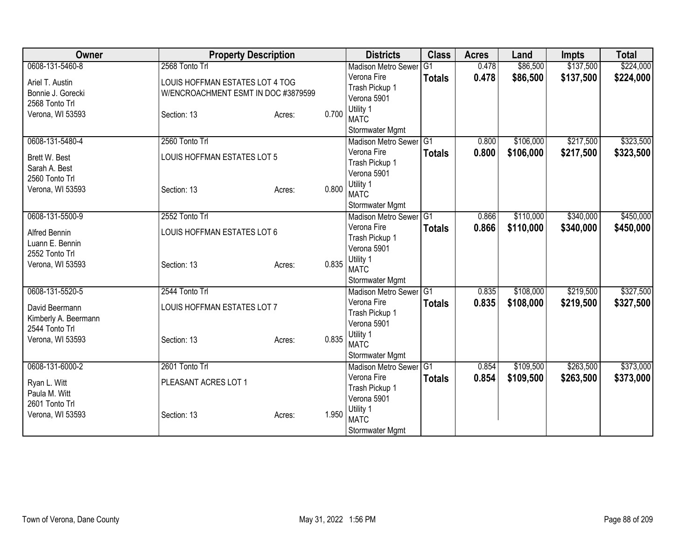| Owner                | <b>Property Description</b>         |        |       | <b>Districts</b>           | <b>Class</b>   | <b>Acres</b> | Land      | <b>Impts</b> | <b>Total</b> |
|----------------------|-------------------------------------|--------|-------|----------------------------|----------------|--------------|-----------|--------------|--------------|
| 0608-131-5460-8      | 2568 Tonto Trl                      |        |       | <b>Madison Metro Sewer</b> | G <sub>1</sub> | 0.478        | \$86,500  | \$137,500    | \$224,000    |
| Ariel T. Austin      | LOUIS HOFFMAN ESTATES LOT 4 TOG     |        |       | Verona Fire                | <b>Totals</b>  | 0.478        | \$86,500  | \$137,500    | \$224,000    |
| Bonnie J. Gorecki    | W/ENCROACHMENT ESMT IN DOC #3879599 |        |       | Trash Pickup 1             |                |              |           |              |              |
| 2568 Tonto Trl       |                                     |        |       | Verona 5901                |                |              |           |              |              |
| Verona, WI 53593     | Section: 13                         | Acres: | 0.700 | Utility 1                  |                |              |           |              |              |
|                      |                                     |        |       | <b>MATC</b>                |                |              |           |              |              |
|                      |                                     |        |       | Stormwater Mgmt            |                |              |           |              |              |
| 0608-131-5480-4      | 2560 Tonto Trl                      |        |       | Madison Metro Sewer G1     |                | 0.800        | \$106,000 | \$217,500    | \$323,500    |
| Brett W. Best        | LOUIS HOFFMAN ESTATES LOT 5         |        |       | Verona Fire                | <b>Totals</b>  | 0.800        | \$106,000 | \$217,500    | \$323,500    |
| Sarah A. Best        |                                     |        |       | Trash Pickup 1             |                |              |           |              |              |
| 2560 Tonto Trl       |                                     |        |       | Verona 5901                |                |              |           |              |              |
| Verona, WI 53593     | Section: 13                         | Acres: | 0.800 | Utility 1<br><b>MATC</b>   |                |              |           |              |              |
|                      |                                     |        |       | Stormwater Mgmt            |                |              |           |              |              |
| 0608-131-5500-9      | 2552 Tonto Trl                      |        |       | Madison Metro Sewer G1     |                | 0.866        | \$110,000 | \$340,000    | \$450,000    |
|                      |                                     |        |       | Verona Fire                | <b>Totals</b>  | 0.866        | \$110,000 | \$340,000    | \$450,000    |
| Alfred Bennin        | LOUIS HOFFMAN ESTATES LOT 6         |        |       | Trash Pickup 1             |                |              |           |              |              |
| Luann E. Bennin      |                                     |        |       | Verona 5901                |                |              |           |              |              |
| 2552 Tonto Trl       |                                     |        |       | Utility 1                  |                |              |           |              |              |
| Verona, WI 53593     | Section: 13                         | Acres: | 0.835 | <b>MATC</b>                |                |              |           |              |              |
|                      |                                     |        |       | Stormwater Mgmt            |                |              |           |              |              |
| 0608-131-5520-5      | 2544 Tonto Trl                      |        |       | Madison Metro Sewer G1     |                | 0.835        | \$108,000 | \$219,500    | \$327,500    |
| David Beermann       | LOUIS HOFFMAN ESTATES LOT 7         |        |       | Verona Fire                | <b>Totals</b>  | 0.835        | \$108,000 | \$219,500    | \$327,500    |
| Kimberly A. Beermann |                                     |        |       | Trash Pickup 1             |                |              |           |              |              |
| 2544 Tonto Trl       |                                     |        |       | Verona 5901                |                |              |           |              |              |
| Verona, WI 53593     | Section: 13                         | Acres: | 0.835 | Utility 1                  |                |              |           |              |              |
|                      |                                     |        |       | <b>MATC</b>                |                |              |           |              |              |
|                      |                                     |        |       | Stormwater Mgmt            |                |              |           |              |              |
| 0608-131-6000-2      | 2601 Tonto Trl                      |        |       | <b>Madison Metro Sewer</b> | G1             | 0.854        | \$109,500 | \$263,500    | \$373,000    |
| Ryan L. Witt         | PLEASANT ACRES LOT 1                |        |       | Verona Fire                | <b>Totals</b>  | 0.854        | \$109,500 | \$263,500    | \$373,000    |
| Paula M. Witt        |                                     |        |       | Trash Pickup 1             |                |              |           |              |              |
| 2601 Tonto Trl       |                                     |        |       | Verona 5901                |                |              |           |              |              |
| Verona, WI 53593     | Section: 13                         | Acres: | 1.950 | Utility 1<br><b>MATC</b>   |                |              |           |              |              |
|                      |                                     |        |       |                            |                |              |           |              |              |
|                      |                                     |        |       | Stormwater Mgmt            |                |              |           |              |              |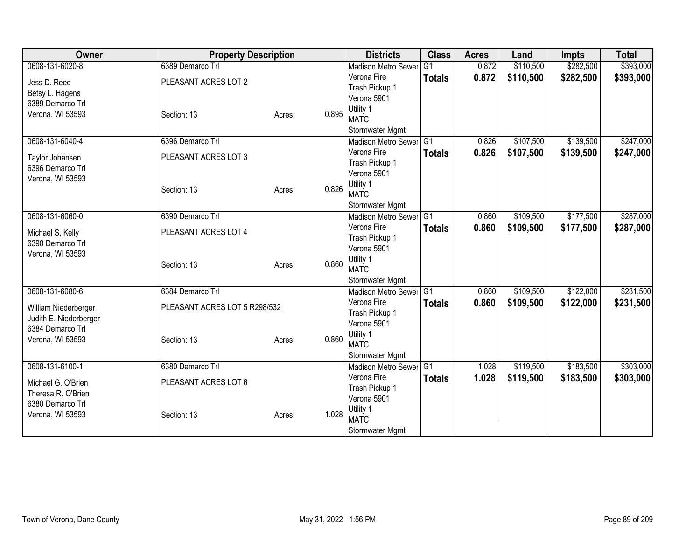| Owner                                    | <b>Property Description</b>   |        | <b>Districts</b>                          | <b>Class</b>   | <b>Acres</b> | Land      | <b>Impts</b> | <b>Total</b> |
|------------------------------------------|-------------------------------|--------|-------------------------------------------|----------------|--------------|-----------|--------------|--------------|
| 0608-131-6020-8                          | 6389 Demarco Trl              |        | <b>Madison Metro Sewer</b>                | G <sub>1</sub> | 0.872        | \$110,500 | \$282,500    | \$393,000    |
| Jess D. Reed                             | PLEASANT ACRES LOT 2          |        | Verona Fire                               | <b>Totals</b>  | 0.872        | \$110,500 | \$282,500    | \$393,000    |
| Betsy L. Hagens                          |                               |        | Trash Pickup 1                            |                |              |           |              |              |
| 6389 Demarco Trl                         |                               |        | Verona 5901                               |                |              |           |              |              |
| Verona, WI 53593                         | Section: 13                   | Acres: | Utility 1<br>0.895                        |                |              |           |              |              |
|                                          |                               |        | <b>MATC</b>                               |                |              |           |              |              |
| 0608-131-6040-4                          | 6396 Demarco Trl              |        | Stormwater Mgmt<br>Madison Metro Sewer G1 |                | 0.826        | \$107,500 | \$139,500    | \$247,000    |
|                                          |                               |        | Verona Fire                               |                | 0.826        |           |              |              |
| Taylor Johansen                          | PLEASANT ACRES LOT 3          |        | Trash Pickup 1                            | <b>Totals</b>  |              | \$107,500 | \$139,500    | \$247,000    |
| 6396 Demarco Trl                         |                               |        | Verona 5901                               |                |              |           |              |              |
| Verona, WI 53593                         |                               |        | Utility 1                                 |                |              |           |              |              |
|                                          | Section: 13                   | Acres: | 0.826<br><b>MATC</b>                      |                |              |           |              |              |
|                                          |                               |        | Stormwater Mgmt                           |                |              |           |              |              |
| 0608-131-6060-0                          | 6390 Demarco Trl              |        | <b>Madison Metro Sewer</b>                | IG1            | 0.860        | \$109,500 | \$177,500    | \$287,000    |
| Michael S. Kelly                         | PLEASANT ACRES LOT 4          |        | Verona Fire                               | <b>Totals</b>  | 0.860        | \$109,500 | \$177,500    | \$287,000    |
| 6390 Demarco Trl                         |                               |        | Trash Pickup 1                            |                |              |           |              |              |
| Verona, WI 53593                         |                               |        | Verona 5901                               |                |              |           |              |              |
|                                          | Section: 13                   | Acres: | Utility 1<br>0.860                        |                |              |           |              |              |
|                                          |                               |        | <b>MATC</b>                               |                |              |           |              |              |
|                                          |                               |        | Stormwater Mgmt                           |                |              |           |              |              |
| 0608-131-6080-6                          | 6384 Demarco Trl              |        | Madison Metro Sewer G1                    |                | 0.860        | \$109,500 | \$122,000    | \$231,500    |
| William Niederberger                     | PLEASANT ACRES LOT 5 R298/532 |        | Verona Fire<br>Trash Pickup 1             | <b>Totals</b>  | 0.860        | \$109,500 | \$122,000    | \$231,500    |
| Judith E. Niederberger                   |                               |        | Verona 5901                               |                |              |           |              |              |
| 6384 Demarco Trl                         |                               |        | Utility 1                                 |                |              |           |              |              |
| Verona, WI 53593                         | Section: 13                   | Acres: | 0.860<br><b>MATC</b>                      |                |              |           |              |              |
|                                          |                               |        | Stormwater Mgmt                           |                |              |           |              |              |
| 0608-131-6100-1                          | 6380 Demarco Trl              |        | Madison Metro Sewer G1                    |                | 1.028        | \$119,500 | \$183,500    | \$303,000    |
|                                          | PLEASANT ACRES LOT 6          |        | Verona Fire                               | <b>Totals</b>  | 1.028        | \$119,500 | \$183,500    | \$303,000    |
| Michael G. O'Brien<br>Theresa R. O'Brien |                               |        | Trash Pickup 1                            |                |              |           |              |              |
| 6380 Demarco Trl                         |                               |        | Verona 5901                               |                |              |           |              |              |
| Verona, WI 53593                         | Section: 13                   | Acres: | Utility 1<br>1.028                        |                |              |           |              |              |
|                                          |                               |        | <b>MATC</b>                               |                |              |           |              |              |
|                                          |                               |        | Stormwater Mgmt                           |                |              |           |              |              |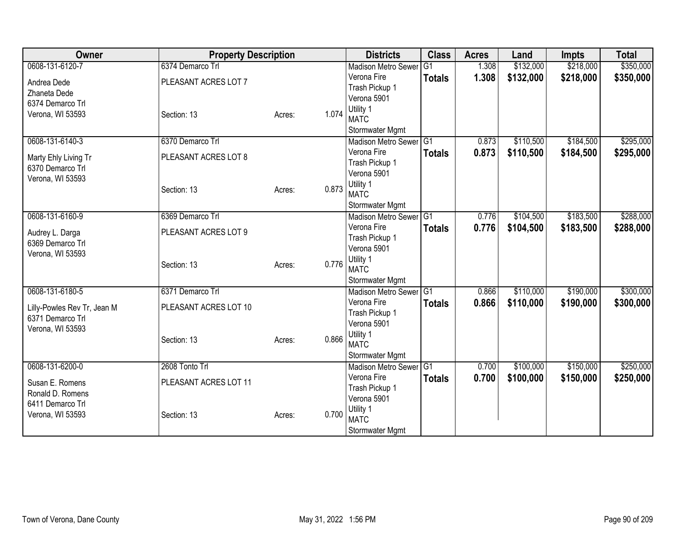| Owner                                | <b>Property Description</b> |        |       | <b>Districts</b>                          | <b>Class</b>   | <b>Acres</b> | Land      | <b>Impts</b> | <b>Total</b> |
|--------------------------------------|-----------------------------|--------|-------|-------------------------------------------|----------------|--------------|-----------|--------------|--------------|
| 0608-131-6120-7                      | 6374 Demarco Trl            |        |       | <b>Madison Metro Sewer</b>                | G <sub>1</sub> | 1.308        | \$132,000 | \$218,000    | \$350,000    |
| Andrea Dede                          | PLEASANT ACRES LOT 7        |        |       | Verona Fire                               | <b>Totals</b>  | 1.308        | \$132,000 | \$218,000    | \$350,000    |
| Zhaneta Dede                         |                             |        |       | Trash Pickup 1                            |                |              |           |              |              |
| 6374 Demarco Trl                     |                             |        |       | Verona 5901                               |                |              |           |              |              |
| Verona, WI 53593                     | Section: 13                 | Acres: | 1.074 | Utility 1                                 |                |              |           |              |              |
|                                      |                             |        |       | <b>MATC</b>                               |                |              |           |              |              |
| 0608-131-6140-3                      |                             |        |       | Stormwater Mgmt<br>Madison Metro Sewer G1 |                |              |           |              |              |
|                                      | 6370 Demarco Trl            |        |       | Verona Fire                               |                | 0.873        | \$110,500 | \$184,500    | \$295,000    |
| Marty Ehly Living Tr                 | PLEASANT ACRES LOT 8        |        |       | Trash Pickup 1                            | <b>Totals</b>  | 0.873        | \$110,500 | \$184,500    | \$295,000    |
| 6370 Demarco Trl                     |                             |        |       | Verona 5901                               |                |              |           |              |              |
| Verona, WI 53593                     |                             |        |       | Utility 1                                 |                |              |           |              |              |
|                                      | Section: 13                 | Acres: | 0.873 | <b>MATC</b>                               |                |              |           |              |              |
|                                      |                             |        |       | Stormwater Mgmt                           |                |              |           |              |              |
| 0608-131-6160-9                      | 6369 Demarco Trl            |        |       | Madison Metro Sewer                       | G1             | 0.776        | \$104,500 | \$183,500    | \$288,000    |
|                                      |                             |        |       | Verona Fire                               | <b>Totals</b>  | 0.776        | \$104,500 | \$183,500    | \$288,000    |
| Audrey L. Darga<br>6369 Demarco Trl  | PLEASANT ACRES LOT 9        |        |       | Trash Pickup 1                            |                |              |           |              |              |
| Verona, WI 53593                     |                             |        |       | Verona 5901                               |                |              |           |              |              |
|                                      | Section: 13                 | Acres: | 0.776 | Utility 1                                 |                |              |           |              |              |
|                                      |                             |        |       | <b>MATC</b>                               |                |              |           |              |              |
|                                      |                             |        |       | Stormwater Mgmt                           |                |              |           |              |              |
| 0608-131-6180-5                      | 6371 Demarco Trl            |        |       | Madison Metro Sewer G1                    |                | 0.866        | \$110,000 | \$190,000    | \$300,000    |
| Lilly-Powles Rev Tr, Jean M          | PLEASANT ACRES LOT 10       |        |       | Verona Fire                               | <b>Totals</b>  | 0.866        | \$110,000 | \$190,000    | \$300,000    |
| 6371 Demarco Trl                     |                             |        |       | Trash Pickup 1<br>Verona 5901             |                |              |           |              |              |
| Verona, WI 53593                     |                             |        |       | Utility 1                                 |                |              |           |              |              |
|                                      | Section: 13                 | Acres: | 0.866 | <b>MATC</b>                               |                |              |           |              |              |
|                                      |                             |        |       | Stormwater Mgmt                           |                |              |           |              |              |
| 0608-131-6200-0                      | 2608 Tonto Trl              |        |       | Madison Metro Sewer G1                    |                | 0.700        | \$100,000 | \$150,000    | \$250,000    |
|                                      |                             |        |       | Verona Fire                               | <b>Totals</b>  | 0.700        | \$100,000 | \$150,000    | \$250,000    |
| Susan E. Romens                      | PLEASANT ACRES LOT 11       |        |       | Trash Pickup 1                            |                |              |           |              |              |
| Ronald D. Romens<br>6411 Demarco Trl |                             |        |       | Verona 5901                               |                |              |           |              |              |
| Verona, WI 53593                     | Section: 13                 | Acres: | 0.700 | Utility 1                                 |                |              |           |              |              |
|                                      |                             |        |       | <b>MATC</b>                               |                |              |           |              |              |
|                                      |                             |        |       | Stormwater Mgmt                           |                |              |           |              |              |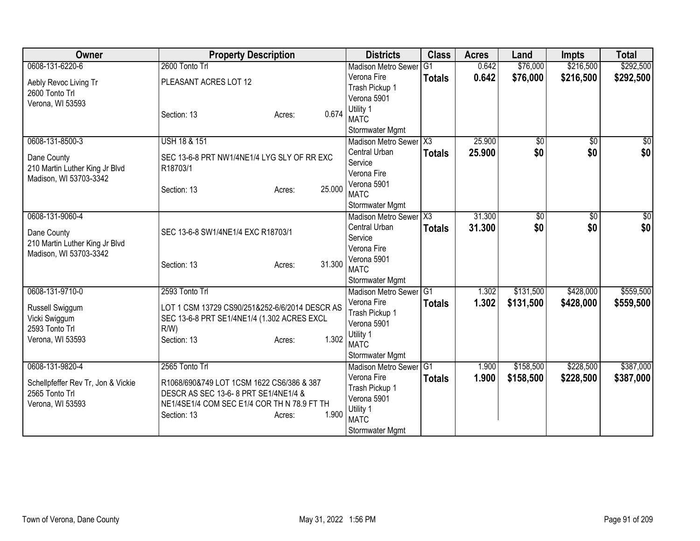| <b>Owner</b>                       | <b>Property Description</b>                    | <b>Districts</b>         | <b>Class</b>           | <b>Acres</b> | Land            | <b>Impts</b>    | <b>Total</b> |
|------------------------------------|------------------------------------------------|--------------------------|------------------------|--------------|-----------------|-----------------|--------------|
| 0608-131-6220-6                    | 2600 Tonto Trl                                 | Madison Metro Sewer      | G <sub>1</sub>         | 0.642        | \$76,000        | \$216,500       | \$292,500    |
| Aebly Revoc Living Tr              | PLEASANT ACRES LOT 12                          | Verona Fire              | <b>Totals</b>          | 0.642        | \$76,000        | \$216,500       | \$292,500    |
| 2600 Tonto Trl                     |                                                | Trash Pickup 1           |                        |              |                 |                 |              |
| Verona, WI 53593                   |                                                | Verona 5901              |                        |              |                 |                 |              |
|                                    | 0.674<br>Section: 13<br>Acres:                 | Utility 1                |                        |              |                 |                 |              |
|                                    |                                                | <b>MATC</b>              |                        |              |                 |                 |              |
|                                    |                                                | Stormwater Mgmt          |                        |              |                 |                 |              |
| 0608-131-8500-3                    | <b>USH 18 &amp; 151</b>                        | Madison Metro Sewer X3   |                        | 25.900       | $\overline{50}$ | $\overline{50}$ | $\sqrt{50}$  |
| Dane County                        | SEC 13-6-8 PRT NW1/4NE1/4 LYG SLY OF RR EXC    | Central Urban            | <b>Totals</b>          | 25.900       | \$0             | \$0             | \$0          |
| 210 Martin Luther King Jr Blvd     | R18703/1                                       | Service<br>Verona Fire   |                        |              |                 |                 |              |
| Madison, WI 53703-3342             |                                                | Verona 5901              |                        |              |                 |                 |              |
|                                    | 25.000<br>Section: 13<br>Acres:                | <b>MATC</b>              |                        |              |                 |                 |              |
|                                    |                                                | Stormwater Mgmt          |                        |              |                 |                 |              |
| 0608-131-9060-4                    |                                                | Madison Metro Sewer      | $\overline{\text{X3}}$ | 31.300       | $\overline{50}$ | \$0             | \$0          |
|                                    |                                                | Central Urban            | <b>Totals</b>          | 31,300       | \$0             | \$0             | \$0          |
| Dane County                        | SEC 13-6-8 SW1/4NE1/4 EXC R18703/1             | Service                  |                        |              |                 |                 |              |
| 210 Martin Luther King Jr Blvd     |                                                | Verona Fire              |                        |              |                 |                 |              |
| Madison, WI 53703-3342             |                                                | Verona 5901              |                        |              |                 |                 |              |
|                                    | 31.300<br>Section: 13<br>Acres:                | <b>MATC</b>              |                        |              |                 |                 |              |
|                                    |                                                | Stormwater Mgmt          |                        |              |                 |                 |              |
| 0608-131-9710-0                    | 2593 Tonto Trl                                 | Madison Metro Sewer G1   |                        | 1.302        | \$131,500       | \$428,000       | \$559,500    |
| Russell Swiggum                    | LOT 1 CSM 13729 CS90/251&252-6/6/2014 DESCR AS | Verona Fire              | <b>Totals</b>          | 1.302        | \$131,500       | \$428,000       | \$559,500    |
| Vicki Swiggum                      | SEC 13-6-8 PRT SE1/4NE1/4 (1.302 ACRES EXCL    | Trash Pickup 1           |                        |              |                 |                 |              |
| 2593 Tonto Trl                     | R/W                                            | Verona 5901              |                        |              |                 |                 |              |
| Verona, WI 53593                   | 1.302<br>Section: 13<br>Acres:                 | Utility 1                |                        |              |                 |                 |              |
|                                    |                                                | <b>MATC</b>              |                        |              |                 |                 |              |
|                                    |                                                | Stormwater Mgmt          |                        |              |                 |                 |              |
| 0608-131-9820-4                    | 2565 Tonto Trl                                 | Madison Metro Sewer      | $\overline{G1}$        | 1.900        | \$158,500       | \$228,500       | \$387,000    |
| Schellpfeffer Rev Tr, Jon & Vickie | R1068/690&749 LOT 1CSM 1622 CS6/386 & 387      | Verona Fire              | <b>Totals</b>          | 1.900        | \$158,500       | \$228,500       | \$387,000    |
| 2565 Tonto Trl                     | DESCR AS SEC 13-6-8 PRT SE1/4NE1/4 &           | Trash Pickup 1           |                        |              |                 |                 |              |
| Verona, WI 53593                   | NE1/4SE1/4 COM SEC E1/4 COR TH N 78.9 FT TH    | Verona 5901              |                        |              |                 |                 |              |
|                                    | 1.900<br>Section: 13<br>Acres:                 | Utility 1<br><b>MATC</b> |                        |              |                 |                 |              |
|                                    |                                                | <b>Stormwater Mgmt</b>   |                        |              |                 |                 |              |
|                                    |                                                |                          |                        |              |                 |                 |              |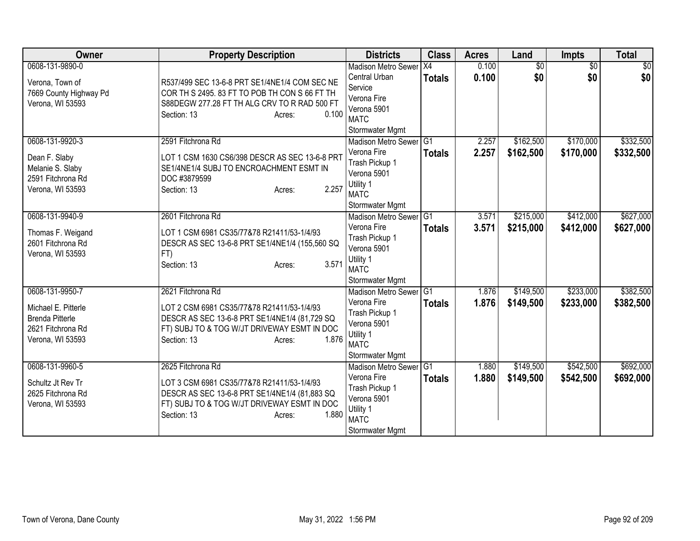| Owner                                                                                                     | <b>Property Description</b>                                                                                                                                                                       | <b>Districts</b>                                                                                                       | <b>Class</b>        | <b>Acres</b>   | Land                   | Impts                  | <b>Total</b>           |
|-----------------------------------------------------------------------------------------------------------|---------------------------------------------------------------------------------------------------------------------------------------------------------------------------------------------------|------------------------------------------------------------------------------------------------------------------------|---------------------|----------------|------------------------|------------------------|------------------------|
| 0608-131-9890-0<br>Verona, Town of<br>7669 County Highway Pd<br>Verona, WI 53593                          | R537/499 SEC 13-6-8 PRT SE1/4NE1/4 COM SEC NE<br>COR TH S 2495. 83 FT TO POB TH CON S 66 FT TH<br>S88DEGW 277.28 FT TH ALG CRV TO R RAD 500 FT<br>0.100<br>Section: 13<br>Acres:                  | <b>Madison Metro Sewer</b><br>Central Urban<br>Service<br>Verona Fire<br>Verona 5901<br><b>MATC</b><br>Stormwater Mgmt | X4<br><b>Totals</b> | 0.100<br>0.100 | $\overline{50}$<br>\$0 | $\overline{50}$<br>\$0 | $\overline{50}$<br>\$0 |
| 0608-131-9920-3<br>Dean F. Slaby<br>Melanie S. Slaby<br>2591 Fitchrona Rd<br>Verona, WI 53593             | 2591 Fitchrona Rd<br>LOT 1 CSM 1630 CS6/398 DESCR AS SEC 13-6-8 PRT<br>SE1/4NE1/4 SUBJ TO ENCROACHMENT ESMT IN<br>DOC #3879599<br>2.257<br>Section: 13<br>Acres:                                  | Madison Metro Sewer G1<br>Verona Fire<br>Trash Pickup 1<br>Verona 5901<br>Utility 1<br><b>MATC</b><br>Stormwater Mgmt  | <b>Totals</b>       | 2.257<br>2.257 | \$162,500<br>\$162,500 | \$170,000<br>\$170,000 | \$332,500<br>\$332,500 |
| 0608-131-9940-9<br>Thomas F. Weigand<br>2601 Fitchrona Rd<br>Verona, WI 53593                             | 2601 Fitchrona Rd<br>LOT 1 CSM 6981 CS35/77&78 R21411/53-1/4/93<br>DESCR AS SEC 13-6-8 PRT SE1/4NE1/4 (155,560 SQ<br>FT)<br>3.571<br>Section: 13<br>Acres:                                        | Madison Metro Sewer G1<br>Verona Fire<br>Trash Pickup 1<br>Verona 5901<br>Utility 1<br><b>MATC</b><br>Stormwater Mgmt  | <b>Totals</b>       | 3.571<br>3.571 | \$215,000<br>\$215,000 | \$412,000<br>\$412,000 | \$627,000<br>\$627,000 |
| 0608-131-9950-7<br>Michael E. Pitterle<br><b>Brenda Pitterle</b><br>2621 Fitchrona Rd<br>Verona, WI 53593 | 2621 Fitchrona Rd<br>LOT 2 CSM 6981 CS35/77&78 R21411/53-1/4/93<br>DESCR AS SEC 13-6-8 PRT SE1/4NE1/4 (81,729 SQ<br>FT) SUBJ TO & TOG W/JT DRIVEWAY ESMT IN DOC<br>1.876<br>Section: 13<br>Acres: | Madison Metro Sewer G1<br>Verona Fire<br>Trash Pickup 1<br>Verona 5901<br>Utility 1<br><b>MATC</b><br>Stormwater Mgmt  | <b>Totals</b>       | 1.876<br>1.876 | \$149,500<br>\$149,500 | \$233,000<br>\$233,000 | \$382,500<br>\$382,500 |
| 0608-131-9960-5<br>Schultz Jt Rev Tr<br>2625 Fitchrona Rd<br>Verona, WI 53593                             | 2625 Fitchrona Rd<br>LOT 3 CSM 6981 CS35/77&78 R21411/53-1/4/93<br>DESCR AS SEC 13-6-8 PRT SE1/4NE1/4 (81,883 SQ<br>FT) SUBJ TO & TOG W/JT DRIVEWAY ESMT IN DOC<br>Section: 13<br>1.880<br>Acres: | Madison Metro Sewer G1<br>Verona Fire<br>Trash Pickup 1<br>Verona 5901<br>Utility 1<br><b>MATC</b><br>Stormwater Mgmt  | <b>Totals</b>       | 1.880<br>1.880 | \$149,500<br>\$149,500 | \$542,500<br>\$542,500 | \$692,000<br>\$692,000 |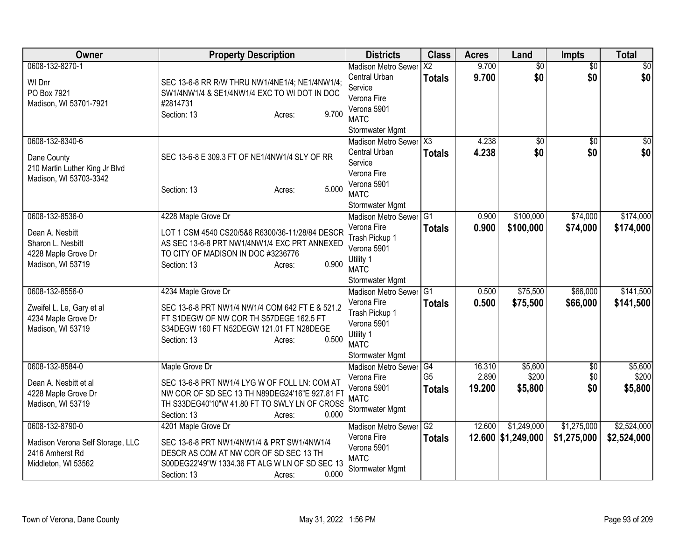| Owner                                                                                               | <b>Property Description</b>                                                                                                                                                                          | <b>Districts</b>                                                                                                       | <b>Class</b>                     | <b>Acres</b>              | Land                              | <b>Impts</b>                  | <b>Total</b>                |
|-----------------------------------------------------------------------------------------------------|------------------------------------------------------------------------------------------------------------------------------------------------------------------------------------------------------|------------------------------------------------------------------------------------------------------------------------|----------------------------------|---------------------------|-----------------------------------|-------------------------------|-----------------------------|
| 0608-132-8270-1<br>WI Dnr<br>PO Box 7921<br>Madison, WI 53701-7921                                  | SEC 13-6-8 RR R/W THRU NW1/4NE1/4; NE1/4NW1/4;<br>SW1/4NW1/4 & SE1/4NW1/4 EXC TO WI DOT IN DOC<br>#2814731<br>9.700<br>Section: 13<br>Acres:                                                         | <b>Madison Metro Sewer</b><br>Central Urban<br>Service<br>Verona Fire<br>Verona 5901<br><b>MATC</b><br>Stormwater Mgmt | $\overline{X2}$<br><b>Totals</b> | 9.700<br>9.700            | $\overline{50}$<br>\$0            | $\overline{50}$<br>\$0        | $\overline{30}$<br>\$0      |
| 0608-132-8340-6<br>Dane County<br>210 Martin Luther King Jr Blvd<br>Madison, WI 53703-3342          | SEC 13-6-8 E 309.3 FT OF NE1/4NW1/4 SLY OF RR<br>5.000<br>Section: 13<br>Acres:                                                                                                                      | Madison Metro Sewer X3<br>Central Urban<br>Service<br>Verona Fire<br>Verona 5901<br><b>MATC</b><br>Stormwater Mgmt     | <b>Totals</b>                    | 4.238<br>4.238            | $\overline{50}$<br>\$0            | \$0<br>\$0                    | $\overline{50}$<br>\$0      |
| 0608-132-8536-0<br>Dean A. Nesbitt<br>Sharon L. Nesbitt<br>4228 Maple Grove Dr<br>Madison, WI 53719 | 4228 Maple Grove Dr<br>LOT 1 CSM 4540 CS20/5&6 R6300/36-11/28/84 DESCR<br>AS SEC 13-6-8 PRT NW1/4NW1/4 EXC PRT ANNEXED<br>TO CITY OF MADISON IN DOC #3236776<br>0.900<br>Section: 13<br>Acres:       | Madison Metro Sewer G1<br>Verona Fire<br>Trash Pickup 1<br>Verona 5901<br>Utility 1<br><b>MATC</b><br>Stormwater Mgmt  | <b>Totals</b>                    | 0.900<br>0.900            | \$100,000<br>\$100,000            | \$74,000<br>\$74,000          | \$174,000<br>\$174,000      |
| 0608-132-8556-0<br>Zweifel L. Le, Gary et al<br>4234 Maple Grove Dr<br>Madison, WI 53719            | 4234 Maple Grove Dr<br>SEC 13-6-8 PRT NW1/4 NW1/4 COM 642 FT E & 521.2<br>FT S1DEGW OF NW COR TH S57DEGE 162.5 FT<br>S34DEGW 160 FT N52DEGW 121.01 FT N28DEGE<br>0.500<br>Section: 13<br>Acres:      | Madison Metro Sewer G1<br>Verona Fire<br>Trash Pickup 1<br>Verona 5901<br>Utility 1<br><b>MATC</b><br>Stormwater Mgmt  | <b>Totals</b>                    | 0.500<br>0.500            | \$75,500<br>\$75,500              | \$66,000<br>\$66,000          | \$141,500<br>\$141,500      |
| 0608-132-8584-0<br>Dean A. Nesbitt et al<br>4228 Maple Grove Dr<br>Madison, WI 53719                | Maple Grove Dr<br>SEC 13-6-8 PRT NW1/4 LYG W OF FOLL LN: COM AT<br>NW COR OF SD SEC 13 TH N89DEG24'16"E 927.81 FT<br>TH S33DEG40'10"W 41.80 FT TO SWLY LN OF CROSS<br>0.000<br>Section: 13<br>Acres: | Madison Metro Sewer G4<br>Verona Fire<br>Verona 5901<br><b>MATC</b><br>Stormwater Mgmt                                 | G <sub>5</sub><br><b>Totals</b>  | 16.310<br>2.890<br>19.200 | \$5,600<br>\$200<br>\$5,800       | $\overline{50}$<br>\$0<br>\$0 | \$5,600<br>\$200<br>\$5,800 |
| 0608-132-8790-0<br>Madison Verona Self Storage, LLC<br>2416 Amherst Rd<br>Middleton, WI 53562       | 4201 Maple Grove Dr<br>SEC 13-6-8 PRT NW1/4NW1/4 & PRT SW1/4NW1/4<br>DESCR AS COM AT NW COR OF SD SEC 13 TH<br>S00DEG22'49"W 1334.36 FT ALG W LN OF SD SEC 13<br>0.000<br>Section: 13<br>Acres:      | <b>Madison Metro Sewer</b><br>Verona Fire<br>Verona 5901<br><b>MATC</b><br>Stormwater Mgmt                             | G2<br><b>Totals</b>              | 12.600                    | \$1,249,000<br>12.600 \$1,249,000 | \$1,275,000<br>\$1,275,000    | \$2,524,000<br>\$2,524,000  |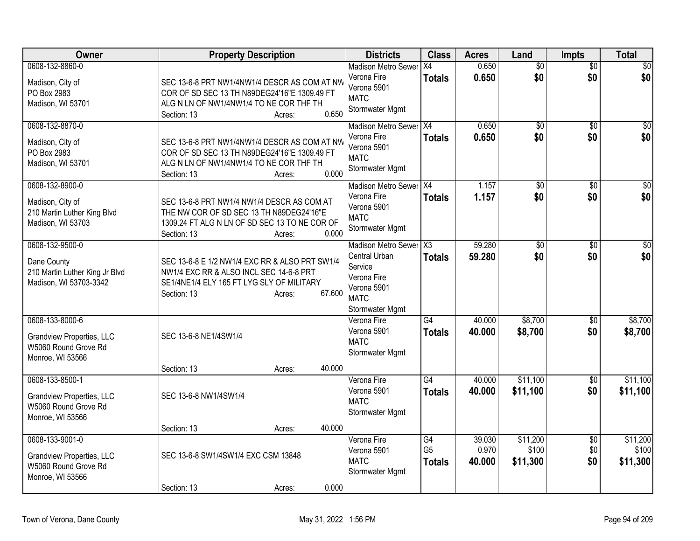| Owner                                                                                           | <b>Property Description</b>                                                                                                                                               | <b>Districts</b>                                                                                                   | <b>Class</b>                                       | <b>Acres</b>              | Land                          | <b>Impts</b>           | <b>Total</b>                  |
|-------------------------------------------------------------------------------------------------|---------------------------------------------------------------------------------------------------------------------------------------------------------------------------|--------------------------------------------------------------------------------------------------------------------|----------------------------------------------------|---------------------------|-------------------------------|------------------------|-------------------------------|
| 0608-132-8860-0<br>Madison, City of<br>PO Box 2983<br>Madison, WI 53701                         | SEC 13-6-8 PRT NW1/4NW1/4 DESCR AS COM AT NW<br>COR OF SD SEC 13 TH N89DEG24'16"E 1309.49 FT<br>ALG N LN OF NW1/4NW1/4 TO NE COR THF TH<br>0.650<br>Section: 13<br>Acres: | Madison Metro Sewer X4<br>Verona Fire<br>Verona 5901<br><b>MATC</b><br>Stormwater Mgmt                             | <b>Totals</b>                                      | 0.650<br>0.650            | $\overline{50}$<br>\$0        | $\overline{50}$<br>\$0 | $\overline{50}$<br>\$0        |
| 0608-132-8870-0<br>Madison, City of<br>PO Box 2983<br>Madison, WI 53701                         | SEC 13-6-8 PRT NW1/4NW1/4 DESCR AS COM AT NW<br>COR OF SD SEC 13 TH N89DEG24'16"E 1309.49 FT<br>ALG N LN OF NW1/4NW1/4 TO NE COR THF TH<br>0.000<br>Section: 13<br>Acres: | Madison Metro Sewer X4<br>Verona Fire<br>Verona 5901<br><b>MATC</b><br>Stormwater Mgmt                             | <b>Totals</b>                                      | 0.650<br>0.650            | $\overline{50}$<br>\$0        | \$0<br>\$0             | $\sqrt{50}$<br>\$0            |
| 0608-132-8900-0<br>Madison, City of<br>210 Martin Luther King Blvd<br>Madison, WI 53703         | SEC 13-6-8 PRT NW1/4 NW1/4 DESCR AS COM AT<br>THE NW COR OF SD SEC 13 TH N89DEG24'16"E<br>1309.24 FT ALG N LN OF SD SEC 13 TO NE COR OF<br>0.000<br>Section: 13<br>Acres: | Madison Metro Sewer   X4<br>Verona Fire<br>Verona 5901<br><b>MATC</b><br>Stormwater Mgmt                           | <b>Totals</b>                                      | 1.157<br>1.157            | $\overline{50}$<br>\$0        | $\overline{50}$<br>\$0 | $\overline{50}$<br>\$0        |
| 0608-132-9500-0<br>Dane County<br>210 Martin Luther King Jr Blvd<br>Madison, WI 53703-3342      | SEC 13-6-8 E 1/2 NW1/4 EXC RR & ALSO PRT SW1/4<br>NW1/4 EXC RR & ALSO INCL SEC 14-6-8 PRT<br>SE1/4NE1/4 ELY 165 FT LYG SLY OF MILITARY<br>67.600<br>Section: 13<br>Acres: | Madison Metro Sewer X3<br>Central Urban<br>Service<br>Verona Fire<br>Verona 5901<br><b>MATC</b><br>Stormwater Mgmt | <b>Totals</b>                                      | 59.280<br>59.280          | $\overline{50}$<br>\$0        | \$0<br>\$0             | $\overline{50}$<br>\$0        |
| 0608-133-8000-6<br>Grandview Properties, LLC<br>W5060 Round Grove Rd<br>Monroe, WI 53566        | SEC 13-6-8 NE1/4SW1/4<br>40.000<br>Section: 13<br>Acres:                                                                                                                  | Verona Fire<br>Verona 5901<br><b>MATC</b><br>Stormwater Mgmt                                                       | G4<br><b>Totals</b>                                | 40.000<br>40.000          | \$8,700<br>\$8,700            | $\overline{50}$<br>\$0 | \$8,700<br>\$8,700            |
| 0608-133-8500-1<br>Grandview Properties, LLC<br>W5060 Round Grove Rd<br>Monroe, WI 53566        | SEC 13-6-8 NW1/4SW1/4<br>40.000<br>Section: 13<br>Acres:                                                                                                                  | Verona Fire<br>Verona 5901<br><b>MATC</b><br>Stormwater Mgmt                                                       | $\overline{G4}$<br><b>Totals</b>                   | 40.000<br>40.000          | \$11,100<br>\$11,100          | $\overline{50}$<br>\$0 | \$11,100<br>\$11,100          |
| 0608-133-9001-0<br><b>Grandview Properties, LLC</b><br>W5060 Round Grove Rd<br>Monroe, WI 53566 | SEC 13-6-8 SW1/4SW1/4 EXC CSM 13848<br>0.000<br>Section: 13<br>Acres:                                                                                                     | Verona Fire<br>Verona 5901<br><b>MATC</b><br>Stormwater Mgmt                                                       | $\overline{G4}$<br>G <sub>5</sub><br><b>Totals</b> | 39.030<br>0.970<br>40.000 | \$11,200<br>\$100<br>\$11,300 | \$0<br>\$0<br>\$0      | \$11,200<br>\$100<br>\$11,300 |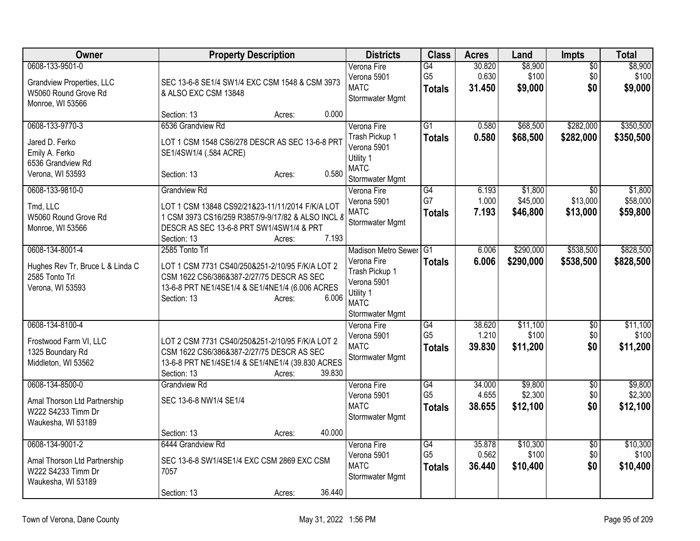| Owner                                                                                           | <b>Property Description</b>                                                                                                                                                                               | <b>Districts</b>                                                                                                          | <b>Class</b>                           | <b>Acres</b>              | Land                            | Impts                                   | <b>Total</b>                    |
|-------------------------------------------------------------------------------------------------|-----------------------------------------------------------------------------------------------------------------------------------------------------------------------------------------------------------|---------------------------------------------------------------------------------------------------------------------------|----------------------------------------|---------------------------|---------------------------------|-----------------------------------------|---------------------------------|
| 0608-133-9501-0<br><b>Grandview Properties, LLC</b><br>W5060 Round Grove Rd<br>Monroe, WI 53566 | SEC 13-6-8 SE1/4 SW1/4 EXC CSM 1548 & CSM 3973<br>& ALSO EXC CSM 13848                                                                                                                                    | Verona Fire<br>Verona 5901<br><b>MATC</b><br>Stormwater Mgmt                                                              | G4<br>G <sub>5</sub><br><b>Totals</b>  | 30.820<br>0.630<br>31.450 | \$8,900<br>\$100<br>\$9,000     | $\overline{50}$<br>\$0<br>\$0           | \$8,900<br>\$100<br>\$9,000     |
|                                                                                                 | 0.000<br>Section: 13<br>Acres:                                                                                                                                                                            |                                                                                                                           |                                        |                           |                                 |                                         |                                 |
| 0608-133-9770-3<br>Jared D. Ferko<br>Emily A. Ferko<br>6536 Grandview Rd<br>Verona, WI 53593    | 6536 Grandview Rd<br>LOT 1 CSM 1548 CS6/278 DESCR AS SEC 13-6-8 PRT<br>SE1/4SW1/4 (.584 ACRE)<br>0.580<br>Section: 13<br>Acres:                                                                           | Verona Fire<br>Trash Pickup 1<br>Verona 5901<br>Utility 1<br><b>MATC</b><br>Stormwater Mgmt                               | $\overline{G1}$<br><b>Totals</b>       | 0.580<br>0.580            | \$68,500<br>\$68,500            | \$282,000<br>\$282,000                  | \$350,500<br>\$350,500          |
| 0608-133-9810-0<br>Tmd, LLC<br>W5060 Round Grove Rd<br>Monroe, WI 53566                         | <b>Grandview Rd</b><br>LOT 1 CSM 13848 CS92/21&23-11/11/2014 F/K/A LOT<br>1 CSM 3973 CS16/259 R3857/9-9/17/82 & ALSO INCL 8<br>DESCR AS SEC 13-6-8 PRT SW1/4SW1/4 & PRT<br>7.193<br>Section: 13<br>Acres: | Verona Fire<br>Verona 5901<br><b>MATC</b><br>Stormwater Mgmt                                                              | $\overline{G4}$<br>G7<br><b>Totals</b> | 6.193<br>1.000<br>7.193   | \$1,800<br>\$45,000<br>\$46,800 | $\overline{30}$<br>\$13,000<br>\$13,000 | \$1,800<br>\$58,000<br>\$59,800 |
| 0608-134-8001-4<br>Hughes Rev Tr, Bruce L & Linda C<br>2585 Tonto Trl<br>Verona, WI 53593       | 2585 Tonto Trl<br>LOT 1 CSM 7731 CS40/250&251-2/10/95 F/K/A LOT 2<br>CSM 1622 CS6/386&387-2/27/75 DESCR AS SEC<br>13-6-8 PRT NE1/4SE1/4 & SE1/4NE1/4 (6.006 ACRES<br>6.006<br>Section: 13<br>Acres:       | <b>Madison Metro Sewer</b><br>Verona Fire<br>Trash Pickup 1<br>Verona 5901<br>Utility 1<br><b>MATC</b><br>Stormwater Mgmt | G1<br><b>Totals</b>                    | 6.006<br>6.006            | \$290,000<br>\$290,000          | \$538,500<br>\$538,500                  | \$828,500<br>\$828,500          |
| 0608-134-8100-4<br>Frostwood Farm VI, LLC<br>1325 Boundary Rd<br>Middleton, WI 53562            | LOT 2 CSM 7731 CS40/250&251-2/10/95 F/K/A LOT 2<br>CSM 1622 CS6/386&387-2/27/75 DESCR AS SEC<br>13-6-8 PRT NE1/4SE1/4 & SE1/4NE1/4 (39.830 ACRES<br>39.830<br>Section: 13<br>Acres:                       | Verona Fire<br>Verona 5901<br><b>MATC</b><br>Stormwater Mgmt                                                              | G4<br>G <sub>5</sub><br><b>Totals</b>  | 38.620<br>1.210<br>39.830 | \$11,100<br>\$100<br>\$11,200   | $\overline{50}$<br>\$0<br>\$0           | \$11,100<br>\$100<br>\$11,200   |
| 0608-134-8500-0<br>Amal Thorson Ltd Partnership<br>W222 S4233 Timm Dr<br>Waukesha, WI 53189     | <b>Grandview Rd</b><br>SEC 13-6-8 NW1/4 SE1/4                                                                                                                                                             | Verona Fire<br>Verona 5901<br><b>MATC</b><br>Stormwater Mgmt                                                              | G4<br>G <sub>5</sub><br><b>Totals</b>  | 34.000<br>4.655<br>38.655 | \$9,800<br>\$2,300<br>\$12,100  | $\overline{50}$<br>\$0<br>\$0           | \$9,800<br>\$2,300<br>\$12,100  |
| 0608-134-9001-2<br>Amal Thorson Ltd Partnership<br>W222 S4233 Timm Dr<br>Waukesha, WI 53189     | 40.000<br>Section: 13<br>Acres:<br>6444 Grandview Rd<br>SEC 13-6-8 SW1/4SE1/4 EXC CSM 2869 EXC CSM<br>7057<br>36.440<br>Section: 13<br>Acres:                                                             | Verona Fire<br>Verona 5901<br><b>MATC</b><br>Stormwater Mgmt                                                              | G4<br>G <sub>5</sub><br><b>Totals</b>  | 35.878<br>0.562<br>36.440 | \$10,300<br>\$100<br>\$10,400   | $\overline{50}$<br>\$0<br>\$0           | \$10,300<br>\$100<br>\$10,400   |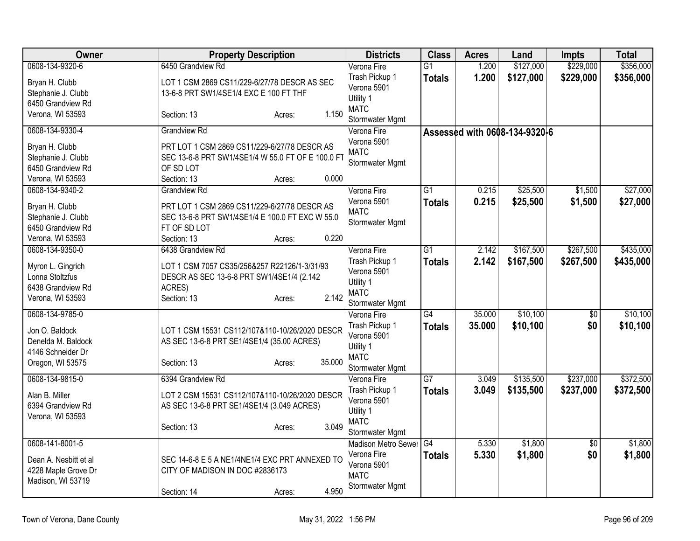| Owner                                                                         | <b>Property Description</b>                                                                                                                       | <b>Districts</b>                                                             | <b>Class</b>    | <b>Acres</b> | Land                          | <b>Impts</b>    | <b>Total</b> |
|-------------------------------------------------------------------------------|---------------------------------------------------------------------------------------------------------------------------------------------------|------------------------------------------------------------------------------|-----------------|--------------|-------------------------------|-----------------|--------------|
| 0608-134-9320-6                                                               | 6450 Grandview Rd                                                                                                                                 | Verona Fire                                                                  | $\overline{G1}$ | 1.200        | \$127,000                     | \$229,000       | \$356,000    |
| Bryan H. Clubb<br>Stephanie J. Clubb<br>6450 Grandview Rd                     | LOT 1 CSM 2869 CS11/229-6/27/78 DESCR AS SEC<br>13-6-8 PRT SW1/4SE1/4 EXC E 100 FT THF                                                            | Trash Pickup 1<br>Verona 5901<br>Utility 1                                   | <b>Totals</b>   | 1.200        | \$127,000                     | \$229,000       | \$356,000    |
| Verona, WI 53593                                                              | 1.150<br>Section: 13<br>Acres:                                                                                                                    | <b>MATC</b><br>Stormwater Mgmt                                               |                 |              |                               |                 |              |
| 0608-134-9330-4                                                               | <b>Grandview Rd</b>                                                                                                                               | Verona Fire                                                                  |                 |              | Assessed with 0608-134-9320-6 |                 |              |
| Bryan H. Clubb<br>Stephanie J. Clubb<br>6450 Grandview Rd<br>Verona, WI 53593 | PRT LOT 1 CSM 2869 CS11/229-6/27/78 DESCR AS<br>SEC 13-6-8 PRT SW1/4SE1/4 W 55.0 FT OF E 100.0 FT<br>OF SD LOT<br>0.000<br>Section: 13<br>Acres:  | Verona 5901<br><b>MATC</b><br>Stormwater Mgmt                                |                 |              |                               |                 |              |
| 0608-134-9340-2                                                               | <b>Grandview Rd</b>                                                                                                                               | Verona Fire                                                                  | $\overline{G1}$ | 0.215        | \$25,500                      | \$1,500         | \$27,000     |
| Bryan H. Clubb<br>Stephanie J. Clubb<br>6450 Grandview Rd<br>Verona, WI 53593 | PRT LOT 1 CSM 2869 CS11/229-6/27/78 DESCR AS<br>SEC 13-6-8 PRT SW1/4SE1/4 E 100.0 FT EXC W 55.0<br>FT OF SD LOT<br>0.220<br>Section: 13<br>Acres: | Verona 5901<br><b>MATC</b><br>Stormwater Mgmt                                | <b>Totals</b>   | 0.215        | \$25,500                      | \$1,500         | \$27,000     |
| 0608-134-9350-0                                                               | 6438 Grandview Rd                                                                                                                                 | Verona Fire                                                                  | $\overline{G1}$ | 2.142        | \$167,500                     | \$267,500       | \$435,000    |
| Myron L. Gingrich<br>Lonna Stoltzfus<br>6438 Grandview Rd<br>Verona, WI 53593 | LOT 1 CSM 7057 CS35/256&257 R22126/1-3/31/93<br>DESCR AS SEC 13-6-8 PRT SW1/4SE1/4 (2.142<br>ACRES)<br>2.142<br>Section: 13<br>Acres:             | Trash Pickup 1<br>Verona 5901<br>Utility 1<br><b>MATC</b><br>Stormwater Mgmt | <b>Totals</b>   | 2.142        | \$167,500                     | \$267,500       | \$435,000    |
| 0608-134-9785-0                                                               |                                                                                                                                                   | Verona Fire                                                                  | $\overline{G4}$ | 35.000       | \$10,100                      | $\sqrt{6}$      | \$10,100     |
| Jon O. Baldock<br>Denelda M. Baldock<br>4146 Schneider Dr<br>Oregon, WI 53575 | LOT 1 CSM 15531 CS112/107&110-10/26/2020 DESCR<br>AS SEC 13-6-8 PRT SE1/4SE1/4 (35.00 ACRES)<br>35.000<br>Section: 13<br>Acres:                   | Trash Pickup 1<br>Verona 5901<br>Utility 1<br><b>MATC</b><br>Stormwater Mgmt | <b>Totals</b>   | 35.000       | \$10,100                      | \$0             | \$10,100     |
| 0608-134-9815-0                                                               | 6394 Grandview Rd                                                                                                                                 | Verona Fire                                                                  | $\overline{G7}$ | 3.049        | \$135,500                     | \$237,000       | \$372,500    |
| Alan B. Miller<br>6394 Grandview Rd<br>Verona, WI 53593                       | LOT 2 CSM 15531 CS112/107&110-10/26/2020 DESCR<br>AS SEC 13-6-8 PRT SE1/4SE1/4 (3.049 ACRES)<br>3.049<br>Section: 13<br>Acres:                    | Trash Pickup 1<br>Verona 5901<br>Utility 1<br><b>MATC</b><br>Stormwater Mgmt | <b>Totals</b>   | 3.049        | \$135,500                     | \$237,000       | \$372,500    |
| 0608-141-8001-5                                                               |                                                                                                                                                   | Madison Metro Sewer                                                          | G4              | 5.330        | \$1,800                       | $\overline{50}$ | \$1,800      |
| Dean A. Nesbitt et al<br>4228 Maple Grove Dr<br>Madison, WI 53719             | SEC 14-6-8 E 5 A NE1/4NE1/4 EXC PRT ANNEXED TO<br>CITY OF MADISON IN DOC #2836173                                                                 | Verona Fire<br>Verona 5901<br><b>MATC</b><br>Stormwater Mgmt                 | <b>Totals</b>   | 5.330        | \$1,800                       | \$0             | \$1,800      |
|                                                                               | 4.950<br>Section: 14<br>Acres:                                                                                                                    |                                                                              |                 |              |                               |                 |              |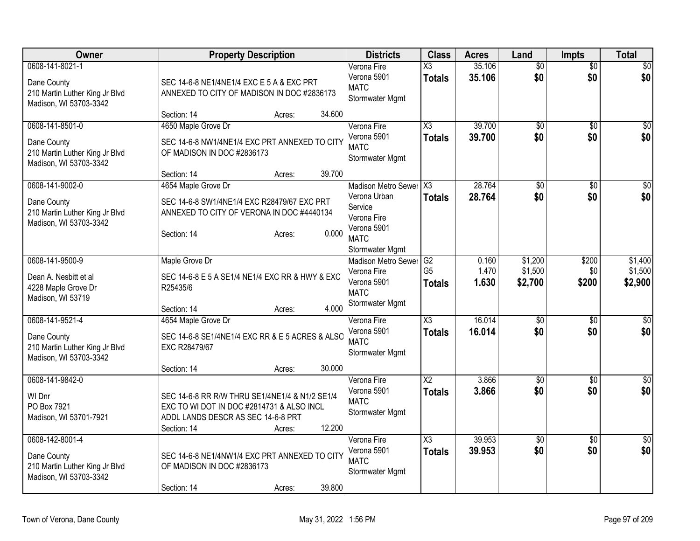| Owner                                                                                      | <b>Property Description</b>                                                                                                                                          | <b>Districts</b>                                                                                                  | <b>Class</b>                          | <b>Acres</b>            | Land                          | Impts                  | <b>Total</b>                  |
|--------------------------------------------------------------------------------------------|----------------------------------------------------------------------------------------------------------------------------------------------------------------------|-------------------------------------------------------------------------------------------------------------------|---------------------------------------|-------------------------|-------------------------------|------------------------|-------------------------------|
| 0608-141-8021-1<br>Dane County<br>210 Martin Luther King Jr Blvd<br>Madison, WI 53703-3342 | SEC 14-6-8 NE1/4NE1/4 EXC E 5 A & EXC PRT<br>ANNEXED TO CITY OF MADISON IN DOC #2836173<br>34.600<br>Section: 14<br>Acres:                                           | Verona Fire<br>Verona 5901<br><b>MATC</b><br>Stormwater Mgmt                                                      | X3<br><b>Totals</b>                   | 35.106<br>35.106        | $\overline{50}$<br>\$0        | $\overline{50}$<br>\$0 | $\overline{\$0}$<br>\$0       |
| 0608-141-8501-0<br>Dane County<br>210 Martin Luther King Jr Blvd<br>Madison, WI 53703-3342 | 4650 Maple Grove Dr<br>SEC 14-6-8 NW1/4NE1/4 EXC PRT ANNEXED TO CITY<br>OF MADISON IN DOC #2836173<br>39.700<br>Section: 14<br>Acres:                                | Verona Fire<br>Verona 5901<br><b>MATC</b><br>Stormwater Mgmt                                                      | X <sub>3</sub><br><b>Totals</b>       | 39.700<br>39,700        | $\overline{50}$<br>\$0        | \$0<br>\$0             | $\overline{\$0}$<br>\$0       |
| 0608-141-9002-0<br>Dane County<br>210 Martin Luther King Jr Blvd<br>Madison, WI 53703-3342 | 4654 Maple Grove Dr<br>SEC 14-6-8 SW1/4NE1/4 EXC R28479/67 EXC PRT<br>ANNEXED TO CITY OF VERONA IN DOC #4440134<br>0.000<br>Section: 14<br>Acres:                    | Madison Metro Sewer X3<br>Verona Urban<br>Service<br>Verona Fire<br>Verona 5901<br><b>MATC</b><br>Stormwater Mgmt | <b>Totals</b>                         | 28.764<br>28.764        | $\overline{50}$<br>\$0        | \$0<br>\$0             | $\overline{\$0}$<br>\$0       |
| 0608-141-9500-9<br>Dean A. Nesbitt et al<br>4228 Maple Grove Dr<br>Madison, WI 53719       | Maple Grove Dr<br>SEC 14-6-8 E 5 A SE1/4 NE1/4 EXC RR & HWY & EXC<br>R25435/6<br>4.000<br>Section: 14<br>Acres:                                                      | <b>Madison Metro Sewer</b><br>Verona Fire<br>Verona 5901<br><b>MATC</b><br>Stormwater Mgmt                        | G2<br>G <sub>5</sub><br><b>Totals</b> | 0.160<br>1.470<br>1.630 | \$1,200<br>\$1,500<br>\$2,700 | \$200<br>\$0<br>\$200  | \$1,400<br>\$1,500<br>\$2,900 |
| 0608-141-9521-4<br>Dane County<br>210 Martin Luther King Jr Blvd<br>Madison, WI 53703-3342 | 4654 Maple Grove Dr<br>SEC 14-6-8 SE1/4NE1/4 EXC RR & E 5 ACRES & ALSO<br>EXC R28479/67<br>30.000<br>Section: 14<br>Acres:                                           | Verona Fire<br>Verona 5901<br><b>MATC</b><br>Stormwater Mgmt                                                      | X3<br>Totals                          | 16.014<br>16.014        | $\overline{50}$<br>\$0        | $\overline{30}$<br>\$0 | \$0<br>\$0                    |
| 0608-141-9842-0<br>WI Dnr<br>PO Box 7921<br>Madison, WI 53701-7921                         | SEC 14-6-8 RR R/W THRU SE1/4NE1/4 & N1/2 SE1/4<br>EXC TO WI DOT IN DOC #2814731 & ALSO INCL<br>ADDL LANDS DESCR AS SEC 14-6-8 PRT<br>12.200<br>Section: 14<br>Acres: | Verona Fire<br>Verona 5901<br><b>MATC</b><br>Stormwater Mgmt                                                      | $\overline{X2}$<br><b>Totals</b>      | 3.866<br>3.866          | $\overline{50}$<br>\$0        | $\overline{50}$<br>\$0 | $\sqrt{50}$<br>\$0            |
| 0608-142-8001-4<br>Dane County<br>210 Martin Luther King Jr Blvd<br>Madison, WI 53703-3342 | SEC 14-6-8 NE1/4NW1/4 EXC PRT ANNEXED TO CITY<br>OF MADISON IN DOC #2836173<br>39.800<br>Section: 14<br>Acres:                                                       | Verona Fire<br>Verona 5901<br><b>MATC</b><br>Stormwater Mgmt                                                      | $\overline{\chi_3}$<br><b>Totals</b>  | 39.953<br>39.953        | $\overline{50}$<br>\$0        | $\overline{50}$<br>\$0 | $\sqrt{50}$<br>\$0            |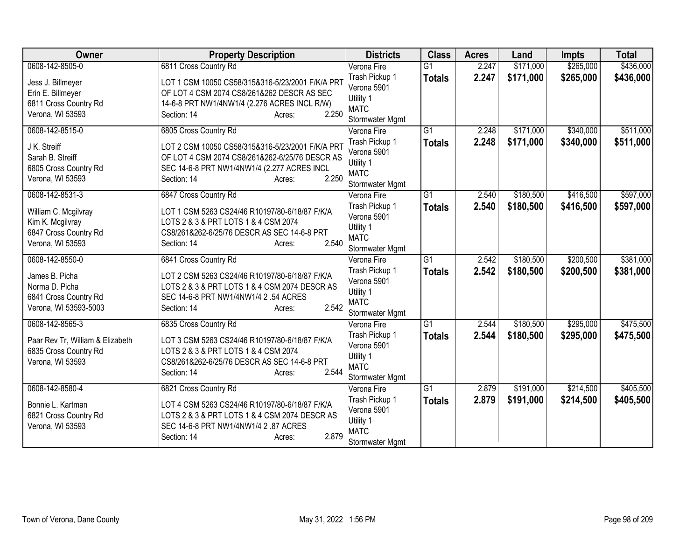| <b>Owner</b>                                                                                             | <b>Property Description</b>                                                                                                                                                                                  | <b>Districts</b>                                                                            | <b>Class</b>                     | <b>Acres</b>   | Land                   | <b>Impts</b>           | <b>Total</b>           |
|----------------------------------------------------------------------------------------------------------|--------------------------------------------------------------------------------------------------------------------------------------------------------------------------------------------------------------|---------------------------------------------------------------------------------------------|----------------------------------|----------------|------------------------|------------------------|------------------------|
| 0608-142-8505-0                                                                                          | 6811 Cross Country Rd                                                                                                                                                                                        | Verona Fire                                                                                 | $\overline{G1}$                  | 2.247          | \$171,000              | \$265,000              | \$436,000              |
| Jess J. Billmeyer<br>Erin E. Billmeyer<br>6811 Cross Country Rd<br>Verona, WI 53593                      | LOT 1 CSM 10050 CS58/315&316-5/23/2001 F/K/A PR1<br>OF LOT 4 CSM 2074 CS8/261&262 DESCR AS SEC<br>14-6-8 PRT NW1/4NW1/4 (2.276 ACRES INCL R/W)<br>2.250<br>Section: 14<br>Acres:                             | Trash Pickup 1<br>Verona 5901<br>Utility 1<br><b>MATC</b>                                   | <b>Totals</b>                    | 2.247          | \$171,000              | \$265,000              | \$436,000              |
|                                                                                                          |                                                                                                                                                                                                              | Stormwater Mgmt                                                                             |                                  |                |                        |                        |                        |
| 0608-142-8515-0<br>J K. Streiff<br>Sarah B. Streiff<br>6805 Cross Country Rd<br>Verona, WI 53593         | 6805 Cross Country Rd<br>LOT 2 CSM 10050 CS58/315&316-5/23/2001 F/K/A PR1<br>OF LOT 4 CSM 2074 CS8/261&262-6/25/76 DESCR AS<br>SEC 14-6-8 PRT NW1/4NW1/4 (2.277 ACRES INCL<br>2.250<br>Section: 14<br>Acres: | Verona Fire<br>Trash Pickup 1<br>Verona 5901<br>Utility 1<br><b>MATC</b><br>Stormwater Mgmt | $\overline{G1}$<br><b>Totals</b> | 2.248<br>2.248 | \$171,000<br>\$171,000 | \$340,000<br>\$340,000 | \$511,000<br>\$511,000 |
| 0608-142-8531-3<br>William C. Mcgilvray<br>Kim K. Mcgilvray<br>6847 Cross Country Rd<br>Verona, WI 53593 | 6847 Cross Country Rd<br>LOT 1 CSM 5263 CS24/46 R10197/80-6/18/87 F/K/A<br>LOTS 2 & 3 & PRT LOTS 1 & 4 CSM 2074<br>CS8/261&262-6/25/76 DESCR AS SEC 14-6-8 PRT<br>2.540<br>Section: 14<br>Acres:             | Verona Fire<br>Trash Pickup 1<br>Verona 5901<br>Utility 1<br><b>MATC</b><br>Stormwater Mgmt | $\overline{G1}$<br><b>Totals</b> | 2.540<br>2.540 | \$180,500<br>\$180,500 | \$416,500<br>\$416,500 | \$597,000<br>\$597,000 |
| 0608-142-8550-0<br>James B. Picha<br>Norma D. Picha<br>6841 Cross Country Rd<br>Verona, WI 53593-5003    | 6841 Cross Country Rd<br>LOT 2 CSM 5263 CS24/46 R10197/80-6/18/87 F/K/A<br>LOTS 2 & 3 & PRT LOTS 1 & 4 CSM 2074 DESCR AS<br>SEC 14-6-8 PRT NW1/4NW1/4 2 .54 ACRES<br>2.542<br>Section: 14<br>Acres:          | Verona Fire<br>Trash Pickup 1<br>Verona 5901<br>Utility 1<br><b>MATC</b><br>Stormwater Mgmt | $\overline{G1}$<br><b>Totals</b> | 2.542<br>2.542 | \$180,500<br>\$180,500 | \$200,500<br>\$200,500 | \$381,000<br>\$381,000 |
| 0608-142-8565-3<br>Paar Rev Tr, William & Elizabeth<br>6835 Cross Country Rd<br>Verona, WI 53593         | 6835 Cross Country Rd<br>LOT 3 CSM 5263 CS24/46 R10197/80-6/18/87 F/K/A<br>LOTS 2 & 3 & PRT LOTS 1 & 4 CSM 2074<br>CS8/261&262-6/25/76 DESCR AS SEC 14-6-8 PRT<br>2.544<br>Section: 14<br>Acres:             | Verona Fire<br>Trash Pickup 1<br>Verona 5901<br>Utility 1<br><b>MATC</b><br>Stormwater Mgmt | $\overline{G1}$<br><b>Totals</b> | 2.544<br>2.544 | \$180,500<br>\$180,500 | \$295,000<br>\$295,000 | \$475,500<br>\$475,500 |
| 0608-142-8580-4<br>Bonnie L. Kartman<br>6821 Cross Country Rd<br>Verona, WI 53593                        | 6821 Cross Country Rd<br>LOT 4 CSM 5263 CS24/46 R10197/80-6/18/87 F/K/A<br>LOTS 2 & 3 & PRT LOTS 1 & 4 CSM 2074 DESCR AS<br>SEC 14-6-8 PRT NW1/4NW1/4 2 .87 ACRES<br>2.879<br>Section: 14<br>Acres:          | Verona Fire<br>Trash Pickup 1<br>Verona 5901<br>Utility 1<br><b>MATC</b><br>Stormwater Mgmt | $\overline{G1}$<br><b>Totals</b> | 2.879<br>2.879 | \$191,000<br>\$191,000 | \$214,500<br>\$214,500 | \$405,500<br>\$405,500 |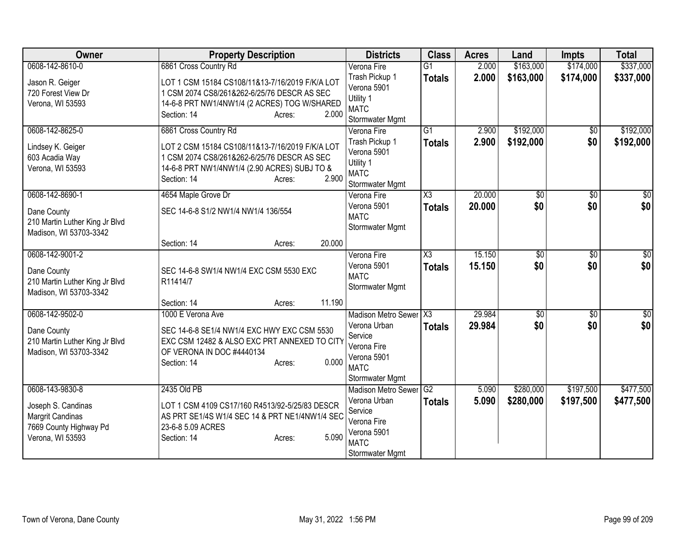| Owner                                                                                                   | <b>Property Description</b>                                                                                                                                                                                         | <b>Districts</b>                                                                                                  | <b>Class</b>                            | <b>Acres</b>     | Land                   | <b>Impts</b>           | <b>Total</b>           |
|---------------------------------------------------------------------------------------------------------|---------------------------------------------------------------------------------------------------------------------------------------------------------------------------------------------------------------------|-------------------------------------------------------------------------------------------------------------------|-----------------------------------------|------------------|------------------------|------------------------|------------------------|
| 0608-142-8610-0<br>Jason R. Geiger<br>720 Forest View Dr<br>Verona, WI 53593                            | 6861 Cross Country Rd<br>LOT 1 CSM 15184 CS108/11&13-7/16/2019 F/K/A LOT<br>1 CSM 2074 CS8/261&262-6/25/76 DESCR AS SEC<br>14-6-8 PRT NW1/4NW1/4 (2 ACRES) TOG W/SHARED<br>2.000<br>Section: 14                     | Verona Fire<br>Trash Pickup 1<br>Verona 5901<br>Utility 1<br><b>MATC</b>                                          | $\overline{G1}$<br><b>Totals</b>        | 2.000<br>2.000   | \$163,000<br>\$163,000 | \$174,000<br>\$174,000 | \$337,000<br>\$337,000 |
| 0608-142-8625-0<br>Lindsey K. Geiger<br>603 Acadia Way<br>Verona, WI 53593                              | Acres:<br>6861 Cross Country Rd<br>LOT 2 CSM 15184 CS108/11&13-7/16/2019 F/K/A LOT<br>1 CSM 2074 CS8/261&262-6/25/76 DESCR AS SEC<br>14-6-8 PRT NW1/4NW1/4 (2.90 ACRES) SUBJ TO &<br>2.900<br>Section: 14<br>Acres: | Stormwater Mgmt<br>Verona Fire<br>Trash Pickup 1<br>Verona 5901<br>Utility 1<br><b>MATC</b><br>Stormwater Mgmt    | $\overline{G1}$<br><b>Totals</b>        | 2.900<br>2.900   | \$192,000<br>\$192,000 | \$0<br>\$0             | \$192,000<br>\$192,000 |
| 0608-142-8690-1<br>Dane County<br>210 Martin Luther King Jr Blvd<br>Madison, WI 53703-3342              | 4654 Maple Grove Dr<br>SEC 14-6-8 S1/2 NW1/4 NW1/4 136/554<br>20.000<br>Section: 14<br>Acres:                                                                                                                       | Verona Fire<br>Verona 5901<br><b>MATC</b><br>Stormwater Mgmt                                                      | X3<br><b>Totals</b>                     | 20.000<br>20,000 | \$0<br>\$0             | \$0<br>\$0             | \$0<br>\$0             |
| 0608-142-9001-2<br>Dane County<br>210 Martin Luther King Jr Blvd<br>Madison, WI 53703-3342              | SEC 14-6-8 SW1/4 NW1/4 EXC CSM 5530 EXC<br>R11414/7<br>11.190<br>Section: 14<br>Acres:                                                                                                                              | Verona Fire<br>Verona 5901<br><b>MATC</b><br>Stormwater Mgmt                                                      | $\overline{\chi_3}$<br><b>Totals</b>    | 15.150<br>15.150 | \$0<br>\$0             | \$0<br>\$0             | $\sqrt{50}$<br>\$0     |
| 0608-142-9502-0<br>Dane County<br>210 Martin Luther King Jr Blvd<br>Madison, WI 53703-3342              | 1000 E Verona Ave<br>SEC 14-6-8 SE1/4 NW1/4 EXC HWY EXC CSM 5530<br>EXC CSM 12482 & ALSO EXC PRT ANNEXED TO CITY<br>OF VERONA IN DOC #4440134<br>0.000<br>Section: 14<br>Acres:                                     | Madison Metro Sewer<br>Verona Urban<br>Service<br>Verona Fire<br>Verona 5901<br><b>MATC</b><br>Stormwater Mgmt    | $\overline{\text{X3}}$<br><b>Totals</b> | 29.984<br>29.984 | $\sqrt{$0}$<br>\$0     | \$0<br>\$0             | \$0<br>\$0             |
| 0608-143-9830-8<br>Joseph S. Candinas<br>Margrit Candinas<br>7669 County Highway Pd<br>Verona, WI 53593 | 2435 Old PB<br>LOT 1 CSM 4109 CS17/160 R4513/92-5/25/83 DESCR<br>AS PRT SE1/4S W1/4 SEC 14 & PRT NE1/4NW1/4 SEC<br>23-6-8 5.09 ACRES<br>5.090<br>Section: 14<br>Acres:                                              | Madison Metro Sewer G2<br>Verona Urban<br>Service<br>Verona Fire<br>Verona 5901<br><b>MATC</b><br>Stormwater Mgmt | <b>Totals</b>                           | 5.090<br>5.090   | \$280,000<br>\$280,000 | \$197,500<br>\$197,500 | \$477,500<br>\$477,500 |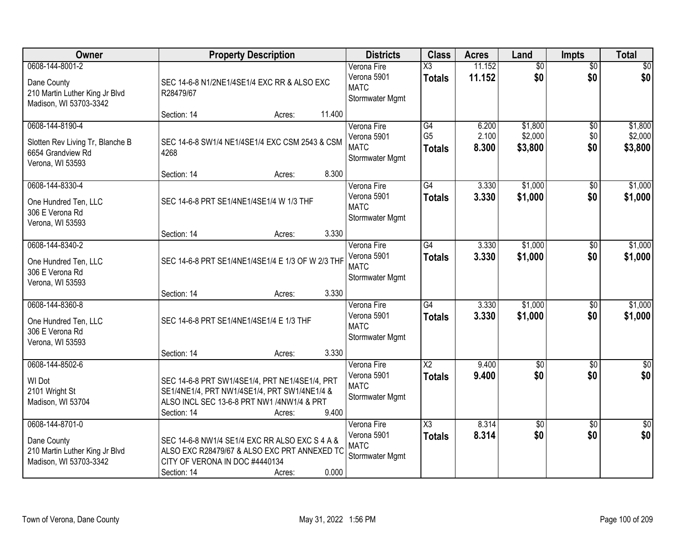| Owner                                                                                        | <b>Property Description</b>                                                                                                                                           |        | <b>Districts</b>                                             | <b>Class</b>                            | <b>Acres</b>            | Land                          | Impts                         | <b>Total</b>                  |
|----------------------------------------------------------------------------------------------|-----------------------------------------------------------------------------------------------------------------------------------------------------------------------|--------|--------------------------------------------------------------|-----------------------------------------|-------------------------|-------------------------------|-------------------------------|-------------------------------|
| 0608-144-8001-2<br>Dane County<br>210 Martin Luther King Jr Blvd<br>Madison, WI 53703-3342   | SEC 14-6-8 N1/2NE1/4SE1/4 EXC RR & ALSO EXC<br>R28479/67                                                                                                              |        | Verona Fire<br>Verona 5901<br><b>MATC</b><br>Stormwater Mgmt | $\overline{\text{X3}}$<br><b>Totals</b> | 11.152<br>11.152        | $\overline{50}$<br>\$0        | $\overline{30}$<br>\$0        | \$0<br>\$0                    |
|                                                                                              | Section: 14<br>Acres:                                                                                                                                                 | 11.400 |                                                              |                                         |                         |                               |                               |                               |
| 0608-144-8190-4<br>Slotten Rev Living Tr, Blanche B<br>6654 Grandview Rd<br>Verona, WI 53593 | SEC 14-6-8 SW1/4 NE1/4SE1/4 EXC CSM 2543 & CSM<br>4268                                                                                                                |        | Verona Fire<br>Verona 5901<br><b>MATC</b><br>Stormwater Mgmt | G4<br>G <sub>5</sub><br><b>Totals</b>   | 6.200<br>2.100<br>8.300 | \$1,800<br>\$2,000<br>\$3,800 | $\overline{50}$<br>\$0<br>\$0 | \$1,800<br>\$2,000<br>\$3,800 |
|                                                                                              | Section: 14<br>Acres:                                                                                                                                                 | 8.300  |                                                              |                                         |                         |                               |                               |                               |
| 0608-144-8330-4<br>One Hundred Ten, LLC<br>306 E Verona Rd<br>Verona, WI 53593               | SEC 14-6-8 PRT SE1/4NE1/4SE1/4 W 1/3 THF                                                                                                                              |        | Verona Fire<br>Verona 5901<br><b>MATC</b><br>Stormwater Mgmt | $\overline{G4}$<br><b>Totals</b>        | 3.330<br>3.330          | \$1,000<br>\$1,000            | $\overline{50}$<br>\$0        | \$1,000<br>\$1,000            |
|                                                                                              | Section: 14<br>Acres:                                                                                                                                                 | 3.330  |                                                              |                                         |                         |                               |                               |                               |
| 0608-144-8340-2<br>One Hundred Ten, LLC<br>306 E Verona Rd<br>Verona, WI 53593               | SEC 14-6-8 PRT SE1/4NE1/4SE1/4 E 1/3 OF W 2/3 THF                                                                                                                     |        | Verona Fire<br>Verona 5901<br><b>MATC</b><br>Stormwater Mgmt | G4<br><b>Totals</b>                     | 3.330<br>3.330          | \$1,000<br>\$1,000            | \$0<br>\$0                    | \$1,000<br>\$1,000            |
|                                                                                              | Section: 14<br>Acres:                                                                                                                                                 | 3.330  |                                                              |                                         |                         |                               |                               |                               |
| 0608-144-8360-8<br>One Hundred Ten, LLC<br>306 E Verona Rd<br>Verona, WI 53593               | SEC 14-6-8 PRT SE1/4NE1/4SE1/4 E 1/3 THF                                                                                                                              |        | Verona Fire<br>Verona 5901<br><b>MATC</b><br>Stormwater Mgmt | $\overline{G4}$<br><b>Totals</b>        | 3.330<br>3.330          | \$1,000<br>\$1,000            | \$0<br>\$0                    | \$1,000<br>\$1,000            |
|                                                                                              | Section: 14<br>Acres:                                                                                                                                                 | 3.330  |                                                              |                                         |                         |                               |                               |                               |
| 0608-144-8502-6<br>WI Dot<br>2101 Wright St<br>Madison, WI 53704                             | SEC 14-6-8 PRT SW1/4SE1/4, PRT NE1/4SE1/4, PRT<br>SE1/4NE1/4, PRT NW1/4SE1/4, PRT SW1/4NE1/4 &<br>ALSO INCL SEC 13-6-8 PRT NW1 /4NW1/4 & PRT<br>Section: 14<br>Acres: | 9.400  | Verona Fire<br>Verona 5901<br><b>MATC</b><br>Stormwater Mgmt | $\overline{X2}$<br><b>Totals</b>        | 9.400<br>9.400          | $\sqrt{50}$<br>\$0            | $\overline{50}$<br>\$0        | $\overline{50}$<br>\$0        |
| 0608-144-8701-0<br>Dane County<br>210 Martin Luther King Jr Blvd<br>Madison, WI 53703-3342   | SEC 14-6-8 NW1/4 SE1/4 EXC RR ALSO EXC S 4 A &<br>ALSO EXC R28479/67 & ALSO EXC PRT ANNEXED TO<br>CITY OF VERONA IN DOC #4440134<br>Section: 14<br>Acres:             | 0.000  | Verona Fire<br>Verona 5901<br><b>MATC</b><br>Stormwater Mgmt | X3<br><b>Totals</b>                     | 8.314<br>8.314          | $\sqrt{$0}$<br>\$0            | $\overline{50}$<br>\$0        | $\sqrt{50}$<br>\$0            |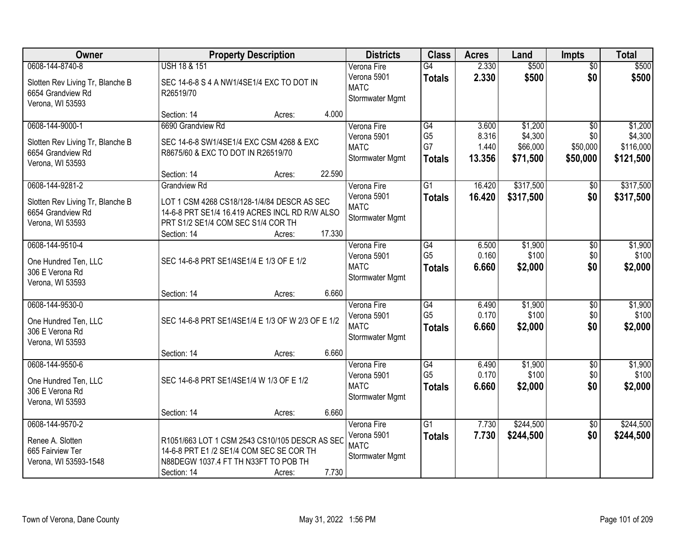| Owner                                   |                                                   | <b>Property Description</b> | <b>Districts</b>               | <b>Class</b>    | <b>Acres</b> | Land      | <b>Impts</b>    | <b>Total</b> |
|-----------------------------------------|---------------------------------------------------|-----------------------------|--------------------------------|-----------------|--------------|-----------|-----------------|--------------|
| 0608-144-8740-8                         | <b>USH 18 &amp; 151</b>                           |                             | Verona Fire                    | $\overline{G4}$ | 2.330        | \$500     | $\overline{50}$ | \$500        |
| Slotten Rev Living Tr, Blanche B        | SEC 14-6-8 S 4 A NW1/4SE1/4 EXC TO DOT IN         |                             | Verona 5901<br><b>MATC</b>     | <b>Totals</b>   | 2.330        | \$500     | \$0             | \$500        |
| 6654 Grandview Rd<br>Verona, WI 53593   | R26519/70                                         |                             | Stormwater Mgmt                |                 |              |           |                 |              |
|                                         | Section: 14                                       | Acres:                      | 4.000                          |                 |              |           |                 |              |
| 0608-144-9000-1                         | 6690 Grandview Rd                                 |                             | Verona Fire                    | G4              | 3.600        | \$1,200   | $\overline{50}$ | \$1,200      |
| Slotten Rev Living Tr, Blanche B        | SEC 14-6-8 SW1/4SE1/4 EXC CSM 4268 & EXC          |                             | Verona 5901                    | G <sub>5</sub>  | 8.316        | \$4,300   | \$0             | \$4,300      |
| 6654 Grandview Rd                       | R8675/60 & EXC TO DOT IN R26519/70                |                             | <b>MATC</b>                    | G7              | 1.440        | \$66,000  | \$50,000        | \$116,000    |
| Verona, WI 53593                        |                                                   |                             | Stormwater Mgmt                | <b>Totals</b>   | 13.356       | \$71,500  | \$50,000        | \$121,500    |
|                                         | Section: 14                                       | Acres:                      | 22.590                         |                 |              |           |                 |              |
| 0608-144-9281-2                         | <b>Grandview Rd</b>                               |                             | Verona Fire                    | $\overline{G1}$ | 16.420       | \$317,500 | \$0             | \$317,500    |
| Slotten Rev Living Tr, Blanche B        | LOT 1 CSM 4268 CS18/128-1/4/84 DESCR AS SEC       |                             | Verona 5901<br><b>MATC</b>     | <b>Totals</b>   | 16.420       | \$317,500 | \$0             | \$317,500    |
| 6654 Grandview Rd                       | 14-6-8 PRT SE1/4 16.419 ACRES INCL RD R/W ALSO    |                             | Stormwater Mgmt                |                 |              |           |                 |              |
| Verona, WI 53593                        | PRT S1/2 SE1/4 COM SEC S1/4 COR TH                |                             |                                |                 |              |           |                 |              |
| 0608-144-9510-4                         | Section: 14                                       | Acres:                      | 17.330<br>Verona Fire          | G4              | 6.500        | \$1,900   | \$0             | \$1,900      |
|                                         |                                                   |                             | Verona 5901                    | G <sub>5</sub>  | 0.160        | \$100     | \$0             | \$100        |
| One Hundred Ten, LLC                    | SEC 14-6-8 PRT SE1/4SE1/4 E 1/3 OF E 1/2          |                             | <b>MATC</b>                    | <b>Totals</b>   | 6.660        | \$2,000   | \$0             | \$2,000      |
| 306 E Verona Rd                         |                                                   |                             | Stormwater Mgmt                |                 |              |           |                 |              |
| Verona, WI 53593                        | Section: 14                                       | Acres:                      | 6.660                          |                 |              |           |                 |              |
| 0608-144-9530-0                         |                                                   |                             | Verona Fire                    | $\overline{G4}$ | 6.490        | \$1,900   | $\overline{30}$ | \$1,900      |
|                                         | SEC 14-6-8 PRT SE1/4SE1/4 E 1/3 OF W 2/3 OF E 1/2 |                             | Verona 5901                    | G <sub>5</sub>  | 0.170        | \$100     | \$0             | \$100        |
| One Hundred Ten, LLC<br>306 E Verona Rd |                                                   |                             | <b>MATC</b>                    | Totals          | 6.660        | \$2,000   | \$0             | \$2,000      |
| Verona, WI 53593                        |                                                   |                             | Stormwater Mgmt                |                 |              |           |                 |              |
|                                         | Section: 14                                       | Acres:                      | 6.660                          |                 |              |           |                 |              |
| 0608-144-9550-6                         |                                                   |                             | Verona Fire                    | G4              | 6.490        | \$1,900   | $\sqrt{6}$      | \$1,900      |
| One Hundred Ten, LLC                    | SEC 14-6-8 PRT SE1/4SE1/4 W 1/3 OF E 1/2          |                             | Verona 5901                    | G <sub>5</sub>  | 0.170        | \$100     | \$0             | \$100        |
| 306 E Verona Rd                         |                                                   |                             | <b>MATC</b><br>Stormwater Mgmt | <b>Totals</b>   | 6.660        | \$2,000   | \$0             | \$2,000      |
| Verona, WI 53593                        |                                                   |                             |                                |                 |              |           |                 |              |
|                                         | Section: 14                                       | Acres:                      | 6.660                          |                 |              |           |                 |              |
| 0608-144-9570-2                         |                                                   |                             | Verona Fire                    | $\overline{G1}$ | 7.730        | \$244,500 | $\overline{50}$ | \$244,500    |
| Renee A. Slotten                        | R1051/663 LOT 1 CSM 2543 CS10/105 DESCR AS SEC    |                             | Verona 5901<br><b>MATC</b>     | <b>Totals</b>   | 7.730        | \$244,500 | \$0             | \$244,500    |
| 665 Fairview Ter                        | 14-6-8 PRT E1 /2 SE1/4 COM SEC SE COR TH          |                             | Stormwater Mgmt                |                 |              |           |                 |              |
| Verona, WI 53593-1548                   | N88DEGW 1037.4 FT TH N33FT TO POB TH              |                             |                                |                 |              |           |                 |              |
|                                         | Section: 14                                       | Acres:                      | 7.730                          |                 |              |           |                 |              |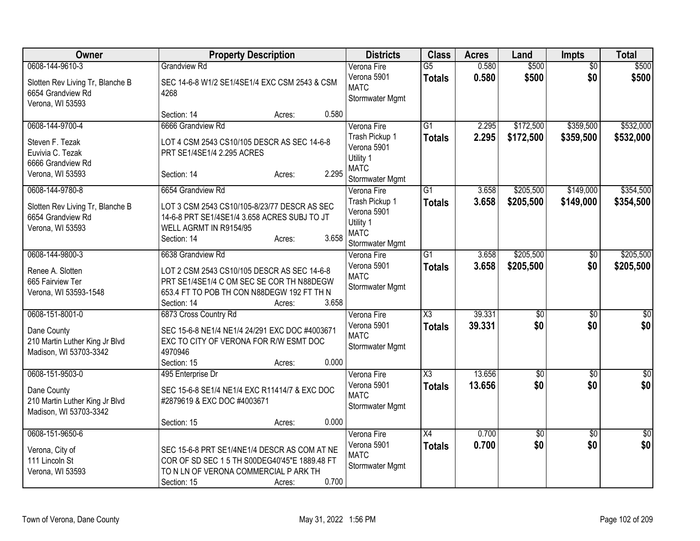| Owner                                                                                           | <b>Property Description</b>                                                                                                                                                                   | <b>Districts</b>                                                                            | <b>Class</b>                     | <b>Acres</b>     | Land                   | <b>Impts</b>           | <b>Total</b>           |
|-------------------------------------------------------------------------------------------------|-----------------------------------------------------------------------------------------------------------------------------------------------------------------------------------------------|---------------------------------------------------------------------------------------------|----------------------------------|------------------|------------------------|------------------------|------------------------|
| 0608-144-9610-3<br>Slotten Rev Living Tr, Blanche B<br>6654 Grandview Rd<br>Verona, WI 53593    | <b>Grandview Rd</b><br>SEC 14-6-8 W1/2 SE1/4SE1/4 EXC CSM 2543 & CSM<br>4268                                                                                                                  | Verona Fire<br>Verona 5901<br><b>MATC</b><br>Stormwater Mgmt                                | $\overline{G5}$<br><b>Totals</b> | 0.580<br>0.580   | \$500<br>\$500         | $\overline{50}$<br>\$0 | \$500<br>\$500         |
|                                                                                                 | 0.580<br>Section: 14<br>Acres:                                                                                                                                                                |                                                                                             |                                  |                  |                        |                        |                        |
| 0608-144-9700-4<br>Steven F. Tezak<br>Euvivia C. Tezak<br>6666 Grandview Rd<br>Verona, WI 53593 | 6666 Grandview Rd<br>LOT 4 CSM 2543 CS10/105 DESCR AS SEC 14-6-8<br>PRT SE1/4SE1/4 2.295 ACRES<br>2.295<br>Section: 14<br>Acres:                                                              | Verona Fire<br>Trash Pickup 1<br>Verona 5901<br>Utility 1<br><b>MATC</b><br>Stormwater Mgmt | G1<br><b>Totals</b>              | 2.295<br>2.295   | \$172,500<br>\$172,500 | \$359,500<br>\$359,500 | \$532,000<br>\$532,000 |
| 0608-144-9780-8<br>Slotten Rev Living Tr, Blanche B<br>6654 Grandview Rd<br>Verona, WI 53593    | 6654 Grandview Rd<br>LOT 3 CSM 2543 CS10/105-8/23/77 DESCR AS SEC<br>14-6-8 PRT SE1/4SE1/4 3.658 ACRES SUBJ TO JT<br>WELL AGRMT IN R9154/95<br>3.658<br>Section: 14<br>Acres:                 | Verona Fire<br>Trash Pickup 1<br>Verona 5901<br>Utility 1<br><b>MATC</b><br>Stormwater Mgmt | $\overline{G1}$<br><b>Totals</b> | 3.658<br>3.658   | \$205,500<br>\$205,500 | \$149,000<br>\$149,000 | \$354,500<br>\$354,500 |
| 0608-144-9800-3<br>Renee A. Slotten<br>665 Fairview Ter<br>Verona, WI 53593-1548                | 6638 Grandview Rd<br>LOT 2 CSM 2543 CS10/105 DESCR AS SEC 14-6-8<br>PRT SE1/4SE1/4 C OM SEC SE COR TH N88DEGW<br>653.4 FT TO POB TH CON N88DEGW 192 FT TH N<br>3.658<br>Section: 14<br>Acres: | Verona Fire<br>Verona 5901<br><b>MATC</b><br>Stormwater Mgmt                                | $\overline{G1}$<br><b>Totals</b> | 3.658<br>3.658   | \$205,500<br>\$205,500 | $\frac{1}{20}$<br>\$0  | \$205,500<br>\$205,500 |
| 0608-151-8001-0<br>Dane County<br>210 Martin Luther King Jr Blvd<br>Madison, WI 53703-3342      | 6873 Cross Country Rd<br>SEC 15-6-8 NE1/4 NE1/4 24/291 EXC DOC #4003671<br>EXC TO CITY OF VERONA FOR R/W ESMT DOC<br>4970946<br>0.000<br>Section: 15<br>Acres:                                | Verona Fire<br>Verona 5901<br><b>MATC</b><br>Stormwater Mgmt                                | X3<br><b>Totals</b>              | 39.331<br>39.331 | $\overline{50}$<br>\$0 | $\sqrt{6}$<br>\$0      | \$0<br>\$0             |
| 0608-151-9503-0<br>Dane County<br>210 Martin Luther King Jr Blvd<br>Madison, WI 53703-3342      | 495 Enterprise Dr<br>SEC 15-6-8 SE1/4 NE1/4 EXC R11414/7 & EXC DOC<br>#2879619 & EXC DOC #4003671<br>0.000<br>Section: 15<br>Acres:                                                           | Verona Fire<br>Verona 5901<br><b>MATC</b><br>Stormwater Mgmt                                | X3<br><b>Totals</b>              | 13.656<br>13.656 | $\overline{50}$<br>\$0 | $\overline{30}$<br>\$0 | $\sqrt{30}$<br>\$0     |
| 0608-151-9650-6<br>Verona, City of<br>111 Lincoln St<br>Verona, WI 53593                        | SEC 15-6-8 PRT SE1/4NE1/4 DESCR AS COM AT NE<br>COR OF SD SEC 1 5 TH S00DEG40'45"E 1889.48 FT<br>TO N LN OF VERONA COMMERCIAL P ARK TH<br>0.700<br>Section: 15<br>Acres:                      | Verona Fire<br>Verona 5901<br><b>MATC</b><br>Stormwater Mgmt                                | $\overline{X4}$<br><b>Totals</b> | 0.700<br>0.700   | $\overline{50}$<br>\$0 | $\overline{50}$<br>\$0 | $\overline{30}$<br>\$0 |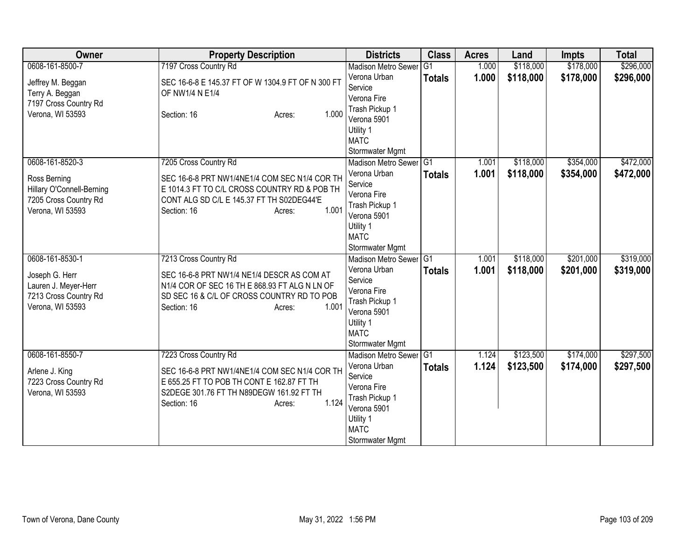| Owner                                         | <b>Property Description</b>                                                                 | <b>Districts</b>              | <b>Class</b>   | <b>Acres</b> | Land      | <b>Impts</b> | <b>Total</b> |
|-----------------------------------------------|---------------------------------------------------------------------------------------------|-------------------------------|----------------|--------------|-----------|--------------|--------------|
| 0608-161-8500-7                               | 7197 Cross Country Rd                                                                       | <b>Madison Metro Sewer</b>    | G <sub>1</sub> | 1.000        | \$118,000 | \$178,000    | \$296,000    |
| Jeffrey M. Beggan                             | SEC 16-6-8 E 145.37 FT OF W 1304.9 FT OF N 300 FT                                           | Verona Urban                  | <b>Totals</b>  | 1.000        | \$118,000 | \$178,000    | \$296,000    |
| Terry A. Beggan                               | OF NW1/4 N E1/4                                                                             | Service                       |                |              |           |              |              |
| 7197 Cross Country Rd                         |                                                                                             | Verona Fire                   |                |              |           |              |              |
| Verona, WI 53593                              | 1.000<br>Section: 16<br>Acres:                                                              | Trash Pickup 1                |                |              |           |              |              |
|                                               |                                                                                             | Verona 5901                   |                |              |           |              |              |
|                                               |                                                                                             | Utility 1                     |                |              |           |              |              |
|                                               |                                                                                             | <b>MATC</b>                   |                |              |           |              |              |
|                                               |                                                                                             | Stormwater Mgmt               |                |              |           |              |              |
| 0608-161-8520-3                               | 7205 Cross Country Rd                                                                       | Madison Metro Sewer           | G1             | 1.001        | \$118,000 | \$354,000    | \$472,000    |
| Ross Berning                                  | SEC 16-6-8 PRT NW1/4NE1/4 COM SEC N1/4 COR TH                                               | Verona Urban<br>Service       | <b>Totals</b>  | 1.001        | \$118,000 | \$354,000    | \$472,000    |
| Hillary O'Connell-Berning                     | E 1014.3 FT TO C/L CROSS COUNTRY RD & POB TH                                                | Verona Fire                   |                |              |           |              |              |
| 7205 Cross Country Rd                         | CONT ALG SD C/L E 145.37 FT TH S02DEG44'E                                                   | Trash Pickup 1                |                |              |           |              |              |
| Verona, WI 53593                              | 1.001<br>Section: 16<br>Acres:                                                              | Verona 5901                   |                |              |           |              |              |
|                                               |                                                                                             | Utility 1                     |                |              |           |              |              |
|                                               |                                                                                             | <b>MATC</b>                   |                |              |           |              |              |
|                                               |                                                                                             | Stormwater Mgmt               |                |              |           |              |              |
| 0608-161-8530-1                               | 7213 Cross Country Rd                                                                       | Madison Metro Sewer G1        |                | 1.001        | \$118,000 | \$201,000    | \$319,000    |
|                                               |                                                                                             | Verona Urban                  | <b>Totals</b>  | 1.001        | \$118,000 | \$201,000    | \$319,000    |
| Joseph G. Herr                                | SEC 16-6-8 PRT NW1/4 NE1/4 DESCR AS COM AT<br>N1/4 COR OF SEC 16 TH E 868.93 FT ALG N LN OF | Service                       |                |              |           |              |              |
| Lauren J. Meyer-Herr<br>7213 Cross Country Rd | SD SEC 16 & C/L OF CROSS COUNTRY RD TO POB                                                  | Verona Fire                   |                |              |           |              |              |
| Verona, WI 53593                              | 1.001<br>Section: 16<br>Acres:                                                              | Trash Pickup 1                |                |              |           |              |              |
|                                               |                                                                                             | Verona 5901                   |                |              |           |              |              |
|                                               |                                                                                             | Utility 1                     |                |              |           |              |              |
|                                               |                                                                                             | <b>MATC</b>                   |                |              |           |              |              |
|                                               |                                                                                             | Stormwater Mgmt               |                |              |           |              |              |
| 0608-161-8550-7                               | 7223 Cross Country Rd                                                                       | Madison Metro Sewer G1        |                | 1.124        | \$123,500 | \$174,000    | \$297,500    |
| Arlene J. King                                | SEC 16-6-8 PRT NW1/4NE1/4 COM SEC N1/4 COR TH                                               | Verona Urban                  | <b>Totals</b>  | 1.124        | \$123,500 | \$174,000    | \$297,500    |
| 7223 Cross Country Rd                         | E 655.25 FT TO POB TH CONT E 162.87 FT TH                                                   | Service                       |                |              |           |              |              |
| Verona, WI 53593                              | S2DEGE 301.76 FT TH N89DEGW 161.92 FT TH                                                    | Verona Fire<br>Trash Pickup 1 |                |              |           |              |              |
|                                               | 1.124<br>Section: 16<br>Acres:                                                              | Verona 5901                   |                |              |           |              |              |
|                                               |                                                                                             | Utility 1                     |                |              |           |              |              |
|                                               |                                                                                             | <b>MATC</b>                   |                |              |           |              |              |
|                                               |                                                                                             | Stormwater Mgmt               |                |              |           |              |              |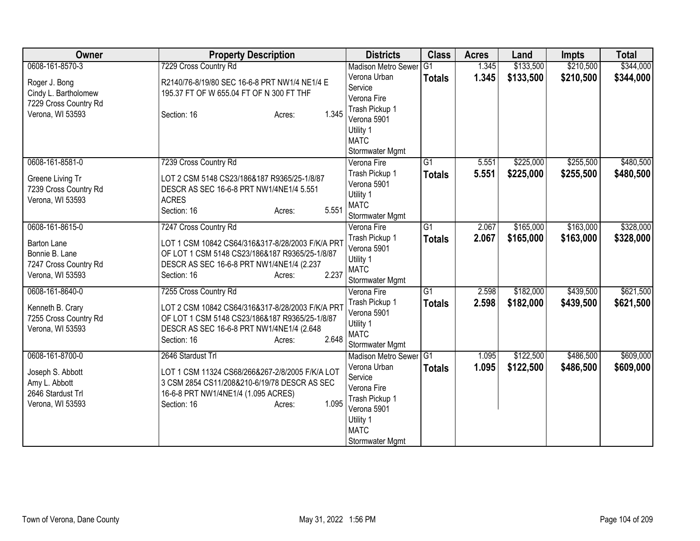| <b>Owner</b>          | <b>Property Description</b>                      | <b>Districts</b>           | <b>Class</b>    | <b>Acres</b> | Land      | <b>Impts</b> | <b>Total</b> |
|-----------------------|--------------------------------------------------|----------------------------|-----------------|--------------|-----------|--------------|--------------|
| 0608-161-8570-3       | 7229 Cross Country Rd                            | <b>Madison Metro Sewer</b> | G <sub>1</sub>  | 1.345        | \$133,500 | \$210,500    | \$344,000    |
| Roger J. Bong         | R2140/76-8/19/80 SEC 16-6-8 PRT NW1/4 NE1/4 E    | Verona Urban               | <b>Totals</b>   | 1.345        | \$133,500 | \$210,500    | \$344,000    |
| Cindy L. Bartholomew  | 195.37 FT OF W 655.04 FT OF N 300 FT THF         | Service                    |                 |              |           |              |              |
| 7229 Cross Country Rd |                                                  | Verona Fire                |                 |              |           |              |              |
| Verona, WI 53593      | 1.345<br>Section: 16<br>Acres:                   | Trash Pickup 1             |                 |              |           |              |              |
|                       |                                                  | Verona 5901                |                 |              |           |              |              |
|                       |                                                  | Utility 1                  |                 |              |           |              |              |
|                       |                                                  | <b>MATC</b>                |                 |              |           |              |              |
|                       |                                                  | Stormwater Mgmt            |                 |              |           |              |              |
| 0608-161-8581-0       | 7239 Cross Country Rd                            | Verona Fire                | $\overline{G1}$ | 5.551        | \$225,000 | \$255,500    | \$480,500    |
| Greene Living Tr      | LOT 2 CSM 5148 CS23/186&187 R9365/25-1/8/87      | Trash Pickup 1             | <b>Totals</b>   | 5.551        | \$225,000 | \$255,500    | \$480,500    |
| 7239 Cross Country Rd | DESCR AS SEC 16-6-8 PRT NW1/4NE1/4 5.551         | Verona 5901                |                 |              |           |              |              |
| Verona, WI 53593      | <b>ACRES</b>                                     | Utility 1                  |                 |              |           |              |              |
|                       | 5.551<br>Section: 16<br>Acres:                   | <b>MATC</b>                |                 |              |           |              |              |
|                       |                                                  | Stormwater Mgmt            |                 |              |           |              |              |
| 0608-161-8615-0       | 7247 Cross Country Rd                            | Verona Fire                | $\overline{G1}$ | 2.067        | \$165,000 | \$163,000    | \$328,000    |
| <b>Barton Lane</b>    | LOT 1 CSM 10842 CS64/316&317-8/28/2003 F/K/A PR1 | Trash Pickup 1             | <b>Totals</b>   | 2.067        | \$165,000 | \$163,000    | \$328,000    |
| Bonnie B. Lane        | OF LOT 1 CSM 5148 CS23/186&187 R9365/25-1/8/87   | Verona 5901                |                 |              |           |              |              |
| 7247 Cross Country Rd | DESCR AS SEC 16-6-8 PRT NW1/4NE1/4 (2.237        | Utility 1                  |                 |              |           |              |              |
| Verona, WI 53593      | 2.237<br>Section: 16<br>Acres:                   | <b>MATC</b>                |                 |              |           |              |              |
|                       |                                                  | Stormwater Mgmt            |                 |              |           |              |              |
| 0608-161-8640-0       | 7255 Cross Country Rd                            | Verona Fire                | $\overline{G1}$ | 2.598        | \$182,000 | \$439,500    | \$621,500    |
| Kenneth B. Crary      | LOT 2 CSM 10842 CS64/316&317-8/28/2003 F/K/A PR1 | Trash Pickup 1             | <b>Totals</b>   | 2.598        | \$182,000 | \$439,500    | \$621,500    |
| 7255 Cross Country Rd | OF LOT 1 CSM 5148 CS23/186&187 R9365/25-1/8/87   | Verona 5901                |                 |              |           |              |              |
| Verona, WI 53593      | DESCR AS SEC 16-6-8 PRT NW1/4NE1/4 (2.648)       | Utility 1                  |                 |              |           |              |              |
|                       | 2.648<br>Section: 16<br>Acres:                   | <b>MATC</b>                |                 |              |           |              |              |
|                       |                                                  | Stormwater Mgmt            |                 |              |           |              |              |
| 0608-161-8700-0       | 2646 Stardust Trl                                | Madison Metro Sewer G1     |                 | 1.095        | \$122,500 | \$486,500    | \$609,000    |
| Joseph S. Abbott      | LOT 1 CSM 11324 CS68/266&267-2/8/2005 F/K/A LOT  | Verona Urban               | <b>Totals</b>   | 1.095        | \$122,500 | \$486,500    | \$609,000    |
| Amy L. Abbott         | 3 CSM 2854 CS11/208&210-6/19/78 DESCR AS SEC     | Service                    |                 |              |           |              |              |
| 2646 Stardust Trl     | 16-6-8 PRT NW1/4NE1/4 (1.095 ACRES)              | Verona Fire                |                 |              |           |              |              |
| Verona, WI 53593      | 1.095<br>Section: 16<br>Acres:                   | Trash Pickup 1             |                 |              |           |              |              |
|                       |                                                  | Verona 5901                |                 |              |           |              |              |
|                       |                                                  | Utility 1                  |                 |              |           |              |              |
|                       |                                                  | <b>MATC</b>                |                 |              |           |              |              |
|                       |                                                  | Stormwater Mgmt            |                 |              |           |              |              |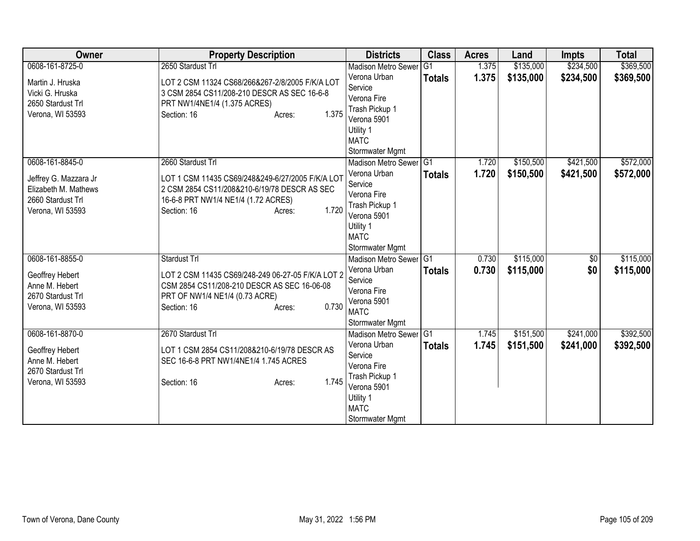| <b>Owner</b>          | <b>Property Description</b>                       | <b>Districts</b>           | <b>Class</b>  | <b>Acres</b> | Land      | <b>Impts</b> | <b>Total</b> |
|-----------------------|---------------------------------------------------|----------------------------|---------------|--------------|-----------|--------------|--------------|
| 0608-161-8725-0       | 2650 Stardust Trl                                 | <b>Madison Metro Sewer</b> | G1            | 1.375        | \$135,000 | \$234,500    | \$369,500    |
| Martin J. Hruska      | LOT 2 CSM 11324 CS68/266&267-2/8/2005 F/K/A LOT   | Verona Urban               | <b>Totals</b> | 1.375        | \$135,000 | \$234,500    | \$369,500    |
| Vicki G. Hruska       | 3 CSM 2854 CS11/208-210 DESCR AS SEC 16-6-8       | Service                    |               |              |           |              |              |
| 2650 Stardust Trl     | PRT NW1/4NE1/4 (1.375 ACRES)                      | Verona Fire                |               |              |           |              |              |
| Verona, WI 53593      | 1.375<br>Section: 16<br>Acres:                    | Trash Pickup 1             |               |              |           |              |              |
|                       |                                                   | Verona 5901                |               |              |           |              |              |
|                       |                                                   | Utility 1<br><b>MATC</b>   |               |              |           |              |              |
|                       |                                                   | Stormwater Mgmt            |               |              |           |              |              |
| 0608-161-8845-0       | 2660 Stardust Trl                                 | Madison Metro Sewer G1     |               | 1.720        | \$150,500 | \$421,500    | \$572,000    |
|                       |                                                   | Verona Urban               |               | 1.720        | \$150,500 | \$421,500    |              |
| Jeffrey G. Mazzara Jr | LOT 1 CSM 11435 CS69/248&249-6/27/2005 F/K/A LOT  | Service                    | <b>Totals</b> |              |           |              | \$572,000    |
| Elizabeth M. Mathews  | 2 CSM 2854 CS11/208&210-6/19/78 DESCR AS SEC      | Verona Fire                |               |              |           |              |              |
| 2660 Stardust Trl     | 16-6-8 PRT NW1/4 NE1/4 (1.72 ACRES)               | Trash Pickup 1             |               |              |           |              |              |
| Verona, WI 53593      | 1.720<br>Section: 16<br>Acres:                    | Verona 5901                |               |              |           |              |              |
|                       |                                                   | Utility 1                  |               |              |           |              |              |
|                       |                                                   | <b>MATC</b>                |               |              |           |              |              |
|                       |                                                   | Stormwater Mgmt            |               |              |           |              |              |
| 0608-161-8855-0       | Stardust Trl                                      | Madison Metro Sewer G1     |               | 0.730        | \$115,000 | \$0          | \$115,000    |
| Geoffrey Hebert       | LOT 2 CSM 11435 CS69/248-249 06-27-05 F/K/A LOT 2 | Verona Urban               | <b>Totals</b> | 0.730        | \$115,000 | \$0          | \$115,000    |
| Anne M. Hebert        | CSM 2854 CS11/208-210 DESCR AS SEC 16-06-08       | Service                    |               |              |           |              |              |
| 2670 Stardust Trl     | PRT OF NW1/4 NE1/4 (0.73 ACRE)                    | Verona Fire                |               |              |           |              |              |
| Verona, WI 53593      | 0.730<br>Section: 16<br>Acres:                    | Verona 5901                |               |              |           |              |              |
|                       |                                                   | <b>MATC</b>                |               |              |           |              |              |
|                       |                                                   | Stormwater Mgmt            |               |              |           |              |              |
| 0608-161-8870-0       | 2670 Stardust Trl                                 | Madison Metro Sewer G1     |               | 1.745        | \$151,500 | \$241,000    | \$392,500    |
| Geoffrey Hebert       | LOT 1 CSM 2854 CS11/208&210-6/19/78 DESCR AS      | Verona Urban<br>Service    | <b>Totals</b> | 1.745        | \$151,500 | \$241,000    | \$392,500    |
| Anne M. Hebert        | SEC 16-6-8 PRT NW1/4NE1/4 1.745 ACRES             | Verona Fire                |               |              |           |              |              |
| 2670 Stardust Trl     |                                                   | Trash Pickup 1             |               |              |           |              |              |
| Verona, WI 53593      | 1.745<br>Section: 16<br>Acres:                    | Verona 5901                |               |              |           |              |              |
|                       |                                                   | Utility 1                  |               |              |           |              |              |
|                       |                                                   | <b>MATC</b>                |               |              |           |              |              |
|                       |                                                   | Stormwater Mgmt            |               |              |           |              |              |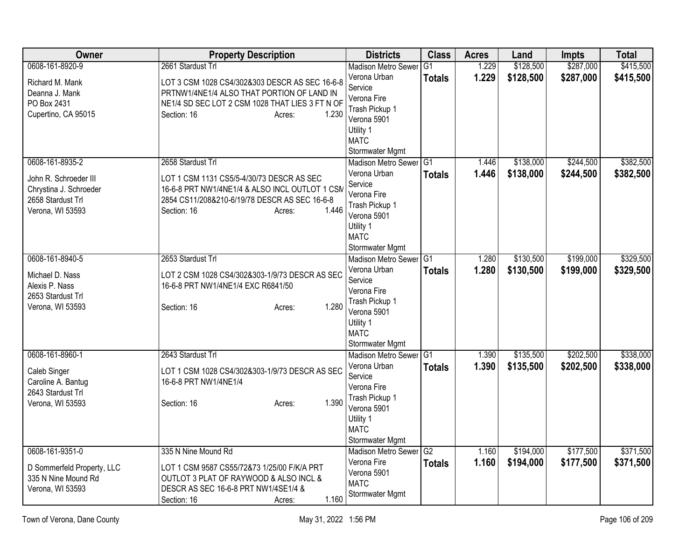| Owner                                                                                          | <b>Property Description</b>                                                                                                                                                            | <b>Districts</b>                                                                                                                                     | <b>Class</b>             | <b>Acres</b>   | Land                   | <b>Impts</b>           | <b>Total</b>           |
|------------------------------------------------------------------------------------------------|----------------------------------------------------------------------------------------------------------------------------------------------------------------------------------------|------------------------------------------------------------------------------------------------------------------------------------------------------|--------------------------|----------------|------------------------|------------------------|------------------------|
| 0608-161-8920-9                                                                                | 2661 Stardust Trl                                                                                                                                                                      | <b>Madison Metro Sewer</b><br>Verona Urban                                                                                                           | G <sub>1</sub><br>Totals | 1.229<br>1.229 | \$128,500<br>\$128,500 | \$287,000<br>\$287,000 | \$415,500<br>\$415,500 |
| Richard M. Mank<br>Deanna J. Mank<br>PO Box 2431<br>Cupertino, CA 95015                        | LOT 3 CSM 1028 CS4/302&303 DESCR AS SEC 16-6-8<br>PRTNW1/4NE1/4 ALSO THAT PORTION OF LAND IN<br>NE1/4 SD SEC LOT 2 CSM 1028 THAT LIES 3 FT N OF<br>Section: 16<br>1.230<br>Acres:      | Service<br>Verona Fire<br>Trash Pickup 1<br>Verona 5901<br>Utility 1<br><b>MATC</b>                                                                  |                          |                |                        |                        |                        |
| 0608-161-8935-2                                                                                | 2658 Stardust Trl                                                                                                                                                                      | Stormwater Mgmt<br><b>Madison Metro Sewer</b>                                                                                                        | G1                       | 1.446          | \$138,000              | \$244,500              | \$382,500              |
| John R. Schroeder III<br>Chrystina J. Schroeder<br>2658 Stardust Trl<br>Verona, WI 53593       | LOT 1 CSM 1131 CS5/5-4/30/73 DESCR AS SEC<br>16-6-8 PRT NW1/4NE1/4 & ALSO INCL OUTLOT 1 CSN<br>2854 CS11/208&210-6/19/78 DESCR AS SEC 16-6-8<br>1.446<br>Section: 16<br>Acres:         | Verona Urban<br>Service<br>Verona Fire<br>Trash Pickup 1<br>Verona 5901<br>Utility 1<br><b>MATC</b><br>Stormwater Mgmt                               | Totals                   | 1.446          | \$138,000              | \$244,500              | \$382,500              |
| 0608-161-8940-5<br>Michael D. Nass<br>Alexis P. Nass<br>2653 Stardust Trl<br>Verona, WI 53593  | 2653 Stardust Trl<br>LOT 2 CSM 1028 CS4/302&303-1/9/73 DESCR AS SEC<br>16-6-8 PRT NW1/4NE1/4 EXC R6841/50<br>1.280<br>Section: 16<br>Acres:                                            | <b>Madison Metro Sewer</b><br>Verona Urban<br>Service<br>Verona Fire<br>Trash Pickup 1<br>Verona 5901<br>Utility 1<br><b>MATC</b><br>Stormwater Mgmt | G1<br>Totals             | 1.280<br>1.280 | \$130,500<br>\$130,500 | \$199,000<br>\$199,000 | \$329,500<br>\$329,500 |
| 0608-161-8960-1<br>Caleb Singer<br>Caroline A. Bantug<br>2643 Stardust Trl<br>Verona, WI 53593 | 2643 Stardust Trl<br>LOT 1 CSM 1028 CS4/302&303-1/9/73 DESCR AS SEC<br>16-6-8 PRT NW1/4NE1/4<br>1.390<br>Section: 16<br>Acres:                                                         | <b>Madison Metro Sewer</b><br>Verona Urban<br>Service<br>Verona Fire<br>Trash Pickup 1<br>Verona 5901<br>Utility 1<br><b>MATC</b><br>Stormwater Mgmt | G1<br>Totals             | 1.390<br>1.390 | \$135,500<br>\$135,500 | \$202,500<br>\$202,500 | \$338,000<br>\$338,000 |
| 0608-161-9351-0<br>D Sommerfeld Property, LLC<br>335 N Nine Mound Rd<br>Verona, WI 53593       | 335 N Nine Mound Rd<br>LOT 1 CSM 9587 CS55/72&73 1/25/00 F/K/A PRT<br>OUTLOT 3 PLAT OF RAYWOOD & ALSO INCL &<br>DESCR AS SEC 16-6-8 PRT NW1/4SE1/4 &<br>Section: 16<br>1.160<br>Acres: | Madison Metro Sewer G2<br>Verona Fire<br>Verona 5901<br><b>MATC</b><br>Stormwater Mgmt                                                               | <b>Totals</b>            | 1.160<br>1.160 | \$194,000<br>\$194,000 | \$177,500<br>\$177,500 | \$371,500<br>\$371,500 |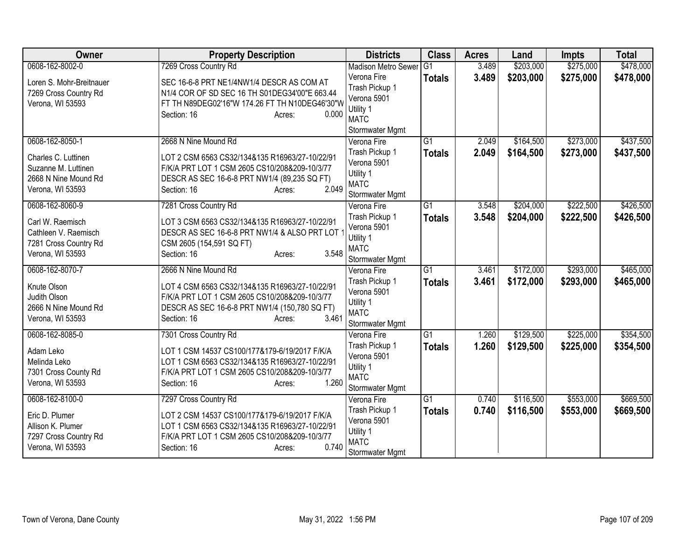| Owner                    | <b>Property Description</b>                    | <b>Districts</b>                      | <b>Class</b>    | <b>Acres</b> | Land      | <b>Impts</b> | <b>Total</b> |
|--------------------------|------------------------------------------------|---------------------------------------|-----------------|--------------|-----------|--------------|--------------|
| 0608-162-8002-0          | 7269 Cross Country Rd                          | <b>Madison Metro Sewer</b>            | $\overline{G1}$ | 3.489        | \$203,000 | \$275,000    | \$478,000    |
| Loren S. Mohr-Breitnauer | SEC 16-6-8 PRT NE1/4NW1/4 DESCR AS COM AT      | Verona Fire                           | <b>Totals</b>   | 3.489        | \$203,000 | \$275,000    | \$478,000    |
| 7269 Cross Country Rd    | N1/4 COR OF SD SEC 16 TH S01DEG34'00"E 663.44  | Trash Pickup 1                        |                 |              |           |              |              |
| Verona, WI 53593         | FT TH N89DEG02'16"W 174.26 FT TH N10DEG46'30"W | Verona 5901                           |                 |              |           |              |              |
|                          | 0.000<br>Section: 16<br>Acres:                 | Utility 1<br><b>MATC</b>              |                 |              |           |              |              |
|                          |                                                | Stormwater Mgmt                       |                 |              |           |              |              |
| 0608-162-8050-1          | 2668 N Nine Mound Rd                           | Verona Fire                           | $\overline{G1}$ | 2.049        | \$164,500 | \$273,000    | \$437,500    |
| Charles C. Luttinen      | LOT 2 CSM 6563 CS32/134&135 R16963/27-10/22/91 | Trash Pickup 1                        | <b>Totals</b>   | 2.049        | \$164,500 | \$273,000    | \$437,500    |
| Suzanne M. Luttinen      | F/K/A PRT LOT 1 CSM 2605 CS10/208&209-10/3/77  | Verona 5901                           |                 |              |           |              |              |
| 2668 N Nine Mound Rd     | DESCR AS SEC 16-6-8 PRT NW1/4 (89,235 SQ FT)   | Utility 1                             |                 |              |           |              |              |
| Verona, WI 53593         | 2.049<br>Section: 16<br>Acres:                 | <b>MATC</b>                           |                 |              |           |              |              |
| 0608-162-8060-9          | 7281 Cross Country Rd                          | <b>Stormwater Mgmt</b><br>Verona Fire | $\overline{G1}$ | 3.548        | \$204,000 | \$222,500    | \$426,500    |
|                          |                                                | Trash Pickup 1                        |                 | 3.548        | \$204,000 | \$222,500    |              |
| Carl W. Raemisch         | LOT 3 CSM 6563 CS32/134&135 R16963/27-10/22/91 | Verona 5901                           | <b>Totals</b>   |              |           |              | \$426,500    |
| Cathleen V. Raemisch     | DESCR AS SEC 16-6-8 PRT NW1/4 & ALSO PRT LOT   | Utility 1                             |                 |              |           |              |              |
| 7281 Cross Country Rd    | CSM 2605 (154,591 SQ FT)                       | <b>MATC</b>                           |                 |              |           |              |              |
| Verona, WI 53593         | 3.548<br>Section: 16<br>Acres:                 | Stormwater Mgmt                       |                 |              |           |              |              |
| 0608-162-8070-7          | 2666 N Nine Mound Rd                           | Verona Fire                           | $\overline{G1}$ | 3.461        | \$172,000 | \$293,000    | \$465,000    |
| Knute Olson              | LOT 4 CSM 6563 CS32/134&135 R16963/27-10/22/91 | Trash Pickup 1                        | <b>Totals</b>   | 3.461        | \$172,000 | \$293,000    | \$465,000    |
| Judith Olson             | F/K/A PRT LOT 1 CSM 2605 CS10/208&209-10/3/77  | Verona 5901                           |                 |              |           |              |              |
| 2666 N Nine Mound Rd     | DESCR AS SEC 16-6-8 PRT NW1/4 (150,780 SQ FT)  | Utility 1                             |                 |              |           |              |              |
| Verona, WI 53593         | 3.461<br>Section: 16<br>Acres:                 | <b>MATC</b><br>Stormwater Mgmt        |                 |              |           |              |              |
| 0608-162-8085-0          | 7301 Cross Country Rd                          | Verona Fire                           | $\overline{G1}$ | 1.260        | \$129,500 | \$225,000    | \$354,500    |
|                          |                                                | Trash Pickup 1                        | <b>Totals</b>   | 1.260        | \$129,500 | \$225,000    | \$354,500    |
| Adam Leko                | LOT 1 CSM 14537 CS100/177&179-6/19/2017 F/K/A  | Verona 5901                           |                 |              |           |              |              |
| Melinda Leko             | LOT 1 CSM 6563 CS32/134&135 R16963/27-10/22/91 | Utility 1                             |                 |              |           |              |              |
| 7301 Cross County Rd     | F/K/A PRT LOT 1 CSM 2605 CS10/208&209-10/3/77  | <b>MATC</b>                           |                 |              |           |              |              |
| Verona, WI 53593         | 1.260<br>Section: 16<br>Acres:                 | Stormwater Mgmt                       |                 |              |           |              |              |
| 0608-162-8100-0          | 7297 Cross Country Rd                          | Verona Fire                           | $\overline{G1}$ | 0.740        | \$116,500 | \$553,000    | \$669,500    |
| Eric D. Plumer           | LOT 2 CSM 14537 CS100/177&179-6/19/2017 F/K/A  | Trash Pickup 1                        | <b>Totals</b>   | 0.740        | \$116,500 | \$553,000    | \$669,500    |
| Allison K. Plumer        | LOT 1 CSM 6563 CS32/134&135 R16963/27-10/22/91 | Verona 5901                           |                 |              |           |              |              |
| 7297 Cross Country Rd    | F/K/A PRT LOT 1 CSM 2605 CS10/208&209-10/3/77  | Utility 1<br><b>MATC</b>              |                 |              |           |              |              |
| Verona, WI 53593         | 0.740<br>Section: 16<br>Acres:                 | Stormwater Mgmt                       |                 |              |           |              |              |
|                          |                                                |                                       |                 |              |           |              |              |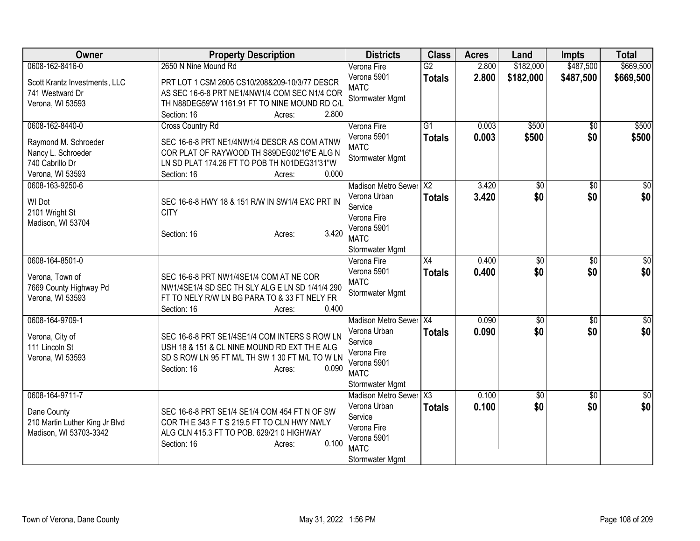| Owner                          | <b>Property Description</b>                     | <b>Districts</b>           | <b>Class</b>    | <b>Acres</b> | Land            | <b>Impts</b>    | <b>Total</b>  |
|--------------------------------|-------------------------------------------------|----------------------------|-----------------|--------------|-----------------|-----------------|---------------|
| 0608-162-8416-0                | 2650 N Nine Mound Rd                            | Verona Fire                | G2              | 2.800        | \$182,000       | \$487,500       | \$669,500     |
| Scott Krantz Investments, LLC  | PRT LOT 1 CSM 2605 CS10/208&209-10/3/77 DESCR   | Verona 5901                | <b>Totals</b>   | 2.800        | \$182,000       | \$487,500       | \$669,500     |
| 741 Westward Dr                | AS SEC 16-6-8 PRT NE1/4NW1/4 COM SEC N1/4 COR   | <b>MATC</b>                |                 |              |                 |                 |               |
| Verona, WI 53593               | TH N88DEG59'W 1161.91 FT TO NINE MOUND RD C/L   | Stormwater Mgmt            |                 |              |                 |                 |               |
|                                | 2.800<br>Section: 16<br>Acres:                  |                            |                 |              |                 |                 |               |
| 0608-162-8440-0                | Cross Country Rd                                | Verona Fire                | G1              | 0.003        | \$500           | \$0             | \$500         |
| Raymond M. Schroeder           | SEC 16-6-8 PRT NE1/4NW1/4 DESCR AS COM ATNW     | Verona 5901                | <b>Totals</b>   | 0.003        | \$500           | \$0             | \$500         |
| Nancy L. Schroeder             | COR PLAT OF RAYWOOD TH S89DEG02'16"E ALG N      | <b>MATC</b>                |                 |              |                 |                 |               |
| 740 Cabrillo Dr                | LN SD PLAT 174.26 FT TO POB TH N01DEG31'31"W    | Stormwater Mgmt            |                 |              |                 |                 |               |
| Verona, WI 53593               | 0.000<br>Section: 16<br>Acres:                  |                            |                 |              |                 |                 |               |
| 0608-163-9250-6                |                                                 | <b>Madison Metro Sewer</b> | $\overline{X2}$ | 3.420        | $\overline{50}$ | \$0             | $\sqrt{50}$   |
| WI Dot                         | SEC 16-6-8 HWY 18 & 151 R/W IN SW1/4 EXC PRT IN | Verona Urban               | <b>Totals</b>   | 3.420        | \$0             | \$0             | \$0           |
| 2101 Wright St                 | <b>CITY</b>                                     | Service                    |                 |              |                 |                 |               |
| Madison, WI 53704              |                                                 | Verona Fire                |                 |              |                 |                 |               |
|                                | 3.420<br>Section: 16<br>Acres:                  | Verona 5901                |                 |              |                 |                 |               |
|                                |                                                 | <b>MATC</b>                |                 |              |                 |                 |               |
|                                |                                                 | Stormwater Mgmt            |                 |              |                 |                 |               |
| 0608-164-8501-0                |                                                 | Verona Fire                | $\overline{X4}$ | 0.400        | $\overline{50}$ | $\overline{30}$ | $\frac{1}{2}$ |
| Verona, Town of                | SEC 16-6-8 PRT NW1/4SE1/4 COM AT NE COR         | Verona 5901<br><b>MATC</b> | <b>Totals</b>   | 0.400        | \$0             | \$0             | \$0           |
| 7669 County Highway Pd         | NW1/4SE1/4 SD SEC TH SLY ALG E LN SD 1/41/4 290 | Stormwater Mgmt            |                 |              |                 |                 |               |
| Verona, WI 53593               | FT TO NELY R/W LN BG PARA TO & 33 FT NELY FR    |                            |                 |              |                 |                 |               |
|                                | 0.400<br>Section: 16<br>Acres:                  |                            |                 |              |                 |                 |               |
| 0608-164-9709-1                |                                                 | Madison Metro Sewer X4     |                 | 0.090        | $\overline{50}$ | $\overline{50}$ | $\sqrt{50}$   |
| Verona, City of                | SEC 16-6-8 PRT SE1/4SE1/4 COM INTERS S ROW LN   | Verona Urban               | <b>Totals</b>   | 0.090        | \$0             | \$0             | \$0           |
| 111 Lincoln St                 | USH 18 & 151 & CL NINE MOUND RD EXT TH E ALG    | Service                    |                 |              |                 |                 |               |
| Verona, WI 53593               | SD S ROW LN 95 FT M/L TH SW 1 30 FT M/L TO W LN | Verona Fire                |                 |              |                 |                 |               |
|                                | Section: 16<br>0.090<br>Acres:                  | Verona 5901<br><b>MATC</b> |                 |              |                 |                 |               |
|                                |                                                 | Stormwater Mgmt            |                 |              |                 |                 |               |
| 0608-164-9711-7                |                                                 | <b>Madison Metro Sewer</b> | X3              | 0.100        | $\overline{50}$ | $\overline{30}$ | $\frac{1}{2}$ |
|                                |                                                 | Verona Urban               | <b>Totals</b>   | 0.100        | \$0             | \$0             | \$0           |
| Dane County                    | SEC 16-6-8 PRT SE1/4 SE1/4 COM 454 FT N OF SW   | Service                    |                 |              |                 |                 |               |
| 210 Martin Luther King Jr Blvd | COR THE 343 FTS 219.5 FT TO CLN HWY NWLY        | Verona Fire                |                 |              |                 |                 |               |
| Madison, WI 53703-3342         | ALG CLN 415.3 FT TO POB. 629/21 0 HIGHWAY       | Verona 5901                |                 |              |                 |                 |               |
|                                | 0.100<br>Section: 16<br>Acres:                  | <b>MATC</b>                |                 |              |                 |                 |               |
|                                |                                                 | Stormwater Mgmt            |                 |              |                 |                 |               |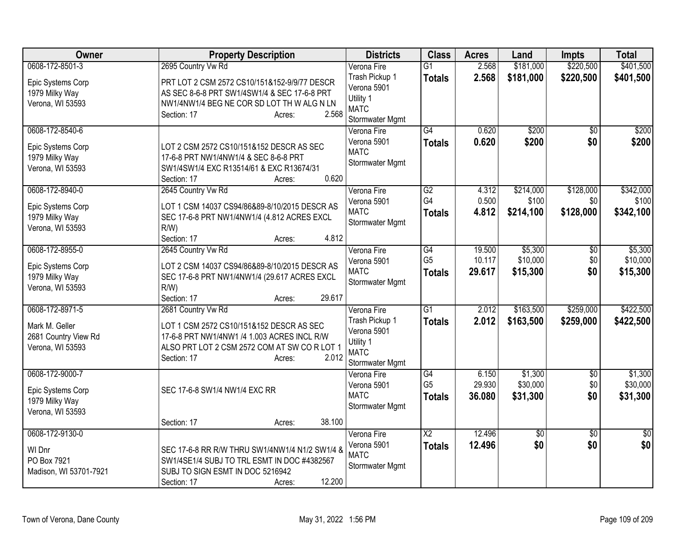| Owner                                                                         | <b>Property Description</b>                                                                                                                                                                        | <b>Districts</b>                                                                            | <b>Class</b>                          | <b>Acres</b>               | Land                            | <b>Impts</b>                  | <b>Total</b>                    |
|-------------------------------------------------------------------------------|----------------------------------------------------------------------------------------------------------------------------------------------------------------------------------------------------|---------------------------------------------------------------------------------------------|---------------------------------------|----------------------------|---------------------------------|-------------------------------|---------------------------------|
| 0608-172-8501-3<br>Epic Systems Corp<br>1979 Milky Way<br>Verona, WI 53593    | 2695 Country Vw Rd<br>PRT LOT 2 CSM 2572 CS10/151&152-9/9/77 DESCR<br>AS SEC 8-6-8 PRT SW1/4SW1/4 & SEC 17-6-8 PRT<br>NW1/4NW1/4 BEG NE COR SD LOT TH W ALG N LN<br>2.568<br>Section: 17<br>Acres: | Verona Fire<br>Trash Pickup 1<br>Verona 5901<br>Utility 1<br><b>MATC</b><br>Stormwater Mgmt | $\overline{G1}$<br><b>Totals</b>      | 2.568<br>2.568             | \$181,000<br>\$181,000          | \$220,500<br>\$220,500        | \$401,500<br>\$401,500          |
| 0608-172-8540-6<br>Epic Systems Corp<br>1979 Milky Way<br>Verona, WI 53593    | LOT 2 CSM 2572 CS10/151&152 DESCR AS SEC<br>17-6-8 PRT NW1/4NW1/4 & SEC 8-6-8 PRT<br>SW1/4SW1/4 EXC R13514/61 & EXC R13674/31<br>0.620<br>Section: 17<br>Acres:                                    | Verona Fire<br>Verona 5901<br><b>MATC</b><br>Stormwater Mgmt                                | $\overline{G4}$<br><b>Totals</b>      | 0.620<br>0.620             | \$200<br>\$200                  | $\overline{30}$<br>\$0        | \$200<br>\$200                  |
| 0608-172-8940-0<br>Epic Systems Corp<br>1979 Milky Way<br>Verona, WI 53593    | 2645 Country Vw Rd<br>LOT 1 CSM 14037 CS94/86&89-8/10/2015 DESCR AS<br>SEC 17-6-8 PRT NW1/4NW1/4 (4.812 ACRES EXCL<br>$R/W$ )<br>4.812<br>Section: 17<br>Acres:                                    | Verona Fire<br>Verona 5901<br><b>MATC</b><br>Stormwater Mgmt                                | G2<br>G4<br><b>Totals</b>             | 4.312<br>0.500<br>4.812    | \$214,000<br>\$100<br>\$214,100 | \$128,000<br>\$0<br>\$128,000 | \$342,000<br>\$100<br>\$342,100 |
| 0608-172-8955-0<br>Epic Systems Corp<br>1979 Milky Way<br>Verona, WI 53593    | 2645 Country Vw Rd<br>LOT 2 CSM 14037 CS94/86&89-8/10/2015 DESCR AS<br>SEC 17-6-8 PRT NW1/4NW1/4 (29.617 ACRES EXCL<br>$R/W$ )<br>29.617<br>Section: 17<br>Acres:                                  | Verona Fire<br>Verona 5901<br><b>MATC</b><br>Stormwater Mgmt                                | G4<br>G <sub>5</sub><br><b>Totals</b> | 19.500<br>10.117<br>29.617 | \$5,300<br>\$10,000<br>\$15,300 | $\overline{60}$<br>\$0<br>\$0 | \$5,300<br>\$10,000<br>\$15,300 |
| 0608-172-8971-5<br>Mark M. Geller<br>2681 Country View Rd<br>Verona, WI 53593 | 2681 Country Vw Rd<br>LOT 1 CSM 2572 CS10/151&152 DESCR AS SEC<br>17-6-8 PRT NW1/4NW1 /4 1.003 ACRES INCL R/W<br>ALSO PRT LOT 2 CSM 2572 COM AT SW CORLOT 1<br>2.012<br>Section: 17<br>Acres:      | Verona Fire<br>Trash Pickup 1<br>Verona 5901<br>Utility 1<br><b>MATC</b><br>Stormwater Mgmt | $\overline{G1}$<br><b>Totals</b>      | 2.012<br>2.012             | \$163,500<br>\$163,500          | \$259,000<br>\$259,000        | \$422,500<br>\$422,500          |
| 0608-172-9000-7<br>Epic Systems Corp<br>1979 Milky Way<br>Verona, WI 53593    | SEC 17-6-8 SW1/4 NW1/4 EXC RR<br>38.100                                                                                                                                                            | Verona Fire<br>Verona 5901<br><b>MATC</b><br>Stormwater Mgmt                                | G4<br>G <sub>5</sub><br><b>Totals</b> | 6.150<br>29.930<br>36.080  | \$1,300<br>\$30,000<br>\$31,300 | $\sqrt{6}$<br>\$0<br>\$0      | \$1,300<br>\$30,000<br>\$31,300 |
| 0608-172-9130-0<br>WI Dnr<br>PO Box 7921<br>Madison, WI 53701-7921            | Section: 17<br>Acres:<br>SEC 17-6-8 RR R/W THRU SW1/4NW1/4 N1/2 SW1/4 &<br>SW1/4SE1/4 SUBJ TO TRL ESMT IN DOC #4382567<br>SUBJ TO SIGN ESMT IN DOC 5216942<br>12.200<br>Section: 17<br>Acres:      | Verona Fire<br>Verona 5901<br><b>MATC</b><br>Stormwater Mgmt                                | $\overline{X2}$<br><b>Totals</b>      | 12.496<br>12.496           | $\overline{50}$<br>\$0          | $\overline{30}$<br>\$0        | \$0<br>\$0                      |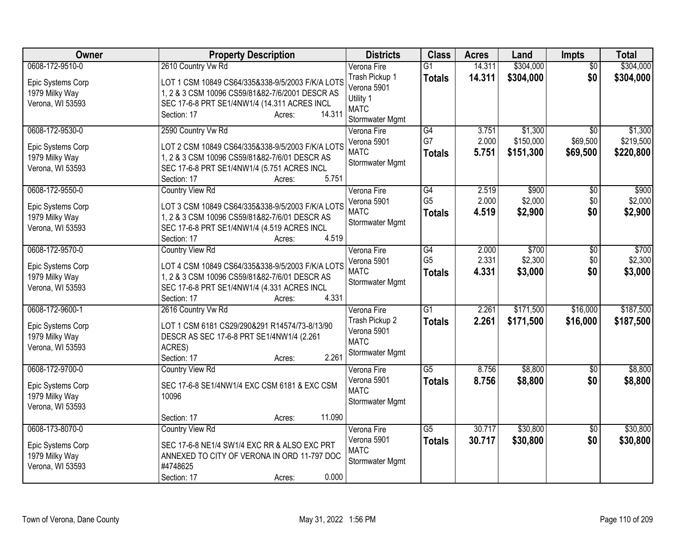| Owner                                                                      | <b>Property Description</b>                                                                                                                                                                                  | <b>Districts</b>                                                             | <b>Class</b>                          | <b>Acres</b>            | Land                        | <b>Impts</b>                  | <b>Total</b>                |
|----------------------------------------------------------------------------|--------------------------------------------------------------------------------------------------------------------------------------------------------------------------------------------------------------|------------------------------------------------------------------------------|---------------------------------------|-------------------------|-----------------------------|-------------------------------|-----------------------------|
| 0608-172-9510-0                                                            | 2610 Country Vw Rd                                                                                                                                                                                           | Verona Fire                                                                  | $\overline{G1}$                       | 14.311                  | \$304,000                   | $\overline{50}$               | \$304,000                   |
| Epic Systems Corp<br>1979 Milky Way<br>Verona, WI 53593                    | LOT 1 CSM 10849 CS64/335&338-9/5/2003 F/K/A LOTS<br>1, 2 & 3 CSM 10096 CS59/81&82-7/6/2001 DESCR AS<br>SEC 17-6-8 PRT SE1/4NW1/4 (14.311 ACRES INCL<br>14.311<br>Section: 17<br>Acres:                       | Trash Pickup 1<br>Verona 5901<br>Utility 1<br><b>MATC</b><br>Stormwater Mgmt | <b>Totals</b>                         | 14.311                  | \$304,000                   | \$0                           | \$304,000                   |
| 0608-172-9530-0                                                            | 2590 Country Vw Rd                                                                                                                                                                                           | Verona Fire                                                                  | $\overline{G4}$                       | 3.751                   | \$1,300                     | \$0                           | \$1,300                     |
| Epic Systems Corp<br>1979 Milky Way<br>Verona, WI 53593                    | LOT 2 CSM 10849 CS64/335&338-9/5/2003 F/K/A LOTS<br>1, 2 & 3 CSM 10096 CS59/81&82-7/6/01 DESCR AS<br>SEC 17-6-8 PRT SE1/4NW1/4 (5.751 ACRES INCL<br>5.751<br>Section: 17<br>Acres:                           | Verona 5901<br><b>MATC</b><br>Stormwater Mgmt                                | G7<br><b>Totals</b>                   | 2.000<br>5.751          | \$150,000<br>\$151,300      | \$69,500<br>\$69,500          | \$219,500<br>\$220,800      |
| 0608-172-9550-0                                                            | <b>Country View Rd</b>                                                                                                                                                                                       | Verona Fire                                                                  | $\overline{G4}$                       | 2.519                   | \$900                       | $\overline{50}$               | \$900                       |
| Epic Systems Corp<br>1979 Milky Way<br>Verona, WI 53593                    | LOT 3 CSM 10849 CS64/335&338-9/5/2003 F/K/A LOTS<br>1, 2 & 3 CSM 10096 CS59/81&82-7/6/01 DESCR AS<br>SEC 17-6-8 PRT SE1/4NW1/4 (4.519 ACRES INCL                                                             | Verona 5901<br><b>MATC</b><br>Stormwater Mgmt                                | G <sub>5</sub><br><b>Totals</b>       | 2.000<br>4.519          | \$2,000<br>\$2,900          | \$0<br>\$0                    | \$2,000<br>\$2,900          |
|                                                                            | 4.519<br>Section: 17<br>Acres:                                                                                                                                                                               |                                                                              |                                       |                         |                             |                               |                             |
| 0608-172-9570-0<br>Epic Systems Corp<br>1979 Milky Way<br>Verona, WI 53593 | <b>Country View Rd</b><br>LOT 4 CSM 10849 CS64/335&338-9/5/2003 F/K/A LOTS<br>1, 2 & 3 CSM 10096 CS59/81&82-7/6/01 DESCR AS<br>SEC 17-6-8 PRT SE1/4NW1/4 (4.331 ACRES INCL<br>4.331<br>Section: 17<br>Acres: | Verona Fire<br>Verona 5901<br><b>MATC</b><br>Stormwater Mgmt                 | G4<br>G <sub>5</sub><br><b>Totals</b> | 2.000<br>2.331<br>4.331 | \$700<br>\$2,300<br>\$3,000 | $\overline{50}$<br>\$0<br>\$0 | \$700<br>\$2,300<br>\$3,000 |
| 0608-172-9600-1                                                            | 2616 Country Vw Rd                                                                                                                                                                                           | Verona Fire                                                                  | G1                                    | 2.261                   | \$171,500                   | \$16,000                      | \$187,500                   |
| Epic Systems Corp<br>1979 Milky Way<br>Verona, WI 53593                    | LOT 1 CSM 6181 CS29/290&291 R14574/73-8/13/90<br>DESCR AS SEC 17-6-8 PRT SE1/4NW1/4 (2.261<br>ACRES)<br>2.261<br>Section: 17<br>Acres:                                                                       | Trash Pickup 2<br>Verona 5901<br><b>MATC</b><br>Stormwater Mgmt              | <b>Totals</b>                         | 2.261                   | \$171,500                   | \$16,000                      | \$187,500                   |
| 0608-172-9700-0                                                            | <b>Country View Rd</b>                                                                                                                                                                                       | Verona Fire                                                                  | $\overline{G5}$                       | 8.756                   | \$8,800                     | $\sqrt{6}$                    | \$8,800                     |
| Epic Systems Corp<br>1979 Milky Way<br>Verona, WI 53593                    | SEC 17-6-8 SE1/4NW1/4 EXC CSM 6181 & EXC CSM<br>10096                                                                                                                                                        | Verona 5901<br><b>MATC</b><br>Stormwater Mgmt                                | <b>Totals</b>                         | 8.756                   | \$8,800                     | \$0                           | \$8,800                     |
|                                                                            | 11.090<br>Section: 17<br>Acres:                                                                                                                                                                              |                                                                              |                                       |                         |                             |                               |                             |
| 0608-173-8070-0<br>Epic Systems Corp<br>1979 Milky Way<br>Verona, WI 53593 | <b>Country View Rd</b><br>SEC 17-6-8 NE1/4 SW1/4 EXC RR & ALSO EXC PRT<br>ANNEXED TO CITY OF VERONA IN ORD 11-797 DOC<br>#4748625<br>0.000<br>Section: 17<br>Acres:                                          | Verona Fire<br>Verona 5901<br><b>MATC</b><br>Stormwater Mgmt                 | $\overline{G5}$<br><b>Totals</b>      | 30.717<br>30.717        | \$30,800<br>\$30,800        | \$0<br>\$0                    | \$30,800<br>\$30,800        |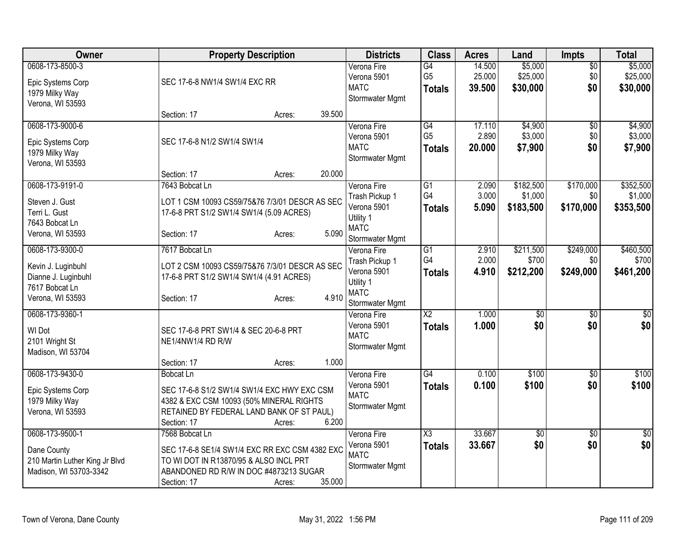| Owner                                                                                              | <b>Property Description</b>                                                                                                                                             |        |        | <b>Districts</b>                                                                            | <b>Class</b>                                       | <b>Acres</b>               | Land                              | <b>Impts</b>                  | <b>Total</b>                      |
|----------------------------------------------------------------------------------------------------|-------------------------------------------------------------------------------------------------------------------------------------------------------------------------|--------|--------|---------------------------------------------------------------------------------------------|----------------------------------------------------|----------------------------|-----------------------------------|-------------------------------|-----------------------------------|
| 0608-173-8500-3<br>Epic Systems Corp<br>1979 Milky Way<br>Verona, WI 53593                         | SEC 17-6-8 NW1/4 SW1/4 EXC RR                                                                                                                                           |        |        | Verona Fire<br>Verona 5901<br><b>MATC</b><br>Stormwater Mgmt                                | $\overline{G4}$<br>G <sub>5</sub><br><b>Totals</b> | 14.500<br>25.000<br>39.500 | \$5,000<br>\$25,000<br>\$30,000   | $\sqrt{$0}$<br>\$0<br>\$0     | \$5,000<br>\$25,000<br>\$30,000   |
|                                                                                                    | Section: 17                                                                                                                                                             | Acres: | 39.500 |                                                                                             |                                                    |                            |                                   |                               |                                   |
| 0608-173-9000-6<br>Epic Systems Corp<br>1979 Milky Way<br>Verona, WI 53593                         | SEC 17-6-8 N1/2 SW1/4 SW1/4                                                                                                                                             |        |        | Verona Fire<br>Verona 5901<br><b>MATC</b><br>Stormwater Mgmt                                | G4<br>G <sub>5</sub><br><b>Totals</b>              | 17.110<br>2.890<br>20.000  | \$4,900<br>\$3,000<br>\$7,900     | \$0<br>\$0<br>\$0             | \$4,900<br>\$3,000<br>\$7,900     |
|                                                                                                    | Section: 17                                                                                                                                                             | Acres: | 20.000 |                                                                                             |                                                    |                            |                                   |                               |                                   |
| 0608-173-9191-0<br>Steven J. Gust<br>Terri L. Gust<br>7643 Bobcat Ln<br>Verona, WI 53593           | 7643 Bobcat Ln<br>LOT 1 CSM 10093 CS59/75&76 7/3/01 DESCR AS SEC<br>17-6-8 PRT S1/2 SW1/4 SW1/4 (5.09 ACRES)<br>Section: 17                                             | Acres: | 5.090  | Verona Fire<br>Trash Pickup 1<br>Verona 5901<br>Utility 1<br><b>MATC</b><br>Stormwater Mgmt | $\overline{G1}$<br>G4<br><b>Totals</b>             | 2.090<br>3.000<br>5.090    | \$182,500<br>\$1,000<br>\$183,500 | \$170,000<br>\$0<br>\$170,000 | \$352,500<br>\$1,000<br>\$353,500 |
| 0608-173-9300-0<br>Kevin J. Luginbuhl<br>Dianne J. Luginbuhl<br>7617 Bobcat Ln<br>Verona, WI 53593 | 7617 Bobcat Ln<br>LOT 2 CSM 10093 CS59/75&76 7/3/01 DESCR AS SEC<br>17-6-8 PRT S1/2 SW1/4 SW1/4 (4.91 ACRES)<br>Section: 17                                             | Acres: | 4.910  | Verona Fire<br>Trash Pickup 1<br>Verona 5901<br>Utility 1<br><b>MATC</b><br>Stormwater Mgmt | G1<br>G4<br><b>Totals</b>                          | 2.910<br>2.000<br>4.910    | \$211,500<br>\$700<br>\$212,200   | \$249,000<br>\$0<br>\$249,000 | \$460,500<br>\$700<br>\$461,200   |
| 0608-173-9360-1<br>WI Dot<br>2101 Wright St<br>Madison, WI 53704                                   | SEC 17-6-8 PRT SW1/4 & SEC 20-6-8 PRT<br>NE1/4NW1/4 RD R/W<br>Section: 17                                                                                               | Acres: | 1.000  | Verona Fire<br>Verona 5901<br><b>MATC</b><br>Stormwater Mgmt                                | $\overline{X2}$<br><b>Totals</b>                   | 1.000<br>1.000             | $\overline{60}$<br>\$0            | \$0<br>\$0                    | $\sqrt{$0]}$<br>\$0               |
| 0608-173-9430-0<br>Epic Systems Corp<br>1979 Milky Way<br>Verona, WI 53593                         | <b>Bobcat Ln</b><br>SEC 17-6-8 S1/2 SW1/4 SW1/4 EXC HWY EXC CSM<br>4382 & EXC CSM 10093 (50% MINERAL RIGHTS<br>RETAINED BY FEDERAL LAND BANK OF ST PAUL)<br>Section: 17 | Acres: | 6.200  | Verona Fire<br>Verona 5901<br><b>MATC</b><br>Stormwater Mgmt                                | $\overline{G4}$<br><b>Totals</b>                   | 0.100<br>0.100             | \$100<br>\$100                    | $\overline{50}$<br>\$0        | \$100<br>\$100                    |
| 0608-173-9500-1<br>Dane County<br>210 Martin Luther King Jr Blvd<br>Madison, WI 53703-3342         | 7568 Bobcat Ln<br>SEC 17-6-8 SE1/4 SW1/4 EXC RR EXC CSM 4382 EXC<br>TO WI DOT IN R13870/95 & ALSO INCL PRT<br>ABANDONED RD R/W IN DOC #4873213 SUGAR<br>Section: 17     | Acres: | 35.000 | Verona Fire<br>Verona 5901<br><b>MATC</b><br>Stormwater Mgmt                                | $\overline{\text{X3}}$<br><b>Totals</b>            | 33.667<br>33.667           | $\overline{50}$<br>\$0            | $\overline{50}$<br>\$0        | \$0<br>\$0                        |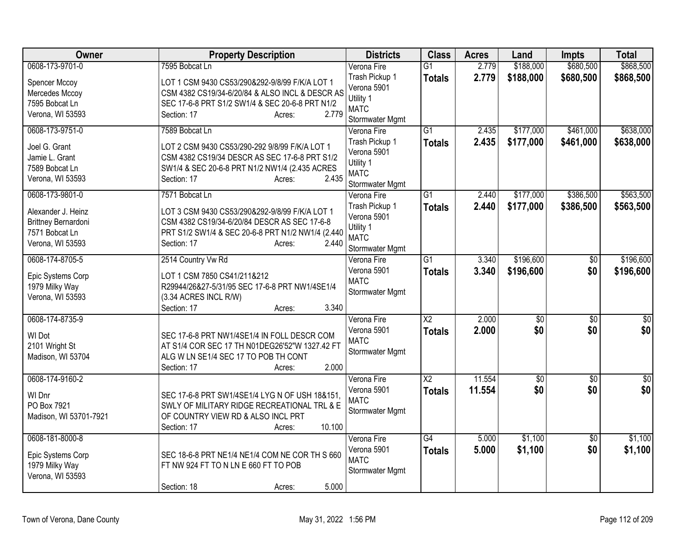| Owner                                 | <b>Property Description</b>                                                                       | <b>Districts</b>               | <b>Class</b>    | <b>Acres</b> | Land            | <b>Impts</b>    | <b>Total</b> |
|---------------------------------------|---------------------------------------------------------------------------------------------------|--------------------------------|-----------------|--------------|-----------------|-----------------|--------------|
| 0608-173-9701-0                       | 7595 Bobcat Ln                                                                                    | Verona Fire                    | $\overline{G1}$ | 2.779        | \$188,000       | \$680,500       | \$868,500    |
| Spencer Mccoy                         | LOT 1 CSM 9430 CS53/290&292-9/8/99 F/K/A LOT 1                                                    | Trash Pickup 1                 | <b>Totals</b>   | 2.779        | \$188,000       | \$680,500       | \$868,500    |
| Mercedes Mccoy                        | CSM 4382 CS19/34-6/20/84 & ALSO INCL & DESCR AS                                                   | Verona 5901                    |                 |              |                 |                 |              |
| 7595 Bobcat Ln                        | SEC 17-6-8 PRT S1/2 SW1/4 & SEC 20-6-8 PRT N1/2                                                   | Utility 1                      |                 |              |                 |                 |              |
| Verona, WI 53593                      | 2.779<br>Section: 17<br>Acres:                                                                    | <b>MATC</b>                    |                 |              |                 |                 |              |
| 0608-173-9751-0                       | 7589 Bobcat Ln                                                                                    | Stormwater Mgmt<br>Verona Fire | $\overline{G1}$ | 2.435        | \$177,000       | \$461,000       | \$638,000    |
|                                       |                                                                                                   | Trash Pickup 1                 | <b>Totals</b>   | 2.435        | \$177,000       | \$461,000       | \$638,000    |
| Joel G. Grant                         | LOT 2 CSM 9430 CS53/290-292 9/8/99 F/K/A LOT 1                                                    | Verona 5901                    |                 |              |                 |                 |              |
| Jamie L. Grant                        | CSM 4382 CS19/34 DESCR AS SEC 17-6-8 PRT S1/2                                                     | Utility 1                      |                 |              |                 |                 |              |
| 7589 Bobcat Ln                        | SW1/4 & SEC 20-6-8 PRT N1/2 NW1/4 (2.435 ACRES                                                    | <b>MATC</b>                    |                 |              |                 |                 |              |
| Verona, WI 53593                      | 2.435<br>Section: 17<br>Acres:                                                                    | Stormwater Mgmt                |                 |              |                 |                 |              |
| 0608-173-9801-0                       | 7571 Bobcat Ln                                                                                    | Verona Fire                    | $\overline{G1}$ | 2.440        | \$177,000       | \$386,500       | \$563,500    |
|                                       |                                                                                                   | Trash Pickup 1                 | <b>Totals</b>   | 2.440        | \$177,000       | \$386,500       | \$563,500    |
| Alexander J. Heinz                    | LOT 3 CSM 9430 CS53/290&292-9/8/99 F/K/A LOT 1                                                    | Verona 5901                    |                 |              |                 |                 |              |
| Brittney Bernardoni<br>7571 Bobcat Ln | CSM 4382 CS19/34-6/20/84 DESCR AS SEC 17-6-8<br>PRT S1/2 SW1/4 & SEC 20-6-8 PRT N1/2 NW1/4 (2.440 | Utility 1                      |                 |              |                 |                 |              |
| Verona, WI 53593                      | 2.440<br>Section: 17                                                                              | <b>MATC</b>                    |                 |              |                 |                 |              |
|                                       | Acres:                                                                                            | Stormwater Mgmt                |                 |              |                 |                 |              |
| 0608-174-8705-5                       | 2514 Country Vw Rd                                                                                | Verona Fire                    | $\overline{G1}$ | 3.340        | \$196,600       | $\overline{50}$ | \$196,600    |
| Epic Systems Corp                     | LOT 1 CSM 7850 CS41/211&212                                                                       | Verona 5901                    | <b>Totals</b>   | 3.340        | \$196,600       | \$0             | \$196,600    |
| 1979 Milky Way                        | R29944/26&27-5/31/95 SEC 17-6-8 PRT NW1/4SE1/4                                                    | <b>MATC</b>                    |                 |              |                 |                 |              |
| Verona, WI 53593                      | (3.34 ACRES INCL R/W)                                                                             | Stormwater Mgmt                |                 |              |                 |                 |              |
|                                       | 3.340<br>Section: 17<br>Acres:                                                                    |                                |                 |              |                 |                 |              |
| 0608-174-8735-9                       |                                                                                                   | Verona Fire                    | $\overline{X2}$ | 2.000        | $\overline{50}$ | $\overline{50}$ | $\sqrt{50}$  |
| WI Dot                                | SEC 17-6-8 PRT NW1/4SE1/4 IN FOLL DESCR COM                                                       | Verona 5901                    | <b>Totals</b>   | 2.000        | \$0             | \$0             | \$0          |
| 2101 Wright St                        | AT S1/4 COR SEC 17 TH N01DEG26'52"W 1327.42 FT                                                    | <b>MATC</b>                    |                 |              |                 |                 |              |
| Madison, WI 53704                     | ALG W LN SE1/4 SEC 17 TO POB TH CONT                                                              | Stormwater Mgmt                |                 |              |                 |                 |              |
|                                       | 2.000<br>Section: 17<br>Acres:                                                                    |                                |                 |              |                 |                 |              |
| 0608-174-9160-2                       |                                                                                                   | Verona Fire                    | $\overline{X2}$ | 11.554       | $\overline{50}$ | \$0             | $\sqrt{50}$  |
|                                       |                                                                                                   | Verona 5901                    | <b>Totals</b>   | 11.554       | \$0             | \$0             | \$0          |
| WI Dnr                                | SEC 17-6-8 PRT SW1/4SE1/4 LYG N OF USH 18&151,                                                    | <b>MATC</b>                    |                 |              |                 |                 |              |
| PO Box 7921                           | SWLY OF MILITARY RIDGE RECREATIONAL TRL & E                                                       | Stormwater Mgmt                |                 |              |                 |                 |              |
| Madison, WI 53701-7921                | OF COUNTRY VIEW RD & ALSO INCL PRT                                                                |                                |                 |              |                 |                 |              |
|                                       | 10.100<br>Section: 17<br>Acres:                                                                   |                                |                 |              |                 |                 |              |
| 0608-181-8000-8                       |                                                                                                   | Verona Fire                    | G4              | 5.000        | \$1,100         | \$0             | \$1,100      |
| Epic Systems Corp                     | SEC 18-6-8 PRT NE1/4 NE1/4 COM NE COR TH S 660                                                    | Verona 5901                    | <b>Totals</b>   | 5.000        | \$1,100         | \$0             | \$1,100      |
| 1979 Milky Way                        | FT NW 924 FT TO N LN E 660 FT TO POB                                                              | <b>MATC</b>                    |                 |              |                 |                 |              |
| Verona, WI 53593                      |                                                                                                   | Stormwater Mgmt                |                 |              |                 |                 |              |
|                                       | 5.000<br>Section: 18<br>Acres:                                                                    |                                |                 |              |                 |                 |              |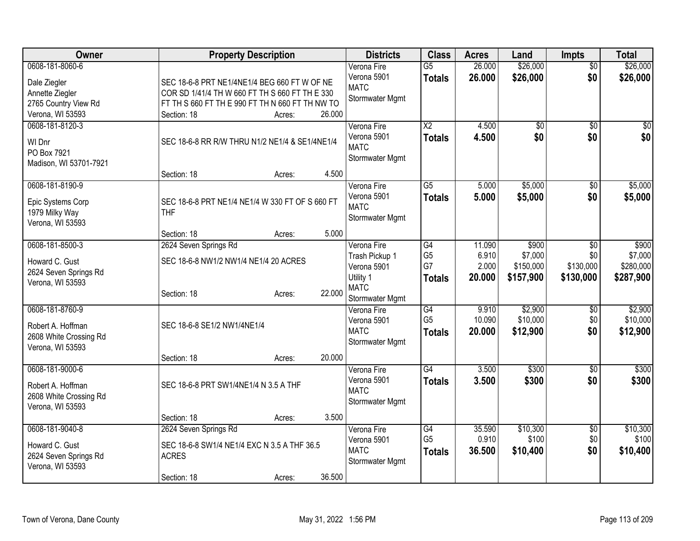| Owner                                                                                          | <b>Property Description</b>                                                                                                                                                |        | <b>Districts</b>                                                                            | <b>Class</b>                                             | <b>Acres</b>                       | Land                                       | <b>Impts</b>                                     | <b>Total</b>                               |
|------------------------------------------------------------------------------------------------|----------------------------------------------------------------------------------------------------------------------------------------------------------------------------|--------|---------------------------------------------------------------------------------------------|----------------------------------------------------------|------------------------------------|--------------------------------------------|--------------------------------------------------|--------------------------------------------|
| 0608-181-8060-6<br>Dale Ziegler<br>Annette Ziegler<br>2765 Country View Rd<br>Verona, WI 53593 | SEC 18-6-8 PRT NE1/4NE1/4 BEG 660 FT W OF NE<br>COR SD 1/41/4 TH W 660 FT TH S 660 FT TH E 330<br>FT TH S 660 FT TH E 990 FT TH N 660 FT TH NW TO<br>Section: 18<br>Acres: | 26.000 | Verona Fire<br>Verona 5901<br><b>MATC</b><br>Stormwater Mgmt                                | $\overline{G5}$<br><b>Totals</b>                         | 26.000<br>26.000                   | \$26,000<br>\$26,000                       | $\overline{50}$<br>\$0                           | \$26,000<br>\$26,000                       |
| 0608-181-8120-3<br>WI Dnr<br>PO Box 7921<br>Madison, WI 53701-7921                             | SEC 18-6-8 RR R/W THRU N1/2 NE1/4 & SE1/4NE1/4                                                                                                                             | 4.500  | Verona Fire<br>Verona 5901<br><b>MATC</b><br>Stormwater Mgmt                                | $\overline{\text{X2}}$<br><b>Totals</b>                  | 4.500<br>4.500                     | $\overline{50}$<br>\$0                     | $\overline{50}$<br>\$0                           | $\overline{50}$<br>\$0                     |
| 0608-181-8190-9<br>Epic Systems Corp<br>1979 Milky Way<br>Verona, WI 53593                     | Section: 18<br>Acres:<br>SEC 18-6-8 PRT NE1/4 NE1/4 W 330 FT OF S 660 FT<br><b>THF</b><br>Section: 18<br>Acres:                                                            | 5.000  | Verona Fire<br>Verona 5901<br><b>MATC</b><br>Stormwater Mgmt                                | $\overline{G5}$<br><b>Totals</b>                         | 5.000<br>5.000                     | \$5,000<br>\$5,000                         | \$0<br>\$0                                       | \$5,000<br>\$5,000                         |
| 0608-181-8500-3<br>Howard C. Gust<br>2624 Seven Springs Rd<br>Verona, WI 53593                 | 2624 Seven Springs Rd<br>SEC 18-6-8 NW1/2 NW1/4 NE1/4 20 ACRES<br>Section: 18<br>Acres:                                                                                    | 22.000 | Verona Fire<br>Trash Pickup 1<br>Verona 5901<br>Utility 1<br><b>MATC</b><br>Stormwater Mgmt | $\overline{G4}$<br>G <sub>5</sub><br>G7<br><b>Totals</b> | 11.090<br>6.910<br>2.000<br>20,000 | \$900<br>\$7,000<br>\$150,000<br>\$157,900 | $\overline{50}$<br>\$0<br>\$130,000<br>\$130,000 | \$900<br>\$7,000<br>\$280,000<br>\$287,900 |
| 0608-181-8760-9<br>Robert A. Hoffman<br>2608 White Crossing Rd<br>Verona, WI 53593             | SEC 18-6-8 SE1/2 NW1/4NE1/4<br>Section: 18<br>Acres:                                                                                                                       | 20.000 | Verona Fire<br>Verona 5901<br><b>MATC</b><br>Stormwater Mgmt                                | G4<br>G <sub>5</sub><br><b>Totals</b>                    | 9.910<br>10.090<br>20.000          | \$2,900<br>\$10,000<br>\$12,900            | \$0<br>\$0<br>\$0                                | \$2,900<br>\$10,000<br>\$12,900            |
| 0608-181-9000-6<br>Robert A. Hoffman<br>2608 White Crossing Rd<br>Verona, WI 53593             | SEC 18-6-8 PRT SW1/4NE1/4 N 3.5 A THF                                                                                                                                      | 3.500  | Verona Fire<br>Verona 5901<br><b>MATC</b><br>Stormwater Mgmt                                | $\overline{G4}$<br><b>Totals</b>                         | 3.500<br>3.500                     | \$300<br>\$300                             | \$0<br>\$0                                       | \$300<br>\$300                             |
| 0608-181-9040-8<br>Howard C. Gust<br>2624 Seven Springs Rd<br>Verona, WI 53593                 | Section: 18<br>Acres:<br>2624 Seven Springs Rd<br>SEC 18-6-8 SW1/4 NE1/4 EXC N 3.5 A THF 36.5<br><b>ACRES</b><br>Section: 18<br>Acres:                                     | 36.500 | Verona Fire<br>Verona 5901<br><b>MATC</b><br>Stormwater Mgmt                                | G4<br>G <sub>5</sub><br><b>Totals</b>                    | 35.590<br>0.910<br>36.500          | \$10,300<br>\$100<br>\$10,400              | \$0<br>\$0<br>\$0                                | \$10,300<br>\$100<br>\$10,400              |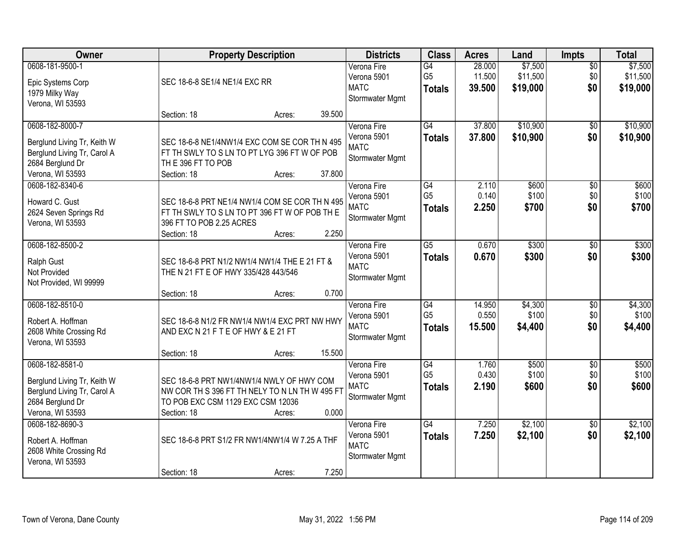| Owner                                                                                                                 |                                                                                                                                                 | <b>Property Description</b> |        | <b>Districts</b>                                             | <b>Class</b>                                       | <b>Acres</b>               | Land                            | Impts                         | <b>Total</b>                    |
|-----------------------------------------------------------------------------------------------------------------------|-------------------------------------------------------------------------------------------------------------------------------------------------|-----------------------------|--------|--------------------------------------------------------------|----------------------------------------------------|----------------------------|---------------------------------|-------------------------------|---------------------------------|
| 0608-181-9500-1<br>Epic Systems Corp<br>1979 Milky Way<br>Verona, WI 53593                                            | SEC 18-6-8 SE1/4 NE1/4 EXC RR                                                                                                                   |                             |        | Verona Fire<br>Verona 5901<br><b>MATC</b><br>Stormwater Mgmt | G4<br>G <sub>5</sub><br><b>Totals</b>              | 28.000<br>11.500<br>39.500 | \$7,500<br>\$11,500<br>\$19,000 | $\overline{50}$<br>\$0<br>\$0 | \$7,500<br>\$11,500<br>\$19,000 |
|                                                                                                                       | Section: 18                                                                                                                                     | Acres:                      | 39.500 |                                                              |                                                    |                            |                                 |                               |                                 |
| 0608-182-8000-7<br>Berglund Living Tr, Keith W<br>Berglund Living Tr, Carol A<br>2684 Berglund Dr<br>Verona, WI 53593 | SEC 18-6-8 NE1/4NW1/4 EXC COM SE COR TH N 495<br>FT TH SWLY TO S LN TO PT LYG 396 FT W OF POB<br>THE 396 FT TO POB<br>Section: 18               | Acres:                      | 37.800 | Verona Fire<br>Verona 5901<br><b>MATC</b><br>Stormwater Mgmt | G4<br><b>Totals</b>                                | 37.800<br>37.800           | \$10,900<br>\$10,900            | $\overline{50}$<br>\$0        | \$10,900<br>\$10,900            |
| 0608-182-8340-6<br>Howard C. Gust<br>2624 Seven Springs Rd<br>Verona, WI 53593                                        | SEC 18-6-8 PRT NE1/4 NW1/4 COM SE COR TH N 495<br>FT TH SWLY TO S LN TO PT 396 FT W OF POB TH E<br>396 FT TO POB 2.25 ACRES<br>Section: 18      | Acres:                      | 2.250  | Verona Fire<br>Verona 5901<br><b>MATC</b><br>Stormwater Mgmt | $\overline{G4}$<br>G <sub>5</sub><br><b>Totals</b> | 2.110<br>0.140<br>2.250    | \$600<br>\$100<br>\$700         | $\overline{50}$<br>\$0<br>\$0 | \$600<br>\$100<br>\$700         |
| 0608-182-8500-2<br>Ralph Gust<br>Not Provided<br>Not Provided, WI 99999                                               | SEC 18-6-8 PRT N1/2 NW1/4 NW1/4 THE E 21 FT &<br>THE N 21 FT E OF HWY 335/428 443/546<br>Section: 18                                            | Acres:                      | 0.700  | Verona Fire<br>Verona 5901<br><b>MATC</b><br>Stormwater Mgmt | $\overline{G5}$<br><b>Totals</b>                   | 0.670<br>0.670             | \$300<br>\$300                  | $\overline{50}$<br>\$0        | \$300<br>\$300                  |
| 0608-182-8510-0<br>Robert A. Hoffman<br>2608 White Crossing Rd<br>Verona, WI 53593                                    | SEC 18-6-8 N1/2 FR NW1/4 NW1/4 EXC PRT NW HWY<br>AND EXC N 21 F T E OF HWY & E 21 FT<br>Section: 18                                             | Acres:                      | 15.500 | Verona Fire<br>Verona 5901<br><b>MATC</b><br>Stormwater Mgmt | $\overline{G4}$<br>G <sub>5</sub><br><b>Totals</b> | 14.950<br>0.550<br>15.500  | \$4,300<br>\$100<br>\$4,400     | $\overline{50}$<br>\$0<br>\$0 | \$4,300<br>\$100<br>\$4,400     |
| 0608-182-8581-0<br>Berglund Living Tr, Keith W<br>Berglund Living Tr, Carol A<br>2684 Berglund Dr<br>Verona, WI 53593 | SEC 18-6-8 PRT NW1/4NW1/4 NWLY OF HWY COM<br>NW COR TH S 396 FT TH NELY TO N LN TH W 495 FT<br>TO POB EXC CSM 1129 EXC CSM 12036<br>Section: 18 | Acres:                      | 0.000  | Verona Fire<br>Verona 5901<br><b>MATC</b><br>Stormwater Mgmt | G4<br>G <sub>5</sub><br><b>Totals</b>              | 1.760<br>0.430<br>2.190    | \$500<br>\$100<br>\$600         | $\overline{50}$<br>\$0<br>\$0 | \$500<br>\$100<br>\$600         |
| 0608-182-8690-3<br>Robert A. Hoffman<br>2608 White Crossing Rd<br>Verona, WI 53593                                    | SEC 18-6-8 PRT S1/2 FR NW1/4NW1/4 W 7.25 A THF<br>Section: 18                                                                                   | Acres:                      | 7.250  | Verona Fire<br>Verona 5901<br><b>MATC</b><br>Stormwater Mgmt | $\overline{G4}$<br><b>Totals</b>                   | 7.250<br>7.250             | \$2,100<br>\$2,100              | $\overline{30}$<br>\$0        | \$2,100<br>\$2,100              |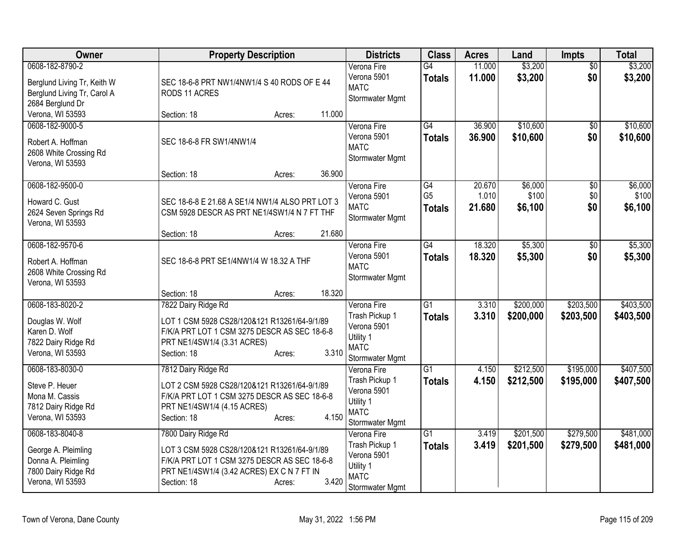| Owner                                                                                                   | <b>Property Description</b>                                                                                                                                                                         | <b>Districts</b>                                                                            | <b>Class</b>                     | <b>Acres</b>     | Land                   | Impts                  | <b>Total</b>           |
|---------------------------------------------------------------------------------------------------------|-----------------------------------------------------------------------------------------------------------------------------------------------------------------------------------------------------|---------------------------------------------------------------------------------------------|----------------------------------|------------------|------------------------|------------------------|------------------------|
| 0608-182-8790-2<br>Berglund Living Tr, Keith W<br>Berglund Living Tr, Carol A<br>2684 Berglund Dr       | SEC 18-6-8 PRT NW1/4NW1/4 S 40 RODS OF E 44<br>RODS 11 ACRES                                                                                                                                        | Verona Fire<br>Verona 5901<br><b>MATC</b><br>Stormwater Mgmt                                | G4<br><b>Totals</b>              | 11.000<br>11.000 | \$3,200<br>\$3,200     | \$0<br>\$0             | \$3,200<br>\$3,200     |
| Verona, WI 53593                                                                                        | 11.000<br>Section: 18<br>Acres:                                                                                                                                                                     |                                                                                             |                                  |                  |                        |                        |                        |
| 0608-182-9000-5<br>Robert A. Hoffman<br>2608 White Crossing Rd<br>Verona, WI 53593                      | SEC 18-6-8 FR SW1/4NW1/4<br>36.900                                                                                                                                                                  | Verona Fire<br>Verona 5901<br><b>MATC</b><br>Stormwater Mgmt                                | G4<br><b>Totals</b>              | 36.900<br>36.900 | \$10,600<br>\$10,600   | $\overline{50}$<br>\$0 | \$10,600<br>\$10,600   |
| 0608-182-9500-0                                                                                         | Section: 18<br>Acres:                                                                                                                                                                               | Verona Fire                                                                                 | $\overline{G4}$                  | 20.670           | \$6,000                | $\overline{50}$        | \$6,000                |
| Howard C. Gust<br>2624 Seven Springs Rd<br>Verona, WI 53593                                             | SEC 18-6-8 E 21.68 A SE1/4 NW1/4 ALSO PRT LOT 3<br>CSM 5928 DESCR AS PRT NE1/4SW1/4 N 7 FT THF                                                                                                      | Verona 5901<br><b>MATC</b><br>Stormwater Mgmt                                               | G <sub>5</sub><br><b>Totals</b>  | 1.010<br>21.680  | \$100<br>\$6,100       | \$0<br>\$0             | \$100<br>\$6,100       |
|                                                                                                         | 21.680<br>Section: 18<br>Acres:                                                                                                                                                                     |                                                                                             |                                  |                  |                        |                        |                        |
| 0608-182-9570-6<br>Robert A. Hoffman<br>2608 White Crossing Rd<br>Verona, WI 53593                      | SEC 18-6-8 PRT SE1/4NW1/4 W 18.32 A THF                                                                                                                                                             | Verona Fire<br>Verona 5901<br><b>MATC</b><br>Stormwater Mgmt                                | $\overline{G4}$<br><b>Totals</b> | 18.320<br>18.320 | \$5,300<br>\$5,300     | \$0<br>\$0             | \$5,300<br>\$5,300     |
|                                                                                                         | 18.320<br>Section: 18<br>Acres:                                                                                                                                                                     |                                                                                             |                                  |                  |                        |                        |                        |
| 0608-183-8020-2<br>Douglas W. Wolf<br>Karen D. Wolf<br>7822 Dairy Ridge Rd<br>Verona, WI 53593          | 7822 Dairy Ridge Rd<br>LOT 1 CSM 5928 CS28/120&121 R13261/64-9/1/89<br>F/K/A PRT LOT 1 CSM 3275 DESCR AS SEC 18-6-8<br>PRT NE1/4SW1/4 (3.31 ACRES)<br>3.310<br>Section: 18<br>Acres:                | Verona Fire<br>Trash Pickup 1<br>Verona 5901<br>Utility 1<br><b>MATC</b><br>Stormwater Mgmt | $\overline{G1}$<br><b>Totals</b> | 3.310<br>3.310   | \$200,000<br>\$200,000 | \$203,500<br>\$203,500 | \$403,500<br>\$403,500 |
| 0608-183-8030-0<br>Steve P. Heuer<br>Mona M. Cassis<br>7812 Dairy Ridge Rd<br>Verona, WI 53593          | 7812 Dairy Ridge Rd<br>LOT 2 CSM 5928 CS28/120&121 R13261/64-9/1/89<br>F/K/A PRT LOT 1 CSM 3275 DESCR AS SEC 18-6-8<br>PRT NE1/4SW1/4 (4.15 ACRES)<br>4.150<br>Section: 18<br>Acres:                | Verona Fire<br>Trash Pickup 1<br>Verona 5901<br>Utility 1<br><b>MATC</b><br>Stormwater Mgmt | $\overline{G1}$<br><b>Totals</b> | 4.150<br>4.150   | \$212,500<br>\$212,500 | \$195,000<br>\$195,000 | \$407,500<br>\$407,500 |
| 0608-183-8040-8<br>George A. Pleimling<br>Donna A. Pleimling<br>7800 Dairy Ridge Rd<br>Verona, WI 53593 | 7800 Dairy Ridge Rd<br>LOT 3 CSM 5928 CS28/120&121 R13261/64-9/1/89<br>F/K/A PRT LOT 1 CSM 3275 DESCR AS SEC 18-6-8<br>PRT NE1/4SW1/4 (3.42 ACRES) EX C N 7 FT IN<br>3.420<br>Section: 18<br>Acres: | Verona Fire<br>Trash Pickup 1<br>Verona 5901<br>Utility 1<br><b>MATC</b><br>Stormwater Mgmt | $\overline{G1}$<br><b>Totals</b> | 3.419<br>3.419   | \$201,500<br>\$201,500 | \$279,500<br>\$279,500 | \$481,000<br>\$481,000 |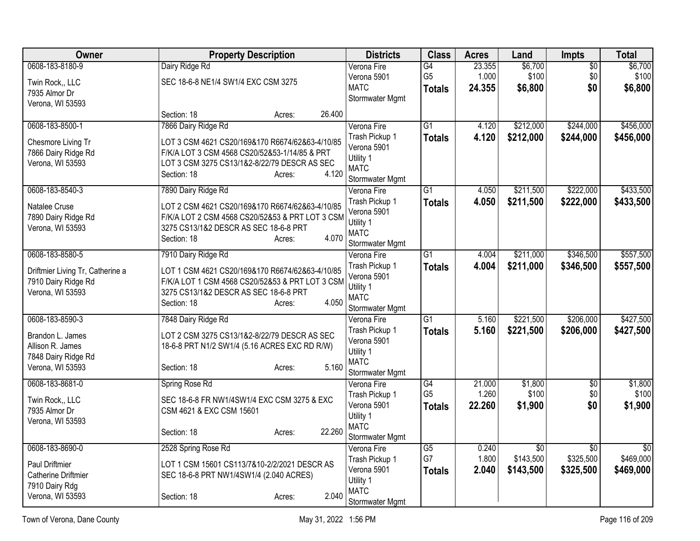| Owner                              | <b>Property Description</b>                     |        | <b>Districts</b>              | <b>Class</b>                      | <b>Acres</b>    | Land             | Impts                  | <b>Total</b>     |
|------------------------------------|-------------------------------------------------|--------|-------------------------------|-----------------------------------|-----------------|------------------|------------------------|------------------|
| 0608-183-8180-9                    | Dairy Ridge Rd                                  |        | Verona Fire                   | G4                                | 23.355          | \$6,700          | $\overline{50}$        | \$6,700          |
| Twin Rock,, LLC                    | SEC 18-6-8 NE1/4 SW1/4 EXC CSM 3275             |        | Verona 5901                   | G <sub>5</sub>                    | 1.000           | \$100            | \$0                    | \$100            |
| 7935 Almor Dr                      |                                                 |        | <b>MATC</b>                   | <b>Totals</b>                     | 24.355          | \$6,800          | \$0                    | \$6,800          |
| Verona, WI 53593                   |                                                 |        | Stormwater Mgmt               |                                   |                 |                  |                        |                  |
|                                    | Section: 18<br>Acres:                           | 26.400 |                               |                                   |                 |                  |                        |                  |
| 0608-183-8500-1                    | 7866 Dairy Ridge Rd                             |        | Verona Fire                   | $\overline{G1}$                   | 4.120           | \$212,000        | \$244,000              | \$456,000        |
| Chesmore Living Tr                 | LOT 3 CSM 4621 CS20/169&170 R6674/62&63-4/10/85 |        | Trash Pickup 1                | <b>Totals</b>                     | 4.120           | \$212,000        | \$244,000              | \$456,000        |
| 7866 Dairy Ridge Rd                | F/K/A LOT 3 CSM 4568 CS20/52&53-1/14/85 & PRT   |        | Verona 5901                   |                                   |                 |                  |                        |                  |
| Verona, WI 53593                   | LOT 3 CSM 3275 CS13/1&2-8/22/79 DESCR AS SEC    |        | Utility 1                     |                                   |                 |                  |                        |                  |
|                                    | Section: 18<br>Acres:                           | 4.120  | <b>MATC</b>                   |                                   |                 |                  |                        |                  |
|                                    |                                                 |        | Stormwater Mgmt               |                                   |                 |                  | \$222,000              |                  |
| 0608-183-8540-3                    | 7890 Dairy Ridge Rd                             |        | Verona Fire<br>Trash Pickup 1 | $\overline{G1}$                   | 4.050           | \$211,500        |                        | \$433,500        |
| Natalee Cruse                      | LOT 2 CSM 4621 CS20/169&170 R6674/62&63-4/10/85 |        | Verona 5901                   | <b>Totals</b>                     | 4.050           | \$211,500        | \$222,000              | \$433,500        |
| 7890 Dairy Ridge Rd                | F/K/A LOT 2 CSM 4568 CS20/52&53 & PRT LOT 3 CSM |        | Utility 1                     |                                   |                 |                  |                        |                  |
| Verona, WI 53593                   | 3275 CS13/1&2 DESCR AS SEC 18-6-8 PRT           |        | <b>MATC</b>                   |                                   |                 |                  |                        |                  |
|                                    | Section: 18<br>Acres:                           | 4.070  | Stormwater Mgmt               |                                   |                 |                  |                        |                  |
| 0608-183-8580-5                    | 7910 Dairy Ridge Rd                             |        | Verona Fire                   | $\overline{G1}$                   | 4.004           | \$211,000        | \$346,500              | \$557,500        |
|                                    |                                                 |        | Trash Pickup 1                | Totals                            | 4.004           | \$211,000        | \$346,500              | \$557,500        |
| Driftmier Living Tr, Catherine a   | LOT 1 CSM 4621 CS20/169&170 R6674/62&63-4/10/85 |        | Verona 5901                   |                                   |                 |                  |                        |                  |
| 7910 Dairy Ridge Rd                | F/K/A LOT 1 CSM 4568 CS20/52&53 & PRT LOT 3 CSM |        | Utility 1                     |                                   |                 |                  |                        |                  |
| Verona, WI 53593                   | 3275 CS13/1&2 DESCR AS SEC 18-6-8 PRT           |        | <b>MATC</b>                   |                                   |                 |                  |                        |                  |
|                                    | Section: 18<br>Acres:                           | 4.050  | Stormwater Mgmt               |                                   |                 |                  |                        |                  |
| 0608-183-8590-3                    | 7848 Dairy Ridge Rd                             |        | Verona Fire                   | G1                                | 5.160           | \$221,500        | \$206,000              | \$427,500        |
| Brandon L. James                   | LOT 2 CSM 3275 CS13/1&2-8/22/79 DESCR AS SEC    |        | Trash Pickup 1                | <b>Totals</b>                     | 5.160           | \$221,500        | \$206,000              | \$427,500        |
| Allison R. James                   | 18-6-8 PRT N1/2 SW1/4 (5.16 ACRES EXC RD R/W)   |        | Verona 5901                   |                                   |                 |                  |                        |                  |
| 7848 Dairy Ridge Rd                |                                                 |        | Utility 1                     |                                   |                 |                  |                        |                  |
| Verona, WI 53593                   | Section: 18<br>Acres:                           | 5.160  | <b>MATC</b>                   |                                   |                 |                  |                        |                  |
|                                    |                                                 |        | Stormwater Mgmt               |                                   |                 |                  |                        |                  |
| 0608-183-8681-0                    | Spring Rose Rd                                  |        | Verona Fire                   | $\overline{G4}$<br>G <sub>5</sub> | 21.000<br>1.260 | \$1,800<br>\$100 | $\overline{50}$<br>\$0 | \$1,800<br>\$100 |
| Twin Rock., LLC                    | SEC 18-6-8 FR NW1/4SW1/4 EXC CSM 3275 & EXC     |        | Trash Pickup 1<br>Verona 5901 |                                   | 22.260          |                  | \$0                    |                  |
| 7935 Almor Dr                      | CSM 4621 & EXC CSM 15601                        |        | Utility 1                     | <b>Totals</b>                     |                 | \$1,900          |                        | \$1,900          |
| Verona, WI 53593                   |                                                 |        | <b>MATC</b>                   |                                   |                 |                  |                        |                  |
|                                    | Section: 18<br>Acres:                           | 22.260 | Stormwater Mgmt               |                                   |                 |                  |                        |                  |
| 0608-183-8690-0                    | 2528 Spring Rose Rd                             |        | Verona Fire                   | $\overline{G5}$                   | 0.240           | $\overline{50}$  | $\overline{50}$        | $\overline{50}$  |
|                                    |                                                 |        | Trash Pickup 1                | G7                                | 1.800           | \$143,500        | \$325,500              | \$469,000        |
| <b>Paul Driftmier</b>              | LOT 1 CSM 15601 CS113/7&10-2/2/2021 DESCR AS    |        | Verona 5901                   | <b>Totals</b>                     | 2.040           | \$143,500        | \$325,500              | \$469,000        |
| <b>Catherine Driftmier</b>         | SEC 18-6-8 PRT NW1/4SW1/4 (2.040 ACRES)         |        | Utility 1                     |                                   |                 |                  |                        |                  |
| 7910 Dairy Rdg<br>Verona, WI 53593 |                                                 | 2.040  | <b>MATC</b>                   |                                   |                 |                  |                        |                  |
|                                    | Section: 18<br>Acres:                           |        | Stormwater Mgmt               |                                   |                 |                  |                        |                  |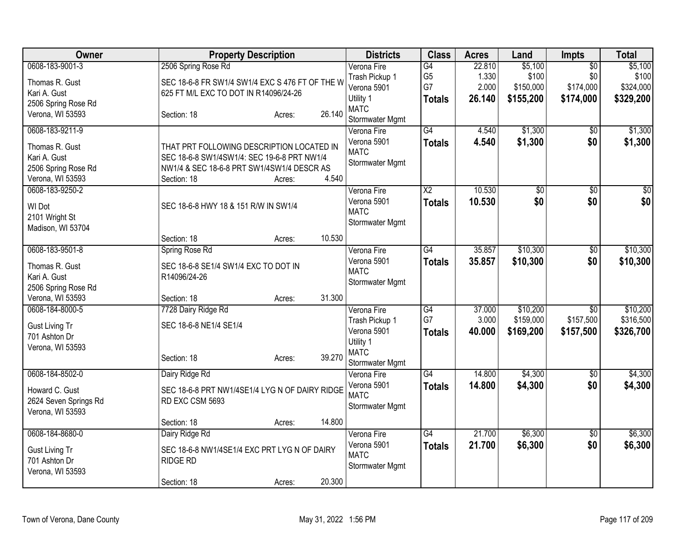| Owner                                                                                             |                                                                                                                                                       | <b>Property Description</b> |                  | <b>Districts</b>                                                                            | <b>Class</b>                                             | <b>Acres</b>                       | Land                                       | <b>Impts</b>                                     | <b>Total</b>                               |
|---------------------------------------------------------------------------------------------------|-------------------------------------------------------------------------------------------------------------------------------------------------------|-----------------------------|------------------|---------------------------------------------------------------------------------------------|----------------------------------------------------------|------------------------------------|--------------------------------------------|--------------------------------------------------|--------------------------------------------|
| 0608-183-9001-3<br>Thomas R. Gust<br>Kari A. Gust<br>2506 Spring Rose Rd<br>Verona, WI 53593      | 2506 Spring Rose Rd<br>SEC 18-6-8 FR SW1/4 SW1/4 EXC S 476 FT OF THE W<br>625 FT M/L EXC TO DOT IN R14096/24-26<br>Section: 18                        | Acres:                      | 26.140           | Verona Fire<br>Trash Pickup 1<br>Verona 5901<br>Utility 1<br><b>MATC</b><br>Stormwater Mgmt | $\overline{G4}$<br>G <sub>5</sub><br>G7<br><b>Totals</b> | 22.810<br>1.330<br>2.000<br>26.140 | \$5,100<br>\$100<br>\$150,000<br>\$155,200 | $\overline{50}$<br>\$0<br>\$174,000<br>\$174,000 | \$5,100<br>\$100<br>\$324,000<br>\$329,200 |
| 0608-183-9211-9<br>Thomas R. Gust<br>Kari A. Gust<br>2506 Spring Rose Rd<br>Verona, WI 53593      | THAT PRT FOLLOWING DESCRIPTION LOCATED IN<br>SEC 18-6-8 SW1/4SW1/4: SEC 19-6-8 PRT NW1/4<br>NW1/4 & SEC 18-6-8 PRT SW1/4SW1/4 DESCR AS<br>Section: 18 | Acres:                      | 4.540            | Verona Fire<br>Verona 5901<br><b>MATC</b><br>Stormwater Mgmt                                | $\overline{G4}$<br><b>Totals</b>                         | 4.540<br>4.540                     | \$1,300<br>\$1,300                         | \$0<br>\$0                                       | \$1,300<br>\$1,300                         |
| 0608-183-9250-2<br>WI Dot<br>2101 Wright St<br>Madison, WI 53704                                  | SEC 18-6-8 HWY 18 & 151 R/W IN SW1/4<br>Section: 18                                                                                                   | Acres:                      | 10.530           | Verona Fire<br>Verona 5901<br><b>MATC</b><br>Stormwater Mgmt                                | $\overline{X2}$<br><b>Totals</b>                         | 10.530<br>10.530                   | $\overline{50}$<br>\$0                     | $\overline{50}$<br>\$0                           | $\sqrt{50}$<br>\$0                         |
| 0608-183-9501-8<br>Thomas R. Gust<br>Kari A. Gust<br>2506 Spring Rose Rd                          | Spring Rose Rd<br>SEC 18-6-8 SE1/4 SW1/4 EXC TO DOT IN<br>R14096/24-26                                                                                |                             |                  | Verona Fire<br>Verona 5901<br><b>MATC</b><br>Stormwater Mgmt                                | $\overline{G4}$<br><b>Totals</b>                         | 35.857<br>35.857                   | \$10,300<br>\$10,300                       | $\overline{30}$<br>\$0                           | \$10,300<br>\$10,300                       |
| Verona, WI 53593<br>0608-184-8000-5<br><b>Gust Living Tr</b><br>701 Ashton Dr<br>Verona, WI 53593 | Section: 18<br>7728 Dairy Ridge Rd<br>SEC 18-6-8 NE1/4 SE1/4<br>Section: 18                                                                           | Acres:<br>Acres:            | 31.300<br>39.270 | Verona Fire<br>Trash Pickup 1<br>Verona 5901<br>Utility 1<br><b>MATC</b><br>Stormwater Mgmt | G4<br>G7<br><b>Totals</b>                                | 37.000<br>3.000<br>40.000          | \$10,200<br>\$159,000<br>\$169,200         | $\overline{50}$<br>\$157,500<br>\$157,500        | \$10,200<br>\$316,500<br>\$326,700         |
| 0608-184-8502-0<br>Howard C. Gust<br>2624 Seven Springs Rd<br>Verona, WI 53593                    | Dairy Ridge Rd<br>SEC 18-6-8 PRT NW1/4SE1/4 LYG N OF DAIRY RIDGE<br>RD EXC CSM 5693<br>Section: 18                                                    | Acres:                      | 14.800           | Verona Fire<br>Verona 5901<br><b>MATC</b><br>Stormwater Mgmt                                | $\overline{G4}$<br><b>Totals</b>                         | 14.800<br>14.800                   | \$4,300<br>\$4,300                         | \$0<br>\$0                                       | \$4,300<br>\$4,300                         |
| 0608-184-8680-0<br><b>Gust Living Tr</b><br>701 Ashton Dr<br>Verona, WI 53593                     | Dairy Ridge Rd<br>SEC 18-6-8 NW1/4SE1/4 EXC PRT LYG N OF DAIRY<br><b>RIDGE RD</b><br>Section: 18                                                      | Acres:                      | 20.300           | Verona Fire<br>Verona 5901<br><b>MATC</b><br>Stormwater Mgmt                                | $\overline{G4}$<br><b>Totals</b>                         | 21.700<br>21.700                   | \$6,300<br>\$6,300                         | $\overline{30}$<br>\$0                           | \$6,300<br>\$6,300                         |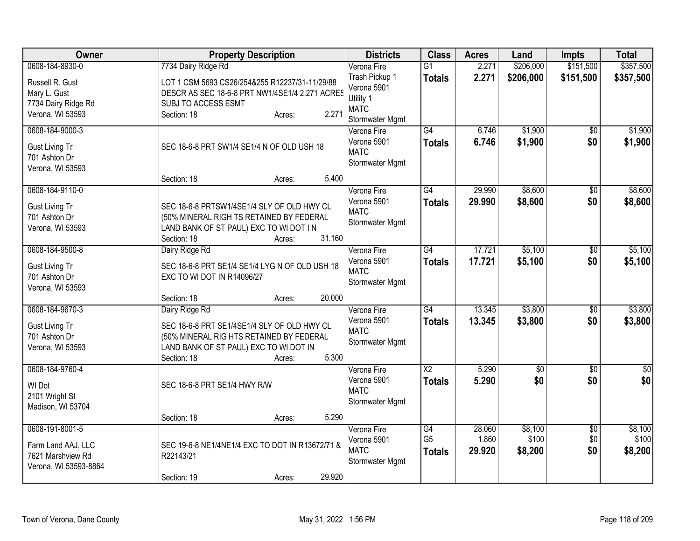| Owner                 | <b>Property Description</b>                     | <b>Districts</b>           | <b>Class</b>           | <b>Acres</b> | Land            | <b>Impts</b>    | <b>Total</b>    |
|-----------------------|-------------------------------------------------|----------------------------|------------------------|--------------|-----------------|-----------------|-----------------|
| 0608-184-8930-0       | 7734 Dairy Ridge Rd                             | Verona Fire                | $\overline{G1}$        | 2.271        | \$206,000       | \$151,500       | \$357,500       |
| Russell R. Gust       | LOT 1 CSM 5693 CS26/254&255 R12237/31-11/29/88  | Trash Pickup 1             | <b>Totals</b>          | 2.271        | \$206,000       | \$151,500       | \$357,500       |
| Mary L. Gust          | DESCR AS SEC 18-6-8 PRT NW1/4SE1/4 2.271 ACRES  | Verona 5901                |                        |              |                 |                 |                 |
| 7734 Dairy Ridge Rd   | SUBJ TO ACCESS ESMT                             | Utility 1<br><b>MATC</b>   |                        |              |                 |                 |                 |
| Verona, WI 53593      | 2.271<br>Section: 18<br>Acres:                  | Stormwater Mgmt            |                        |              |                 |                 |                 |
| 0608-184-9000-3       |                                                 | Verona Fire                | $\overline{G4}$        | 6.746        | \$1,900         | $\overline{50}$ | \$1,900         |
|                       |                                                 | Verona 5901                | <b>Totals</b>          | 6.746        | \$1,900         | \$0             | \$1,900         |
| <b>Gust Living Tr</b> | SEC 18-6-8 PRT SW1/4 SE1/4 N OF OLD USH 18      | <b>MATC</b>                |                        |              |                 |                 |                 |
| 701 Ashton Dr         |                                                 | Stormwater Mgmt            |                        |              |                 |                 |                 |
| Verona, WI 53593      | 5.400<br>Section: 18<br>Acres:                  |                            |                        |              |                 |                 |                 |
| 0608-184-9110-0       |                                                 | Verona Fire                | $\overline{G4}$        | 29.990       | \$8,600         | $\overline{50}$ | \$8,600         |
|                       |                                                 | Verona 5901                | <b>Totals</b>          | 29.990       | \$8,600         | \$0             | \$8,600         |
| <b>Gust Living Tr</b> | SEC 18-6-8 PRTSW1/4SE1/4 SLY OF OLD HWY CL      | <b>MATC</b>                |                        |              |                 |                 |                 |
| 701 Ashton Dr         | (50% MINERAL RIGH TS RETAINED BY FEDERAL        | Stormwater Mgmt            |                        |              |                 |                 |                 |
| Verona, WI 53593      | LAND BANK OF ST PAUL) EXC TO WI DOT IN          |                            |                        |              |                 |                 |                 |
|                       | 31.160<br>Section: 18<br>Acres:                 |                            |                        |              |                 |                 |                 |
| 0608-184-9500-8       | Dairy Ridge Rd                                  | Verona Fire                | $\overline{G4}$        | 17.721       | \$5,100         | $\overline{50}$ | \$5,100         |
| <b>Gust Living Tr</b> | SEC 18-6-8 PRT SE1/4 SE1/4 LYG N OF OLD USH 18  | Verona 5901<br><b>MATC</b> | <b>Totals</b>          | 17.721       | \$5,100         | \$0             | \$5,100         |
| 701 Ashton Dr         | EXC TO WI DOT IN R14096/27                      | Stormwater Mgmt            |                        |              |                 |                 |                 |
| Verona, WI 53593      |                                                 |                            |                        |              |                 |                 |                 |
|                       | 20.000<br>Section: 18<br>Acres:                 |                            |                        |              |                 |                 |                 |
| 0608-184-9670-3       | Dairy Ridge Rd                                  | Verona Fire                | G4                     | 13.345       | \$3,800         | \$0             | \$3,800         |
| <b>Gust Living Tr</b> | SEC 18-6-8 PRT SE1/4SE1/4 SLY OF OLD HWY CL     | Verona 5901                | <b>Totals</b>          | 13.345       | \$3,800         | \$0             | \$3,800         |
| 701 Ashton Dr         | (50% MINERAL RIG HTS RETAINED BY FEDERAL        | <b>MATC</b>                |                        |              |                 |                 |                 |
| Verona, WI 53593      | LAND BANK OF ST PAUL) EXC TO WI DOT IN          | Stormwater Mgmt            |                        |              |                 |                 |                 |
|                       | 5.300<br>Section: 18<br>Acres:                  |                            |                        |              |                 |                 |                 |
| 0608-184-9760-4       |                                                 | Verona Fire                | $\overline{\text{X2}}$ | 5.290        | $\overline{50}$ | $\overline{50}$ | $\overline{30}$ |
| WI Dot                | SEC 18-6-8 PRT SE1/4 HWY R/W                    | Verona 5901                | <b>Totals</b>          | 5.290        | \$0             | \$0             | \$0             |
| 2101 Wright St        |                                                 | <b>MATC</b>                |                        |              |                 |                 |                 |
| Madison, WI 53704     |                                                 | Stormwater Mgmt            |                        |              |                 |                 |                 |
|                       | 5.290<br>Section: 18<br>Acres:                  |                            |                        |              |                 |                 |                 |
| 0608-191-8001-5       |                                                 | Verona Fire                | G4                     | 28.060       | \$8,100         | \$0             | \$8,100         |
| Farm Land AAJ, LLC    | SEC 19-6-8 NE1/4NE1/4 EXC TO DOT IN R13672/71 & | Verona 5901                | G <sub>5</sub>         | 1.860        | \$100           | \$0             | \$100           |
| 7621 Marshview Rd     | R22143/21                                       | <b>MATC</b>                | <b>Totals</b>          | 29.920       | \$8,200         | \$0             | \$8,200         |
| Verona, WI 53593-8864 |                                                 | Stormwater Mgmt            |                        |              |                 |                 |                 |
|                       | 29.920<br>Section: 19<br>Acres:                 |                            |                        |              |                 |                 |                 |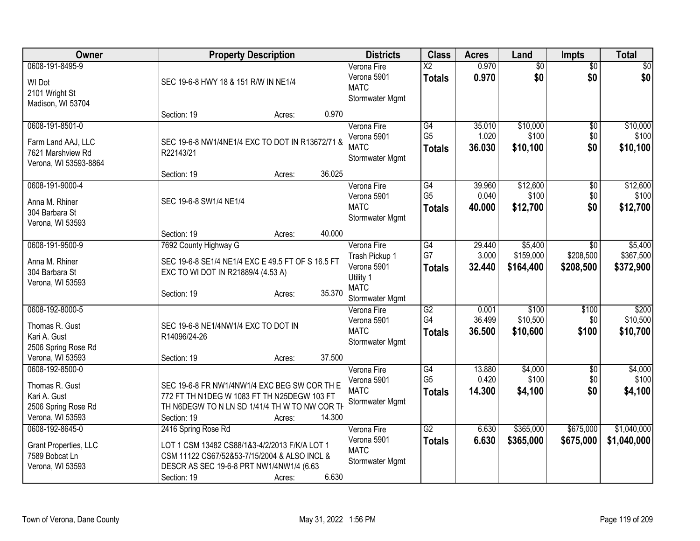| <b>Owner</b>                                                                                 | <b>Property Description</b>                                                                                                                                                                        | <b>Districts</b>                                                                            | <b>Class</b>                                       | <b>Acres</b>              | Land                              | Impts                                     | <b>Total</b>                      |
|----------------------------------------------------------------------------------------------|----------------------------------------------------------------------------------------------------------------------------------------------------------------------------------------------------|---------------------------------------------------------------------------------------------|----------------------------------------------------|---------------------------|-----------------------------------|-------------------------------------------|-----------------------------------|
| 0608-191-8495-9<br>WI Dot<br>2101 Wright St<br>Madison, WI 53704                             | SEC 19-6-8 HWY 18 & 151 R/W IN NE1/4                                                                                                                                                               | Verona Fire<br>Verona 5901<br><b>MATC</b><br>Stormwater Mgmt                                | $\overline{X2}$<br><b>Totals</b>                   | 0.970<br>0.970            | $\overline{60}$<br>\$0            | $\overline{50}$<br>\$0                    | $\overline{50}$<br>\$0            |
|                                                                                              | 0.970<br>Section: 19<br>Acres:                                                                                                                                                                     |                                                                                             |                                                    |                           |                                   |                                           |                                   |
| 0608-191-8501-0<br>Farm Land AAJ, LLC<br>7621 Marshview Rd<br>Verona, WI 53593-8864          | SEC 19-6-8 NW1/4NE1/4 EXC TO DOT IN R13672/71 &<br>R22143/21                                                                                                                                       | Verona Fire<br>Verona 5901<br><b>MATC</b><br>Stormwater Mgmt                                | $\overline{G4}$<br>G <sub>5</sub><br><b>Totals</b> | 35.010<br>1.020<br>36.030 | \$10,000<br>\$100<br>\$10,100     | $\overline{50}$<br>\$0<br>\$0             | \$10,000<br>\$100<br>\$10,100     |
|                                                                                              | 36.025<br>Section: 19<br>Acres:                                                                                                                                                                    |                                                                                             |                                                    |                           |                                   |                                           |                                   |
| 0608-191-9000-4<br>Anna M. Rhiner<br>304 Barbara St<br>Verona, WI 53593                      | SEC 19-6-8 SW1/4 NE1/4                                                                                                                                                                             | Verona Fire<br>Verona 5901<br><b>MATC</b><br>Stormwater Mgmt                                | G4<br>G <sub>5</sub><br><b>Totals</b>              | 39.960<br>0.040<br>40.000 | \$12,600<br>\$100<br>\$12,700     | $\overline{50}$<br>\$0<br>\$0             | \$12,600<br>\$100<br>\$12,700     |
|                                                                                              | 40.000<br>Section: 19<br>Acres:                                                                                                                                                                    |                                                                                             |                                                    |                           |                                   |                                           |                                   |
| 0608-191-9500-9<br>Anna M. Rhiner<br>304 Barbara St<br>Verona, WI 53593                      | 7692 County Highway G<br>SEC 19-6-8 SE1/4 NE1/4 EXC E 49.5 FT OF S 16.5 FT<br>EXC TO WI DOT IN R21889/4 (4.53 A)<br>35.370<br>Section: 19<br>Acres:                                                | Verona Fire<br>Trash Pickup 1<br>Verona 5901<br>Utility 1<br><b>MATC</b><br>Stormwater Mgmt | $\overline{G4}$<br>G7<br><b>Totals</b>             | 29.440<br>3.000<br>32.440 | \$5,400<br>\$159,000<br>\$164,400 | $\overline{50}$<br>\$208,500<br>\$208,500 | \$5,400<br>\$367,500<br>\$372,900 |
| 0608-192-8000-5<br>Thomas R. Gust<br>Kari A. Gust<br>2506 Spring Rose Rd<br>Verona, WI 53593 | SEC 19-6-8 NE1/4NW1/4 EXC TO DOT IN<br>R14096/24-26<br>37.500<br>Section: 19<br>Acres:                                                                                                             | Verona Fire<br>Verona 5901<br><b>MATC</b><br>Stormwater Mgmt                                | G2<br>G4<br><b>Totals</b>                          | 0.001<br>36.499<br>36.500 | \$100<br>\$10,500<br>\$10,600     | \$100<br>\$0<br>\$100                     | \$200<br>\$10,500<br>\$10,700     |
| 0608-192-8500-0<br>Thomas R. Gust<br>Kari A. Gust<br>2506 Spring Rose Rd<br>Verona, WI 53593 | SEC 19-6-8 FR NW1/4NW1/4 EXC BEG SW COR TH E<br>772 FT TH N1DEG W 1083 FT TH N25DEGW 103 FT<br>TH N6DEGW TO N LN SD 1/41/4 TH W TO NW COR TH<br>14.300<br>Section: 19<br>Acres:                    | Verona Fire<br>Verona 5901<br><b>MATC</b><br>Stormwater Mgmt                                | G4<br>G <sub>5</sub><br><b>Totals</b>              | 13.880<br>0.420<br>14.300 | \$4,000<br>\$100<br>\$4,100       | \$0<br>\$0<br>\$0                         | \$4,000<br>\$100<br>\$4,100       |
| 0608-192-8645-0<br>Grant Properties, LLC<br>7589 Bobcat Ln<br>Verona, WI 53593               | 2416 Spring Rose Rd<br>LOT 1 CSM 13482 CS88/1&3-4/2/2013 F/K/A LOT 1<br>CSM 11122 CS67/52&53-7/15/2004 & ALSO INCL &<br>DESCR AS SEC 19-6-8 PRT NW1/4NW1/4 (6.63<br>6.630<br>Section: 19<br>Acres: | Verona Fire<br>Verona 5901<br><b>MATC</b><br>Stormwater Mgmt                                | $\overline{G2}$<br><b>Totals</b>                   | 6.630<br>6.630            | \$365,000<br>\$365,000            | \$675,000<br>\$675,000                    | \$1,040,000<br>\$1,040,000        |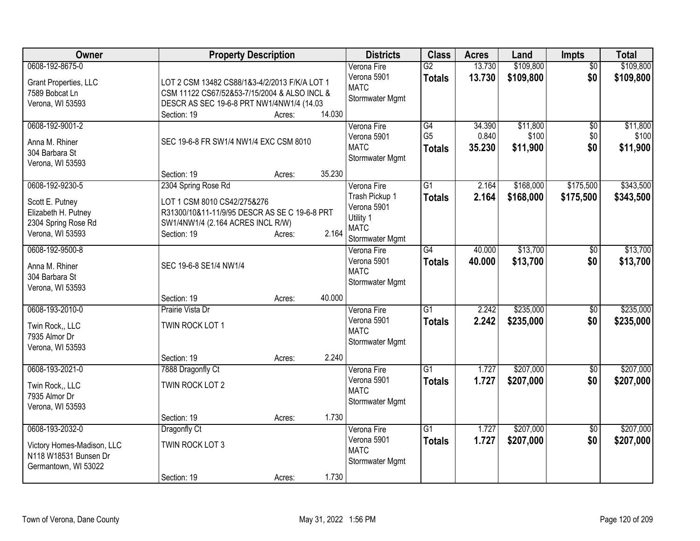| Owner                                                                                                | <b>Property Description</b>                                                                                                                             |                                      | <b>Districts</b>                                                                            | <b>Class</b>                          | <b>Acres</b>              | Land                          | <b>Impts</b>           | <b>Total</b>                  |
|------------------------------------------------------------------------------------------------------|---------------------------------------------------------------------------------------------------------------------------------------------------------|--------------------------------------|---------------------------------------------------------------------------------------------|---------------------------------------|---------------------------|-------------------------------|------------------------|-------------------------------|
| 0608-192-8675-0<br>Grant Properties, LLC<br>7589 Bobcat Ln<br>Verona, WI 53593                       | LOT 2 CSM 13482 CS88/1&3-4/2/2013 F/K/A LOT 1<br>CSM 11122 CS67/52&53-7/15/2004 & ALSO INCL &<br>DESCR AS SEC 19-6-8 PRT NW1/4NW1/4 (14.03              |                                      | Verona Fire<br>Verona 5901<br><b>MATC</b><br>Stormwater Mgmt                                | $\overline{G2}$<br><b>Totals</b>      | 13.730<br>13.730          | \$109,800<br>\$109,800        | $\overline{50}$<br>\$0 | \$109,800<br>\$109,800        |
| 0608-192-9001-2<br>Anna M. Rhiner<br>304 Barbara St<br>Verona, WI 53593                              | Section: 19<br>SEC 19-6-8 FR SW1/4 NW1/4 EXC CSM 8010<br>Section: 19                                                                                    | 14.030<br>Acres:<br>35.230<br>Acres: | Verona Fire<br>Verona 5901<br><b>MATC</b><br>Stormwater Mgmt                                | G4<br>G <sub>5</sub><br><b>Totals</b> | 34.390<br>0.840<br>35.230 | \$11,800<br>\$100<br>\$11,900 | \$0<br>\$0<br>\$0      | \$11,800<br>\$100<br>\$11,900 |
| 0608-192-9230-5<br>Scott E. Putney<br>Elizabeth H. Putney<br>2304 Spring Rose Rd<br>Verona, WI 53593 | 2304 Spring Rose Rd<br>LOT 1 CSM 8010 CS42/275&276<br>R31300/10&11-11/9/95 DESCR AS SE C 19-6-8 PRT<br>SW1/4NW1/4 (2.164 ACRES INCL R/W)<br>Section: 19 | 2.164<br>Acres:                      | Verona Fire<br>Trash Pickup 1<br>Verona 5901<br>Utility 1<br><b>MATC</b><br>Stormwater Mgmt | $\overline{G1}$<br><b>Totals</b>      | 2.164<br>2.164            | \$168,000<br>\$168,000        | \$175,500<br>\$175,500 | \$343,500<br>\$343,500        |
| 0608-192-9500-8<br>Anna M. Rhiner<br>304 Barbara St<br>Verona, WI 53593                              | SEC 19-6-8 SE1/4 NW1/4                                                                                                                                  |                                      | Verona Fire<br>Verona 5901<br><b>MATC</b><br>Stormwater Mgmt                                | $\overline{G4}$<br><b>Totals</b>      | 40.000<br>40.000          | \$13,700<br>\$13,700          | $\sqrt{$0}$<br>\$0     | \$13,700<br>\$13,700          |
| 0608-193-2010-0<br>Twin Rock., LLC<br>7935 Almor Dr<br>Verona, WI 53593                              | Section: 19<br>Prairie Vista Dr<br>TWIN ROCK LOT 1<br>Section: 19                                                                                       | 40.000<br>Acres:<br>2.240<br>Acres:  | Verona Fire<br>Verona 5901<br><b>MATC</b><br>Stormwater Mgmt                                | G1<br><b>Totals</b>                   | 2.242<br>2.242            | \$235,000<br>\$235,000        | $\overline{60}$<br>\$0 | \$235,000<br>\$235,000        |
| 0608-193-2021-0<br>Twin Rock., LLC<br>7935 Almor Dr<br>Verona, WI 53593                              | 7888 Dragonfly Ct<br>TWIN ROCK LOT 2<br>Section: 19                                                                                                     | 1.730<br>Acres:                      | Verona Fire<br>Verona 5901<br><b>MATC</b><br>Stormwater Mgmt                                | $\overline{G1}$<br><b>Totals</b>      | 1.727<br>1.727            | \$207,000<br>\$207,000        | $\sqrt[6]{}$<br>\$0    | \$207,000<br>\$207,000        |
| 0608-193-2032-0<br>Victory Homes-Madison, LLC<br>N118 W18531 Bunsen Dr<br>Germantown, WI 53022       | Dragonfly Ct<br>TWIN ROCK LOT 3<br>Section: 19                                                                                                          | 1.730<br>Acres:                      | Verona Fire<br>Verona 5901<br><b>MATC</b><br>Stormwater Mgmt                                | $\overline{G1}$<br><b>Totals</b>      | 1.727<br>1.727            | \$207,000<br>\$207,000        | $\overline{50}$<br>\$0 | \$207,000<br>\$207,000        |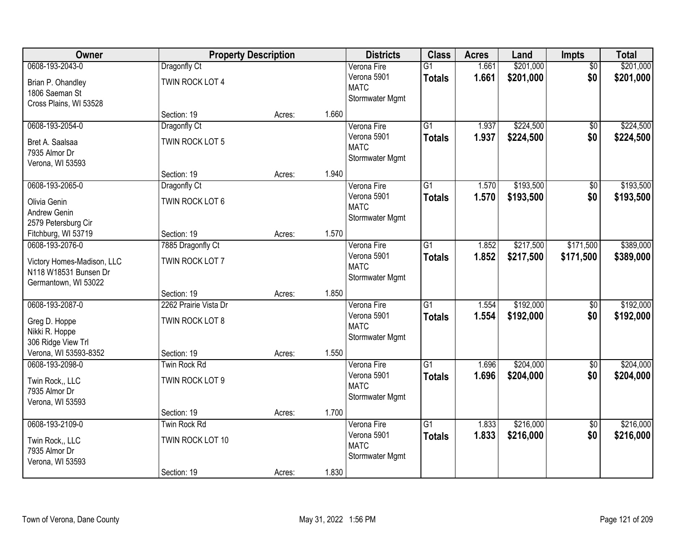| Owner                                               |                       | <b>Property Description</b> |       | <b>Districts</b>           | <b>Class</b>    | <b>Acres</b> | Land      | Impts           | <b>Total</b> |
|-----------------------------------------------------|-----------------------|-----------------------------|-------|----------------------------|-----------------|--------------|-----------|-----------------|--------------|
| 0608-193-2043-0                                     | Dragonfly Ct          |                             |       | Verona Fire                | $\overline{G1}$ | 1.661        | \$201,000 | $\overline{50}$ | \$201,000    |
| Brian P. Ohandley                                   | TWIN ROCK LOT 4       |                             |       | Verona 5901                | <b>Totals</b>   | 1.661        | \$201,000 | \$0             | \$201,000    |
| 1806 Saeman St                                      |                       |                             |       | <b>MATC</b>                |                 |              |           |                 |              |
| Cross Plains, WI 53528                              |                       |                             |       | Stormwater Mgmt            |                 |              |           |                 |              |
|                                                     | Section: 19           | Acres:                      | 1.660 |                            |                 |              |           |                 |              |
| 0608-193-2054-0                                     | Dragonfly Ct          |                             |       | Verona Fire                | $\overline{G1}$ | 1.937        | \$224,500 | \$0             | \$224,500    |
| Bret A. Saalsaa                                     | TWIN ROCK LOT 5       |                             |       | Verona 5901                | <b>Totals</b>   | 1.937        | \$224,500 | \$0             | \$224,500    |
| 7935 Almor Dr                                       |                       |                             |       | <b>MATC</b>                |                 |              |           |                 |              |
| Verona, WI 53593                                    |                       |                             |       | Stormwater Mgmt            |                 |              |           |                 |              |
|                                                     | Section: 19           | Acres:                      | 1.940 |                            |                 |              |           |                 |              |
| 0608-193-2065-0                                     | Dragonfly Ct          |                             |       | Verona Fire                | G1              | 1.570        | \$193,500 | $\overline{50}$ | \$193,500    |
| Olivia Genin                                        | TWIN ROCK LOT 6       |                             |       | Verona 5901                | <b>Totals</b>   | 1.570        | \$193,500 | \$0             | \$193,500    |
| Andrew Genin                                        |                       |                             |       | <b>MATC</b>                |                 |              |           |                 |              |
| 2579 Petersburg Cir                                 |                       |                             |       | Stormwater Mgmt            |                 |              |           |                 |              |
| Fitchburg, WI 53719                                 | Section: 19           | Acres:                      | 1.570 |                            |                 |              |           |                 |              |
| 0608-193-2076-0                                     | 7885 Dragonfly Ct     |                             |       | Verona Fire                | $\overline{G1}$ | 1.852        | \$217,500 | \$171,500       | \$389,000    |
|                                                     |                       |                             |       | Verona 5901                | <b>Totals</b>   | 1.852        | \$217,500 | \$171,500       | \$389,000    |
| Victory Homes-Madison, LLC<br>N118 W18531 Bunsen Dr | TWIN ROCK LOT 7       |                             |       | <b>MATC</b>                |                 |              |           |                 |              |
| Germantown, WI 53022                                |                       |                             |       | Stormwater Mgmt            |                 |              |           |                 |              |
|                                                     | Section: 19           | Acres:                      | 1.850 |                            |                 |              |           |                 |              |
| 0608-193-2087-0                                     | 2262 Prairie Vista Dr |                             |       | Verona Fire                | $\overline{G1}$ | 1.554        | \$192,000 | $\overline{50}$ | \$192,000    |
|                                                     |                       |                             |       | Verona 5901                | <b>Totals</b>   | 1.554        | \$192,000 | \$0             | \$192,000    |
| Greg D. Hoppe                                       | TWIN ROCK LOT 8       |                             |       | <b>MATC</b>                |                 |              |           |                 |              |
| Nikki R. Hoppe                                      |                       |                             |       | Stormwater Mgmt            |                 |              |           |                 |              |
| 306 Ridge View Trl                                  |                       |                             |       |                            |                 |              |           |                 |              |
| Verona, WI 53593-8352                               | Section: 19           | Acres:                      | 1.550 |                            | $\overline{G1}$ |              | \$204,000 |                 | \$204,000    |
| 0608-193-2098-0                                     | Twin Rock Rd          |                             |       | Verona Fire<br>Verona 5901 |                 | 1.696        |           | $\overline{60}$ |              |
| Twin Rock,, LLC                                     | TWIN ROCK LOT 9       |                             |       | <b>MATC</b>                | <b>Totals</b>   | 1.696        | \$204,000 | \$0             | \$204,000    |
| 7935 Almor Dr                                       |                       |                             |       | Stormwater Mgmt            |                 |              |           |                 |              |
| Verona, WI 53593                                    |                       |                             |       |                            |                 |              |           |                 |              |
|                                                     | Section: 19           | Acres:                      | 1.700 |                            |                 |              |           |                 |              |
| 0608-193-2109-0                                     | Twin Rock Rd          |                             |       | Verona Fire                | $\overline{G1}$ | 1.833        | \$216,000 | $\overline{50}$ | \$216,000    |
| Twin Rock,, LLC                                     | TWIN ROCK LOT 10      |                             |       | Verona 5901                | <b>Totals</b>   | 1.833        | \$216,000 | \$0             | \$216,000    |
| 7935 Almor Dr                                       |                       |                             |       | <b>MATC</b>                |                 |              |           |                 |              |
| Verona, WI 53593                                    |                       |                             |       | Stormwater Mgmt            |                 |              |           |                 |              |
|                                                     | Section: 19           | Acres:                      | 1.830 |                            |                 |              |           |                 |              |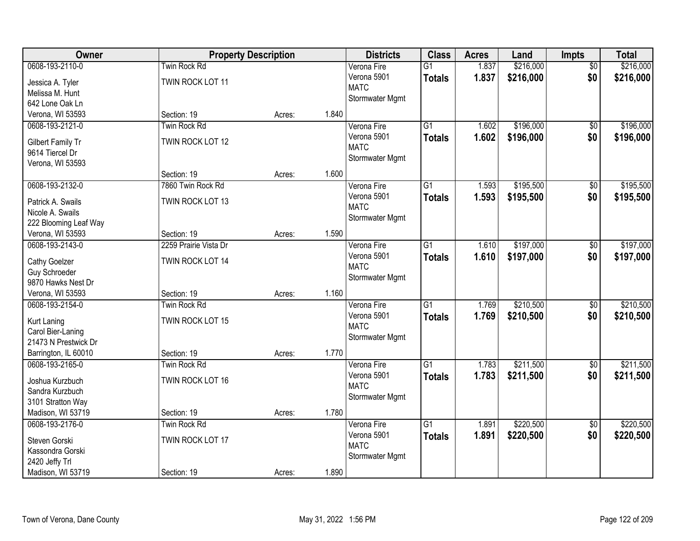| Owner                                  |                       | <b>Property Description</b> |       | <b>Districts</b> | <b>Class</b>    | <b>Acres</b> | Land      | Impts           | <b>Total</b> |
|----------------------------------------|-----------------------|-----------------------------|-------|------------------|-----------------|--------------|-----------|-----------------|--------------|
| 0608-193-2110-0                        | Twin Rock Rd          |                             |       | Verona Fire      | $\overline{G1}$ | 1.837        | \$216,000 | $\overline{50}$ | \$216,000    |
| Jessica A. Tyler                       | TWIN ROCK LOT 11      |                             |       | Verona 5901      | <b>Totals</b>   | 1.837        | \$216,000 | \$0             | \$216,000    |
| Melissa M. Hunt                        |                       |                             |       | <b>MATC</b>      |                 |              |           |                 |              |
| 642 Lone Oak Ln                        |                       |                             |       | Stormwater Mgmt  |                 |              |           |                 |              |
| Verona, WI 53593                       | Section: 19           | Acres:                      | 1.840 |                  |                 |              |           |                 |              |
| 0608-193-2121-0                        | Twin Rock Rd          |                             |       | Verona Fire      | $\overline{G1}$ | 1.602        | \$196,000 | $\overline{50}$ | \$196,000    |
| Gilbert Family Tr                      | TWIN ROCK LOT 12      |                             |       | Verona 5901      | <b>Totals</b>   | 1.602        | \$196,000 | \$0             | \$196,000    |
| 9614 Tiercel Dr                        |                       |                             |       | <b>MATC</b>      |                 |              |           |                 |              |
| Verona, WI 53593                       |                       |                             |       | Stormwater Mgmt  |                 |              |           |                 |              |
|                                        | Section: 19           | Acres:                      | 1.600 |                  |                 |              |           |                 |              |
| 0608-193-2132-0                        | 7860 Twin Rock Rd     |                             |       | Verona Fire      | $\overline{G1}$ | 1.593        | \$195,500 | $\overline{50}$ | \$195,500    |
| Patrick A. Swails                      | TWIN ROCK LOT 13      |                             |       | Verona 5901      | <b>Totals</b>   | 1.593        | \$195,500 | \$0             | \$195,500    |
| Nicole A. Swails                       |                       |                             |       | <b>MATC</b>      |                 |              |           |                 |              |
| 222 Blooming Leaf Way                  |                       |                             |       | Stormwater Mgmt  |                 |              |           |                 |              |
| Verona, WI 53593                       | Section: 19           | Acres:                      | 1.590 |                  |                 |              |           |                 |              |
| 0608-193-2143-0                        | 2259 Prairie Vista Dr |                             |       | Verona Fire      | G1              | 1.610        | \$197,000 | \$0             | \$197,000    |
|                                        |                       |                             |       | Verona 5901      | <b>Totals</b>   | 1.610        | \$197,000 | \$0             | \$197,000    |
| Cathy Goelzer                          | TWIN ROCK LOT 14      |                             |       | <b>MATC</b>      |                 |              |           |                 |              |
| Guy Schroeder                          |                       |                             |       | Stormwater Mgmt  |                 |              |           |                 |              |
| 9870 Hawks Nest Dr<br>Verona, WI 53593 | Section: 19           |                             | 1.160 |                  |                 |              |           |                 |              |
| 0608-193-2154-0                        | <b>Twin Rock Rd</b>   | Acres:                      |       | Verona Fire      | $\overline{G1}$ | 1.769        | \$210,500 | $\overline{50}$ | \$210,500    |
|                                        |                       |                             |       | Verona 5901      |                 |              |           |                 |              |
| Kurt Laning                            | TWIN ROCK LOT 15      |                             |       | <b>MATC</b>      | <b>Totals</b>   | 1.769        | \$210,500 | \$0             | \$210,500    |
| Carol Bier-Laning                      |                       |                             |       | Stormwater Mgmt  |                 |              |           |                 |              |
| 21473 N Prestwick Dr                   |                       |                             |       |                  |                 |              |           |                 |              |
| Barrington, IL 60010                   | Section: 19           | Acres:                      | 1.770 |                  |                 |              |           |                 |              |
| 0608-193-2165-0                        | Twin Rock Rd          |                             |       | Verona Fire      | $\overline{G1}$ | 1.783        | \$211,500 | $\sqrt{6}$      | \$211,500    |
| Joshua Kurzbuch                        | TWIN ROCK LOT 16      |                             |       | Verona 5901      | <b>Totals</b>   | 1.783        | \$211,500 | \$0             | \$211,500    |
| Sandra Kurzbuch                        |                       |                             |       | <b>MATC</b>      |                 |              |           |                 |              |
| 3101 Stratton Way                      |                       |                             |       | Stormwater Mgmt  |                 |              |           |                 |              |
| Madison, WI 53719                      | Section: 19           | Acres:                      | 1.780 |                  |                 |              |           |                 |              |
| 0608-193-2176-0                        | Twin Rock Rd          |                             |       | Verona Fire      | $\overline{G1}$ | 1.891        | \$220,500 | $\overline{50}$ | \$220,500    |
| Steven Gorski                          | TWIN ROCK LOT 17      |                             |       | Verona 5901      | <b>Totals</b>   | 1.891        | \$220,500 | \$0             | \$220,500    |
| Kassondra Gorski                       |                       |                             |       | <b>MATC</b>      |                 |              |           |                 |              |
| 2420 Jeffy Trl                         |                       |                             |       | Stormwater Mgmt  |                 |              |           |                 |              |
| Madison, WI 53719                      | Section: 19           | Acres:                      | 1.890 |                  |                 |              |           |                 |              |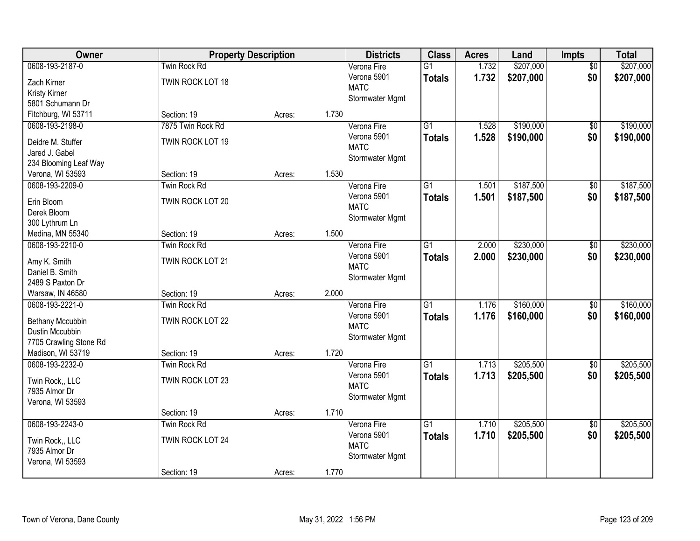| Owner                                                                                                 |                                                        | <b>Property Description</b> |       | <b>Districts</b>                                             | <b>Class</b>                     | <b>Acres</b>   | Land                   | Impts                  | <b>Total</b>           |
|-------------------------------------------------------------------------------------------------------|--------------------------------------------------------|-----------------------------|-------|--------------------------------------------------------------|----------------------------------|----------------|------------------------|------------------------|------------------------|
| 0608-193-2187-0<br>Zach Kirner<br>Kristy Kirner<br>5801 Schumann Dr                                   | <b>Twin Rock Rd</b><br>TWIN ROCK LOT 18                |                             |       | Verona Fire<br>Verona 5901<br><b>MATC</b><br>Stormwater Mgmt | $\overline{G1}$<br><b>Totals</b> | 1.732<br>1.732 | \$207,000<br>\$207,000 | $\overline{50}$<br>\$0 | \$207,000<br>\$207,000 |
| Fitchburg, WI 53711                                                                                   | Section: 19                                            | Acres:                      | 1.730 |                                                              |                                  |                |                        |                        |                        |
| 0608-193-2198-0<br>Deidre M. Stuffer<br>Jared J. Gabel<br>234 Blooming Leaf Way                       | 7875 Twin Rock Rd<br>TWIN ROCK LOT 19                  |                             |       | Verona Fire<br>Verona 5901<br><b>MATC</b><br>Stormwater Mgmt | $\overline{G1}$<br><b>Totals</b> | 1.528<br>1.528 | \$190,000<br>\$190,000 | $\overline{50}$<br>\$0 | \$190,000<br>\$190,000 |
| Verona, WI 53593                                                                                      | Section: 19                                            | Acres:                      | 1.530 |                                                              |                                  |                |                        |                        |                        |
| 0608-193-2209-0<br>Erin Bloom<br>Derek Bloom<br>300 Lythrum Ln                                        | Twin Rock Rd<br>TWIN ROCK LOT 20                       |                             |       | Verona Fire<br>Verona 5901<br><b>MATC</b><br>Stormwater Mgmt | $\overline{G1}$<br><b>Totals</b> | 1.501<br>1.501 | \$187,500<br>\$187,500 | $\overline{50}$<br>\$0 | \$187,500<br>\$187,500 |
| Medina, MN 55340                                                                                      | Section: 19                                            | Acres:                      | 1.500 |                                                              |                                  |                |                        |                        |                        |
| 0608-193-2210-0<br>Amy K. Smith<br>Daniel B. Smith<br>2489 S Paxton Dr                                | Twin Rock Rd<br>TWIN ROCK LOT 21                       |                             |       | Verona Fire<br>Verona 5901<br><b>MATC</b><br>Stormwater Mgmt | $\overline{G1}$<br><b>Totals</b> | 2.000<br>2.000 | \$230,000<br>\$230,000 | \$0<br>\$0             | \$230,000<br>\$230,000 |
| Warsaw, IN 46580                                                                                      | Section: 19                                            | Acres:                      | 2.000 |                                                              |                                  |                |                        |                        |                        |
| 0608-193-2221-0<br>Bethany Mccubbin<br>Dustin Mccubbin<br>7705 Crawling Stone Rd<br>Madison, WI 53719 | <b>Twin Rock Rd</b><br>TWIN ROCK LOT 22<br>Section: 19 | Acres:                      | 1.720 | Verona Fire<br>Verona 5901<br><b>MATC</b><br>Stormwater Mgmt | $\overline{G1}$<br><b>Totals</b> | 1.176<br>1.176 | \$160,000<br>\$160,000 | $\overline{50}$<br>\$0 | \$160,000<br>\$160,000 |
| 0608-193-2232-0<br>Twin Rock,, LLC<br>7935 Almor Dr<br>Verona, WI 53593                               | Twin Rock Rd<br>TWIN ROCK LOT 23<br>Section: 19        | Acres:                      | 1.710 | Verona Fire<br>Verona 5901<br><b>MATC</b><br>Stormwater Mgmt | $\overline{G1}$<br><b>Totals</b> | 1.713<br>1.713 | \$205,500<br>\$205,500 | $\sqrt{6}$<br>\$0      | \$205,500<br>\$205,500 |
| 0608-193-2243-0                                                                                       | Twin Rock Rd                                           |                             |       | Verona Fire                                                  | $\overline{G1}$                  | 1.710          | \$205,500              | $\overline{50}$        | \$205,500              |
| Twin Rock., LLC<br>7935 Almor Dr<br>Verona, WI 53593                                                  | TWIN ROCK LOT 24                                       |                             |       | Verona 5901<br><b>MATC</b><br>Stormwater Mgmt                | <b>Totals</b>                    | 1.710          | \$205,500              | \$0                    | \$205,500              |
|                                                                                                       | Section: 19                                            | Acres:                      | 1.770 |                                                              |                                  |                |                        |                        |                        |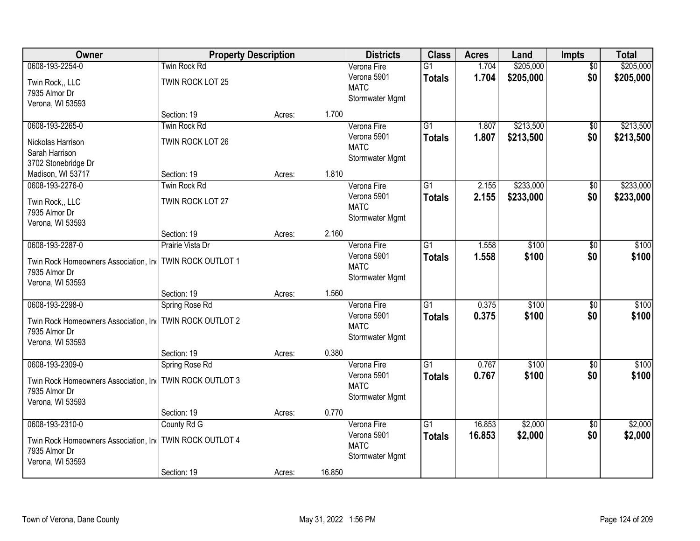| Owner                                                     | <b>Property Description</b> |        |        | <b>Districts</b> | <b>Class</b>    | <b>Acres</b> | Land      | Impts           | <b>Total</b> |
|-----------------------------------------------------------|-----------------------------|--------|--------|------------------|-----------------|--------------|-----------|-----------------|--------------|
| 0608-193-2254-0                                           | Twin Rock Rd                |        |        | Verona Fire      | $\overline{G1}$ | 1.704        | \$205,000 | $\overline{50}$ | \$205,000    |
| Twin Rock,, LLC                                           | TWIN ROCK LOT 25            |        |        | Verona 5901      | <b>Totals</b>   | 1.704        | \$205,000 | \$0             | \$205,000    |
| 7935 Almor Dr                                             |                             |        |        | <b>MATC</b>      |                 |              |           |                 |              |
| Verona, WI 53593                                          |                             |        |        | Stormwater Mgmt  |                 |              |           |                 |              |
|                                                           | Section: 19                 | Acres: | 1.700  |                  |                 |              |           |                 |              |
| 0608-193-2265-0                                           | Twin Rock Rd                |        |        | Verona Fire      | $\overline{G1}$ | 1.807        | \$213,500 | $\overline{50}$ | \$213,500    |
| Nickolas Harrison                                         | TWIN ROCK LOT 26            |        |        | Verona 5901      | <b>Totals</b>   | 1.807        | \$213,500 | \$0             | \$213,500    |
| Sarah Harrison                                            |                             |        |        | <b>MATC</b>      |                 |              |           |                 |              |
| 3702 Stonebridge Dr                                       |                             |        |        | Stormwater Mgmt  |                 |              |           |                 |              |
| Madison, WI 53717                                         | Section: 19                 | Acres: | 1.810  |                  |                 |              |           |                 |              |
| 0608-193-2276-0                                           | Twin Rock Rd                |        |        | Verona Fire      | $\overline{G1}$ | 2.155        | \$233,000 | $\overline{50}$ | \$233,000    |
| Twin Rock., LLC                                           | TWIN ROCK LOT 27            |        |        | Verona 5901      | <b>Totals</b>   | 2.155        | \$233,000 | \$0             | \$233,000    |
| 7935 Almor Dr                                             |                             |        |        | <b>MATC</b>      |                 |              |           |                 |              |
| Verona, WI 53593                                          |                             |        |        | Stormwater Mgmt  |                 |              |           |                 |              |
|                                                           | Section: 19                 | Acres: | 2.160  |                  |                 |              |           |                 |              |
| 0608-193-2287-0                                           | Prairie Vista Dr            |        |        | Verona Fire      | $\overline{G1}$ | 1.558        | \$100     | \$0             | \$100        |
| Twin Rock Homeowners Association, Ind                     | TWIN ROCK OUTLOT 1          |        |        | Verona 5901      | <b>Totals</b>   | 1.558        | \$100     | \$0             | \$100        |
| 7935 Almor Dr                                             |                             |        |        | <b>MATC</b>      |                 |              |           |                 |              |
| Verona, WI 53593                                          |                             |        |        | Stormwater Mgmt  |                 |              |           |                 |              |
|                                                           | Section: 19                 | Acres: | 1.560  |                  |                 |              |           |                 |              |
| 0608-193-2298-0                                           | Spring Rose Rd              |        |        | Verona Fire      | $\overline{G1}$ | 0.375        | \$100     | $\overline{50}$ | \$100        |
| Twin Rock Homeowners Association, In   TWIN ROCK OUTLOT 2 |                             |        |        | Verona 5901      | <b>Totals</b>   | 0.375        | \$100     | \$0             | \$100        |
| 7935 Almor Dr                                             |                             |        |        | <b>MATC</b>      |                 |              |           |                 |              |
| Verona, WI 53593                                          |                             |        |        | Stormwater Mgmt  |                 |              |           |                 |              |
|                                                           | Section: 19                 | Acres: | 0.380  |                  |                 |              |           |                 |              |
| 0608-193-2309-0                                           | Spring Rose Rd              |        |        | Verona Fire      | G1              | 0.767        | \$100     | $\overline{60}$ | \$100        |
| Twin Rock Homeowners Association, In   TWIN ROCK OUTLOT 3 |                             |        |        | Verona 5901      | <b>Totals</b>   | 0.767        | \$100     | \$0             | \$100        |
| 7935 Almor Dr                                             |                             |        |        | <b>MATC</b>      |                 |              |           |                 |              |
| Verona, WI 53593                                          |                             |        |        | Stormwater Mgmt  |                 |              |           |                 |              |
|                                                           | Section: 19                 | Acres: | 0.770  |                  |                 |              |           |                 |              |
| 0608-193-2310-0                                           | County Rd G                 |        |        | Verona Fire      | G1              | 16.853       | \$2,000   | $\overline{50}$ | \$2,000      |
| Twin Rock Homeowners Association, Ind                     | <b>TWIN ROCK OUTLOT 4</b>   |        |        | Verona 5901      | <b>Totals</b>   | 16.853       | \$2,000   | \$0             | \$2,000      |
| 7935 Almor Dr                                             |                             |        |        | <b>MATC</b>      |                 |              |           |                 |              |
| Verona, WI 53593                                          |                             |        |        | Stormwater Mgmt  |                 |              |           |                 |              |
|                                                           | Section: 19                 | Acres: | 16.850 |                  |                 |              |           |                 |              |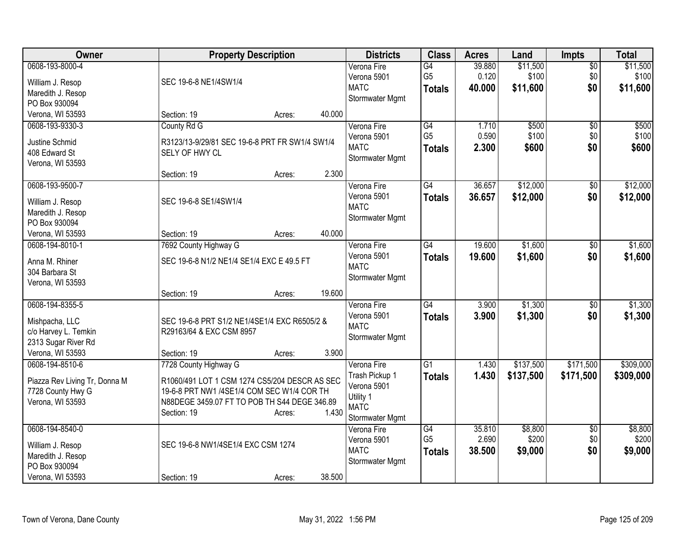| Owner                                 |                                                | <b>Property Description</b> |        | <b>Districts</b>         | <b>Class</b>    | <b>Acres</b> | Land      | <b>Impts</b>    | <b>Total</b> |
|---------------------------------------|------------------------------------------------|-----------------------------|--------|--------------------------|-----------------|--------------|-----------|-----------------|--------------|
| 0608-193-8000-4                       |                                                |                             |        | Verona Fire              | G4              | 39.880       | \$11,500  | $\overline{50}$ | \$11,500     |
| William J. Resop                      | SEC 19-6-8 NE1/4SW1/4                          |                             |        | Verona 5901              | G <sub>5</sub>  | 0.120        | \$100     | \$0             | \$100        |
| Maredith J. Resop                     |                                                |                             |        | <b>MATC</b>              | <b>Totals</b>   | 40.000       | \$11,600  | \$0             | \$11,600     |
| PO Box 930094                         |                                                |                             |        | Stormwater Mgmt          |                 |              |           |                 |              |
| Verona, WI 53593                      | Section: 19                                    | Acres:                      | 40.000 |                          |                 |              |           |                 |              |
| 0608-193-9330-3                       | County Rd G                                    |                             |        | Verona Fire              | $\overline{G4}$ | 1.710        | \$500     | $\overline{50}$ | \$500        |
| Justine Schmid                        | R3123/13-9/29/81 SEC 19-6-8 PRT FR SW1/4 SW1/4 |                             |        | Verona 5901              | G <sub>5</sub>  | 0.590        | \$100     | \$0             | \$100        |
| 408 Edward St                         | SELY OF HWY CL                                 |                             |        | <b>MATC</b>              | <b>Totals</b>   | 2.300        | \$600     | \$0             | \$600        |
| Verona, WI 53593                      |                                                |                             |        | Stormwater Mgmt          |                 |              |           |                 |              |
|                                       | Section: 19                                    | Acres:                      | 2.300  |                          |                 |              |           |                 |              |
| 0608-193-9500-7                       |                                                |                             |        | Verona Fire              | G4              | 36.657       | \$12,000  | \$0             | \$12,000     |
| William J. Resop                      | SEC 19-6-8 SE1/4SW1/4                          |                             |        | Verona 5901              | <b>Totals</b>   | 36.657       | \$12,000  | \$0             | \$12,000     |
| Maredith J. Resop                     |                                                |                             |        | <b>MATC</b>              |                 |              |           |                 |              |
| PO Box 930094                         |                                                |                             |        | Stormwater Mgmt          |                 |              |           |                 |              |
| Verona, WI 53593                      | Section: 19                                    | Acres:                      | 40.000 |                          |                 |              |           |                 |              |
| 0608-194-8010-1                       | 7692 County Highway G                          |                             |        | Verona Fire              | $\overline{G4}$ | 19.600       | \$1,600   | $\overline{50}$ | \$1,600      |
|                                       |                                                |                             |        | Verona 5901              | <b>Totals</b>   | 19.600       | \$1,600   | \$0             | \$1,600      |
| Anna M. Rhiner<br>304 Barbara St      | SEC 19-6-8 N1/2 NE1/4 SE1/4 EXC E 49.5 FT      |                             |        | <b>MATC</b>              |                 |              |           |                 |              |
| Verona, WI 53593                      |                                                |                             |        | Stormwater Mgmt          |                 |              |           |                 |              |
|                                       | Section: 19                                    | Acres:                      | 19.600 |                          |                 |              |           |                 |              |
| 0608-194-8355-5                       |                                                |                             |        | Verona Fire              | G4              | 3.900        | \$1,300   | \$0             | \$1,300      |
|                                       |                                                |                             |        | Verona 5901              | <b>Totals</b>   | 3.900        | \$1,300   | \$0             | \$1,300      |
| Mishpacha, LLC                        | SEC 19-6-8 PRT S1/2 NE1/4SE1/4 EXC R6505/2 &   |                             |        | <b>MATC</b>              |                 |              |           |                 |              |
| c/o Harvey L. Temkin                  | R29163/64 & EXC CSM 8957                       |                             |        | Stormwater Mgmt          |                 |              |           |                 |              |
| 2313 Sugar River Rd                   |                                                |                             |        |                          |                 |              |           |                 |              |
| Verona, WI 53593                      | Section: 19                                    | Acres:                      | 3.900  |                          |                 |              |           |                 |              |
| 0608-194-8510-6                       | 7728 County Highway G                          |                             |        | Verona Fire              | $\overline{G1}$ | 1.430        | \$137,500 | \$171,500       | \$309,000    |
| Piazza Rev Living Tr, Donna M         | R1060/491 LOT 1 CSM 1274 CS5/204 DESCR AS SEC  |                             |        | Trash Pickup 1           | <b>Totals</b>   | 1.430        | \$137,500 | \$171,500       | \$309,000    |
| 7728 County Hwy G                     | 19-6-8 PRT NW1 /4SE1/4 COM SEC W1/4 COR TH     |                             |        | Verona 5901              |                 |              |           |                 |              |
| Verona, WI 53593                      | N88DEGE 3459.07 FT TO POB TH S44 DEGE 346.89   |                             |        | Utility 1<br><b>MATC</b> |                 |              |           |                 |              |
|                                       | Section: 19                                    | Acres:                      | 1.430  | Stormwater Mgmt          |                 |              |           |                 |              |
| 0608-194-8540-0                       |                                                |                             |        | Verona Fire              | G4              | 35,810       | \$8,800   | \$0             | \$8,800      |
|                                       | SEC 19-6-8 NW1/4SE1/4 EXC CSM 1274             |                             |        | Verona 5901              | G <sub>5</sub>  | 2.690        | \$200     | \$0             | \$200        |
| William J. Resop<br>Maredith J. Resop |                                                |                             |        | <b>MATC</b>              | <b>Totals</b>   | 38.500       | \$9,000   | \$0             | \$9,000      |
| PO Box 930094                         |                                                |                             |        | Stormwater Mgmt          |                 |              |           |                 |              |
| Verona, WI 53593                      | Section: 19                                    | Acres:                      | 38.500 |                          |                 |              |           |                 |              |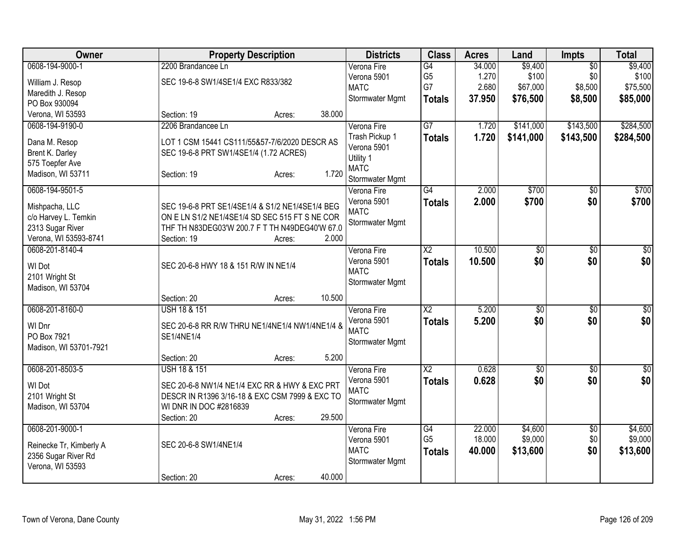| <b>Owner</b>            | <b>Property Description</b>                     |        |        | <b>Districts</b>           | <b>Class</b>           | <b>Acres</b> | Land            | <b>Impts</b>    | <b>Total</b> |
|-------------------------|-------------------------------------------------|--------|--------|----------------------------|------------------------|--------------|-----------------|-----------------|--------------|
| 0608-194-9000-1         | 2200 Brandancee Ln                              |        |        | Verona Fire                | G4                     | 34.000       | \$9,400         | $\overline{50}$ | \$9,400      |
| William J. Resop        | SEC 19-6-8 SW1/4SE1/4 EXC R833/382              |        |        | Verona 5901                | G <sub>5</sub>         | 1.270        | \$100           | \$0             | \$100        |
| Maredith J. Resop       |                                                 |        |        | <b>MATC</b>                | G7                     | 2.680        | \$67,000        | \$8,500         | \$75,500     |
| PO Box 930094           |                                                 |        |        | Stormwater Mgmt            | <b>Totals</b>          | 37.950       | \$76,500        | \$8,500         | \$85,000     |
| Verona, WI 53593        | Section: 19                                     | Acres: | 38.000 |                            |                        |              |                 |                 |              |
| 0608-194-9190-0         | 2206 Brandancee Ln                              |        |        | Verona Fire                | $\overline{G7}$        | 1.720        | \$141,000       | \$143,500       | \$284,500    |
|                         |                                                 |        |        | Trash Pickup 1             | <b>Totals</b>          | 1.720        | \$141,000       | \$143,500       | \$284,500    |
| Dana M. Resop           | LOT 1 CSM 15441 CS111/55&57-7/6/2020 DESCR AS   |        |        | Verona 5901                |                        |              |                 |                 |              |
| Brent K. Darley         | SEC 19-6-8 PRT SW1/4SE1/4 (1.72 ACRES)          |        |        | Utility 1                  |                        |              |                 |                 |              |
| 575 Toepfer Ave         |                                                 |        | 1.720  | <b>MATC</b>                |                        |              |                 |                 |              |
| Madison, WI 53711       | Section: 19                                     | Acres: |        | Stormwater Mgmt            |                        |              |                 |                 |              |
| 0608-194-9501-5         |                                                 |        |        | Verona Fire                | $\overline{G4}$        | 2.000        | \$700           | $\overline{50}$ | \$700        |
| Mishpacha, LLC          | SEC 19-6-8 PRT SE1/4SE1/4 & S1/2 NE1/4SE1/4 BEG |        |        | Verona 5901                | <b>Totals</b>          | 2.000        | \$700           | \$0             | \$700        |
| c/o Harvey L. Temkin    | ON E LN S1/2 NE1/4SE1/4 SD SEC 515 FT S NE COR  |        |        | <b>MATC</b>                |                        |              |                 |                 |              |
| 2313 Sugar River        | THF TH N83DEG03'W 200.7 F T TH N49DEG40'W 67.0  |        |        | Stormwater Mgmt            |                        |              |                 |                 |              |
| Verona, WI 53593-8741   | Section: 19                                     | Acres: | 2.000  |                            |                        |              |                 |                 |              |
| 0608-201-8140-4         |                                                 |        |        |                            | $\overline{X2}$        | 10.500       |                 |                 | $\sqrt{50}$  |
|                         |                                                 |        |        | Verona Fire<br>Verona 5901 |                        |              | $\overline{50}$ | $\overline{50}$ |              |
| WI Dot                  | SEC 20-6-8 HWY 18 & 151 R/W IN NE1/4            |        |        | <b>MATC</b>                | <b>Totals</b>          | 10.500       | \$0             | \$0             | \$0          |
| 2101 Wright St          |                                                 |        |        |                            |                        |              |                 |                 |              |
| Madison, WI 53704       |                                                 |        |        | Stormwater Mgmt            |                        |              |                 |                 |              |
|                         | Section: 20                                     | Acres: | 10.500 |                            |                        |              |                 |                 |              |
| 0608-201-8160-0         | <b>USH 18 &amp; 151</b>                         |        |        | Verona Fire                | X <sub>2</sub>         | 5.200        | $\overline{50}$ | $\overline{50}$ | \$0          |
| WI Dnr                  | SEC 20-6-8 RR R/W THRU NE1/4NE1/4 NW1/4NE1/4 &  |        |        | Verona 5901                | <b>Totals</b>          | 5.200        | \$0             | \$0             | \$0          |
| PO Box 7921             | SE1/4NE1/4                                      |        |        | <b>MATC</b>                |                        |              |                 |                 |              |
| Madison, WI 53701-7921  |                                                 |        |        | Stormwater Mgmt            |                        |              |                 |                 |              |
|                         | Section: 20                                     | Acres: | 5.200  |                            |                        |              |                 |                 |              |
| 0608-201-8503-5         | <b>USH 18 &amp; 151</b>                         |        |        | Verona Fire                | $\overline{\text{X2}}$ | 0.628        | \$0             | $\sqrt{6}$      | \$0          |
|                         |                                                 |        |        | Verona 5901                | <b>Totals</b>          | 0.628        | \$0             | \$0             | \$0          |
| WI Dot                  | SEC 20-6-8 NW1/4 NE1/4 EXC RR & HWY & EXC PRT   |        |        | <b>MATC</b>                |                        |              |                 |                 |              |
| 2101 Wright St          | DESCR IN R1396 3/16-18 & EXC CSM 7999 & EXC TO  |        |        | Stormwater Mgmt            |                        |              |                 |                 |              |
| Madison, WI 53704       | WI DNR IN DOC #2816839                          |        |        |                            |                        |              |                 |                 |              |
|                         | Section: 20                                     | Acres: | 29.500 |                            |                        |              |                 |                 |              |
| 0608-201-9000-1         |                                                 |        |        | Verona Fire                | G4                     | 22.000       | \$4,600         | \$0             | \$4,600      |
| Reinecke Tr, Kimberly A | SEC 20-6-8 SW1/4NE1/4                           |        |        | Verona 5901                | G <sub>5</sub>         | 18.000       | \$9,000         | \$0             | \$9,000      |
| 2356 Sugar River Rd     |                                                 |        |        | <b>MATC</b>                | Totals                 | 40.000       | \$13,600        | \$0             | \$13,600     |
| Verona, WI 53593        |                                                 |        |        | Stormwater Mgmt            |                        |              |                 |                 |              |
|                         | Section: 20                                     | Acres: | 40.000 |                            |                        |              |                 |                 |              |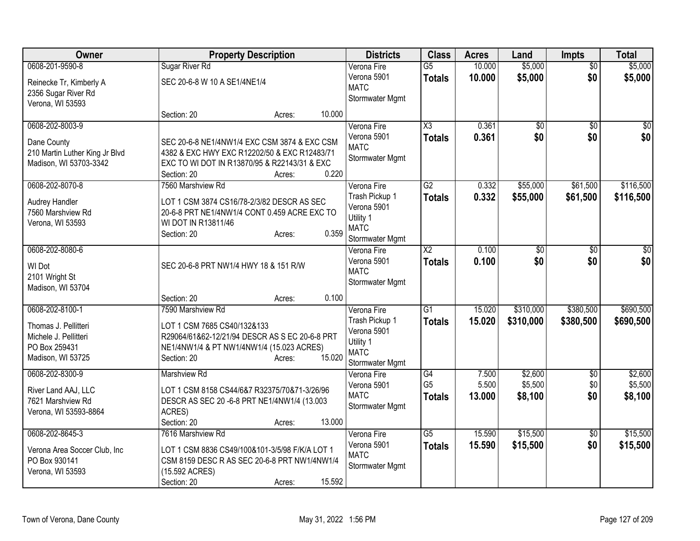| Owner                                      | <b>Property Description</b>                                                  | <b>Districts</b>               | <b>Class</b>           | <b>Acres</b>   | Land               | <b>Impts</b>           | <b>Total</b>       |
|--------------------------------------------|------------------------------------------------------------------------------|--------------------------------|------------------------|----------------|--------------------|------------------------|--------------------|
| 0608-201-9590-8                            | <b>Sugar River Rd</b>                                                        | Verona Fire                    | $\overline{G5}$        | 10.000         | \$5,000            | $\overline{50}$        | \$5,000            |
| Reinecke Tr, Kimberly A                    | SEC 20-6-8 W 10 A SE1/4NE1/4                                                 | Verona 5901<br><b>MATC</b>     | <b>Totals</b>          | 10.000         | \$5,000            | \$0                    | \$5,000            |
| 2356 Sugar River Rd<br>Verona, WI 53593    |                                                                              | Stormwater Mgmt                |                        |                |                    |                        |                    |
|                                            | 10.000<br>Section: 20<br>Acres:                                              |                                |                        |                |                    |                        |                    |
| 0608-202-8003-9                            |                                                                              | Verona Fire                    | $\overline{\text{X3}}$ | 0.361          | \$0                | $\sqrt{50}$            | \$0                |
| Dane County                                | SEC 20-6-8 NE1/4NW1/4 EXC CSM 3874 & EXC CSM                                 | Verona 5901                    | <b>Totals</b>          | 0.361          | \$0                | \$0                    | \$0                |
| 210 Martin Luther King Jr Blvd             | 4382 & EXC HWY EXC R12202/50 & EXC R12483/71                                 | <b>MATC</b><br>Stormwater Mgmt |                        |                |                    |                        |                    |
| Madison, WI 53703-3342                     | EXC TO WI DOT IN R13870/95 & R22143/31 & EXC                                 |                                |                        |                |                    |                        |                    |
| 0608-202-8070-8                            | 0.220<br>Section: 20<br>Acres:<br>7560 Marshview Rd                          | Verona Fire                    | G2                     | 0.332          | \$55,000           | \$61,500               | \$116,500          |
|                                            |                                                                              | Trash Pickup 1                 | <b>Totals</b>          | 0.332          | \$55,000           | \$61,500               | \$116,500          |
| <b>Audrey Handler</b><br>7560 Marshview Rd | LOT 1 CSM 3874 CS16/78-2/3/82 DESCR AS SEC                                   | Verona 5901                    |                        |                |                    |                        |                    |
| Verona, WI 53593                           | 20-6-8 PRT NE1/4NW1/4 CONT 0.459 ACRE EXC TO<br>WI DOT IN R13811/46          | Utility 1                      |                        |                |                    |                        |                    |
|                                            | 0.359<br>Section: 20<br>Acres:                                               | <b>MATC</b><br>Stormwater Mgmt |                        |                |                    |                        |                    |
| 0608-202-8080-6                            |                                                                              | Verona Fire                    | $\overline{X2}$        | 0.100          | $\overline{50}$    | $\overline{50}$        | \$0                |
| <b>WI Dot</b>                              | SEC 20-6-8 PRT NW1/4 HWY 18 & 151 R/W                                        | Verona 5901                    | <b>Totals</b>          | 0.100          | \$0                | \$0                    | \$0                |
| 2101 Wright St                             |                                                                              | <b>MATC</b>                    |                        |                |                    |                        |                    |
| Madison, WI 53704                          |                                                                              | Stormwater Mgmt                |                        |                |                    |                        |                    |
|                                            | 0.100<br>Section: 20<br>Acres:                                               |                                |                        |                |                    |                        |                    |
| 0608-202-8100-1                            | 7590 Marshview Rd                                                            | Verona Fire                    | $\overline{G1}$        | 15.020         | \$310,000          | \$380,500              | \$690,500          |
| Thomas J. Pellitteri                       | LOT 1 CSM 7685 CS40/132&133                                                  | Trash Pickup 1<br>Verona 5901  | <b>Totals</b>          | 15.020         | \$310,000          | \$380,500              | \$690,500          |
| Michele J. Pellitteri                      | R29064/61&62-12/21/94 DESCR AS S EC 20-6-8 PRT                               | Utility 1                      |                        |                |                    |                        |                    |
| PO Box 259431<br>Madison, WI 53725         | NE1/4NW1/4 & PT NW1/4NW1/4 (15.023 ACRES)<br>15.020<br>Section: 20<br>Acres: | <b>MATC</b>                    |                        |                |                    |                        |                    |
|                                            |                                                                              | Stormwater Mgmt                |                        |                |                    |                        |                    |
| 0608-202-8300-9                            | Marshview Rd                                                                 | Verona Fire<br>Verona 5901     | G4<br>G <sub>5</sub>   | 7.500<br>5.500 | \$2,600<br>\$5,500 | $\overline{60}$<br>\$0 | \$2,600<br>\$5,500 |
| River Land AAJ, LLC                        | LOT 1 CSM 8158 CS44/6&7 R32375/70&71-3/26/96                                 | <b>MATC</b>                    | <b>Totals</b>          | 13,000         | \$8,100            | \$0                    | \$8,100            |
| 7621 Marshview Rd<br>Verona, WI 53593-8864 | DESCR AS SEC 20 -6-8 PRT NE1/4NW1/4 (13.003<br>ACRES)                        | Stormwater Mgmt                |                        |                |                    |                        |                    |
|                                            | 13.000<br>Section: 20<br>Acres:                                              |                                |                        |                |                    |                        |                    |
| 0608-202-8645-3                            | 7616 Marshview Rd                                                            | Verona Fire                    | $\overline{G5}$        | 15.590         | \$15,500           | $\overline{30}$        | \$15,500           |
| Verona Area Soccer Club, Inc               | LOT 1 CSM 8836 CS49/100&101-3/5/98 F/K/A LOT 1                               | Verona 5901                    | <b>Totals</b>          | 15.590         | \$15,500           | \$0                    | \$15,500           |
| PO Box 930141                              | CSM 8159 DESC R AS SEC 20-6-8 PRT NW1/4NW1/4                                 | <b>MATC</b><br>Stormwater Mgmt |                        |                |                    |                        |                    |
| Verona, WI 53593                           | (15.592 ACRES)                                                               |                                |                        |                |                    |                        |                    |
|                                            | 15.592<br>Section: 20<br>Acres:                                              |                                |                        |                |                    |                        |                    |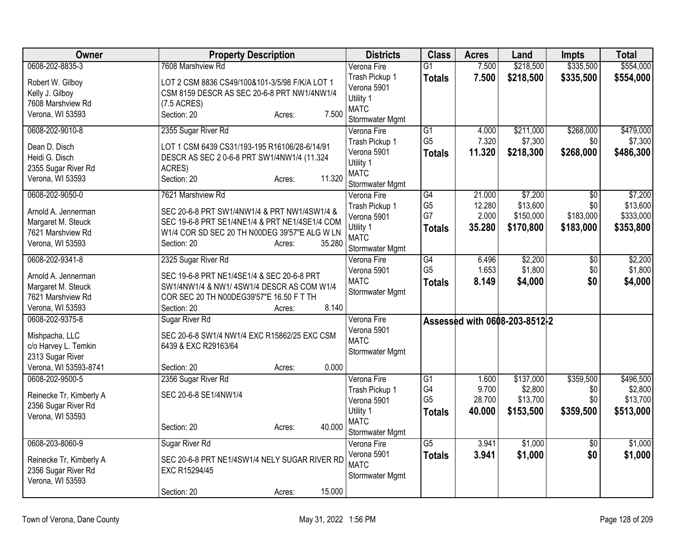| Owner                   | <b>Property Description</b>                    | <b>Districts</b>               | <b>Class</b>    | <b>Acres</b> | Land                          | <b>Impts</b>    | <b>Total</b> |
|-------------------------|------------------------------------------------|--------------------------------|-----------------|--------------|-------------------------------|-----------------|--------------|
| 0608-202-8835-3         | 7608 Marshview Rd                              | Verona Fire                    | $\overline{G1}$ | 7.500        | \$218,500                     | \$335,500       | \$554,000    |
| Robert W. Gilboy        | LOT 2 CSM 8836 CS49/100&101-3/5/98 F/K/A LOT 1 | Trash Pickup 1                 | <b>Totals</b>   | 7.500        | \$218,500                     | \$335,500       | \$554,000    |
| Kelly J. Gilboy         | CSM 8159 DESCR AS SEC 20-6-8 PRT NW1/4NW1/4    | Verona 5901                    |                 |              |                               |                 |              |
| 7608 Marshview Rd       | $(7.5 \text{ ACRES})$                          | Utility 1                      |                 |              |                               |                 |              |
| Verona, WI 53593        | 7.500<br>Section: 20<br>Acres:                 | <b>MATC</b>                    |                 |              |                               |                 |              |
|                         |                                                | Stormwater Mgmt                |                 |              |                               |                 |              |
| 0608-202-9010-8         | 2355 Sugar River Rd                            | Verona Fire                    | $\overline{G1}$ | 4.000        | \$211,000                     | \$268,000       | \$479,000    |
| Dean D. Disch           | LOT 1 CSM 6439 CS31/193-195 R16106/28-6/14/91  | Trash Pickup 1                 | G <sub>5</sub>  | 7.320        | \$7,300                       | \$0             | \$7,300      |
| Heidi G. Disch          | DESCR AS SEC 2 0-6-8 PRT SW1/4NW1/4 (11.324    | Verona 5901                    | Totals          | 11.320       | \$218,300                     | \$268,000       | \$486,300    |
| 2355 Sugar River Rd     | ACRES)                                         | Utility 1                      |                 |              |                               |                 |              |
| Verona, WI 53593        | 11.320<br>Section: 20<br>Acres:                | <b>MATC</b>                    |                 |              |                               |                 |              |
| 0608-202-9050-0         | 7621 Marshview Rd                              | Stormwater Mgmt<br>Verona Fire | $\overline{G4}$ | 21.000       | \$7,200                       | $\overline{50}$ | \$7,200      |
|                         |                                                | Trash Pickup 1                 | G <sub>5</sub>  | 12.280       | \$13,600                      | \$0             | \$13,600     |
| Arnold A. Jennerman     | SEC 20-6-8 PRT SW1/4NW1/4 & PRT NW1/4SW1/4 &   | Verona 5901                    | G7              | 2.000        | \$150,000                     | \$183,000       | \$333,000    |
| Margaret M. Steuck      | SEC 19-6-8 PRT SE1/4NE1/4 & PRT NE1/4SE1/4 COM | Utility 1                      |                 | 35.280       | \$170,800                     | \$183,000       | \$353,800    |
| 7621 Marshview Rd       | W1/4 COR SD SEC 20 TH N00DEG 39'57"E ALG W LN  | <b>MATC</b>                    | <b>Totals</b>   |              |                               |                 |              |
| Verona, WI 53593        | 35.280<br>Section: 20<br>Acres:                | Stormwater Mgmt                |                 |              |                               |                 |              |
| 0608-202-9341-8         | 2325 Sugar River Rd                            | Verona Fire                    | G4              | 6.496        | \$2,200                       | $\overline{50}$ | \$2,200      |
|                         |                                                | Verona 5901                    | G <sub>5</sub>  | 1.653        | \$1,800                       | \$0             | \$1,800      |
| Arnold A. Jennerman     | SEC 19-6-8 PRT NE1/4SE1/4 & SEC 20-6-8 PRT     | <b>MATC</b>                    | <b>Totals</b>   | 8.149        | \$4,000                       | \$0             | \$4,000      |
| Margaret M. Steuck      | SW1/4NW1/4 & NW1/4SW1/4 DESCR AS COM W1/4      | Stormwater Mgmt                |                 |              |                               |                 |              |
| 7621 Marshview Rd       | COR SEC 20 TH N00DEG39'57"E 16.50 F T TH       |                                |                 |              |                               |                 |              |
| Verona, WI 53593        | 8.140<br>Section: 20<br>Acres:                 |                                |                 |              |                               |                 |              |
| 0608-202-9375-8         | Sugar River Rd                                 | Verona Fire                    |                 |              | Assessed with 0608-203-8512-2 |                 |              |
| Mishpacha, LLC          | SEC 20-6-8 SW1/4 NW1/4 EXC R15862/25 EXC CSM   | Verona 5901                    |                 |              |                               |                 |              |
| c/o Harvey L. Temkin    | 6439 & EXC R29163/64                           | <b>MATC</b>                    |                 |              |                               |                 |              |
| 2313 Sugar River        |                                                | Stormwater Mgmt                |                 |              |                               |                 |              |
| Verona, WI 53593-8741   | 0.000<br>Section: 20<br>Acres:                 |                                |                 |              |                               |                 |              |
| 0608-202-9500-5         | 2356 Sugar River Rd                            | Verona Fire                    | G1              | 1.600        | \$137,000                     | \$359,500       | \$496,500    |
|                         | SEC 20-6-8 SE1/4NW1/4                          | Trash Pickup 1                 | G4              | 9.700        | \$2,800                       | \$0             | \$2,800      |
| Reinecke Tr, Kimberly A |                                                | Verona 5901                    | G <sub>5</sub>  | 28.700       | \$13,700                      | \$0             | \$13,700     |
| 2356 Sugar River Rd     |                                                | Utility 1                      | <b>Totals</b>   | 40.000       | \$153,500                     | \$359,500       | \$513,000    |
| Verona, WI 53593        | 40.000<br>Section: 20                          | <b>MATC</b>                    |                 |              |                               |                 |              |
|                         | Acres:                                         | Stormwater Mgmt                |                 |              |                               |                 |              |
| 0608-203-8060-9         | Sugar River Rd                                 | Verona Fire                    | $\overline{G5}$ | 3.941        | \$1,000                       | $\overline{50}$ | \$1,000      |
| Reinecke Tr, Kimberly A | SEC 20-6-8 PRT NE1/4SW1/4 NELY SUGAR RIVER RD  | Verona 5901                    | <b>Totals</b>   | 3.941        | \$1,000                       | \$0             | \$1,000      |
| 2356 Sugar River Rd     | EXC R15294/45                                  | <b>MATC</b>                    |                 |              |                               |                 |              |
| Verona, WI 53593        |                                                | Stormwater Mgmt                |                 |              |                               |                 |              |
|                         | 15.000<br>Section: 20<br>Acres:                |                                |                 |              |                               |                 |              |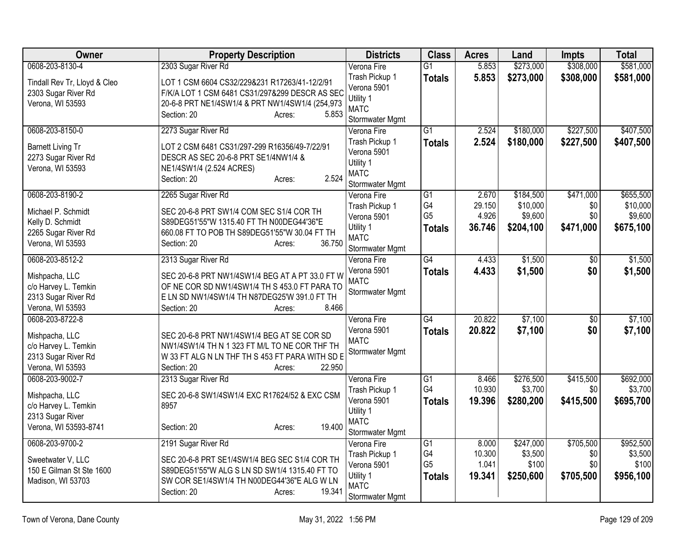| 0608-203-8130-4<br>2303 Sugar River Rd<br>\$273,000<br>\$308,000<br>Verona Fire<br>$\overline{G1}$<br>5.853                                                                | \$581,000        |
|----------------------------------------------------------------------------------------------------------------------------------------------------------------------------|------------------|
| Trash Pickup 1<br>5.853<br>\$273,000<br>\$308,000<br><b>Totals</b><br>Tindall Rev Tr, Lloyd & Cleo<br>LOT 1 CSM 6604 CS32/229&231 R17263/41-12/2/91                        | \$581,000        |
| Verona 5901<br>F/K/A LOT 1 CSM 6481 CS31/297&299 DESCR AS SEC<br>2303 Sugar River Rd                                                                                       |                  |
| Utility 1<br>Verona, WI 53593<br>20-6-8 PRT NE1/4SW1/4 & PRT NW1/4SW1/4 (254,973                                                                                           |                  |
| <b>MATC</b><br>Section: 20<br>5.853<br>Acres:<br>Stormwater Mgmt                                                                                                           |                  |
| \$227,500<br>0608-203-8150-0<br>2273 Sugar River Rd<br>$\overline{G1}$<br>2.524<br>\$180,000<br>Verona Fire                                                                | \$407,500        |
| 2.524<br>Trash Pickup 1<br><b>Totals</b><br>\$180,000<br>\$227,500                                                                                                         | \$407,500        |
| <b>Barnett Living Tr</b><br>LOT 2 CSM 6481 CS31/297-299 R16356/49-7/22/91<br>Verona 5901                                                                                   |                  |
| 2273 Sugar River Rd<br>DESCR AS SEC 20-6-8 PRT SE1/4NW1/4 &<br>Utility 1                                                                                                   |                  |
| Verona, WI 53593<br>NE1/4SW1/4 (2.524 ACRES)<br><b>MATC</b>                                                                                                                |                  |
| 2.524<br>Section: 20<br>Acres:<br>Stormwater Mgmt                                                                                                                          |                  |
| 0608-203-8190-2<br>2265 Sugar River Rd<br>$\overline{G1}$<br>\$471,000<br>Verona Fire<br>2.670<br>\$184,500                                                                | \$655,500        |
| G4<br>\$10,000<br>29.150<br>\$0<br>Trash Pickup 1<br>Michael P. Schmidt<br>SEC 20-6-8 PRT SW1/4 COM SEC S1/4 COR TH                                                        | \$10,000         |
| G <sub>5</sub><br>\$9,600<br>\$0<br>4.926<br>Verona 5901<br>S89DEG51'55"W 1315.40 FT TH N00DEG44'36"E<br>Kelly D. Schmidt                                                  | \$9,600          |
| Utility 1<br>\$471,000<br>36.746<br>\$204,100<br><b>Totals</b><br>2265 Sugar River Rd<br>660.08 FT TO POB TH S89DEG51'55"W 30.04 FT TH                                     | \$675,100        |
| <b>MATC</b><br>36.750<br>Verona, WI 53593<br>Section: 20<br>Acres:                                                                                                         |                  |
| Stormwater Mgmt                                                                                                                                                            |                  |
| G4<br>\$1,500<br>0608-203-8512-2<br>2313 Sugar River Rd<br>4.433<br>Verona Fire<br>$\overline{50}$                                                                         | \$1,500          |
| 4.433<br>\$1,500<br>\$0<br>Verona 5901<br><b>Totals</b><br>Mishpacha, LLC<br>SEC 20-6-8 PRT NW1/4SW1/4 BEG AT A PT 33.0 FT W<br><b>MATC</b>                                | \$1,500          |
| c/o Harvey L. Temkin<br>OF NE COR SD NW1/4SW1/4 TH S 453.0 FT PARA TO<br>Stormwater Mgmt                                                                                   |                  |
| 2313 Sugar River Rd<br>E LN SD NW1/4SW1/4 TH N87DEG25'W 391.0 FT TH                                                                                                        |                  |
| Verona, WI 53593<br>8.466<br>Section: 20<br>Acres:                                                                                                                         |                  |
| 0608-203-8722-8<br>$\overline{G4}$<br>20.822<br>\$7,100<br>$\overline{50}$<br>Verona Fire                                                                                  | \$7,100          |
| Verona 5901<br>20.822<br>\$7,100<br>\$0<br><b>Totals</b><br>Mishpacha, LLC<br>SEC 20-6-8 PRT NW1/4SW1/4 BEG AT SE COR SD                                                   | \$7,100          |
| <b>MATC</b><br>c/o Harvey L. Temkin<br>NW1/4SW1/4 TH N 1 323 FT M/L TO NE COR THF TH                                                                                       |                  |
| Stormwater Mgmt<br>2313 Sugar River Rd<br>W 33 FT ALG N LN THF TH S 453 FT PARA WITH SD E                                                                                  |                  |
| 22.950<br>Verona, WI 53593<br>Section: 20<br>Acres:                                                                                                                        |                  |
| 0608-203-9002-7<br>\$276,500<br>\$415,500<br>2313 Sugar River Rd<br>$\overline{G1}$<br>8.466<br>Verona Fire                                                                | \$692,000        |
| G4<br>10.930<br>\$3,700<br>Trash Pickup 1<br>\$0<br>Mishpacha, LLC<br>SEC 20-6-8 SW1/4SW1/4 EXC R17624/52 & EXC CSM                                                        | \$3,700          |
| Verona 5901<br>19.396<br>\$280,200<br>\$415,500<br><b>Totals</b><br>c/o Harvey L. Temkin<br>8957                                                                           | \$695,700        |
| Utility 1<br>2313 Sugar River                                                                                                                                              |                  |
| <b>MATC</b><br>19.400<br>Verona, WI 53593-8741<br>Section: 20<br>Acres:                                                                                                    |                  |
| Stormwater Mgmt                                                                                                                                                            |                  |
| 0608-203-9700-2<br>\$247,000<br>\$705,500<br>2191 Sugar River Rd<br>G1<br>8.000<br>Verona Fire<br>G4                                                                       | \$952,500        |
| \$3,500<br>10.300<br>\$0<br>Trash Pickup 1<br>SEC 20-6-8 PRT SE1/4SW1/4 BEG SEC S1/4 COR TH<br>Sweetwater V, LLC<br>G <sub>5</sub><br>1.041<br>\$100<br>\$0<br>Verona 5901 | \$3,500<br>\$100 |
| 150 E Gilman St Ste 1600<br>S89DEG51'55"W ALG S LN SD SW1/4 1315.40 FT TO<br>\$250,600<br>\$705,500<br>Utility 1<br>19.341<br><b>Totals</b>                                | \$956,100        |
| SW COR SE1/4SW1/4 TH N00DEG44'36"E ALG W LN<br>Madison, WI 53703<br><b>MATC</b>                                                                                            |                  |
| 19.341<br>Section: 20<br>Acres:<br>Stormwater Mgmt                                                                                                                         |                  |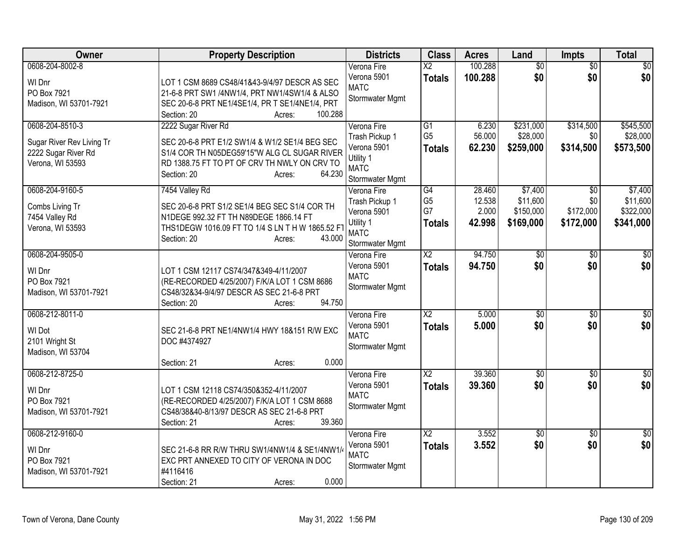| Owner                                                                                   | <b>Property Description</b>                                                                                                                                                                              | <b>Districts</b>                                                                            | <b>Class</b>                                | <b>Acres</b>                        | Land                                          | <b>Impts</b>                                     | <b>Total</b>                                  |
|-----------------------------------------------------------------------------------------|----------------------------------------------------------------------------------------------------------------------------------------------------------------------------------------------------------|---------------------------------------------------------------------------------------------|---------------------------------------------|-------------------------------------|-----------------------------------------------|--------------------------------------------------|-----------------------------------------------|
| 0608-204-8002-8<br>WI Dnr<br>PO Box 7921<br>Madison, WI 53701-7921                      | LOT 1 CSM 8689 CS48/41&43-9/4/97 DESCR AS SEC<br>21-6-8 PRT SW1 /4NW1/4, PRT NW1/4SW1/4 & ALSO<br>SEC 20-6-8 PRT NE1/4SE1/4, PR T SE1/4NE1/4, PRT<br>Section: 20<br>100.288<br>Acres:                    | Verona Fire<br>Verona 5901<br><b>MATC</b><br>Stormwater Mgmt                                | $\overline{\text{X2}}$<br><b>Totals</b>     | 100.288<br>100.288                  | $\overline{50}$<br>\$0                        | $\overline{50}$<br>\$0                           | $\sqrt{50}$<br>\$0                            |
| 0608-204-8510-3<br>Sugar River Rev Living Tr<br>2222 Sugar River Rd<br>Verona, WI 53593 | 2222 Sugar River Rd<br>SEC 20-6-8 PRT E1/2 SW1/4 & W1/2 SE1/4 BEG SEC<br>S1/4 COR TH N05DEG59'15"W ALG CL SUGAR RIVER<br>RD 1388.75 FT TO PT OF CRV TH NWLY ON CRV TO<br>64.230<br>Section: 20<br>Acres: | Verona Fire<br>Trash Pickup 1<br>Verona 5901<br>Utility 1<br><b>MATC</b><br>Stormwater Mgmt | G1<br>G <sub>5</sub><br><b>Totals</b>       | 6.230<br>56.000<br>62.230           | \$231,000<br>\$28,000<br>\$259,000            | \$314,500<br>\$0<br>\$314,500                    | \$545,500<br>\$28,000<br>\$573,500            |
| 0608-204-9160-5<br>Combs Living Tr<br>7454 Valley Rd<br>Verona, WI 53593                | 7454 Valley Rd<br>SEC 20-6-8 PRT S1/2 SE1/4 BEG SEC S1/4 COR TH<br>N1DEGE 992.32 FT TH N89DEGE 1866.14 FT<br>THS1DEGW 1016.09 FT TO 1/4 S LN T H W 1865.52 FT<br>43.000<br>Section: 20<br>Acres:         | Verona Fire<br>Trash Pickup 1<br>Verona 5901<br>Utility 1<br><b>MATC</b><br>Stormwater Mgmt | G4<br>G <sub>5</sub><br>G7<br><b>Totals</b> | 28.460<br>12.538<br>2.000<br>42.998 | \$7,400<br>\$11,600<br>\$150,000<br>\$169,000 | $\overline{50}$<br>\$0<br>\$172,000<br>\$172,000 | \$7,400<br>\$11,600<br>\$322,000<br>\$341,000 |
| 0608-204-9505-0<br>WI Dnr<br>PO Box 7921<br>Madison, WI 53701-7921                      | LOT 1 CSM 12117 CS74/347&349-4/11/2007<br>(RE-RECORDED 4/25/2007) F/K/A LOT 1 CSM 8686<br>CS48/32&34-9/4/97 DESCR AS SEC 21-6-8 PRT<br>94.750<br>Section: 20<br>Acres:                                   | Verona Fire<br>Verona 5901<br><b>MATC</b><br>Stormwater Mgmt                                | $\overline{X2}$<br><b>Totals</b>            | 94.750<br>94.750                    | \$0<br>\$0                                    | $\sqrt{6}$<br>\$0                                | $\sqrt{30}$<br>\$0                            |
| 0608-212-8011-0<br>WI Dot<br>2101 Wright St<br>Madison, WI 53704                        | SEC 21-6-8 PRT NE1/4NW1/4 HWY 18&151 R/W EXC<br>DOC #4374927<br>0.000<br>Section: 21<br>Acres:                                                                                                           | Verona Fire<br>Verona 5901<br><b>MATC</b><br>Stormwater Mgmt                                | $\overline{X2}$<br><b>Totals</b>            | 5.000<br>5.000                      | $\sqrt{$0}$<br>\$0                            | \$0<br>\$0                                       | $\sqrt{50}$<br>\$0                            |
| 0608-212-8725-0<br>WI Dnr<br>PO Box 7921<br>Madison, WI 53701-7921                      | LOT 1 CSM 12118 CS74/350&352-4/11/2007<br>(RE-RECORDED 4/25/2007) F/K/A LOT 1 CSM 8688<br>CS48/38&40-8/13/97 DESCR AS SEC 21-6-8 PRT<br>39.360<br>Section: 21<br>Acres:                                  | Verona Fire<br>Verona 5901<br><b>MATC</b><br>Stormwater Mgmt                                | $\overline{X2}$<br><b>Totals</b>            | 39.360<br>39.360                    | $\overline{50}$<br>\$0                        | $\overline{30}$<br>\$0                           | $\overline{30}$<br>\$0                        |
| 0608-212-9160-0<br>WI Dnr<br>PO Box 7921<br>Madison, WI 53701-7921                      | SEC 21-6-8 RR R/W THRU SW1/4NW1/4 & SE1/4NW1/4<br>EXC PRT ANNEXED TO CITY OF VERONA IN DOC<br>#4116416<br>0.000<br>Section: 21<br>Acres:                                                                 | Verona Fire<br>Verona 5901<br><b>MATC</b><br>Stormwater Mgmt                                | $\overline{X2}$<br><b>Totals</b>            | 3.552<br>3.552                      | $\overline{50}$<br>\$0                        | $\overline{50}$<br>\$0                           | \$0<br>\$0                                    |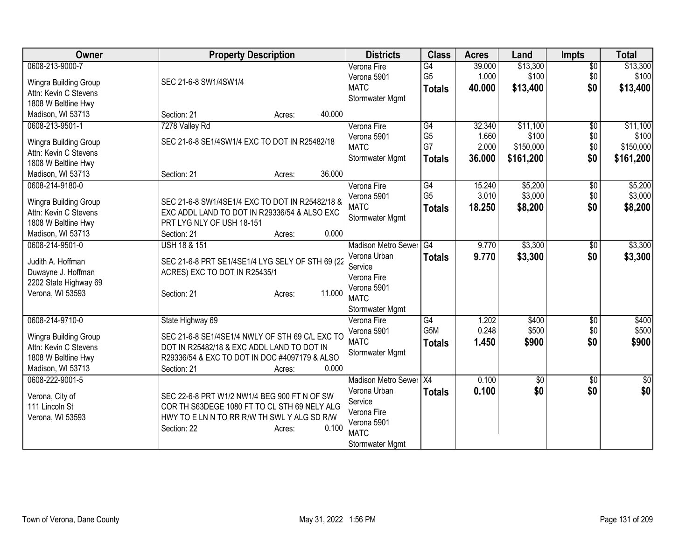| <b>Owner</b>                                   | <b>Property Description</b>                      | <b>Districts</b>           | <b>Class</b>   | <b>Acres</b> | Land      | <b>Impts</b>    | <b>Total</b> |
|------------------------------------------------|--------------------------------------------------|----------------------------|----------------|--------------|-----------|-----------------|--------------|
| 0608-213-9000-7                                |                                                  | Verona Fire                | G4             | 39.000       | \$13,300  | $\overline{30}$ | \$13,300     |
| Wingra Building Group                          | SEC 21-6-8 SW1/4SW1/4                            | Verona 5901                | G <sub>5</sub> | 1.000        | \$100     | \$0             | \$100        |
| Attn: Kevin C Stevens                          |                                                  | <b>MATC</b>                | <b>Totals</b>  | 40.000       | \$13,400  | \$0             | \$13,400     |
| 1808 W Beltline Hwy                            |                                                  | Stormwater Mgmt            |                |              |           |                 |              |
| Madison, WI 53713                              | 40.000<br>Section: 21<br>Acres:                  |                            |                |              |           |                 |              |
| 0608-213-9501-1                                | 7278 Valley Rd                                   | Verona Fire                | G4             | 32.340       | \$11,100  | $\overline{50}$ | \$11,100     |
|                                                | SEC 21-6-8 SE1/4SW1/4 EXC TO DOT IN R25482/18    | Verona 5901                | G <sub>5</sub> | 1.660        | \$100     | \$0             | \$100        |
| Wingra Building Group<br>Attn: Kevin C Stevens |                                                  | <b>MATC</b>                | G7             | 2.000        | \$150,000 | \$0             | \$150,000    |
| 1808 W Beltline Hwy                            |                                                  | Stormwater Mgmt            | <b>Totals</b>  | 36.000       | \$161,200 | \$0             | \$161,200    |
| Madison, WI 53713                              | 36.000<br>Section: 21<br>Acres:                  |                            |                |              |           |                 |              |
| 0608-214-9180-0                                |                                                  | Verona Fire                | G4             | 15.240       | \$5,200   | $\overline{50}$ | \$5,200      |
|                                                |                                                  | Verona 5901                | G <sub>5</sub> | 3.010        | \$3,000   | \$0             | \$3,000      |
| Wingra Building Group                          | SEC 21-6-8 SW1/4SE1/4 EXC TO DOT IN R25482/18 &  | <b>MATC</b>                | <b>Totals</b>  | 18.250       | \$8,200   | \$0             | \$8,200      |
| Attn: Kevin C Stevens                          | EXC ADDL LAND TO DOT IN R29336/54 & ALSO EXC     | Stormwater Mgmt            |                |              |           |                 |              |
| 1808 W Beltline Hwy                            | PRT LYG NLY OF USH 18-151                        |                            |                |              |           |                 |              |
| Madison, WI 53713                              | 0.000<br>Section: 21<br>Acres:                   |                            |                |              |           |                 |              |
| 0608-214-9501-0                                | <b>USH 18 &amp; 151</b>                          | Madison Metro Sewer G4     |                | 9.770        | \$3,300   | \$0             | \$3,300      |
| Judith A. Hoffman                              | SEC 21-6-8 PRT SE1/4SE1/4 LYG SELY OF STH 69 (22 | Verona Urban               | <b>Totals</b>  | 9.770        | \$3,300   | \$0             | \$3,300      |
| Duwayne J. Hoffman                             | ACRES) EXC TO DOT IN R25435/1                    | Service                    |                |              |           |                 |              |
| 2202 State Highway 69                          |                                                  | Verona Fire                |                |              |           |                 |              |
| Verona, WI 53593                               | 11.000<br>Section: 21<br>Acres:                  | Verona 5901<br><b>MATC</b> |                |              |           |                 |              |
|                                                |                                                  | Stormwater Mgmt            |                |              |           |                 |              |
| 0608-214-9710-0                                | State Highway 69                                 | Verona Fire                | G4             | 1.202        | \$400     | $\overline{50}$ | \$400        |
|                                                |                                                  | Verona 5901                | G5M            | 0.248        | \$500     | \$0             | \$500        |
| Wingra Building Group                          | SEC 21-6-8 SE1/4SE1/4 NWLY OF STH 69 C/L EXC TO  | <b>MATC</b>                | <b>Totals</b>  | 1.450        | \$900     | \$0             | \$900        |
| Attn: Kevin C Stevens                          | DOT IN R25482/18 & EXC ADDL LAND TO DOT IN       | Stormwater Mgmt            |                |              |           |                 |              |
| 1808 W Beltline Hwy                            | R29336/54 & EXC TO DOT IN DOC #4097179 & ALSO    |                            |                |              |           |                 |              |
| Madison, WI 53713                              | 0.000<br>Section: 21<br>Acres:                   |                            |                |              |           |                 |              |
| 0608-222-9001-5                                |                                                  | Madison Metro Sewer X4     |                | 0.100        | \$0       | $\overline{50}$ | $\sqrt{50}$  |
| Verona, City of                                | SEC 22-6-8 PRT W1/2 NW1/4 BEG 900 FT N OF SW     | Verona Urban               | <b>Totals</b>  | 0.100        | \$0       | \$0             | \$0          |
| 111 Lincoln St                                 | COR TH S63DEGE 1080 FT TO CL STH 69 NELY ALG     | Service                    |                |              |           |                 |              |
| Verona, WI 53593                               | HWY TO E LN N TO RR R/W TH SWL Y ALG SD R/W      | Verona Fire                |                |              |           |                 |              |
|                                                | 0.100<br>Section: 22<br>Acres:                   | Verona 5901                |                |              |           |                 |              |
|                                                |                                                  | <b>MATC</b>                |                |              |           |                 |              |
|                                                |                                                  | <b>Stormwater Mgmt</b>     |                |              |           |                 |              |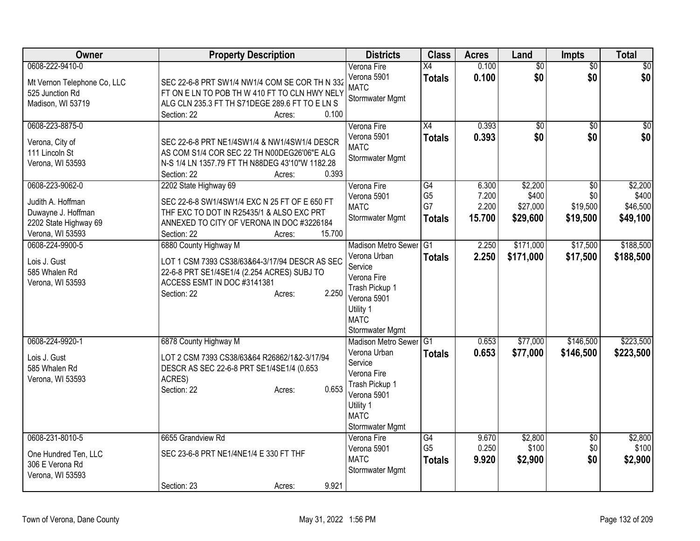| X4<br>$\overline{50}$<br>\$0<br>0.100<br>\$0<br>Verona 5901<br><b>Totals</b><br>SEC 22-6-8 PRT SW1/4 NW1/4 COM SE COR TH N 332<br>Mt Vernon Telephone Co, LLC<br><b>MATC</b><br>FT ON E LN TO POB TH W 410 FT TO CLN HWY NELY<br>525 Junction Rd<br>Stormwater Mgmt<br>Madison, WI 53719<br>ALG CLN 235.3 FT TH S71DEGE 289.6 FT TO E LN S<br>Section: 22<br>Acres:<br>0.100<br>0608-223-8875-0<br>$\overline{X4}$<br>0.393<br>Verona Fire<br>$\overline{50}$<br>$\overline{50}$<br>\$0<br>0.393<br>\$0<br>Verona 5901<br><b>Totals</b><br>Verona, City of<br>SEC 22-6-8 PRT NE1/4SW1/4 & NW1/4SW1/4 DESCR<br><b>MATC</b><br>AS COM S1/4 COR SEC 22 TH N00DEG26'06"E ALG<br>111 Lincoln St<br>Stormwater Mgmt<br>N-S 1/4 LN 1357.79 FT TH N88DEG 43'10"W 1182.28<br>Verona, WI 53593<br>0.393<br>Section: 22<br>Acres:<br>\$2,200<br>0608-223-9062-0<br>2202 State Highway 69<br>$\overline{G4}$<br>6.300<br>Verona Fire<br>\$0<br>7.200<br>\$400<br>G <sub>5</sub><br>\$0<br>Verona 5901<br>Judith A. Hoffman<br>SEC 22-6-8 SW1/4SW1/4 EXC N 25 FT OF E 650 FT<br>G7<br>2.200<br>\$27,000<br>\$19,500<br><b>MATC</b><br>THF EXC TO DOT IN R25435/1 & ALSO EXC PRT<br>Duwayne J. Hoffman<br>15.700<br>\$29,600<br>\$19,500<br>Stormwater Mgmt<br><b>Totals</b><br>2202 State Highway 69<br>ANNEXED TO CITY OF VERONA IN DOC #3226184<br>15.700<br>Verona, WI 53593<br>Section: 22<br>Acres:<br>0608-224-9900-5<br>\$171,000<br>\$17,500<br>6880 County Highway M<br>Madison Metro Sewer G1<br>2.250<br>Verona Urban<br>\$171,000<br>2.250<br>\$17,500<br><b>Totals</b><br>Lois J. Gust<br>LOT 1 CSM 7393 CS38/63&64-3/17/94 DESCR AS SEC<br>Service<br>22-6-8 PRT SE1/4SE1/4 (2.254 ACRES) SUBJ TO<br>585 Whalen Rd<br>Verona Fire<br>ACCESS ESMT IN DOC #3141381<br>Verona, WI 53593<br>Trash Pickup 1<br>2.250<br>Section: 22<br>Acres:<br>Verona 5901<br>Utility 1<br><b>MATC</b><br>Stormwater Mgmt<br>6878 County Highway M<br>\$77,000<br>\$146,500<br>0608-224-9920-1<br>Madison Metro Sewer<br>0.653<br>G1<br>Verona Urban<br>0.653<br>\$77,000<br>\$146,500<br><b>Totals</b><br>Lois J. Gust<br>LOT 2 CSM 7393 CS38/63&64 R26862/1&2-3/17/94<br>Service<br>585 Whalen Rd<br>DESCR AS SEC 22-6-8 PRT SE1/4SE1/4 (0.653<br>Verona Fire<br>ACRES)<br>Verona, WI 53593<br>Trash Pickup 1<br>0.653<br>Section: 22<br>Acres:<br>Verona 5901<br>Utility 1<br><b>MATC</b><br>Stormwater Mgmt<br>0608-231-8010-5<br>6655 Grandview Rd<br>$\overline{G4}$<br>\$2,800<br>9.670<br>$\overline{50}$<br>Verona Fire<br>G <sub>5</sub><br>0.250<br>\$100<br>\$0<br>Verona 5901<br>SEC 23-6-8 PRT NE1/4NE1/4 E 330 FT THF<br>One Hundred Ten, LLC<br><b>MATC</b><br>9.920<br>\$2,900<br>\$0<br><b>Totals</b><br>306 E Verona Rd<br>Stormwater Mgmt<br>Verona, WI 53593 | Owner           | <b>Property Description</b>    | <b>Districts</b> | <b>Class</b> | <b>Acres</b> | Land            | <b>Impts</b> | <b>Total</b>                             |
|-----------------------------------------------------------------------------------------------------------------------------------------------------------------------------------------------------------------------------------------------------------------------------------------------------------------------------------------------------------------------------------------------------------------------------------------------------------------------------------------------------------------------------------------------------------------------------------------------------------------------------------------------------------------------------------------------------------------------------------------------------------------------------------------------------------------------------------------------------------------------------------------------------------------------------------------------------------------------------------------------------------------------------------------------------------------------------------------------------------------------------------------------------------------------------------------------------------------------------------------------------------------------------------------------------------------------------------------------------------------------------------------------------------------------------------------------------------------------------------------------------------------------------------------------------------------------------------------------------------------------------------------------------------------------------------------------------------------------------------------------------------------------------------------------------------------------------------------------------------------------------------------------------------------------------------------------------------------------------------------------------------------------------------------------------------------------------------------------------------------------------------------------------------------------------------------------------------------------------------------------------------------------------------------------------------------------------------------------------------------------------------------------------------------------------------------------------------------------------------------------------------------------------------------------------------------------------------------------------------------------------------------------------------------------------------------------------------------------------------------------------------------|-----------------|--------------------------------|------------------|--------------|--------------|-----------------|--------------|------------------------------------------|
|                                                                                                                                                                                                                                                                                                                                                                                                                                                                                                                                                                                                                                                                                                                                                                                                                                                                                                                                                                                                                                                                                                                                                                                                                                                                                                                                                                                                                                                                                                                                                                                                                                                                                                                                                                                                                                                                                                                                                                                                                                                                                                                                                                                                                                                                                                                                                                                                                                                                                                                                                                                                                                                                                                                                                                 | 0608-222-9410-0 |                                | Verona Fire      |              | 0.100        | $\overline{50}$ |              | $\overline{50}$<br>\$0                   |
|                                                                                                                                                                                                                                                                                                                                                                                                                                                                                                                                                                                                                                                                                                                                                                                                                                                                                                                                                                                                                                                                                                                                                                                                                                                                                                                                                                                                                                                                                                                                                                                                                                                                                                                                                                                                                                                                                                                                                                                                                                                                                                                                                                                                                                                                                                                                                                                                                                                                                                                                                                                                                                                                                                                                                                 |                 |                                |                  |              |              |                 |              | $\overline{50}$<br>\$0                   |
|                                                                                                                                                                                                                                                                                                                                                                                                                                                                                                                                                                                                                                                                                                                                                                                                                                                                                                                                                                                                                                                                                                                                                                                                                                                                                                                                                                                                                                                                                                                                                                                                                                                                                                                                                                                                                                                                                                                                                                                                                                                                                                                                                                                                                                                                                                                                                                                                                                                                                                                                                                                                                                                                                                                                                                 |                 |                                |                  |              |              |                 |              | \$2,200<br>\$400<br>\$46,500<br>\$49,100 |
|                                                                                                                                                                                                                                                                                                                                                                                                                                                                                                                                                                                                                                                                                                                                                                                                                                                                                                                                                                                                                                                                                                                                                                                                                                                                                                                                                                                                                                                                                                                                                                                                                                                                                                                                                                                                                                                                                                                                                                                                                                                                                                                                                                                                                                                                                                                                                                                                                                                                                                                                                                                                                                                                                                                                                                 |                 |                                |                  |              |              |                 |              | \$188,500<br>\$188,500                   |
|                                                                                                                                                                                                                                                                                                                                                                                                                                                                                                                                                                                                                                                                                                                                                                                                                                                                                                                                                                                                                                                                                                                                                                                                                                                                                                                                                                                                                                                                                                                                                                                                                                                                                                                                                                                                                                                                                                                                                                                                                                                                                                                                                                                                                                                                                                                                                                                                                                                                                                                                                                                                                                                                                                                                                                 |                 |                                |                  |              |              |                 |              | \$223,500<br>\$223,500                   |
|                                                                                                                                                                                                                                                                                                                                                                                                                                                                                                                                                                                                                                                                                                                                                                                                                                                                                                                                                                                                                                                                                                                                                                                                                                                                                                                                                                                                                                                                                                                                                                                                                                                                                                                                                                                                                                                                                                                                                                                                                                                                                                                                                                                                                                                                                                                                                                                                                                                                                                                                                                                                                                                                                                                                                                 |                 | 9.921<br>Section: 23<br>Acres: |                  |              |              |                 |              | \$2,800<br>\$100<br>\$2,900              |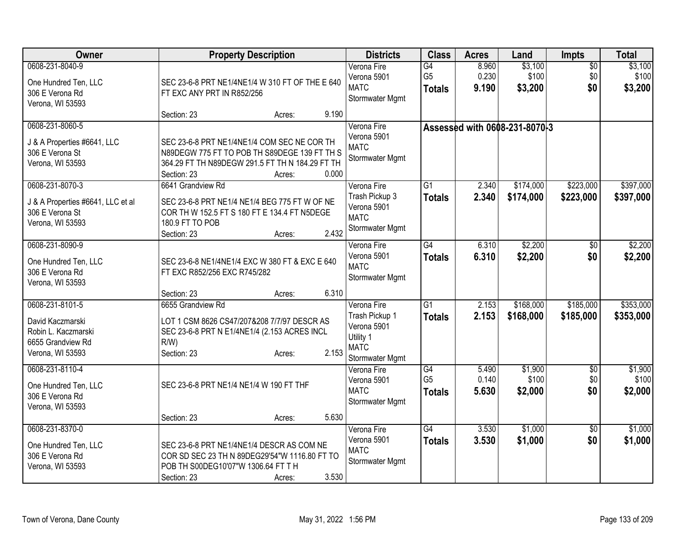| <b>Owner</b>                                                                                        | <b>Property Description</b>                                                                                                                                                      | <b>Districts</b>                                                                            | <b>Class</b>                          | <b>Acres</b>            | Land                          | <b>Impts</b>                  | <b>Total</b>                |
|-----------------------------------------------------------------------------------------------------|----------------------------------------------------------------------------------------------------------------------------------------------------------------------------------|---------------------------------------------------------------------------------------------|---------------------------------------|-------------------------|-------------------------------|-------------------------------|-----------------------------|
| 0608-231-8040-9<br>One Hundred Ten, LLC<br>306 E Verona Rd<br>Verona, WI 53593                      | SEC 23-6-8 PRT NE1/4NE1/4 W 310 FT OF THE E 640<br>FT EXC ANY PRT IN R852/256                                                                                                    | Verona Fire<br>Verona 5901<br><b>MATC</b><br>Stormwater Mgmt                                | G4<br>G <sub>5</sub><br><b>Totals</b> | 8.960<br>0.230<br>9.190 | \$3,100<br>\$100<br>\$3,200   | $\overline{50}$<br>\$0<br>\$0 | \$3,100<br>\$100<br>\$3,200 |
|                                                                                                     | 9.190<br>Section: 23<br>Acres:                                                                                                                                                   |                                                                                             |                                       |                         |                               |                               |                             |
| 0608-231-8060-5<br>J & A Properties #6641, LLC<br>306 E Verona St<br>Verona, WI 53593               | SEC 23-6-8 PRT NE1/4NE1/4 COM SEC NE COR TH<br>N89DEGW 775 FT TO POB TH S89DEGE 139 FT TH S<br>364.29 FT TH N89DEGW 291.5 FT TH N 184.29 FT TH<br>0.000<br>Section: 23<br>Acres: | Verona Fire<br>Verona 5901<br><b>MATC</b><br>Stormwater Mgmt                                |                                       |                         | Assessed with 0608-231-8070-3 |                               |                             |
| 0608-231-8070-3<br>J & A Properties #6641, LLC et al<br>306 E Verona St<br>Verona, WI 53593         | 6641 Grandview Rd<br>SEC 23-6-8 PRT NE1/4 NE1/4 BEG 775 FT W OF NE<br>COR TH W 152.5 FT S 180 FT E 134.4 FT N5DEGE<br>180.9 FT TO POB<br>2.432<br>Section: 23<br>Acres:          | Verona Fire<br>Trash Pickup 3<br>Verona 5901<br><b>MATC</b><br>Stormwater Mgmt              | $\overline{G1}$<br><b>Totals</b>      | 2.340<br>2.340          | \$174,000<br>\$174,000        | \$223,000<br>\$223,000        | \$397,000<br>\$397,000      |
| 0608-231-8090-9<br>One Hundred Ten, LLC<br>306 E Verona Rd<br>Verona, WI 53593                      | SEC 23-6-8 NE1/4NE1/4 EXC W 380 FT & EXC E 640<br>FT EXC R852/256 EXC R745/282                                                                                                   | Verona Fire<br>Verona 5901<br><b>MATC</b><br>Stormwater Mgmt                                | G4<br><b>Totals</b>                   | 6.310<br>6.310          | \$2,200<br>\$2,200            | \$0<br>\$0                    | \$2,200<br>\$2,200          |
|                                                                                                     | 6.310<br>Section: 23<br>Acres:                                                                                                                                                   |                                                                                             |                                       |                         |                               |                               |                             |
| 0608-231-8101-5<br>David Kaczmarski<br>Robin L. Kaczmarski<br>6655 Grandview Rd<br>Verona, WI 53593 | 6655 Grandview Rd<br>LOT 1 CSM 8626 CS47/207&208 7/7/97 DESCR AS<br>SEC 23-6-8 PRT N E1/4NE1/4 (2.153 ACRES INCL<br>$R/W$ )<br>2.153<br>Section: 23<br>Acres:                    | Verona Fire<br>Trash Pickup 1<br>Verona 5901<br>Utility 1<br><b>MATC</b><br>Stormwater Mgmt | $\overline{G1}$<br><b>Totals</b>      | 2.153<br>2.153          | \$168,000<br>\$168,000        | \$185,000<br>\$185,000        | \$353,000<br>\$353,000      |
| 0608-231-8110-4<br>One Hundred Ten, LLC<br>306 E Verona Rd<br>Verona, WI 53593                      | SEC 23-6-8 PRT NE1/4 NE1/4 W 190 FT THF<br>5.630<br>Section: 23<br>Acres:                                                                                                        | Verona Fire<br>Verona 5901<br><b>MATC</b><br>Stormwater Mgmt                                | G4<br>G <sub>5</sub><br><b>Totals</b> | 5.490<br>0.140<br>5.630 | \$1,900<br>\$100<br>\$2,000   | \$0<br>\$0<br>\$0             | \$1,900<br>\$100<br>\$2,000 |
| 0608-231-8370-0<br>One Hundred Ten, LLC<br>306 E Verona Rd<br>Verona, WI 53593                      | SEC 23-6-8 PRT NE1/4NE1/4 DESCR AS COM NE<br>COR SD SEC 23 TH N 89DEG29'54"W 1116.80 FT TO<br>POB TH S00DEG10'07"W 1306.64 FT T H<br>3.530<br>Section: 23<br>Acres:              | Verona Fire<br>Verona 5901<br><b>MATC</b><br>Stormwater Mgmt                                | G4<br><b>Totals</b>                   | 3.530<br>3.530          | \$1,000<br>\$1,000            | $\overline{50}$<br>\$0        | \$1,000<br>\$1,000          |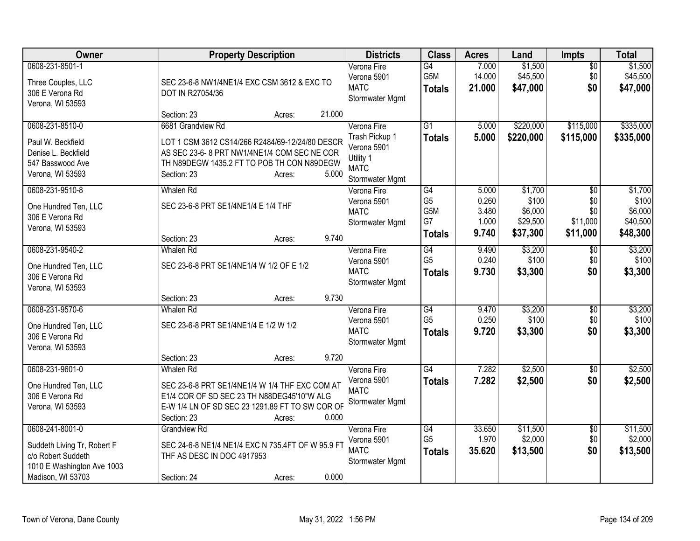| Owner                                                                                                                   | <b>Property Description</b>                                                                                                                                                                           | <b>Districts</b>                                                                            | <b>Class</b>                                                    | <b>Acres</b>                              | Land                                                | Impts                                                 | <b>Total</b>                                        |
|-------------------------------------------------------------------------------------------------------------------------|-------------------------------------------------------------------------------------------------------------------------------------------------------------------------------------------------------|---------------------------------------------------------------------------------------------|-----------------------------------------------------------------|-------------------------------------------|-----------------------------------------------------|-------------------------------------------------------|-----------------------------------------------------|
| 0608-231-8501-1<br>Three Couples, LLC<br>306 E Verona Rd<br>Verona, WI 53593                                            | SEC 23-6-8 NW1/4NE1/4 EXC CSM 3612 & EXC TO<br>DOT IN R27054/36                                                                                                                                       | Verona Fire<br>Verona 5901<br><b>MATC</b><br>Stormwater Mgmt                                | $\overline{G4}$<br>G <sub>5</sub> M<br><b>Totals</b>            | 7.000<br>14.000<br>21.000                 | \$1,500<br>\$45,500<br>\$47,000                     | $\overline{60}$<br>\$0<br>\$0                         | \$1,500<br>\$45,500<br>\$47,000                     |
|                                                                                                                         | 21.000<br>Section: 23<br>Acres:                                                                                                                                                                       |                                                                                             |                                                                 |                                           |                                                     |                                                       |                                                     |
| 0608-231-8510-0<br>Paul W. Beckfield<br>Denise L. Beckfield<br>547 Basswood Ave<br>Verona, WI 53593                     | 6681 Grandview Rd<br>LOT 1 CSM 3612 CS14/266 R2484/69-12/24/80 DESCR<br>AS SEC 23-6-8 PRT NW1/4NE1/4 COM SEC NE COR<br>TH N89DEGW 1435.2 FT TO POB TH CON N89DEGW<br>5.000<br>Section: 23<br>Acres:   | Verona Fire<br>Trash Pickup 1<br>Verona 5901<br>Utility 1<br><b>MATC</b><br>Stormwater Mgmt | $\overline{G1}$<br><b>Totals</b>                                | 5.000<br>5.000                            | \$220,000<br>\$220,000                              | \$115,000<br>\$115,000                                | \$335,000<br>\$335,000                              |
| 0608-231-9510-8<br>One Hundred Ten, LLC<br>306 E Verona Rd<br>Verona, WI 53593                                          | <b>Whalen Rd</b><br>SEC 23-6-8 PRT SE1/4NE1/4 E 1/4 THF<br>9.740<br>Section: 23<br>Acres:                                                                                                             | Verona Fire<br>Verona 5901<br><b>MATC</b><br>Stormwater Mgmt                                | $\overline{G4}$<br>G <sub>5</sub><br>G5M<br>G7<br><b>Totals</b> | 5.000<br>0.260<br>3.480<br>1.000<br>9.740 | \$1,700<br>\$100<br>\$6,000<br>\$29,500<br>\$37,300 | $\overline{50}$<br>\$0<br>\$0<br>\$11,000<br>\$11,000 | \$1,700<br>\$100<br>\$6,000<br>\$40,500<br>\$48,300 |
| 0608-231-9540-2<br>One Hundred Ten, LLC<br>306 E Verona Rd<br>Verona, WI 53593                                          | <b>Whalen Rd</b><br>SEC 23-6-8 PRT SE1/4NE1/4 W 1/2 OF E 1/2                                                                                                                                          | Verona Fire<br>Verona 5901<br><b>MATC</b><br>Stormwater Mgmt                                | G4<br>G <sub>5</sub><br><b>Totals</b>                           | 9.490<br>0.240<br>9.730                   | \$3,200<br>\$100<br>\$3,300                         | $\overline{50}$<br>\$0<br>\$0                         | \$3,200<br>\$100<br>\$3,300                         |
|                                                                                                                         | 9.730<br>Section: 23<br>Acres:                                                                                                                                                                        |                                                                                             |                                                                 |                                           |                                                     |                                                       |                                                     |
| 0608-231-9570-6<br>One Hundred Ten, LLC<br>306 E Verona Rd<br>Verona, WI 53593                                          | <b>Whalen Rd</b><br>SEC 23-6-8 PRT SE1/4NE1/4 E 1/2 W 1/2                                                                                                                                             | Verona Fire<br>Verona 5901<br><b>MATC</b><br>Stormwater Mgmt                                | G4<br>G <sub>5</sub><br><b>Totals</b>                           | 9.470<br>0.250<br>9.720                   | \$3,200<br>\$100<br>\$3,300                         | $\overline{60}$<br>\$0<br>\$0                         | \$3,200<br>\$100<br>\$3,300                         |
|                                                                                                                         | 9.720<br>Section: 23<br>Acres:                                                                                                                                                                        |                                                                                             |                                                                 |                                           |                                                     |                                                       |                                                     |
| 0608-231-9601-0<br>One Hundred Ten, LLC<br>306 E Verona Rd<br>Verona, WI 53593                                          | <b>Whalen Rd</b><br>SEC 23-6-8 PRT SE1/4NE1/4 W 1/4 THF EXC COM AT<br>E1/4 COR OF SD SEC 23 TH N88DEG45'10"W ALG<br>E-W 1/4 LN OF SD SEC 23 1291.89 FT TO SW COR OF<br>0.000<br>Section: 23<br>Acres: | Verona Fire<br>Verona 5901<br><b>MATC</b><br>Stormwater Mgmt                                | G4<br><b>Totals</b>                                             | 7.282<br>7.282                            | \$2,500<br>\$2,500                                  | $\sqrt[6]{}$<br>\$0                                   | \$2,500<br>\$2,500                                  |
| 0608-241-8001-0<br>Suddeth Living Tr, Robert F<br>c/o Robert Suddeth<br>1010 E Washington Ave 1003<br>Madison, WI 53703 | <b>Grandview Rd</b><br>SEC 24-6-8 NE1/4 NE1/4 EXC N 735.4FT OF W 95.9 FT<br>THF AS DESC IN DOC 4917953<br>0.000<br>Section: 24<br>Acres:                                                              | Verona Fire<br>Verona 5901<br><b>MATC</b><br>Stormwater Mgmt                                | G4<br>G <sub>5</sub><br><b>Totals</b>                           | 33.650<br>1.970<br>35.620                 | \$11,500<br>\$2,000<br>\$13,500                     | \$0<br>\$0<br>\$0                                     | \$11,500<br>\$2,000<br>\$13,500                     |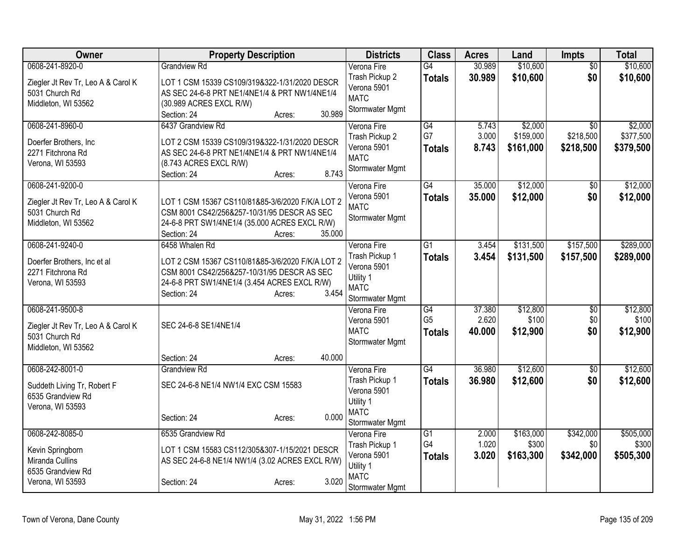| Owner                                            | <b>Property Description</b>                                                                     | <b>Districts</b>           | <b>Class</b>    | <b>Acres</b> | Land      | Impts           | <b>Total</b> |
|--------------------------------------------------|-------------------------------------------------------------------------------------------------|----------------------------|-----------------|--------------|-----------|-----------------|--------------|
| 0608-241-8920-0                                  | <b>Grandview Rd</b>                                                                             | Verona Fire                | G4              | 30.989       | \$10,600  | $\overline{50}$ | \$10,600     |
| Ziegler Jt Rev Tr, Leo A & Carol K               | LOT 1 CSM 15339 CS109/319&322-1/31/2020 DESCR                                                   | Trash Pickup 2             | <b>Totals</b>   | 30.989       | \$10,600  | \$0             | \$10,600     |
| 5031 Church Rd                                   | AS SEC 24-6-8 PRT NE1/4NE1/4 & PRT NW1/4NE1/4                                                   | Verona 5901                |                 |              |           |                 |              |
| Middleton, WI 53562                              | (30.989 ACRES EXCL R/W)                                                                         | <b>MATC</b>                |                 |              |           |                 |              |
|                                                  | 30.989<br>Section: 24<br>Acres:                                                                 | Stormwater Mgmt            |                 |              |           |                 |              |
| 0608-241-8960-0                                  | 6437 Grandview Rd                                                                               | Verona Fire                | $\overline{G4}$ | 5.743        | \$2,000   | $\overline{50}$ | \$2,000      |
| Doerfer Brothers, Inc                            | LOT 2 CSM 15339 CS109/319&322-1/31/2020 DESCR                                                   | Trash Pickup 2             | G7              | 3.000        | \$159,000 | \$218,500       | \$377,500    |
| 2271 Fitchrona Rd                                | AS SEC 24-6-8 PRT NE1/4NE1/4 & PRT NW1/4NE1/4                                                   | Verona 5901                | <b>Totals</b>   | 8.743        | \$161,000 | \$218,500       | \$379,500    |
| Verona, WI 53593                                 | (8.743 ACRES EXCL R/W)                                                                          | <b>MATC</b>                |                 |              |           |                 |              |
|                                                  | 8.743<br>Section: 24<br>Acres:                                                                  | Stormwater Mgmt            |                 |              |           |                 |              |
| 0608-241-9200-0                                  |                                                                                                 | Verona Fire                | G4              | 35.000       | \$12,000  | \$0             | \$12,000     |
| Ziegler Jt Rev Tr, Leo A & Carol K               | LOT 1 CSM 15367 CS110/81&85-3/6/2020 F/K/A LOT 2                                                | Verona 5901                | <b>Totals</b>   | 35.000       | \$12,000  | \$0             | \$12,000     |
| 5031 Church Rd                                   | CSM 8001 CS42/256&257-10/31/95 DESCR AS SEC                                                     | <b>MATC</b>                |                 |              |           |                 |              |
| Middleton, WI 53562                              | 24-6-8 PRT SW1/4NE1/4 (35.000 ACRES EXCL R/W)                                                   | Stormwater Mgmt            |                 |              |           |                 |              |
|                                                  | 35.000<br>Section: 24<br>Acres:                                                                 |                            |                 |              |           |                 |              |
| 0608-241-9240-0                                  | 6458 Whalen Rd                                                                                  | Verona Fire                | $\overline{G1}$ | 3.454        | \$131,500 | \$157,500       | \$289,000    |
|                                                  |                                                                                                 | Trash Pickup 1             | <b>Totals</b>   | 3.454        | \$131,500 | \$157,500       | \$289,000    |
| Doerfer Brothers, Inc et al<br>2271 Fitchrona Rd | LOT 2 CSM 15367 CS110/81&85-3/6/2020 F/K/A LOT 2<br>CSM 8001 CS42/256&257-10/31/95 DESCR AS SEC | Verona 5901                |                 |              |           |                 |              |
| Verona, WI 53593                                 | 24-6-8 PRT SW1/4NE1/4 (3.454 ACRES EXCL R/W)                                                    | Utility 1                  |                 |              |           |                 |              |
|                                                  | 3.454<br>Section: 24<br>Acres:                                                                  | <b>MATC</b>                |                 |              |           |                 |              |
|                                                  |                                                                                                 | Stormwater Mgmt            |                 |              |           |                 |              |
| 0608-241-9500-8                                  |                                                                                                 | Verona Fire                | G4              | 37.380       | \$12,800  | \$0             | \$12,800     |
| Ziegler Jt Rev Tr, Leo A & Carol K               | SEC 24-6-8 SE1/4NE1/4                                                                           | Verona 5901<br><b>MATC</b> | G <sub>5</sub>  | 2.620        | \$100     | \$0             | \$100        |
| 5031 Church Rd                                   |                                                                                                 | Stormwater Mgmt            | <b>Totals</b>   | 40.000       | \$12,900  | \$0             | \$12,900     |
| Middleton, WI 53562                              |                                                                                                 |                            |                 |              |           |                 |              |
|                                                  | 40.000<br>Section: 24<br>Acres:                                                                 |                            |                 |              |           |                 |              |
| 0608-242-8001-0                                  | <b>Grandview Rd</b>                                                                             | Verona Fire                | G4              | 36.980       | \$12,600  | \$0             | \$12,600     |
| Suddeth Living Tr, Robert F                      | SEC 24-6-8 NE1/4 NW1/4 EXC CSM 15583                                                            | Trash Pickup 1             | <b>Totals</b>   | 36.980       | \$12,600  | \$0             | \$12,600     |
| 6535 Grandview Rd                                |                                                                                                 | Verona 5901                |                 |              |           |                 |              |
| Verona, WI 53593                                 |                                                                                                 | Utility 1<br><b>MATC</b>   |                 |              |           |                 |              |
|                                                  | 0.000<br>Section: 24<br>Acres:                                                                  | Stormwater Mgmt            |                 |              |           |                 |              |
| 0608-242-8085-0                                  | 6535 Grandview Rd                                                                               | Verona Fire                | $\overline{G1}$ | 2.000        | \$163,000 | \$342,000       | \$505,000    |
|                                                  |                                                                                                 | Trash Pickup 1             | G4              | 1.020        | \$300     | \$0             | \$300        |
| Kevin Springborn                                 | LOT 1 CSM 15583 CS112/305&307-1/15/2021 DESCR                                                   | Verona 5901                | <b>Totals</b>   | 3.020        | \$163,300 | \$342,000       | \$505,300    |
| Miranda Cullins                                  | AS SEC 24-6-8 NE1/4 NW1/4 (3.02 ACRES EXCL R/W)                                                 | Utility 1                  |                 |              |           |                 |              |
| 6535 Grandview Rd                                |                                                                                                 | <b>MATC</b>                |                 |              |           |                 |              |
| Verona, WI 53593                                 | 3.020<br>Section: 24<br>Acres:                                                                  | Stormwater Mgmt            |                 |              |           |                 |              |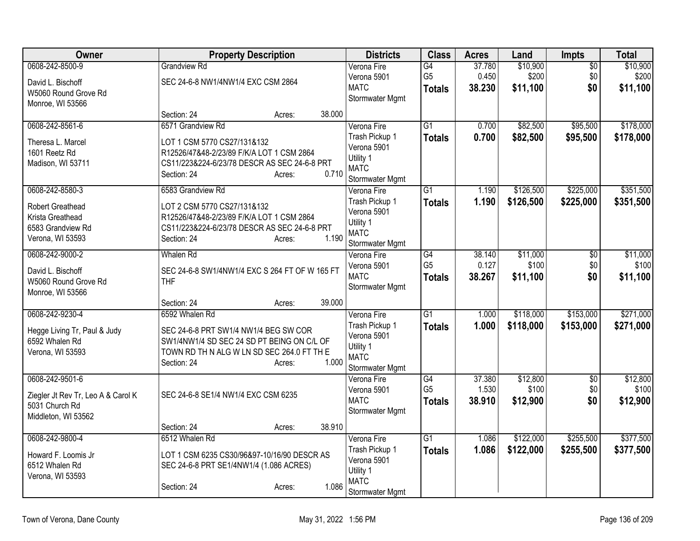| Owner                                                | <b>Property Description</b>                           | <b>Districts</b>              | <b>Class</b>                    | <b>Acres</b>    | Land              | <b>Impts</b>    | <b>Total</b>      |
|------------------------------------------------------|-------------------------------------------------------|-------------------------------|---------------------------------|-----------------|-------------------|-----------------|-------------------|
| 0608-242-8500-9                                      | <b>Grandview Rd</b>                                   | Verona Fire                   | G4                              | 37.780          | \$10,900          | $\overline{50}$ | \$10,900          |
| David L. Bischoff                                    | SEC 24-6-8 NW1/4NW1/4 EXC CSM 2864                    | Verona 5901<br><b>MATC</b>    | G <sub>5</sub><br><b>Totals</b> | 0.450<br>38.230 | \$200<br>\$11,100 | \$0<br>\$0      | \$200<br>\$11,100 |
| W5060 Round Grove Rd                                 |                                                       | Stormwater Mgmt               |                                 |                 |                   |                 |                   |
| Monroe, WI 53566                                     |                                                       |                               |                                 |                 |                   |                 |                   |
| 0608-242-8561-6                                      | 38.000<br>Section: 24<br>Acres:<br>6571 Grandview Rd  |                               | $\overline{G1}$                 | 0.700           | \$82,500          | \$95,500        | \$178,000         |
|                                                      |                                                       | Verona Fire<br>Trash Pickup 1 | <b>Totals</b>                   | 0.700           | \$82,500          | \$95,500        | \$178,000         |
| Theresa L. Marcel                                    | LOT 1 CSM 5770 CS27/131&132                           | Verona 5901                   |                                 |                 |                   |                 |                   |
| 1601 Reetz Rd                                        | R12526/47&48-2/23/89 F/K/A LOT 1 CSM 2864             | Utility 1                     |                                 |                 |                   |                 |                   |
| Madison, WI 53711                                    | CS11/223&224-6/23/78 DESCR AS SEC 24-6-8 PRT<br>0.710 | <b>MATC</b>                   |                                 |                 |                   |                 |                   |
|                                                      | Section: 24<br>Acres:                                 | Stormwater Mgmt               |                                 |                 |                   |                 |                   |
| 0608-242-8580-3                                      | 6583 Grandview Rd                                     | Verona Fire                   | $\overline{G1}$                 | 1.190           | \$126,500         | \$225,000       | \$351,500         |
| Robert Greathead                                     | LOT 2 CSM 5770 CS27/131&132                           | Trash Pickup 1                | <b>Totals</b>                   | 1.190           | \$126,500         | \$225,000       | \$351,500         |
| Krista Greathead                                     | R12526/47&48-2/23/89 F/K/A LOT 1 CSM 2864             | Verona 5901                   |                                 |                 |                   |                 |                   |
| 6583 Grandview Rd                                    | CS11/223&224-6/23/78 DESCR AS SEC 24-6-8 PRT          | Utility 1<br><b>MATC</b>      |                                 |                 |                   |                 |                   |
| Verona, WI 53593                                     | 1.190<br>Section: 24<br>Acres:                        | Stormwater Mgmt               |                                 |                 |                   |                 |                   |
| 0608-242-9000-2                                      | <b>Whalen Rd</b>                                      | Verona Fire                   | $\overline{G4}$                 | 38.140          | \$11,000          | $\overline{50}$ | \$11,000          |
| David L. Bischoff                                    | SEC 24-6-8 SW1/4NW1/4 EXC S 264 FT OF W 165 FT        | Verona 5901                   | G <sub>5</sub>                  | 0.127           | \$100             | \$0             | \$100             |
| W5060 Round Grove Rd                                 | <b>THF</b>                                            | <b>MATC</b>                   | <b>Totals</b>                   | 38.267          | \$11,100          | \$0             | \$11,100          |
| Monroe, WI 53566                                     |                                                       | Stormwater Mgmt               |                                 |                 |                   |                 |                   |
|                                                      | 39.000<br>Section: 24<br>Acres:                       |                               |                                 |                 |                   |                 |                   |
| 0608-242-9230-4                                      | 6592 Whalen Rd                                        | Verona Fire                   | $\overline{G1}$                 | 1.000           | \$118,000         | \$153,000       | \$271,000         |
| Hegge Living Tr, Paul & Judy                         | SEC 24-6-8 PRT SW1/4 NW1/4 BEG SW COR                 | Trash Pickup 1                | <b>Totals</b>                   | 1.000           | \$118,000         | \$153,000       | \$271,000         |
| 6592 Whalen Rd                                       | SW1/4NW1/4 SD SEC 24 SD PT BEING ON C/L OF            | Verona 5901                   |                                 |                 |                   |                 |                   |
| Verona, WI 53593                                     | TOWN RD TH N ALG W LN SD SEC 264.0 FT TH E            | Utility 1<br><b>MATC</b>      |                                 |                 |                   |                 |                   |
|                                                      | 1.000<br>Section: 24<br>Acres:                        | Stormwater Mgmt               |                                 |                 |                   |                 |                   |
| 0608-242-9501-6                                      |                                                       | Verona Fire                   | G4                              | 37.380          | \$12,800          | \$0             | \$12,800          |
|                                                      | SEC 24-6-8 SE1/4 NW1/4 EXC CSM 6235                   | Verona 5901                   | G <sub>5</sub>                  | 1.530           | \$100             | \$0             | \$100             |
| Ziegler Jt Rev Tr, Leo A & Carol K<br>5031 Church Rd |                                                       | <b>MATC</b>                   | <b>Totals</b>                   | 38.910          | \$12,900          | \$0             | \$12,900          |
| Middleton, WI 53562                                  |                                                       | Stormwater Mgmt               |                                 |                 |                   |                 |                   |
|                                                      | 38.910<br>Section: 24<br>Acres:                       |                               |                                 |                 |                   |                 |                   |
| 0608-242-9800-4                                      | 6512 Whalen Rd                                        | Verona Fire                   | $\overline{G1}$                 | 1.086           | \$122,000         | \$255,500       | \$377,500         |
| Howard F. Loomis Jr                                  | LOT 1 CSM 6235 CS30/96&97-10/16/90 DESCR AS           | Trash Pickup 1                | <b>Totals</b>                   | 1.086           | \$122,000         | \$255,500       | \$377,500         |
| 6512 Whalen Rd                                       | SEC 24-6-8 PRT SE1/4NW1/4 (1.086 ACRES)               | Verona 5901                   |                                 |                 |                   |                 |                   |
| Verona, WI 53593                                     |                                                       | Utility 1                     |                                 |                 |                   |                 |                   |
|                                                      | 1.086<br>Section: 24<br>Acres:                        | <b>MATC</b>                   |                                 |                 |                   |                 |                   |
|                                                      |                                                       | Stormwater Mgmt               |                                 |                 |                   |                 |                   |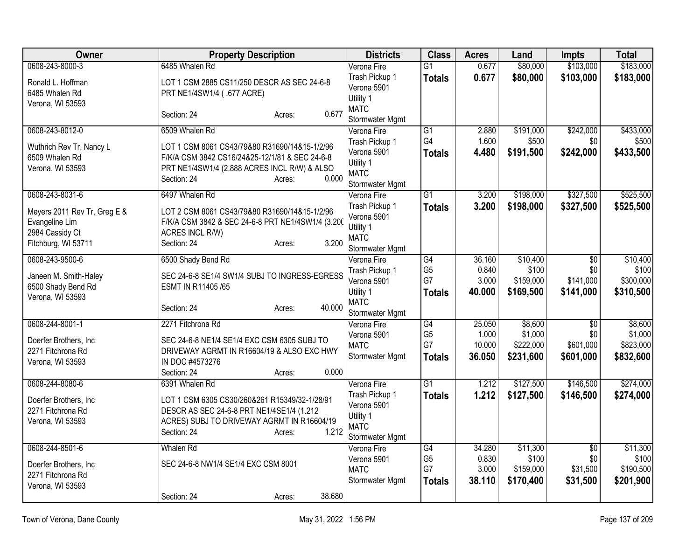| Owner                                                                                    | <b>Property Description</b>                                                                                                                                                       | <b>Districts</b>                                                             | <b>Class</b>                          | <b>Acres</b>              | Land                              | <b>Impts</b>                  | <b>Total</b>                      |
|------------------------------------------------------------------------------------------|-----------------------------------------------------------------------------------------------------------------------------------------------------------------------------------|------------------------------------------------------------------------------|---------------------------------------|---------------------------|-----------------------------------|-------------------------------|-----------------------------------|
| 0608-243-8000-3                                                                          | 6485 Whalen Rd                                                                                                                                                                    | Verona Fire                                                                  | $\overline{G1}$                       | 0.677                     | \$80,000                          | \$103,000                     | \$183,000                         |
| Ronald L. Hoffman<br>6485 Whalen Rd<br>Verona, WI 53593                                  | LOT 1 CSM 2885 CS11/250 DESCR AS SEC 24-6-8<br>PRT NE1/4SW1/4 (.677 ACRE)                                                                                                         | Trash Pickup 1<br>Verona 5901<br>Utility 1                                   | <b>Totals</b>                         | 0.677                     | \$80,000                          | \$103,000                     | \$183,000                         |
|                                                                                          | 0.677<br>Section: 24<br>Acres:                                                                                                                                                    | <b>MATC</b><br>Stormwater Mgmt                                               |                                       |                           |                                   |                               |                                   |
| 0608-243-8012-0                                                                          | 6509 Whalen Rd                                                                                                                                                                    | Verona Fire                                                                  | $\overline{G1}$                       | 2.880                     | \$191,000                         | \$242,000                     | \$433,000                         |
| Wuthrich Rev Tr, Nancy L<br>6509 Whalen Rd<br>Verona, WI 53593                           | LOT 1 CSM 8061 CS43/79&80 R31690/14&15-1/2/96<br>F/K/A CSM 3842 CS16/24&25-12/1/81 & SEC 24-6-8<br>PRT NE1/4SW1/4 (2.888 ACRES INCL R/W) & ALSO<br>0.000<br>Section: 24<br>Acres: | Trash Pickup 1<br>Verona 5901<br>Utility 1<br><b>MATC</b><br>Stormwater Mgmt | G4<br><b>Totals</b>                   | 1.600<br>4.480            | \$500<br>\$191,500                | \$0<br>\$242,000              | \$500<br>\$433,500                |
| 0608-243-8031-6                                                                          | 6497 Whalen Rd                                                                                                                                                                    | Verona Fire                                                                  | $\overline{G1}$                       | 3.200                     | \$198,000                         | \$327,500                     | \$525,500                         |
| Meyers 2011 Rev Tr, Greg E &<br>Evangeline Lim<br>2984 Cassidy Ct<br>Fitchburg, WI 53711 | LOT 2 CSM 8061 CS43/79&80 R31690/14&15-1/2/96<br>F/K/A CSM 3842 & SEC 24-6-8 PRT NE1/4SW1/4 (3.200<br>ACRES INCL R/W)<br>3.200<br>Section: 24<br>Acres:                           | Trash Pickup 1<br>Verona 5901<br>Utility 1<br><b>MATC</b><br>Stormwater Mgmt | <b>Totals</b>                         | 3.200                     | \$198,000                         | \$327,500                     | \$525,500                         |
| 0608-243-9500-6                                                                          | 6500 Shady Bend Rd                                                                                                                                                                | Verona Fire                                                                  | $\overline{G4}$                       | 36.160                    | \$10,400                          | $\overline{50}$               | \$10,400                          |
| Janeen M. Smith-Haley<br>6500 Shady Bend Rd<br>Verona, WI 53593                          | SEC 24-6-8 SE1/4 SW1/4 SUBJ TO INGRESS-EGRESS<br>ESMT IN R11405/65                                                                                                                | Trash Pickup 1<br>Verona 5901<br>Utility 1                                   | G <sub>5</sub><br>G7<br><b>Totals</b> | 0.840<br>3.000<br>40.000  | \$100<br>\$159,000<br>\$169,500   | \$0<br>\$141,000<br>\$141,000 | \$100<br>\$300,000<br>\$310,500   |
|                                                                                          | 40.000<br>Section: 24<br>Acres:                                                                                                                                                   | <b>MATC</b><br>Stormwater Mgmt                                               |                                       |                           |                                   |                               |                                   |
| 0608-244-8001-1                                                                          | 2271 Fitchrona Rd                                                                                                                                                                 | Verona Fire                                                                  | $\overline{G4}$                       | 25.050                    | \$8,600                           | $\overline{50}$               | \$8,600                           |
| Doerfer Brothers, Inc<br>2271 Fitchrona Rd<br>Verona, WI 53593                           | SEC 24-6-8 NE1/4 SE1/4 EXC CSM 6305 SUBJ TO<br>DRIVEWAY AGRMT IN R16604/19 & ALSO EXC HWY<br>IN DOC #4573276<br>0.000<br>Section: 24                                              | Verona 5901<br><b>MATC</b><br>Stormwater Mgmt                                | G <sub>5</sub><br>G7<br><b>Totals</b> | 1.000<br>10.000<br>36.050 | \$1,000<br>\$222,000<br>\$231,600 | \$0<br>\$601,000<br>\$601,000 | \$1,000<br>\$823,000<br>\$832,600 |
| 0608-244-8080-6                                                                          | Acres:<br>6391 Whalen Rd                                                                                                                                                          | Verona Fire                                                                  | G1                                    | 1.212                     | \$127,500                         | \$146,500                     | \$274,000                         |
| Doerfer Brothers, Inc.<br>2271 Fitchrona Rd<br>Verona, WI 53593                          | LOT 1 CSM 6305 CS30/260&261 R15349/32-1/28/91<br>DESCR AS SEC 24-6-8 PRT NE1/4SE1/4 (1.212<br>ACRES) SUBJ TO DRIVEWAY AGRMT IN R16604/19<br>1.212<br>Section: 24<br>Acres:        | Trash Pickup 1<br>Verona 5901<br>Utility 1<br><b>MATC</b><br>Stormwater Mgmt | <b>Totals</b>                         | 1.212                     | \$127,500                         | \$146,500                     | \$274,000                         |
| 0608-244-8501-6                                                                          | Whalen Rd                                                                                                                                                                         | Verona Fire                                                                  | $\overline{G4}$                       | 34.280                    | \$11,300                          | $\overline{30}$               | \$11,300                          |
| Doerfer Brothers, Inc<br>2271 Fitchrona Rd<br>Verona, WI 53593                           | SEC 24-6-8 NW1/4 SE1/4 EXC CSM 8001                                                                                                                                               | Verona 5901<br><b>MATC</b><br>Stormwater Mgmt                                | G <sub>5</sub><br>G7<br><b>Totals</b> | 0.830<br>3.000<br>38.110  | \$100<br>\$159,000<br>\$170,400   | \$0<br>\$31,500<br>\$31,500   | \$100<br>\$190,500<br>\$201,900   |
|                                                                                          | 38.680<br>Section: 24<br>Acres:                                                                                                                                                   |                                                                              |                                       |                           |                                   |                               |                                   |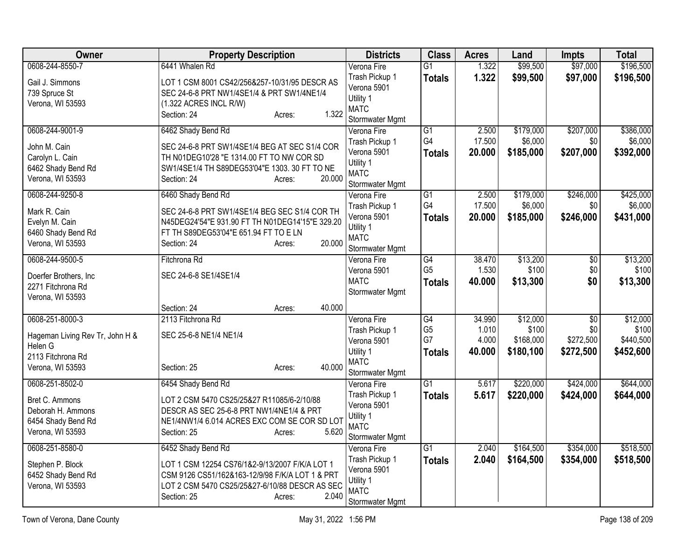| Owner                                 | <b>Property Description</b>                                                                | <b>Districts</b>              | <b>Class</b>          | <b>Acres</b>     | Land      | <b>Impts</b>    | <b>Total</b> |
|---------------------------------------|--------------------------------------------------------------------------------------------|-------------------------------|-----------------------|------------------|-----------|-----------------|--------------|
| 0608-244-8550-7                       | 6441 Whalen Rd                                                                             | Verona Fire                   | $\overline{G1}$       | 1.322            | \$99,500  | \$97,000        | \$196,500    |
| Gail J. Simmons                       | LOT 1 CSM 8001 CS42/256&257-10/31/95 DESCR AS                                              | Trash Pickup 1                | <b>Totals</b>         | 1.322            | \$99,500  | \$97,000        | \$196,500    |
| 739 Spruce St                         | SEC 24-6-8 PRT NW1/4SE1/4 & PRT SW1/4NE1/4                                                 | Verona 5901                   |                       |                  |           |                 |              |
| Verona, WI 53593                      | (1.322 ACRES INCL R/W)                                                                     | Utility 1<br><b>MATC</b>      |                       |                  |           |                 |              |
|                                       | 1.322<br>Section: 24<br>Acres:                                                             | Stormwater Mgmt               |                       |                  |           |                 |              |
| 0608-244-9001-9                       | 6462 Shady Bend Rd                                                                         | Verona Fire                   | $\overline{G1}$       | 2.500            | \$179,000 | \$207,000       | \$386,000    |
|                                       |                                                                                            | Trash Pickup 1                | G4                    | 17.500           | \$6,000   | \$0             | \$6,000      |
| John M. Cain                          | SEC 24-6-8 PRT SW1/4SE1/4 BEG AT SEC S1/4 COR<br>TH N01DEG10'28 "E 1314.00 FT TO NW COR SD | Verona 5901                   | <b>Totals</b>         | 20.000           | \$185,000 | \$207,000       | \$392,000    |
| Carolyn L. Cain<br>6462 Shady Bend Rd | SW1/4SE1/4 TH S89DEG53'04"E 1303. 30 FT TO NE                                              | Utility 1                     |                       |                  |           |                 |              |
| Verona, WI 53593                      | 20.000<br>Section: 24<br>Acres:                                                            | <b>MATC</b>                   |                       |                  |           |                 |              |
|                                       |                                                                                            | Stormwater Mgmt               |                       |                  |           |                 |              |
| 0608-244-9250-8                       | 6460 Shady Bend Rd                                                                         | Verona Fire                   | $\overline{G1}$<br>G4 | 2.500            | \$179,000 | \$246,000       | \$425,000    |
| Mark R. Cain                          | SEC 24-6-8 PRT SW1/4SE1/4 BEG SEC S1/4 COR TH                                              | Trash Pickup 1<br>Verona 5901 |                       | 17.500<br>20.000 | \$6,000   | \$0             | \$6,000      |
| Evelyn M. Cain                        | N45DEG24'54"E 931.90 FT TH N01DEG14'15"E 329.20                                            | Utility 1                     | <b>Totals</b>         |                  | \$185,000 | \$246,000       | \$431,000    |
| 6460 Shady Bend Rd                    | FT TH S89DEG53'04"E 651.94 FT TO E LN                                                      | <b>MATC</b>                   |                       |                  |           |                 |              |
| Verona, WI 53593                      | 20.000<br>Section: 24<br>Acres:                                                            | Stormwater Mgmt               |                       |                  |           |                 |              |
| 0608-244-9500-5                       | Fitchrona Rd                                                                               | Verona Fire                   | $\overline{G4}$       | 38.470           | \$13,200  | $\overline{50}$ | \$13,200     |
| Doerfer Brothers, Inc                 | SEC 24-6-8 SE1/4SE1/4                                                                      | Verona 5901                   | G <sub>5</sub>        | 1.530            | \$100     | \$0             | \$100        |
| 2271 Fitchrona Rd                     |                                                                                            | <b>MATC</b>                   | <b>Totals</b>         | 40.000           | \$13,300  | \$0             | \$13,300     |
| Verona, WI 53593                      |                                                                                            | Stormwater Mgmt               |                       |                  |           |                 |              |
|                                       | 40.000<br>Section: 24<br>Acres:                                                            |                               |                       |                  |           |                 |              |
| 0608-251-8000-3                       | 2113 Fitchrona Rd                                                                          | Verona Fire                   | G4                    | 34.990           | \$12,000  | $\overline{50}$ | \$12,000     |
| Hageman Living Rev Tr, John H &       | SEC 25-6-8 NE1/4 NE1/4                                                                     | Trash Pickup 1                | G <sub>5</sub>        | 1.010            | \$100     | \$0             | \$100        |
| Helen G                               |                                                                                            | Verona 5901                   | G7                    | 4.000            | \$168,000 | \$272,500       | \$440,500    |
| 2113 Fitchrona Rd                     |                                                                                            | Utility 1<br><b>MATC</b>      | Totals                | 40.000           | \$180,100 | \$272,500       | \$452,600    |
| Verona, WI 53593                      | 40.000<br>Section: 25<br>Acres:                                                            | Stormwater Mgmt               |                       |                  |           |                 |              |
| 0608-251-8502-0                       | 6454 Shady Bend Rd                                                                         | Verona Fire                   | $\overline{G1}$       | 5.617            | \$220,000 | \$424,000       | \$644,000    |
|                                       |                                                                                            | Trash Pickup 1                | <b>Totals</b>         | 5.617            | \$220,000 | \$424,000       | \$644,000    |
| Bret C. Ammons<br>Deborah H. Ammons   | LOT 2 CSM 5470 CS25/25&27 R11085/6-2/10/88<br>DESCR AS SEC 25-6-8 PRT NW1/4NE1/4 & PRT     | Verona 5901                   |                       |                  |           |                 |              |
| 6454 Shady Bend Rd                    | NE1/4NW1/4 6.014 ACRES EXC COM SE COR SD LOT                                               | Utility 1                     |                       |                  |           |                 |              |
| Verona, WI 53593                      | 5.620<br>Section: 25<br>Acres:                                                             | <b>MATC</b>                   |                       |                  |           |                 |              |
|                                       |                                                                                            | Stormwater Mgmt               |                       |                  |           |                 |              |
| 0608-251-8580-0                       | 6452 Shady Bend Rd                                                                         | Verona Fire                   | $\overline{G1}$       | 2.040            | \$164,500 | \$354,000       | \$518,500    |
| Stephen P. Block                      | LOT 1 CSM 12254 CS76/1&2-9/13/2007 F/K/A LOT 1                                             | Trash Pickup 1                | <b>Totals</b>         | 2.040            | \$164,500 | \$354,000       | \$518,500    |
| 6452 Shady Bend Rd                    | CSM 9126 CS51/162&163-12/9/98 F/K/A LOT 1 & PRT                                            | Verona 5901<br>Utility 1      |                       |                  |           |                 |              |
| Verona, WI 53593                      | LOT 2 CSM 5470 CS25/25&27-6/10/88 DESCR AS SEC                                             | <b>MATC</b>                   |                       |                  |           |                 |              |
|                                       | 2.040<br>Section: 25<br>Acres:                                                             | Stormwater Mgmt               |                       |                  |           |                 |              |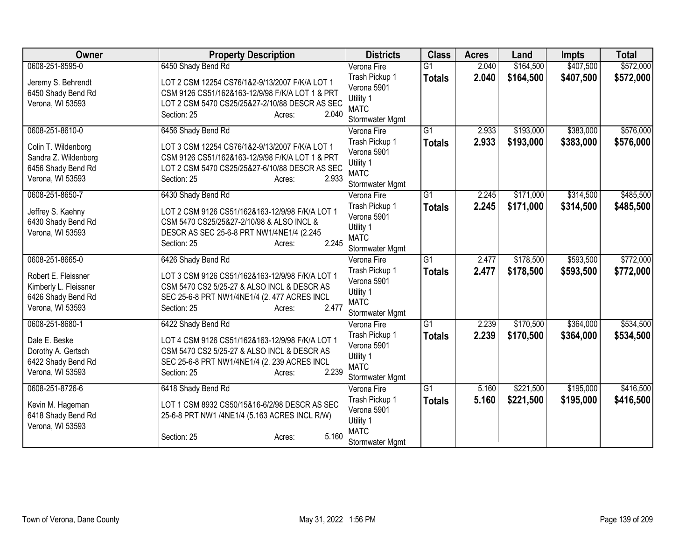| <b>Owner</b>                                                                           | <b>Property Description</b>                                                                                                                                                           | <b>Districts</b>                                                             | <b>Class</b>    | <b>Acres</b> | Land      | <b>Impts</b> | <b>Total</b> |
|----------------------------------------------------------------------------------------|---------------------------------------------------------------------------------------------------------------------------------------------------------------------------------------|------------------------------------------------------------------------------|-----------------|--------------|-----------|--------------|--------------|
| 0608-251-8595-0                                                                        | 6450 Shady Bend Rd                                                                                                                                                                    | Verona Fire                                                                  | $\overline{G1}$ | 2.040        | \$164,500 | \$407,500    | \$572,000    |
| Jeremy S. Behrendt<br>6450 Shady Bend Rd<br>Verona, WI 53593                           | LOT 2 CSM 12254 CS76/1&2-9/13/2007 F/K/A LOT 1<br>CSM 9126 CS51/162&163-12/9/98 F/K/A LOT 1 & PRT<br>LOT 2 CSM 5470 CS25/25&27-2/10/88 DESCR AS SEC<br>Section: 25<br>2.040<br>Acres: | Trash Pickup 1<br>Verona 5901<br>Utility 1<br><b>MATC</b><br>Stormwater Mgmt | <b>Totals</b>   | 2.040        | \$164,500 | \$407,500    | \$572,000    |
| 0608-251-8610-0                                                                        | 6456 Shady Bend Rd                                                                                                                                                                    | Verona Fire                                                                  | $\overline{G1}$ | 2.933        | \$193,000 | \$383,000    | \$576,000    |
| Colin T. Wildenborg<br>Sandra Z. Wildenborg<br>6456 Shady Bend Rd<br>Verona, WI 53593  | LOT 3 CSM 12254 CS76/1&2-9/13/2007 F/K/A LOT 1<br>CSM 9126 CS51/162&163-12/9/98 F/K/A LOT 1 & PRT<br>LOT 2 CSM 5470 CS25/25&27-6/10/88 DESCR AS SEC<br>Section: 25<br>2.933<br>Acres: | Trash Pickup 1<br>Verona 5901<br>Utility 1<br><b>MATC</b><br>Stormwater Mgmt | <b>Totals</b>   | 2.933        | \$193,000 | \$383,000    | \$576,000    |
| 0608-251-8650-7                                                                        | 6430 Shady Bend Rd                                                                                                                                                                    | Verona Fire                                                                  | $\overline{G1}$ | 2.245        | \$171,000 | \$314,500    | \$485,500    |
| Jeffrey S. Kaehny<br>6430 Shady Bend Rd<br>Verona, WI 53593                            | LOT 2 CSM 9126 CS51/162&163-12/9/98 F/K/A LOT 1<br>CSM 5470 CS25/25&27-2/10/98 & ALSO INCL &<br>DESCR AS SEC 25-6-8 PRT NW1/4NE1/4 (2.245<br>2.245<br>Section: 25<br>Acres:           | Trash Pickup 1<br>Verona 5901<br>Utility 1<br><b>MATC</b><br>Stormwater Mgmt | <b>Totals</b>   | 2.245        | \$171,000 | \$314,500    | \$485,500    |
| 0608-251-8665-0                                                                        | 6426 Shady Bend Rd                                                                                                                                                                    | Verona Fire                                                                  | $\overline{G1}$ | 2.477        | \$178,500 | \$593,500    | \$772,000    |
| Robert E. Fleissner<br>Kimberly L. Fleissner<br>6426 Shady Bend Rd<br>Verona, WI 53593 | LOT 3 CSM 9126 CS51/162&163-12/9/98 F/K/A LOT 1<br>CSM 5470 CS2 5/25-27 & ALSO INCL & DESCR AS<br>SEC 25-6-8 PRT NW1/4NE1/4 (2.477 ACRES INCL<br>2.477<br>Section: 25<br>Acres:       | Trash Pickup 1<br>Verona 5901<br>Utility 1<br><b>MATC</b><br>Stormwater Mgmt | <b>Totals</b>   | 2.477        | \$178,500 | \$593,500    | \$772,000    |
| 0608-251-8680-1                                                                        | 6422 Shady Bend Rd                                                                                                                                                                    | Verona Fire                                                                  | $\overline{G1}$ | 2.239        | \$170,500 | \$364,000    | \$534,500    |
| Dale E. Beske<br>Dorothy A. Gertsch<br>6422 Shady Bend Rd<br>Verona, WI 53593          | LOT 4 CSM 9126 CS51/162&163-12/9/98 F/K/A LOT 1<br>CSM 5470 CS2 5/25-27 & ALSO INCL & DESCR AS<br>SEC 25-6-8 PRT NW1/4NE1/4 (2. 239 ACRES INCL<br>2.239<br>Section: 25<br>Acres:      | Trash Pickup 1<br>Verona 5901<br>Utility 1<br><b>MATC</b><br>Stormwater Mgmt | <b>Totals</b>   | 2.239        | \$170,500 | \$364,000    | \$534,500    |
| 0608-251-8726-6                                                                        | 6418 Shady Bend Rd                                                                                                                                                                    | Verona Fire                                                                  | G1              | 5.160        | \$221,500 | \$195,000    | \$416,500    |
| Kevin M. Hageman<br>6418 Shady Bend Rd<br>Verona, WI 53593                             | LOT 1 CSM 8932 CS50/15&16-6/2/98 DESCR AS SEC<br>25-6-8 PRT NW1 /4NE1/4 (5.163 ACRES INCL R/W)                                                                                        | Trash Pickup 1<br>Verona 5901<br>Utility 1<br><b>MATC</b>                    | <b>Totals</b>   | 5.160        | \$221,500 | \$195,000    | \$416,500    |
|                                                                                        | 5.160<br>Section: 25<br>Acres:                                                                                                                                                        | Stormwater Mgmt                                                              |                 |              |           |              |              |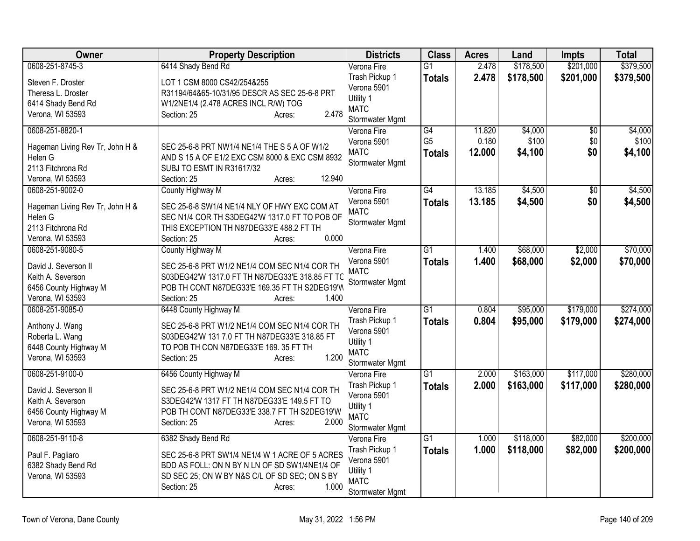| Owner                                                                                                     | <b>Property Description</b>                                                                                                                                                                              | <b>Districts</b>                                                                            | <b>Class</b>                          | <b>Acres</b>              | Land                        | <b>Impts</b>                  | <b>Total</b>                |
|-----------------------------------------------------------------------------------------------------------|----------------------------------------------------------------------------------------------------------------------------------------------------------------------------------------------------------|---------------------------------------------------------------------------------------------|---------------------------------------|---------------------------|-----------------------------|-------------------------------|-----------------------------|
| 0608-251-8745-3                                                                                           | 6414 Shady Bend Rd                                                                                                                                                                                       | Verona Fire                                                                                 | G1                                    | 2.478                     | \$178,500                   | \$201,000                     | \$379,500                   |
| Steven F. Droster<br>Theresa L. Droster<br>6414 Shady Bend Rd<br>Verona, WI 53593                         | LOT 1 CSM 8000 CS42/254&255<br>R31194/64&65-10/31/95 DESCR AS SEC 25-6-8 PRT<br>W1/2NE1/4 (2.478 ACRES INCL R/W) TOG<br>2.478<br>Section: 25<br>Acres:                                                   | Trash Pickup 1<br>Verona 5901<br>Utility 1<br><b>MATC</b><br>Stormwater Mgmt                | <b>Totals</b>                         | 2.478                     | \$178,500                   | \$201,000                     | \$379,500                   |
| 0608-251-8820-1<br>Hageman Living Rev Tr, John H &<br>Helen G<br>2113 Fitchrona Rd<br>Verona, WI 53593    | SEC 25-6-8 PRT NW1/4 NE1/4 THE S 5 A OF W1/2<br>AND S 15 A OF E1/2 EXC CSM 8000 & EXC CSM 8932<br>SUBJ TO ESMT IN R31617/32<br>12.940<br>Section: 25<br>Acres:                                           | Verona Fire<br>Verona 5901<br><b>MATC</b><br>Stormwater Mgmt                                | G4<br>G <sub>5</sub><br><b>Totals</b> | 11.820<br>0.180<br>12.000 | \$4,000<br>\$100<br>\$4,100 | $\overline{50}$<br>\$0<br>\$0 | \$4,000<br>\$100<br>\$4,100 |
| 0608-251-9002-0<br>Hageman Living Rev Tr, John H &<br>Helen G<br>2113 Fitchrona Rd<br>Verona, WI 53593    | County Highway M<br>SEC 25-6-8 SW1/4 NE1/4 NLY OF HWY EXC COM AT<br>SEC N1/4 COR TH S3DEG42'W 1317.0 FT TO POB OF<br>THIS EXCEPTION TH N87DEG33'E 488.2 FT TH<br>0.000<br>Section: 25<br>Acres:          | Verona Fire<br>Verona 5901<br><b>MATC</b><br>Stormwater Mgmt                                | $\overline{G4}$<br>Totals             | 13.185<br>13.185          | \$4,500<br>\$4,500          | $\overline{50}$<br>\$0        | \$4,500<br>\$4,500          |
| 0608-251-9080-5<br>David J. Severson II<br>Keith A. Severson<br>6456 County Highway M<br>Verona, WI 53593 | County Highway M<br>SEC 25-6-8 PRT W1/2 NE1/4 COM SEC N1/4 COR TH<br>S03DEG42'W 1317.0 FT TH N87DEG33'E 318.85 FT TC<br>POB TH CONT N87DEG33'E 169.35 FT TH S2DEG19'W<br>1.400<br>Section: 25<br>Acres:  | Verona Fire<br>Verona 5901<br><b>MATC</b><br>Stormwater Mgmt                                | $\overline{G1}$<br><b>Totals</b>      | 1.400<br>1.400            | \$68,000<br>\$68,000        | \$2,000<br>\$2,000            | \$70,000<br>\$70,000        |
| 0608-251-9085-0<br>Anthony J. Wang<br>Roberta L. Wang<br>6448 County Highway M<br>Verona, WI 53593        | 6448 County Highway M<br>SEC 25-6-8 PRT W1/2 NE1/4 COM SEC N1/4 COR TH<br>S03DEG42'W 131 7.0 FT TH N87DEG33'E 318.85 FT<br>TO POB TH CON N87DEG33'E 169. 35 FT TH<br>1.200<br>Section: 25<br>Acres:      | Verona Fire<br>Trash Pickup 1<br>Verona 5901<br>Utility 1<br><b>MATC</b><br>Stormwater Mgmt | $\overline{G1}$<br>Totals             | 0.804<br>0.804            | \$95,000<br>\$95,000        | \$179,000<br>\$179,000        | \$274,000<br>\$274,000      |
| 0608-251-9100-0<br>David J. Severson II<br>Keith A. Severson<br>6456 County Highway M<br>Verona, WI 53593 | 6456 County Highway M<br>SEC 25-6-8 PRT W1/2 NE1/4 COM SEC N1/4 COR TH<br>S3DEG42'W 1317 FT TH N87DEG33'E 149.5 FT TO<br>POB TH CONT N87DEG33'E 338.7 FT TH S2DEG19'W<br>2.000<br>Section: 25<br>Acres:  | Verona Fire<br>Trash Pickup 1<br>Verona 5901<br>Utility 1<br><b>MATC</b><br>Stormwater Mgmt | $\overline{G1}$<br><b>Totals</b>      | 2.000<br>2.000            | \$163,000<br>\$163,000      | \$117,000<br>\$117,000        | \$280,000<br>\$280,000      |
| 0608-251-9110-8<br>Paul F. Pagliaro<br>6382 Shady Bend Rd<br>Verona, WI 53593                             | 6382 Shady Bend Rd<br>SEC 25-6-8 PRT SW1/4 NE1/4 W 1 ACRE OF 5 ACRES<br>BDD AS FOLL: ON N BY N LN OF SD SW1/4NE1/4 OF<br>SD SEC 25; ON W BY N&S C/L OF SD SEC; ON S BY<br>1.000<br>Section: 25<br>Acres: | Verona Fire<br>Trash Pickup 1<br>Verona 5901<br>Utility 1<br><b>MATC</b><br>Stormwater Mgmt | $\overline{G1}$<br><b>Totals</b>      | 1.000<br>1.000            | \$118,000<br>\$118,000      | \$82,000<br>\$82,000          | \$200,000<br>\$200,000      |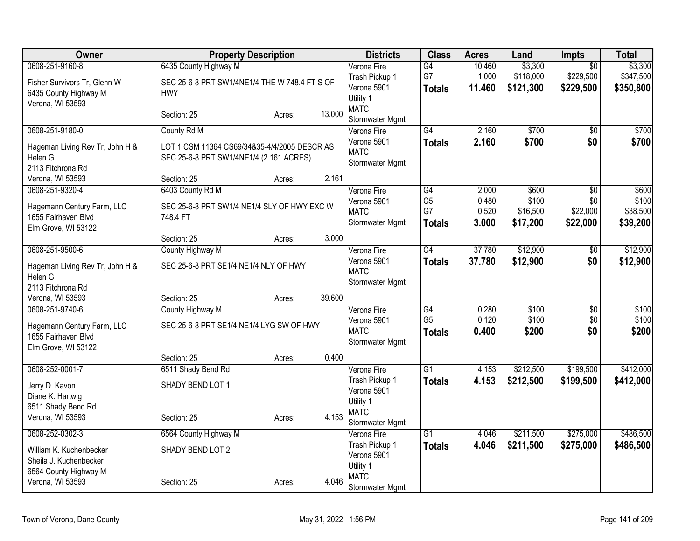| Owner                                      | <b>Property Description</b>                   |        |        | <b>Districts</b>           | <b>Class</b>    | <b>Acres</b> | Land      | <b>Impts</b>           | <b>Total</b> |
|--------------------------------------------|-----------------------------------------------|--------|--------|----------------------------|-----------------|--------------|-----------|------------------------|--------------|
| 0608-251-9160-8                            | 6435 County Highway M                         |        |        | Verona Fire                | $\overline{G4}$ | 10.460       | \$3,300   | $\overline{30}$        | \$3,300      |
| Fisher Survivors Tr, Glenn W               | SEC 25-6-8 PRT SW1/4NE1/4 THE W 748.4 FT S OF |        |        | Trash Pickup 1             | G7              | 1.000        | \$118,000 | \$229,500              | \$347,500    |
| 6435 County Highway M                      | <b>HWY</b>                                    |        |        | Verona 5901                | <b>Totals</b>   | 11.460       | \$121,300 | \$229,500              | \$350,800    |
| Verona, WI 53593                           |                                               |        |        | Utility 1                  |                 |              |           |                        |              |
|                                            | Section: 25                                   | Acres: | 13.000 | <b>MATC</b>                |                 |              |           |                        |              |
|                                            |                                               |        |        | Stormwater Mgmt            |                 |              |           |                        |              |
| 0608-251-9180-0                            | County Rd M                                   |        |        | Verona Fire<br>Verona 5901 | G4              | 2.160        | \$700     | $\overline{50}$<br>\$0 | \$700        |
| Hageman Living Rev Tr, John H &            | LOT 1 CSM 11364 CS69/34&35-4/4/2005 DESCR AS  |        |        | <b>MATC</b>                | <b>Totals</b>   | 2.160        | \$700     |                        | \$700        |
| Helen G                                    | SEC 25-6-8 PRT SW1/4NE1/4 (2.161 ACRES)       |        |        | Stormwater Mgmt            |                 |              |           |                        |              |
| 2113 Fitchrona Rd                          |                                               |        |        |                            |                 |              |           |                        |              |
| Verona, WI 53593                           | Section: 25                                   | Acres: | 2.161  |                            |                 |              |           |                        |              |
| 0608-251-9320-4                            | 6403 County Rd M                              |        |        | Verona Fire                | G4              | 2.000        | \$600     | $\overline{50}$        | \$600        |
| Hagemann Century Farm, LLC                 | SEC 25-6-8 PRT SW1/4 NE1/4 SLY OF HWY EXC W   |        |        | Verona 5901                | G <sub>5</sub>  | 0.480        | \$100     | \$0                    | \$100        |
| 1655 Fairhaven Blvd                        | 748.4 FT                                      |        |        | <b>MATC</b>                | G7              | 0.520        | \$16,500  | \$22,000               | \$38,500     |
| Elm Grove, WI 53122                        |                                               |        |        | Stormwater Mgmt            | <b>Totals</b>   | 3.000        | \$17,200  | \$22,000               | \$39,200     |
|                                            | Section: 25                                   | Acres: | 3.000  |                            |                 |              |           |                        |              |
| 0608-251-9500-6                            | County Highway M                              |        |        | Verona Fire                | G4              | 37.780       | \$12,900  | $\overline{50}$        | \$12,900     |
| Hageman Living Rev Tr, John H &            | SEC 25-6-8 PRT SE1/4 NE1/4 NLY OF HWY         |        |        | Verona 5901                | <b>Totals</b>   | 37.780       | \$12,900  | \$0                    | \$12,900     |
| Helen G                                    |                                               |        |        | <b>MATC</b>                |                 |              |           |                        |              |
| 2113 Fitchrona Rd                          |                                               |        |        | Stormwater Mgmt            |                 |              |           |                        |              |
| Verona, WI 53593                           | Section: 25                                   | Acres: | 39.600 |                            |                 |              |           |                        |              |
| 0608-251-9740-6                            | County Highway M                              |        |        | Verona Fire                | G4              | 0.280        | \$100     | $\overline{60}$        | \$100        |
|                                            |                                               |        |        | Verona 5901                | G <sub>5</sub>  | 0.120        | \$100     | \$0                    | \$100        |
| Hagemann Century Farm, LLC                 | SEC 25-6-8 PRT SE1/4 NE1/4 LYG SW OF HWY      |        |        | <b>MATC</b>                | Totals          | 0.400        | \$200     | \$0                    | \$200        |
| 1655 Fairhaven Blvd<br>Elm Grove, WI 53122 |                                               |        |        | Stormwater Mgmt            |                 |              |           |                        |              |
|                                            | Section: 25                                   | Acres: | 0.400  |                            |                 |              |           |                        |              |
| 0608-252-0001-7                            | 6511 Shady Bend Rd                            |        |        | Verona Fire                | G1              | 4.153        | \$212,500 | \$199,500              | \$412,000    |
|                                            |                                               |        |        | Trash Pickup 1             | <b>Totals</b>   | 4.153        | \$212,500 | \$199,500              | \$412,000    |
| Jerry D. Kavon                             | SHADY BEND LOT 1                              |        |        | Verona 5901                |                 |              |           |                        |              |
| Diane K. Hartwig                           |                                               |        |        | Utility 1                  |                 |              |           |                        |              |
| 6511 Shady Bend Rd                         |                                               |        |        | <b>MATC</b>                |                 |              |           |                        |              |
| Verona, WI 53593                           | Section: 25                                   | Acres: | 4.153  | Stormwater Mgmt            |                 |              |           |                        |              |
| 0608-252-0302-3                            | 6564 County Highway M                         |        |        | Verona Fire                | $\overline{G1}$ | 4.046        | \$211,500 | \$275,000              | \$486,500    |
| William K. Kuchenbecker                    | SHADY BEND LOT 2                              |        |        | Trash Pickup 1             | <b>Totals</b>   | 4.046        | \$211,500 | \$275,000              | \$486,500    |
| Sheila J. Kuchenbecker                     |                                               |        |        | Verona 5901                |                 |              |           |                        |              |
| 6564 County Highway M                      |                                               |        |        | Utility 1                  |                 |              |           |                        |              |
| Verona, WI 53593                           | Section: 25                                   | Acres: | 4.046  | <b>MATC</b>                |                 |              |           |                        |              |
|                                            |                                               |        |        | Stormwater Mgmt            |                 |              |           |                        |              |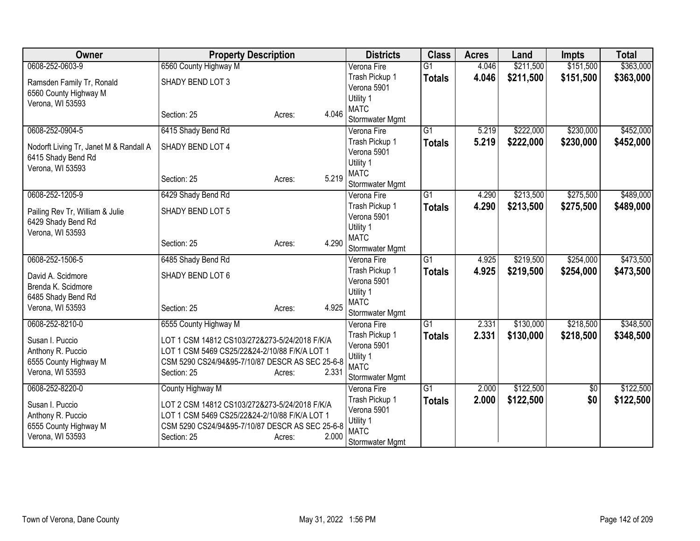| Owner                                      | <b>Property Description</b>                                                                    |                 | <b>Districts</b>              | <b>Class</b>    | <b>Acres</b> | Land      | <b>Impts</b> | <b>Total</b> |
|--------------------------------------------|------------------------------------------------------------------------------------------------|-----------------|-------------------------------|-----------------|--------------|-----------|--------------|--------------|
| 0608-252-0603-9                            | 6560 County Highway M                                                                          |                 | Verona Fire                   | $\overline{G1}$ | 4.046        | \$211,500 | \$151,500    | \$363,000    |
| Ramsden Family Tr, Ronald                  | SHADY BEND LOT 3                                                                               |                 | Trash Pickup 1                | <b>Totals</b>   | 4.046        | \$211,500 | \$151,500    | \$363,000    |
| 6560 County Highway M                      |                                                                                                |                 | Verona 5901                   |                 |              |           |              |              |
| Verona, WI 53593                           |                                                                                                |                 | Utility 1                     |                 |              |           |              |              |
|                                            | Section: 25                                                                                    | 4.046<br>Acres: | <b>MATC</b>                   |                 |              |           |              |              |
|                                            |                                                                                                |                 | Stormwater Mgmt               |                 |              |           |              |              |
| 0608-252-0904-5                            | 6415 Shady Bend Rd                                                                             |                 | Verona Fire                   | $\overline{G1}$ | 5.219        | \$222,000 | \$230,000    | \$452,000    |
| Nodorft Living Tr, Janet M & Randall A     | SHADY BEND LOT 4                                                                               |                 | Trash Pickup 1<br>Verona 5901 | <b>Totals</b>   | 5.219        | \$222,000 | \$230,000    | \$452,000    |
| 6415 Shady Bend Rd                         |                                                                                                |                 | Utility 1                     |                 |              |           |              |              |
| Verona, WI 53593                           |                                                                                                |                 | <b>MATC</b>                   |                 |              |           |              |              |
|                                            | Section: 25                                                                                    | 5.219<br>Acres: | Stormwater Mgmt               |                 |              |           |              |              |
| 0608-252-1205-9                            | 6429 Shady Bend Rd                                                                             |                 | Verona Fire                   | $\overline{G1}$ | 4.290        | \$213,500 | \$275,500    | \$489,000    |
|                                            |                                                                                                |                 | Trash Pickup 1                | <b>Totals</b>   | 4.290        | \$213,500 | \$275,500    | \$489,000    |
| Pailing Rev Tr, William & Julie            | SHADY BEND LOT 5                                                                               |                 | Verona 5901                   |                 |              |           |              |              |
| 6429 Shady Bend Rd                         |                                                                                                |                 | Utility 1                     |                 |              |           |              |              |
| Verona, WI 53593                           | Section: 25                                                                                    | 4.290           | <b>MATC</b>                   |                 |              |           |              |              |
|                                            |                                                                                                | Acres:          | Stormwater Mgmt               |                 |              |           |              |              |
| 0608-252-1506-5                            | 6485 Shady Bend Rd                                                                             |                 | Verona Fire                   | $\overline{G1}$ | 4.925        | \$219,500 | \$254,000    | \$473,500    |
| David A. Scidmore                          | SHADY BEND LOT 6                                                                               |                 | Trash Pickup 1                | <b>Totals</b>   | 4.925        | \$219,500 | \$254,000    | \$473,500    |
| Brenda K. Scidmore                         |                                                                                                |                 | Verona 5901                   |                 |              |           |              |              |
| 6485 Shady Bend Rd                         |                                                                                                |                 | Utility 1                     |                 |              |           |              |              |
| Verona, WI 53593                           | Section: 25                                                                                    | 4.925<br>Acres: | <b>MATC</b>                   |                 |              |           |              |              |
| 0608-252-8210-0                            |                                                                                                |                 | Stormwater Mgmt               | $\overline{G1}$ | 2.331        | \$130,000 | \$218,500    | \$348,500    |
|                                            | 6555 County Highway M                                                                          |                 | Verona Fire<br>Trash Pickup 1 |                 | 2.331        |           | \$218,500    |              |
| Susan I. Puccio                            | LOT 1 CSM 14812 CS103/272&273-5/24/2018 F/K/A                                                  |                 | Verona 5901                   | <b>Totals</b>   |              | \$130,000 |              | \$348,500    |
| Anthony R. Puccio                          | LOT 1 CSM 5469 CS25/22&24-2/10/88 F/K/A LOT 1                                                  |                 | Utility 1                     |                 |              |           |              |              |
| 6555 County Highway M                      | CSM 5290 CS24/94&95-7/10/87 DESCR AS SEC 25-6-8                                                |                 | <b>MATC</b>                   |                 |              |           |              |              |
| Verona, WI 53593                           | Section: 25                                                                                    | 2.331<br>Acres: | Stormwater Mgmt               |                 |              |           |              |              |
| 0608-252-8220-0                            | County Highway M                                                                               |                 | Verona Fire                   | G <sub>1</sub>  | 2.000        | \$122,500 | \$0          | \$122,500    |
|                                            |                                                                                                |                 | Trash Pickup 1                | <b>Totals</b>   | 2.000        | \$122,500 | \$0          | \$122,500    |
| Susan I. Puccio                            | LOT 2 CSM 14812 CS103/272&273-5/24/2018 F/K/A<br>LOT 1 CSM 5469 CS25/22&24-2/10/88 F/K/A LOT 1 |                 | Verona 5901                   |                 |              |           |              |              |
| Anthony R. Puccio<br>6555 County Highway M | CSM 5290 CS24/94&95-7/10/87 DESCR AS SEC 25-6-8                                                |                 | Utility 1                     |                 |              |           |              |              |
| Verona, WI 53593                           | Section: 25                                                                                    | 2.000<br>Acres: | <b>MATC</b>                   |                 |              |           |              |              |
|                                            |                                                                                                |                 | Stormwater Mgmt               |                 |              |           |              |              |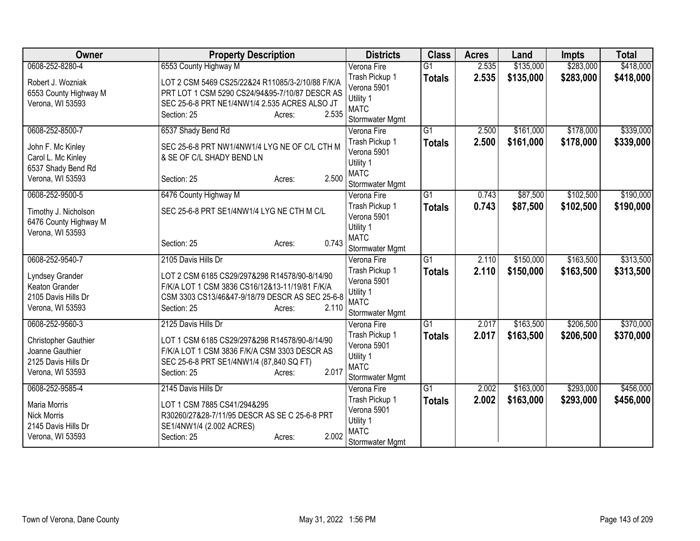| Owner                 | <b>Property Description</b>                      | <b>Districts</b>         | <b>Class</b>    | <b>Acres</b> | Land      | <b>Impts</b> | <b>Total</b> |
|-----------------------|--------------------------------------------------|--------------------------|-----------------|--------------|-----------|--------------|--------------|
| 0608-252-8280-4       | 6553 County Highway M                            | Verona Fire              | $\overline{G1}$ | 2.535        | \$135,000 | \$283,000    | \$418,000    |
| Robert J. Wozniak     | LOT 2 CSM 5469 CS25/22&24 R11085/3-2/10/88 F/K/A | Trash Pickup 1           | <b>Totals</b>   | 2.535        | \$135,000 | \$283,000    | \$418,000    |
| 6553 County Highway M | PRT LOT 1 CSM 5290 CS24/94&95-7/10/87 DESCR AS   | Verona 5901              |                 |              |           |              |              |
| Verona, WI 53593      | SEC 25-6-8 PRT NE1/4NW1/4 2.535 ACRES ALSO JT    | Utility 1                |                 |              |           |              |              |
|                       | Section: 25<br>2.535<br>Acres:                   | <b>MATC</b>              |                 |              |           |              |              |
|                       |                                                  | Stormwater Mgmt          |                 |              |           |              |              |
| 0608-252-8500-7       | 6537 Shady Bend Rd                               | Verona Fire              | $\overline{G1}$ | 2.500        | \$161,000 | \$178,000    | \$339,000    |
| John F. Mc Kinley     | SEC 25-6-8 PRT NW1/4NW1/4 LYG NE OF C/L CTH M    | Trash Pickup 1           | <b>Totals</b>   | 2.500        | \$161,000 | \$178,000    | \$339,000    |
| Carol L. Mc Kinley    | & SE OF C/L SHADY BEND LN                        | Verona 5901              |                 |              |           |              |              |
| 6537 Shady Bend Rd    |                                                  | Utility 1<br><b>MATC</b> |                 |              |           |              |              |
| Verona, WI 53593      | 2.500<br>Section: 25<br>Acres:                   | Stormwater Mgmt          |                 |              |           |              |              |
| 0608-252-9500-5       | 6476 County Highway M                            | Verona Fire              | $\overline{G1}$ | 0.743        | \$87,500  | \$102,500    | \$190,000    |
|                       |                                                  | Trash Pickup 1           | <b>Totals</b>   | 0.743        | \$87,500  | \$102,500    | \$190,000    |
| Timothy J. Nicholson  | SEC 25-6-8 PRT SE1/4NW1/4 LYG NE CTH M C/L       | Verona 5901              |                 |              |           |              |              |
| 6476 County Highway M |                                                  | Utility 1                |                 |              |           |              |              |
| Verona, WI 53593      |                                                  | <b>MATC</b>              |                 |              |           |              |              |
|                       | 0.743<br>Section: 25<br>Acres:                   | Stormwater Mgmt          |                 |              |           |              |              |
| 0608-252-9540-7       | 2105 Davis Hills Dr                              | Verona Fire              | $\overline{G1}$ | 2.110        | \$150,000 | \$163,500    | \$313,500    |
| Lyndsey Grander       | LOT 2 CSM 6185 CS29/297&298 R14578/90-8/14/90    | Trash Pickup 1           | <b>Totals</b>   | 2.110        | \$150,000 | \$163,500    | \$313,500    |
| Keaton Grander        | F/K/A LOT 1 CSM 3836 CS16/12&13-11/19/81 F/K/A   | Verona 5901              |                 |              |           |              |              |
| 2105 Davis Hills Dr   | CSM 3303 CS13/46&47-9/18/79 DESCR AS SEC 25-6-8  | Utility 1                |                 |              |           |              |              |
| Verona, WI 53593      | Section: 25<br>2.110<br>Acres:                   | <b>MATC</b>              |                 |              |           |              |              |
|                       |                                                  | Stormwater Mgmt          |                 |              |           |              |              |
| 0608-252-9560-3       | 2125 Davis Hills Dr                              | Verona Fire              | $\overline{G1}$ | 2.017        | \$163,500 | \$206,500    | \$370,000    |
| Christopher Gauthier  | LOT 1 CSM 6185 CS29/297&298 R14578/90-8/14/90    | Trash Pickup 1           | <b>Totals</b>   | 2.017        | \$163,500 | \$206,500    | \$370,000    |
| Joanne Gauthier       | F/K/A LOT 1 CSM 3836 F/K/A CSM 3303 DESCR AS     | Verona 5901<br>Utility 1 |                 |              |           |              |              |
| 2125 Davis Hills Dr   | SEC 25-6-8 PRT SE1/4NW1/4 (87,840 SQ FT)         | <b>MATC</b>              |                 |              |           |              |              |
| Verona, WI 53593      | 2.017<br>Section: 25<br>Acres:                   | Stormwater Mgmt          |                 |              |           |              |              |
| 0608-252-9585-4       | 2145 Davis Hills Dr                              | Verona Fire              | $\overline{G1}$ | 2.002        | \$163,000 | \$293,000    | \$456,000    |
|                       |                                                  | Trash Pickup 1           | <b>Totals</b>   | 2.002        | \$163,000 | \$293,000    | \$456,000    |
| <b>Maria Morris</b>   | LOT 1 CSM 7885 CS41/294&295                      | Verona 5901              |                 |              |           |              |              |
| <b>Nick Morris</b>    | R30260/27&28-7/11/95 DESCR AS SE C 25-6-8 PRT    | Utility 1                |                 |              |           |              |              |
| 2145 Davis Hills Dr   | SE1/4NW1/4 (2.002 ACRES)                         | <b>MATC</b>              |                 |              |           |              |              |
| Verona, WI 53593      | 2.002<br>Section: 25<br>Acres:                   | Stormwater Mgmt          |                 |              |           |              |              |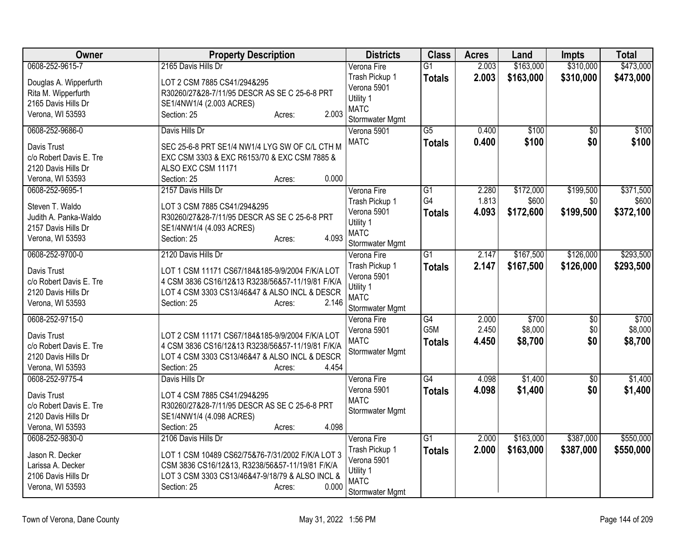| 2165 Davis Hills Dr<br>2.003<br>Verona Fire<br>$\overline{G1}$<br>Trash Pickup 1<br>2.003<br>\$163,000<br>\$310,000<br>\$473,000<br><b>Totals</b><br>LOT 2 CSM 7885 CS41/294&295<br>Douglas A. Wipperfurth<br>Verona 5901<br>Rita M. Wipperfurth<br>R30260/27&28-7/11/95 DESCR AS SE C 25-6-8 PRT<br>Utility 1<br>2165 Davis Hills Dr<br>SE1/4NW1/4 (2.003 ACRES)<br><b>MATC</b><br>2.003<br>Verona, WI 53593<br>Section: 25<br>Acres:<br>Stormwater Mgmt<br>0608-252-9686-0<br>$\overline{G5}$<br>Davis Hills Dr<br>\$100<br>Verona 5901<br>0.400<br>$\overline{50}$<br><b>MATC</b><br>0.400<br>\$100<br>\$0<br><b>Totals</b><br>SEC 25-6-8 PRT SE1/4 NW1/4 LYG SW OF C/L CTH M<br>Davis Trust<br>c/o Robert Davis E. Tre<br>EXC CSM 3303 & EXC R6153/70 & EXC CSM 7885 &<br>2120 Davis Hills Dr<br>ALSO EXC CSM 11171<br>0.000<br>Verona, WI 53593<br>Section: 25<br>Acres:<br>0608-252-9695-1<br>2157 Davis Hills Dr<br>$\overline{G1}$<br>\$172,000<br>\$199,500<br>Verona Fire<br>2.280<br>G4<br>1.813<br>\$600<br>\$0<br>Trash Pickup 1<br>Steven T. Waldo<br>LOT 3 CSM 7885 CS41/294&295<br>4.093<br>\$372,100<br>Verona 5901<br>\$172,600<br>\$199,500<br><b>Totals</b><br>Judith A. Panka-Waldo<br>R30260/27&28-7/11/95 DESCR AS SE C 25-6-8 PRT<br>Utility 1<br>2157 Davis Hills Dr<br>SE1/4NW1/4 (4.093 ACRES)<br><b>MATC</b><br>4.093<br>Verona, WI 53593<br>Section: 25<br>Acres:<br>Stormwater Mgmt<br>0608-252-9700-0<br>$\overline{G1}$<br>2.147<br>\$167,500<br>\$126,000<br>2120 Davis Hills Dr<br>Verona Fire<br>Trash Pickup 1<br>2.147<br><b>Totals</b><br>\$167,500<br>\$126,000<br>Davis Trust<br>LOT 1 CSM 11171 CS67/184&185-9/9/2004 F/K/A LOT<br>Verona 5901<br>c/o Robert Davis E. Tre<br>4 CSM 3836 CS16/12&13 R3238/56&57-11/19/81 F/K/A<br>Utility 1<br>LOT 4 CSM 3303 CS13/46&47 & ALSO INCL & DESCR<br>2120 Davis Hills Dr<br><b>MATC</b><br>Verona, WI 53593<br>Section: 25<br>2.146<br>Acres:<br>Stormwater Mgmt<br>0608-252-9715-0<br>G4<br>2.000<br>\$700<br>\$0<br>Verona Fire<br>G5M<br>2.450<br>\$8,000<br>\$0<br>Verona 5901<br>Davis Trust<br>LOT 2 CSM 11171 CS67/184&185-9/9/2004 F/K/A LOT<br><b>MATC</b><br>4.450<br>\$8,700<br>\$0<br><b>Totals</b><br>4 CSM 3836 CS16/12&13 R3238/56&57-11/19/81 F/K/A<br>c/o Robert Davis E. Tre<br>Stormwater Mgmt<br>LOT 4 CSM 3303 CS13/46&47 & ALSO INCL & DESCR<br>2120 Davis Hills Dr<br>Section: 25<br>4.454<br>Verona, WI 53593<br>Acres:<br>G4<br>\$1,400<br>0608-252-9775-4<br>4.098<br>Davis Hills Dr<br>Verona Fire<br>\$0<br>Verona 5901<br>4.098<br>\$1,400<br>\$0<br><b>Totals</b><br>LOT 4 CSM 7885 CS41/294&295<br>Davis Trust<br><b>MATC</b><br>c/o Robert Davis E. Tre<br>R30260/27&28-7/11/95 DESCR AS SE C 25-6-8 PRT<br>Stormwater Mgmt<br>2120 Davis Hills Dr<br>SE1/4NW1/4 (4.098 ACRES)<br>4.098<br>Verona, WI 53593<br>Section: 25<br>Acres:<br>$\overline{G1}$<br>\$163,000<br>\$387,000<br>0608-252-9830-0<br>2106 Davis Hills Dr<br>Verona Fire<br>2.000<br>Trash Pickup 1<br>\$387,000<br>2.000<br>\$163,000<br><b>Totals</b><br>Jason R. Decker<br>LOT 1 CSM 10489 CS62/75&76-7/31/2002 F/K/A LOT 3<br>Verona 5901<br>CSM 3836 CS16/12&13, R3238/56&57-11/19/81 F/K/A<br>Larissa A. Decker<br>Utility 1<br>LOT 3 CSM 3303 CS13/46&47-9/18/79 & ALSO INCL &<br>2106 Davis Hills Dr<br><b>MATC</b><br>Verona, WI 53593<br>Section: 25<br>0.000<br>Acres: | Owner           | <b>Property Description</b> | <b>Districts</b> | <b>Class</b> | <b>Acres</b> | Land      | <b>Impts</b> | <b>Total</b> |
|------------------------------------------------------------------------------------------------------------------------------------------------------------------------------------------------------------------------------------------------------------------------------------------------------------------------------------------------------------------------------------------------------------------------------------------------------------------------------------------------------------------------------------------------------------------------------------------------------------------------------------------------------------------------------------------------------------------------------------------------------------------------------------------------------------------------------------------------------------------------------------------------------------------------------------------------------------------------------------------------------------------------------------------------------------------------------------------------------------------------------------------------------------------------------------------------------------------------------------------------------------------------------------------------------------------------------------------------------------------------------------------------------------------------------------------------------------------------------------------------------------------------------------------------------------------------------------------------------------------------------------------------------------------------------------------------------------------------------------------------------------------------------------------------------------------------------------------------------------------------------------------------------------------------------------------------------------------------------------------------------------------------------------------------------------------------------------------------------------------------------------------------------------------------------------------------------------------------------------------------------------------------------------------------------------------------------------------------------------------------------------------------------------------------------------------------------------------------------------------------------------------------------------------------------------------------------------------------------------------------------------------------------------------------------------------------------------------------------------------------------------------------------------------------------------------------------------------------------------------------------------------------------------------------------------------------------------------------------------------------------------------------------------------------------------------------------------------------------------------------------------------------------------------------------------------------------------------------------------------------------------------------------------------------------------------------------------------------------------------------|-----------------|-----------------------------|------------------|--------------|--------------|-----------|--------------|--------------|
| \$293,500                                                                                                                                                                                                                                                                                                                                                                                                                                                                                                                                                                                                                                                                                                                                                                                                                                                                                                                                                                                                                                                                                                                                                                                                                                                                                                                                                                                                                                                                                                                                                                                                                                                                                                                                                                                                                                                                                                                                                                                                                                                                                                                                                                                                                                                                                                                                                                                                                                                                                                                                                                                                                                                                                                                                                                                                                                                                                                                                                                                                                                                                                                                                                                                                                                                                                                                                                              | 0608-252-9615-7 |                             |                  |              |              | \$163,000 | \$310,000    | \$473,000    |
| \$100<br>\$100 <br>\$371,500<br>\$600<br>\$293,500                                                                                                                                                                                                                                                                                                                                                                                                                                                                                                                                                                                                                                                                                                                                                                                                                                                                                                                                                                                                                                                                                                                                                                                                                                                                                                                                                                                                                                                                                                                                                                                                                                                                                                                                                                                                                                                                                                                                                                                                                                                                                                                                                                                                                                                                                                                                                                                                                                                                                                                                                                                                                                                                                                                                                                                                                                                                                                                                                                                                                                                                                                                                                                                                                                                                                                                     |                 |                             |                  |              |              |           |              |              |
|                                                                                                                                                                                                                                                                                                                                                                                                                                                                                                                                                                                                                                                                                                                                                                                                                                                                                                                                                                                                                                                                                                                                                                                                                                                                                                                                                                                                                                                                                                                                                                                                                                                                                                                                                                                                                                                                                                                                                                                                                                                                                                                                                                                                                                                                                                                                                                                                                                                                                                                                                                                                                                                                                                                                                                                                                                                                                                                                                                                                                                                                                                                                                                                                                                                                                                                                                                        |                 |                             |                  |              |              |           |              |              |
|                                                                                                                                                                                                                                                                                                                                                                                                                                                                                                                                                                                                                                                                                                                                                                                                                                                                                                                                                                                                                                                                                                                                                                                                                                                                                                                                                                                                                                                                                                                                                                                                                                                                                                                                                                                                                                                                                                                                                                                                                                                                                                                                                                                                                                                                                                                                                                                                                                                                                                                                                                                                                                                                                                                                                                                                                                                                                                                                                                                                                                                                                                                                                                                                                                                                                                                                                                        |                 |                             |                  |              |              |           |              |              |
|                                                                                                                                                                                                                                                                                                                                                                                                                                                                                                                                                                                                                                                                                                                                                                                                                                                                                                                                                                                                                                                                                                                                                                                                                                                                                                                                                                                                                                                                                                                                                                                                                                                                                                                                                                                                                                                                                                                                                                                                                                                                                                                                                                                                                                                                                                                                                                                                                                                                                                                                                                                                                                                                                                                                                                                                                                                                                                                                                                                                                                                                                                                                                                                                                                                                                                                                                                        |                 |                             |                  |              |              |           |              |              |
|                                                                                                                                                                                                                                                                                                                                                                                                                                                                                                                                                                                                                                                                                                                                                                                                                                                                                                                                                                                                                                                                                                                                                                                                                                                                                                                                                                                                                                                                                                                                                                                                                                                                                                                                                                                                                                                                                                                                                                                                                                                                                                                                                                                                                                                                                                                                                                                                                                                                                                                                                                                                                                                                                                                                                                                                                                                                                                                                                                                                                                                                                                                                                                                                                                                                                                                                                                        |                 |                             |                  |              |              |           |              |              |
|                                                                                                                                                                                                                                                                                                                                                                                                                                                                                                                                                                                                                                                                                                                                                                                                                                                                                                                                                                                                                                                                                                                                                                                                                                                                                                                                                                                                                                                                                                                                                                                                                                                                                                                                                                                                                                                                                                                                                                                                                                                                                                                                                                                                                                                                                                                                                                                                                                                                                                                                                                                                                                                                                                                                                                                                                                                                                                                                                                                                                                                                                                                                                                                                                                                                                                                                                                        |                 |                             |                  |              |              |           |              |              |
|                                                                                                                                                                                                                                                                                                                                                                                                                                                                                                                                                                                                                                                                                                                                                                                                                                                                                                                                                                                                                                                                                                                                                                                                                                                                                                                                                                                                                                                                                                                                                                                                                                                                                                                                                                                                                                                                                                                                                                                                                                                                                                                                                                                                                                                                                                                                                                                                                                                                                                                                                                                                                                                                                                                                                                                                                                                                                                                                                                                                                                                                                                                                                                                                                                                                                                                                                                        |                 |                             |                  |              |              |           |              |              |
|                                                                                                                                                                                                                                                                                                                                                                                                                                                                                                                                                                                                                                                                                                                                                                                                                                                                                                                                                                                                                                                                                                                                                                                                                                                                                                                                                                                                                                                                                                                                                                                                                                                                                                                                                                                                                                                                                                                                                                                                                                                                                                                                                                                                                                                                                                                                                                                                                                                                                                                                                                                                                                                                                                                                                                                                                                                                                                                                                                                                                                                                                                                                                                                                                                                                                                                                                                        |                 |                             |                  |              |              |           |              |              |
|                                                                                                                                                                                                                                                                                                                                                                                                                                                                                                                                                                                                                                                                                                                                                                                                                                                                                                                                                                                                                                                                                                                                                                                                                                                                                                                                                                                                                                                                                                                                                                                                                                                                                                                                                                                                                                                                                                                                                                                                                                                                                                                                                                                                                                                                                                                                                                                                                                                                                                                                                                                                                                                                                                                                                                                                                                                                                                                                                                                                                                                                                                                                                                                                                                                                                                                                                                        |                 |                             |                  |              |              |           |              |              |
|                                                                                                                                                                                                                                                                                                                                                                                                                                                                                                                                                                                                                                                                                                                                                                                                                                                                                                                                                                                                                                                                                                                                                                                                                                                                                                                                                                                                                                                                                                                                                                                                                                                                                                                                                                                                                                                                                                                                                                                                                                                                                                                                                                                                                                                                                                                                                                                                                                                                                                                                                                                                                                                                                                                                                                                                                                                                                                                                                                                                                                                                                                                                                                                                                                                                                                                                                                        |                 |                             |                  |              |              |           |              |              |
|                                                                                                                                                                                                                                                                                                                                                                                                                                                                                                                                                                                                                                                                                                                                                                                                                                                                                                                                                                                                                                                                                                                                                                                                                                                                                                                                                                                                                                                                                                                                                                                                                                                                                                                                                                                                                                                                                                                                                                                                                                                                                                                                                                                                                                                                                                                                                                                                                                                                                                                                                                                                                                                                                                                                                                                                                                                                                                                                                                                                                                                                                                                                                                                                                                                                                                                                                                        |                 |                             |                  |              |              |           |              |              |
|                                                                                                                                                                                                                                                                                                                                                                                                                                                                                                                                                                                                                                                                                                                                                                                                                                                                                                                                                                                                                                                                                                                                                                                                                                                                                                                                                                                                                                                                                                                                                                                                                                                                                                                                                                                                                                                                                                                                                                                                                                                                                                                                                                                                                                                                                                                                                                                                                                                                                                                                                                                                                                                                                                                                                                                                                                                                                                                                                                                                                                                                                                                                                                                                                                                                                                                                                                        |                 |                             |                  |              |              |           |              |              |
|                                                                                                                                                                                                                                                                                                                                                                                                                                                                                                                                                                                                                                                                                                                                                                                                                                                                                                                                                                                                                                                                                                                                                                                                                                                                                                                                                                                                                                                                                                                                                                                                                                                                                                                                                                                                                                                                                                                                                                                                                                                                                                                                                                                                                                                                                                                                                                                                                                                                                                                                                                                                                                                                                                                                                                                                                                                                                                                                                                                                                                                                                                                                                                                                                                                                                                                                                                        |                 |                             |                  |              |              |           |              |              |
|                                                                                                                                                                                                                                                                                                                                                                                                                                                                                                                                                                                                                                                                                                                                                                                                                                                                                                                                                                                                                                                                                                                                                                                                                                                                                                                                                                                                                                                                                                                                                                                                                                                                                                                                                                                                                                                                                                                                                                                                                                                                                                                                                                                                                                                                                                                                                                                                                                                                                                                                                                                                                                                                                                                                                                                                                                                                                                                                                                                                                                                                                                                                                                                                                                                                                                                                                                        |                 |                             |                  |              |              |           |              |              |
|                                                                                                                                                                                                                                                                                                                                                                                                                                                                                                                                                                                                                                                                                                                                                                                                                                                                                                                                                                                                                                                                                                                                                                                                                                                                                                                                                                                                                                                                                                                                                                                                                                                                                                                                                                                                                                                                                                                                                                                                                                                                                                                                                                                                                                                                                                                                                                                                                                                                                                                                                                                                                                                                                                                                                                                                                                                                                                                                                                                                                                                                                                                                                                                                                                                                                                                                                                        |                 |                             |                  |              |              |           |              |              |
|                                                                                                                                                                                                                                                                                                                                                                                                                                                                                                                                                                                                                                                                                                                                                                                                                                                                                                                                                                                                                                                                                                                                                                                                                                                                                                                                                                                                                                                                                                                                                                                                                                                                                                                                                                                                                                                                                                                                                                                                                                                                                                                                                                                                                                                                                                                                                                                                                                                                                                                                                                                                                                                                                                                                                                                                                                                                                                                                                                                                                                                                                                                                                                                                                                                                                                                                                                        |                 |                             |                  |              |              |           |              |              |
|                                                                                                                                                                                                                                                                                                                                                                                                                                                                                                                                                                                                                                                                                                                                                                                                                                                                                                                                                                                                                                                                                                                                                                                                                                                                                                                                                                                                                                                                                                                                                                                                                                                                                                                                                                                                                                                                                                                                                                                                                                                                                                                                                                                                                                                                                                                                                                                                                                                                                                                                                                                                                                                                                                                                                                                                                                                                                                                                                                                                                                                                                                                                                                                                                                                                                                                                                                        |                 |                             |                  |              |              |           |              |              |
| \$700<br>\$8,000<br>\$8,700<br>\$1,400                                                                                                                                                                                                                                                                                                                                                                                                                                                                                                                                                                                                                                                                                                                                                                                                                                                                                                                                                                                                                                                                                                                                                                                                                                                                                                                                                                                                                                                                                                                                                                                                                                                                                                                                                                                                                                                                                                                                                                                                                                                                                                                                                                                                                                                                                                                                                                                                                                                                                                                                                                                                                                                                                                                                                                                                                                                                                                                                                                                                                                                                                                                                                                                                                                                                                                                                 |                 |                             |                  |              |              |           |              |              |
|                                                                                                                                                                                                                                                                                                                                                                                                                                                                                                                                                                                                                                                                                                                                                                                                                                                                                                                                                                                                                                                                                                                                                                                                                                                                                                                                                                                                                                                                                                                                                                                                                                                                                                                                                                                                                                                                                                                                                                                                                                                                                                                                                                                                                                                                                                                                                                                                                                                                                                                                                                                                                                                                                                                                                                                                                                                                                                                                                                                                                                                                                                                                                                                                                                                                                                                                                                        |                 |                             |                  |              |              |           |              |              |
|                                                                                                                                                                                                                                                                                                                                                                                                                                                                                                                                                                                                                                                                                                                                                                                                                                                                                                                                                                                                                                                                                                                                                                                                                                                                                                                                                                                                                                                                                                                                                                                                                                                                                                                                                                                                                                                                                                                                                                                                                                                                                                                                                                                                                                                                                                                                                                                                                                                                                                                                                                                                                                                                                                                                                                                                                                                                                                                                                                                                                                                                                                                                                                                                                                                                                                                                                                        |                 |                             |                  |              |              |           |              |              |
|                                                                                                                                                                                                                                                                                                                                                                                                                                                                                                                                                                                                                                                                                                                                                                                                                                                                                                                                                                                                                                                                                                                                                                                                                                                                                                                                                                                                                                                                                                                                                                                                                                                                                                                                                                                                                                                                                                                                                                                                                                                                                                                                                                                                                                                                                                                                                                                                                                                                                                                                                                                                                                                                                                                                                                                                                                                                                                                                                                                                                                                                                                                                                                                                                                                                                                                                                                        |                 |                             |                  |              |              |           |              |              |
|                                                                                                                                                                                                                                                                                                                                                                                                                                                                                                                                                                                                                                                                                                                                                                                                                                                                                                                                                                                                                                                                                                                                                                                                                                                                                                                                                                                                                                                                                                                                                                                                                                                                                                                                                                                                                                                                                                                                                                                                                                                                                                                                                                                                                                                                                                                                                                                                                                                                                                                                                                                                                                                                                                                                                                                                                                                                                                                                                                                                                                                                                                                                                                                                                                                                                                                                                                        |                 |                             |                  |              |              |           |              |              |
|                                                                                                                                                                                                                                                                                                                                                                                                                                                                                                                                                                                                                                                                                                                                                                                                                                                                                                                                                                                                                                                                                                                                                                                                                                                                                                                                                                                                                                                                                                                                                                                                                                                                                                                                                                                                                                                                                                                                                                                                                                                                                                                                                                                                                                                                                                                                                                                                                                                                                                                                                                                                                                                                                                                                                                                                                                                                                                                                                                                                                                                                                                                                                                                                                                                                                                                                                                        |                 |                             |                  |              |              |           |              |              |
|                                                                                                                                                                                                                                                                                                                                                                                                                                                                                                                                                                                                                                                                                                                                                                                                                                                                                                                                                                                                                                                                                                                                                                                                                                                                                                                                                                                                                                                                                                                                                                                                                                                                                                                                                                                                                                                                                                                                                                                                                                                                                                                                                                                                                                                                                                                                                                                                                                                                                                                                                                                                                                                                                                                                                                                                                                                                                                                                                                                                                                                                                                                                                                                                                                                                                                                                                                        |                 |                             |                  |              |              |           |              |              |
|                                                                                                                                                                                                                                                                                                                                                                                                                                                                                                                                                                                                                                                                                                                                                                                                                                                                                                                                                                                                                                                                                                                                                                                                                                                                                                                                                                                                                                                                                                                                                                                                                                                                                                                                                                                                                                                                                                                                                                                                                                                                                                                                                                                                                                                                                                                                                                                                                                                                                                                                                                                                                                                                                                                                                                                                                                                                                                                                                                                                                                                                                                                                                                                                                                                                                                                                                                        |                 |                             |                  |              |              |           |              |              |
| \$1,400<br>\$550,000<br>\$550,000                                                                                                                                                                                                                                                                                                                                                                                                                                                                                                                                                                                                                                                                                                                                                                                                                                                                                                                                                                                                                                                                                                                                                                                                                                                                                                                                                                                                                                                                                                                                                                                                                                                                                                                                                                                                                                                                                                                                                                                                                                                                                                                                                                                                                                                                                                                                                                                                                                                                                                                                                                                                                                                                                                                                                                                                                                                                                                                                                                                                                                                                                                                                                                                                                                                                                                                                      |                 |                             |                  |              |              |           |              |              |
|                                                                                                                                                                                                                                                                                                                                                                                                                                                                                                                                                                                                                                                                                                                                                                                                                                                                                                                                                                                                                                                                                                                                                                                                                                                                                                                                                                                                                                                                                                                                                                                                                                                                                                                                                                                                                                                                                                                                                                                                                                                                                                                                                                                                                                                                                                                                                                                                                                                                                                                                                                                                                                                                                                                                                                                                                                                                                                                                                                                                                                                                                                                                                                                                                                                                                                                                                                        |                 |                             |                  |              |              |           |              |              |
|                                                                                                                                                                                                                                                                                                                                                                                                                                                                                                                                                                                                                                                                                                                                                                                                                                                                                                                                                                                                                                                                                                                                                                                                                                                                                                                                                                                                                                                                                                                                                                                                                                                                                                                                                                                                                                                                                                                                                                                                                                                                                                                                                                                                                                                                                                                                                                                                                                                                                                                                                                                                                                                                                                                                                                                                                                                                                                                                                                                                                                                                                                                                                                                                                                                                                                                                                                        |                 |                             |                  |              |              |           |              |              |
|                                                                                                                                                                                                                                                                                                                                                                                                                                                                                                                                                                                                                                                                                                                                                                                                                                                                                                                                                                                                                                                                                                                                                                                                                                                                                                                                                                                                                                                                                                                                                                                                                                                                                                                                                                                                                                                                                                                                                                                                                                                                                                                                                                                                                                                                                                                                                                                                                                                                                                                                                                                                                                                                                                                                                                                                                                                                                                                                                                                                                                                                                                                                                                                                                                                                                                                                                                        |                 |                             |                  |              |              |           |              |              |
|                                                                                                                                                                                                                                                                                                                                                                                                                                                                                                                                                                                                                                                                                                                                                                                                                                                                                                                                                                                                                                                                                                                                                                                                                                                                                                                                                                                                                                                                                                                                                                                                                                                                                                                                                                                                                                                                                                                                                                                                                                                                                                                                                                                                                                                                                                                                                                                                                                                                                                                                                                                                                                                                                                                                                                                                                                                                                                                                                                                                                                                                                                                                                                                                                                                                                                                                                                        |                 |                             |                  |              |              |           |              |              |
|                                                                                                                                                                                                                                                                                                                                                                                                                                                                                                                                                                                                                                                                                                                                                                                                                                                                                                                                                                                                                                                                                                                                                                                                                                                                                                                                                                                                                                                                                                                                                                                                                                                                                                                                                                                                                                                                                                                                                                                                                                                                                                                                                                                                                                                                                                                                                                                                                                                                                                                                                                                                                                                                                                                                                                                                                                                                                                                                                                                                                                                                                                                                                                                                                                                                                                                                                                        |                 |                             |                  |              |              |           |              |              |
|                                                                                                                                                                                                                                                                                                                                                                                                                                                                                                                                                                                                                                                                                                                                                                                                                                                                                                                                                                                                                                                                                                                                                                                                                                                                                                                                                                                                                                                                                                                                                                                                                                                                                                                                                                                                                                                                                                                                                                                                                                                                                                                                                                                                                                                                                                                                                                                                                                                                                                                                                                                                                                                                                                                                                                                                                                                                                                                                                                                                                                                                                                                                                                                                                                                                                                                                                                        |                 |                             |                  |              |              |           |              |              |
|                                                                                                                                                                                                                                                                                                                                                                                                                                                                                                                                                                                                                                                                                                                                                                                                                                                                                                                                                                                                                                                                                                                                                                                                                                                                                                                                                                                                                                                                                                                                                                                                                                                                                                                                                                                                                                                                                                                                                                                                                                                                                                                                                                                                                                                                                                                                                                                                                                                                                                                                                                                                                                                                                                                                                                                                                                                                                                                                                                                                                                                                                                                                                                                                                                                                                                                                                                        |                 |                             |                  |              |              |           |              |              |
|                                                                                                                                                                                                                                                                                                                                                                                                                                                                                                                                                                                                                                                                                                                                                                                                                                                                                                                                                                                                                                                                                                                                                                                                                                                                                                                                                                                                                                                                                                                                                                                                                                                                                                                                                                                                                                                                                                                                                                                                                                                                                                                                                                                                                                                                                                                                                                                                                                                                                                                                                                                                                                                                                                                                                                                                                                                                                                                                                                                                                                                                                                                                                                                                                                                                                                                                                                        |                 |                             |                  |              |              |           |              |              |
|                                                                                                                                                                                                                                                                                                                                                                                                                                                                                                                                                                                                                                                                                                                                                                                                                                                                                                                                                                                                                                                                                                                                                                                                                                                                                                                                                                                                                                                                                                                                                                                                                                                                                                                                                                                                                                                                                                                                                                                                                                                                                                                                                                                                                                                                                                                                                                                                                                                                                                                                                                                                                                                                                                                                                                                                                                                                                                                                                                                                                                                                                                                                                                                                                                                                                                                                                                        |                 |                             |                  |              |              |           |              |              |
|                                                                                                                                                                                                                                                                                                                                                                                                                                                                                                                                                                                                                                                                                                                                                                                                                                                                                                                                                                                                                                                                                                                                                                                                                                                                                                                                                                                                                                                                                                                                                                                                                                                                                                                                                                                                                                                                                                                                                                                                                                                                                                                                                                                                                                                                                                                                                                                                                                                                                                                                                                                                                                                                                                                                                                                                                                                                                                                                                                                                                                                                                                                                                                                                                                                                                                                                                                        |                 |                             | Stormwater Mgmt  |              |              |           |              |              |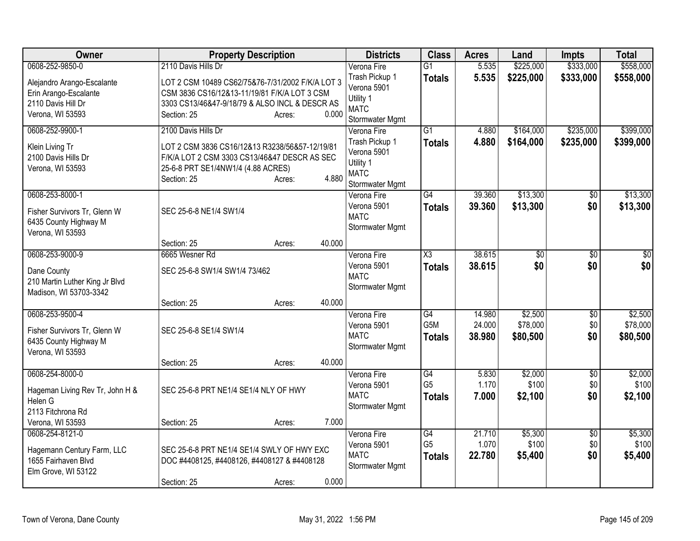| Owner                           | <b>Property Description</b>                      |                  | <b>Districts</b>           | <b>Class</b>           | <b>Acres</b>    | Land             | <b>Impts</b>       | <b>Total</b>     |
|---------------------------------|--------------------------------------------------|------------------|----------------------------|------------------------|-----------------|------------------|--------------------|------------------|
| 0608-252-9850-0                 | 2110 Davis Hills Dr                              |                  | Verona Fire                | $\overline{G1}$        | 5.535           | \$225,000        | \$333,000          | \$558,000        |
| Alejandro Arango-Escalante      | LOT 2 CSM 10489 CS62/75&76-7/31/2002 F/K/A LOT 3 |                  | Trash Pickup 1             | <b>Totals</b>          | 5.535           | \$225,000        | \$333,000          | \$558,000        |
| Erin Arango-Escalante           | CSM 3836 CS16/12&13-11/19/81 F/K/A LOT 3 CSM     |                  | Verona 5901                |                        |                 |                  |                    |                  |
| 2110 Davis Hill Dr              | 3303 CS13/46&47-9/18/79 & ALSO INCL & DESCR AS   |                  | Utility 1<br><b>MATC</b>   |                        |                 |                  |                    |                  |
| Verona, WI 53593                | Section: 25                                      | 0.000<br>Acres:  | Stormwater Mgmt            |                        |                 |                  |                    |                  |
| 0608-252-9900-1                 | 2100 Davis Hills Dr                              |                  | Verona Fire                | $\overline{G1}$        | 4.880           | \$164,000        | \$235,000          | \$399,000        |
| Klein Living Tr                 | LOT 2 CSM 3836 CS16/12&13 R3238/56&57-12/19/81   |                  | Trash Pickup 1             | <b>Totals</b>          | 4.880           | \$164,000        | \$235,000          | \$399,000        |
| 2100 Davis Hills Dr             | F/K/A LOT 2 CSM 3303 CS13/46&47 DESCR AS SEC     |                  | Verona 5901                |                        |                 |                  |                    |                  |
| Verona, WI 53593                | 25-6-8 PRT SE1/4NW1/4 (4.88 ACRES)               |                  | Utility 1<br><b>MATC</b>   |                        |                 |                  |                    |                  |
|                                 | Section: 25                                      | 4.880<br>Acres:  | Stormwater Mgmt            |                        |                 |                  |                    |                  |
| 0608-253-8000-1                 |                                                  |                  | Verona Fire                | $\overline{G4}$        | 39.360          | \$13,300         | \$0                | \$13,300         |
| Fisher Survivors Tr, Glenn W    | SEC 25-6-8 NE1/4 SW1/4                           |                  | Verona 5901                | <b>Totals</b>          | 39.360          | \$13,300         | \$0                | \$13,300         |
| 6435 County Highway M           |                                                  |                  | <b>MATC</b>                |                        |                 |                  |                    |                  |
| Verona, WI 53593                |                                                  |                  | Stormwater Mgmt            |                        |                 |                  |                    |                  |
|                                 | Section: 25                                      | 40.000<br>Acres: |                            |                        |                 |                  |                    |                  |
| 0608-253-9000-9                 | 6665 Wesner Rd                                   |                  | Verona Fire                | $\overline{\text{X3}}$ | 38.615          | $\overline{50}$  | \$0                | $\overline{50}$  |
| Dane County                     | SEC 25-6-8 SW1/4 SW1/4 73/462                    |                  | Verona 5901                | <b>Totals</b>          | 38.615          | \$0              | \$0                | \$0              |
| 210 Martin Luther King Jr Blvd  |                                                  |                  | <b>MATC</b>                |                        |                 |                  |                    |                  |
| Madison, WI 53703-3342          |                                                  |                  | Stormwater Mgmt            |                        |                 |                  |                    |                  |
|                                 | Section: 25                                      | 40.000<br>Acres: |                            |                        |                 |                  |                    |                  |
| 0608-253-9500-4                 |                                                  |                  | Verona Fire                | G4                     | 14.980          | \$2,500          | \$0                | \$2,500          |
| Fisher Survivors Tr, Glenn W    | SEC 25-6-8 SE1/4 SW1/4                           |                  | Verona 5901                | G5M                    | 24.000          | \$78,000         | \$0                | \$78,000         |
| 6435 County Highway M           |                                                  |                  | <b>MATC</b>                | <b>Totals</b>          | 38.980          | \$80,500         | \$0                | \$80,500         |
| Verona, WI 53593                |                                                  |                  | Stormwater Mgmt            |                        |                 |                  |                    |                  |
|                                 | Section: 25                                      | 40.000<br>Acres: |                            |                        |                 |                  |                    |                  |
| 0608-254-8000-0                 |                                                  |                  | Verona Fire                | G4<br>G <sub>5</sub>   | 5.830<br>1.170  | \$2,000          | $\overline{50}$    | \$2,000<br>\$100 |
| Hageman Living Rev Tr, John H & | SEC 25-6-8 PRT NE1/4 SE1/4 NLY OF HWY            |                  | Verona 5901<br><b>MATC</b> |                        | 7.000           | \$100            | \$0<br>\$0         |                  |
| Helen G                         |                                                  |                  | Stormwater Mgmt            | <b>Totals</b>          |                 | \$2,100          |                    | \$2,100          |
| 2113 Fitchrona Rd               |                                                  |                  |                            |                        |                 |                  |                    |                  |
| Verona, WI 53593                | Section: 25                                      | 7.000<br>Acres:  |                            |                        |                 |                  |                    |                  |
| 0608-254-8121-0                 |                                                  |                  | Verona Fire<br>Verona 5901 | G4<br>G <sub>5</sub>   | 21.710<br>1.070 | \$5,300<br>\$100 | $\sqrt{$0}$<br>\$0 | \$5,300<br>\$100 |
| Hagemann Century Farm, LLC      | SEC 25-6-8 PRT NE1/4 SE1/4 SWLY OF HWY EXC       |                  | <b>MATC</b>                | <b>Totals</b>          | 22.780          | \$5,400          | \$0                | \$5,400          |
| 1655 Fairhaven Blvd             | DOC #4408125, #4408126, #4408127 & #4408128      |                  | Stormwater Mgmt            |                        |                 |                  |                    |                  |
| Elm Grove, WI 53122             |                                                  | 0.000            |                            |                        |                 |                  |                    |                  |
|                                 | Section: 25                                      | Acres:           |                            |                        |                 |                  |                    |                  |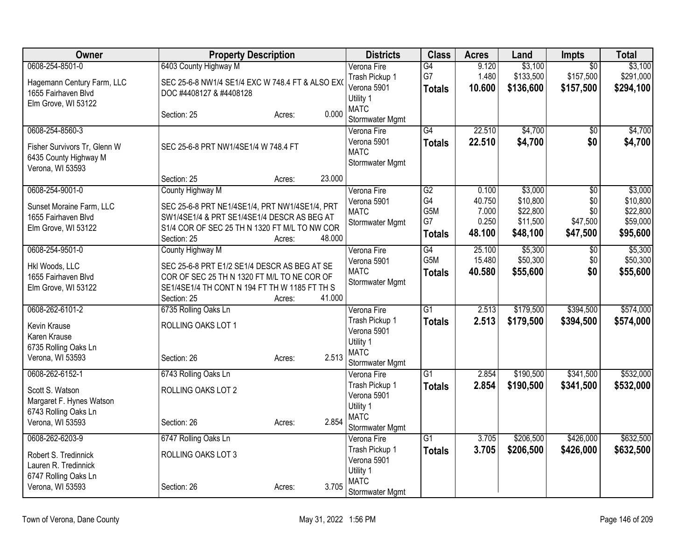| Owner                                                                                                       | <b>Property Description</b>                                                                                                                                                                 |        | <b>Districts</b>                                                                            | <b>Class</b>                                        | <b>Acres</b>                                | Land                                                    | <b>Impts</b>                                          | <b>Total</b>                                            |
|-------------------------------------------------------------------------------------------------------------|---------------------------------------------------------------------------------------------------------------------------------------------------------------------------------------------|--------|---------------------------------------------------------------------------------------------|-----------------------------------------------------|---------------------------------------------|---------------------------------------------------------|-------------------------------------------------------|---------------------------------------------------------|
| 0608-254-8501-0<br>Hagemann Century Farm, LLC<br>1655 Fairhaven Blvd<br>Elm Grove, WI 53122                 | 6403 County Highway M<br>SEC 25-6-8 NW1/4 SE1/4 EXC W 748.4 FT & ALSO EX<br>DOC #4408127 & #4408128                                                                                         |        | Verona Fire<br>Trash Pickup 1<br>Verona 5901<br>Utility 1                                   | G4<br>G7<br><b>Totals</b>                           | 9.120<br>1.480<br>10.600                    | \$3,100<br>\$133,500<br>\$136,600                       | $\overline{50}$<br>\$157,500<br>\$157,500             | \$3,100<br>\$291,000<br>\$294,100                       |
|                                                                                                             | Section: 25<br>Acres:                                                                                                                                                                       | 0.000  | <b>MATC</b><br>Stormwater Mgmt                                                              |                                                     |                                             |                                                         |                                                       |                                                         |
| 0608-254-8560-3<br>Fisher Survivors Tr, Glenn W<br>6435 County Highway M<br>Verona, WI 53593                | SEC 25-6-8 PRT NW1/4SE1/4 W 748.4 FT                                                                                                                                                        |        | Verona Fire<br>Verona 5901<br><b>MATC</b><br>Stormwater Mgmt                                | $\overline{G4}$<br><b>Totals</b>                    | 22.510<br>22.510                            | \$4,700<br>\$4,700                                      | $\sqrt{6}$<br>\$0                                     | \$4,700<br>\$4,700                                      |
|                                                                                                             | Section: 25<br>Acres:                                                                                                                                                                       | 23.000 |                                                                                             |                                                     |                                             |                                                         |                                                       |                                                         |
| 0608-254-9001-0<br>Sunset Moraine Farm, LLC<br>1655 Fairhaven Blvd<br>Elm Grove, WI 53122                   | County Highway M<br>SEC 25-6-8 PRT NE1/4SE1/4, PRT NW1/4SE1/4, PRT<br>SW1/4SE1/4 & PRT SE1/4SE1/4 DESCR AS BEG AT<br>S1/4 COR OF SEC 25 TH N 1320 FT M/L TO NW COR<br>Section: 25<br>Acres: | 48.000 | Verona Fire<br>Verona 5901<br><b>MATC</b><br>Stormwater Mgmt                                | $\overline{G2}$<br>G4<br>G5M<br>G7<br><b>Totals</b> | 0.100<br>40.750<br>7.000<br>0.250<br>48.100 | \$3,000<br>\$10,800<br>\$22,800<br>\$11,500<br>\$48,100 | $\overline{50}$<br>\$0<br>\$0<br>\$47,500<br>\$47,500 | \$3,000<br>\$10,800<br>\$22,800<br>\$59,000<br>\$95,600 |
| 0608-254-9501-0<br>Hkl Woods, LLC<br>1655 Fairhaven Blvd<br>Elm Grove, WI 53122                             | County Highway M<br>SEC 25-6-8 PRT E1/2 SE1/4 DESCR AS BEG AT SE<br>COR OF SEC 25 TH N 1320 FT M/L TO NE COR OF<br>SE1/4SE1/4 TH CONT N 194 FT TH W 1185 FT TH S<br>Section: 25<br>Acres:   | 41.000 | Verona Fire<br>Verona 5901<br><b>MATC</b><br>Stormwater Mgmt                                | G4<br>G <sub>5</sub> M<br><b>Totals</b>             | 25.100<br>15.480<br>40.580                  | \$5,300<br>\$50,300<br>\$55,600                         | $\overline{50}$<br>\$0<br>\$0                         | \$5,300<br>\$50,300<br>\$55,600                         |
| 0608-262-6101-2<br>Kevin Krause<br>Karen Krause<br>6735 Rolling Oaks Ln<br>Verona, WI 53593                 | 6735 Rolling Oaks Ln<br>ROLLING OAKS LOT 1<br>Section: 26<br>Acres:                                                                                                                         | 2.513  | Verona Fire<br>Trash Pickup 1<br>Verona 5901<br>Utility 1<br><b>MATC</b><br>Stormwater Mgmt | $\overline{G1}$<br><b>Totals</b>                    | 2.513<br>2.513                              | \$179,500<br>\$179,500                                  | \$394,500<br>\$394,500                                | \$574,000<br>\$574,000                                  |
| 0608-262-6152-1<br>Scott S. Watson<br>Margaret F. Hynes Watson<br>6743 Rolling Oaks Ln<br>Verona, WI 53593  | 6743 Rolling Oaks Ln<br>ROLLING OAKS LOT 2<br>Section: 26<br>Acres:                                                                                                                         | 2.854  | Verona Fire<br>Trash Pickup 1<br>Verona 5901<br>Utility 1<br><b>MATC</b><br>Stormwater Mgmt | $\overline{G1}$<br><b>Totals</b>                    | 2.854<br>2.854                              | \$190,500<br>\$190,500                                  | \$341,500<br>\$341,500                                | \$532,000<br>\$532,000                                  |
| 0608-262-6203-9<br>Robert S. Tredinnick<br>Lauren R. Tredinnick<br>6747 Rolling Oaks Ln<br>Verona, WI 53593 | 6747 Rolling Oaks Ln<br>ROLLING OAKS LOT 3<br>Section: 26<br>Acres:                                                                                                                         | 3.705  | Verona Fire<br>Trash Pickup 1<br>Verona 5901<br>Utility 1<br><b>MATC</b><br>Stormwater Mgmt | $\overline{G1}$<br><b>Totals</b>                    | 3.705<br>3.705                              | \$206,500<br>\$206,500                                  | \$426,000<br>\$426,000                                | \$632,500<br>\$632,500                                  |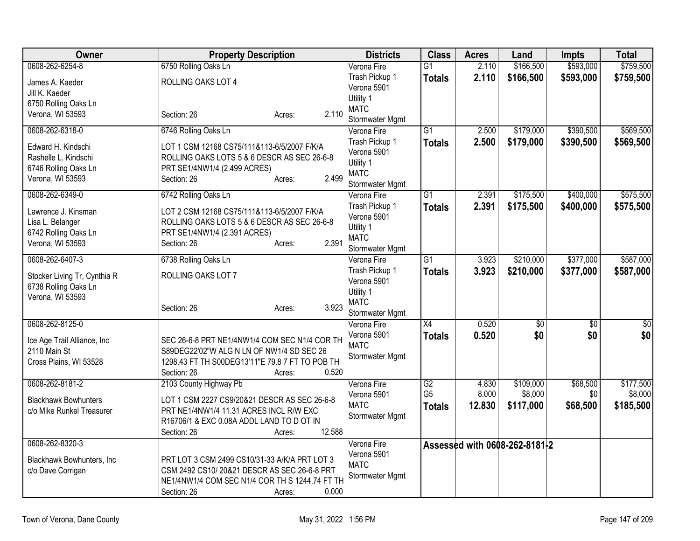| \$593,000<br>\$759,500<br>0608-262-6254-8<br>6750 Rolling Oaks Ln<br>2.110<br>\$166,500<br>Verona Fire<br>$\overline{G1}$<br>Trash Pickup 1<br>2.110<br>\$166,500<br>\$593,000<br>\$759,500<br><b>Totals</b><br>ROLLING OAKS LOT 4<br>James A. Kaeder<br>Verona 5901<br>Jill K. Kaeder<br>Utility 1<br>6750 Rolling Oaks Ln<br><b>MATC</b><br>2.110<br>Verona, WI 53593<br>Section: 26<br>Acres:<br>Stormwater Mgmt<br>0608-262-6318-0<br>6746 Rolling Oaks Ln<br>\$179,000<br>\$390,500<br>\$569,500<br>$\overline{G1}$<br>2.500<br>Verona Fire<br>2.500<br>\$179,000<br>\$390,500<br>Trash Pickup 1<br><b>Totals</b><br>Edward H. Kindschi<br>LOT 1 CSM 12168 CS75/111&113-6/5/2007 F/K/A<br>Verona 5901<br>Rashelle L. Kindschi<br>ROLLING OAKS LOTS 5 & 6 DESCR AS SEC 26-6-8<br>Utility 1<br>6746 Rolling Oaks Ln<br>PRT SE1/4NW1/4 (2.499 ACRES)<br><b>MATC</b><br>2.499<br>Verona, WI 53593<br>Section: 26<br>Acres:<br>Stormwater Mgmt<br>0608-262-6349-0<br>6742 Rolling Oaks Ln<br>$\overline{G1}$<br>2.391<br>\$175,500<br>\$400,000<br>Verona Fire<br>Trash Pickup 1<br>2.391<br><b>Totals</b><br>\$175,500<br>\$400,000<br>Lawrence J. Kinsman<br>LOT 2 CSM 12168 CS75/111&113-6/5/2007 F/K/A<br>Verona 5901<br>ROLLING OAKS LOTS 5 & 6 DESCR AS SEC 26-6-8<br>Lisa L. Belanger<br>Utility 1<br>6742 Rolling Oaks Ln<br>PRT SE1/4NW1/4 (2.391 ACRES)<br><b>MATC</b> |
|----------------------------------------------------------------------------------------------------------------------------------------------------------------------------------------------------------------------------------------------------------------------------------------------------------------------------------------------------------------------------------------------------------------------------------------------------------------------------------------------------------------------------------------------------------------------------------------------------------------------------------------------------------------------------------------------------------------------------------------------------------------------------------------------------------------------------------------------------------------------------------------------------------------------------------------------------------------------------------------------------------------------------------------------------------------------------------------------------------------------------------------------------------------------------------------------------------------------------------------------------------------------------------------------------------------------------------------------------------------------------------|
|                                                                                                                                                                                                                                                                                                                                                                                                                                                                                                                                                                                                                                                                                                                                                                                                                                                                                                                                                                                                                                                                                                                                                                                                                                                                                                                                                                                  |
|                                                                                                                                                                                                                                                                                                                                                                                                                                                                                                                                                                                                                                                                                                                                                                                                                                                                                                                                                                                                                                                                                                                                                                                                                                                                                                                                                                                  |
|                                                                                                                                                                                                                                                                                                                                                                                                                                                                                                                                                                                                                                                                                                                                                                                                                                                                                                                                                                                                                                                                                                                                                                                                                                                                                                                                                                                  |
|                                                                                                                                                                                                                                                                                                                                                                                                                                                                                                                                                                                                                                                                                                                                                                                                                                                                                                                                                                                                                                                                                                                                                                                                                                                                                                                                                                                  |
|                                                                                                                                                                                                                                                                                                                                                                                                                                                                                                                                                                                                                                                                                                                                                                                                                                                                                                                                                                                                                                                                                                                                                                                                                                                                                                                                                                                  |
| \$569,500<br>\$575,500<br>\$575,500                                                                                                                                                                                                                                                                                                                                                                                                                                                                                                                                                                                                                                                                                                                                                                                                                                                                                                                                                                                                                                                                                                                                                                                                                                                                                                                                              |
|                                                                                                                                                                                                                                                                                                                                                                                                                                                                                                                                                                                                                                                                                                                                                                                                                                                                                                                                                                                                                                                                                                                                                                                                                                                                                                                                                                                  |
|                                                                                                                                                                                                                                                                                                                                                                                                                                                                                                                                                                                                                                                                                                                                                                                                                                                                                                                                                                                                                                                                                                                                                                                                                                                                                                                                                                                  |
|                                                                                                                                                                                                                                                                                                                                                                                                                                                                                                                                                                                                                                                                                                                                                                                                                                                                                                                                                                                                                                                                                                                                                                                                                                                                                                                                                                                  |
|                                                                                                                                                                                                                                                                                                                                                                                                                                                                                                                                                                                                                                                                                                                                                                                                                                                                                                                                                                                                                                                                                                                                                                                                                                                                                                                                                                                  |
|                                                                                                                                                                                                                                                                                                                                                                                                                                                                                                                                                                                                                                                                                                                                                                                                                                                                                                                                                                                                                                                                                                                                                                                                                                                                                                                                                                                  |
|                                                                                                                                                                                                                                                                                                                                                                                                                                                                                                                                                                                                                                                                                                                                                                                                                                                                                                                                                                                                                                                                                                                                                                                                                                                                                                                                                                                  |
|                                                                                                                                                                                                                                                                                                                                                                                                                                                                                                                                                                                                                                                                                                                                                                                                                                                                                                                                                                                                                                                                                                                                                                                                                                                                                                                                                                                  |
|                                                                                                                                                                                                                                                                                                                                                                                                                                                                                                                                                                                                                                                                                                                                                                                                                                                                                                                                                                                                                                                                                                                                                                                                                                                                                                                                                                                  |
|                                                                                                                                                                                                                                                                                                                                                                                                                                                                                                                                                                                                                                                                                                                                                                                                                                                                                                                                                                                                                                                                                                                                                                                                                                                                                                                                                                                  |
| 2.391<br>Verona, WI 53593<br>Section: 26<br>Acres:                                                                                                                                                                                                                                                                                                                                                                                                                                                                                                                                                                                                                                                                                                                                                                                                                                                                                                                                                                                                                                                                                                                                                                                                                                                                                                                               |
| Stormwater Mgmt                                                                                                                                                                                                                                                                                                                                                                                                                                                                                                                                                                                                                                                                                                                                                                                                                                                                                                                                                                                                                                                                                                                                                                                                                                                                                                                                                                  |
| 0608-262-6407-3<br>6738 Rolling Oaks Ln<br>$\overline{G1}$<br>\$210,000<br>\$377,000<br>\$587,000<br>Verona Fire<br>3.923                                                                                                                                                                                                                                                                                                                                                                                                                                                                                                                                                                                                                                                                                                                                                                                                                                                                                                                                                                                                                                                                                                                                                                                                                                                        |
| Trash Pickup 1<br>3.923<br>\$210,000<br>\$377,000<br>\$587,000<br><b>Totals</b><br>ROLLING OAKS LOT 7<br>Stocker Living Tr, Cynthia R                                                                                                                                                                                                                                                                                                                                                                                                                                                                                                                                                                                                                                                                                                                                                                                                                                                                                                                                                                                                                                                                                                                                                                                                                                            |
| Verona 5901<br>6738 Rolling Oaks Ln                                                                                                                                                                                                                                                                                                                                                                                                                                                                                                                                                                                                                                                                                                                                                                                                                                                                                                                                                                                                                                                                                                                                                                                                                                                                                                                                              |
| Utility 1<br>Verona, WI 53593<br><b>MATC</b>                                                                                                                                                                                                                                                                                                                                                                                                                                                                                                                                                                                                                                                                                                                                                                                                                                                                                                                                                                                                                                                                                                                                                                                                                                                                                                                                     |
| 3.923<br>Section: 26<br>Acres:<br>Stormwater Mgmt                                                                                                                                                                                                                                                                                                                                                                                                                                                                                                                                                                                                                                                                                                                                                                                                                                                                                                                                                                                                                                                                                                                                                                                                                                                                                                                                |
| 0608-262-8125-0<br>$\overline{X4}$<br>0.520<br>\$0<br>$\overline{50}$<br>$\overline{50}$<br>Verona Fire                                                                                                                                                                                                                                                                                                                                                                                                                                                                                                                                                                                                                                                                                                                                                                                                                                                                                                                                                                                                                                                                                                                                                                                                                                                                          |
| \$0<br>\$0<br>0.520<br>\$0<br>Verona 5901<br><b>Totals</b>                                                                                                                                                                                                                                                                                                                                                                                                                                                                                                                                                                                                                                                                                                                                                                                                                                                                                                                                                                                                                                                                                                                                                                                                                                                                                                                       |
| SEC 26-6-8 PRT NE1/4NW1/4 COM SEC N1/4 COR TH<br>Ice Age Trail Alliance, Inc<br><b>MATC</b>                                                                                                                                                                                                                                                                                                                                                                                                                                                                                                                                                                                                                                                                                                                                                                                                                                                                                                                                                                                                                                                                                                                                                                                                                                                                                      |
| 2110 Main St<br>S89DEG22'02"W ALG N LN OF NW1/4 SD SEC 26<br>Stormwater Mgmt                                                                                                                                                                                                                                                                                                                                                                                                                                                                                                                                                                                                                                                                                                                                                                                                                                                                                                                                                                                                                                                                                                                                                                                                                                                                                                     |
| 1298.43 FT TH S00DEG13'11"E 79.8 7 FT TO POB TH<br>Cross Plains, WI 53528                                                                                                                                                                                                                                                                                                                                                                                                                                                                                                                                                                                                                                                                                                                                                                                                                                                                                                                                                                                                                                                                                                                                                                                                                                                                                                        |
| 0.520<br>Section: 26<br>Acres:                                                                                                                                                                                                                                                                                                                                                                                                                                                                                                                                                                                                                                                                                                                                                                                                                                                                                                                                                                                                                                                                                                                                                                                                                                                                                                                                                   |
| 0608-262-8181-2<br>2103 County Highway Pb<br>G2<br>\$109,000<br>\$68,500<br>\$177,500<br>Verona Fire<br>4.830                                                                                                                                                                                                                                                                                                                                                                                                                                                                                                                                                                                                                                                                                                                                                                                                                                                                                                                                                                                                                                                                                                                                                                                                                                                                    |
| G <sub>5</sub><br>8.000<br>\$8,000<br>\$0<br>\$8,000<br>Verona 5901<br>LOT 1 CSM 2227 CS9/20&21 DESCR AS SEC 26-6-8<br><b>Blackhawk Bowhunters</b>                                                                                                                                                                                                                                                                                                                                                                                                                                                                                                                                                                                                                                                                                                                                                                                                                                                                                                                                                                                                                                                                                                                                                                                                                               |
| <b>MATC</b><br>\$68,500<br>12.830<br>\$117,000<br>\$185,500<br><b>Totals</b><br>c/o Mike Runkel Treasurer<br>PRT NE1/4NW1/4 11.31 ACRES INCL R/W EXC                                                                                                                                                                                                                                                                                                                                                                                                                                                                                                                                                                                                                                                                                                                                                                                                                                                                                                                                                                                                                                                                                                                                                                                                                             |
| Stormwater Mgmt<br>R16706/1 & EXC 0.08A ADDL LAND TO D OT IN                                                                                                                                                                                                                                                                                                                                                                                                                                                                                                                                                                                                                                                                                                                                                                                                                                                                                                                                                                                                                                                                                                                                                                                                                                                                                                                     |
| 12.588<br>Section: 26<br>Acres:                                                                                                                                                                                                                                                                                                                                                                                                                                                                                                                                                                                                                                                                                                                                                                                                                                                                                                                                                                                                                                                                                                                                                                                                                                                                                                                                                  |
| 0608-262-8320-3<br>Verona Fire<br>Assessed with 0608-262-8181-2                                                                                                                                                                                                                                                                                                                                                                                                                                                                                                                                                                                                                                                                                                                                                                                                                                                                                                                                                                                                                                                                                                                                                                                                                                                                                                                  |
| Verona 5901<br>PRT LOT 3 CSM 2499 CS10/31-33 A/K/A PRT LOT 3<br>Blackhawk Bowhunters, Inc.                                                                                                                                                                                                                                                                                                                                                                                                                                                                                                                                                                                                                                                                                                                                                                                                                                                                                                                                                                                                                                                                                                                                                                                                                                                                                       |
| <b>MATC</b><br>CSM 2492 CS10/20&21 DESCR AS SEC 26-6-8 PRT<br>c/o Dave Corrigan                                                                                                                                                                                                                                                                                                                                                                                                                                                                                                                                                                                                                                                                                                                                                                                                                                                                                                                                                                                                                                                                                                                                                                                                                                                                                                  |
| Stormwater Mgmt<br>NE1/4NW1/4 COM SEC N1/4 COR TH S 1244.74 FT TH                                                                                                                                                                                                                                                                                                                                                                                                                                                                                                                                                                                                                                                                                                                                                                                                                                                                                                                                                                                                                                                                                                                                                                                                                                                                                                                |
| 0.000<br>Section: 26<br>Acres:                                                                                                                                                                                                                                                                                                                                                                                                                                                                                                                                                                                                                                                                                                                                                                                                                                                                                                                                                                                                                                                                                                                                                                                                                                                                                                                                                   |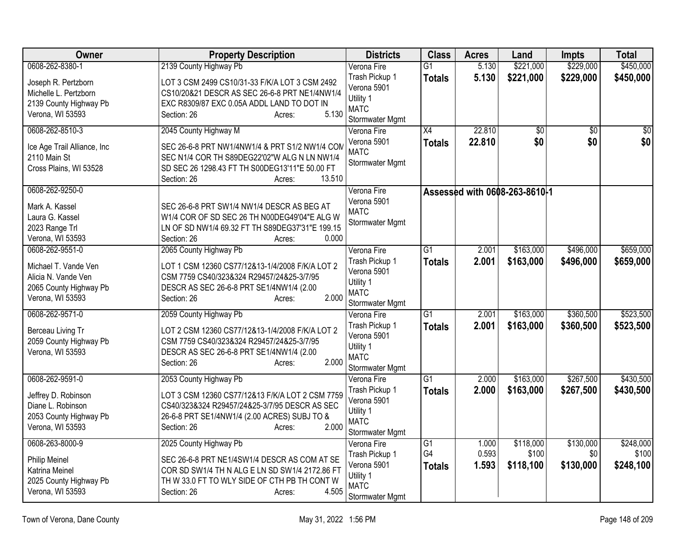| Owner                                                                                                        | <b>Property Description</b>                                                                                                                                                                                  | <b>Districts</b>                                                                            | <b>Class</b>                     | <b>Acres</b>            | Land                            | <b>Impts</b>                  | <b>Total</b>                    |
|--------------------------------------------------------------------------------------------------------------|--------------------------------------------------------------------------------------------------------------------------------------------------------------------------------------------------------------|---------------------------------------------------------------------------------------------|----------------------------------|-------------------------|---------------------------------|-------------------------------|---------------------------------|
| 0608-262-8380-1                                                                                              | 2139 County Highway Pb                                                                                                                                                                                       | Verona Fire                                                                                 | $\overline{G1}$                  | 5.130                   | \$221,000                       | \$229,000                     | \$450,000                       |
| Joseph R. Pertzborn<br>Michelle L. Pertzborn<br>2139 County Highway Pb<br>Verona, WI 53593                   | LOT 3 CSM 2499 CS10/31-33 F/K/A LOT 3 CSM 2492<br>CS10/20&21 DESCR AS SEC 26-6-8 PRT NE1/4NW1/4<br>EXC R8309/87 EXC 0.05A ADDL LAND TO DOT IN<br>5.130<br>Section: 26<br>Acres:                              | Trash Pickup 1<br>Verona 5901<br>Utility 1<br><b>MATC</b><br>Stormwater Mgmt                | <b>Totals</b>                    | 5.130                   | \$221,000                       | \$229,000                     | \$450,000                       |
| 0608-262-8510-3<br>Ice Age Trail Alliance, Inc<br>2110 Main St<br>Cross Plains, WI 53528                     | 2045 County Highway M<br>SEC 26-6-8 PRT NW1/4NW1/4 & PRT S1/2 NW1/4 COM<br>SEC N1/4 COR TH S89DEG22'02"W ALG N LN NW1/4<br>SD SEC 26 1298.43 FT TH S00DEG13'11"E 50.00 FT<br>13.510<br>Section: 26<br>Acres: | Verona Fire<br>Verona 5901<br><b>MATC</b><br>Stormwater Mgmt                                | $\overline{X4}$<br><b>Totals</b> | 22.810<br>22.810        | $\overline{50}$<br>\$0          | $\overline{50}$<br>\$0        | $\overline{50}$<br>\$0          |
| 0608-262-9250-0<br>Mark A. Kassel<br>Laura G. Kassel<br>2023 Range Trl<br>Verona, WI 53593                   | SEC 26-6-8 PRT SW1/4 NW1/4 DESCR AS BEG AT<br>W1/4 COR OF SD SEC 26 TH N00DEG49'04"E ALG W<br>LN OF SD NW1/4 69.32 FT TH S89DEG37'31"E 199.15<br>0.000<br>Section: 26<br>Acres:                              | Verona Fire<br>Verona 5901<br><b>MATC</b><br>Stormwater Mgmt                                |                                  |                         | Assessed with 0608-263-8610-1   |                               |                                 |
| 0608-262-9551-0<br>Michael T. Vande Ven<br>Alicia N. Vande Ven<br>2065 County Highway Pb<br>Verona, WI 53593 | 2065 County Highway Pb<br>LOT 1 CSM 12360 CS77/12&13-1/4/2008 F/K/A LOT 2<br>CSM 7759 CS40/323&324 R29457/24&25-3/7/95<br>DESCR AS SEC 26-6-8 PRT SE1/4NW1/4 (2.00<br>2.000<br>Section: 26<br>Acres:         | Verona Fire<br>Trash Pickup 1<br>Verona 5901<br>Utility 1<br><b>MATC</b><br>Stormwater Mgmt | $\overline{G1}$<br><b>Totals</b> | 2.001<br>2.001          | \$163,000<br>\$163,000          | \$496,000<br>\$496,000        | \$659,000<br>\$659,000          |
| 0608-262-9571-0<br>Berceau Living Tr<br>2059 County Highway Pb<br>Verona, WI 53593                           | 2059 County Highway Pb<br>LOT 2 CSM 12360 CS77/12&13-1/4/2008 F/K/A LOT 2<br>CSM 7759 CS40/323&324 R29457/24&25-3/7/95<br>DESCR AS SEC 26-6-8 PRT SE1/4NW1/4 (2.00<br>2.000<br>Section: 26<br>Acres:         | Verona Fire<br>Trash Pickup 1<br>Verona 5901<br>Utility 1<br><b>MATC</b><br>Stormwater Mgmt | $\overline{G1}$<br><b>Totals</b> | 2.001<br>2.001          | \$163,000<br>\$163,000          | \$360,500<br>\$360,500        | \$523,500<br>\$523,500          |
| 0608-262-9591-0<br>Jeffrey D. Robinson<br>Diane L. Robinson<br>2053 County Highway Pb<br>Verona, WI 53593    | 2053 County Highway Pb<br>LOT 3 CSM 12360 CS77/12&13 F/K/A LOT 2 CSM 7759<br>CS40/323&324 R29457/24&25-3/7/95 DESCR AS SEC<br>26-6-8 PRT SE1/4NW1/4 (2.00 ACRES) SUBJ TO &<br>Section: 26<br>2.000<br>Acres: | Verona Fire<br>Trash Pickup 1<br>Verona 5901<br>Utility 1<br><b>MATC</b><br>Stormwater Mgmt | $\overline{G1}$<br><b>Totals</b> | 2.000<br>2.000          | \$163,000<br>\$163,000          | \$267,500<br>\$267,500        | \$430,500<br>\$430,500          |
| 0608-263-8000-9<br><b>Philip Meinel</b><br>Katrina Meinel<br>2025 County Highway Pb<br>Verona, WI 53593      | 2025 County Highway Pb<br>SEC 26-6-8 PRT NE1/4SW1/4 DESCR AS COM AT SE<br>COR SD SW1/4 TH N ALG E LN SD SW1/4 2172.86 FT<br>TH W 33.0 FT TO WLY SIDE OF CTH PB TH CONT W<br>4.505<br>Section: 26<br>Acres:   | Verona Fire<br>Trash Pickup 1<br>Verona 5901<br>Utility 1<br><b>MATC</b><br>Stormwater Mgmt | G1<br>G4<br><b>Totals</b>        | 1.000<br>0.593<br>1.593 | \$118,000<br>\$100<br>\$118,100 | \$130,000<br>\$0<br>\$130,000 | \$248,000<br>\$100<br>\$248,100 |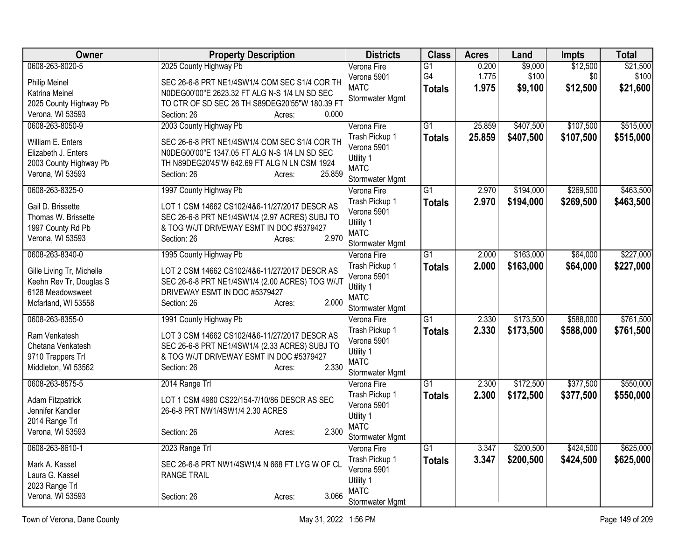| Owner                     | <b>Property Description</b>                                           | <b>Districts</b>              | <b>Class</b>    | <b>Acres</b> | Land      | Impts     | <b>Total</b> |
|---------------------------|-----------------------------------------------------------------------|-------------------------------|-----------------|--------------|-----------|-----------|--------------|
| 0608-263-8020-5           | 2025 County Highway Pb                                                | Verona Fire                   | $\overline{G1}$ | 0.200        | \$9,000   | \$12,500  | \$21,500     |
| <b>Philip Meinel</b>      | SEC 26-6-8 PRT NE1/4SW1/4 COM SEC S1/4 COR TH                         | Verona 5901                   | G4              | 1.775        | \$100     | \$0       | \$100        |
| Katrina Meinel            | N0DEG00'00"E 2623.32 FT ALG N-S 1/4 LN SD SEC                         | <b>MATC</b>                   | <b>Totals</b>   | 1.975        | \$9,100   | \$12,500  | \$21,600     |
| 2025 County Highway Pb    | TO CTR OF SD SEC 26 TH S89DEG20'55"W 180.39 FT                        | Stormwater Mgmt               |                 |              |           |           |              |
| Verona, WI 53593          | 0.000<br>Section: 26<br>Acres:                                        |                               |                 |              |           |           |              |
| 0608-263-8050-9           | 2003 County Highway Pb                                                | Verona Fire                   | $\overline{G1}$ | 25.859       | \$407,500 | \$107,500 | \$515,000    |
|                           |                                                                       | Trash Pickup 1                | <b>Totals</b>   | 25.859       | \$407,500 | \$107,500 | \$515,000    |
| William E. Enters         | SEC 26-6-8 PRT NE1/4SW1/4 COM SEC S1/4 COR TH                         | Verona 5901                   |                 |              |           |           |              |
| Elizabeth J. Enters       | N0DEG00'00"E 1347.05 FT ALG N-S 1/4 LN SD SEC                         | Utility 1                     |                 |              |           |           |              |
| 2003 County Highway Pb    | TH N89DEG20'45"W 642.69 FT ALG N LN CSM 1924<br>25.859<br>Section: 26 | <b>MATC</b>                   |                 |              |           |           |              |
| Verona, WI 53593          | Acres:                                                                | Stormwater Mgmt               |                 |              |           |           |              |
| 0608-263-8325-0           | 1997 County Highway Pb                                                | Verona Fire                   | $\overline{G1}$ | 2.970        | \$194,000 | \$269,500 | \$463,500    |
| Gail D. Brissette         | LOT 1 CSM 14662 CS102/4&6-11/27/2017 DESCR AS                         | Trash Pickup 1                | <b>Totals</b>   | 2.970        | \$194,000 | \$269,500 | \$463,500    |
| Thomas W. Brissette       | SEC 26-6-8 PRT NE1/4SW1/4 (2.97 ACRES) SUBJ TO                        | Verona 5901                   |                 |              |           |           |              |
| 1997 County Rd Pb         | & TOG W/JT DRIVEWAY ESMT IN DOC #5379427                              | Utility 1                     |                 |              |           |           |              |
| Verona, WI 53593          | 2.970<br>Section: 26<br>Acres:                                        | <b>MATC</b>                   |                 |              |           |           |              |
|                           |                                                                       | Stormwater Mgmt               |                 |              |           |           |              |
| 0608-263-8340-0           | 1995 County Highway Pb                                                | Verona Fire                   | $\overline{G1}$ | 2.000        | \$163,000 | \$64,000  | \$227,000    |
| Gille Living Tr, Michelle | LOT 2 CSM 14662 CS102/4&6-11/27/2017 DESCR AS                         | Trash Pickup 1                | <b>Totals</b>   | 2.000        | \$163,000 | \$64,000  | \$227,000    |
| Keehn Rev Tr, Douglas S   | SEC 26-6-8 PRT NE1/4SW1/4 (2.00 ACRES) TOG W/JT                       | Verona 5901                   |                 |              |           |           |              |
| 6128 Meadowsweet          | DRIVEWAY ESMT IN DOC #5379427                                         | Utility 1                     |                 |              |           |           |              |
| Mcfarland, WI 53558       | 2.000<br>Section: 26<br>Acres:                                        | <b>MATC</b>                   |                 |              |           |           |              |
|                           |                                                                       | Stormwater Mgmt               |                 |              |           |           |              |
| 0608-263-8355-0           | 1991 County Highway Pb                                                | Verona Fire                   | G1              | 2.330        | \$173,500 | \$588,000 | \$761,500    |
| Ram Venkatesh             | LOT 3 CSM 14662 CS102/4&6-11/27/2017 DESCR AS                         | Trash Pickup 1<br>Verona 5901 | <b>Totals</b>   | 2.330        | \$173,500 | \$588,000 | \$761,500    |
| Chetana Venkatesh         | SEC 26-6-8 PRT NE1/4SW1/4 (2.33 ACRES) SUBJ TO                        | Utility 1                     |                 |              |           |           |              |
| 9710 Trappers Trl         | & TOG W/JT DRIVEWAY ESMT IN DOC #5379427                              | <b>MATC</b>                   |                 |              |           |           |              |
| Middleton, WI 53562       | 2.330<br>Section: 26<br>Acres:                                        | Stormwater Mgmt               |                 |              |           |           |              |
| 0608-263-8575-5           | 2014 Range Trl                                                        | Verona Fire                   | $\overline{G1}$ | 2.300        | \$172,500 | \$377,500 | \$550,000    |
|                           |                                                                       | Trash Pickup 1                | <b>Totals</b>   | 2.300        | \$172,500 | \$377,500 | \$550,000    |
| Adam Fitzpatrick          | LOT 1 CSM 4980 CS22/154-7/10/86 DESCR AS SEC                          | Verona 5901                   |                 |              |           |           |              |
| Jennifer Kandler          | 26-6-8 PRT NW1/4SW1/4 2.30 ACRES                                      | Utility 1                     |                 |              |           |           |              |
| 2014 Range Trl            |                                                                       | <b>MATC</b>                   |                 |              |           |           |              |
| Verona, WI 53593          | 2.300<br>Section: 26<br>Acres:                                        | Stormwater Mgmt               |                 |              |           |           |              |
| 0608-263-8610-1           | 2023 Range Trl                                                        | Verona Fire                   | $\overline{G1}$ | 3.347        | \$200,500 | \$424,500 | \$625,000    |
|                           |                                                                       | Trash Pickup 1                | <b>Totals</b>   | 3.347        | \$200,500 | \$424,500 | \$625,000    |
| Mark A. Kassel            | SEC 26-6-8 PRT NW1/4SW1/4 N 668 FT LYG W OF CL                        | Verona 5901                   |                 |              |           |           |              |
| Laura G. Kassel           | <b>RANGE TRAIL</b>                                                    | Utility 1                     |                 |              |           |           |              |
| 2023 Range Trl            | 3.066                                                                 | <b>MATC</b>                   |                 |              |           |           |              |
| Verona, WI 53593          | Section: 26<br>Acres:                                                 | Stormwater Mgmt               |                 |              |           |           |              |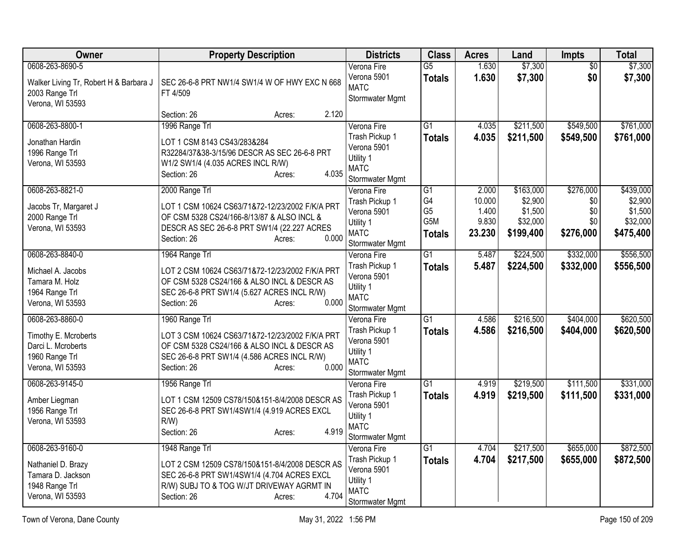| Owner                                                                                               | <b>Property Description</b>                                                                                                                                                                       | <b>Districts</b>                                                                            | <b>Class</b>                                                    | <b>Acres</b>                                | Land                                                     | <b>Impts</b>                                | <b>Total</b>                                             |
|-----------------------------------------------------------------------------------------------------|---------------------------------------------------------------------------------------------------------------------------------------------------------------------------------------------------|---------------------------------------------------------------------------------------------|-----------------------------------------------------------------|---------------------------------------------|----------------------------------------------------------|---------------------------------------------|----------------------------------------------------------|
| 0608-263-8690-5<br>Walker Living Tr, Robert H & Barbara J<br>2003 Range Trl<br>Verona, WI 53593     | SEC 26-6-8 PRT NW1/4 SW1/4 W OF HWY EXC N 668<br>FT 4/509                                                                                                                                         | Verona Fire<br>Verona 5901<br><b>MATC</b><br>Stormwater Mgmt                                | $\overline{G5}$<br><b>Totals</b>                                | 1.630<br>1.630                              | \$7,300<br>\$7,300                                       | $\overline{50}$<br>\$0                      | \$7,300<br>\$7,300                                       |
|                                                                                                     | 2.120<br>Section: 26<br>Acres:                                                                                                                                                                    |                                                                                             |                                                                 |                                             |                                                          |                                             |                                                          |
| 0608-263-8800-1<br>Jonathan Hardin<br>1996 Range Trl<br>Verona, WI 53593                            | 1996 Range Trl<br>LOT 1 CSM 8143 CS43/283&284<br>R32284/37&38-3/15/96 DESCR AS SEC 26-6-8 PRT<br>W1/2 SW1/4 (4.035 ACRES INCL R/W)<br>4.035<br>Section: 26<br>Acres:                              | Verona Fire<br>Trash Pickup 1<br>Verona 5901<br>Utility 1<br><b>MATC</b><br>Stormwater Mgmt | $\overline{G1}$<br><b>Totals</b>                                | 4.035<br>4.035                              | \$211,500<br>\$211,500                                   | \$549,500<br>\$549,500                      | \$761,000<br>\$761,000                                   |
| 0608-263-8821-0<br>Jacobs Tr, Margaret J<br>2000 Range Trl<br>Verona, WI 53593                      | 2000 Range Trl<br>LOT 1 CSM 10624 CS63/71&72-12/23/2002 F/K/A PRT<br>OF CSM 5328 CS24/166-8/13/87 & ALSO INCL &<br>DESCR AS SEC 26-6-8 PRT SW1/4 (22.227 ACRES<br>0.000<br>Section: 26<br>Acres:  | Verona Fire<br>Trash Pickup 1<br>Verona 5901<br>Utility 1<br><b>MATC</b><br>Stormwater Mgmt | $\overline{G1}$<br>G4<br>G <sub>5</sub><br>G5M<br><b>Totals</b> | 2.000<br>10.000<br>1.400<br>9.830<br>23.230 | \$163,000<br>\$2,900<br>\$1,500<br>\$32,000<br>\$199,400 | \$276,000<br>\$0<br>\$0<br>\$0<br>\$276,000 | \$439,000<br>\$2,900<br>\$1,500<br>\$32,000<br>\$475,400 |
| 0608-263-8840-0<br>Michael A. Jacobs<br>Tamara M. Holz<br>1964 Range Trl<br>Verona, WI 53593        | 1964 Range Trl<br>LOT 2 CSM 10624 CS63/71&72-12/23/2002 F/K/A PRT<br>OF CSM 5328 CS24/166 & ALSO INCL & DESCR AS<br>SEC 26-6-8 PRT SW1/4 (5.627 ACRES INCL R/W)<br>0.000<br>Section: 26<br>Acres: | Verona Fire<br>Trash Pickup 1<br>Verona 5901<br>Utility 1<br><b>MATC</b><br>Stormwater Mgmt | $\overline{G1}$<br><b>Totals</b>                                | 5.487<br>5.487                              | \$224,500<br>\$224,500                                   | \$332,000<br>\$332,000                      | \$556,500<br>\$556,500                                   |
| 0608-263-8860-0<br>Timothy E. Mcroberts<br>Darci L. Mcroberts<br>1960 Range Trl<br>Verona, WI 53593 | 1960 Range Trl<br>LOT 3 CSM 10624 CS63/71&72-12/23/2002 F/K/A PRT<br>OF CSM 5328 CS24/166 & ALSO INCL & DESCR AS<br>SEC 26-6-8 PRT SW1/4 (4.586 ACRES INCL R/W)<br>0.000<br>Section: 26<br>Acres: | Verona Fire<br>Trash Pickup 1<br>Verona 5901<br>Utility 1<br><b>MATC</b><br>Stormwater Mgmt | $\overline{G1}$<br><b>Totals</b>                                | 4.586<br>4.586                              | \$216,500<br>\$216,500                                   | \$404,000<br>\$404,000                      | \$620,500<br>\$620,500                                   |
| 0608-263-9145-0<br>Amber Liegman<br>1956 Range Trl<br>Verona, WI 53593                              | 1956 Range Trl<br>LOT 1 CSM 12509 CS78/150&151-8/4/2008 DESCR AS<br>SEC 26-6-8 PRT SW1/4SW1/4 (4.919 ACRES EXCL<br>$R/W$ )<br>4.919<br>Section: 26<br>Acres:                                      | Verona Fire<br>Trash Pickup 1<br>Verona 5901<br>Utility 1<br><b>MATC</b><br>Stormwater Mgmt | $\overline{G1}$<br><b>Totals</b>                                | 4.919<br>4.919                              | \$219,500<br>\$219,500                                   | \$111,500<br>\$111,500                      | \$331,000<br>\$331,000                                   |
| 0608-263-9160-0<br>Nathaniel D. Brazy<br>Tamara D. Jackson<br>1948 Range Trl<br>Verona, WI 53593    | 1948 Range Trl<br>LOT 2 CSM 12509 CS78/150&151-8/4/2008 DESCR AS<br>SEC 26-6-8 PRT SW1/4SW1/4 (4.704 ACRES EXCL<br>R/W) SUBJ TO & TOG W/JT DRIVEWAY AGRMT IN<br>4.704<br>Section: 26<br>Acres:    | Verona Fire<br>Trash Pickup 1<br>Verona 5901<br>Utility 1<br><b>MATC</b><br>Stormwater Mgmt | G1<br><b>Totals</b>                                             | 4.704<br>4.704                              | \$217,500<br>\$217,500                                   | \$655,000<br>\$655,000                      | \$872,500<br>\$872,500                                   |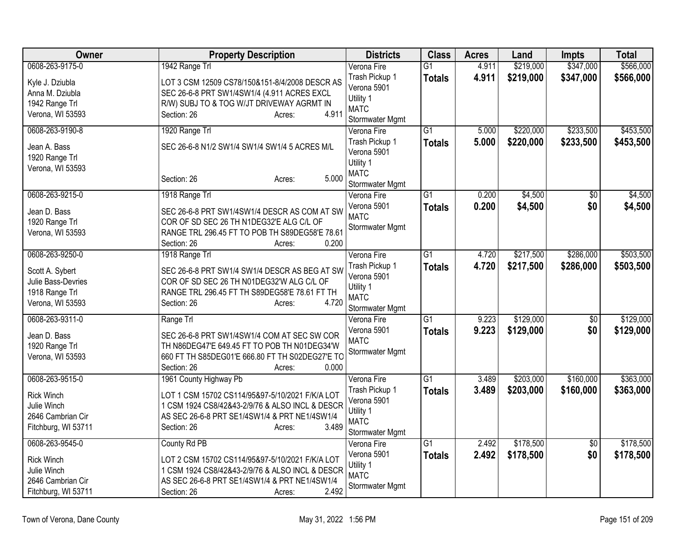| Owner                                                                                           | <b>Property Description</b>                                                                                                                                                                                     | <b>Districts</b>                                                                            | <b>Class</b>                     | <b>Acres</b>   | Land                   | <b>Impts</b>           | <b>Total</b>           |
|-------------------------------------------------------------------------------------------------|-----------------------------------------------------------------------------------------------------------------------------------------------------------------------------------------------------------------|---------------------------------------------------------------------------------------------|----------------------------------|----------------|------------------------|------------------------|------------------------|
| 0608-263-9175-0<br>Kyle J. Dziubla<br>Anna M. Dziubla                                           | 1942 Range Trl<br>LOT 3 CSM 12509 CS78/150&151-8/4/2008 DESCR AS<br>SEC 26-6-8 PRT SW1/4SW1/4 (4.911 ACRES EXCL                                                                                                 | Verona Fire<br>Trash Pickup 1<br>Verona 5901<br>Utility 1                                   | $\overline{G1}$<br><b>Totals</b> | 4.911<br>4.911 | \$219,000<br>\$219,000 | \$347,000<br>\$347,000 | \$566,000<br>\$566,000 |
| 1942 Range Trl<br>Verona, WI 53593                                                              | R/W) SUBJ TO & TOG W/JT DRIVEWAY AGRMT IN<br>4.911<br>Section: 26<br>Acres:                                                                                                                                     | <b>MATC</b><br>Stormwater Mgmt                                                              |                                  |                |                        |                        |                        |
| 0608-263-9190-8<br>Jean A. Bass<br>1920 Range Trl                                               | 1920 Range Trl<br>SEC 26-6-8 N1/2 SW1/4 SW1/4 SW1/4 5 ACRES M/L                                                                                                                                                 | Verona Fire<br>Trash Pickup 1<br>Verona 5901<br>Utility 1                                   | $\overline{G1}$<br><b>Totals</b> | 5.000<br>5.000 | \$220,000<br>\$220,000 | \$233,500<br>\$233,500 | \$453,500<br>\$453,500 |
| Verona, WI 53593                                                                                | 5.000<br>Section: 26<br>Acres:                                                                                                                                                                                  | <b>MATC</b><br><b>Stormwater Mgmt</b>                                                       |                                  |                |                        |                        |                        |
| 0608-263-9215-0<br>Jean D. Bass<br>1920 Range Trl<br>Verona, WI 53593                           | 1918 Range Trl<br>SEC 26-6-8 PRT SW1/4SW1/4 DESCR AS COM AT SW<br>COR OF SD SEC 26 TH N1DEG32'E ALG C/L OF<br>RANGE TRL 296.45 FT TO POB TH S89DEG58'E 78.61<br>0.200<br>Section: 26<br>Acres:                  | Verona Fire<br>Verona 5901<br><b>MATC</b><br>Stormwater Mgmt                                | $\overline{G1}$<br><b>Totals</b> | 0.200<br>0.200 | \$4,500<br>\$4,500     | $\overline{50}$<br>\$0 | \$4,500<br>\$4,500     |
| 0608-263-9250-0<br>Scott A. Sybert<br>Julie Bass-Devries<br>1918 Range Trl<br>Verona, WI 53593  | 1918 Range Trl<br>SEC 26-6-8 PRT SW1/4 SW1/4 DESCR AS BEG AT SW<br>COR OF SD SEC 26 TH N01DEG32'W ALG C/L OF<br>RANGE TRL 296.45 FT TH S89DEG58'E 78.61 FT TH<br>4.720<br>Section: 26<br>Acres:                 | Verona Fire<br>Trash Pickup 1<br>Verona 5901<br>Utility 1<br><b>MATC</b><br>Stormwater Mgmt | $\overline{G1}$<br><b>Totals</b> | 4.720<br>4.720 | \$217,500<br>\$217,500 | \$286,000<br>\$286,000 | \$503,500<br>\$503,500 |
| 0608-263-9311-0<br>Jean D. Bass<br>1920 Range Trl<br>Verona, WI 53593                           | Range Trl<br>SEC 26-6-8 PRT SW1/4SW1/4 COM AT SEC SW COR<br>TH N86DEG47'E 649.45 FT TO POB TH N01DEG34'W<br>660 FT TH S85DEG01'E 666.80 FT TH S02DEG27'E TO<br>Section: 26<br>0.000<br>Acres:                   | Verona Fire<br>Verona 5901<br><b>MATC</b><br>Stormwater Mgmt                                | $\overline{G1}$<br><b>Totals</b> | 9.223<br>9.223 | \$129,000<br>\$129,000 | \$0<br>\$0             | \$129,000<br>\$129,000 |
| 0608-263-9515-0<br><b>Rick Winch</b><br>Julie Winch<br>2646 Cambrian Cir<br>Fitchburg, WI 53711 | 1961 County Highway Pb<br>LOT 1 CSM 15702 CS114/95&97-5/10/2021 F/K/A LOT<br>1 CSM 1924 CS8/42&43-2/9/76 & ALSO INCL & DESCR<br>AS SEC 26-6-8 PRT SE1/4SW1/4 & PRT NE1/4SW1/4<br>3.489<br>Section: 26<br>Acres: | Verona Fire<br>Trash Pickup 1<br>Verona 5901<br>Utility 1<br><b>MATC</b><br>Stormwater Mgmt | $\overline{G1}$<br><b>Totals</b> | 3.489<br>3.489 | \$203,000<br>\$203,000 | \$160,000<br>\$160,000 | \$363,000<br>\$363,000 |
| 0608-263-9545-0<br><b>Rick Winch</b><br>Julie Winch<br>2646 Cambrian Cir<br>Fitchburg, WI 53711 | County Rd PB<br>LOT 2 CSM 15702 CS114/95&97-5/10/2021 F/K/A LOT<br>1 CSM 1924 CS8/42&43-2/9/76 & ALSO INCL & DESCR<br>AS SEC 26-6-8 PRT SE1/4SW1/4 & PRT NE1/4SW1/4<br>2.492<br>Section: 26<br>Acres:           | Verona Fire<br>Verona 5901<br>Utility 1<br><b>MATC</b><br>Stormwater Mgmt                   | $\overline{G1}$<br><b>Totals</b> | 2.492<br>2.492 | \$178,500<br>\$178,500 | $\overline{50}$<br>\$0 | \$178,500<br>\$178,500 |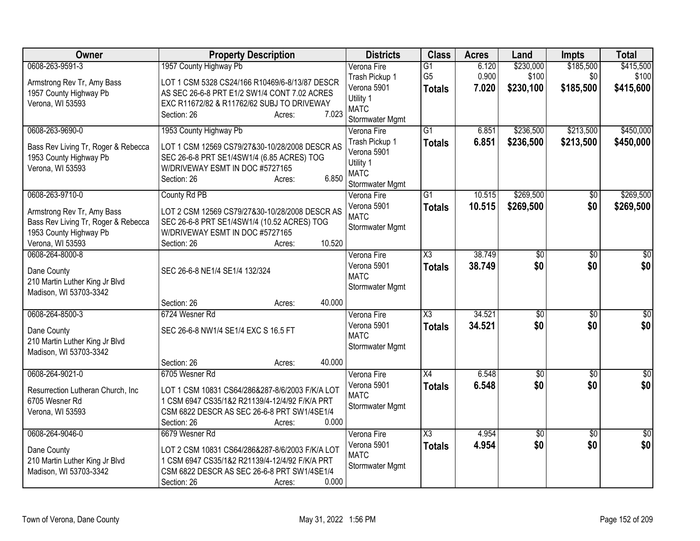| Owner                                                                                                           | <b>Property Description</b>                                                                                                                                                        | <b>Districts</b>                                                             | <b>Class</b>                                       | <b>Acres</b>            | Land                            | <b>Impts</b>                  | <b>Total</b>                    |
|-----------------------------------------------------------------------------------------------------------------|------------------------------------------------------------------------------------------------------------------------------------------------------------------------------------|------------------------------------------------------------------------------|----------------------------------------------------|-------------------------|---------------------------------|-------------------------------|---------------------------------|
| 0608-263-9591-3<br>Armstrong Rev Tr, Amy Bass<br>1957 County Highway Pb<br>Verona, WI 53593                     | 1957 County Highway Pb<br>LOT 1 CSM 5328 CS24/166 R10469/6-8/13/87 DESCR<br>AS SEC 26-6-8 PRT E1/2 SW1/4 CONT 7.02 ACRES<br>EXC R11672/82 & R11762/62 SUBJ TO DRIVEWAY             | Verona Fire<br>Trash Pickup 1<br>Verona 5901<br>Utility 1                    | $\overline{G1}$<br>G <sub>5</sub><br><b>Totals</b> | 6.120<br>0.900<br>7.020 | \$230,000<br>\$100<br>\$230,100 | \$185,500<br>\$0<br>\$185,500 | \$415,500<br>\$100<br>\$415,600 |
|                                                                                                                 | 7.023<br>Section: 26<br>Acres:                                                                                                                                                     | <b>MATC</b><br>Stormwater Mgmt                                               |                                                    |                         |                                 |                               |                                 |
| 0608-263-9690-0                                                                                                 | 1953 County Highway Pb                                                                                                                                                             | Verona Fire                                                                  | $\overline{G1}$                                    | 6.851                   | \$236,500                       | \$213,500                     | \$450,000                       |
| Bass Rev Living Tr, Roger & Rebecca<br>1953 County Highway Pb<br>Verona, WI 53593                               | LOT 1 CSM 12569 CS79/27&30-10/28/2008 DESCR AS<br>SEC 26-6-8 PRT SE1/4SW1/4 (6.85 ACRES) TOG<br>W/DRIVEWAY ESMT IN DOC #5727165<br>6.850<br>Section: 26<br>Acres:                  | Trash Pickup 1<br>Verona 5901<br>Utility 1<br><b>MATC</b><br>Stormwater Mgmt | <b>Totals</b>                                      | 6.851                   | \$236,500                       | \$213,500                     | \$450,000                       |
| 0608-263-9710-0                                                                                                 | County Rd PB                                                                                                                                                                       | Verona Fire                                                                  | $\overline{G1}$                                    | 10.515                  | \$269,500                       | \$0                           | \$269,500                       |
| Armstrong Rev Tr, Amy Bass<br>Bass Rev Living Tr, Roger & Rebecca<br>1953 County Highway Pb<br>Verona, WI 53593 | LOT 2 CSM 12569 CS79/27&30-10/28/2008 DESCR AS<br>SEC 26-6-8 PRT SE1/4SW1/4 (10.52 ACRES) TOG<br>W/DRIVEWAY ESMT IN DOC #5727165<br>10.520<br>Section: 26                          | Verona 5901<br><b>MATC</b><br>Stormwater Mgmt                                | <b>Totals</b>                                      | 10.515                  | \$269,500                       | \$0                           | \$269,500                       |
| 0608-264-8000-8                                                                                                 | Acres:                                                                                                                                                                             | Verona Fire                                                                  | $\overline{\text{X3}}$                             | 38.749                  | \$0                             | \$0                           | $\overline{\$0}$                |
| Dane County<br>210 Martin Luther King Jr Blvd<br>Madison, WI 53703-3342                                         | SEC 26-6-8 NE1/4 SE1/4 132/324                                                                                                                                                     | Verona 5901<br><b>MATC</b><br>Stormwater Mgmt                                | <b>Totals</b>                                      | 38.749                  | \$0                             | \$0                           | \$0                             |
|                                                                                                                 | 40.000<br>Section: 26<br>Acres:                                                                                                                                                    |                                                                              |                                                    |                         |                                 |                               |                                 |
| 0608-264-8500-3                                                                                                 | 6724 Wesner Rd                                                                                                                                                                     | Verona Fire                                                                  | $\overline{\chi_3}$                                | 34.521                  | $\sqrt{$0}$                     | \$0                           | $\frac{1}{6}$                   |
| Dane County<br>210 Martin Luther King Jr Blvd<br>Madison, WI 53703-3342                                         | SEC 26-6-8 NW1/4 SE1/4 EXC S 16.5 FT                                                                                                                                               | Verona 5901<br><b>MATC</b><br>Stormwater Mgmt                                | <b>Totals</b>                                      | 34.521                  | \$0                             | \$0                           | \$0                             |
|                                                                                                                 | 40.000<br>Section: 26<br>Acres:                                                                                                                                                    |                                                                              |                                                    |                         |                                 |                               |                                 |
| 0608-264-9021-0                                                                                                 | 6705 Wesner Rd                                                                                                                                                                     | Verona Fire                                                                  | $\overline{X4}$                                    | 6.548                   | $\overline{50}$                 | $\overline{50}$               | $\overline{50}$                 |
| Resurrection Lutheran Church, Inc<br>6705 Wesner Rd<br>Verona, WI 53593                                         | LOT 1 CSM 10831 CS64/286&287-8/6/2003 F/K/A LOT<br>1 CSM 6947 CS35/1&2 R21139/4-12/4/92 F/K/A PRT<br>CSM 6822 DESCR AS SEC 26-6-8 PRT SW1/4SE1/4<br>0.000<br>Section: 26<br>Acres: | Verona 5901<br><b>MATC</b><br>Stormwater Mgmt                                | <b>Totals</b>                                      | 6.548                   | \$0                             | \$0                           | \$0                             |
| 0608-264-9046-0                                                                                                 | 6679 Wesner Rd                                                                                                                                                                     | Verona Fire                                                                  | $\overline{\text{X3}}$                             | 4.954                   | $\overline{50}$                 | $\overline{50}$               | $\overline{50}$                 |
| Dane County<br>210 Martin Luther King Jr Blvd<br>Madison, WI 53703-3342                                         | LOT 2 CSM 10831 CS64/286&287-8/6/2003 F/K/A LOT<br>1 CSM 6947 CS35/1&2 R21139/4-12/4/92 F/K/A PRT<br>CSM 6822 DESCR AS SEC 26-6-8 PRT SW1/4SE1/4<br>0.000<br>Section: 26<br>Acres: | Verona 5901<br><b>MATC</b><br>Stormwater Mgmt                                | <b>Totals</b>                                      | 4.954                   | \$0                             | \$0                           | \$0                             |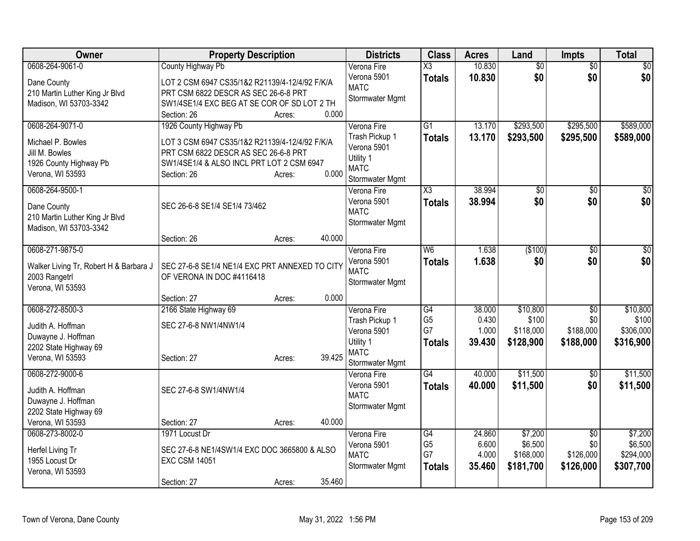| Owner                                     | <b>Property Description</b>                    |        |        | <b>Districts</b>               | <b>Class</b>         | <b>Acres</b>    | Land                 | <b>Impts</b>           | <b>Total</b>         |
|-------------------------------------------|------------------------------------------------|--------|--------|--------------------------------|----------------------|-----------------|----------------------|------------------------|----------------------|
| 0608-264-9061-0                           | County Highway Pb                              |        |        | Verona Fire                    | X3                   | 10.830          | $\overline{50}$      | $\overline{50}$        | $\overline{\$0}$     |
| Dane County                               | LOT 2 CSM 6947 CS35/1&2 R21139/4-12/4/92 F/K/A |        |        | Verona 5901<br><b>MATC</b>     | <b>Totals</b>        | 10.830          | \$0                  | \$0                    | \$0                  |
| 210 Martin Luther King Jr Blvd            | PRT CSM 6822 DESCR AS SEC 26-6-8 PRT           |        |        | Stormwater Mgmt                |                      |                 |                      |                        |                      |
| Madison, WI 53703-3342                    | SW1/4SE1/4 EXC BEG AT SE COR OF SD LOT 2 TH    |        |        |                                |                      |                 |                      |                        |                      |
|                                           | Section: 26                                    | Acres: | 0.000  |                                |                      |                 |                      |                        |                      |
| 0608-264-9071-0                           | 1926 County Highway Pb                         |        |        | Verona Fire                    | $\overline{G1}$      | 13.170          | \$293,500            | \$295,500              | \$589,000            |
| Michael P. Bowles                         | LOT 3 CSM 6947 CS35/1&2 R21139/4-12/4/92 F/K/A |        |        | Trash Pickup 1<br>Verona 5901  | <b>Totals</b>        | 13.170          | \$293,500            | \$295,500              | \$589,000            |
| Jill M. Bowles                            | PRT CSM 6822 DESCR AS SEC 26-6-8 PRT           |        |        | Utility 1                      |                      |                 |                      |                        |                      |
| 1926 County Highway Pb                    | SW1/4SE1/4 & ALSO INCL PRT LOT 2 CSM 6947      |        | 0.000  | <b>MATC</b>                    |                      |                 |                      |                        |                      |
| Verona, WI 53593                          | Section: 26                                    | Acres: |        | Stormwater Mgmt                |                      |                 |                      |                        |                      |
| 0608-264-9500-1                           |                                                |        |        | Verona Fire                    | X3                   | 38.994          | $\overline{50}$      | $\overline{30}$        | $\sqrt{50}$          |
| Dane County                               | SEC 26-6-8 SE1/4 SE1/4 73/462                  |        |        | Verona 5901                    | <b>Totals</b>        | 38.994          | \$0                  | \$0                    | \$0                  |
| 210 Martin Luther King Jr Blvd            |                                                |        |        | <b>MATC</b>                    |                      |                 |                      |                        |                      |
| Madison, WI 53703-3342                    |                                                |        |        | Stormwater Mgmt                |                      |                 |                      |                        |                      |
|                                           | Section: 26                                    | Acres: | 40.000 |                                |                      |                 |                      |                        |                      |
| 0608-271-9875-0                           |                                                |        |        | Verona Fire                    | W <sub>6</sub>       | 1.638           | (\$100)              | $\overline{50}$        | \$0                  |
| Walker Living Tr, Robert H & Barbara J    | SEC 27-6-8 SE1/4 NE1/4 EXC PRT ANNEXED TO CITY |        |        | Verona 5901<br><b>MATC</b>     | <b>Totals</b>        | 1.638           | \$0                  | \$0                    | \$0                  |
| 2003 Rangetrl                             | OF VERONA IN DOC #4116418                      |        |        | <b>Stormwater Mgmt</b>         |                      |                 |                      |                        |                      |
| Verona, WI 53593                          |                                                |        |        |                                |                      |                 |                      |                        |                      |
|                                           | Section: 27                                    | Acres: | 0.000  |                                |                      |                 |                      |                        |                      |
| 0608-272-8500-3                           | 2166 State Highway 69                          |        |        | Verona Fire<br>Trash Pickup 1  | G4<br>G <sub>5</sub> | 38.000<br>0.430 | \$10,800<br>\$100    | $\overline{50}$<br>\$0 | \$10,800<br>\$100    |
| Judith A. Hoffman                         | SEC 27-6-8 NW1/4NW1/4                          |        |        | Verona 5901                    | G7                   | 1.000           | \$118,000            | \$188,000              | \$306,000            |
| Duwayne J. Hoffman                        |                                                |        |        | Utility 1                      | <b>Totals</b>        | 39.430          | \$128,900            | \$188,000              | \$316,900            |
| 2202 State Highway 69<br>Verona, WI 53593 |                                                |        | 39.425 | <b>MATC</b>                    |                      |                 |                      |                        |                      |
|                                           | Section: 27                                    | Acres: |        | Stormwater Mgmt                |                      |                 |                      |                        |                      |
| 0608-272-9000-6                           |                                                |        |        | Verona Fire                    | G4                   | 40.000          | \$11,500             | \$0                    | \$11,500             |
| Judith A. Hoffman                         | SEC 27-6-8 SW1/4NW1/4                          |        |        | Verona 5901                    | <b>Totals</b>        | 40.000          | \$11,500             | \$0                    | \$11,500             |
| Duwayne J. Hoffman                        |                                                |        |        | <b>MATC</b><br>Stormwater Mgmt |                      |                 |                      |                        |                      |
| 2202 State Highway 69                     |                                                |        |        |                                |                      |                 |                      |                        |                      |
| Verona, WI 53593                          | Section: 27                                    | Acres: | 40.000 |                                |                      |                 |                      |                        |                      |
| 0608-273-8002-0                           | 1971 Locust Dr                                 |        |        | Verona Fire                    | G4                   | 24.860          | \$7,200              | $\overline{60}$        | \$7,200              |
| Herfel Living Tr                          | SEC 27-6-8 NE1/4SW1/4 EXC DOC 3665800 & ALSO   |        |        | Verona 5901<br><b>MATC</b>     | G <sub>5</sub><br>G7 | 6.600<br>4.000  | \$6,500<br>\$168,000 | \$0<br>\$126,000       | \$6,500<br>\$294,000 |
| 1955 Locust Dr                            | <b>EXC CSM 14051</b>                           |        |        | Stormwater Mgmt                | <b>Totals</b>        | 35.460          | \$181,700            | \$126,000              | \$307,700            |
| Verona, WI 53593                          |                                                |        |        |                                |                      |                 |                      |                        |                      |
|                                           | Section: 27                                    | Acres: | 35.460 |                                |                      |                 |                      |                        |                      |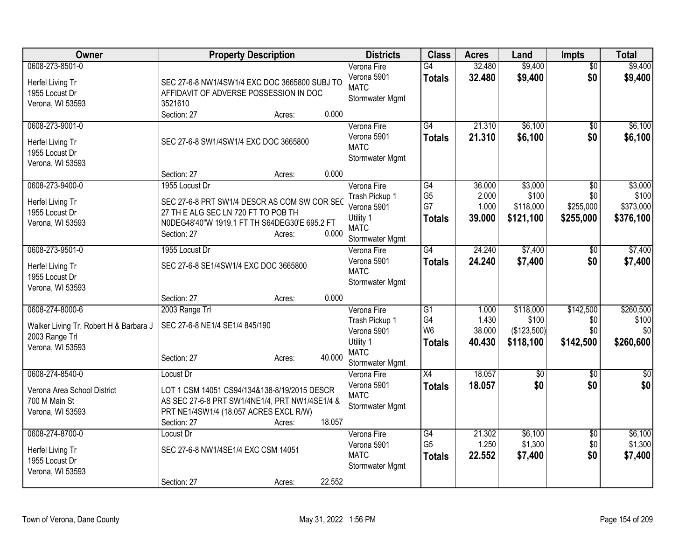| <b>Owner</b>                                                                                    | <b>Property Description</b>                                                                                                                                                                                                | <b>Districts</b>                                                                            | <b>Class</b>                                             | <b>Acres</b>                       | Land                                           | <b>Impts</b>                                     | <b>Total</b>                               |
|-------------------------------------------------------------------------------------------------|----------------------------------------------------------------------------------------------------------------------------------------------------------------------------------------------------------------------------|---------------------------------------------------------------------------------------------|----------------------------------------------------------|------------------------------------|------------------------------------------------|--------------------------------------------------|--------------------------------------------|
| 0608-273-8501-0<br>Herfel Living Tr<br>1955 Locust Dr<br>Verona, WI 53593                       | SEC 27-6-8 NW1/4SW1/4 EXC DOC 3665800 SUBJ TO<br>AFFIDAVIT OF ADVERSE POSSESSION IN DOC<br>3521610<br>0.000<br>Section: 27<br>Acres:                                                                                       | Verona Fire<br>Verona 5901<br><b>MATC</b><br>Stormwater Mgmt                                | $\overline{G4}$<br><b>Totals</b>                         | 32.480<br>32.480                   | \$9,400<br>\$9,400                             | $\overline{50}$<br>\$0                           | \$9,400<br>\$9,400                         |
| 0608-273-9001-0<br>Herfel Living Tr<br>1955 Locust Dr<br>Verona, WI 53593                       | SEC 27-6-8 SW1/4SW1/4 EXC DOC 3665800                                                                                                                                                                                      | Verona Fire<br>Verona 5901<br><b>MATC</b><br>Stormwater Mgmt                                | $\overline{G4}$<br><b>Totals</b>                         | 21.310<br>21.310                   | \$6,100<br>\$6,100                             | \$0<br>\$0                                       | \$6,100<br>\$6,100                         |
| 0608-273-9400-0<br>Herfel Living Tr<br>1955 Locust Dr<br>Verona, WI 53593                       | 0.000<br>Section: 27<br>Acres:<br>1955 Locust Dr<br>SEC 27-6-8 PRT SW1/4 DESCR AS COM SW COR SEO<br>27 TH E ALG SEC LN 720 FT TO POB TH<br>N0DEG48'40"W 1919.1 FT TH S64DEG30'E 695.2 FT<br>0.000<br>Section: 27<br>Acres: | Verona Fire<br>Trash Pickup 1<br>Verona 5901<br>Utility 1<br><b>MATC</b><br>Stormwater Mgmt | $\overline{G4}$<br>G <sub>5</sub><br>G7<br><b>Totals</b> | 36.000<br>2.000<br>1.000<br>39.000 | \$3,000<br>\$100<br>\$118,000<br>\$121,100     | $\overline{50}$<br>\$0<br>\$255,000<br>\$255,000 | \$3,000<br>\$100<br>\$373,000<br>\$376,100 |
| 0608-273-9501-0<br>Herfel Living Tr<br>1955 Locust Dr<br>Verona, WI 53593                       | 1955 Locust Dr<br>SEC 27-6-8 SE1/4SW1/4 EXC DOC 3665800                                                                                                                                                                    | Verona Fire<br>Verona 5901<br><b>MATC</b><br>Stormwater Mgmt                                | G4<br><b>Totals</b>                                      | 24.240<br>24.240                   | \$7,400<br>\$7,400                             | $\overline{50}$<br>\$0                           | \$7,400<br>\$7,400                         |
| 0608-274-8000-6<br>Walker Living Tr, Robert H & Barbara J<br>2003 Range Trl<br>Verona, WI 53593 | 0.000<br>Section: 27<br>Acres:<br>2003 Range Trl<br>SEC 27-6-8 NE1/4 SE1/4 845/190<br>40.000<br>Section: 27<br>Acres:                                                                                                      | Verona Fire<br>Trash Pickup 1<br>Verona 5901<br>Utility 1<br><b>MATC</b><br>Stormwater Mgmt | $\overline{G1}$<br>G4<br>W <sub>6</sub><br><b>Totals</b> | 1.000<br>1.430<br>38.000<br>40.430 | \$118,000<br>\$100<br>(\$123,500)<br>\$118,100 | \$142,500<br>\$0<br>\$0<br>\$142,500             | \$260,500<br>\$100<br>\$0<br>\$260,600     |
| 0608-274-8540-0<br>Verona Area School District<br>700 M Main St<br>Verona, WI 53593             | Locust Dr<br>LOT 1 CSM 14051 CS94/134&138-8/19/2015 DESCR<br>AS SEC 27-6-8 PRT SW1/4NE1/4, PRT NW1/4SE1/4 &<br>PRT NE1/4SW1/4 (18.057 ACRES EXCL R/W)<br>18.057<br>Section: 27<br>Acres:                                   | Verona Fire<br>Verona 5901<br><b>MATC</b><br>Stormwater Mgmt                                | $\overline{X4}$<br><b>Totals</b>                         | 18.057<br>18.057                   | $\sqrt{6}$<br>\$0                              | $\overline{30}$<br>\$0                           | $\overline{50}$<br>\$0                     |
| 0608-274-8700-0<br>Herfel Living Tr<br>1955 Locust Dr<br>Verona, WI 53593                       | Locust Dr<br>SEC 27-6-8 NW1/4SE1/4 EXC CSM 14051<br>22.552<br>Section: 27<br>Acres:                                                                                                                                        | Verona Fire<br>Verona 5901<br><b>MATC</b><br>Stormwater Mgmt                                | G4<br>G <sub>5</sub><br><b>Totals</b>                    | 21.302<br>1.250<br>22.552          | \$6,100<br>\$1,300<br>\$7,400                  | $\overline{30}$<br>\$0<br>\$0                    | \$6,100<br>\$1,300<br>\$7,400              |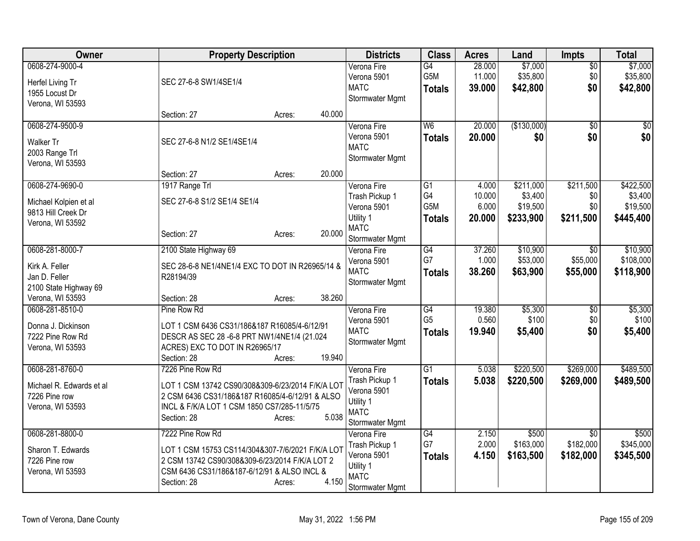| Owner                                                                            | <b>Property Description</b>                                                                                                                                                                     |        | <b>Districts</b>                                                                            | <b>Class</b>                          | <b>Acres</b>               | Land                             | Impts                                     | <b>Total</b>                       |
|----------------------------------------------------------------------------------|-------------------------------------------------------------------------------------------------------------------------------------------------------------------------------------------------|--------|---------------------------------------------------------------------------------------------|---------------------------------------|----------------------------|----------------------------------|-------------------------------------------|------------------------------------|
| 0608-274-9000-4<br>Herfel Living Tr<br>1955 Locust Dr<br>Verona, WI 53593        | SEC 27-6-8 SW1/4SE1/4                                                                                                                                                                           |        | Verona Fire<br>Verona 5901<br><b>MATC</b><br>Stormwater Mgmt                                | G4<br>G5M<br><b>Totals</b>            | 28.000<br>11.000<br>39.000 | \$7,000<br>\$35,800<br>\$42,800  | $\overline{50}$<br>\$0<br>\$0             | \$7,000<br>\$35,800<br>\$42,800    |
|                                                                                  | Section: 27<br>Acres:                                                                                                                                                                           | 40.000 |                                                                                             |                                       |                            |                                  |                                           |                                    |
| 0608-274-9500-9<br>Walker Tr<br>2003 Range Trl<br>Verona, WI 53593               | SEC 27-6-8 N1/2 SE1/4SE1/4                                                                                                                                                                      | 20.000 | Verona Fire<br>Verona 5901<br><b>MATC</b><br>Stormwater Mgmt                                | W <sub>6</sub><br><b>Totals</b>       | 20.000<br>20.000           | (\$130,000)<br>\$0               | $\overline{50}$<br>\$0                    | \$0<br>\$0                         |
| 0608-274-9690-0                                                                  | Section: 27<br>Acres:<br>1917 Range Trl                                                                                                                                                         |        | Verona Fire                                                                                 | $\overline{G1}$                       | 4.000                      | \$211,000                        | \$211,500                                 | \$422,500                          |
| Michael Kolpien et al<br>9813 Hill Creek Dr<br>Verona, WI 53592                  | SEC 27-6-8 S1/2 SE1/4 SE1/4<br>Section: 27<br>Acres:                                                                                                                                            | 20,000 | Trash Pickup 1<br>Verona 5901<br>Utility 1<br><b>MATC</b><br>Stormwater Mgmt                | G4<br>G5M<br><b>Totals</b>            | 10.000<br>6.000<br>20.000  | \$3,400<br>\$19,500<br>\$233,900 | \$0<br>\$0<br>\$211,500                   | \$3,400<br>\$19,500<br>\$445,400   |
| 0608-281-8000-7<br>Kirk A. Feller<br>Jan D. Feller<br>2100 State Highway 69      | 2100 State Highway 69<br>SEC 28-6-8 NE1/4NE1/4 EXC TO DOT IN R26965/14 &<br>R28194/39                                                                                                           |        | Verona Fire<br>Verona 5901<br><b>MATC</b><br>Stormwater Mgmt                                | G4<br>G7<br><b>Totals</b>             | 37.260<br>1.000<br>38.260  | \$10,900<br>\$53,000<br>\$63,900 | $\overline{50}$<br>\$55,000<br>\$55,000   | \$10,900<br>\$108,000<br>\$118,900 |
| Verona, WI 53593                                                                 | Section: 28<br>Acres:                                                                                                                                                                           | 38.260 |                                                                                             |                                       |                            |                                  |                                           |                                    |
| 0608-281-8510-0<br>Donna J. Dickinson<br>7222 Pine Row Rd<br>Verona, WI 53593    | Pine Row Rd<br>LOT 1 CSM 6436 CS31/186&187 R16085/4-6/12/91<br>DESCR AS SEC 28 -6-8 PRT NW1/4NE1/4 (21.024<br>ACRES) EXC TO DOT IN R26965/17<br>Section: 28<br>Acres:                           | 19.940 | Verona Fire<br>Verona 5901<br><b>MATC</b><br>Stormwater Mgmt                                | G4<br>G <sub>5</sub><br><b>Totals</b> | 19.380<br>0.560<br>19.940  | \$5,300<br>\$100<br>\$5,400      | $\overline{50}$<br>\$0<br>\$0             | \$5,300<br>\$100<br>\$5,400        |
| 0608-281-8760-0<br>Michael R. Edwards et al<br>7226 Pine row<br>Verona, WI 53593 | 7226 Pine Row Rd<br>LOT 1 CSM 13742 CS90/308&309-6/23/2014 F/K/A LOT<br>2 CSM 6436 CS31/186&187 R16085/4-6/12/91 & ALSO<br>INCL & F/K/A LOT 1 CSM 1850 CS7/285-11/5/75<br>Section: 28<br>Acres: | 5.038  | Verona Fire<br>Trash Pickup 1<br>Verona 5901<br>Utility 1<br><b>MATC</b><br>Stormwater Mgmt | G1<br><b>Totals</b>                   | 5.038<br>5.038             | \$220,500<br>\$220,500           | \$269,000<br>\$269,000                    | \$489,500<br>\$489,500             |
| 0608-281-8800-0<br>Sharon T. Edwards<br>7226 Pine row<br>Verona, WI 53593        | 7222 Pine Row Rd<br>LOT 1 CSM 15753 CS114/304&307-7/6/2021 F/K/A LOT<br>2 CSM 13742 CS90/308&309-6/23/2014 F/K/A LOT 2<br>CSM 6436 CS31/186&187-6/12/91 & ALSO INCL &<br>Section: 28<br>Acres:  | 4.150  | Verona Fire<br>Trash Pickup 1<br>Verona 5901<br>Utility 1<br><b>MATC</b><br>Stormwater Mgmt | G4<br>G7<br><b>Totals</b>             | 2.150<br>2.000<br>4.150    | \$500<br>\$163,000<br>\$163,500  | $\overline{50}$<br>\$182,000<br>\$182,000 | \$500<br>\$345,000<br>\$345,500    |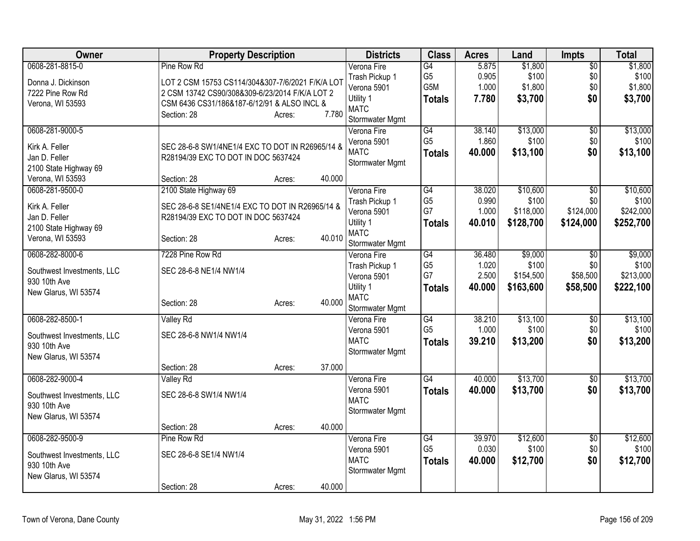| Owner                                                                                           | <b>Property Description</b>                                                                                                                                                     |        |        | <b>Districts</b>                                                                            | <b>Class</b>                                              | <b>Acres</b>                       | Land                                        | <b>Impts</b>                                     | <b>Total</b>                                |
|-------------------------------------------------------------------------------------------------|---------------------------------------------------------------------------------------------------------------------------------------------------------------------------------|--------|--------|---------------------------------------------------------------------------------------------|-----------------------------------------------------------|------------------------------------|---------------------------------------------|--------------------------------------------------|---------------------------------------------|
| 0608-281-8815-0<br>Donna J. Dickinson<br>7222 Pine Row Rd<br>Verona, WI 53593                   | Pine Row Rd<br>LOT 2 CSM 15753 CS114/304&307-7/6/2021 F/K/A LOT<br>2 CSM 13742 CS90/308&309-6/23/2014 F/K/A LOT 2<br>CSM 6436 CS31/186&187-6/12/91 & ALSO INCL &<br>Section: 28 | Acres: | 7.780  | Verona Fire<br>Trash Pickup 1<br>Verona 5901<br>Utility 1<br><b>MATC</b><br>Stormwater Mgmt | G4<br>G <sub>5</sub><br>G <sub>5</sub> M<br><b>Totals</b> | 5.875<br>0.905<br>1.000<br>7.780   | \$1,800<br>\$100<br>\$1,800<br>\$3,700      | $\overline{50}$<br>\$0<br>\$0<br>\$0             | \$1,800<br>\$100<br>\$1,800<br>\$3,700      |
| 0608-281-9000-5<br>Kirk A. Feller<br>Jan D. Feller<br>2100 State Highway 69<br>Verona, WI 53593 | SEC 28-6-8 SW1/4NE1/4 EXC TO DOT IN R26965/14 &<br>R28194/39 EXC TO DOT IN DOC 5637424<br>Section: 28                                                                           | Acres: | 40.000 | Verona Fire<br>Verona 5901<br><b>MATC</b><br>Stormwater Mgmt                                | $\overline{G4}$<br>G <sub>5</sub><br><b>Totals</b>        | 38.140<br>1.860<br>40.000          | \$13,000<br>\$100<br>\$13,100               | $\sqrt{6}$<br>\$0<br>\$0                         | \$13,000<br>\$100<br>\$13,100               |
| 0608-281-9500-0<br>Kirk A. Feller<br>Jan D. Feller<br>2100 State Highway 69<br>Verona, WI 53593 | 2100 State Highway 69<br>SEC 28-6-8 SE1/4NE1/4 EXC TO DOT IN R26965/14 &<br>R28194/39 EXC TO DOT IN DOC 5637424<br>Section: 28                                                  | Acres: | 40.010 | Verona Fire<br>Trash Pickup 1<br>Verona 5901<br>Utility 1<br><b>MATC</b><br>Stormwater Mgmt | $\overline{G4}$<br>G <sub>5</sub><br>G7<br><b>Totals</b>  | 38.020<br>0.990<br>1.000<br>40.010 | \$10,600<br>\$100<br>\$118,000<br>\$128,700 | $\overline{30}$<br>\$0<br>\$124,000<br>\$124,000 | \$10,600<br>\$100<br>\$242,000<br>\$252,700 |
| 0608-282-8000-6<br>Southwest Investments, LLC<br>930 10th Ave<br>New Glarus, WI 53574           | 7228 Pine Row Rd<br>SEC 28-6-8 NE1/4 NW1/4<br>Section: 28                                                                                                                       | Acres: | 40.000 | Verona Fire<br>Trash Pickup 1<br>Verona 5901<br>Utility 1<br><b>MATC</b><br>Stormwater Mgmt | $\overline{G4}$<br>G <sub>5</sub><br>G7<br><b>Totals</b>  | 36.480<br>1.020<br>2.500<br>40.000 | \$9,000<br>\$100<br>\$154,500<br>\$163,600  | $\overline{30}$<br>\$0<br>\$58,500<br>\$58,500   | \$9,000<br>\$100<br>\$213,000<br>\$222,100  |
| 0608-282-8500-1<br>Southwest Investments, LLC<br>930 10th Ave<br>New Glarus, WI 53574           | <b>Valley Rd</b><br>SEC 28-6-8 NW1/4 NW1/4<br>Section: 28                                                                                                                       | Acres: | 37.000 | Verona Fire<br>Verona 5901<br><b>MATC</b><br>Stormwater Mgmt                                | G4<br>G <sub>5</sub><br><b>Totals</b>                     | 38.210<br>1.000<br>39.210          | \$13,100<br>\$100<br>\$13,200               | $\overline{50}$<br>\$0<br>\$0                    | \$13,100<br>\$100<br>\$13,200               |
| 0608-282-9000-4<br>Southwest Investments, LLC<br>930 10th Ave<br>New Glarus, WI 53574           | <b>Valley Rd</b><br>SEC 28-6-8 SW1/4 NW1/4<br>Section: 28                                                                                                                       | Acres: | 40.000 | Verona Fire<br>Verona 5901<br><b>MATC</b><br>Stormwater Mgmt                                | $\overline{G4}$<br><b>Totals</b>                          | 40.000<br>40.000                   | \$13,700<br>\$13,700                        | \$0<br>\$0                                       | \$13,700<br>\$13,700                        |
| 0608-282-9500-9<br>Southwest Investments, LLC<br>930 10th Ave<br>New Glarus, WI 53574           | Pine Row Rd<br>SEC 28-6-8 SE1/4 NW1/4<br>Section: 28                                                                                                                            | Acres: | 40.000 | Verona Fire<br>Verona 5901<br><b>MATC</b><br>Stormwater Mgmt                                | $\overline{G4}$<br>G <sub>5</sub><br><b>Totals</b>        | 39.970<br>0.030<br>40.000          | \$12,600<br>\$100<br>\$12,700               | \$0<br>\$0<br>\$0                                | \$12,600<br>\$100<br>\$12,700               |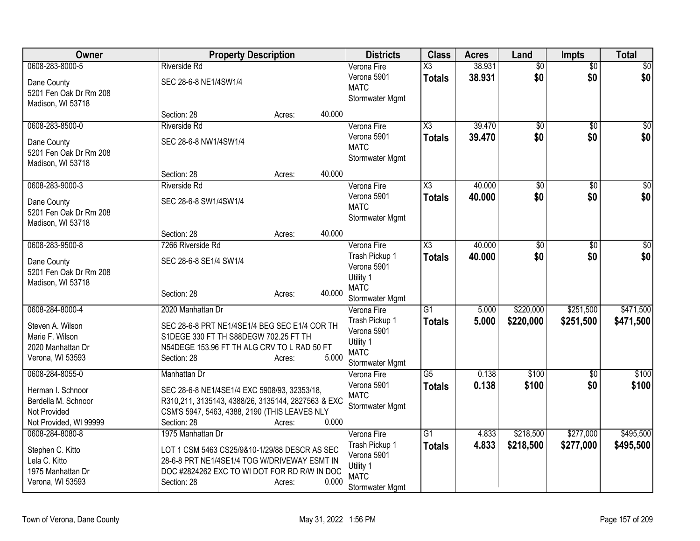| Owner                                                                                         | <b>Property Description</b>                                                                                                                                                       |                  | <b>Districts</b>                                                                            | <b>Class</b>                            | <b>Acres</b>     | Land                   | Impts                  | <b>Total</b>           |
|-----------------------------------------------------------------------------------------------|-----------------------------------------------------------------------------------------------------------------------------------------------------------------------------------|------------------|---------------------------------------------------------------------------------------------|-----------------------------------------|------------------|------------------------|------------------------|------------------------|
| 0608-283-8000-5<br>Dane County<br>5201 Fen Oak Dr Rm 208<br>Madison, WI 53718                 | <b>Riverside Rd</b><br>SEC 28-6-8 NE1/4SW1/4                                                                                                                                      |                  | Verona Fire<br>Verona 5901<br><b>MATC</b><br>Stormwater Mgmt                                | $\overline{\text{X3}}$<br><b>Totals</b> | 38.931<br>38.931 | $\overline{50}$<br>\$0 | $\overline{50}$<br>\$0 | $\sqrt{50}$<br>\$0     |
|                                                                                               | Section: 28                                                                                                                                                                       | 40.000<br>Acres: |                                                                                             |                                         |                  |                        |                        |                        |
| 0608-283-8500-0<br>Dane County<br>5201 Fen Oak Dr Rm 208<br>Madison, WI 53718                 | Riverside Rd<br>SEC 28-6-8 NW1/4SW1/4<br>Section: 28                                                                                                                              | 40.000<br>Acres: | Verona Fire<br>Verona 5901<br><b>MATC</b><br>Stormwater Mgmt                                | $\overline{\text{X3}}$<br><b>Totals</b> | 39.470<br>39.470 | $\overline{50}$<br>\$0 | \$0<br>\$0             | $\sqrt{50}$<br>\$0     |
| 0608-283-9000-3                                                                               | <b>Riverside Rd</b>                                                                                                                                                               |                  | Verona Fire                                                                                 | X3                                      | 40.000           | \$0                    | \$0                    | $\sqrt{50}$            |
| Dane County<br>5201 Fen Oak Dr Rm 208<br>Madison, WI 53718                                    | SEC 28-6-8 SW1/4SW1/4                                                                                                                                                             |                  | Verona 5901<br><b>MATC</b><br>Stormwater Mgmt                                               | <b>Totals</b>                           | 40.000           | \$0                    | \$0                    | \$0                    |
|                                                                                               | Section: 28                                                                                                                                                                       | 40.000<br>Acres: |                                                                                             |                                         |                  |                        |                        |                        |
| 0608-283-9500-8<br>Dane County<br>5201 Fen Oak Dr Rm 208<br>Madison, WI 53718                 | 7266 Riverside Rd<br>SEC 28-6-8 SE1/4 SW1/4<br>Section: 28                                                                                                                        | 40.000<br>Acres: | Verona Fire<br>Trash Pickup 1<br>Verona 5901<br>Utility 1<br><b>MATC</b><br>Stormwater Mgmt | $\overline{\text{X3}}$<br><b>Totals</b> | 40.000<br>40.000 | $\overline{50}$<br>\$0 | \$0<br>\$0             | $\sqrt{50}$<br>\$0     |
| 0608-284-8000-4                                                                               | 2020 Manhattan Dr                                                                                                                                                                 |                  | Verona Fire                                                                                 | G1                                      | 5.000            | \$220,000              | \$251,500              | \$471,500              |
| Steven A. Wilson<br>Marie F. Wilson<br>2020 Manhattan Dr<br>Verona, WI 53593                  | SEC 28-6-8 PRT NE1/4SE1/4 BEG SEC E1/4 COR TH<br>S1DEGE 330 FT TH S88DEGW 702.25 FT TH<br>N54DEGE 153.96 FT TH ALG CRV TO L RAD 50 FT<br>Section: 28                              | 5.000<br>Acres:  | Trash Pickup 1<br>Verona 5901<br>Utility 1<br><b>MATC</b><br>Stormwater Mgmt                | <b>Totals</b>                           | 5.000            | \$220,000              | \$251,500              | \$471,500              |
| 0608-284-8055-0                                                                               | Manhattan Dr                                                                                                                                                                      |                  | Verona Fire                                                                                 | $\overline{G5}$                         | 0.138            | \$100                  | $\overline{50}$        | \$100                  |
| Herman I. Schnoor<br>Berdella M. Schnoor<br>Not Provided<br>Not Provided, WI 99999            | SEC 28-6-8 NE1/4SE1/4 EXC 5908/93, 32353/18,<br>R310,211, 3135143, 4388/26, 3135144, 2827563 & EXC<br>CSM'S 5947, 5463, 4388, 2190 (THIS LEAVES NLY<br>Section: 28                | 0.000<br>Acres:  | Verona 5901<br><b>MATC</b><br>Stormwater Mgmt                                               | <b>Totals</b>                           | 0.138            | \$100                  | \$0                    | \$100                  |
| 0608-284-8080-8<br>Stephen C. Kitto<br>Lela C. Kitto<br>1975 Manhattan Dr<br>Verona, WI 53593 | 1975 Manhattan Dr<br>LOT 1 CSM 5463 CS25/9&10-1/29/88 DESCR AS SEC<br>28-6-8 PRT NE1/4SE1/4 TOG W/DRIVEWAY ESMT IN<br>DOC #2824262 EXC TO WI DOT FOR RD R/W IN DOC<br>Section: 28 | 0.000<br>Acres:  | Verona Fire<br>Trash Pickup 1<br>Verona 5901<br>Utility 1<br><b>MATC</b><br>Stormwater Mgmt | $\overline{G1}$<br><b>Totals</b>        | 4.833<br>4.833   | \$218,500<br>\$218,500 | \$277,000<br>\$277,000 | \$495,500<br>\$495,500 |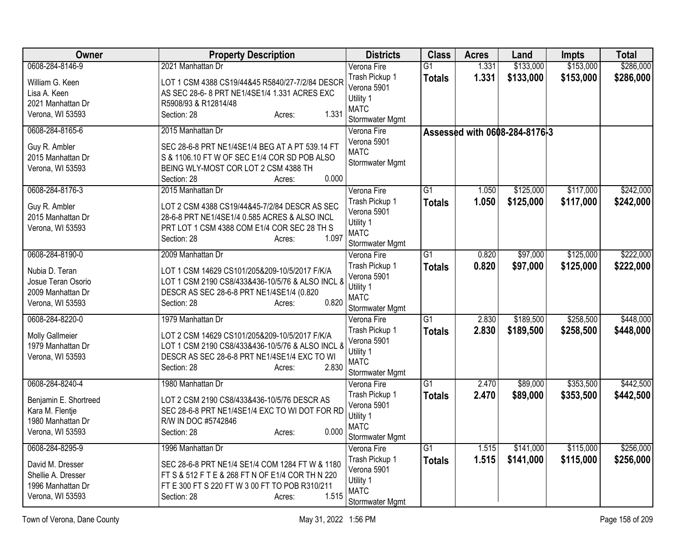| Owner                  | <b>Property Description</b>                      | <b>Districts</b>               | <b>Class</b>    | <b>Acres</b> | Land                          | Impts     | <b>Total</b> |
|------------------------|--------------------------------------------------|--------------------------------|-----------------|--------------|-------------------------------|-----------|--------------|
| 0608-284-8146-9        | 2021 Manhattan Dr                                | Verona Fire                    | $\overline{G1}$ | 1.331        | \$133,000                     | \$153,000 | \$286,000    |
| William G. Keen        | LOT 1 CSM 4388 CS19/44&45 R5840/27-7/2/84 DESCR  | Trash Pickup 1                 | <b>Totals</b>   | 1.331        | \$133,000                     | \$153,000 | \$286,000    |
| Lisa A. Keen           | AS SEC 28-6-8 PRT NE1/4SE1/4 1.331 ACRES EXC     | Verona 5901                    |                 |              |                               |           |              |
| 2021 Manhattan Dr      | R5908/93 & R12814/48                             | Utility 1                      |                 |              |                               |           |              |
| Verona, WI 53593       | 1.331<br>Section: 28<br>Acres:                   | <b>MATC</b><br>Stormwater Mgmt |                 |              |                               |           |              |
| 0608-284-8165-6        | 2015 Manhattan Dr                                | Verona Fire                    |                 |              |                               |           |              |
|                        |                                                  | Verona 5901                    |                 |              | Assessed with 0608-284-8176-3 |           |              |
| Guy R. Ambler          | SEC 28-6-8 PRT NE1/4SE1/4 BEG AT A PT 539.14 FT  | <b>MATC</b>                    |                 |              |                               |           |              |
| 2015 Manhattan Dr      | S & 1106.10 FT W OF SEC E1/4 COR SD POB ALSO     | Stormwater Mgmt                |                 |              |                               |           |              |
| Verona, WI 53593       | BEING WLY-MOST COR LOT 2 CSM 4388 TH             |                                |                 |              |                               |           |              |
|                        | 0.000<br>Section: 28<br>Acres:                   |                                |                 |              |                               |           |              |
| 0608-284-8176-3        | 2015 Manhattan Dr                                | Verona Fire                    | $\overline{G1}$ | 1.050        | \$125,000                     | \$117,000 | \$242,000    |
| Guy R. Ambler          | LOT 2 CSM 4388 CS19/44&45-7/2/84 DESCR AS SEC    | Trash Pickup 1                 | <b>Totals</b>   | 1.050        | \$125,000                     | \$117,000 | \$242,000    |
| 2015 Manhattan Dr      | 28-6-8 PRT NE1/4SE1/4 0.585 ACRES & ALSO INCL    | Verona 5901                    |                 |              |                               |           |              |
| Verona, WI 53593       | PRT LOT 1 CSM 4388 COM E1/4 COR SEC 28 TH S      | Utility 1<br><b>MATC</b>       |                 |              |                               |           |              |
|                        | 1.097<br>Section: 28<br>Acres:                   | Stormwater Mgmt                |                 |              |                               |           |              |
| 0608-284-8190-0        | 2009 Manhattan Dr                                | Verona Fire                    | $\overline{G1}$ | 0.820        | \$97,000                      | \$125,000 | \$222,000    |
|                        |                                                  | Trash Pickup 1                 | <b>Totals</b>   | 0.820        | \$97,000                      | \$125,000 | \$222,000    |
| Nubia D. Teran         | LOT 1 CSM 14629 CS101/205&209-10/5/2017 F/K/A    | Verona 5901                    |                 |              |                               |           |              |
| Josue Teran Osorio     | LOT 1 CSM 2190 CS8/433&436-10/5/76 & ALSO INCL & | Utility 1                      |                 |              |                               |           |              |
| 2009 Manhattan Dr      | DESCR AS SEC 28-6-8 PRT NE1/4SE1/4 (0.820        | <b>MATC</b>                    |                 |              |                               |           |              |
| Verona, WI 53593       | 0.820<br>Section: 28<br>Acres:                   | Stormwater Mgmt                |                 |              |                               |           |              |
| 0608-284-8220-0        | 1979 Manhattan Dr                                | Verona Fire                    | $\overline{G1}$ | 2.830        | \$189,500                     | \$258,500 | \$448,000    |
| <b>Molly Gallmeier</b> | LOT 2 CSM 14629 CS101/205&209-10/5/2017 F/K/A    | Trash Pickup 1                 | <b>Totals</b>   | 2.830        | \$189,500                     | \$258,500 | \$448,000    |
| 1979 Manhattan Dr      | LOT 1 CSM 2190 CS8/433&436-10/5/76 & ALSO INCL & | Verona 5901                    |                 |              |                               |           |              |
| Verona, WI 53593       | DESCR AS SEC 28-6-8 PRT NE1/4SE1/4 EXC TO WI     | Utility 1                      |                 |              |                               |           |              |
|                        | 2.830<br>Section: 28<br>Acres:                   | <b>MATC</b>                    |                 |              |                               |           |              |
|                        |                                                  | Stormwater Mgmt                |                 |              |                               |           |              |
| 0608-284-8240-4        | 1980 Manhattan Dr                                | Verona Fire                    | $\overline{G1}$ | 2.470        | \$89,000                      | \$353,500 | \$442,500    |
| Benjamin E. Shortreed  | LOT 2 CSM 2190 CS8/433&436-10/5/76 DESCR AS      | Trash Pickup 1                 | <b>Totals</b>   | 2.470        | \$89,000                      | \$353,500 | \$442,500    |
| Kara M. Flentje        | SEC 28-6-8 PRT NE1/4SE1/4 EXC TO WI DOT FOR RD   | Verona 5901                    |                 |              |                               |           |              |
| 1980 Manhattan Dr      | R/W IN DOC #5742846                              | Utility 1<br><b>MATC</b>       |                 |              |                               |           |              |
| Verona, WI 53593       | 0.000<br>Section: 28<br>Acres:                   | Stormwater Mgmt                |                 |              |                               |           |              |
| 0608-284-8295-9        | 1996 Manhattan Dr                                | Verona Fire                    | $\overline{G1}$ | 1.515        | \$141,000                     | \$115,000 | \$256,000    |
|                        |                                                  | Trash Pickup 1                 | <b>Totals</b>   | 1.515        | \$141,000                     | \$115,000 | \$256,000    |
| David M. Dresser       | SEC 28-6-8 PRT NE1/4 SE1/4 COM 1284 FT W & 1180  | Verona 5901                    |                 |              |                               |           |              |
| Shellie A. Dresser     | FT S & 512 F T E & 268 FT N OF E1/4 COR TH N 220 | Utility 1                      |                 |              |                               |           |              |
| 1996 Manhattan Dr      | FT E 300 FT S 220 FT W 3 00 FT TO POB R310/211   | <b>MATC</b>                    |                 |              |                               |           |              |
| Verona, WI 53593       | 1.515<br>Section: 28<br>Acres:                   | Stormwater Mgmt                |                 |              |                               |           |              |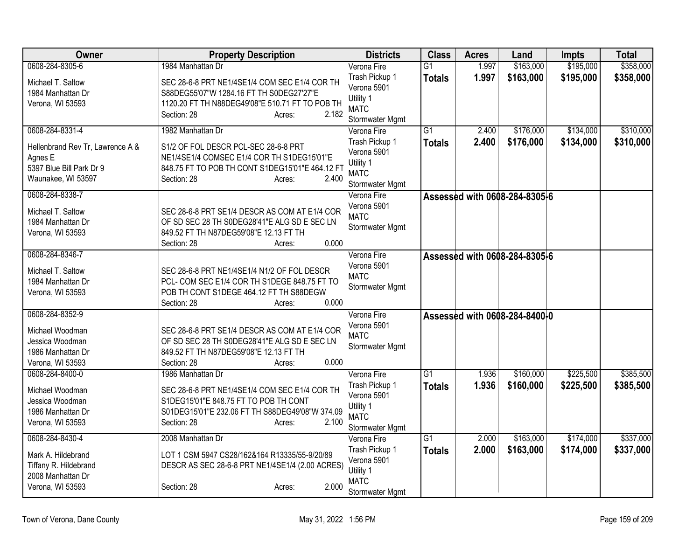| Owner                                                                                         | <b>Property Description</b>                                                                                                                                                    | <b>Districts</b>                                                             | <b>Class</b>    | <b>Acres</b> | Land                          | <b>Impts</b> | <b>Total</b> |
|-----------------------------------------------------------------------------------------------|--------------------------------------------------------------------------------------------------------------------------------------------------------------------------------|------------------------------------------------------------------------------|-----------------|--------------|-------------------------------|--------------|--------------|
| 0608-284-8305-6                                                                               | 1984 Manhattan Dr                                                                                                                                                              | Verona Fire                                                                  | G1              | 1.997        | \$163,000                     | \$195,000    | \$358,000    |
| Michael T. Saltow<br>1984 Manhattan Dr<br>Verona, WI 53593                                    | SEC 28-6-8 PRT NE1/4SE1/4 COM SEC E1/4 COR TH<br>S88DEG55'07"W 1284.16 FT TH S0DEG27'27"E<br>1120.20 FT TH N88DEG49'08"E 510.71 FT TO POB TH<br>2.182<br>Section: 28<br>Acres: | Trash Pickup 1<br>Verona 5901<br>Utility 1<br><b>MATC</b><br>Stormwater Mgmt | <b>Totals</b>   | 1.997        | \$163,000                     | \$195,000    | \$358,000    |
| 0608-284-8331-4                                                                               | 1982 Manhattan Dr                                                                                                                                                              | Verona Fire                                                                  | $\overline{G1}$ | 2.400        | \$176,000                     | \$134,000    | \$310,000    |
| Hellenbrand Rev Tr, Lawrence A &<br>Agnes E<br>5397 Blue Bill Park Dr 9<br>Waunakee, WI 53597 | S1/2 OF FOL DESCR PCL-SEC 28-6-8 PRT<br>NE1/4SE1/4 COMSEC E1/4 COR TH S1DEG15'01"E<br>848.75 FT TO POB TH CONT S1DEG15'01"E 464.12 FT<br>2.400<br>Section: 28<br>Acres:        | Trash Pickup 1<br>Verona 5901<br>Utility 1<br><b>MATC</b><br>Stormwater Mgmt | <b>Totals</b>   | 2.400        | \$176,000                     | \$134,000    | \$310,000    |
| 0608-284-8338-7                                                                               |                                                                                                                                                                                | Verona Fire                                                                  |                 |              | Assessed with 0608-284-8305-6 |              |              |
| Michael T. Saltow<br>1984 Manhattan Dr<br>Verona, WI 53593                                    | SEC 28-6-8 PRT SE1/4 DESCR AS COM AT E1/4 COR<br>OF SD SEC 28 TH S0DEG28'41"E ALG SD E SEC LN<br>849.52 FT TH N87DEG59'08"E 12.13 FT TH<br>0.000<br>Section: 28<br>Acres:      | Verona 5901<br><b>MATC</b><br>Stormwater Mgmt                                |                 |              |                               |              |              |
| 0608-284-8346-7                                                                               |                                                                                                                                                                                | Verona Fire                                                                  |                 |              | Assessed with 0608-284-8305-6 |              |              |
| Michael T. Saltow<br>1984 Manhattan Dr<br>Verona, WI 53593                                    | SEC 28-6-8 PRT NE1/4SE1/4 N1/2 OF FOL DESCR<br>PCL- COM SEC E1/4 COR TH S1DEGE 848.75 FT TO<br>POB TH CONT S1DEGE 464.12 FT TH S88DEGW<br>0.000<br>Section: 28<br>Acres:       | Verona 5901<br><b>MATC</b><br>Stormwater Mgmt                                |                 |              |                               |              |              |
| 0608-284-8352-9                                                                               |                                                                                                                                                                                | Verona Fire                                                                  |                 |              | Assessed with 0608-284-8400-0 |              |              |
| Michael Woodman<br>Jessica Woodman<br>1986 Manhattan Dr<br>Verona, WI 53593                   | SEC 28-6-8 PRT SE1/4 DESCR AS COM AT E1/4 COR<br>OF SD SEC 28 TH S0DEG28'41"E ALG SD E SEC LN<br>849.52 FT TH N87DEG59'08"E 12.13 FT TH<br>0.000<br>Section: 28<br>Acres:      | Verona 5901<br><b>MATC</b><br>Stormwater Mgmt                                |                 |              |                               |              |              |
| 0608-284-8400-0                                                                               | 1986 Manhattan Dr                                                                                                                                                              | Verona Fire                                                                  | $\overline{G1}$ | 1.936        | \$160,000                     | \$225,500    | \$385,500    |
| Michael Woodman<br>Jessica Woodman<br>1986 Manhattan Dr<br>Verona, WI 53593                   | SEC 28-6-8 PRT NE1/4SE1/4 COM SEC E1/4 COR TH<br>S1DEG15'01"E 848.75 FT TO POB TH CONT<br>S01DEG15'01"E 232.06 FT TH S88DEG49'08"W 374.09<br>Section: 28<br>2.100<br>Acres:    | Trash Pickup 1<br>Verona 5901<br>Utility 1<br><b>MATC</b><br>Stormwater Mgmt | <b>Totals</b>   | 1.936        | \$160,000                     | \$225,500    | \$385,500    |
| 0608-284-8430-4                                                                               | 2008 Manhattan Dr                                                                                                                                                              | Verona Fire                                                                  | $\overline{G1}$ | 2.000        | \$163,000                     | \$174,000    | \$337,000    |
| Mark A. Hildebrand<br>Tiffany R. Hildebrand<br>2008 Manhattan Dr                              | LOT 1 CSM 5947 CS28/162&164 R13335/55-9/20/89<br>DESCR AS SEC 28-6-8 PRT NE1/4SE1/4 (2.00 ACRES)                                                                               | Trash Pickup 1<br>Verona 5901<br>Utility 1<br><b>MATC</b>                    | <b>Totals</b>   | 2.000        | \$163,000                     | \$174,000    | \$337,000    |
| Verona, WI 53593                                                                              | 2.000<br>Section: 28<br>Acres:                                                                                                                                                 | Stormwater Mgmt                                                              |                 |              |                               |              |              |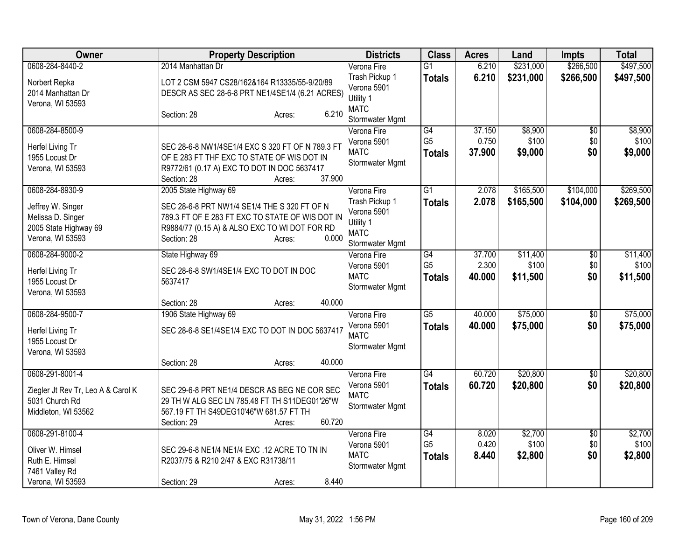| <b>Owner</b>                                                                        | <b>Property Description</b>                                                                                                                                     |                  | <b>Districts</b>                                                             | <b>Class</b>                    | <b>Acres</b>    | Land              | Impts           | <b>Total</b>      |
|-------------------------------------------------------------------------------------|-----------------------------------------------------------------------------------------------------------------------------------------------------------------|------------------|------------------------------------------------------------------------------|---------------------------------|-----------------|-------------------|-----------------|-------------------|
| 0608-284-8440-2                                                                     | 2014 Manhattan Dr                                                                                                                                               |                  | Verona Fire                                                                  | $\overline{G1}$                 | 6.210           | \$231,000         | \$266,500       | \$497,500         |
| Norbert Repka<br>2014 Manhattan Dr<br>Verona, WI 53593                              | LOT 2 CSM 5947 CS28/162&164 R13335/55-9/20/89<br>DESCR AS SEC 28-6-8 PRT NE1/4SE1/4 (6.21 ACRES)                                                                |                  | Trash Pickup 1<br>Verona 5901<br>Utility 1                                   | <b>Totals</b>                   | 6.210           | \$231,000         | \$266,500       | \$497,500         |
|                                                                                     | Section: 28                                                                                                                                                     | 6.210<br>Acres:  | <b>MATC</b><br>Stormwater Mgmt                                               |                                 |                 |                   |                 |                   |
| 0608-284-8500-9                                                                     |                                                                                                                                                                 |                  | Verona Fire                                                                  | $\overline{G4}$                 | 37.150          | \$8,900           | $\sqrt{6}$      | \$8,900           |
| Herfel Living Tr<br>1955 Locust Dr<br>Verona, WI 53593                              | SEC 28-6-8 NW1/4SE1/4 EXC S 320 FT OF N 789.3 FT<br>OF E 283 FT THF EXC TO STATE OF WIS DOT IN<br>R9772/61 (0.17 A) EXC TO DOT IN DOC 5637417<br>Section: 28    | 37.900<br>Acres: | Verona 5901<br><b>MATC</b><br>Stormwater Mgmt                                | G <sub>5</sub><br><b>Totals</b> | 0.750<br>37.900 | \$100<br>\$9,000  | \$0<br>\$0      | \$100<br>\$9,000  |
| 0608-284-8930-9                                                                     | 2005 State Highway 69                                                                                                                                           |                  | Verona Fire                                                                  | $\overline{G1}$                 | 2.078           | \$165,500         | \$104,000       | \$269,500         |
| Jeffrey W. Singer<br>Melissa D. Singer<br>2005 State Highway 69<br>Verona, WI 53593 | SEC 28-6-8 PRT NW1/4 SE1/4 THE S 320 FT OF N<br>789.3 FT OF E 283 FT EXC TO STATE OF WIS DOT IN<br>R9884/77 (0.15 A) & ALSO EXC TO WI DOT FOR RD<br>Section: 28 | 0.000<br>Acres:  | Trash Pickup 1<br>Verona 5901<br>Utility 1<br><b>MATC</b><br>Stormwater Mgmt | <b>Totals</b>                   | 2.078           | \$165,500         | \$104,000       | \$269,500         |
| 0608-284-9000-2                                                                     | State Highway 69                                                                                                                                                |                  | Verona Fire                                                                  | $\overline{G4}$                 | 37.700          | \$11,400          | $\overline{50}$ | \$11,400          |
| Herfel Living Tr<br>1955 Locust Dr<br>Verona, WI 53593                              | SEC 28-6-8 SW1/4SE1/4 EXC TO DOT IN DOC<br>5637417                                                                                                              |                  | Verona 5901<br><b>MATC</b><br>Stormwater Mgmt                                | G <sub>5</sub><br><b>Totals</b> | 2.300<br>40.000 | \$100<br>\$11,500 | \$0<br>\$0      | \$100<br>\$11,500 |
|                                                                                     | Section: 28                                                                                                                                                     | 40.000<br>Acres: |                                                                              |                                 |                 |                   |                 |                   |
| 0608-284-9500-7                                                                     | 1906 State Highway 69                                                                                                                                           |                  | Verona Fire                                                                  | $\overline{G5}$                 | 40.000          | \$75,000          | $\sqrt{6}$      | \$75,000          |
| Herfel Living Tr<br>1955 Locust Dr<br>Verona, WI 53593                              | SEC 28-6-8 SE1/4SE1/4 EXC TO DOT IN DOC 5637417                                                                                                                 |                  | Verona 5901<br><b>MATC</b><br>Stormwater Mgmt                                | <b>Totals</b>                   | 40.000          | \$75,000          | \$0             | \$75,000          |
|                                                                                     | Section: 28                                                                                                                                                     | 40.000<br>Acres: |                                                                              |                                 |                 |                   |                 |                   |
| 0608-291-8001-4                                                                     |                                                                                                                                                                 |                  | Verona Fire                                                                  | $\overline{G4}$                 | 60.720          | \$20,800          | \$0             | \$20,800          |
| Ziegler Jt Rev Tr, Leo A & Carol K<br>5031 Church Rd<br>Middleton, WI 53562         | SEC 29-6-8 PRT NE1/4 DESCR AS BEG NE COR SEC<br>29 TH W ALG SEC LN 785.48 FT TH S11DEG01'26"W<br>567.19 FT TH S49DEG10'46"W 681.57 FT TH<br>Section: 29         | 60.720<br>Acres: | Verona 5901<br><b>MATC</b><br>Stormwater Mgmt                                | <b>Totals</b>                   | 60.720          | \$20,800          | \$0             | \$20,800          |
| 0608-291-8100-4                                                                     |                                                                                                                                                                 |                  | Verona Fire                                                                  | G4                              | 8.020           | \$2,700           | $\overline{30}$ | \$2,700           |
| Oliver W. Himsel                                                                    | SEC 29-6-8 NE1/4 NE1/4 EXC .12 ACRE TO TN IN                                                                                                                    |                  | Verona 5901<br><b>MATC</b>                                                   | G <sub>5</sub><br><b>Totals</b> | 0.420<br>8.440  | \$100<br>\$2,800  | \$0<br>\$0      | \$100<br>\$2,800  |
| Ruth E. Himsel                                                                      | R2037/75 & R210 2/47 & EXC R31738/11                                                                                                                            |                  | Stormwater Mgmt                                                              |                                 |                 |                   |                 |                   |
| 7461 Valley Rd<br>Verona, WI 53593                                                  |                                                                                                                                                                 | 8.440            |                                                                              |                                 |                 |                   |                 |                   |
|                                                                                     | Section: 29                                                                                                                                                     | Acres:           |                                                                              |                                 |                 |                   |                 |                   |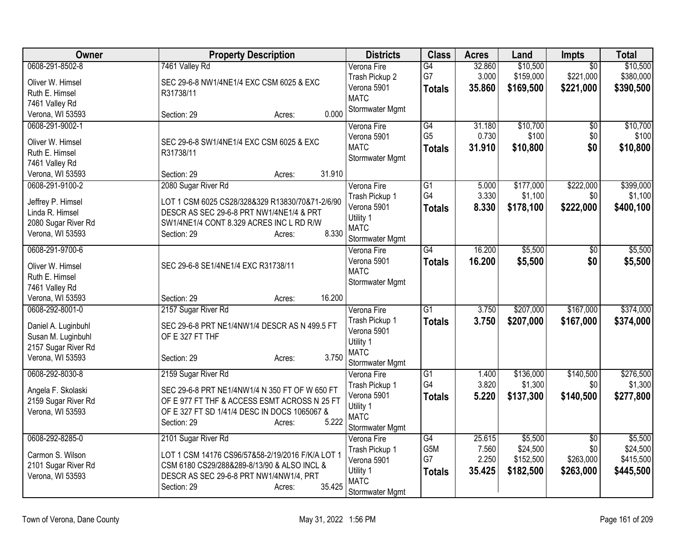| <b>Owner</b>        | <b>Property Description</b>                      | <b>Districts</b>           | <b>Class</b>    | <b>Acres</b> | Land      | Impts           | <b>Total</b> |
|---------------------|--------------------------------------------------|----------------------------|-----------------|--------------|-----------|-----------------|--------------|
| 0608-291-8502-8     | 7461 Valley Rd                                   | Verona Fire                | G4              | 32.860       | \$10,500  | $\overline{50}$ | \$10,500     |
| Oliver W. Himsel    | SEC 29-6-8 NW1/4NE1/4 EXC CSM 6025 & EXC         | Trash Pickup 2             | G7              | 3.000        | \$159,000 | \$221,000       | \$380,000    |
| Ruth E. Himsel      | R31738/11                                        | Verona 5901                | <b>Totals</b>   | 35.860       | \$169,500 | \$221,000       | \$390,500    |
| 7461 Valley Rd      |                                                  | <b>MATC</b>                |                 |              |           |                 |              |
| Verona, WI 53593    | 0.000<br>Section: 29<br>Acres:                   | Stormwater Mgmt            |                 |              |           |                 |              |
| 0608-291-9002-1     |                                                  | Verona Fire                | G4              | 31.180       | \$10,700  | $\overline{50}$ | \$10,700     |
| Oliver W. Himsel    | SEC 29-6-8 SW1/4NE1/4 EXC CSM 6025 & EXC         | Verona 5901                | G <sub>5</sub>  | 0.730        | \$100     | \$0             | \$100        |
| Ruth E. Himsel      | R31738/11                                        | <b>MATC</b>                | <b>Totals</b>   | 31.910       | \$10,800  | \$0             | \$10,800     |
| 7461 Valley Rd      |                                                  | Stormwater Mgmt            |                 |              |           |                 |              |
| Verona, WI 53593    | 31.910<br>Section: 29<br>Acres:                  |                            |                 |              |           |                 |              |
| 0608-291-9100-2     | 2080 Sugar River Rd                              | Verona Fire                | $\overline{G1}$ | 5.000        | \$177,000 | \$222,000       | \$399,000    |
| Jeffrey P. Himsel   | LOT 1 CSM 6025 CS28/328&329 R13830/70&71-2/6/90  | Trash Pickup 1             | G4              | 3.330        | \$1,100   | \$0             | \$1,100      |
| Linda R. Himsel     | DESCR AS SEC 29-6-8 PRT NW1/4NE1/4 & PRT         | Verona 5901                | <b>Totals</b>   | 8.330        | \$178,100 | \$222,000       | \$400,100    |
| 2080 Sugar River Rd | SW1/4NE1/4 CONT 8.329 ACRES INC L RD R/W         | Utility 1                  |                 |              |           |                 |              |
| Verona, WI 53593    | 8.330<br>Section: 29<br>Acres:                   | <b>MATC</b>                |                 |              |           |                 |              |
|                     |                                                  | Stormwater Mgmt            |                 |              |           |                 |              |
| 0608-291-9700-6     |                                                  | Verona Fire                | $\overline{G4}$ | 16.200       | \$5,500   | $\overline{50}$ | \$5,500      |
| Oliver W. Himsel    | SEC 29-6-8 SE1/4NE1/4 EXC R31738/11              | Verona 5901<br><b>MATC</b> | <b>Totals</b>   | 16.200       | \$5,500   | \$0             | \$5,500      |
| Ruth E. Himsel      |                                                  | Stormwater Mgmt            |                 |              |           |                 |              |
| 7461 Valley Rd      |                                                  |                            |                 |              |           |                 |              |
| Verona, WI 53593    | 16.200<br>Section: 29<br>Acres:                  |                            |                 |              |           |                 |              |
| 0608-292-8001-0     | 2157 Sugar River Rd                              | Verona Fire                | $\overline{G1}$ | 3.750        | \$207,000 | \$167,000       | \$374,000    |
| Daniel A. Luginbuhl | SEC 29-6-8 PRT NE1/4NW1/4 DESCR AS N 499.5 FT    | Trash Pickup 1             | <b>Totals</b>   | 3.750        | \$207,000 | \$167,000       | \$374,000    |
| Susan M. Luginbuhl  | OF E 327 FT THF                                  | Verona 5901                |                 |              |           |                 |              |
| 2157 Sugar River Rd |                                                  | Utility 1<br><b>MATC</b>   |                 |              |           |                 |              |
| Verona, WI 53593    | 3.750<br>Section: 29<br>Acres:                   | Stormwater Mgmt            |                 |              |           |                 |              |
| 0608-292-8030-8     | 2159 Sugar River Rd                              | Verona Fire                | $\overline{G1}$ | 1.400        | \$136,000 | \$140,500       | \$276,500    |
|                     |                                                  | Trash Pickup 1             | G4              | 3.820        | \$1,300   | \$0             | \$1,300      |
| Angela F. Skolaski  | SEC 29-6-8 PRT NE1/4NW1/4 N 350 FT OF W 650 FT   | Verona 5901                | <b>Totals</b>   | 5.220        | \$137,300 | \$140,500       | \$277,800    |
| 2159 Sugar River Rd | OF E 977 FT THF & ACCESS ESMT ACROSS N 25 FT     | Utility 1                  |                 |              |           |                 |              |
| Verona, WI 53593    | OF E 327 FT SD 1/41/4 DESC IN DOCS 1065067 &     | <b>MATC</b>                |                 |              |           |                 |              |
|                     | Section: 29<br>5.222<br>Acres:                   | Stormwater Mgmt            |                 |              |           |                 |              |
| 0608-292-8285-0     | 2101 Sugar River Rd                              | Verona Fire                | G4              | 25.615       | \$5,500   | $\overline{50}$ | \$5,500      |
| Carmon S. Wilson    | LOT 1 CSM 14176 CS96/57&58-2/19/2016 F/K/A LOT 1 | Trash Pickup 1             | G5M             | 7.560        | \$24,500  | \$0             | \$24,500     |
| 2101 Sugar River Rd | CSM 6180 CS29/288&289-8/13/90 & ALSO INCL &      | Verona 5901                | G7              | 2.250        | \$152,500 | \$263,000       | \$415,500    |
| Verona, WI 53593    | DESCR AS SEC 29-6-8 PRT NW1/4NW1/4, PRT          | Utility 1                  | <b>Totals</b>   | 35.425       | \$182,500 | \$263,000       | \$445,500    |
|                     | 35.425<br>Section: 29<br>Acres:                  | <b>MATC</b>                |                 |              |           |                 |              |
|                     |                                                  | Stormwater Mgmt            |                 |              |           |                 |              |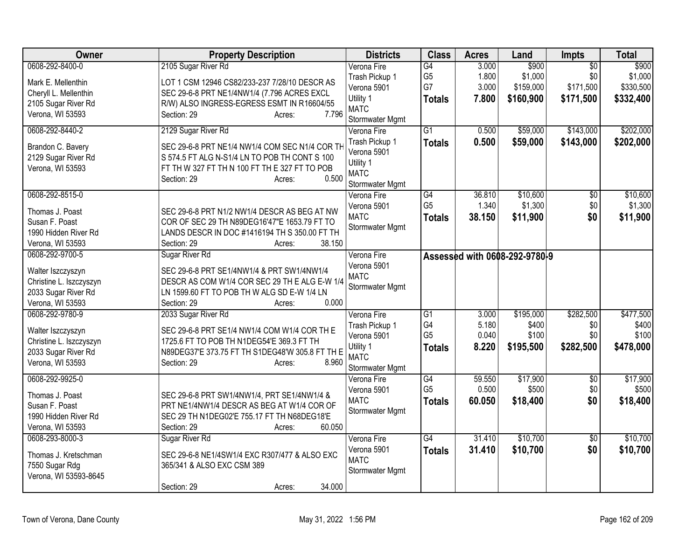| Owner                                   | <b>Property Description</b>                                          | <b>Districts</b>              | <b>Class</b>                      | <b>Acres</b>   | Land                          | Impts                  | <b>Total</b>     |
|-----------------------------------------|----------------------------------------------------------------------|-------------------------------|-----------------------------------|----------------|-------------------------------|------------------------|------------------|
| 0608-292-8400-0<br>Mark E. Mellenthin   | 2105 Sugar River Rd<br>LOT 1 CSM 12946 CS82/233-237 7/28/10 DESCR AS | Verona Fire<br>Trash Pickup 1 | G4<br>G <sub>5</sub>              | 3.000<br>1.800 | \$900<br>\$1,000              | $\overline{50}$<br>\$0 | \$900<br>\$1,000 |
| Cheryll L. Mellenthin                   | SEC 29-6-8 PRT NE1/4NW1/4 (7.796 ACRES EXCL                          | Verona 5901                   | G7                                | 3.000          | \$159,000                     | \$171,500              | \$330,500        |
| 2105 Sugar River Rd                     | R/W) ALSO INGRESS-EGRESS ESMT IN R16604/55                           | Utility 1                     | <b>Totals</b>                     | 7.800          | \$160,900                     | \$171,500              | \$332,400        |
| Verona, WI 53593                        | 7.796<br>Section: 29<br>Acres:                                       | <b>MATC</b>                   |                                   |                |                               |                        |                  |
|                                         |                                                                      | Stormwater Mgmt               |                                   |                |                               |                        |                  |
| 0608-292-8440-2                         | 2129 Sugar River Rd                                                  | Verona Fire                   | $\overline{G1}$                   | 0.500          | \$59,000                      | \$143,000              | \$202,000        |
| Brandon C. Bavery                       | SEC 29-6-8 PRT NE1/4 NW1/4 COM SEC N1/4 COR TH                       | Trash Pickup 1                | <b>Totals</b>                     | 0.500          | \$59,000                      | \$143,000              | \$202,000        |
| 2129 Sugar River Rd                     | S 574.5 FT ALG N-S1/4 LN TO POB TH CONT S 100                        | Verona 5901                   |                                   |                |                               |                        |                  |
| Verona, WI 53593                        | FT TH W 327 FT TH N 100 FT TH E 327 FT TO POB                        | Utility 1                     |                                   |                |                               |                        |                  |
|                                         | 0.500<br>Section: 29<br>Acres:                                       | <b>MATC</b>                   |                                   |                |                               |                        |                  |
|                                         |                                                                      | Stormwater Mgmt               |                                   |                |                               |                        |                  |
| 0608-292-8515-0                         |                                                                      | Verona Fire                   | $\overline{G4}$<br>G <sub>5</sub> | 36.810         | \$10,600                      | \$0                    | \$10,600         |
| Thomas J. Poast                         | SEC 29-6-8 PRT N1/2 NW1/4 DESCR AS BEG AT NW                         | Verona 5901                   |                                   | 1.340          | \$1,300                       | \$0                    | \$1,300          |
| Susan F. Poast                          | COR OF SEC 29 TH N89DEG16'47"E 1653.79 FT TO                         | <b>MATC</b>                   | Totals                            | 38.150         | \$11,900                      | \$0                    | \$11,900         |
| 1990 Hidden River Rd                    | LANDS DESCR IN DOC #1416194 TH S 350.00 FT TH                        | Stormwater Mgmt               |                                   |                |                               |                        |                  |
| Verona, WI 53593                        | 38.150<br>Section: 29<br>Acres:                                      |                               |                                   |                |                               |                        |                  |
| 0608-292-9700-5                         | Sugar River Rd                                                       | Verona Fire                   |                                   |                | Assessed with 0608-292-9780-9 |                        |                  |
|                                         | SEC 29-6-8 PRT SE1/4NW1/4 & PRT SW1/4NW1/4                           | Verona 5901                   |                                   |                |                               |                        |                  |
| Walter Iszczyszyn                       | DESCR AS COM W1/4 COR SEC 29 TH E ALG E-W 1/4                        | <b>MATC</b>                   |                                   |                |                               |                        |                  |
| Christine L. Iszczyszyn                 | LN 1599.60 FT TO POB TH W ALG SD E-W 1/4 LN                          | Stormwater Mgmt               |                                   |                |                               |                        |                  |
| 2033 Sugar River Rd<br>Verona, WI 53593 | 0.000<br>Section: 29                                                 |                               |                                   |                |                               |                        |                  |
| 0608-292-9780-9                         | Acres:                                                               | Verona Fire                   | $\overline{G1}$                   | 3.000          |                               | \$282,500              | \$477,500        |
|                                         | 2033 Sugar River Rd                                                  | Trash Pickup 1                | G4                                | 5.180          | \$195,000<br>\$400            | \$0                    | \$400            |
| Walter Iszczyszyn                       | SEC 29-6-8 PRT SE1/4 NW1/4 COM W1/4 COR TH E                         | Verona 5901                   | G <sub>5</sub>                    | 0.040          | \$100                         | \$0                    | \$100            |
| Christine L. Iszczyszyn                 | 1725.6 FT TO POB TH N1DEG54'E 369.3 FT TH                            | Utility 1                     |                                   | 8.220          |                               |                        |                  |
| 2033 Sugar River Rd                     | N89DEG37'E 373.75 FT TH S1DEG48'W 305.8 FT TH E                      | <b>MATC</b>                   | <b>Totals</b>                     |                | \$195,500                     | \$282,500              | \$478,000        |
| Verona, WI 53593                        | 8.960<br>Section: 29<br>Acres:                                       | Stormwater Mgmt               |                                   |                |                               |                        |                  |
| 0608-292-9925-0                         |                                                                      | Verona Fire                   | G4                                | 59.550         | \$17,900                      | $\overline{50}$        | \$17,900         |
|                                         |                                                                      | Verona 5901                   | G <sub>5</sub>                    | 0.500          | \$500                         | \$0                    | \$500            |
| Thomas J. Poast                         | SEC 29-6-8 PRT SW1/4NW1/4, PRT SE1/4NW1/4 &                          | <b>MATC</b>                   | <b>Totals</b>                     | 60.050         | \$18,400                      | \$0                    | \$18,400         |
| Susan F. Poast                          | PRT NE1/4NW1/4 DESCR AS BEG AT W1/4 COR OF                           | Stormwater Mgmt               |                                   |                |                               |                        |                  |
| 1990 Hidden River Rd                    | SEC 29 TH N1DEG02'E 755.17 FT TH N68DEG18'E                          |                               |                                   |                |                               |                        |                  |
| Verona, WI 53593                        | 60.050<br>Section: 29<br>Acres:                                      |                               |                                   |                |                               |                        |                  |
| 0608-293-8000-3                         | Sugar River Rd                                                       | Verona Fire                   | $\overline{G4}$                   | 31.410         | \$10,700                      | $\overline{50}$        | \$10,700         |
| Thomas J. Kretschman                    | SEC 29-6-8 NE1/4SW1/4 EXC R307/477 & ALSO EXC                        | Verona 5901                   | <b>Totals</b>                     | 31.410         | \$10,700                      | \$0                    | \$10,700         |
| 7550 Sugar Rdg                          | 365/341 & ALSO EXC CSM 389                                           | <b>MATC</b>                   |                                   |                |                               |                        |                  |
| Verona, WI 53593-8645                   |                                                                      | Stormwater Mgmt               |                                   |                |                               |                        |                  |
|                                         | 34.000<br>Section: 29<br>Acres:                                      |                               |                                   |                |                               |                        |                  |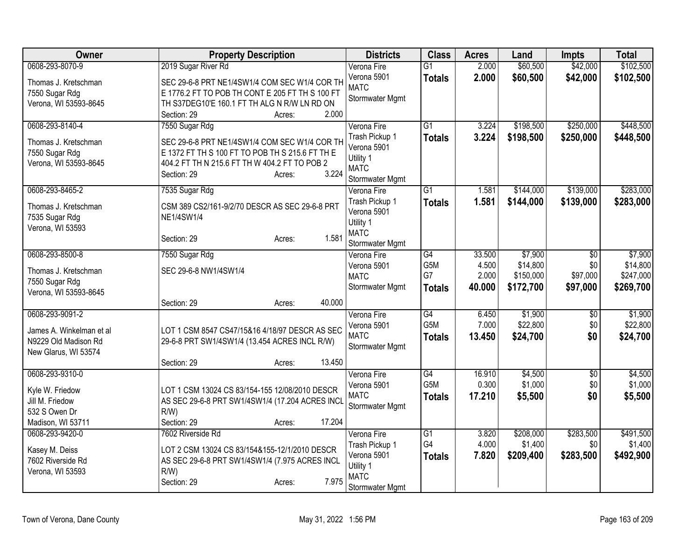| Owner                              | <b>Property Description</b>                     | <b>Districts</b>               | <b>Class</b>     | <b>Acres</b> | Land      | <b>Impts</b>    | <b>Total</b> |
|------------------------------------|-------------------------------------------------|--------------------------------|------------------|--------------|-----------|-----------------|--------------|
| 0608-293-8070-9                    | 2019 Sugar River Rd                             | Verona Fire                    | $\overline{G1}$  | 2.000        | \$60,500  | \$42,000        | \$102,500    |
| Thomas J. Kretschman               | SEC 29-6-8 PRT NE1/4SW1/4 COM SEC W1/4 COR TH   | Verona 5901                    | <b>Totals</b>    | 2.000        | \$60,500  | \$42,000        | \$102,500    |
| 7550 Sugar Rdg                     | E 1776.2 FT TO POB TH CONT E 205 FT TH S 100 FT | <b>MATC</b>                    |                  |              |           |                 |              |
| Verona, WI 53593-8645              | TH S37DEG10'E 160.1 FT TH ALG N R/W LN RD ON    | Stormwater Mgmt                |                  |              |           |                 |              |
|                                    | Section: 29<br>2.000<br>Acres:                  |                                |                  |              |           |                 |              |
| 0608-293-8140-4                    | 7550 Sugar Rdg                                  | Verona Fire                    | G1               | 3.224        | \$198,500 | \$250,000       | \$448,500    |
| Thomas J. Kretschman               | SEC 29-6-8 PRT NE1/4SW1/4 COM SEC W1/4 COR TH   | Trash Pickup 1                 | <b>Totals</b>    | 3.224        | \$198,500 | \$250,000       | \$448,500    |
| 7550 Sugar Rdg                     | E 1372 FT TH S 100 FT TO POB TH S 215.6 FT TH E | Verona 5901                    |                  |              |           |                 |              |
| Verona, WI 53593-8645              | 404.2 FT TH N 215.6 FT TH W 404.2 FT TO POB 2   | Utility 1<br><b>MATC</b>       |                  |              |           |                 |              |
|                                    | 3.224<br>Section: 29<br>Acres:                  | Stormwater Mgmt                |                  |              |           |                 |              |
| 0608-293-8465-2                    | 7535 Sugar Rdg                                  | Verona Fire                    | $\overline{G1}$  | 1.581        | \$144,000 | \$139,000       | \$283,000    |
|                                    |                                                 | Trash Pickup 1                 | <b>Totals</b>    | 1.581        | \$144,000 | \$139,000       | \$283,000    |
| Thomas J. Kretschman               | CSM 389 CS2/161-9/2/70 DESCR AS SEC 29-6-8 PRT  | Verona 5901                    |                  |              |           |                 |              |
| 7535 Sugar Rdg<br>Verona, WI 53593 | <b>NE1/4SW1/4</b>                               | Utility 1                      |                  |              |           |                 |              |
|                                    | 1.581<br>Section: 29<br>Acres:                  | <b>MATC</b>                    |                  |              |           |                 |              |
|                                    |                                                 | Stormwater Mgmt                |                  |              |           |                 |              |
| 0608-293-8500-8                    | 7550 Sugar Rdg                                  | Verona Fire                    | $\overline{G4}$  | 33.500       | \$7,900   | \$0             | \$7,900      |
| Thomas J. Kretschman               | SEC 29-6-8 NW1/4SW1/4                           | Verona 5901                    | G5M              | 4.500        | \$14,800  | \$0             | \$14,800     |
| 7550 Sugar Rdg                     |                                                 | <b>MATC</b><br>Stormwater Mgmt | G7               | 2.000        | \$150,000 | \$97,000        | \$247,000    |
| Verona, WI 53593-8645              |                                                 |                                | <b>Totals</b>    | 40.000       | \$172,700 | \$97,000        | \$269,700    |
|                                    | 40.000<br>Section: 29<br>Acres:                 |                                |                  |              |           |                 |              |
| 0608-293-9091-2                    |                                                 | Verona Fire                    | $\overline{G4}$  | 6.450        | \$1,900   | $\overline{60}$ | \$1,900      |
| James A. Winkelman et al           | LOT 1 CSM 8547 CS47/15&16 4/18/97 DESCR AS SEC  | Verona 5901                    | G <sub>5</sub> M | 7.000        | \$22,800  | \$0             | \$22,800     |
| N9229 Old Madison Rd               | 29-6-8 PRT SW1/4SW1/4 (13.454 ACRES INCL R/W)   | <b>MATC</b>                    | <b>Totals</b>    | 13.450       | \$24,700  | \$0             | \$24,700     |
| New Glarus, WI 53574               |                                                 | Stormwater Mgmt                |                  |              |           |                 |              |
|                                    | 13.450<br>Section: 29<br>Acres:                 |                                |                  |              |           |                 |              |
| 0608-293-9310-0                    |                                                 | Verona Fire                    | $\overline{G4}$  | 16.910       | \$4,500   | $\overline{50}$ | \$4,500      |
| Kyle W. Friedow                    | LOT 1 CSM 13024 CS 83/154-155 12/08/2010 DESCR  | Verona 5901                    | G <sub>5</sub> M | 0.300        | \$1,000   | \$0             | \$1,000      |
| Jill M. Friedow                    | AS SEC 29-6-8 PRT SW1/4SW1/4 (17.204 ACRES INCI | <b>MATC</b>                    | <b>Totals</b>    | 17.210       | \$5,500   | \$0             | \$5,500      |
| 532 S Owen Dr                      | $R/W$ )                                         | Stormwater Mgmt                |                  |              |           |                 |              |
| Madison, WI 53711                  | 17.204<br>Section: 29<br>Acres:                 |                                |                  |              |           |                 |              |
| 0608-293-9420-0                    | 7602 Riverside Rd                               | Verona Fire                    | $\overline{G1}$  | 3.820        | \$208,000 | \$283,500       | \$491,500    |
| Kasey M. Deiss                     | LOT 2 CSM 13024 CS 83/154&155-12/1/2010 DESCR   | Trash Pickup 1                 | G4               | 4.000        | \$1,400   | \$0             | \$1,400      |
| 7602 Riverside Rd                  | AS SEC 29-6-8 PRT SW1/4SW1/4 (7.975 ACRES INCL  | Verona 5901                    | <b>Totals</b>    | 7.820        | \$209,400 | \$283,500       | \$492,900    |
| Verona, WI 53593                   | R/W                                             | Utility 1                      |                  |              |           |                 |              |
|                                    | 7.975<br>Section: 29<br>Acres:                  | <b>MATC</b>                    |                  |              |           |                 |              |
|                                    |                                                 | <b>Stormwater Mgmt</b>         |                  |              |           |                 |              |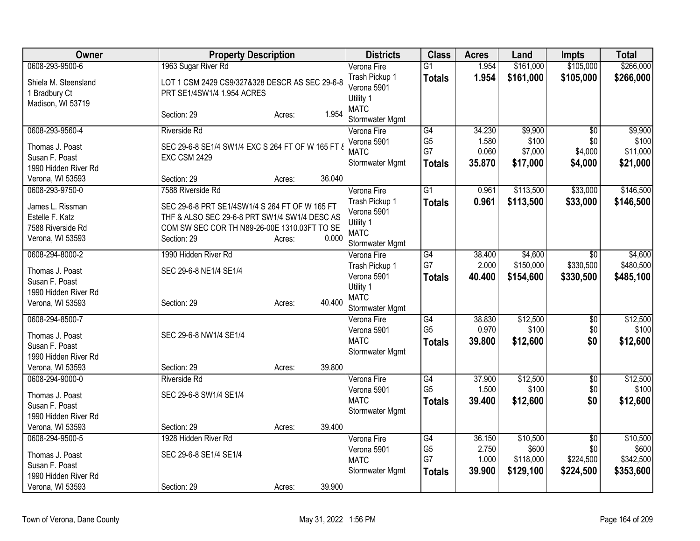| Owner                                                      | <b>Property Description</b>                                                  |        |        | <b>Districts</b>                                          | <b>Class</b>         | <b>Acres</b>   | Land             | <b>Impts</b>    | <b>Total</b>      |
|------------------------------------------------------------|------------------------------------------------------------------------------|--------|--------|-----------------------------------------------------------|----------------------|----------------|------------------|-----------------|-------------------|
| 0608-293-9500-6                                            | 1963 Sugar River Rd                                                          |        |        | Verona Fire                                               | $\overline{G1}$      | 1.954          | \$161,000        | \$105,000       | \$266,000         |
| Shiela M. Steensland<br>1 Bradbury Ct<br>Madison, WI 53719 | LOT 1 CSM 2429 CS9/327&328 DESCR AS SEC 29-6-8<br>PRT SE1/4SW1/4 1.954 ACRES |        |        | Trash Pickup 1<br>Verona 5901<br>Utility 1<br><b>MATC</b> | <b>Totals</b>        | 1.954          | \$161,000        | \$105,000       | \$266,000         |
|                                                            | Section: 29                                                                  | Acres: | 1.954  | Stormwater Mgmt                                           |                      |                |                  |                 |                   |
| 0608-293-9560-4                                            | <b>Riverside Rd</b>                                                          |        |        | Verona Fire                                               | $\overline{G4}$      | 34.230         | \$9,900          | $\overline{50}$ | \$9,900           |
| Thomas J. Poast                                            | SEC 29-6-8 SE1/4 SW1/4 EXC S 264 FT OF W 165 FT &                            |        |        | Verona 5901<br><b>MATC</b>                                | G <sub>5</sub><br>G7 | 1.580<br>0.060 | \$100<br>\$7,000 | \$0<br>\$4,000  | \$100<br>\$11,000 |
| Susan F. Poast                                             | <b>EXC CSM 2429</b>                                                          |        |        | Stormwater Mgmt                                           | <b>Totals</b>        | 35.870         | \$17,000         | \$4,000         | \$21,000          |
| 1990 Hidden River Rd                                       |                                                                              |        |        |                                                           |                      |                |                  |                 |                   |
| Verona, WI 53593                                           | Section: 29                                                                  | Acres: | 36.040 |                                                           |                      |                |                  |                 |                   |
| 0608-293-9750-0                                            | 7588 Riverside Rd                                                            |        |        | Verona Fire                                               | $\overline{G1}$      | 0.961          | \$113,500        | \$33,000        | \$146,500         |
| James L. Rissman                                           | SEC 29-6-8 PRT SE1/4SW1/4 S 264 FT OF W 165 FT                               |        |        | Trash Pickup 1<br>Verona 5901                             | <b>Totals</b>        | 0.961          | \$113,500        | \$33,000        | \$146,500         |
| Estelle F. Katz                                            | THF & ALSO SEC 29-6-8 PRT SW1/4 SW1/4 DESC AS                                |        |        | Utility 1                                                 |                      |                |                  |                 |                   |
| 7588 Riverside Rd                                          | COM SW SEC COR TH N89-26-00E 1310.03FT TO SE                                 |        |        | <b>MATC</b>                                               |                      |                |                  |                 |                   |
| Verona, WI 53593                                           | Section: 29                                                                  | Acres: | 0.000  | Stormwater Mgmt                                           |                      |                |                  |                 |                   |
| 0608-294-8000-2                                            | 1990 Hidden River Rd                                                         |        |        | Verona Fire                                               | $\overline{G4}$      | 38.400         | \$4,600          | $\overline{50}$ | \$4,600           |
| Thomas J. Poast                                            | SEC 29-6-8 NE1/4 SE1/4                                                       |        |        | Trash Pickup 1                                            | G7                   | 2.000          | \$150,000        | \$330,500       | \$480,500         |
| Susan F. Poast                                             |                                                                              |        |        | Verona 5901                                               | <b>Totals</b>        | 40.400         | \$154,600        | \$330,500       | \$485,100         |
| 1990 Hidden River Rd                                       |                                                                              |        |        | Utility 1                                                 |                      |                |                  |                 |                   |
| Verona, WI 53593                                           | Section: 29                                                                  | Acres: | 40.400 | <b>MATC</b><br>Stormwater Mgmt                            |                      |                |                  |                 |                   |
| 0608-294-8500-7                                            |                                                                              |        |        | Verona Fire                                               | G4                   | 38.830         | \$12,500         | \$0             | \$12,500          |
|                                                            | SEC 29-6-8 NW1/4 SE1/4                                                       |        |        | Verona 5901                                               | G <sub>5</sub>       | 0.970          | \$100            | \$0             | \$100             |
| Thomas J. Poast<br>Susan F. Poast                          |                                                                              |        |        | <b>MATC</b>                                               | <b>Totals</b>        | 39.800         | \$12,600         | \$0             | \$12,600          |
| 1990 Hidden River Rd                                       |                                                                              |        |        | Stormwater Mgmt                                           |                      |                |                  |                 |                   |
| Verona, WI 53593                                           | Section: 29                                                                  | Acres: | 39.800 |                                                           |                      |                |                  |                 |                   |
| 0608-294-9000-0                                            | Riverside Rd                                                                 |        |        | Verona Fire                                               | $\overline{G4}$      | 37.900         | \$12,500         | \$0             | \$12,500          |
| Thomas J. Poast                                            | SEC 29-6-8 SW1/4 SE1/4                                                       |        |        | Verona 5901                                               | G <sub>5</sub>       | 1.500          | \$100            | \$0             | \$100             |
| Susan F. Poast                                             |                                                                              |        |        | <b>MATC</b>                                               | <b>Totals</b>        | 39.400         | \$12,600         | \$0             | \$12,600          |
| 1990 Hidden River Rd                                       |                                                                              |        |        | Stormwater Mgmt                                           |                      |                |                  |                 |                   |
| Verona, WI 53593                                           | Section: 29                                                                  | Acres: | 39.400 |                                                           |                      |                |                  |                 |                   |
| 0608-294-9500-5                                            | 1928 Hidden River Rd                                                         |        |        | Verona Fire                                               | $\overline{G4}$      | 36.150         | \$10,500         | $\overline{50}$ | \$10,500          |
| Thomas J. Poast                                            | SEC 29-6-8 SE1/4 SE1/4                                                       |        |        | Verona 5901                                               | G <sub>5</sub>       | 2.750          | \$600            | \$0             | \$600             |
| Susan F. Poast                                             |                                                                              |        |        | <b>MATC</b>                                               | G7                   | 1.000          | \$118,000        | \$224,500       | \$342,500         |
| 1990 Hidden River Rd                                       |                                                                              |        |        | Stormwater Mgmt                                           | <b>Totals</b>        | 39.900         | \$129,100        | \$224,500       | \$353,600         |
| Verona, WI 53593                                           | Section: 29                                                                  | Acres: | 39.900 |                                                           |                      |                |                  |                 |                   |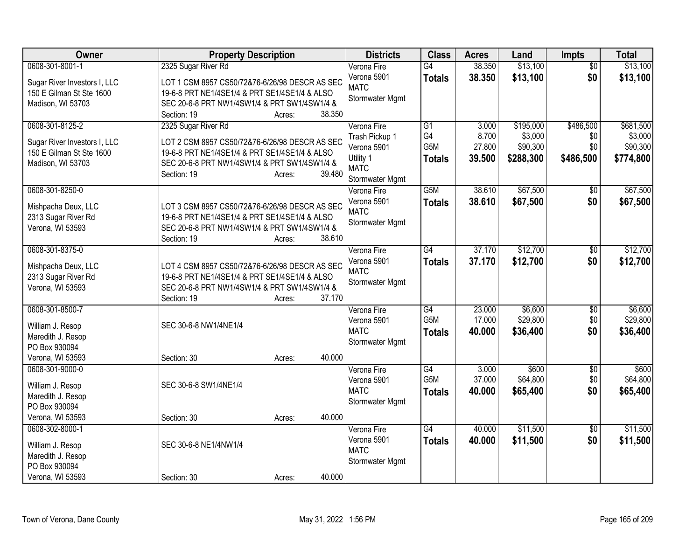| Owner                                 | <b>Property Description</b>                    | <b>Districts</b>           | <b>Class</b>     | <b>Acres</b> | Land      | <b>Impts</b>    | <b>Total</b> |
|---------------------------------------|------------------------------------------------|----------------------------|------------------|--------------|-----------|-----------------|--------------|
| 0608-301-8001-1                       | 2325 Sugar River Rd                            | Verona Fire                | G4               | 38.350       | \$13,100  | $\overline{30}$ | \$13,100     |
| Sugar River Investors I, LLC          | LOT 1 CSM 8957 CS50/72&76-6/26/98 DESCR AS SEC | Verona 5901                | <b>Totals</b>    | 38.350       | \$13,100  | \$0             | \$13,100     |
| 150 E Gilman St Ste 1600              | 19-6-8 PRT NE1/4SE1/4 & PRT SE1/4SE1/4 & ALSO  | <b>MATC</b>                |                  |              |           |                 |              |
| Madison, WI 53703                     | SEC 20-6-8 PRT NW1/4SW1/4 & PRT SW1/4SW1/4 &   | Stormwater Mgmt            |                  |              |           |                 |              |
|                                       | 38.350<br>Section: 19<br>Acres:                |                            |                  |              |           |                 |              |
| 0608-301-8125-2                       | 2325 Sugar River Rd                            | Verona Fire                | G1               | 3.000        | \$195,000 | \$486,500       | \$681,500    |
| Sugar River Investors I, LLC          | LOT 2 CSM 8957 CS50/72&76-6/26/98 DESCR AS SEC | Trash Pickup 1             | G4               | 8.700        | \$3,000   | \$0             | \$3,000      |
| 150 E Gilman St Ste 1600              | 19-6-8 PRT NE1/4SE1/4 & PRT SE1/4SE1/4 & ALSO  | Verona 5901                | G5M              | 27.800       | \$90,300  | \$0             | \$90,300     |
| Madison, WI 53703                     | SEC 20-6-8 PRT NW1/4SW1/4 & PRT SW1/4SW1/4 &   | Utility 1                  | <b>Totals</b>    | 39.500       | \$288,300 | \$486,500       | \$774,800    |
|                                       | 39.480<br>Section: 19<br>Acres:                | <b>MATC</b>                |                  |              |           |                 |              |
|                                       |                                                | Stormwater Mgmt            |                  |              |           |                 |              |
| 0608-301-8250-0                       |                                                | Verona Fire                | G5M              | 38.610       | \$67,500  | $\overline{50}$ | \$67,500     |
| Mishpacha Deux, LLC                   | LOT 3 CSM 8957 CS50/72&76-6/26/98 DESCR AS SEC | Verona 5901<br><b>MATC</b> | <b>Totals</b>    | 38.610       | \$67,500  | \$0             | \$67,500     |
| 2313 Sugar River Rd                   | 19-6-8 PRT NE1/4SE1/4 & PRT SE1/4SE1/4 & ALSO  | Stormwater Mgmt            |                  |              |           |                 |              |
| Verona, WI 53593                      | SEC 20-6-8 PRT NW1/4SW1/4 & PRT SW1/4SW1/4 &   |                            |                  |              |           |                 |              |
|                                       | 38.610<br>Section: 19<br>Acres:                |                            |                  |              |           |                 |              |
| 0608-301-8375-0                       |                                                | Verona Fire                | $\overline{G4}$  | 37.170       | \$12,700  | $\overline{50}$ | \$12,700     |
| Mishpacha Deux, LLC                   | LOT 4 CSM 8957 CS50/72&76-6/26/98 DESCR AS SEC | Verona 5901                | <b>Totals</b>    | 37.170       | \$12,700  | \$0             | \$12,700     |
| 2313 Sugar River Rd                   | 19-6-8 PRT NE1/4SE1/4 & PRT SE1/4SE1/4 & ALSO  | <b>MATC</b>                |                  |              |           |                 |              |
| Verona, WI 53593                      | SEC 20-6-8 PRT NW1/4SW1/4 & PRT SW1/4SW1/4 &   | Stormwater Mgmt            |                  |              |           |                 |              |
|                                       | 37.170<br>Section: 19<br>Acres:                |                            |                  |              |           |                 |              |
| 0608-301-8500-7                       |                                                | Verona Fire                | G4               | 23.000       | \$6,600   | $\overline{50}$ | \$6,600      |
| William J. Resop                      | SEC 30-6-8 NW1/4NE1/4                          | Verona 5901                | G <sub>5</sub> M | 17.000       | \$29,800  | \$0             | \$29,800     |
| Maredith J. Resop                     |                                                | <b>MATC</b>                | <b>Totals</b>    | 40.000       | \$36,400  | \$0             | \$36,400     |
| PO Box 930094                         |                                                | Stormwater Mgmt            |                  |              |           |                 |              |
| Verona, WI 53593                      | 40.000<br>Section: 30<br>Acres:                |                            |                  |              |           |                 |              |
| 0608-301-9000-0                       |                                                | Verona Fire                | $\overline{G4}$  | 3.000        | \$600     | \$0             | \$600        |
|                                       | SEC 30-6-8 SW1/4NE1/4                          | Verona 5901                | G <sub>5</sub> M | 37.000       | \$64,800  | \$0             | \$64,800     |
| William J. Resop<br>Maredith J. Resop |                                                | <b>MATC</b>                | <b>Totals</b>    | 40.000       | \$65,400  | \$0             | \$65,400     |
| PO Box 930094                         |                                                | Stormwater Mgmt            |                  |              |           |                 |              |
| Verona, WI 53593                      | 40.000<br>Section: 30<br>Acres:                |                            |                  |              |           |                 |              |
| 0608-302-8000-1                       |                                                | Verona Fire                | $\overline{G4}$  | 40.000       | \$11,500  | $\overline{50}$ | \$11,500     |
|                                       |                                                | Verona 5901                | <b>Totals</b>    | 40.000       | \$11,500  | \$0             | \$11,500     |
| William J. Resop                      | SEC 30-6-8 NE1/4NW1/4                          | <b>MATC</b>                |                  |              |           |                 |              |
| Maredith J. Resop                     |                                                | Stormwater Mgmt            |                  |              |           |                 |              |
| PO Box 930094                         | 40.000                                         |                            |                  |              |           |                 |              |
| Verona, WI 53593                      | Section: 30<br>Acres:                          |                            |                  |              |           |                 |              |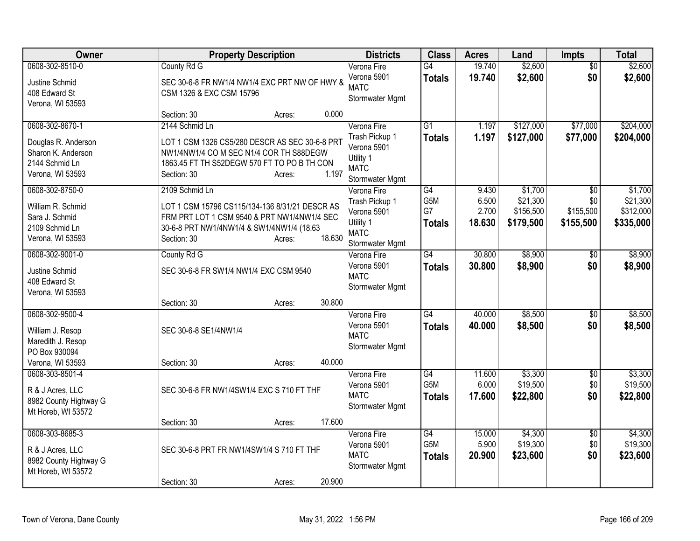| Owner                                       | <b>Property Description</b>                    |        |        | <b>Districts</b>               | <b>Class</b>     | <b>Acres</b> | Land      | Impts           | <b>Total</b> |
|---------------------------------------------|------------------------------------------------|--------|--------|--------------------------------|------------------|--------------|-----------|-----------------|--------------|
| 0608-302-8510-0                             | County Rd G                                    |        |        | Verona Fire                    | $\overline{G4}$  | 19.740       | \$2,600   | $\overline{50}$ | \$2,600      |
| Justine Schmid                              | SEC 30-6-8 FR NW1/4 NW1/4 EXC PRT NW OF HWY &  |        |        | Verona 5901                    | <b>Totals</b>    | 19.740       | \$2,600   | \$0             | \$2,600      |
| 408 Edward St                               | CSM 1326 & EXC CSM 15796                       |        |        | <b>MATC</b>                    |                  |              |           |                 |              |
| Verona, WI 53593                            |                                                |        |        | Stormwater Mgmt                |                  |              |           |                 |              |
|                                             | Section: 30                                    | Acres: | 0.000  |                                |                  |              |           |                 |              |
| 0608-302-8670-1                             | 2144 Schmid Ln                                 |        |        | Verona Fire                    | G1               | 1.197        | \$127,000 | \$77,000        | \$204,000    |
| Douglas R. Anderson                         | LOT 1 CSM 1326 CS5/280 DESCR AS SEC 30-6-8 PRT |        |        | Trash Pickup 1                 | <b>Totals</b>    | 1.197        | \$127,000 | \$77,000        | \$204,000    |
| Sharon K. Anderson                          | NW1/4NW1/4 CO M SEC N1/4 COR TH S88DEGW        |        |        | Verona 5901<br>Utility 1       |                  |              |           |                 |              |
| 2144 Schmid Ln                              | 1863.45 FT TH S52DEGW 570 FT TO PO B TH CON    |        |        | <b>MATC</b>                    |                  |              |           |                 |              |
| Verona, WI 53593                            | Section: 30                                    | Acres: | 1.197  | Stormwater Mgmt                |                  |              |           |                 |              |
| 0608-302-8750-0                             | 2109 Schmid Ln                                 |        |        | Verona Fire                    | G4               | 9.430        | \$1,700   | $\overline{50}$ | \$1,700      |
| William R. Schmid                           | LOT 1 CSM 15796 CS115/134-136 8/31/21 DESCR AS |        |        | Trash Pickup 1                 | G5M              | 6.500        | \$21,300  | \$0             | \$21,300     |
| Sara J. Schmid                              | FRM PRT LOT 1 CSM 9540 & PRT NW1/4NW1/4 SEC    |        |        | Verona 5901                    | G7               | 2.700        | \$156,500 | \$155,500       | \$312,000    |
| 2109 Schmid Ln                              | 30-6-8 PRT NW1/4NW1/4 & SW1/4NW1/4 (18.63      |        |        | Utility 1                      | <b>Totals</b>    | 18.630       | \$179,500 | \$155,500       | \$335,000    |
| Verona, WI 53593                            | Section: 30                                    | Acres: | 18.630 | <b>MATC</b>                    |                  |              |           |                 |              |
| 0608-302-9001-0                             | County Rd G                                    |        |        | Stormwater Mgmt<br>Verona Fire | $\overline{G4}$  | 30.800       | \$8,900   | $\sqrt[6]{3}$   | \$8,900      |
|                                             |                                                |        |        | Verona 5901                    | <b>Totals</b>    | 30.800       | \$8,900   | \$0             | \$8,900      |
| Justine Schmid                              | SEC 30-6-8 FR SW1/4 NW1/4 EXC CSM 9540         |        |        | <b>MATC</b>                    |                  |              |           |                 |              |
| 408 Edward St                               |                                                |        |        | Stormwater Mgmt                |                  |              |           |                 |              |
| Verona, WI 53593                            | Section: 30                                    | Acres: | 30.800 |                                |                  |              |           |                 |              |
| 0608-302-9500-4                             |                                                |        |        | Verona Fire                    | G4               | 40.000       | \$8,500   | $\overline{50}$ | \$8,500      |
|                                             |                                                |        |        | Verona 5901                    | <b>Totals</b>    | 40.000       | \$8,500   | \$0             | \$8,500      |
| William J. Resop                            | SEC 30-6-8 SE1/4NW1/4                          |        |        | <b>MATC</b>                    |                  |              |           |                 |              |
| Maredith J. Resop<br>PO Box 930094          |                                                |        |        | Stormwater Mgmt                |                  |              |           |                 |              |
| Verona, WI 53593                            | Section: 30                                    | Acres: | 40.000 |                                |                  |              |           |                 |              |
| 0608-303-8501-4                             |                                                |        |        | Verona Fire                    | $\overline{G4}$  | 11.600       | \$3,300   | \$0             | \$3,300      |
|                                             |                                                |        |        | Verona 5901                    | G <sub>5</sub> M | 6.000        | \$19,500  | \$0             | \$19,500     |
| R & J Acres, LLC                            | SEC 30-6-8 FR NW1/4SW1/4 EXC S 710 FT THF      |        |        | <b>MATC</b>                    | <b>Totals</b>    | 17.600       | \$22,800  | \$0             | \$22,800     |
| 8982 County Highway G<br>Mt Horeb, WI 53572 |                                                |        |        | Stormwater Mgmt                |                  |              |           |                 |              |
|                                             | Section: 30                                    | Acres: | 17.600 |                                |                  |              |           |                 |              |
| 0608-303-8685-3                             |                                                |        |        | Verona Fire                    | G4               | 15.000       | \$4,300   | $\overline{60}$ | \$4,300      |
|                                             | SEC 30-6-8 PRT FR NW1/4SW1/4 S 710 FT THF      |        |        | Verona 5901                    | G5M              | 5.900        | \$19,300  | \$0             | \$19,300     |
| R & J Acres, LLC<br>8982 County Highway G   |                                                |        |        | <b>MATC</b>                    | <b>Totals</b>    | 20.900       | \$23,600  | \$0             | \$23,600     |
| Mt Horeb, WI 53572                          |                                                |        |        | Stormwater Mgmt                |                  |              |           |                 |              |
|                                             | Section: 30                                    | Acres: | 20.900 |                                |                  |              |           |                 |              |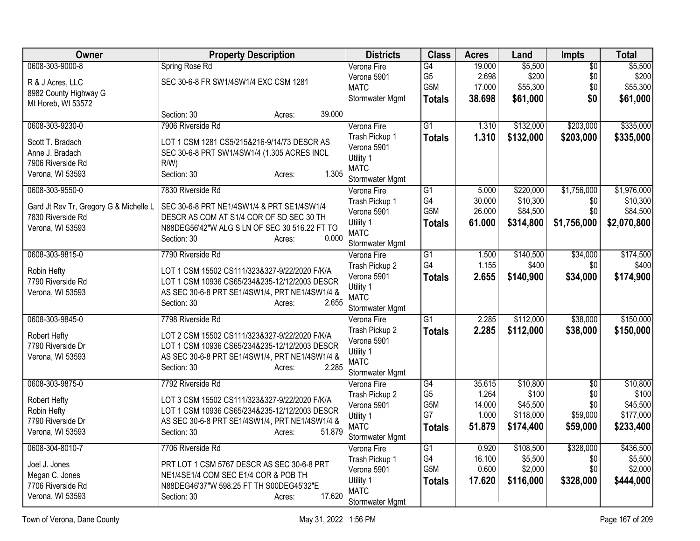| <b>Owner</b>                           | <b>Property Description</b>                                                                    | <b>Districts</b>               | <b>Class</b>     | <b>Acres</b> | Land      | <b>Impts</b>    | <b>Total</b> |
|----------------------------------------|------------------------------------------------------------------------------------------------|--------------------------------|------------------|--------------|-----------|-----------------|--------------|
| 0608-303-9000-8                        | Spring Rose Rd                                                                                 | Verona Fire                    | $\overline{G4}$  | 19.000       | \$5,500   | \$0             | \$5,500      |
| R & J Acres, LLC                       | SEC 30-6-8 FR SW1/4SW1/4 EXC CSM 1281                                                          | Verona 5901                    | G <sub>5</sub>   | 2.698        | \$200     | \$0             | \$200        |
| 8982 County Highway G                  |                                                                                                | <b>MATC</b>                    | G5M              | 17.000       | \$55,300  | \$0             | \$55,300     |
| Mt Horeb, WI 53572                     |                                                                                                | Stormwater Mgmt                | <b>Totals</b>    | 38.698       | \$61,000  | \$0             | \$61,000     |
|                                        | 39.000<br>Section: 30<br>Acres:                                                                |                                |                  |              |           |                 |              |
| 0608-303-9230-0                        | 7906 Riverside Rd                                                                              | Verona Fire                    | $\overline{G1}$  | 1.310        | \$132,000 | \$203,000       | \$335,000    |
| Scott T. Bradach                       | LOT 1 CSM 1281 CS5/215&216-9/14/73 DESCR AS                                                    | Trash Pickup 1                 | <b>Totals</b>    | 1.310        | \$132,000 | \$203,000       | \$335,000    |
| Anne J. Bradach                        | SEC 30-6-8 PRT SW1/4SW1/4 (1.305 ACRES INCL                                                    | Verona 5901                    |                  |              |           |                 |              |
| 7906 Riverside Rd                      | R/W                                                                                            | Utility 1<br><b>MATC</b>       |                  |              |           |                 |              |
| Verona, WI 53593                       | 1.305<br>Section: 30<br>Acres:                                                                 | Stormwater Mgmt                |                  |              |           |                 |              |
| 0608-303-9550-0                        | 7830 Riverside Rd                                                                              | Verona Fire                    | $\overline{G1}$  | 5.000        | \$220,000 | \$1,756,000     | \$1,976,000  |
|                                        |                                                                                                | Trash Pickup 1                 | G4               | 30.000       | \$10,300  | \$0             | \$10,300     |
| Gard Jt Rev Tr, Gregory G & Michelle L | SEC 30-6-8 PRT NE1/4SW1/4 & PRT SE1/4SW1/4                                                     | Verona 5901                    | G <sub>5</sub> M | 26.000       | \$84,500  | \$0             | \$84,500     |
| 7830 Riverside Rd                      | DESCR AS COM AT S1/4 COR OF SD SEC 30 TH                                                       | Utility 1                      | <b>Totals</b>    | 61.000       | \$314,800 | \$1,756,000     | \$2,070,800  |
| Verona, WI 53593                       | N88DEG56'42"W ALG S LN OF SEC 30 516.22 FT TO                                                  | <b>MATC</b>                    |                  |              |           |                 |              |
|                                        | 0.000<br>Section: 30<br>Acres:                                                                 | Stormwater Mgmt                |                  |              |           |                 |              |
| 0608-303-9815-0                        | 7790 Riverside Rd                                                                              | Verona Fire                    | $\overline{G1}$  | 1.500        | \$140,500 | \$34,000        | \$174,500    |
|                                        |                                                                                                | Trash Pickup 2                 | G4               | 1.155        | \$400     | \$0             | \$400        |
| Robin Hefty<br>7790 Riverside Rd       | LOT 1 CSM 15502 CS111/323&327-9/22/2020 F/K/A<br>LOT 1 CSM 10936 CS65/234&235-12/12/2003 DESCR | Verona 5901                    | <b>Totals</b>    | 2.655        | \$140,900 | \$34,000        | \$174,900    |
| Verona, WI 53593                       | AS SEC 30-6-8 PRT SE1/4SW1/4, PRT NE1/4SW1/4 &                                                 | Utility 1                      |                  |              |           |                 |              |
|                                        | 2.655<br>Section: 30<br>Acres:                                                                 | <b>MATC</b>                    |                  |              |           |                 |              |
|                                        |                                                                                                | Stormwater Mgmt                |                  |              |           |                 |              |
| 0608-303-9845-0                        | 7798 Riverside Rd                                                                              | Verona Fire                    | $\overline{G1}$  | 2.285        | \$112,000 | \$38,000        | \$150,000    |
| Robert Hefty                           | LOT 2 CSM 15502 CS111/323&327-9/22/2020 F/K/A                                                  | Trash Pickup 2                 | <b>Totals</b>    | 2.285        | \$112,000 | \$38,000        | \$150,000    |
| 7790 Riverside Dr                      | LOT 1 CSM 10936 CS65/234&235-12/12/2003 DESCR                                                  | Verona 5901                    |                  |              |           |                 |              |
| Verona, WI 53593                       | AS SEC 30-6-8 PRT SE1/4SW1/4, PRT NE1/4SW1/4 &                                                 | Utility 1                      |                  |              |           |                 |              |
|                                        | 2.285<br>Section: 30<br>Acres:                                                                 | <b>MATC</b>                    |                  |              |           |                 |              |
| 0608-303-9875-0                        | 7792 Riverside Rd                                                                              | Stormwater Mgmt<br>Verona Fire | $\overline{G4}$  | 35.615       | \$10,800  | $\overline{50}$ | \$10,800     |
|                                        |                                                                                                | Trash Pickup 2                 | G <sub>5</sub>   | 1.264        | \$100     | \$0             | \$100        |
| Robert Hefty                           | LOT 3 CSM 15502 CS111/323&327-9/22/2020 F/K/A                                                  | Verona 5901                    | G5M              | 14.000       | \$45,500  | \$0             | \$45,500     |
| Robin Hefty                            | LOT 1 CSM 10936 CS65/234&235-12/12/2003 DESCR                                                  | Utility 1                      | G7               | 1.000        | \$118,000 | \$59,000        | \$177,000    |
| 7790 Riverside Dr                      | AS SEC 30-6-8 PRT SE1/4SW1/4, PRT NE1/4SW1/4 &                                                 | <b>MATC</b>                    | <b>Totals</b>    | 51.879       | \$174,400 | \$59,000        | \$233,400    |
| Verona, WI 53593                       | 51.879<br>Section: 30<br>Acres:                                                                | Stormwater Mgmt                |                  |              |           |                 |              |
| 0608-304-8010-7                        | 7706 Riverside Rd                                                                              | Verona Fire                    | $\overline{G1}$  | 0.920        | \$108,500 | \$328,000       | \$436,500    |
|                                        |                                                                                                | Trash Pickup 1                 | G4               | 16.100       | \$5,500   | \$0             | \$5,500      |
| Joel J. Jones                          | PRT LOT 1 CSM 5767 DESCR AS SEC 30-6-8 PRT                                                     | Verona 5901                    | G5M              | 0.600        | \$2,000   | \$0             | \$2,000      |
| Megan C. Jones<br>7706 Riverside Rd    | NE1/4SE1/4 COM SEC E1/4 COR & POB TH<br>N88DEG46'37"W 598.25 FT TH S00DEG45'32"E               | Utility 1                      | <b>Totals</b>    | 17.620       | \$116,000 | \$328,000       | \$444,000    |
|                                        | 17.620                                                                                         | <b>MATC</b>                    |                  |              |           |                 |              |
| Verona, WI 53593                       | Section: 30<br>Acres:                                                                          | Stormwater Mgmt                |                  |              |           |                 |              |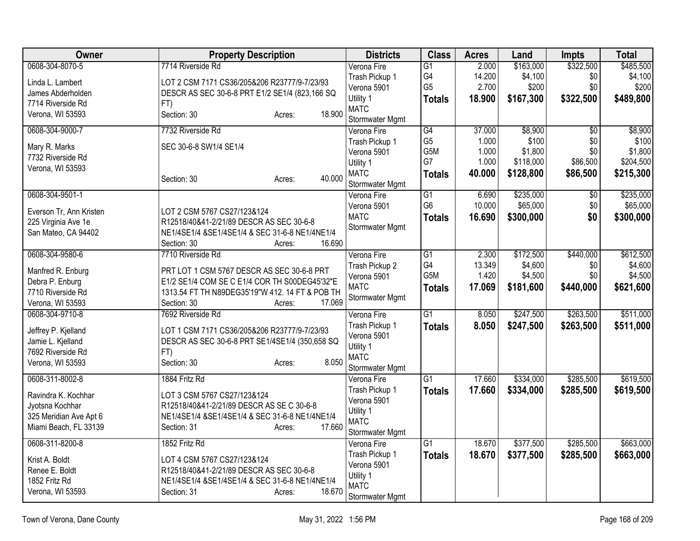| Owner                   | <b>Property Description</b>                     | <b>Districts</b> | <b>Class</b>     | <b>Acres</b> | Land      | <b>Impts</b>    | <b>Total</b> |
|-------------------------|-------------------------------------------------|------------------|------------------|--------------|-----------|-----------------|--------------|
| 0608-304-8070-5         | 7714 Riverside Rd                               | Verona Fire      | $\overline{G1}$  | 2.000        | \$163,000 | \$322,500       | \$485,500    |
| Linda L. Lambert        | LOT 2 CSM 7171 CS36/205&206 R23777/9-7/23/93    | Trash Pickup 1   | G4               | 14.200       | \$4,100   | \$0             | \$4,100      |
| James Abderholden       | DESCR AS SEC 30-6-8 PRT E1/2 SE1/4 (823,166 SQ  | Verona 5901      | G <sub>5</sub>   | 2.700        | \$200     | \$0             | \$200        |
| 7714 Riverside Rd       | FT)                                             | Utility 1        | <b>Totals</b>    | 18.900       | \$167,300 | \$322,500       | \$489,800    |
| Verona, WI 53593        | 18.900<br>Section: 30<br>Acres:                 | <b>MATC</b>      |                  |              |           |                 |              |
|                         |                                                 | Stormwater Mgmt  |                  |              |           |                 |              |
| 0608-304-9000-7         | 7732 Riverside Rd                               | Verona Fire      | $\overline{G4}$  | 37.000       | \$8,900   | $\overline{50}$ | \$8,900      |
| Mary R. Marks           | SEC 30-6-8 SW1/4 SE1/4                          | Trash Pickup 1   | G <sub>5</sub>   | 1.000        | \$100     | \$0             | \$100        |
| 7732 Riverside Rd       |                                                 | Verona 5901      | G5M              | 1.000        | \$1,800   | \$0             | \$1,800      |
| Verona, WI 53593        |                                                 | Utility 1        | G7               | 1.000        | \$118,000 | \$86,500        | \$204,500    |
|                         | 40.000<br>Section: 30<br>Acres:                 | <b>MATC</b>      | <b>Totals</b>    | 40.000       | \$128,800 | \$86,500        | \$215,300    |
|                         |                                                 | Stormwater Mgmt  |                  |              |           |                 |              |
| 0608-304-9501-1         |                                                 | Verona Fire      | $\overline{G1}$  | 6.690        | \$235,000 | $\sqrt[6]{30}$  | \$235,000    |
| Everson Tr, Ann Kristen | LOT 2 CSM 5767 CS27/123&124                     | Verona 5901      | G <sub>6</sub>   | 10.000       | \$65,000  | \$0             | \$65,000     |
| 225 Virginia Ave 1e     | R12518/40&41-2/21/89 DESCR AS SEC 30-6-8        | <b>MATC</b>      | <b>Totals</b>    | 16.690       | \$300,000 | \$0             | \$300,000    |
| San Mateo, CA 94402     | NE1/4SE1/4 &SE1/4SE1/4 & SEC 31-6-8 NE1/4NE1/4  | Stormwater Mgmt  |                  |              |           |                 |              |
|                         | 16.690<br>Section: 30<br>Acres:                 |                  |                  |              |           |                 |              |
| 0608-304-9580-6         | 7710 Riverside Rd                               | Verona Fire      | $\overline{G1}$  | 2.300        | \$172,500 | \$440,000       | \$612,500    |
|                         |                                                 | Trash Pickup 2   | G4               | 13.349       | \$4,600   | \$0             | \$4,600      |
| Manfred R. Enburg       | PRT LOT 1 CSM 5767 DESCR AS SEC 30-6-8 PRT      | Verona 5901      | G <sub>5</sub> M | 1.420        | \$4,500   | \$0             | \$4,500      |
| Debra P. Enburg         | E1/2 SE1/4 COM SE C E1/4 COR TH S00DEG45'32"E   | <b>MATC</b>      | <b>Totals</b>    | 17.069       | \$181,600 | \$440,000       | \$621,600    |
| 7710 Riverside Rd       | 1313.54 FT TH N89DEG35'19"W 412. 14 FT & POB TH | Stormwater Mgmt  |                  |              |           |                 |              |
| Verona, WI 53593        | 17.069<br>Section: 30<br>Acres:                 |                  |                  |              |           |                 |              |
| 0608-304-9710-8         | 7692 Riverside Rd                               | Verona Fire      | $\overline{G1}$  | 8.050        | \$247,500 | \$263,500       | \$511,000    |
| Jeffrey P. Kjelland     | LOT 1 CSM 7171 CS36/205&206 R23777/9-7/23/93    | Trash Pickup 1   | <b>Totals</b>    | 8.050        | \$247,500 | \$263,500       | \$511,000    |
| Jamie L. Kjelland       | DESCR AS SEC 30-6-8 PRT SE1/4SE1/4 (350,658 SQ  | Verona 5901      |                  |              |           |                 |              |
| 7692 Riverside Rd       | FT)                                             | Utility 1        |                  |              |           |                 |              |
| Verona, WI 53593        | 8.050<br>Section: 30<br>Acres:                  | <b>MATC</b>      |                  |              |           |                 |              |
|                         |                                                 | Stormwater Mgmt  |                  |              |           |                 |              |
| 0608-311-8002-8         | 1884 Fritz Rd                                   | Verona Fire      | $\overline{G1}$  | 17.660       | \$334,000 | \$285,500       | \$619,500    |
| Ravindra K. Kochhar     | LOT 3 CSM 5767 CS27/123&124                     | Trash Pickup 1   | <b>Totals</b>    | 17.660       | \$334,000 | \$285,500       | \$619,500    |
| Jyotsna Kochhar         | R12518/40&41-2/21/89 DESCR AS SE C 30-6-8       | Verona 5901      |                  |              |           |                 |              |
| 325 Meridian Ave Apt 6  | NE1/4SE1/4 &SE1/4SE1/4 & SEC 31-6-8 NE1/4NE1/4  | Utility 1        |                  |              |           |                 |              |
| Miami Beach, FL 33139   | 17.660<br>Section: 31<br>Acres:                 | <b>MATC</b>      |                  |              |           |                 |              |
|                         |                                                 | Stormwater Mgmt  |                  |              |           |                 |              |
| 0608-311-8200-8         | 1852 Fritz Rd                                   | Verona Fire      | $\overline{G1}$  | 18.670       | \$377,500 | \$285,500       | \$663,000    |
| Krist A. Boldt          | LOT 4 CSM 5767 CS27/123&124                     | Trash Pickup 1   | <b>Totals</b>    | 18.670       | \$377,500 | \$285,500       | \$663,000    |
| Renee E. Boldt          | R12518/40&41-2/21/89 DESCR AS SEC 30-6-8        | Verona 5901      |                  |              |           |                 |              |
| 1852 Fritz Rd           | NE1/4SE1/4 &SE1/4SE1/4 & SEC 31-6-8 NE1/4NE1/4  | Utility 1        |                  |              |           |                 |              |
| Verona, WI 53593        | 18.670<br>Section: 31<br>Acres:                 | <b>MATC</b>      |                  |              |           |                 |              |
|                         |                                                 | Stormwater Mgmt  |                  |              |           |                 |              |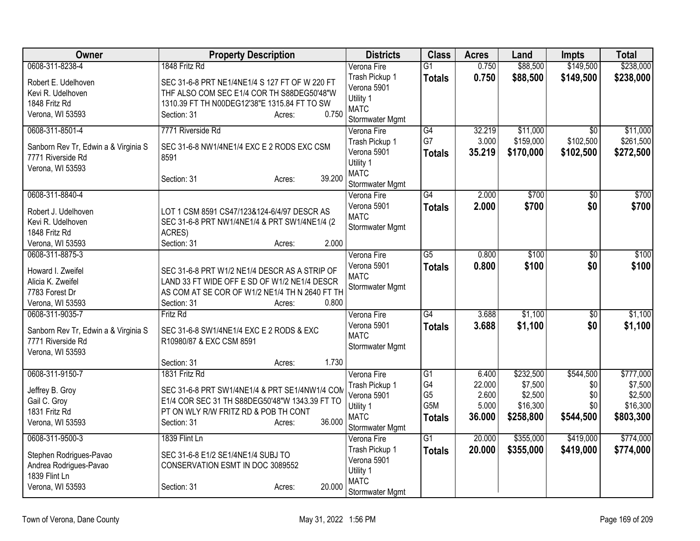| Owner                                | <b>Property Description</b>                    | <b>Districts</b>              | <b>Class</b>    | <b>Acres</b>    | Land                  | <b>Impts</b>                 | <b>Total</b>          |
|--------------------------------------|------------------------------------------------|-------------------------------|-----------------|-----------------|-----------------------|------------------------------|-----------------------|
| 0608-311-8238-4                      | 1848 Fritz Rd                                  | Verona Fire                   | $\overline{G1}$ | 0.750           | \$88,500              | \$149,500                    | \$238,000             |
| Robert E. Udelhoven                  | SEC 31-6-8 PRT NE1/4NE1/4 S 127 FT OF W 220 FT | Trash Pickup 1                | <b>Totals</b>   | 0.750           | \$88,500              | \$149,500                    | \$238,000             |
| Kevi R. Udelhoven                    | THF ALSO COM SEC E1/4 COR TH S88DEG50'48"W     | Verona 5901                   |                 |                 |                       |                              |                       |
| 1848 Fritz Rd                        | 1310.39 FT TH N00DEG12'38"E 1315.84 FT TO SW   | Utility 1                     |                 |                 |                       |                              |                       |
| Verona, WI 53593                     | 0.750<br>Section: 31<br>Acres:                 | <b>MATC</b>                   |                 |                 |                       |                              |                       |
|                                      |                                                | Stormwater Mgmt               |                 |                 |                       |                              |                       |
| 0608-311-8501-4                      | 7771 Riverside Rd                              | Verona Fire                   | G4<br>G7        | 32.219<br>3.000 | \$11,000<br>\$159,000 | $\overline{50}$<br>\$102,500 | \$11,000<br>\$261,500 |
| Sanborn Rev Tr, Edwin a & Virginia S | SEC 31-6-8 NW1/4NE1/4 EXC E 2 RODS EXC CSM     | Trash Pickup 1<br>Verona 5901 |                 |                 |                       |                              |                       |
| 7771 Riverside Rd                    | 8591                                           | Utility 1                     | <b>Totals</b>   | 35.219          | \$170,000             | \$102,500                    | \$272,500             |
| Verona, WI 53593                     |                                                | <b>MATC</b>                   |                 |                 |                       |                              |                       |
|                                      | 39.200<br>Section: 31<br>Acres:                | Stormwater Mgmt               |                 |                 |                       |                              |                       |
| 0608-311-8840-4                      |                                                | Verona Fire                   | $\overline{G4}$ | 2.000           | \$700                 | \$0                          | \$700                 |
|                                      |                                                | Verona 5901                   | <b>Totals</b>   | 2.000           | \$700                 | \$0                          | \$700                 |
| Robert J. Udelhoven                  | LOT 1 CSM 8591 CS47/123&124-6/4/97 DESCR AS    | <b>MATC</b>                   |                 |                 |                       |                              |                       |
| Kevi R. Udelhoven                    | SEC 31-6-8 PRT NW1/4NE1/4 & PRT SW1/4NE1/4 (2) | Stormwater Mgmt               |                 |                 |                       |                              |                       |
| 1848 Fritz Rd                        | ACRES)                                         |                               |                 |                 |                       |                              |                       |
| Verona, WI 53593                     | 2.000<br>Section: 31<br>Acres:                 |                               |                 |                 |                       |                              |                       |
| 0608-311-8875-3                      |                                                | Verona Fire                   | $\overline{G5}$ | 0.800           | \$100                 | \$0                          | \$100                 |
| Howard I. Zweifel                    | SEC 31-6-8 PRT W1/2 NE1/4 DESCR AS A STRIP OF  | Verona 5901<br><b>MATC</b>    | <b>Totals</b>   | 0.800           | \$100                 | \$0                          | \$100                 |
| Alicia K. Zweifel                    | LAND 33 FT WIDE OFF E SD OF W1/2 NE1/4 DESCR   | Stormwater Mgmt               |                 |                 |                       |                              |                       |
| 7783 Forest Dr                       | AS COM AT SE COR OF W1/2 NE1/4 TH N 2640 FT TH |                               |                 |                 |                       |                              |                       |
| Verona, WI 53593                     | Section: 31<br>0.800<br>Acres:                 |                               |                 |                 |                       |                              |                       |
| 0608-311-9035-7                      | Fritz Rd                                       | Verona Fire                   | G4              | 3.688           | \$1,100               | \$0                          | \$1,100               |
| Sanborn Rev Tr, Edwin a & Virginia S | SEC 31-6-8 SW1/4NE1/4 EXC E 2 RODS & EXC       | Verona 5901                   | <b>Totals</b>   | 3.688           | \$1,100               | \$0                          | \$1,100               |
| 7771 Riverside Rd                    | R10980/87 & EXC CSM 8591                       | <b>MATC</b>                   |                 |                 |                       |                              |                       |
| Verona, WI 53593                     |                                                | Stormwater Mgmt               |                 |                 |                       |                              |                       |
|                                      | 1.730<br>Section: 31<br>Acres:                 |                               |                 |                 |                       |                              |                       |
| 0608-311-9150-7                      | 1831 Fritz Rd                                  | Verona Fire                   | G1              | 6.400           | \$232,500             | \$544,500                    | \$777,000             |
| Jeffrey B. Groy                      | SEC 31-6-8 PRT SW1/4NE1/4 & PRT SE1/4NW1/4 COM | Trash Pickup 1                | G4              | 22.000          | \$7,500               | \$0                          | \$7,500               |
| Gail C. Groy                         | E1/4 COR SEC 31 TH S88DEG50'48"W 1343.39 FT TO | Verona 5901                   | G <sub>5</sub>  | 2.600           | \$2,500               | \$0                          | \$2,500               |
| 1831 Fritz Rd                        | PT ON WLY R/W FRITZ RD & POB TH CONT           | Utility 1                     | G5M             | 5.000           | \$16,300              | \$0                          | \$16,300              |
| Verona, WI 53593                     | 36.000<br>Section: 31<br>Acres:                | <b>MATC</b>                   | <b>Totals</b>   | 36.000          | \$258,800             | \$544,500                    | \$803,300             |
|                                      |                                                | Stormwater Mgmt               |                 |                 |                       |                              |                       |
| 0608-311-9500-3                      | 1839 Flint Ln                                  | Verona Fire                   | G1              | 20.000          | \$355,000             | \$419,000                    | \$774,000             |
| Stephen Rodrigues-Pavao              | SEC 31-6-8 E1/2 SE1/4NE1/4 SUBJ TO             | Trash Pickup 1                | <b>Totals</b>   | 20.000          | \$355,000             | \$419,000                    | \$774,000             |
| Andrea Rodrigues-Pavao               | CONSERVATION ESMT IN DOC 3089552               | Verona 5901                   |                 |                 |                       |                              |                       |
| 1839 Flint Ln                        |                                                | Utility 1<br><b>MATC</b>      |                 |                 |                       |                              |                       |
| Verona, WI 53593                     | 20.000<br>Section: 31<br>Acres:                |                               |                 |                 |                       |                              |                       |
|                                      |                                                | Stormwater Mgmt               |                 |                 |                       |                              |                       |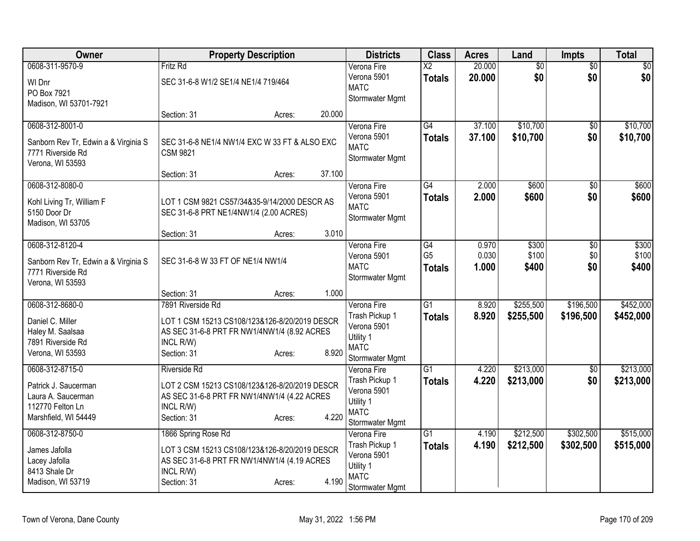| Owner                                                                                                     | <b>Property Description</b>                                                                                                                                        | <b>Districts</b>                                                                            | <b>Class</b>                            | <b>Acres</b>            | Land                    | Impts                  | <b>Total</b>            |
|-----------------------------------------------------------------------------------------------------------|--------------------------------------------------------------------------------------------------------------------------------------------------------------------|---------------------------------------------------------------------------------------------|-----------------------------------------|-------------------------|-------------------------|------------------------|-------------------------|
| 0608-311-9570-9<br>WI Dnr<br>PO Box 7921<br>Madison, WI 53701-7921                                        | Fritz Rd<br>SEC 31-6-8 W1/2 SE1/4 NE1/4 719/464                                                                                                                    | Verona Fire<br>Verona 5901<br><b>MATC</b><br>Stormwater Mgmt                                | $\overline{\text{X2}}$<br><b>Totals</b> | 20.000<br>20.000        | $\overline{60}$<br>\$0  | $\overline{50}$<br>\$0 | $\overline{\$0}$<br>\$0 |
|                                                                                                           | 20.000<br>Section: 31<br>Acres:                                                                                                                                    |                                                                                             |                                         |                         |                         |                        |                         |
| 0608-312-8001-0<br>Sanborn Rev Tr, Edwin a & Virginia S<br>7771 Riverside Rd<br>Verona, WI 53593          | SEC 31-6-8 NE1/4 NW1/4 EXC W 33 FT & ALSO EXC<br><b>CSM 9821</b>                                                                                                   | Verona Fire<br>Verona 5901<br><b>MATC</b><br>Stormwater Mgmt                                | G4<br><b>Totals</b>                     | 37.100<br>37.100        | \$10,700<br>\$10,700    | \$0<br>\$0             | \$10,700<br>\$10,700    |
|                                                                                                           | 37.100<br>Section: 31<br>Acres:                                                                                                                                    |                                                                                             |                                         |                         |                         |                        |                         |
| 0608-312-8080-0<br>Kohl Living Tr, William F<br>5150 Door Dr<br>Madison, WI 53705                         | LOT 1 CSM 9821 CS57/34&35-9/14/2000 DESCR AS<br>SEC 31-6-8 PRT NE1/4NW1/4 (2.00 ACRES)                                                                             | Verona Fire<br>Verona 5901<br><b>MATC</b><br>Stormwater Mgmt                                | $\overline{G4}$<br><b>Totals</b>        | 2.000<br>2.000          | \$600<br>\$600          | $\overline{50}$<br>\$0 | \$600<br>\$600          |
|                                                                                                           | 3.010<br>Section: 31<br>Acres:                                                                                                                                     |                                                                                             |                                         |                         |                         |                        |                         |
| 0608-312-8120-4<br>Sanborn Rev Tr, Edwin a & Virginia S<br>7771 Riverside Rd<br>Verona, WI 53593          | SEC 31-6-8 W 33 FT OF NE1/4 NW1/4                                                                                                                                  | Verona Fire<br>Verona 5901<br><b>MATC</b><br>Stormwater Mgmt                                | G4<br>G <sub>5</sub><br><b>Totals</b>   | 0.970<br>0.030<br>1.000 | \$300<br>\$100<br>\$400 | \$0<br>\$0<br>\$0      | \$300<br>\$100<br>\$400 |
|                                                                                                           | Section: 31<br>1.000<br>Acres:                                                                                                                                     |                                                                                             |                                         |                         |                         |                        |                         |
| 0608-312-8680-0<br>Daniel C. Miller<br>Haley M. Saalsaa<br>7891 Riverside Rd<br>Verona, WI 53593          | 7891 Riverside Rd<br>LOT 1 CSM 15213 CS108/123&126-8/20/2019 DESCR<br>AS SEC 31-6-8 PRT FR NW1/4NW1/4 (8.92 ACRES<br>INCL R/W)<br>8.920<br>Section: 31<br>Acres:   | Verona Fire<br>Trash Pickup 1<br>Verona 5901<br>Utility 1<br><b>MATC</b><br>Stormwater Mgmt | $\overline{G1}$<br><b>Totals</b>        | 8.920<br>8.920          | \$255,500<br>\$255,500  | \$196,500<br>\$196,500 | \$452,000<br>\$452,000  |
| 0608-312-8715-0<br>Patrick J. Saucerman<br>Laura A. Saucerman<br>112770 Felton Ln<br>Marshfield, WI 54449 | <b>Riverside Rd</b><br>LOT 2 CSM 15213 CS108/123&126-8/20/2019 DESCR<br>AS SEC 31-6-8 PRT FR NW1/4NW1/4 (4.22 ACRES<br>INCL R/W)<br>Section: 31<br>4.220<br>Acres: | Verona Fire<br>Trash Pickup 1<br>Verona 5901<br>Utility 1<br><b>MATC</b><br>Stormwater Mgmt | $\overline{G1}$<br><b>Totals</b>        | 4.220<br>4.220          | \$213,000<br>\$213,000  | $\overline{50}$<br>\$0 | \$213,000<br>\$213,000  |
| 0608-312-8750-0<br>James Jafolla<br>Lacey Jafolla<br>8413 Shale Dr<br>Madison, WI 53719                   | 1866 Spring Rose Rd<br>LOT 3 CSM 15213 CS108/123&126-8/20/2019 DESCR<br>AS SEC 31-6-8 PRT FR NW1/4NW1/4 (4.19 ACRES<br>INCL R/W)<br>4.190<br>Section: 31<br>Acres: | Verona Fire<br>Trash Pickup 1<br>Verona 5901<br>Utility 1<br><b>MATC</b><br>Stormwater Mgmt | $\overline{G1}$<br><b>Totals</b>        | 4.190<br>4.190          | \$212,500<br>\$212,500  | \$302,500<br>\$302,500 | \$515,000<br>\$515,000  |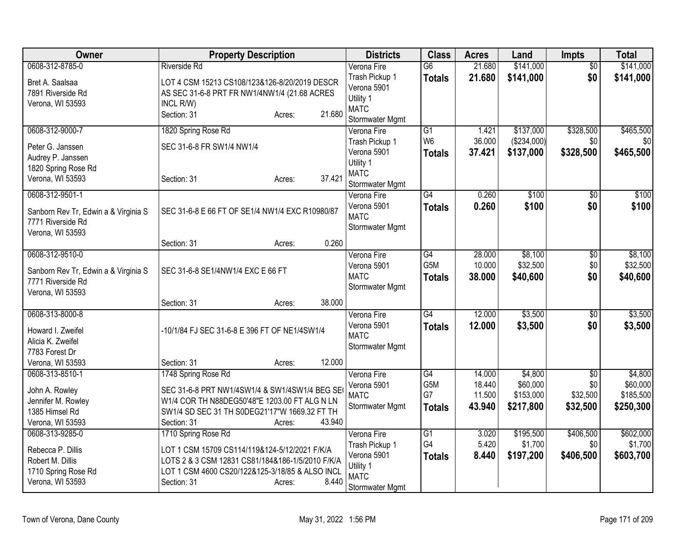| Owner                                                                                               | <b>Property Description</b>                                                                                                                                                                                   | <b>Districts</b>                                                                            | <b>Class</b>                                  | <b>Acres</b>                         | Land                                          | <b>Impts</b>                                   | <b>Total</b>                                  |
|-----------------------------------------------------------------------------------------------------|---------------------------------------------------------------------------------------------------------------------------------------------------------------------------------------------------------------|---------------------------------------------------------------------------------------------|-----------------------------------------------|--------------------------------------|-----------------------------------------------|------------------------------------------------|-----------------------------------------------|
| 0608-312-8785-0<br>Bret A. Saalsaa<br>7891 Riverside Rd<br>Verona, WI 53593                         | <b>Riverside Rd</b><br>LOT 4 CSM 15213 CS108/123&126-8/20/2019 DESCR<br>AS SEC 31-6-8 PRT FR NW1/4NW1/4 (21.68 ACRES<br>INCL R/W)                                                                             | Verona Fire<br>Trash Pickup 1<br>Verona 5901<br>Utility 1<br><b>MATC</b>                    | $\overline{G6}$<br><b>Totals</b>              | 21.680<br>21.680                     | \$141,000<br>\$141,000                        | $\overline{50}$<br>\$0                         | \$141,000<br>\$141,000                        |
| 0608-312-9000-7                                                                                     | 21.680<br>Section: 31<br>Acres:<br>1820 Spring Rose Rd                                                                                                                                                        | Stormwater Mgmt<br>Verona Fire                                                              | $\overline{G1}$                               | 1.421                                | \$137,000                                     | \$328,500                                      | \$465,500                                     |
| Peter G. Janssen<br>Audrey P. Janssen<br>1820 Spring Rose Rd<br>Verona, WI 53593                    | SEC 31-6-8 FR SW1/4 NW1/4<br>37.421<br>Section: 31<br>Acres:                                                                                                                                                  | Trash Pickup 1<br>Verona 5901<br>Utility 1<br><b>MATC</b><br>Stormwater Mgmt                | W <sub>6</sub><br><b>Totals</b>               | 36.000<br>37.421                     | (\$234,000)<br>\$137,000                      | \$0<br>\$328,500                               | \$0<br>\$465,500                              |
| 0608-312-9501-1<br>Sanborn Rev Tr, Edwin a & Virginia S<br>7771 Riverside Rd<br>Verona, WI 53593    | SEC 31-6-8 E 66 FT OF SE1/4 NW1/4 EXC R10980/87                                                                                                                                                               | Verona Fire<br>Verona 5901<br><b>MATC</b><br>Stormwater Mgmt                                | $\overline{G4}$<br><b>Totals</b>              | 0.260<br>0.260                       | \$100<br>\$100                                | \$0<br>\$0                                     | \$100<br>\$100                                |
|                                                                                                     | 0.260<br>Section: 31<br>Acres:                                                                                                                                                                                |                                                                                             |                                               |                                      |                                               |                                                |                                               |
| 0608-312-9510-0<br>Sanborn Rev Tr, Edwin a & Virginia S<br>7771 Riverside Rd<br>Verona, WI 53593    | SEC 31-6-8 SE1/4NW1/4 EXC E 66 FT                                                                                                                                                                             | Verona Fire<br>Verona 5901<br><b>MATC</b><br>Stormwater Mgmt                                | $\overline{G4}$<br>G <sub>5</sub> M<br>Totals | 28.000<br>10.000<br>38.000           | \$8,100<br>\$32,500<br>\$40,600               | $\overline{50}$<br>\$0<br>\$0                  | \$8,100<br>\$32,500<br>\$40,600               |
|                                                                                                     | 38.000<br>Section: 31<br>Acres:                                                                                                                                                                               |                                                                                             |                                               |                                      |                                               |                                                |                                               |
| 0608-313-8000-8<br>Howard I. Zweifel<br>Alicia K. Zweifel<br>7783 Forest Dr                         | -10/1/84 FJ SEC 31-6-8 E 396 FT OF NE1/4SW1/4                                                                                                                                                                 | Verona Fire<br>Verona 5901<br><b>MATC</b><br>Stormwater Mgmt                                | $\overline{G4}$<br><b>Totals</b>              | 12.000<br>12.000                     | \$3,500<br>\$3,500                            | $\overline{60}$<br>\$0                         | \$3,500<br>\$3,500                            |
| Verona, WI 53593                                                                                    | 12.000<br>Section: 31<br>Acres:                                                                                                                                                                               |                                                                                             |                                               |                                      |                                               |                                                |                                               |
| 0608-313-8510-1<br>John A. Rowley<br>Jennifer M. Rowley<br>1385 Himsel Rd<br>Verona, WI 53593       | 1748 Spring Rose Rd<br>SEC 31-6-8 PRT NW1/4SW1/4 & SW1/4SW1/4 BEG SE<br>W1/4 COR TH N88DEG50'48"E 1203.00 FT ALG N LN<br>SW1/4 SD SEC 31 TH S0DEG21'17"W 1669.32 FT TH<br>43.940<br>Section: 31<br>Acres:     | Verona Fire<br>Verona 5901<br><b>MATC</b><br>Stormwater Mgmt                                | G4<br>G5M<br>G7<br><b>Totals</b>              | 14.000<br>18.440<br>11.500<br>43.940 | \$4,800<br>\$60,000<br>\$153,000<br>\$217,800 | $\overline{50}$<br>\$0<br>\$32,500<br>\$32,500 | \$4,800<br>\$60,000<br>\$185,500<br>\$250,300 |
| 0608-313-9285-0<br>Rebecca P. Dillis<br>Robert M. Dillis<br>1710 Spring Rose Rd<br>Verona, WI 53593 | 1710 Spring Rose Rd<br>LOT 1 CSM 15709 CS114/119&124-5/12/2021 F/K/A<br>LOTS 2 & 3 CSM 12831 CS81/184&186-1/5/2010 F/K/A<br>LOT 1 CSM 4600 CS20/122&125-3/18/85 & ALSO INCL<br>8.440<br>Section: 31<br>Acres: | Verona Fire<br>Trash Pickup 1<br>Verona 5901<br>Utility 1<br><b>MATC</b><br>Stormwater Mgmt | $\overline{G1}$<br>G4<br><b>Totals</b>        | 3.020<br>5.420<br>8.440              | \$195,500<br>\$1,700<br>\$197,200             | \$406,500<br>\$0<br>\$406,500                  | \$602,000<br>\$1,700<br>\$603,700             |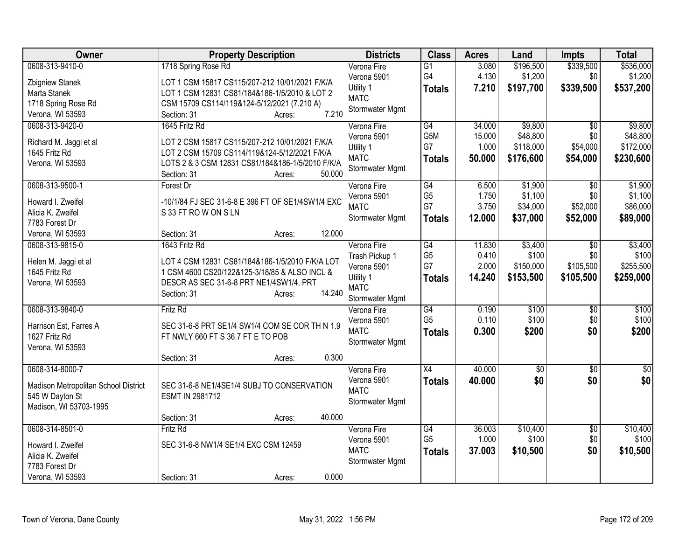| Owner                                | <b>Property Description</b>                                                                       | <b>Districts</b>         | <b>Class</b>    | <b>Acres</b> | Land            | <b>Impts</b>    | <b>Total</b> |
|--------------------------------------|---------------------------------------------------------------------------------------------------|--------------------------|-----------------|--------------|-----------------|-----------------|--------------|
| 0608-313-9410-0                      | 1718 Spring Rose Rd                                                                               | Verona Fire              | G1              | 3.080        | \$196,500       | \$339,500       | \$536,000    |
| Zbigniew Stanek                      | LOT 1 CSM 15817 CS115/207-212 10/01/2021 F/K/A                                                    | Verona 5901              | G4              | 4.130        | \$1,200         | \$0             | \$1,200      |
| Marta Stanek                         | LOT 1 CSM 12831 CS81/184&186-1/5/2010 & LOT 2                                                     | Utility 1                | <b>Totals</b>   | 7.210        | \$197,700       | \$339,500       | \$537,200    |
| 1718 Spring Rose Rd                  | CSM 15709 CS114/119&124-5/12/2021 (7.210 A)                                                       | <b>MATC</b>              |                 |              |                 |                 |              |
| Verona, WI 53593                     | 7.210<br>Section: 31<br>Acres:                                                                    | Stormwater Mgmt          |                 |              |                 |                 |              |
| 0608-313-9420-0                      | 1645 Fritz Rd                                                                                     | Verona Fire              | G4              | 34.000       | \$9,800         | $\overline{50}$ | \$9,800      |
|                                      |                                                                                                   | Verona 5901              | G5M             | 15.000       | \$48,800        | \$0             | \$48,800     |
| Richard M. Jaggi et al               | LOT 2 CSM 15817 CS115/207-212 10/01/2021 F/K/A                                                    | Utility 1                | G7              | 1.000        | \$118,000       | \$54,000        | \$172,000    |
| 1645 Fritz Rd<br>Verona, WI 53593    | LOT 2 CSM 15709 CS114/119&124-5/12/2021 F/K/A<br>LOTS 2 & 3 CSM 12831 CS81/184&186-1/5/2010 F/K/A | <b>MATC</b>              | Totals          | 50.000       | \$176,600       | \$54,000        | \$230,600    |
|                                      | 50.000<br>Section: 31<br>Acres:                                                                   | Stormwater Mgmt          |                 |              |                 |                 |              |
| 0608-313-9500-1                      | Forest Dr                                                                                         | Verona Fire              | G4              | 6.500        | \$1,900         | \$0             | \$1,900      |
|                                      |                                                                                                   | Verona 5901              | G <sub>5</sub>  | 1.750        | \$1,100         | \$0             | \$1,100      |
| Howard I. Zweifel                    | -10/1/84 FJ SEC 31-6-8 E 396 FT OF SE1/4SW1/4 EXC                                                 | <b>MATC</b>              | G7              | 3.750        | \$34,000        | \$52,000        | \$86,000     |
| Alicia K. Zweifel                    | S 33 FT ROW ON SLN                                                                                | Stormwater Mgmt          | <b>Totals</b>   | 12.000       | \$37,000        | \$52,000        | \$89,000     |
| 7783 Forest Dr                       |                                                                                                   |                          |                 |              |                 |                 |              |
| Verona, WI 53593                     | 12.000<br>Section: 31<br>Acres:                                                                   |                          |                 |              |                 |                 |              |
| 0608-313-9815-0                      | 1643 Fritz Rd                                                                                     | Verona Fire              | G4              | 11.830       | \$3,400         | \$0             | \$3,400      |
| Helen M. Jaggi et al                 | LOT 4 CSM 12831 CS81/184&186-1/5/2010 F/K/A LOT                                                   | Trash Pickup 1           | G <sub>5</sub>  | 0.410        | \$100           | \$0             | \$100        |
| 1645 Fritz Rd                        | 1 CSM 4600 CS20/122&125-3/18/85 & ALSO INCL &                                                     | Verona 5901              | G7              | 2.000        | \$150,000       | \$105,500       | \$255,500    |
| Verona, WI 53593                     | DESCR AS SEC 31-6-8 PRT NE1/4SW1/4, PRT                                                           | Utility 1<br><b>MATC</b> | <b>Totals</b>   | 14.240       | \$153,500       | \$105,500       | \$259,000    |
|                                      | 14.240<br>Section: 31<br>Acres:                                                                   | Stormwater Mgmt          |                 |              |                 |                 |              |
| 0608-313-9840-0                      | <b>Fritz Rd</b>                                                                                   | Verona Fire              | G4              | 0.190        | \$100           | \$0             | \$100        |
|                                      |                                                                                                   | Verona 5901              | G <sub>5</sub>  | 0.110        | \$100           | \$0             | \$100        |
| Harrison Est, Farres A               | SEC 31-6-8 PRT SE1/4 SW1/4 COM SE COR TH N 1.9                                                    | <b>MATC</b>              | <b>Totals</b>   | 0.300        | \$200           | \$0             | \$200        |
| 1627 Fritz Rd                        | FT NWLY 660 FT S 36.7 FT E TO POB                                                                 | Stormwater Mgmt          |                 |              |                 |                 |              |
| Verona, WI 53593                     |                                                                                                   |                          |                 |              |                 |                 |              |
|                                      | 0.300<br>Section: 31<br>Acres:                                                                    |                          |                 |              |                 |                 |              |
| 0608-314-8000-7                      |                                                                                                   | Verona Fire              | $\overline{X4}$ | 40.000       | $\overline{50}$ | $\sqrt[6]{}$    | $\sqrt{50}$  |
| Madison Metropolitan School District | SEC 31-6-8 NE1/4SE1/4 SUBJ TO CONSERVATION                                                        | Verona 5901              | <b>Totals</b>   | 40.000       | \$0             | \$0             | \$0          |
| 545 W Dayton St                      | ESMT IN 2981712                                                                                   | <b>MATC</b>              |                 |              |                 |                 |              |
| Madison, WI 53703-1995               |                                                                                                   | Stormwater Mgmt          |                 |              |                 |                 |              |
|                                      | 40.000<br>Section: 31<br>Acres:                                                                   |                          |                 |              |                 |                 |              |
| 0608-314-8501-0                      | <b>Fritz Rd</b>                                                                                   | Verona Fire              | G4              | 36.003       | \$10,400        | \$0             | \$10,400     |
| Howard I. Zweifel                    | SEC 31-6-8 NW1/4 SE1/4 EXC CSM 12459                                                              | Verona 5901              | G <sub>5</sub>  | 1.000        | \$100           | \$0             | \$100        |
| Alicia K. Zweifel                    |                                                                                                   | <b>MATC</b>              | <b>Totals</b>   | 37.003       | \$10,500        | \$0             | \$10,500     |
| 7783 Forest Dr                       |                                                                                                   | Stormwater Mgmt          |                 |              |                 |                 |              |
| Verona, WI 53593                     | 0.000<br>Section: 31<br>Acres:                                                                    |                          |                 |              |                 |                 |              |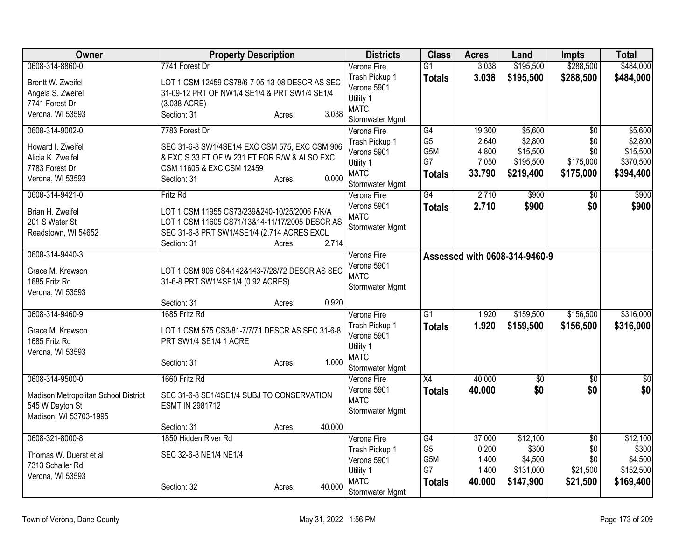| Owner                                 | <b>Property Description</b>                                                                     |        | <b>Districts</b>              | <b>Class</b>         | <b>Acres</b>    | Land                          | <b>Impts</b>           | <b>Total</b>       |
|---------------------------------------|-------------------------------------------------------------------------------------------------|--------|-------------------------------|----------------------|-----------------|-------------------------------|------------------------|--------------------|
| 0608-314-8860-0                       | 7741 Forest Dr                                                                                  |        | Verona Fire                   | G1                   | 3.038           | \$195,500                     | \$288,500              | \$484,000          |
| Brentt W. Zweifel                     | LOT 1 CSM 12459 CS78/6-7 05-13-08 DESCR AS SEC                                                  |        | Trash Pickup 1                | <b>Totals</b>        | 3.038           | \$195,500                     | \$288,500              | \$484,000          |
| Angela S. Zweifel                     | 31-09-12 PRT OF NW1/4 SE1/4 & PRT SW1/4 SE1/4                                                   |        | Verona 5901                   |                      |                 |                               |                        |                    |
| 7741 Forest Dr                        | (3.038 ACRE)                                                                                    |        | Utility 1                     |                      |                 |                               |                        |                    |
| Verona, WI 53593                      | Section: 31<br>Acres:                                                                           | 3.038  | <b>MATC</b>                   |                      |                 |                               |                        |                    |
|                                       | 7783 Forest Dr                                                                                  |        | Stormwater Mgmt               |                      |                 |                               |                        |                    |
| 0608-314-9002-0                       |                                                                                                 |        | Verona Fire<br>Trash Pickup 1 | G4<br>G <sub>5</sub> | 19.300<br>2.640 | \$5,600<br>\$2,800            | $\overline{50}$<br>\$0 | \$5,600<br>\$2,800 |
| Howard I. Zweifel                     | SEC 31-6-8 SW1/4SE1/4 EXC CSM 575, EXC CSM 906                                                  |        | Verona 5901                   | G5M                  | 4.800           | \$15,500                      | \$0                    | \$15,500           |
| Alicia K. Zweifel                     | & EXC S 33 FT OF W 231 FT FOR R/W & ALSO EXC                                                    |        | Utility 1                     | G7                   | 7.050           | \$195,500                     | \$175,000              | \$370,500          |
| 7783 Forest Dr                        | CSM 11605 & EXC CSM 12459                                                                       |        | <b>MATC</b>                   | <b>Totals</b>        | 33.790          | \$219,400                     | \$175,000              | \$394,400          |
| Verona, WI 53593                      | Section: 31<br>Acres:                                                                           | 0.000  | Stormwater Mgmt               |                      |                 |                               |                        |                    |
| 0608-314-9421-0                       | Fritz Rd                                                                                        |        | Verona Fire                   | G4                   | 2.710           | \$900                         | \$0                    | \$900              |
|                                       |                                                                                                 |        | Verona 5901                   | <b>Totals</b>        | 2.710           | \$900                         | \$0                    | \$900              |
| Brian H. Zweifel                      | LOT 1 CSM 11955 CS73/239&240-10/25/2006 F/K/A<br>LOT 1 CSM 11605 CS71/13&14-11/17/2005 DESCR AS |        | <b>MATC</b>                   |                      |                 |                               |                        |                    |
| 201 S Water St<br>Readstown, WI 54652 | SEC 31-6-8 PRT SW1/4SE1/4 (2.714 ACRES EXCL                                                     |        | Stormwater Mgmt               |                      |                 |                               |                        |                    |
|                                       | Section: 31<br>Acres:                                                                           | 2.714  |                               |                      |                 |                               |                        |                    |
| 0608-314-9440-3                       |                                                                                                 |        | Verona Fire                   |                      |                 | Assessed with 0608-314-9460-9 |                        |                    |
|                                       |                                                                                                 |        | Verona 5901                   |                      |                 |                               |                        |                    |
| Grace M. Krewson                      | LOT 1 CSM 906 CS4/142&143-7/28/72 DESCR AS SEC                                                  |        | <b>MATC</b>                   |                      |                 |                               |                        |                    |
| 1685 Fritz Rd                         | 31-6-8 PRT SW1/4SE1/4 (0.92 ACRES)                                                              |        | <b>Stormwater Mgmt</b>        |                      |                 |                               |                        |                    |
| Verona, WI 53593                      |                                                                                                 |        |                               |                      |                 |                               |                        |                    |
|                                       | Section: 31<br>Acres:                                                                           | 0.920  |                               |                      |                 |                               |                        |                    |
| 0608-314-9460-9                       | 1685 Fritz Rd                                                                                   |        | Verona Fire                   | $\overline{G1}$      | 1.920           | \$159,500                     | \$156,500              | \$316,000          |
| Grace M. Krewson                      | LOT 1 CSM 575 CS3/81-7/7/71 DESCR AS SEC 31-6-8                                                 |        | Trash Pickup 1<br>Verona 5901 | <b>Totals</b>        | 1.920           | \$159,500                     | \$156,500              | \$316,000          |
| 1685 Fritz Rd                         | PRT SW1/4 SE1/4 1 ACRE                                                                          |        | Utility 1                     |                      |                 |                               |                        |                    |
| Verona, WI 53593                      |                                                                                                 |        | <b>MATC</b>                   |                      |                 |                               |                        |                    |
|                                       | Section: 31<br>Acres:                                                                           | 1.000  | Stormwater Mgmt               |                      |                 |                               |                        |                    |
| 0608-314-9500-0                       | 1660 Fritz Rd                                                                                   |        | Verona Fire                   | X4                   | 40.000          | $\overline{50}$               | \$0                    | $\overline{50}$    |
|                                       |                                                                                                 |        | Verona 5901                   | <b>Totals</b>        | 40.000          | \$0                           | \$0                    | \$0                |
| Madison Metropolitan School District  | SEC 31-6-8 SE1/4SE1/4 SUBJ TO CONSERVATION                                                      |        | <b>MATC</b>                   |                      |                 |                               |                        |                    |
| 545 W Dayton St                       | ESMT IN 2981712                                                                                 |        | Stormwater Mgmt               |                      |                 |                               |                        |                    |
| Madison, WI 53703-1995                | Section: 31<br>Acres:                                                                           | 40.000 |                               |                      |                 |                               |                        |                    |
| 0608-321-8000-8                       | 1850 Hidden River Rd                                                                            |        | Verona Fire                   | G4                   | 37.000          | \$12,100                      | $\overline{50}$        | \$12,100           |
|                                       |                                                                                                 |        | Trash Pickup 1                | G <sub>5</sub>       | 0.200           | \$300                         | \$0                    | \$300              |
| Thomas W. Duerst et al                | SEC 32-6-8 NE1/4 NE1/4                                                                          |        | Verona 5901                   | G5M                  | 1.400           | \$4,500                       | \$0                    | \$4,500            |
| 7313 Schaller Rd                      |                                                                                                 |        | Utility 1                     | G7                   | 1.400           | \$131,000                     | \$21,500               | \$152,500          |
| Verona, WI 53593                      |                                                                                                 |        | <b>MATC</b>                   | <b>Totals</b>        | 40.000          | \$147,900                     | \$21,500               | \$169,400          |
|                                       | Section: 32<br>Acres:                                                                           | 40.000 | Stormwater Mgmt               |                      |                 |                               |                        |                    |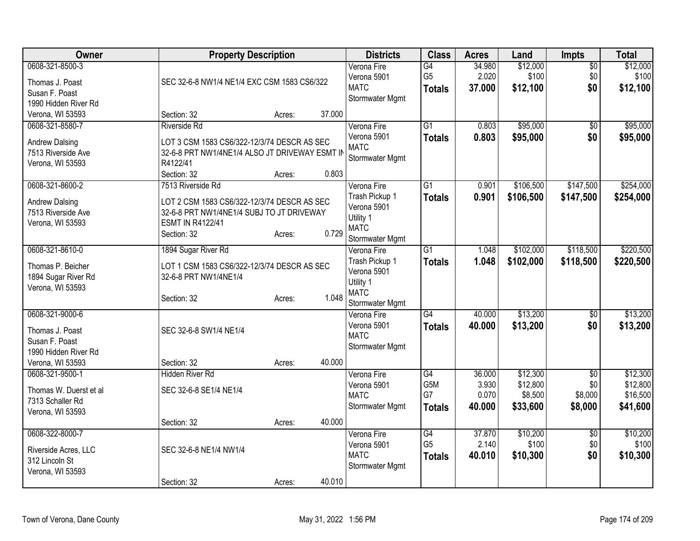| Owner                                                                                            | <b>Property Description</b>                                                                                                                     |        |        | <b>Districts</b>                                                             | <b>Class</b>                                       | <b>Acres</b>              | Land                            | <b>Impts</b>                  | <b>Total</b>                     |
|--------------------------------------------------------------------------------------------------|-------------------------------------------------------------------------------------------------------------------------------------------------|--------|--------|------------------------------------------------------------------------------|----------------------------------------------------|---------------------------|---------------------------------|-------------------------------|----------------------------------|
| 0608-321-8500-3<br>Thomas J. Poast<br>Susan F. Poast<br>1990 Hidden River Rd                     | SEC 32-6-8 NW1/4 NE1/4 EXC CSM 1583 CS6/322                                                                                                     |        |        | Verona Fire<br>Verona 5901<br><b>MATC</b><br>Stormwater Mgmt                 | $\overline{G4}$<br>G <sub>5</sub><br><b>Totals</b> | 34.980<br>2.020<br>37.000 | \$12,000<br>\$100<br>\$12,100   | $\overline{60}$<br>\$0<br>\$0 | \$12,000<br>\$100<br>\$12,100    |
| Verona, WI 53593                                                                                 | Section: 32                                                                                                                                     | Acres: | 37.000 |                                                                              |                                                    |                           |                                 |                               |                                  |
| 0608-321-8580-7<br><b>Andrew Dalsing</b><br>7513 Riverside Ave<br>Verona, WI 53593               | <b>Riverside Rd</b><br>LOT 3 CSM 1583 CS6/322-12/3/74 DESCR AS SEC<br>32-6-8 PRT NW1/4NE1/4 ALSO JT DRIVEWAY ESMT IN<br>R4122/41<br>Section: 32 | Acres: | 0.803  | Verona Fire<br>Verona 5901<br><b>MATC</b><br>Stormwater Mgmt                 | $\overline{G1}$<br><b>Totals</b>                   | 0.803<br>0.803            | \$95,000<br>\$95,000            | \$0<br>\$0                    | \$95,000<br>\$95,000             |
| 0608-321-8600-2                                                                                  | 7513 Riverside Rd                                                                                                                               |        |        | Verona Fire                                                                  | $\overline{G1}$                                    | 0.901                     | \$106,500                       | \$147,500                     | \$254,000                        |
| <b>Andrew Dalsing</b><br>7513 Riverside Ave<br>Verona, WI 53593                                  | LOT 2 CSM 1583 CS6/322-12/3/74 DESCR AS SEC<br>32-6-8 PRT NW1/4NE1/4 SUBJ TO JT DRIVEWAY<br><b>ESMT IN R4122/41</b><br>Section: 32              | Acres: | 0.729  | Trash Pickup 1<br>Verona 5901<br>Utility 1<br><b>MATC</b><br>Stormwater Mgmt | <b>Totals</b>                                      | 0.901                     | \$106,500                       | \$147,500                     | \$254,000                        |
| 0608-321-8610-0                                                                                  | 1894 Sugar River Rd                                                                                                                             |        |        | Verona Fire                                                                  | $\overline{G1}$                                    | 1.048                     | \$102,000                       | \$118,500                     | \$220,500                        |
| Thomas P. Beicher<br>1894 Sugar River Rd<br>Verona, WI 53593                                     | LOT 1 CSM 1583 CS6/322-12/3/74 DESCR AS SEC<br>32-6-8 PRT NW1/4NE1/4<br>Section: 32                                                             | Acres: | 1.048  | Trash Pickup 1<br>Verona 5901<br>Utility 1<br><b>MATC</b><br>Stormwater Mgmt | <b>Totals</b>                                      | 1.048                     | \$102,000                       | \$118,500                     | \$220,500                        |
| 0608-321-9000-6<br>Thomas J. Poast<br>Susan F. Poast<br>1990 Hidden River Rd<br>Verona, WI 53593 | SEC 32-6-8 SW1/4 NE1/4<br>Section: 32                                                                                                           | Acres: | 40.000 | Verona Fire<br>Verona 5901<br><b>MATC</b><br>Stormwater Mgmt                 | $\overline{G4}$<br><b>Totals</b>                   | 40.000<br>40.000          | \$13,200<br>\$13,200            | $\sqrt{6}$<br>\$0             | \$13,200<br>\$13,200             |
| 0608-321-9500-1                                                                                  | <b>Hidden River Rd</b>                                                                                                                          |        |        | Verona Fire                                                                  | $\overline{G4}$                                    | 36.000                    | \$12,300                        | $\overline{50}$               | \$12,300                         |
| Thomas W. Duerst et al<br>7313 Schaller Rd<br>Verona, WI 53593                                   | SEC 32-6-8 SE1/4 NE1/4                                                                                                                          |        |        | Verona 5901<br><b>MATC</b><br>Stormwater Mgmt                                | G5M<br>G7<br><b>Totals</b>                         | 3.930<br>0.070<br>40.000  | \$12,800<br>\$8,500<br>\$33,600 | \$0<br>\$8,000<br>\$8,000     | \$12,800<br>\$16,500<br>\$41,600 |
|                                                                                                  | Section: 32                                                                                                                                     | Acres: | 40.000 |                                                                              |                                                    |                           |                                 |                               |                                  |
| 0608-322-8000-7<br>Riverside Acres, LLC<br>312 Lincoln St<br>Verona, WI 53593                    | SEC 32-6-8 NE1/4 NW1/4                                                                                                                          |        |        | Verona Fire<br>Verona 5901<br><b>MATC</b><br>Stormwater Mgmt                 | $\overline{G4}$<br>G <sub>5</sub><br><b>Totals</b> | 37.870<br>2.140<br>40.010 | \$10,200<br>\$100<br>\$10,300   | $\overline{50}$<br>\$0<br>\$0 | \$10,200<br>\$100<br>\$10,300    |
|                                                                                                  | Section: 32                                                                                                                                     | Acres: | 40.010 |                                                                              |                                                    |                           |                                 |                               |                                  |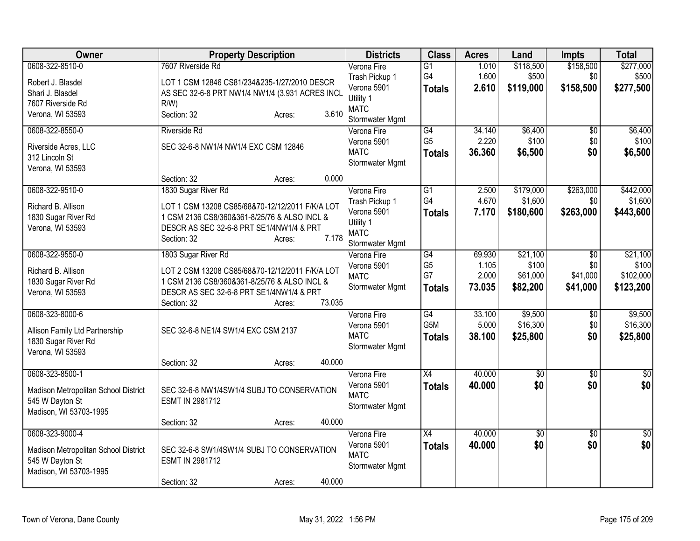| Owner                                                                                                | <b>Property Description</b>                                                                                                                                                                                                            | <b>Districts</b>                                                                            | <b>Class</b>                                             | <b>Acres</b>                       | Land                                      | Impts                                          | <b>Total</b>                                |
|------------------------------------------------------------------------------------------------------|----------------------------------------------------------------------------------------------------------------------------------------------------------------------------------------------------------------------------------------|---------------------------------------------------------------------------------------------|----------------------------------------------------------|------------------------------------|-------------------------------------------|------------------------------------------------|---------------------------------------------|
| 0608-322-8510-0<br>Robert J. Blasdel<br>Shari J. Blasdel<br>7607 Riverside Rd<br>Verona, WI 53593    | 7607 Riverside Rd<br>LOT 1 CSM 12846 CS81/234&235-1/27/2010 DESCR<br>AS SEC 32-6-8 PRT NW1/4 NW1/4 (3.931 ACRES INCL<br>$R/W$ )<br>3.610<br>Section: 32<br>Acres:                                                                      | Verona Fire<br>Trash Pickup 1<br>Verona 5901<br>Utility 1<br><b>MATC</b>                    | $\overline{G1}$<br>G4<br><b>Totals</b>                   | 1.010<br>1.600<br>2.610            | \$118,500<br>\$500<br>\$119,000           | \$158,500<br>\$0<br>\$158,500                  | \$277,000<br>\$500<br>\$277,500             |
| 0608-322-8550-0<br>Riverside Acres, LLC<br>312 Lincoln St<br>Verona, WI 53593                        | <b>Riverside Rd</b><br>SEC 32-6-8 NW1/4 NW1/4 EXC CSM 12846                                                                                                                                                                            | Stormwater Mgmt<br>Verona Fire<br>Verona 5901<br><b>MATC</b><br>Stormwater Mgmt             | G4<br>G <sub>5</sub><br><b>Totals</b>                    | 34.140<br>2.220<br>36.360          | \$6,400<br>\$100<br>\$6,500               | $\overline{50}$<br>\$0<br>\$0                  | \$6,400<br>\$100<br>\$6,500                 |
| 0608-322-9510-0<br>Richard B. Allison<br>1830 Sugar River Rd<br>Verona, WI 53593                     | 0.000<br>Section: 32<br>Acres:<br>1830 Sugar River Rd<br>LOT 1 CSM 13208 CS85/68&70-12/12/2011 F/K/A LOT<br>1 CSM 2136 CS8/360&361-8/25/76 & ALSO INCL &<br>DESCR AS SEC 32-6-8 PRT SE1/4NW1/4 & PRT<br>7.178<br>Section: 32<br>Acres: | Verona Fire<br>Trash Pickup 1<br>Verona 5901<br>Utility 1<br><b>MATC</b><br>Stormwater Mgmt | $\overline{G1}$<br>G4<br><b>Totals</b>                   | 2.500<br>4.670<br>7.170            | \$179,000<br>\$1,600<br>\$180,600         | \$263,000<br>\$0<br>\$263,000                  | \$442,000<br>\$1,600<br>\$443,600           |
| 0608-322-9550-0<br>Richard B. Allison<br>1830 Sugar River Rd<br>Verona, WI 53593                     | 1803 Sugar River Rd<br>LOT 2 CSM 13208 CS85/68&70-12/12/2011 F/K/A LOT<br>1 CSM 2136 CS8/360&361-8/25/76 & ALSO INCL &<br>DESCR AS SEC 32-6-8 PRT SE1/4NW1/4 & PRT<br>73.035<br>Section: 32<br>Acres:                                  | Verona Fire<br>Verona 5901<br><b>MATC</b><br>Stormwater Mgmt                                | $\overline{G4}$<br>G <sub>5</sub><br>G7<br><b>Totals</b> | 69.930<br>1.105<br>2.000<br>73.035 | \$21,100<br>\$100<br>\$61,000<br>\$82,200 | $\overline{50}$<br>\$0<br>\$41,000<br>\$41,000 | \$21,100<br>\$100<br>\$102,000<br>\$123,200 |
| 0608-323-8000-6<br>Allison Family Ltd Partnership<br>1830 Sugar River Rd<br>Verona, WI 53593         | SEC 32-6-8 NE1/4 SW1/4 EXC CSM 2137<br>40.000<br>Section: 32<br>Acres:                                                                                                                                                                 | Verona Fire<br>Verona 5901<br><b>MATC</b><br>Stormwater Mgmt                                | G4<br>G5M<br><b>Totals</b>                               | 33.100<br>5.000<br>38.100          | \$9,500<br>\$16,300<br>\$25,800           | \$0<br>\$0<br>\$0                              | \$9,500<br>\$16,300<br>\$25,800             |
| 0608-323-8500-1<br>Madison Metropolitan School District<br>545 W Dayton St<br>Madison, WI 53703-1995 | SEC 32-6-8 NW1/4SW1/4 SUBJ TO CONSERVATION<br>ESMT IN 2981712<br>40.000<br>Section: 32<br>Acres:                                                                                                                                       | Verona Fire<br>Verona 5901<br><b>MATC</b><br>Stormwater Mgmt                                | X4<br><b>Totals</b>                                      | 40.000<br>40.000                   | $\overline{50}$<br>\$0                    | $\overline{30}$<br>\$0                         | $\overline{50}$<br>\$0                      |
| 0608-323-9000-4<br>Madison Metropolitan School District<br>545 W Dayton St<br>Madison, WI 53703-1995 | SEC 32-6-8 SW1/4SW1/4 SUBJ TO CONSERVATION<br>ESMT IN 2981712<br>40.000<br>Section: 32<br>Acres:                                                                                                                                       | Verona Fire<br>Verona 5901<br><b>MATC</b><br>Stormwater Mgmt                                | X4<br><b>Totals</b>                                      | 40.000<br>40.000                   | $\sqrt{$0}$<br>\$0                        | $\overline{30}$<br>\$0                         | \$0<br>\$0                                  |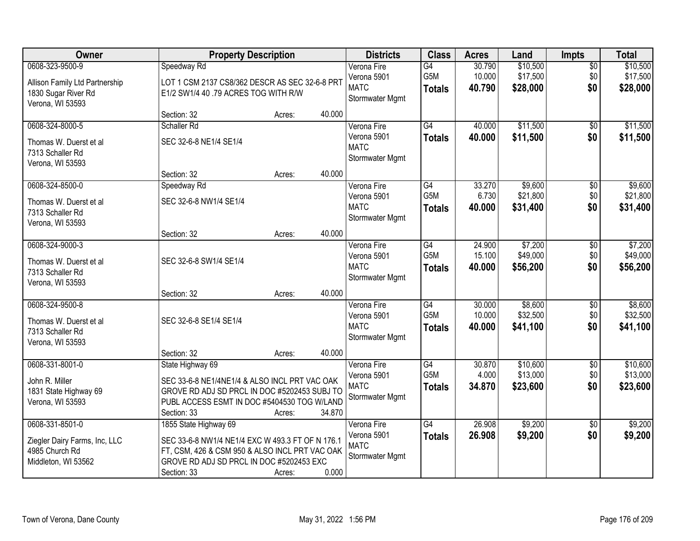| Owner                                                                                        | <b>Property Description</b>                                                                                                                                                            |        |        | <b>Districts</b>                                             | <b>Class</b>                            | <b>Acres</b>               | Land                             | Impts                         | <b>Total</b>                     |
|----------------------------------------------------------------------------------------------|----------------------------------------------------------------------------------------------------------------------------------------------------------------------------------------|--------|--------|--------------------------------------------------------------|-----------------------------------------|----------------------------|----------------------------------|-------------------------------|----------------------------------|
| 0608-323-9500-9<br>Allison Family Ltd Partnership<br>1830 Sugar River Rd<br>Verona, WI 53593 | Speedway Rd<br>LOT 1 CSM 2137 CS8/362 DESCR AS SEC 32-6-8 PRT<br>E1/2 SW1/4 40 .79 ACRES TOG WITH R/W                                                                                  |        |        | Verona Fire<br>Verona 5901<br><b>MATC</b><br>Stormwater Mgmt | G4<br>G5M<br><b>Totals</b>              | 30.790<br>10.000<br>40.790 | \$10,500<br>\$17,500<br>\$28,000 | $\overline{50}$<br>\$0<br>\$0 | \$10,500<br>\$17,500<br>\$28,000 |
|                                                                                              | Section: 32                                                                                                                                                                            | Acres: | 40.000 |                                                              |                                         |                            |                                  |                               |                                  |
| 0608-324-8000-5<br>Thomas W. Duerst et al<br>7313 Schaller Rd<br>Verona, WI 53593            | Schaller Rd<br>SEC 32-6-8 NE1/4 SE1/4                                                                                                                                                  |        |        | Verona Fire<br>Verona 5901<br><b>MATC</b><br>Stormwater Mgmt | $\overline{G4}$<br><b>Totals</b>        | 40.000<br>40.000           | \$11,500<br>\$11,500             | \$0<br>\$0                    | \$11,500<br>\$11,500             |
|                                                                                              | Section: 32                                                                                                                                                                            | Acres: | 40.000 |                                                              |                                         |                            |                                  |                               |                                  |
| 0608-324-8500-0<br>Thomas W. Duerst et al<br>7313 Schaller Rd<br>Verona, WI 53593            | Speedway Rd<br>SEC 32-6-8 NW1/4 SE1/4                                                                                                                                                  |        |        | Verona Fire<br>Verona 5901<br><b>MATC</b><br>Stormwater Mgmt | G4<br>G5M<br><b>Totals</b>              | 33.270<br>6.730<br>40.000  | \$9,600<br>\$21,800<br>\$31,400  | $\overline{50}$<br>\$0<br>\$0 | \$9,600<br>\$21,800<br>\$31,400  |
|                                                                                              | Section: 32                                                                                                                                                                            | Acres: | 40.000 |                                                              |                                         |                            |                                  |                               |                                  |
| 0608-324-9000-3<br>Thomas W. Duerst et al<br>7313 Schaller Rd<br>Verona, WI 53593            | SEC 32-6-8 SW1/4 SE1/4                                                                                                                                                                 |        |        | Verona Fire<br>Verona 5901<br><b>MATC</b><br>Stormwater Mgmt | G4<br>G5M<br><b>Totals</b>              | 24.900<br>15.100<br>40.000 | \$7,200<br>\$49,000<br>\$56,200  | \$0<br>\$0<br>\$0             | \$7,200<br>\$49,000<br>\$56,200  |
|                                                                                              | Section: 32                                                                                                                                                                            | Acres: | 40.000 |                                                              |                                         |                            |                                  |                               |                                  |
| 0608-324-9500-8<br>Thomas W. Duerst et al<br>7313 Schaller Rd<br>Verona, WI 53593            | SEC 32-6-8 SE1/4 SE1/4                                                                                                                                                                 |        |        | Verona Fire<br>Verona 5901<br><b>MATC</b><br>Stormwater Mgmt | G4<br>G <sub>5</sub> M<br><b>Totals</b> | 30.000<br>10.000<br>40.000 | \$8,600<br>\$32,500<br>\$41,100  | $\overline{50}$<br>\$0<br>\$0 | \$8,600<br>\$32,500<br>\$41,100  |
|                                                                                              | Section: 32                                                                                                                                                                            | Acres: | 40.000 |                                                              |                                         |                            |                                  |                               |                                  |
| 0608-331-8001-0<br>John R. Miller<br>1831 State Highway 69<br>Verona, WI 53593               | State Highway 69<br>SEC 33-6-8 NE1/4NE1/4 & ALSO INCL PRT VAC OAK<br>GROVE RD ADJ SD PRCL IN DOC #5202453 SUBJ TO<br>PUBL ACCESS ESMT IN DOC #5404530 TOG W/LAND<br>Section: 33        | Acres: | 34.870 | Verona Fire<br>Verona 5901<br><b>MATC</b><br>Stormwater Mgmt | G4<br>G5M<br><b>Totals</b>              | 30.870<br>4.000<br>34.870  | \$10,600<br>\$13,000<br>\$23,600 | $\overline{60}$<br>\$0<br>\$0 | \$10,600<br>\$13,000<br>\$23,600 |
| 0608-331-8501-0<br>Ziegler Dairy Farms, Inc, LLC<br>4985 Church Rd<br>Middleton, WI 53562    | 1855 State Highway 69<br>SEC 33-6-8 NW1/4 NE1/4 EXC W 493.3 FT OF N 176.1<br>FT, CSM, 426 & CSM 950 & ALSO INCL PRT VAC OAK<br>GROVE RD ADJ SD PRCL IN DOC #5202453 EXC<br>Section: 33 | Acres: | 0.000  | Verona Fire<br>Verona 5901<br><b>MATC</b><br>Stormwater Mgmt | G4<br><b>Totals</b>                     | 26.908<br>26.908           | \$9,200<br>\$9,200               | $\overline{50}$<br>\$0        | \$9,200<br>\$9,200               |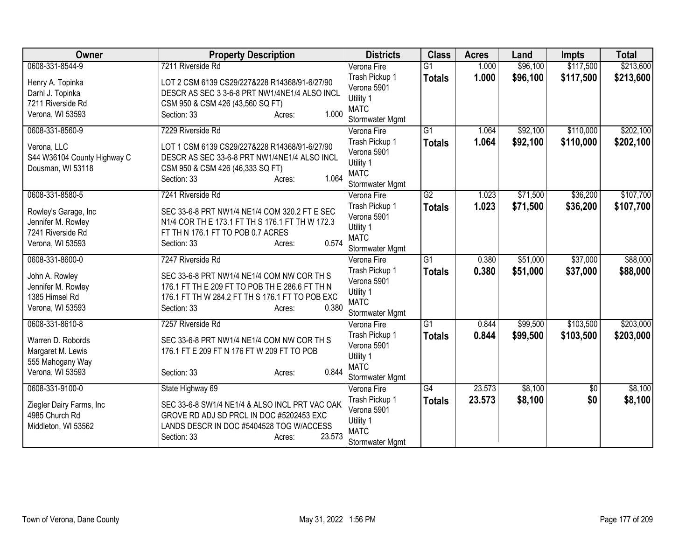| <b>Owner</b>                | <b>Property Description</b>                     | <b>Districts</b>               | <b>Class</b>    | <b>Acres</b> | Land     | <b>Impts</b> | <b>Total</b> |
|-----------------------------|-------------------------------------------------|--------------------------------|-----------------|--------------|----------|--------------|--------------|
| 0608-331-8544-9             | 7211 Riverside Rd                               | Verona Fire                    | $\overline{G1}$ | 1.000        | \$96,100 | \$117,500    | \$213,600    |
| Henry A. Topinka            | LOT 2 CSM 6139 CS29/227&228 R14368/91-6/27/90   | Trash Pickup 1                 | <b>Totals</b>   | 1.000        | \$96,100 | \$117,500    | \$213,600    |
| Darhl J. Topinka            | DESCR AS SEC 3 3-6-8 PRT NW1/4NE1/4 ALSO INCL   | Verona 5901                    |                 |              |          |              |              |
| 7211 Riverside Rd           | CSM 950 & CSM 426 (43,560 SQ FT)                | Utility 1                      |                 |              |          |              |              |
| Verona, WI 53593            | 1.000<br>Section: 33<br>Acres:                  | <b>MATC</b>                    |                 |              |          |              |              |
|                             |                                                 | Stormwater Mgmt                |                 |              |          |              |              |
| 0608-331-8560-9             | 7229 Riverside Rd                               | Verona Fire                    | $\overline{G1}$ | 1.064        | \$92,100 | \$110,000    | \$202,100    |
| Verona, LLC                 | LOT 1 CSM 6139 CS29/227&228 R14368/91-6/27/90   | Trash Pickup 1                 | <b>Totals</b>   | 1.064        | \$92,100 | \$110,000    | \$202,100    |
| S44 W36104 County Highway C | DESCR AS SEC 33-6-8 PRT NW1/4NE1/4 ALSO INCL    | Verona 5901                    |                 |              |          |              |              |
| Dousman, WI 53118           | CSM 950 & CSM 426 (46,333 SQ FT)                | Utility 1                      |                 |              |          |              |              |
|                             | 1.064<br>Section: 33<br>Acres:                  | <b>MATC</b><br>Stormwater Mgmt |                 |              |          |              |              |
| 0608-331-8580-5             | 7241 Riverside Rd                               | Verona Fire                    | G2              | 1.023        | \$71,500 | \$36,200     | \$107,700    |
|                             |                                                 | Trash Pickup 1                 |                 |              |          |              |              |
| Rowley's Garage, Inc        | SEC 33-6-8 PRT NW1/4 NE1/4 COM 320.2 FT E SEC   | Verona 5901                    | <b>Totals</b>   | 1.023        | \$71,500 | \$36,200     | \$107,700    |
| Jennifer M. Rowley          | N1/4 COR TH E 173.1 FT TH S 176.1 FT TH W 172.3 | Utility 1                      |                 |              |          |              |              |
| 7241 Riverside Rd           | FT TH N 176.1 FT TO POB 0.7 ACRES               | <b>MATC</b>                    |                 |              |          |              |              |
| Verona, WI 53593            | 0.574<br>Section: 33<br>Acres:                  | Stormwater Mgmt                |                 |              |          |              |              |
| 0608-331-8600-0             | 7247 Riverside Rd                               | Verona Fire                    | $\overline{G1}$ | 0.380        | \$51,000 | \$37,000     | \$88,000     |
|                             |                                                 | Trash Pickup 1                 | <b>Totals</b>   | 0.380        | \$51,000 | \$37,000     | \$88,000     |
| John A. Rowley              | SEC 33-6-8 PRT NW1/4 NE1/4 COM NW COR TH S      | Verona 5901                    |                 |              |          |              |              |
| Jennifer M. Rowley          | 176.1 FT TH E 209 FT TO POB TH E 286.6 FT TH N  | Utility 1                      |                 |              |          |              |              |
| 1385 Himsel Rd              | 176.1 FT TH W 284.2 FT TH S 176.1 FT TO POB EXC | <b>MATC</b>                    |                 |              |          |              |              |
| Verona, WI 53593            | 0.380<br>Section: 33<br>Acres:                  | Stormwater Mgmt                |                 |              |          |              |              |
| 0608-331-8610-8             | 7257 Riverside Rd                               | Verona Fire                    | $\overline{G1}$ | 0.844        | \$99,500 | \$103,500    | \$203,000    |
| Warren D. Robords           | SEC 33-6-8 PRT NW1/4 NE1/4 COM NW COR TH S      | Trash Pickup 1                 | <b>Totals</b>   | 0.844        | \$99,500 | \$103,500    | \$203,000    |
| Margaret M. Lewis           | 176.1 FT E 209 FT N 176 FT W 209 FT TO POB      | Verona 5901                    |                 |              |          |              |              |
| 555 Mahogany Way            |                                                 | Utility 1                      |                 |              |          |              |              |
| Verona, WI 53593            | 0.844<br>Section: 33<br>Acres:                  | <b>MATC</b>                    |                 |              |          |              |              |
|                             |                                                 | Stormwater Mgmt                |                 |              |          |              |              |
| 0608-331-9100-0             | State Highway 69                                | Verona Fire                    | $\overline{G4}$ | 23.573       | \$8,100  | \$0          | \$8,100      |
| Ziegler Dairy Farms, Inc    | SEC 33-6-8 SW1/4 NE1/4 & ALSO INCL PRT VAC OAK  | Trash Pickup 1                 | <b>Totals</b>   | 23.573       | \$8,100  | \$0          | \$8,100      |
| 4985 Church Rd              | GROVE RD ADJ SD PRCL IN DOC #5202453 EXC        | Verona 5901                    |                 |              |          |              |              |
| Middleton, WI 53562         | LANDS DESCR IN DOC #5404528 TOG W/ACCESS        | Utility 1                      |                 |              |          |              |              |
|                             | 23.573<br>Section: 33<br>Acres:                 | <b>MATC</b>                    |                 |              |          |              |              |
|                             |                                                 | Stormwater Mgmt                |                 |              |          |              |              |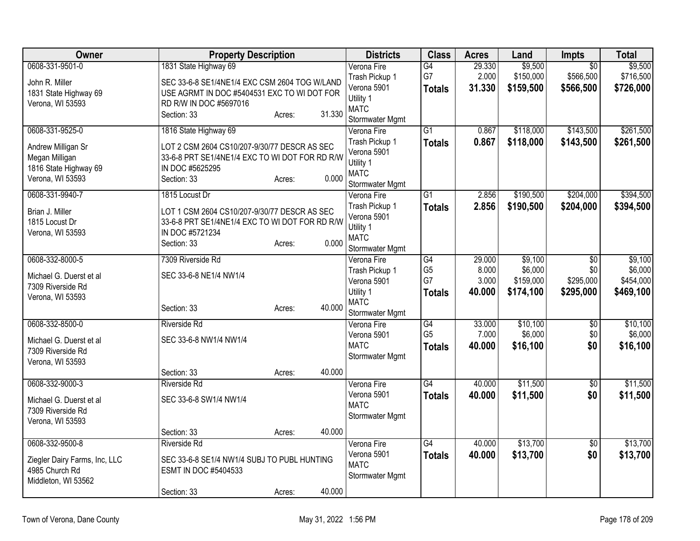| Owner                                 | <b>Property Description</b>                    |        |        | <b>Districts</b>         | <b>Class</b>    | <b>Acres</b> | Land      | <b>Impts</b>    | <b>Total</b> |
|---------------------------------------|------------------------------------------------|--------|--------|--------------------------|-----------------|--------------|-----------|-----------------|--------------|
| 0608-331-9501-0                       | 1831 State Highway 69                          |        |        | Verona Fire              | G4              | 29.330       | \$9,500   | $\overline{50}$ | \$9,500      |
| John R. Miller                        | SEC 33-6-8 SE1/4NE1/4 EXC CSM 2604 TOG W/LAND  |        |        | Trash Pickup 1           | G7              | 2.000        | \$150,000 | \$566,500       | \$716,500    |
| 1831 State Highway 69                 | USE AGRMT IN DOC #5404531 EXC TO WI DOT FOR    |        |        | Verona 5901              | <b>Totals</b>   | 31.330       | \$159,500 | \$566,500       | \$726,000    |
| Verona, WI 53593                      | RD R/W IN DOC #5697016                         |        |        | Utility 1                |                 |              |           |                 |              |
|                                       | Section: 33                                    | Acres: | 31.330 | <b>MATC</b>              |                 |              |           |                 |              |
|                                       |                                                |        |        | Stormwater Mgmt          |                 |              |           |                 |              |
| 0608-331-9525-0                       | 1816 State Highway 69                          |        |        | Verona Fire              | $\overline{G1}$ | 0.867        | \$118,000 | \$143,500       | \$261,500    |
| Andrew Milligan Sr                    | LOT 2 CSM 2604 CS10/207-9/30/77 DESCR AS SEC   |        |        | Trash Pickup 1           | <b>Totals</b>   | 0.867        | \$118,000 | \$143,500       | \$261,500    |
| Megan Milligan                        | 33-6-8 PRT SE1/4NE1/4 EXC TO WI DOT FOR RD R/W |        |        | Verona 5901              |                 |              |           |                 |              |
| 1816 State Highway 69                 | IN DOC #5625295                                |        |        | Utility 1<br><b>MATC</b> |                 |              |           |                 |              |
| Verona, WI 53593                      | Section: 33                                    | Acres: | 0.000  | Stormwater Mgmt          |                 |              |           |                 |              |
| 0608-331-9940-7                       | 1815 Locust Dr                                 |        |        | Verona Fire              | G <sub>1</sub>  | 2.856        | \$190,500 | \$204,000       | \$394,500    |
|                                       |                                                |        |        | Trash Pickup 1           | <b>Totals</b>   | 2.856        | \$190,500 | \$204,000       | \$394,500    |
| Brian J. Miller                       | LOT 1 CSM 2604 CS10/207-9/30/77 DESCR AS SEC   |        |        | Verona 5901              |                 |              |           |                 |              |
| 1815 Locust Dr                        | 33-6-8 PRT SE1/4NE1/4 EXC TO WI DOT FOR RD R/W |        |        | Utility 1                |                 |              |           |                 |              |
| Verona, WI 53593                      | IN DOC #5721234                                |        |        | <b>MATC</b>              |                 |              |           |                 |              |
|                                       | Section: 33                                    | Acres: | 0.000  | Stormwater Mgmt          |                 |              |           |                 |              |
| 0608-332-8000-5                       | 7309 Riverside Rd                              |        |        | Verona Fire              | G4              | 29.000       | \$9,100   | $\overline{50}$ | \$9,100      |
|                                       |                                                |        |        | Trash Pickup 1           | G <sub>5</sub>  | 8.000        | \$6,000   | \$0             | \$6,000      |
| Michael G. Duerst et al               | SEC 33-6-8 NE1/4 NW1/4                         |        |        | Verona 5901              | G7              | 3.000        | \$159,000 | \$295,000       | \$454,000    |
| 7309 Riverside Rd<br>Verona, WI 53593 |                                                |        |        | Utility 1                | <b>Totals</b>   | 40.000       | \$174,100 | \$295,000       | \$469,100    |
|                                       | Section: 33                                    | Acres: | 40.000 | <b>MATC</b>              |                 |              |           |                 |              |
|                                       |                                                |        |        | Stormwater Mgmt          |                 |              |           |                 |              |
| 0608-332-8500-0                       | <b>Riverside Rd</b>                            |        |        | Verona Fire              | $\overline{G4}$ | 33.000       | \$10,100  | $\overline{50}$ | \$10,100     |
| Michael G. Duerst et al               | SEC 33-6-8 NW1/4 NW1/4                         |        |        | Verona 5901              | G <sub>5</sub>  | 7.000        | \$6,000   | \$0             | \$6,000      |
| 7309 Riverside Rd                     |                                                |        |        | <b>MATC</b>              | <b>Totals</b>   | 40.000       | \$16,100  | \$0             | \$16,100     |
| Verona, WI 53593                      |                                                |        |        | Stormwater Mgmt          |                 |              |           |                 |              |
|                                       | Section: 33                                    | Acres: | 40.000 |                          |                 |              |           |                 |              |
| 0608-332-9000-3                       | <b>Riverside Rd</b>                            |        |        | Verona Fire              | $\overline{G4}$ | 40.000       | \$11,500  | $\overline{50}$ | \$11,500     |
| Michael G. Duerst et al               | SEC 33-6-8 SW1/4 NW1/4                         |        |        | Verona 5901              | <b>Totals</b>   | 40.000       | \$11,500  | \$0             | \$11,500     |
| 7309 Riverside Rd                     |                                                |        |        | <b>MATC</b>              |                 |              |           |                 |              |
| Verona, WI 53593                      |                                                |        |        | Stormwater Mgmt          |                 |              |           |                 |              |
|                                       | Section: 33                                    | Acres: | 40.000 |                          |                 |              |           |                 |              |
| 0608-332-9500-8                       | <b>Riverside Rd</b>                            |        |        | Verona Fire              | G4              | 40.000       | \$13,700  | $\overline{50}$ | \$13,700     |
| Ziegler Dairy Farms, Inc, LLC         | SEC 33-6-8 SE1/4 NW1/4 SUBJ TO PUBL HUNTING    |        |        | Verona 5901              | <b>Totals</b>   | 40.000       | \$13,700  | \$0             | \$13,700     |
| 4985 Church Rd                        | ESMT IN DOC #5404533                           |        |        | <b>MATC</b>              |                 |              |           |                 |              |
| Middleton, WI 53562                   |                                                |        |        | Stormwater Mgmt          |                 |              |           |                 |              |
|                                       | Section: 33                                    | Acres: | 40.000 |                          |                 |              |           |                 |              |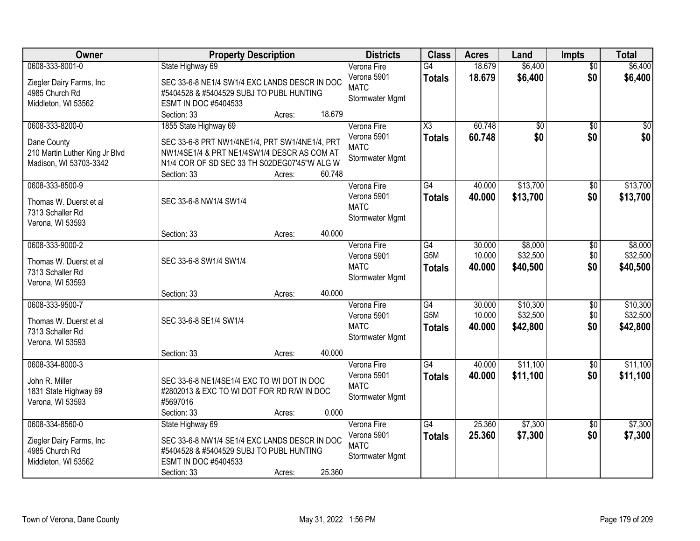| <b>Owner</b>                                                                               | <b>Property Description</b>                                                                                                                                                                                                                  | <b>Districts</b>                                             | <b>Class</b>                                         | <b>Acres</b>               | Land                             | Impts                         | <b>Total</b>                     |
|--------------------------------------------------------------------------------------------|----------------------------------------------------------------------------------------------------------------------------------------------------------------------------------------------------------------------------------------------|--------------------------------------------------------------|------------------------------------------------------|----------------------------|----------------------------------|-------------------------------|----------------------------------|
| 0608-333-8001-0<br>Ziegler Dairy Farms, Inc<br>4985 Church Rd<br>Middleton, WI 53562       | State Highway 69<br>SEC 33-6-8 NE1/4 SW1/4 EXC LANDS DESCR IN DOC<br>#5404528 & #5404529 SUBJ TO PUBL HUNTING<br>ESMT IN DOC #5404533                                                                                                        | Verona Fire<br>Verona 5901<br><b>MATC</b><br>Stormwater Mgmt | G4<br><b>Totals</b>                                  | 18.679<br>18.679           | \$6,400<br>\$6,400               | $\overline{50}$<br>\$0        | \$6,400<br>\$6,400               |
| 0608-333-8200-0<br>Dane County<br>210 Martin Luther King Jr Blvd<br>Madison, WI 53703-3342 | 18.679<br>Section: 33<br>Acres:<br>1855 State Highway 69<br>SEC 33-6-8 PRT NW1/4NE1/4, PRT SW1/4NE1/4, PRT<br>NW1/4SE1/4 & PRT NE1/4SW1/4 DESCR AS COM AT<br>N1/4 COR OF SD SEC 33 TH S02DEG07'45"W ALG W<br>60.748<br>Section: 33<br>Acres: | Verona Fire<br>Verona 5901<br><b>MATC</b><br>Stormwater Mgmt | $\overline{\chi_3}$<br><b>Totals</b>                 | 60.748<br>60.748           | \$0<br>\$0                       | $\overline{50}$<br>\$0        | \$0<br>\$0                       |
| 0608-333-8500-9<br>Thomas W. Duerst et al<br>7313 Schaller Rd<br>Verona, WI 53593          | SEC 33-6-8 NW1/4 SW1/4<br>40.000<br>Section: 33<br>Acres:                                                                                                                                                                                    | Verona Fire<br>Verona 5901<br><b>MATC</b><br>Stormwater Mgmt | $\overline{G4}$<br><b>Totals</b>                     | 40.000<br>40.000           | \$13,700<br>\$13,700             | $\overline{50}$<br>\$0        | \$13,700<br>\$13,700             |
| 0608-333-9000-2<br>Thomas W. Duerst et al<br>7313 Schaller Rd<br>Verona, WI 53593          | SEC 33-6-8 SW1/4 SW1/4                                                                                                                                                                                                                       | Verona Fire<br>Verona 5901<br><b>MATC</b><br>Stormwater Mgmt | $\overline{G4}$<br>G5M<br><b>Totals</b>              | 30.000<br>10.000<br>40.000 | \$8,000<br>\$32,500<br>\$40,500  | \$0<br>\$0<br>\$0             | \$8,000<br>\$32,500<br>\$40,500  |
| 0608-333-9500-7<br>Thomas W. Duerst et al<br>7313 Schaller Rd<br>Verona, WI 53593          | 40.000<br>Section: 33<br>Acres:<br>SEC 33-6-8 SE1/4 SW1/4<br>40.000<br>Section: 33<br>Acres:                                                                                                                                                 | Verona Fire<br>Verona 5901<br><b>MATC</b><br>Stormwater Mgmt | $\overline{G4}$<br>G <sub>5</sub> M<br><b>Totals</b> | 30.000<br>10.000<br>40.000 | \$10,300<br>\$32,500<br>\$42,800 | $\overline{50}$<br>\$0<br>\$0 | \$10,300<br>\$32,500<br>\$42,800 |
| 0608-334-8000-3<br>John R. Miller<br>1831 State Highway 69<br>Verona, WI 53593             | SEC 33-6-8 NE1/4SE1/4 EXC TO WI DOT IN DOC<br>#2802013 & EXC TO WI DOT FOR RD R/W IN DOC<br>#5697016<br>0.000<br>Section: 33<br>Acres:                                                                                                       | Verona Fire<br>Verona 5901<br><b>MATC</b><br>Stormwater Mgmt | $\overline{G4}$<br><b>Totals</b>                     | 40.000<br>40.000           | \$11,100<br>\$11,100             | $\overline{60}$<br>\$0        | \$11,100<br>\$11,100             |
| 0608-334-8560-0<br>Ziegler Dairy Farms, Inc<br>4985 Church Rd<br>Middleton, WI 53562       | State Highway 69<br>SEC 33-6-8 NW1/4 SE1/4 EXC LANDS DESCR IN DOC<br>#5404528 & #5404529 SUBJ TO PUBL HUNTING<br>ESMT IN DOC #5404533<br>25.360<br>Section: 33<br>Acres:                                                                     | Verona Fire<br>Verona 5901<br><b>MATC</b><br>Stormwater Mgmt | $\overline{G4}$<br><b>Totals</b>                     | 25.360<br>25.360           | \$7,300<br>\$7,300               | $\overline{50}$<br>\$0        | \$7,300<br>\$7,300               |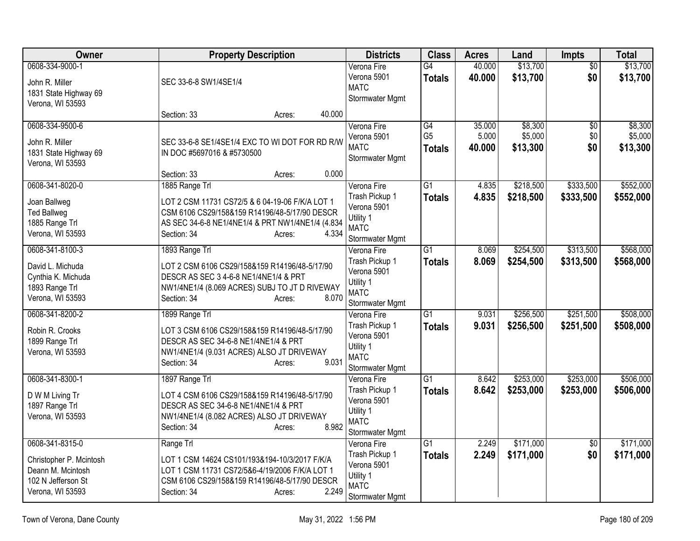| <b>Owner</b>                                                                                              | <b>Property Description</b>                                                                                                                                                                              | <b>Districts</b>                                                                            | <b>Class</b>                          | <b>Acres</b>              | Land                           | Impts                  | <b>Total</b>                   |
|-----------------------------------------------------------------------------------------------------------|----------------------------------------------------------------------------------------------------------------------------------------------------------------------------------------------------------|---------------------------------------------------------------------------------------------|---------------------------------------|---------------------------|--------------------------------|------------------------|--------------------------------|
| 0608-334-9000-1<br>John R. Miller<br>1831 State Highway 69<br>Verona, WI 53593                            | SEC 33-6-8 SW1/4SE1/4                                                                                                                                                                                    | Verona Fire<br>Verona 5901<br><b>MATC</b><br>Stormwater Mgmt                                | G4<br><b>Totals</b>                   | 40.000<br>40.000          | \$13,700<br>\$13,700           | $\overline{50}$<br>\$0 | \$13,700<br>\$13,700           |
|                                                                                                           | 40.000<br>Section: 33<br>Acres:                                                                                                                                                                          |                                                                                             |                                       |                           |                                |                        |                                |
| 0608-334-9500-6<br>John R. Miller<br>1831 State Highway 69<br>Verona, WI 53593                            | SEC 33-6-8 SE1/4SE1/4 EXC TO WI DOT FOR RD R/W<br>IN DOC #5697016 & #5730500<br>0.000<br>Section: 33<br>Acres:                                                                                           | Verona Fire<br>Verona 5901<br><b>MATC</b><br>Stormwater Mgmt                                | G4<br>G <sub>5</sub><br><b>Totals</b> | 35.000<br>5.000<br>40.000 | \$8,300<br>\$5,000<br>\$13,300 | \$0<br>\$0<br>\$0      | \$8,300<br>\$5,000<br>\$13,300 |
| 0608-341-8020-0<br>Joan Ballweg<br><b>Ted Ballweg</b><br>1885 Range Trl<br>Verona, WI 53593               | 1885 Range Trl<br>LOT 2 CSM 11731 CS72/5 & 6 04-19-06 F/K/A LOT 1<br>CSM 6106 CS29/158&159 R14196/48-5/17/90 DESCR<br>AS SEC 34-6-8 NE1/4NE1/4 & PRT NW1/4NE1/4 (4.834<br>Section: 34<br>4.334<br>Acres: | Verona Fire<br>Trash Pickup 1<br>Verona 5901<br>Utility 1<br><b>MATC</b><br>Stormwater Mgmt | $\overline{G1}$<br><b>Totals</b>      | 4.835<br>4.835            | \$218,500<br>\$218,500         | \$333,500<br>\$333,500 | \$552,000<br>\$552,000         |
| 0608-341-8100-3<br>David L. Michuda<br>Cynthia K. Michuda<br>1893 Range Trl<br>Verona, WI 53593           | 1893 Range Trl<br>LOT 2 CSM 6106 CS29/158&159 R14196/48-5/17/90<br>DESCR AS SEC 3 4-6-8 NE1/4NE1/4 & PRT<br>NW1/4NE1/4 (8.069 ACRES) SUBJ TO JT D RIVEWAY<br>8.070<br>Section: 34<br>Acres:              | Verona Fire<br>Trash Pickup 1<br>Verona 5901<br>Utility 1<br><b>MATC</b><br>Stormwater Mgmt | $\overline{G1}$<br><b>Totals</b>      | 8.069<br>8.069            | \$254,500<br>\$254,500         | \$313,500<br>\$313,500 | \$568,000<br>\$568,000         |
| 0608-341-8200-2<br>Robin R. Crooks<br>1899 Range Trl<br>Verona, WI 53593                                  | 1899 Range Trl<br>LOT 3 CSM 6106 CS29/158&159 R14196/48-5/17/90<br>DESCR AS SEC 34-6-8 NE1/4NE1/4 & PRT<br>NW1/4NE1/4 (9.031 ACRES) ALSO JT DRIVEWAY<br>9.031<br>Section: 34<br>Acres:                   | Verona Fire<br>Trash Pickup 1<br>Verona 5901<br>Utility 1<br><b>MATC</b><br>Stormwater Mgmt | $\overline{G1}$<br><b>Totals</b>      | 9.031<br>9.031            | \$256,500<br>\$256,500         | \$251,500<br>\$251,500 | \$508,000<br>\$508,000         |
| 0608-341-8300-1<br>D W M Living Tr<br>1897 Range Trl<br>Verona, WI 53593                                  | 1897 Range Trl<br>LOT 4 CSM 6106 CS29/158&159 R14196/48-5/17/90<br>DESCR AS SEC 34-6-8 NE1/4NE1/4 & PRT<br>NW1/4NE1/4 (8.082 ACRES) ALSO JT DRIVEWAY<br>8.982<br>Section: 34<br>Acres:                   | Verona Fire<br>Trash Pickup 1<br>Verona 5901<br>Utility 1<br><b>MATC</b><br>Stormwater Mgmt | $\overline{G1}$<br><b>Totals</b>      | 8.642<br>8.642            | \$253,000<br>\$253,000         | \$253,000<br>\$253,000 | \$506,000<br>\$506,000         |
| 0608-341-8315-0<br>Christopher P. Mcintosh<br>Deann M. Mcintosh<br>102 N Jefferson St<br>Verona, WI 53593 | Range Trl<br>LOT 1 CSM 14624 CS101/193&194-10/3/2017 F/K/A<br>LOT 1 CSM 11731 CS72/5&6-4/19/2006 F/K/A LOT 1<br>CSM 6106 CS29/158&159 R14196/48-5/17/90 DESCR<br>2.249<br>Section: 34<br>Acres:          | Verona Fire<br>Trash Pickup 1<br>Verona 5901<br>Utility 1<br><b>MATC</b><br>Stormwater Mgmt | G1<br><b>Totals</b>                   | 2.249<br>2.249            | \$171,000<br>\$171,000         | \$0<br>\$0             | \$171,000<br>\$171,000         |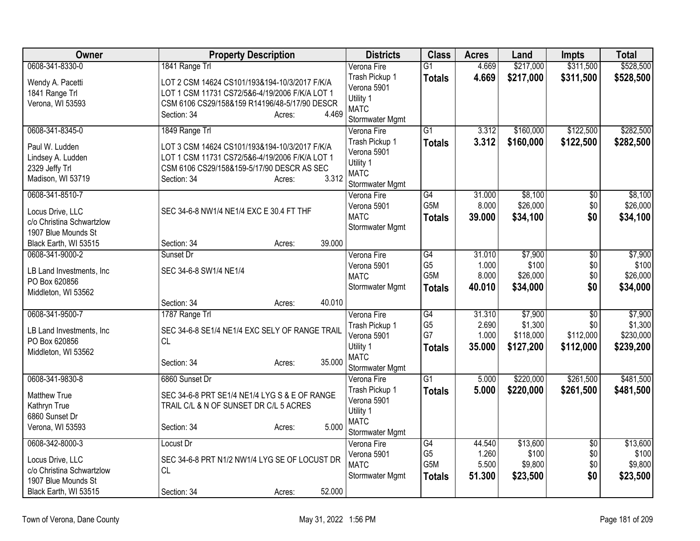| Owner                                        | <b>Property Description</b>                                 | <b>Districts</b>               | <b>Class</b>          | <b>Acres</b>   | Land             | Impts           | <b>Total</b>     |
|----------------------------------------------|-------------------------------------------------------------|--------------------------------|-----------------------|----------------|------------------|-----------------|------------------|
| 0608-341-8330-0                              | 1841 Range Trl                                              | Verona Fire                    | $\overline{G1}$       | 4.669          | \$217,000        | \$311,500       | \$528,500        |
| Wendy A. Pacetti                             | LOT 2 CSM 14624 CS101/193&194-10/3/2017 F/K/A               | Trash Pickup 1                 | <b>Totals</b>         | 4.669          | \$217,000        | \$311,500       | \$528,500        |
| 1841 Range Trl                               | LOT 1 CSM 11731 CS72/5&6-4/19/2006 F/K/A LOT 1              | Verona 5901                    |                       |                |                  |                 |                  |
| Verona, WI 53593                             | CSM 6106 CS29/158&159 R14196/48-5/17/90 DESCR               | Utility 1<br><b>MATC</b>       |                       |                |                  |                 |                  |
|                                              | 4.469<br>Section: 34<br>Acres:                              | Stormwater Mgmt                |                       |                |                  |                 |                  |
| 0608-341-8345-0                              | 1849 Range Trl                                              | Verona Fire                    | $\overline{G1}$       | 3.312          | \$160,000        | \$122,500       | \$282,500        |
| Paul W. Ludden                               | LOT 3 CSM 14624 CS101/193&194-10/3/2017 F/K/A               | Trash Pickup 1                 | <b>Totals</b>         | 3.312          | \$160,000        | \$122,500       | \$282,500        |
| Lindsey A. Ludden                            | LOT 1 CSM 11731 CS72/5&6-4/19/2006 F/K/A LOT 1              | Verona 5901                    |                       |                |                  |                 |                  |
| 2329 Jeffy Trl                               | CSM 6106 CS29/158&159-5/17/90 DESCR AS SEC                  | Utility 1                      |                       |                |                  |                 |                  |
| Madison, WI 53719                            | 3.312<br>Section: 34<br>Acres:                              | <b>MATC</b>                    |                       |                |                  |                 |                  |
| 0608-341-8510-7                              |                                                             | Stormwater Mgmt<br>Verona Fire | G4                    | 31.000         | \$8,100          | \$0             | \$8,100          |
|                                              |                                                             | Verona 5901                    | G <sub>5</sub> M      | 8.000          | \$26,000         | \$0             | \$26,000         |
| Locus Drive, LLC                             | SEC 34-6-8 NW1/4 NE1/4 EXC E 30.4 FT THF                    | <b>MATC</b>                    | <b>Totals</b>         | 39.000         | \$34,100         | \$0             | \$34,100         |
| c/o Christina Schwartzlow                    |                                                             | Stormwater Mgmt                |                       |                |                  |                 |                  |
| 1907 Blue Mounds St<br>Black Earth, WI 53515 | 39.000<br>Section: 34<br>Acres:                             |                                |                       |                |                  |                 |                  |
| 0608-341-9000-2                              | Sunset Dr                                                   | Verona Fire                    | G4                    | 31.010         | \$7,900          | \$0             | \$7,900          |
|                                              |                                                             | Verona 5901                    | G <sub>5</sub>        | 1.000          | \$100            | \$0             | \$100            |
| LB Land Investments, Inc                     | SEC 34-6-8 SW1/4 NE1/4                                      | <b>MATC</b>                    | G5M                   | 8.000          | \$26,000         | \$0             | \$26,000         |
| PO Box 620856<br>Middleton, WI 53562         |                                                             | Stormwater Mgmt                | <b>Totals</b>         | 40.010         | \$34,000         | \$0             | \$34,000         |
|                                              | 40.010<br>Section: 34<br>Acres:                             |                                |                       |                |                  |                 |                  |
| 0608-341-9500-7                              | 1787 Range Trl                                              | Verona Fire                    | G4                    | 31.310         | \$7,900          | $\overline{50}$ | \$7,900          |
|                                              |                                                             | Trash Pickup 1                 | G <sub>5</sub>        | 2.690          | \$1,300          | \$0             | \$1,300          |
| LB Land Investments, Inc<br>PO Box 620856    | SEC 34-6-8 SE1/4 NE1/4 EXC SELY OF RANGE TRAIL<br><b>CL</b> | Verona 5901                    | G7                    | 1.000          | \$118,000        | \$112,000       | \$230,000        |
| Middleton, WI 53562                          |                                                             | Utility 1                      | <b>Totals</b>         | 35.000         | \$127,200        | \$112,000       | \$239,200        |
|                                              | 35.000<br>Section: 34<br>Acres:                             | <b>MATC</b>                    |                       |                |                  |                 |                  |
| 0608-341-9830-8                              | 6860 Sunset Dr                                              | Stormwater Mgmt<br>Verona Fire | $\overline{G1}$       | 5.000          | \$220,000        | \$261,500       | \$481,500        |
|                                              |                                                             | Trash Pickup 1                 | <b>Totals</b>         | 5.000          | \$220,000        | \$261,500       | \$481,500        |
| <b>Matthew True</b>                          | SEC 34-6-8 PRT SE1/4 NE1/4 LYG S & E OF RANGE               | Verona 5901                    |                       |                |                  |                 |                  |
| Kathryn True                                 | TRAIL C/L & N OF SUNSET DR C/L 5 ACRES                      | Utility 1                      |                       |                |                  |                 |                  |
| 6860 Sunset Dr<br>Verona, WI 53593           | 5.000<br>Section: 34<br>Acres:                              | <b>MATC</b>                    |                       |                |                  |                 |                  |
|                                              |                                                             | Stormwater Mgmt                |                       |                |                  |                 |                  |
| 0608-342-8000-3                              | Locust Dr                                                   | Verona Fire                    | G4                    | 44.540         | \$13,600         | $\overline{50}$ | \$13,600         |
| Locus Drive, LLC                             | SEC 34-6-8 PRT N1/2 NW1/4 LYG SE OF LOCUST DR               | Verona 5901                    | G <sub>5</sub><br>G5M | 1.260<br>5.500 | \$100<br>\$9,800 | \$0<br>\$0      | \$100<br>\$9,800 |
| c/o Christina Schwartzlow                    | <b>CL</b>                                                   | <b>MATC</b><br>Stormwater Mgmt |                       | 51.300         | \$23,500         | \$0             | \$23,500         |
| 1907 Blue Mounds St                          |                                                             |                                | <b>Totals</b>         |                |                  |                 |                  |
| Black Earth, WI 53515                        | 52.000<br>Section: 34<br>Acres:                             |                                |                       |                |                  |                 |                  |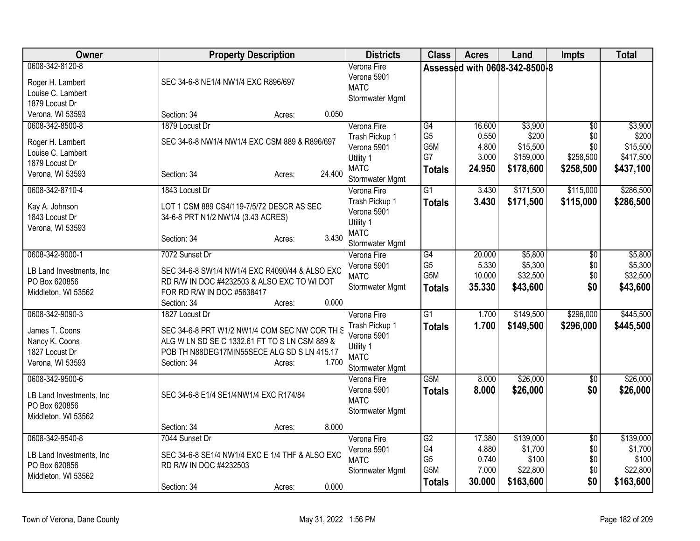| Owner                                 | <b>Property Description</b>                                                                    | <b>Districts</b>           | <b>Class</b>     | <b>Acres</b> | Land                          | <b>Impts</b>    | <b>Total</b> |
|---------------------------------------|------------------------------------------------------------------------------------------------|----------------------------|------------------|--------------|-------------------------------|-----------------|--------------|
| 0608-342-8120-8                       |                                                                                                | Verona Fire<br>Verona 5901 |                  |              | Assessed with 0608-342-8500-8 |                 |              |
| Roger H. Lambert<br>Louise C. Lambert | SEC 34-6-8 NE1/4 NW1/4 EXC R896/697                                                            | <b>MATC</b>                |                  |              |                               |                 |              |
| 1879 Locust Dr                        |                                                                                                | Stormwater Mgmt            |                  |              |                               |                 |              |
| Verona, WI 53593                      | 0.050<br>Section: 34<br>Acres:                                                                 |                            |                  |              |                               |                 |              |
| 0608-342-8500-8                       | 1879 Locust Dr                                                                                 | Verona Fire                | G4               | 16.600       | \$3,900                       | \$0             | \$3,900      |
| Roger H. Lambert                      | SEC 34-6-8 NW1/4 NW1/4 EXC CSM 889 & R896/697                                                  | Trash Pickup 1             | G <sub>5</sub>   | 0.550        | \$200                         | \$0             | \$200        |
| Louise C. Lambert                     |                                                                                                | Verona 5901                | G5M              | 4.800        | \$15,500                      | \$0             | \$15,500     |
| 1879 Locust Dr                        |                                                                                                | Utility 1                  | G7               | 3.000        | \$159,000                     | \$258,500       | \$417,500    |
| Verona, WI 53593                      | 24.400<br>Section: 34<br>Acres:                                                                | <b>MATC</b>                | <b>Totals</b>    | 24.950       | \$178,600                     | \$258,500       | \$437,100    |
|                                       |                                                                                                | Stormwater Mgmt            |                  |              |                               |                 |              |
| 0608-342-8710-4                       | 1843 Locust Dr                                                                                 | Verona Fire                | $\overline{G1}$  | 3.430        | \$171,500                     | \$115,000       | \$286,500    |
| Kay A. Johnson                        | LOT 1 CSM 889 CS4/119-7/5/72 DESCR AS SEC                                                      | Trash Pickup 1             | <b>Totals</b>    | 3.430        | \$171,500                     | \$115,000       | \$286,500    |
| 1843 Locust Dr                        | 34-6-8 PRT N1/2 NW1/4 (3.43 ACRES)                                                             | Verona 5901<br>Utility 1   |                  |              |                               |                 |              |
| Verona, WI 53593                      |                                                                                                | <b>MATC</b>                |                  |              |                               |                 |              |
|                                       | 3.430<br>Section: 34<br>Acres:                                                                 | Stormwater Mgmt            |                  |              |                               |                 |              |
| 0608-342-9000-1                       | 7072 Sunset Dr                                                                                 | Verona Fire                | $\overline{G4}$  | 20.000       | \$5,800                       | \$0             | \$5,800      |
| LB Land Investments, Inc.             | SEC 34-6-8 SW1/4 NW1/4 EXC R4090/44 & ALSO EXC                                                 | Verona 5901                | G <sub>5</sub>   | 5.330        | \$5,300                       | \$0             | \$5,300      |
| PO Box 620856                         | RD R/W IN DOC #4232503 & ALSO EXC TO WI DOT                                                    | <b>MATC</b>                | G5M              | 10.000       | \$32,500                      | \$0             | \$32,500     |
| Middleton, WI 53562                   | FOR RD R/W IN DOC #5638417                                                                     | Stormwater Mgmt            | <b>Totals</b>    | 35.330       | \$43,600                      | \$0             | \$43,600     |
|                                       | 0.000<br>Section: 34<br>Acres:                                                                 |                            |                  |              |                               |                 |              |
| 0608-342-9090-3                       | 1827 Locust Dr                                                                                 | Verona Fire                | $\overline{G1}$  | 1.700        | \$149,500                     | \$296,000       | \$445,500    |
| James T. Coons                        |                                                                                                | Trash Pickup 1             | Totals           | 1.700        | \$149,500                     | \$296,000       | \$445,500    |
| Nancy K. Coons                        | SEC 34-6-8 PRT W1/2 NW1/4 COM SEC NW COR TH S<br>ALG W LN SD SE C 1332.61 FT TO S LN CSM 889 & | Verona 5901                |                  |              |                               |                 |              |
| 1827 Locust Dr                        | POB TH N88DEG17MIN55SECE ALG SD S LN 415.17                                                    | Utility 1                  |                  |              |                               |                 |              |
| Verona, WI 53593                      | 1.700<br>Section: 34<br>Acres:                                                                 | <b>MATC</b>                |                  |              |                               |                 |              |
|                                       |                                                                                                | Stormwater Mgmt            |                  |              |                               |                 |              |
| 0608-342-9500-6                       |                                                                                                | Verona Fire                | G <sub>5</sub> M | 8.000        | \$26,000                      | \$0             | \$26,000     |
| LB Land Investments, Inc.             | SEC 34-6-8 E1/4 SE1/4NW1/4 EXC R174/84                                                         | Verona 5901                | <b>Totals</b>    | 8.000        | \$26,000                      | \$0             | \$26,000     |
| PO Box 620856                         |                                                                                                | <b>MATC</b>                |                  |              |                               |                 |              |
| Middleton, WI 53562                   |                                                                                                | Stormwater Mgmt            |                  |              |                               |                 |              |
|                                       | 8.000<br>Section: 34<br>Acres:                                                                 |                            |                  |              |                               |                 |              |
| 0608-342-9540-8                       | 7044 Sunset Dr                                                                                 | Verona Fire                | G2               | 17.380       | \$139,000                     | $\overline{50}$ | \$139,000    |
| LB Land Investments, Inc.             | SEC 34-6-8 SE1/4 NW1/4 EXC E 1/4 THF & ALSO EXC                                                | Verona 5901                | G4               | 4.880        | \$1,700                       | \$0             | \$1,700      |
| PO Box 620856                         | RD R/W IN DOC #4232503                                                                         | <b>MATC</b>                | G <sub>5</sub>   | 0.740        | \$100                         | \$0             | \$100        |
| Middleton, WI 53562                   |                                                                                                | Stormwater Mgmt            | G5M              | 7.000        | \$22,800                      | \$0             | \$22,800     |
|                                       | 0.000<br>Section: 34<br>Acres:                                                                 |                            | <b>Totals</b>    | 30.000       | \$163,600                     | \$0             | \$163,600    |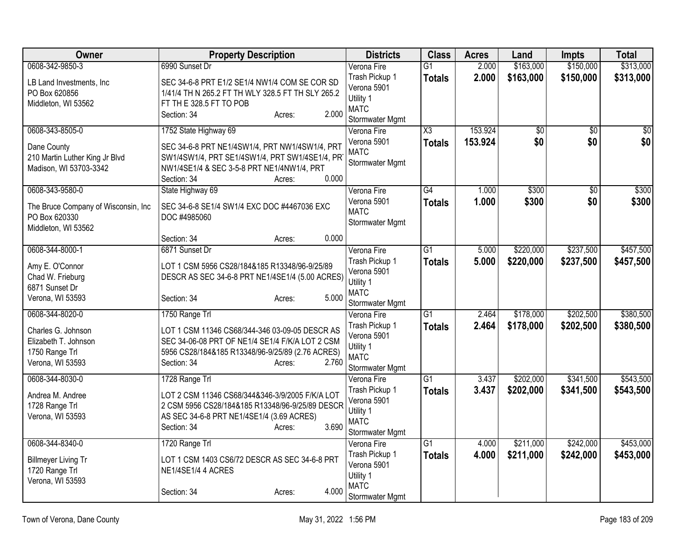| Owner                                                                                           | <b>Property Description</b>                                                                                                                                                                               | <b>Districts</b>                                                                            | <b>Class</b>                            | <b>Acres</b>       | Land                   | <b>Impts</b>           | <b>Total</b>            |
|-------------------------------------------------------------------------------------------------|-----------------------------------------------------------------------------------------------------------------------------------------------------------------------------------------------------------|---------------------------------------------------------------------------------------------|-----------------------------------------|--------------------|------------------------|------------------------|-------------------------|
| 0608-342-9850-3                                                                                 | 6990 Sunset Dr                                                                                                                                                                                            | Verona Fire                                                                                 | $\overline{G1}$                         | 2.000              | \$163,000              | \$150,000              | \$313,000               |
| LB Land Investments, Inc.<br>PO Box 620856<br>Middleton, WI 53562                               | SEC 34-6-8 PRT E1/2 SE1/4 NW1/4 COM SE COR SD<br>1/41/4 TH N 265.2 FT TH WLY 328.5 FT TH SLY 265.2<br>FT TH E 328.5 FT TO POB<br>2.000<br>Section: 34<br>Acres:                                           | Trash Pickup 1<br>Verona 5901<br>Utility 1<br><b>MATC</b><br>Stormwater Mgmt                | <b>Totals</b>                           | 2.000              | \$163,000              | \$150,000              | \$313,000               |
| 0608-343-8505-0<br>Dane County<br>210 Martin Luther King Jr Blvd<br>Madison, WI 53703-3342      | 1752 State Highway 69<br>SEC 34-6-8 PRT NE1/4SW1/4, PRT NW1/4SW1/4, PRT<br>SW1/4SW1/4, PRT SE1/4SW1/4, PRT SW1/4SE1/4, PR<br>NW1/4SE1/4 & SEC 3-5-8 PRT NE1/4NW1/4, PRT<br>0.000<br>Section: 34<br>Acres: | Verona Fire<br>Verona 5901<br><b>MATC</b><br>Stormwater Mgmt                                | $\overline{\text{X3}}$<br><b>Totals</b> | 153.924<br>153.924 | $\overline{30}$<br>\$0 | $\overline{30}$<br>\$0 | $\overline{\$0}$<br>\$0 |
| 0608-343-9580-0<br>The Bruce Company of Wisconsin, Inc.<br>PO Box 620330<br>Middleton, WI 53562 | State Highway 69<br>SEC 34-6-8 SE1/4 SW1/4 EXC DOC #4467036 EXC<br>DOC #4985060<br>0.000<br>Section: 34<br>Acres:                                                                                         | Verona Fire<br>Verona 5901<br><b>MATC</b><br>Stormwater Mgmt                                | $\overline{G4}$<br><b>Totals</b>        | 1.000<br>1.000     | \$300<br>\$300         | $\overline{30}$<br>\$0 | \$300<br>\$300          |
| 0608-344-8000-1                                                                                 | 6871 Sunset Dr                                                                                                                                                                                            | Verona Fire                                                                                 | $\overline{G1}$                         | 5.000              | \$220,000              | \$237,500              | \$457,500               |
| Amy E. O'Connor<br>Chad W. Frieburg<br>6871 Sunset Dr<br>Verona, WI 53593                       | LOT 1 CSM 5956 CS28/184&185 R13348/96-9/25/89<br>DESCR AS SEC 34-6-8 PRT NE1/4SE1/4 (5.00 ACRES)<br>5.000<br>Section: 34<br>Acres:                                                                        | Trash Pickup 1<br>Verona 5901<br>Utility 1<br><b>MATC</b><br>Stormwater Mgmt                | <b>Totals</b>                           | 5.000              | \$220,000              | \$237,500              | \$457,500               |
| 0608-344-8020-0                                                                                 | 1750 Range Trl                                                                                                                                                                                            | Verona Fire                                                                                 | $\overline{G1}$                         | 2.464              | \$178,000              | \$202,500              | \$380,500               |
| Charles G. Johnson<br>Elizabeth T. Johnson<br>1750 Range Trl<br>Verona, WI 53593                | LOT 1 CSM 11346 CS68/344-346 03-09-05 DESCR AS<br>SEC 34-06-08 PRT OF NE1/4 SE1/4 F/K/A LOT 2 CSM<br>5956 CS28/184&185 R13348/96-9/25/89 (2.76 ACRES)<br>2.760<br>Section: 34<br>Acres:                   | Trash Pickup 1<br>Verona 5901<br>Utility 1<br><b>MATC</b><br>Stormwater Mgmt                | <b>Totals</b>                           | 2.464              | \$178,000              | \$202,500              | \$380,500               |
| 0608-344-8030-0                                                                                 | 1728 Range Trl                                                                                                                                                                                            | Verona Fire                                                                                 | $\overline{G1}$                         | 3.437              | \$202,000              | \$341,500              | \$543,500               |
| Andrea M. Andree<br>1728 Range Trl<br>Verona, WI 53593                                          | LOT 2 CSM 11346 CS68/344&346-3/9/2005 F/K/A LOT<br>2 CSM 5956 CS28/184&185 R13348/96-9/25/89 DESCR<br>AS SEC 34-6-8 PRT NE1/4SE1/4 (3.69 ACRES)<br>3.690<br>Section: 34<br>Acres:                         | Trash Pickup 1<br>Verona 5901<br>Utility 1<br><b>MATC</b><br>Stormwater Mgmt                | <b>Totals</b>                           | 3.437              | \$202,000              | \$341,500              | \$543,500               |
| 0608-344-8340-0<br><b>Billmeyer Living Tr</b><br>1720 Range Trl<br>Verona, WI 53593             | 1720 Range Trl<br>LOT 1 CSM 1403 CS6/72 DESCR AS SEC 34-6-8 PRT<br>NE1/4SE1/4 4 ACRES<br>4.000<br>Section: 34<br>Acres:                                                                                   | Verona Fire<br>Trash Pickup 1<br>Verona 5901<br>Utility 1<br><b>MATC</b><br>Stormwater Mgmt | $\overline{G1}$<br><b>Totals</b>        | 4.000<br>4.000     | \$211,000<br>\$211,000 | \$242,000<br>\$242,000 | \$453,000<br>\$453,000  |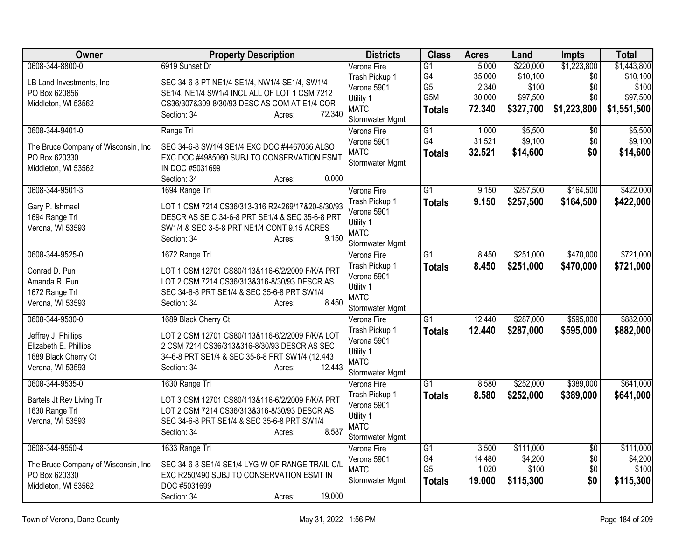| Owner                                | <b>Property Description</b>                               | <b>Districts</b>               | <b>Class</b>    | <b>Acres</b> | Land      | <b>Impts</b>    | <b>Total</b> |
|--------------------------------------|-----------------------------------------------------------|--------------------------------|-----------------|--------------|-----------|-----------------|--------------|
| 0608-344-8800-0                      | 6919 Sunset Dr                                            | Verona Fire                    | $\overline{G1}$ | 5.000        | \$220,000 | \$1,223,800     | \$1,443,800  |
| LB Land Investments, Inc             | SEC 34-6-8 PT NE1/4 SE1/4, NW1/4 SE1/4, SW1/4             | Trash Pickup 1                 | G4              | 35.000       | \$10,100  | \$0             | \$10,100     |
| PO Box 620856                        | SE1/4, NE1/4 SW1/4 INCL ALL OF LOT 1 CSM 7212             | Verona 5901                    | G <sub>5</sub>  | 2.340        | \$100     | \$0             | \$100        |
| Middleton, WI 53562                  | CS36/307&309-8/30/93 DESC AS COM AT E1/4 COR              | Utility 1                      | G5M             | 30.000       | \$97,500  | \$0             | \$97,500     |
|                                      | 72.340<br>Section: 34<br>Acres:                           | <b>MATC</b>                    | <b>Totals</b>   | 72.340       | \$327,700 | \$1,223,800     | \$1,551,500  |
| 0608-344-9401-0                      |                                                           | Stormwater Mgmt<br>Verona Fire | $\overline{G1}$ | 1.000        | \$5,500   | $\overline{50}$ | \$5,500      |
|                                      | Range Trl                                                 | Verona 5901                    | G4              | 31.521       | \$9,100   | \$0             | \$9,100      |
| The Bruce Company of Wisconsin, Inc  | SEC 34-6-8 SW1/4 SE1/4 EXC DOC #4467036 ALSO              | <b>MATC</b>                    | <b>Totals</b>   | 32.521       | \$14,600  | \$0             | \$14,600     |
| PO Box 620330                        | EXC DOC #4985060 SUBJ TO CONSERVATION ESMT                | Stormwater Mgmt                |                 |              |           |                 |              |
| Middleton, WI 53562                  | IN DOC #5031699                                           |                                |                 |              |           |                 |              |
|                                      | 0.000<br>Section: 34<br>Acres:                            |                                |                 |              |           |                 |              |
| 0608-344-9501-3                      | 1694 Range Trl                                            | Verona Fire                    | $\overline{G1}$ | 9.150        | \$257,500 | \$164,500       | \$422,000    |
| Gary P. Ishmael                      | LOT 1 CSM 7214 CS36/313-316 R24269/17&20-8/30/93          | Trash Pickup 1                 | <b>Totals</b>   | 9.150        | \$257,500 | \$164,500       | \$422,000    |
| 1694 Range Trl                       | DESCR AS SE C 34-6-8 PRT SE1/4 & SEC 35-6-8 PRT           | Verona 5901                    |                 |              |           |                 |              |
| Verona, WI 53593                     | SW1/4 & SEC 3-5-8 PRT NE1/4 CONT 9.15 ACRES               | Utility 1<br><b>MATC</b>       |                 |              |           |                 |              |
|                                      | 9.150<br>Section: 34<br>Acres:                            | Stormwater Mgmt                |                 |              |           |                 |              |
| 0608-344-9525-0                      | 1672 Range Trl                                            | Verona Fire                    | $\overline{G1}$ | 8.450        | \$251,000 | \$470,000       | \$721,000    |
|                                      |                                                           | Trash Pickup 1                 | <b>Totals</b>   | 8.450        | \$251,000 | \$470,000       | \$721,000    |
| Conrad D. Pun                        | LOT 1 CSM 12701 CS80/113&116-6/2/2009 F/K/A PRT           | Verona 5901                    |                 |              |           |                 |              |
| Amanda R. Pun                        | LOT 2 CSM 7214 CS36/313&316-8/30/93 DESCR AS              | Utility 1                      |                 |              |           |                 |              |
| 1672 Range Trl                       | SEC 34-6-8 PRT SE1/4 & SEC 35-6-8 PRT SW1/4               | <b>MATC</b>                    |                 |              |           |                 |              |
| Verona, WI 53593                     | 8.450<br>Section: 34<br>Acres:                            | Stormwater Mgmt                |                 |              |           |                 |              |
| 0608-344-9530-0                      | 1689 Black Cherry Ct                                      | Verona Fire                    | $\overline{G1}$ | 12.440       | \$287,000 | \$595,000       | \$882,000    |
| Jeffrey J. Phillips                  | LOT 2 CSM 12701 CS80/113&116-6/2/2009 F/K/A LOT           | Trash Pickup 1                 | <b>Totals</b>   | 12.440       | \$287,000 | \$595,000       | \$882,000    |
| Elizabeth E. Phillips                | 2 CSM 7214 CS36/313&316-8/30/93 DESCR AS SEC              | Verona 5901                    |                 |              |           |                 |              |
| 1689 Black Cherry Ct                 | 34-6-8 PRT SE1/4 & SEC 35-6-8 PRT SW1/4 (12.443           | Utility 1                      |                 |              |           |                 |              |
| Verona, WI 53593                     | 12.443<br>Section: 34<br>Acres:                           | <b>MATC</b>                    |                 |              |           |                 |              |
|                                      |                                                           | Stormwater Mgmt                |                 |              |           |                 |              |
| 0608-344-9535-0                      | 1630 Range Trl                                            | Verona Fire                    | $\overline{G1}$ | 8.580        | \$252,000 | \$389,000       | \$641,000    |
| Bartels Jt Rev Living Tr             | LOT 3 CSM 12701 CS80/113&116-6/2/2009 F/K/A PRT           | Trash Pickup 1                 | <b>Totals</b>   | 8.580        | \$252,000 | \$389,000       | \$641,000    |
| 1630 Range Trl                       | LOT 2 CSM 7214 CS36/313&316-8/30/93 DESCR AS              | Verona 5901<br>Utility 1       |                 |              |           |                 |              |
| Verona, WI 53593                     | SEC 34-6-8 PRT SE1/4 & SEC 35-6-8 PRT SW1/4               | <b>MATC</b>                    |                 |              |           |                 |              |
|                                      | 8.587<br>Section: 34<br>Acres:                            | Stormwater Mgmt                |                 |              |           |                 |              |
| 0608-344-9550-4                      | 1633 Range Trl                                            | Verona Fire                    | $\overline{G1}$ | 3.500        | \$111,000 | $\overline{30}$ | \$111,000    |
|                                      |                                                           | Verona 5901                    | G4              | 14.480       | \$4,200   | \$0             | \$4,200      |
| The Bruce Company of Wisconsin, Inc. | SEC 34-6-8 SE1/4 SE1/4 LYG W OF RANGE TRAIL C/L           | <b>MATC</b>                    | G <sub>5</sub>  | 1.020        | \$100     | \$0             | \$100        |
| PO Box 620330<br>Middleton, WI 53562 | EXC R250/490 SUBJ TO CONSERVATION ESMT IN<br>DOC #5031699 | Stormwater Mgmt                | <b>Totals</b>   | 19.000       | \$115,300 | \$0             | \$115,300    |
|                                      | 19.000<br>Section: 34<br>Acres:                           |                                |                 |              |           |                 |              |
|                                      |                                                           |                                |                 |              |           |                 |              |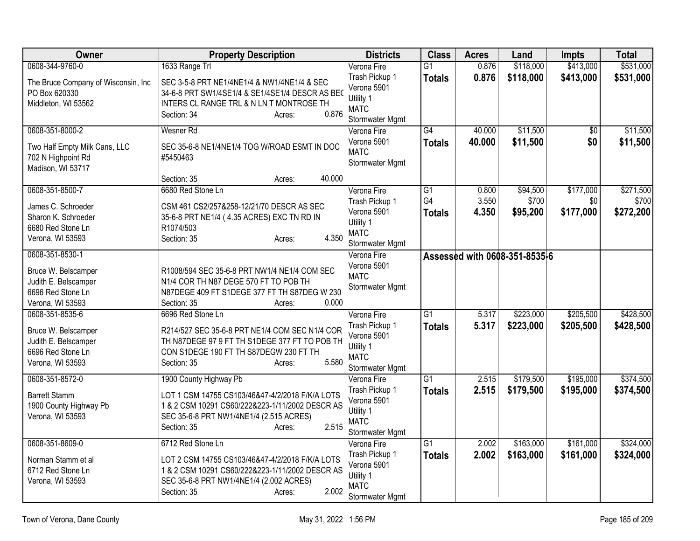| Owner                                                                                | <b>Property Description</b>                                                                                                                                                     | <b>Districts</b>                                                             | <b>Class</b>                    | <b>Acres</b>   | Land                          | <b>Impts</b>     | <b>Total</b>       |
|--------------------------------------------------------------------------------------|---------------------------------------------------------------------------------------------------------------------------------------------------------------------------------|------------------------------------------------------------------------------|---------------------------------|----------------|-------------------------------|------------------|--------------------|
| 0608-344-9760-0                                                                      | 1633 Range Trl                                                                                                                                                                  | Verona Fire                                                                  | $\overline{G1}$                 | 0.876          | \$118,000                     | \$413,000        | \$531,000          |
| The Bruce Company of Wisconsin, Inc<br>PO Box 620330<br>Middleton, WI 53562          | SEC 3-5-8 PRT NE1/4NE1/4 & NW1/4NE1/4 & SEC<br>34-6-8 PRT SW1/4SE1/4 & SE1/4SE1/4 DESCR AS BEO<br>INTERS CL RANGE TRL & N LN T MONTROSE TH<br>0.876<br>Section: 34<br>Acres:    | Trash Pickup 1<br>Verona 5901<br>Utility 1<br><b>MATC</b><br>Stormwater Mgmt | <b>Totals</b>                   | 0.876          | \$118,000                     | \$413,000        | \$531,000          |
| 0608-351-8000-2                                                                      | Wesner Rd                                                                                                                                                                       | Verona Fire                                                                  | $\overline{G4}$                 | 40.000         | \$11,500                      | $\overline{50}$  | \$11,500           |
| Two Half Empty Milk Cans, LLC<br>702 N Highpoint Rd<br>Madison, WI 53717             | SEC 35-6-8 NE1/4NE1/4 TOG W/ROAD ESMT IN DOC<br>#5450463                                                                                                                        | Verona 5901<br><b>MATC</b><br>Stormwater Mgmt                                | <b>Totals</b>                   | 40.000         | \$11,500                      | \$0              | \$11,500           |
|                                                                                      | 40.000<br>Section: 35<br>Acres:                                                                                                                                                 |                                                                              |                                 |                |                               |                  |                    |
| 0608-351-8500-7                                                                      | 6680 Red Stone Ln                                                                                                                                                               | Verona Fire                                                                  | $\overline{G1}$                 | 0.800          | \$94,500                      | \$177,000        | \$271,500          |
| James C. Schroeder<br>Sharon K. Schroeder<br>6680 Red Stone Ln<br>Verona, WI 53593   | CSM 461 CS2/257&258-12/21/70 DESCR AS SEC<br>35-6-8 PRT NE1/4 (4.35 ACRES) EXC TN RD IN<br>R1074/503<br>4.350<br>Section: 35<br>Acres:                                          | Trash Pickup 1<br>Verona 5901<br>Utility 1<br><b>MATC</b><br>Stormwater Mgmt | G <sub>4</sub><br><b>Totals</b> | 3.550<br>4.350 | \$700<br>\$95,200             | \$0<br>\$177,000 | \$700<br>\$272,200 |
| 0608-351-8530-1                                                                      |                                                                                                                                                                                 | Verona Fire                                                                  |                                 |                | Assessed with 0608-351-8535-6 |                  |                    |
| Bruce W. Belscamper<br>Judith E. Belscamper<br>6696 Red Stone Ln<br>Verona, WI 53593 | R1008/594 SEC 35-6-8 PRT NW1/4 NE1/4 COM SEC<br>N1/4 COR TH N87 DEGE 570 FT TO POB TH<br>N87DEGE 409 FT S1DEGE 377 FT TH S87DEG W 230<br>0.000<br>Section: 35<br>Acres:         | Verona 5901<br><b>MATC</b><br>Stormwater Mgmt                                |                                 |                |                               |                  |                    |
| 0608-351-8535-6                                                                      | 6696 Red Stone Ln                                                                                                                                                               | Verona Fire                                                                  | $\overline{G1}$                 | 5.317          | \$223,000                     | \$205,500        | \$428,500          |
| Bruce W. Belscamper<br>Judith E. Belscamper<br>6696 Red Stone Ln<br>Verona, WI 53593 | R214/527 SEC 35-6-8 PRT NE1/4 COM SEC N1/4 COR<br>TH N87DEGE 97 9 FT TH S1DEGE 377 FT TO POB TH<br>CON S1DEGE 190 FT TH S87DEGW 230 FT TH<br>5.580<br>Section: 35<br>Acres:     | Trash Pickup 1<br>Verona 5901<br>Utility 1<br><b>MATC</b><br>Stormwater Mgmt | <b>Totals</b>                   | 5.317          | \$223,000                     | \$205,500        | \$428,500          |
| 0608-351-8572-0                                                                      | 1900 County Highway Pb                                                                                                                                                          | Verona Fire                                                                  | $\overline{G1}$                 | 2.515          | \$179,500                     | \$195,000        | \$374,500          |
| <b>Barrett Stamm</b><br>1900 County Highway Pb<br>Verona, WI 53593                   | LOT 1 CSM 14755 CS103/46&47-4/2/2018 F/K/A LOTS<br>1 & 2 CSM 10291 CS60/222&223-1/11/2002 DESCR AS<br>SEC 35-6-8 PRT NW1/4NE1/4 (2.515 ACRES)<br>2.515<br>Section: 35<br>Acres: | Trash Pickup 1<br>Verona 5901<br>Utility 1<br><b>MATC</b><br>Stormwater Mgmt | Totals                          | 2.515          | \$179,500                     | \$195,000        | \$374,500          |
| 0608-351-8609-0                                                                      | 6712 Red Stone Ln                                                                                                                                                               | Verona Fire                                                                  | $\overline{G1}$                 | 2.002          | \$163,000                     | \$161,000        | \$324,000          |
| Norman Stamm et al<br>6712 Red Stone Ln<br>Verona, WI 53593                          | LOT 2 CSM 14755 CS103/46&47-4/2/2018 F/K/A LOTS<br>1 & 2 CSM 10291 CS60/222&223-1/11/2002 DESCR AS<br>SEC 35-6-8 PRT NW1/4NE1/4 (2.002 ACRES)<br>2.002<br>Section: 35<br>Acres: | Trash Pickup 1<br>Verona 5901<br>Utility 1<br><b>MATC</b><br>Stormwater Mgmt | <b>Totals</b>                   | 2.002          | \$163,000                     | \$161,000        | \$324,000          |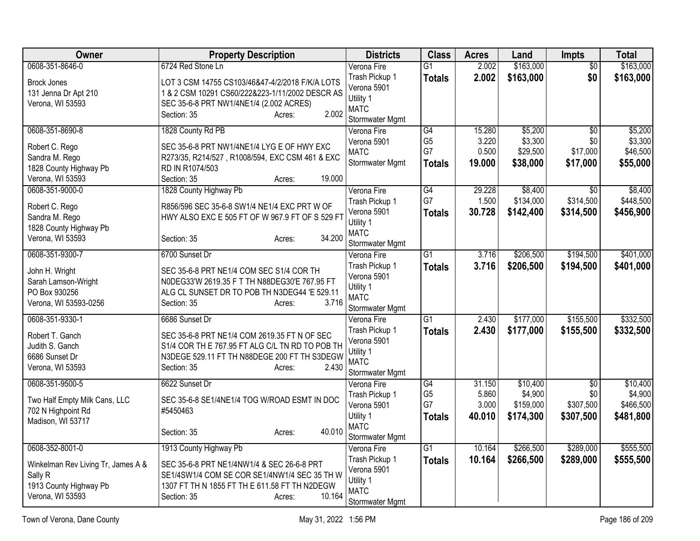| <b>Owner</b>                             | <b>Property Description</b>                                                                     | <b>Districts</b>              | <b>Class</b>         | <b>Acres</b>   | Land                 | <b>Impts</b>     | <b>Total</b>         |
|------------------------------------------|-------------------------------------------------------------------------------------------------|-------------------------------|----------------------|----------------|----------------------|------------------|----------------------|
| 0608-351-8646-0                          | 6724 Red Stone Ln                                                                               | Verona Fire                   | $\overline{G1}$      | 2.002          | \$163,000            | $\overline{50}$  | \$163,000            |
| <b>Brock Jones</b>                       | LOT 3 CSM 14755 CS103/46&47-4/2/2018 F/K/A LOTS                                                 | Trash Pickup 1                | <b>Totals</b>        | 2.002          | \$163,000            | \$0              | \$163,000            |
| 131 Jenna Dr Apt 210                     | 1 & 2 CSM 10291 CS60/222&223-1/11/2002 DESCR AS                                                 | Verona 5901                   |                      |                |                      |                  |                      |
| Verona, WI 53593                         | SEC 35-6-8 PRT NW1/4NE1/4 (2.002 ACRES)                                                         | Utility 1<br><b>MATC</b>      |                      |                |                      |                  |                      |
|                                          | 2.002<br>Section: 35<br>Acres:                                                                  | Stormwater Mgmt               |                      |                |                      |                  |                      |
| 0608-351-8690-8                          | 1828 County Rd PB                                                                               | Verona Fire                   | $\overline{G4}$      | 15.280         | \$5,200              | $\overline{30}$  | \$5,200              |
| Robert C. Rego                           | SEC 35-6-8 PRT NW1/4NE1/4 LYG E OF HWY EXC                                                      | Verona 5901                   | G <sub>5</sub>       | 3.220          | \$3,300              | \$0              | \$3,300              |
| Sandra M. Rego                           | R273/35, R214/527, R1008/594, EXC CSM 461 & EXC                                                 | <b>MATC</b>                   | G7                   | 0.500          | \$29,500             | \$17,000         | \$46,500             |
| 1828 County Highway Pb                   | RD IN R1074/503                                                                                 | Stormwater Mgmt               | <b>Totals</b>        | 19.000         | \$38,000             | \$17,000         | \$55,000             |
| Verona, WI 53593                         | 19.000<br>Section: 35<br>Acres:                                                                 |                               |                      |                |                      |                  |                      |
| 0608-351-9000-0                          | 1828 County Highway Pb                                                                          | Verona Fire                   | G4                   | 29.228         | \$8,400              | $\overline{30}$  | \$8,400              |
|                                          |                                                                                                 | Trash Pickup 1                | G7                   | 1.500          | \$134,000            | \$314,500        | \$448,500            |
| Robert C. Rego                           | R856/596 SEC 35-6-8 SW1/4 NE1/4 EXC PRT W OF<br>HWY ALSO EXC E 505 FT OF W 967.9 FT OF S 529 FT | Verona 5901                   | <b>Totals</b>        | 30.728         | \$142,400            | \$314,500        | \$456,900            |
| Sandra M. Rego<br>1828 County Highway Pb |                                                                                                 | Utility 1                     |                      |                |                      |                  |                      |
| Verona, WI 53593                         | 34.200<br>Section: 35<br>Acres:                                                                 | <b>MATC</b>                   |                      |                |                      |                  |                      |
|                                          |                                                                                                 | Stormwater Mgmt               |                      |                |                      |                  |                      |
| 0608-351-9300-7                          | 6700 Sunset Dr                                                                                  | Verona Fire                   | $\overline{G1}$      | 3.716          | \$206,500            | \$194,500        | \$401,000            |
| John H. Wright                           | SEC 35-6-8 PRT NE1/4 COM SEC S1/4 COR TH                                                        | Trash Pickup 1                | <b>Totals</b>        | 3.716          | \$206,500            | \$194,500        | \$401,000            |
| Sarah Lamson-Wright                      | N0DEG33'W 2619.35 F T TH N88DEG30'E 767.95 FT                                                   | Verona 5901<br>Utility 1      |                      |                |                      |                  |                      |
| PO Box 930256                            | ALG CL SUNSET DR TO POB TH N3DEG44 'E 529.11                                                    | <b>MATC</b>                   |                      |                |                      |                  |                      |
| Verona, WI 53593-0256                    | 3.716<br>Section: 35<br>Acres:                                                                  | Stormwater Mgmt               |                      |                |                      |                  |                      |
| 0608-351-9330-1                          | 6686 Sunset Dr                                                                                  | Verona Fire                   | $\overline{G1}$      | 2.430          | \$177,000            | \$155,500        | \$332,500            |
| Robert T. Ganch                          | SEC 35-6-8 PRT NE1/4 COM 2619.35 FT N OF SEC                                                    | Trash Pickup 1                | <b>Totals</b>        | 2.430          | \$177,000            | \$155,500        | \$332,500            |
| Judith S. Ganch                          | S1/4 COR TH E 767.95 FT ALG C/L TN RD TO POB TH                                                 | Verona 5901                   |                      |                |                      |                  |                      |
| 6686 Sunset Dr                           | N3DEGE 529.11 FT TH N88DEGE 200 FT TH S3DEGW                                                    | Utility 1                     |                      |                |                      |                  |                      |
| Verona, WI 53593                         | Section: 35<br>2.430<br>Acres:                                                                  | <b>MATC</b>                   |                      |                |                      |                  |                      |
|                                          |                                                                                                 | Stormwater Mgmt               |                      |                |                      |                  |                      |
| 0608-351-9500-5                          | 6622 Sunset Dr                                                                                  | Verona Fire                   | $\overline{G4}$      | 31.150         | \$10,400             | $\overline{30}$  | \$10,400             |
| Two Half Empty Milk Cans, LLC            | SEC 35-6-8 SE1/4NE1/4 TOG W/ROAD ESMT IN DOC                                                    | Trash Pickup 1<br>Verona 5901 | G <sub>5</sub><br>G7 | 5.860<br>3.000 | \$4,900<br>\$159,000 | \$0<br>\$307,500 | \$4,900<br>\$466,500 |
| 702 N Highpoint Rd                       | #5450463                                                                                        | Utility 1                     |                      | 40.010         | \$174,300            | \$307,500        | \$481,800            |
| Madison, WI 53717                        |                                                                                                 | <b>MATC</b>                   | <b>Totals</b>        |                |                      |                  |                      |
|                                          | 40.010<br>Section: 35<br>Acres:                                                                 | Stormwater Mgmt               |                      |                |                      |                  |                      |
| 0608-352-8001-0                          | 1913 County Highway Pb                                                                          | Verona Fire                   | $\overline{G1}$      | 10.164         | \$266,500            | \$289,000        | \$555,500            |
|                                          |                                                                                                 | Trash Pickup 1                | <b>Totals</b>        | 10.164         | \$266,500            | \$289,000        | \$555,500            |
| Winkelman Rev Living Tr, James A &       | SEC 35-6-8 PRT NE1/4NW1/4 & SEC 26-6-8 PRT<br>SE1/4SW1/4 COM SE COR SE1/4NW1/4 SEC 35 TH W      | Verona 5901                   |                      |                |                      |                  |                      |
| Sally R<br>1913 County Highway Pb        | 1307 FT TH N 1855 FT TH E 611.58 FT TH N2DEGW                                                   | Utility 1                     |                      |                |                      |                  |                      |
| Verona, WI 53593                         | 10.164<br>Section: 35<br>Acres:                                                                 | <b>MATC</b>                   |                      |                |                      |                  |                      |
|                                          |                                                                                                 | Stormwater Mgmt               |                      |                |                      |                  |                      |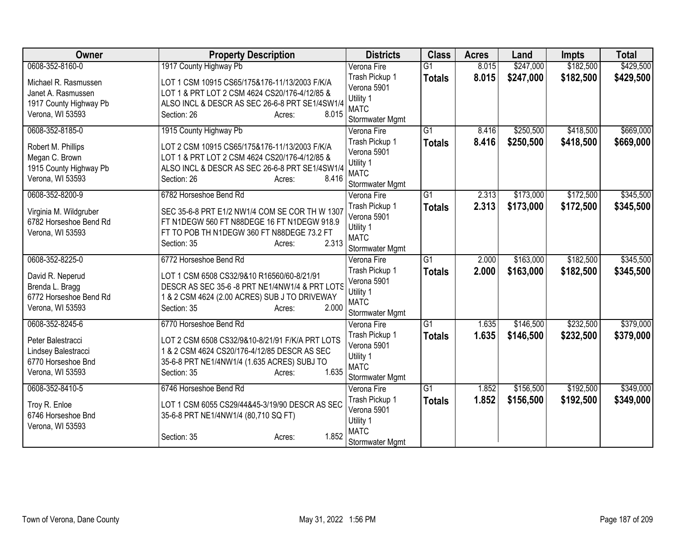| Owner                                                                                                 | <b>Property Description</b>                                                                                                                                                                                  | <b>Districts</b>                                                                            | <b>Class</b>                     | <b>Acres</b>   | Land                   | <b>Impts</b>           | <b>Total</b>           |
|-------------------------------------------------------------------------------------------------------|--------------------------------------------------------------------------------------------------------------------------------------------------------------------------------------------------------------|---------------------------------------------------------------------------------------------|----------------------------------|----------------|------------------------|------------------------|------------------------|
| 0608-352-8160-0                                                                                       | 1917 County Highway Pb                                                                                                                                                                                       | Verona Fire                                                                                 | $\overline{G1}$                  | 8.015          | \$247,000              | \$182,500              | \$429,500              |
| Michael R. Rasmussen<br>Janet A. Rasmussen<br>1917 County Highway Pb<br>Verona, WI 53593              | LOT 1 CSM 10915 CS65/175&176-11/13/2003 F/K/A<br>LOT 1 & PRT LOT 2 CSM 4624 CS20/176-4/12/85 &<br>ALSO INCL & DESCR AS SEC 26-6-8 PRT SE1/4SW1/4<br>8.015<br>Section: 26<br>Acres:                           | Trash Pickup 1<br>Verona 5901<br>Utility 1<br><b>MATC</b>                                   | <b>Totals</b>                    | 8.015          | \$247,000              | \$182,500              | \$429,500              |
|                                                                                                       |                                                                                                                                                                                                              | Stormwater Mgmt                                                                             |                                  |                |                        |                        |                        |
| 0608-352-8185-0<br>Robert M. Phillips<br>Megan C. Brown<br>1915 County Highway Pb<br>Verona, WI 53593 | 1915 County Highway Pb<br>LOT 2 CSM 10915 CS65/175&176-11/13/2003 F/K/A<br>LOT 1 & PRT LOT 2 CSM 4624 CS20/176-4/12/85 &<br>ALSO INCL & DESCR AS SEC 26-6-8 PRT SE1/4SW1/4<br>Section: 26<br>8.416<br>Acres: | Verona Fire<br>Trash Pickup 1<br>Verona 5901<br>Utility 1<br><b>MATC</b><br>Stormwater Mgmt | $\overline{G1}$<br><b>Totals</b> | 8.416<br>8.416 | \$250,500<br>\$250,500 | \$418,500<br>\$418,500 | \$669,000<br>\$669,000 |
| 0608-352-8200-9<br>Virginia M. Wildgruber<br>6782 Horseshoe Bend Rd<br>Verona, WI 53593               | 6782 Horseshoe Bend Rd<br>SEC 35-6-8 PRT E1/2 NW1/4 COM SE COR TH W 1307<br>FT N1DEGW 560 FT N88DEGE 16 FT N1DEGW 918.9<br>FT TO POB TH N1DEGW 360 FT N88DEGE 73.2 FT<br>2.313<br>Section: 35<br>Acres:      | Verona Fire<br>Trash Pickup 1<br>Verona 5901<br>Utility 1<br><b>MATC</b><br>Stormwater Mgmt | $\overline{G1}$<br><b>Totals</b> | 2.313<br>2.313 | \$173,000<br>\$173,000 | \$172,500<br>\$172,500 | \$345,500<br>\$345,500 |
| 0608-352-8225-0<br>David R. Neperud<br>Brenda L. Bragg<br>6772 Horseshoe Bend Rd<br>Verona, WI 53593  | 6772 Horseshoe Bend Rd<br>LOT 1 CSM 6508 CS32/9&10 R16560/60-8/21/91<br>DESCR AS SEC 35-6 -8 PRT NE1/4NW1/4 & PRT LOTS<br>1 & 2 CSM 4624 (2.00 ACRES) SUB J TO DRIVEWAY<br>2.000<br>Section: 35<br>Acres:    | Verona Fire<br>Trash Pickup 1<br>Verona 5901<br>Utility 1<br><b>MATC</b><br>Stormwater Mgmt | $\overline{G1}$<br><b>Totals</b> | 2.000<br>2.000 | \$163,000<br>\$163,000 | \$182,500<br>\$182,500 | \$345,500<br>\$345,500 |
| 0608-352-8245-6<br>Peter Balestracci<br>Lindsey Balestracci<br>6770 Horseshoe Bnd<br>Verona, WI 53593 | 6770 Horseshoe Bend Rd<br>LOT 2 CSM 6508 CS32/9&10-8/21/91 F/K/A PRT LOTS<br>1 & 2 CSM 4624 CS20/176-4/12/85 DESCR AS SEC<br>35-6-8 PRT NE1/4NW1/4 (1.635 ACRES) SUBJ TO<br>1.635<br>Section: 35<br>Acres:   | Verona Fire<br>Trash Pickup 1<br>Verona 5901<br>Utility 1<br><b>MATC</b><br>Stormwater Mgmt | $\overline{G1}$<br><b>Totals</b> | 1.635<br>1.635 | \$146,500<br>\$146,500 | \$232,500<br>\$232,500 | \$379,000<br>\$379,000 |
| 0608-352-8410-5<br>Troy R. Enloe<br>6746 Horseshoe Bnd<br>Verona, WI 53593                            | 6746 Horseshoe Bend Rd<br>LOT 1 CSM 6055 CS29/44&45-3/19/90 DESCR AS SEC<br>35-6-8 PRT NE1/4NW1/4 (80,710 SQ FT)<br>1.852<br>Section: 35<br>Acres:                                                           | Verona Fire<br>Trash Pickup 1<br>Verona 5901<br>Utility 1<br><b>MATC</b><br>Stormwater Mgmt | $\overline{G1}$<br><b>Totals</b> | 1.852<br>1.852 | \$156,500<br>\$156,500 | \$192,500<br>\$192,500 | \$349,000<br>\$349,000 |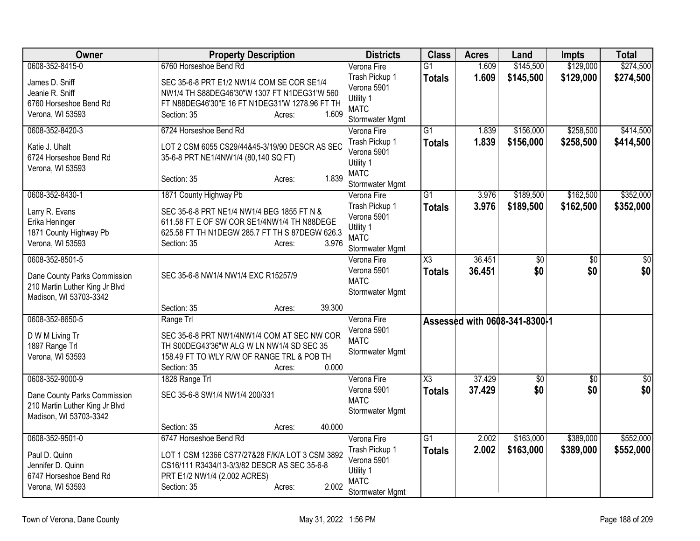| Owner                                      | <b>Property Description</b>                                                      | <b>Districts</b>               | <b>Class</b>    | <b>Acres</b> | Land                          | <b>Impts</b>    | <b>Total</b>     |
|--------------------------------------------|----------------------------------------------------------------------------------|--------------------------------|-----------------|--------------|-------------------------------|-----------------|------------------|
| 0608-352-8415-0                            | 6760 Horseshoe Bend Rd                                                           | Verona Fire                    | $\overline{G1}$ | 1.609        | \$145,500                     | \$129,000       | \$274,500        |
| James D. Sniff                             | SEC 35-6-8 PRT E1/2 NW1/4 COM SE COR SE1/4                                       | Trash Pickup 1                 | <b>Totals</b>   | 1.609        | \$145,500                     | \$129,000       | \$274,500        |
| Jeanie R. Sniff                            | NW1/4 TH S88DEG46'30"W 1307 FT N1DEG31'W 560                                     | Verona 5901<br>Utility 1       |                 |              |                               |                 |                  |
| 6760 Horseshoe Bend Rd                     | FT N88DEG46'30"E 16 FT N1DEG31'W 1278.96 FT TH                                   | <b>MATC</b>                    |                 |              |                               |                 |                  |
| Verona, WI 53593                           | 1.609<br>Section: 35<br>Acres:                                                   | Stormwater Mgmt                |                 |              |                               |                 |                  |
| 0608-352-8420-3                            | 6724 Horseshoe Bend Rd                                                           | Verona Fire                    | $\overline{G1}$ | 1.839        | \$156,000                     | \$258,500       | \$414,500        |
| Katie J. Uhalt                             | LOT 2 CSM 6055 CS29/44&45-3/19/90 DESCR AS SEC                                   | Trash Pickup 1                 | <b>Totals</b>   | 1.839        | \$156,000                     | \$258,500       | \$414,500        |
| 6724 Horseshoe Bend Rd                     | 35-6-8 PRT NE1/4NW1/4 (80,140 SQ FT)                                             | Verona 5901                    |                 |              |                               |                 |                  |
| Verona, WI 53593                           |                                                                                  | Utility 1                      |                 |              |                               |                 |                  |
|                                            | 1.839<br>Section: 35<br>Acres:                                                   | <b>MATC</b><br>Stormwater Mgmt |                 |              |                               |                 |                  |
| 0608-352-8430-1                            | 1871 County Highway Pb                                                           | Verona Fire                    | $\overline{G1}$ | 3.976        | \$189,500                     | \$162,500       | \$352,000        |
|                                            |                                                                                  | Trash Pickup 1                 | <b>Totals</b>   | 3.976        | \$189,500                     | \$162,500       | \$352,000        |
| Larry R. Evans                             | SEC 35-6-8 PRT NE1/4 NW1/4 BEG 1855 FT N &                                       | Verona 5901                    |                 |              |                               |                 |                  |
| Erika Heninger                             | 611.58 FT E OF SW COR SE1/4NW1/4 TH N88DEGE                                      | Utility 1                      |                 |              |                               |                 |                  |
| 1871 County Highway Pb<br>Verona, WI 53593 | 625.58 FT TH N1DEGW 285.7 FT TH S 87DEGW 626.3<br>3.976<br>Section: 35<br>Acres: | <b>MATC</b>                    |                 |              |                               |                 |                  |
|                                            |                                                                                  | Stormwater Mgmt                |                 |              |                               |                 |                  |
| 0608-352-8501-5                            |                                                                                  | Verona Fire                    | X3              | 36.451       | $\overline{50}$               | $\overline{30}$ | $\overline{50}$  |
| Dane County Parks Commission               | SEC 35-6-8 NW1/4 NW1/4 EXC R15257/9                                              | Verona 5901                    | <b>Totals</b>   | 36.451       | \$0                           | \$0             | \$0              |
| 210 Martin Luther King Jr Blvd             |                                                                                  | <b>MATC</b><br>Stormwater Mgmt |                 |              |                               |                 |                  |
| Madison, WI 53703-3342                     |                                                                                  |                                |                 |              |                               |                 |                  |
|                                            | 39.300<br>Section: 35<br>Acres:                                                  |                                |                 |              |                               |                 |                  |
| 0608-352-8650-5                            | Range Trl                                                                        | Verona Fire                    |                 |              | Assessed with 0608-341-8300-1 |                 |                  |
| D W M Living Tr                            | SEC 35-6-8 PRT NW1/4NW1/4 COM AT SEC NW COR                                      | Verona 5901<br><b>MATC</b>     |                 |              |                               |                 |                  |
| 1897 Range Trl                             | TH S00DEG43'36"W ALG W LN NW1/4 SD SEC 35                                        | Stormwater Mgmt                |                 |              |                               |                 |                  |
| Verona, WI 53593                           | 158.49 FT TO WLY R/W OF RANGE TRL & POB TH                                       |                                |                 |              |                               |                 |                  |
|                                            | 0.000<br>Section: 35<br>Acres:                                                   |                                |                 |              |                               |                 |                  |
| 0608-352-9000-9                            | 1828 Range Trl                                                                   | Verona Fire                    | X3              | 37.429       | \$0                           | \$0             | $\overline{\$0}$ |
| Dane County Parks Commission               | SEC 35-6-8 SW1/4 NW1/4 200/331                                                   | Verona 5901<br><b>MATC</b>     | <b>Totals</b>   | 37.429       | \$0                           | \$0             | \$0              |
| 210 Martin Luther King Jr Blvd             |                                                                                  | Stormwater Mgmt                |                 |              |                               |                 |                  |
| Madison, WI 53703-3342                     |                                                                                  |                                |                 |              |                               |                 |                  |
|                                            | 40.000<br>Section: 35<br>Acres:                                                  |                                |                 |              |                               |                 |                  |
| 0608-352-9501-0                            | 6747 Horseshoe Bend Rd                                                           | Verona Fire<br>Trash Pickup 1  | $\overline{G1}$ | 2.002        | \$163,000                     | \$389,000       | \$552,000        |
| Paul D. Quinn                              | LOT 1 CSM 12366 CS77/27&28 F/K/A LOT 3 CSM 3892                                  | Verona 5901                    | <b>Totals</b>   | 2.002        | \$163,000                     | \$389,000       | \$552,000        |
| Jennifer D. Quinn                          | CS16/111 R3434/13-3/3/82 DESCR AS SEC 35-6-8                                     | Utility 1                      |                 |              |                               |                 |                  |
| 6747 Horseshoe Bend Rd                     | PRT E1/2 NW1/4 (2.002 ACRES)                                                     | <b>MATC</b>                    |                 |              |                               |                 |                  |
| Verona, WI 53593                           | 2.002<br>Section: 35<br>Acres:                                                   | Stormwater Mgmt                |                 |              |                               |                 |                  |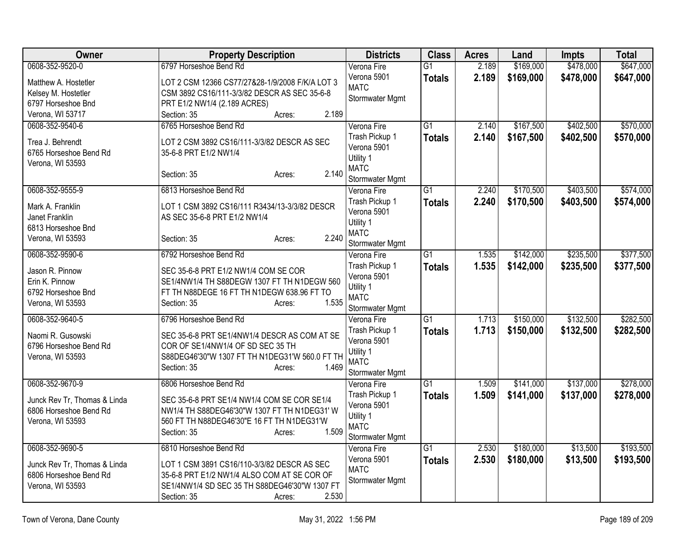| Owner                                | <b>Property Description</b>                                        | <b>Districts</b>               | <b>Class</b>    | <b>Acres</b> | Land      | <b>Impts</b> | <b>Total</b> |
|--------------------------------------|--------------------------------------------------------------------|--------------------------------|-----------------|--------------|-----------|--------------|--------------|
| 0608-352-9520-0                      | 6797 Horseshoe Bend Rd                                             | Verona Fire                    | $\overline{G1}$ | 2.189        | \$169,000 | \$478,000    | \$647,000    |
| Matthew A. Hostetler                 | LOT 2 CSM 12366 CS77/27&28-1/9/2008 F/K/A LOT 3                    | Verona 5901                    | <b>Totals</b>   | 2.189        | \$169,000 | \$478,000    | \$647,000    |
| Kelsey M. Hostetler                  | CSM 3892 CS16/111-3/3/82 DESCR AS SEC 35-6-8                       | <b>MATC</b>                    |                 |              |           |              |              |
| 6797 Horseshoe Bnd                   | PRT E1/2 NW1/4 (2.189 ACRES)                                       | Stormwater Mgmt                |                 |              |           |              |              |
| Verona, WI 53717                     | 2.189<br>Section: 35<br>Acres:                                     |                                |                 |              |           |              |              |
| 0608-352-9540-6                      | 6765 Horseshoe Bend Rd                                             | Verona Fire                    | $\overline{G1}$ | 2.140        | \$167,500 | \$402,500    | \$570,000    |
| Trea J. Behrendt                     | LOT 2 CSM 3892 CS16/111-3/3/82 DESCR AS SEC                        | Trash Pickup 1                 | <b>Totals</b>   | 2.140        | \$167,500 | \$402,500    | \$570,000    |
| 6765 Horseshoe Bend Rd               | 35-6-8 PRT E1/2 NW1/4                                              | Verona 5901                    |                 |              |           |              |              |
| Verona, WI 53593                     |                                                                    | Utility 1                      |                 |              |           |              |              |
|                                      | 2.140<br>Section: 35<br>Acres:                                     | <b>MATC</b>                    |                 |              |           |              |              |
|                                      |                                                                    | Stormwater Mgmt                |                 |              |           |              |              |
| 0608-352-9555-9                      | 6813 Horseshoe Bend Rd                                             | Verona Fire                    | $\overline{G1}$ | 2.240        | \$170,500 | \$403,500    | \$574,000    |
| Mark A. Franklin                     | LOT 1 CSM 3892 CS16/111 R3434/13-3/3/82 DESCR                      | Trash Pickup 1<br>Verona 5901  | <b>Totals</b>   | 2.240        | \$170,500 | \$403,500    | \$574,000    |
| Janet Franklin                       | AS SEC 35-6-8 PRT E1/2 NW1/4                                       | Utility 1                      |                 |              |           |              |              |
| 6813 Horseshoe Bnd                   |                                                                    | <b>MATC</b>                    |                 |              |           |              |              |
| Verona, WI 53593                     | 2.240<br>Section: 35<br>Acres:                                     | Stormwater Mgmt                |                 |              |           |              |              |
| 0608-352-9590-6                      | 6792 Horseshoe Bend Rd                                             | Verona Fire                    | $\overline{G1}$ | 1.535        | \$142,000 | \$235,500    | \$377,500    |
|                                      |                                                                    | Trash Pickup 1                 | <b>Totals</b>   | 1.535        | \$142,000 | \$235,500    | \$377,500    |
| Jason R. Pinnow                      | SEC 35-6-8 PRT E1/2 NW1/4 COM SE COR                               | Verona 5901                    |                 |              |           |              |              |
| Erin K. Pinnow<br>6792 Horseshoe Bnd | SE1/4NW1/4 TH S88DEGW 1307 FT TH N1DEGW 560                        | Utility 1                      |                 |              |           |              |              |
| Verona, WI 53593                     | FT TH N88DEGE 16 FT TH N1DEGW 638.96 FT TO<br>1.535<br>Section: 35 | <b>MATC</b>                    |                 |              |           |              |              |
|                                      | Acres:                                                             | Stormwater Mgmt                |                 |              |           |              |              |
| 0608-352-9640-5                      | 6796 Horseshoe Bend Rd                                             | Verona Fire                    | $\overline{G1}$ | 1.713        | \$150,000 | \$132,500    | \$282,500    |
| Naomi R. Gusowski                    | SEC 35-6-8 PRT SE1/4NW1/4 DESCR AS COM AT SE                       | Trash Pickup 1                 | <b>Totals</b>   | 1.713        | \$150,000 | \$132,500    | \$282,500    |
| 6796 Horseshoe Bend Rd               | COR OF SE1/4NW1/4 OF SD SEC 35 TH                                  | Verona 5901                    |                 |              |           |              |              |
| Verona, WI 53593                     | S88DEG46'30"W 1307 FT TH N1DEG31'W 560.0 FT TH                     | Utility 1                      |                 |              |           |              |              |
|                                      | 1.469<br>Section: 35<br>Acres:                                     | <b>MATC</b><br>Stormwater Mgmt |                 |              |           |              |              |
| 0608-352-9670-9                      | 6806 Horseshoe Bend Rd                                             | Verona Fire                    | $\overline{G1}$ | 1.509        | \$141,000 | \$137,000    | \$278,000    |
|                                      |                                                                    | Trash Pickup 1                 | <b>Totals</b>   | 1.509        | \$141,000 | \$137,000    | \$278,000    |
| Junck Rev Tr, Thomas & Linda         | SEC 35-6-8 PRT SE1/4 NW1/4 COM SE COR SE1/4                        | Verona 5901                    |                 |              |           |              |              |
| 6806 Horseshoe Bend Rd               | NW1/4 TH S88DEG46'30"W 1307 FT TH N1DEG31' W                       | Utility 1                      |                 |              |           |              |              |
| Verona, WI 53593                     | 560 FT TH N88DEG46'30"E 16 FT TH N1DEG31'W                         | <b>MATC</b>                    |                 |              |           |              |              |
|                                      | 1.509<br>Section: 35<br>Acres:                                     | Stormwater Mgmt                |                 |              |           |              |              |
| 0608-352-9690-5                      | 6810 Horseshoe Bend Rd                                             | Verona Fire                    | $\overline{G1}$ | 2.530        | \$180,000 | \$13,500     | \$193,500    |
| Junck Rev Tr, Thomas & Linda         | LOT 1 CSM 3891 CS16/110-3/3/82 DESCR AS SEC                        | Verona 5901                    | <b>Totals</b>   | 2.530        | \$180,000 | \$13,500     | \$193,500    |
| 6806 Horseshoe Bend Rd               | 35-6-8 PRT E1/2 NW1/4 ALSO COM AT SE COR OF                        | <b>MATC</b>                    |                 |              |           |              |              |
| Verona, WI 53593                     | SE1/4NW1/4 SD SEC 35 TH S88DEG46'30"W 1307 FT                      | Stormwater Mgmt                |                 |              |           |              |              |
|                                      | 2.530<br>Section: 35<br>Acres:                                     |                                |                 |              |           |              |              |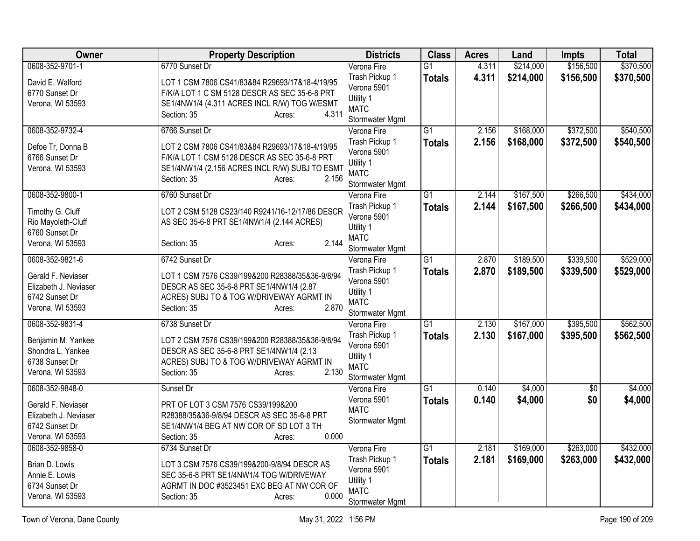| Owner                                       | <b>Property Description</b>                                                       | <b>Districts</b>               | <b>Class</b>    | <b>Acres</b> | Land      | <b>Impts</b> | <b>Total</b> |
|---------------------------------------------|-----------------------------------------------------------------------------------|--------------------------------|-----------------|--------------|-----------|--------------|--------------|
| 0608-352-9701-1                             | 6770 Sunset Dr                                                                    | Verona Fire                    | $\overline{G1}$ | 4.311        | \$214,000 | \$156,500    | \$370,500    |
| David E. Walford                            | LOT 1 CSM 7806 CS41/83&84 R29693/17&18-4/19/95                                    | Trash Pickup 1                 | <b>Totals</b>   | 4.311        | \$214,000 | \$156,500    | \$370,500    |
| 6770 Sunset Dr                              | F/K/A LOT 1 C SM 5128 DESCR AS SEC 35-6-8 PRT                                     | Verona 5901                    |                 |              |           |              |              |
| Verona, WI 53593                            | SE1/4NW1/4 (4.311 ACRES INCL R/W) TOG W/ESMT                                      | Utility 1                      |                 |              |           |              |              |
|                                             | 4.311<br>Section: 35<br>Acres:                                                    | <b>MATC</b>                    |                 |              |           |              |              |
| 0608-352-9732-4                             | 6766 Sunset Dr                                                                    | Stormwater Mgmt                | $\overline{G1}$ | 2.156        | \$168,000 | \$372,500    | \$540,500    |
|                                             |                                                                                   | Verona Fire<br>Trash Pickup 1  |                 | 2.156        |           |              |              |
| Defoe Tr, Donna B                           | LOT 2 CSM 7806 CS41/83&84 R29693/17&18-4/19/95                                    | Verona 5901                    | <b>Totals</b>   |              | \$168,000 | \$372,500    | \$540,500    |
| 6766 Sunset Dr                              | F/K/A LOT 1 CSM 5128 DESCR AS SEC 35-6-8 PRT                                      | Utility 1                      |                 |              |           |              |              |
| Verona, WI 53593                            | SE1/4NW1/4 (2.156 ACRES INCL R/W) SUBJ TO ESMT                                    | <b>MATC</b>                    |                 |              |           |              |              |
|                                             | 2.156<br>Section: 35<br>Acres:                                                    | Stormwater Mgmt                |                 |              |           |              |              |
| 0608-352-9800-1                             | 6760 Sunset Dr                                                                    | Verona Fire                    | $\overline{G1}$ | 2.144        | \$167,500 | \$266,500    | \$434,000    |
|                                             |                                                                                   | Trash Pickup 1                 | <b>Totals</b>   | 2.144        | \$167,500 | \$266,500    | \$434,000    |
| Timothy G. Cluff                            | LOT 2 CSM 5128 CS23/140 R9241/16-12/17/86 DESCR                                   | Verona 5901                    |                 |              |           |              |              |
| Rio Mayoleth-Cluff<br>6760 Sunset Dr        | AS SEC 35-6-8 PRT SE1/4NW1/4 (2.144 ACRES)                                        | Utility 1                      |                 |              |           |              |              |
| Verona, WI 53593                            | 2.144<br>Section: 35<br>Acres:                                                    | <b>MATC</b>                    |                 |              |           |              |              |
|                                             |                                                                                   | Stormwater Mgmt                |                 |              |           |              |              |
| 0608-352-9821-6                             | 6742 Sunset Dr                                                                    | Verona Fire                    | $\overline{G1}$ | 2.870        | \$189,500 | \$339,500    | \$529,000    |
| Gerald F. Neviaser                          | LOT 1 CSM 7576 CS39/199&200 R28388/35&36-9/8/94                                   | Trash Pickup 1                 | <b>Totals</b>   | 2.870        | \$189,500 | \$339,500    | \$529,000    |
| Elizabeth J. Neviaser                       | DESCR AS SEC 35-6-8 PRT SE1/4NW1/4 (2.87                                          | Verona 5901                    |                 |              |           |              |              |
| 6742 Sunset Dr                              | ACRES) SUBJ TO & TOG W/DRIVEWAY AGRMT IN                                          | Utility 1                      |                 |              |           |              |              |
| Verona, WI 53593                            | 2.870<br>Section: 35<br>Acres:                                                    | <b>MATC</b>                    |                 |              |           |              |              |
| 0608-352-9831-4                             | 6738 Sunset Dr                                                                    | Stormwater Mgmt<br>Verona Fire | $\overline{G1}$ | 2.130        | \$167,000 | \$395,500    | \$562,500    |
|                                             |                                                                                   | Trash Pickup 1                 |                 | 2.130        | \$167,000 | \$395,500    | \$562,500    |
| Benjamin M. Yankee                          | LOT 2 CSM 7576 CS39/199&200 R28388/35&36-9/8/94                                   | Verona 5901                    | <b>Totals</b>   |              |           |              |              |
| Shondra L. Yankee                           | DESCR AS SEC 35-6-8 PRT SE1/4NW1/4 (2.13                                          | Utility 1                      |                 |              |           |              |              |
| 6738 Sunset Dr                              | ACRES) SUBJ TO & TOG W/DRIVEWAY AGRMT IN                                          | <b>MATC</b>                    |                 |              |           |              |              |
| Verona, WI 53593                            | 2.130<br>Section: 35<br>Acres:                                                    | Stormwater Mgmt                |                 |              |           |              |              |
| 0608-352-9848-0                             | Sunset Dr                                                                         | Verona Fire                    | $\overline{G1}$ | 0.140        | \$4,000   | \$0          | \$4,000      |
|                                             |                                                                                   | Verona 5901                    | <b>Totals</b>   | 0.140        | \$4,000   | \$0          | \$4,000      |
| Gerald F. Neviaser<br>Elizabeth J. Neviaser | PRT OF LOT 3 CSM 7576 CS39/199&200<br>R28388/35&36-9/8/94 DESCR AS SEC 35-6-8 PRT | <b>MATC</b>                    |                 |              |           |              |              |
| 6742 Sunset Dr                              | SE1/4NW1/4 BEG AT NW COR OF SD LOT 3 TH                                           | Stormwater Mgmt                |                 |              |           |              |              |
| Verona, WI 53593                            | 0.000<br>Section: 35<br>Acres:                                                    |                                |                 |              |           |              |              |
| 0608-352-9858-0                             | 6734 Sunset Dr                                                                    | Verona Fire                    | G1              | 2.181        | \$169,000 | \$263,000    | \$432,000    |
|                                             |                                                                                   | Trash Pickup 1                 | <b>Totals</b>   | 2.181        | \$169,000 | \$263,000    | \$432,000    |
| Brian D. Lowis                              | LOT 3 CSM 7576 CS39/199&200-9/8/94 DESCR AS                                       | Verona 5901                    |                 |              |           |              |              |
| Annie E. Lowis                              | SEC 35-6-8 PRT SE1/4NW1/4 TOG W/DRIVEWAY                                          | Utility 1                      |                 |              |           |              |              |
| 6734 Sunset Dr                              | AGRMT IN DOC #3523451 EXC BEG AT NW COR OF                                        | <b>MATC</b>                    |                 |              |           |              |              |
| Verona, WI 53593                            | 0.000<br>Section: 35<br>Acres:                                                    | Stormwater Mgmt                |                 |              |           |              |              |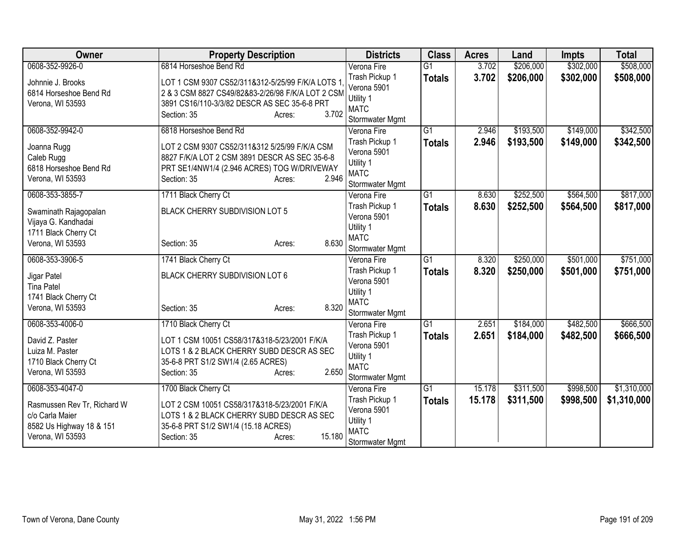| <b>Owner</b>                | <b>Property Description</b>                       | <b>Districts</b>               | <b>Class</b>    | <b>Acres</b> | Land      | <b>Impts</b> | <b>Total</b> |
|-----------------------------|---------------------------------------------------|--------------------------------|-----------------|--------------|-----------|--------------|--------------|
| 0608-352-9926-0             | 6814 Horseshoe Bend Rd                            | Verona Fire                    | $\overline{G1}$ | 3.702        | \$206,000 | \$302,000    | \$508,000    |
| Johnnie J. Brooks           | LOT 1 CSM 9307 CS52/311&312-5/25/99 F/K/A LOTS 1  | Trash Pickup 1                 | <b>Totals</b>   | 3.702        | \$206,000 | \$302,000    | \$508,000    |
| 6814 Horseshoe Bend Rd      | 2 & 3 CSM 8827 CS49/82&83-2/26/98 F/K/A LOT 2 CSM | Verona 5901                    |                 |              |           |              |              |
| Verona, WI 53593            | 3891 CS16/110-3/3/82 DESCR AS SEC 35-6-8 PRT      | Utility 1                      |                 |              |           |              |              |
|                             | 3.702<br>Section: 35<br>Acres:                    | <b>MATC</b><br>Stormwater Mgmt |                 |              |           |              |              |
| 0608-352-9942-0             | 6818 Horseshoe Bend Rd                            | Verona Fire                    | $\overline{G1}$ | 2.946        | \$193,500 | \$149,000    | \$342,500    |
|                             |                                                   | Trash Pickup 1                 | <b>Totals</b>   | 2.946        | \$193,500 | \$149,000    | \$342,500    |
| Joanna Rugg                 | LOT 2 CSM 9307 CS52/311&312 5/25/99 F/K/A CSM     | Verona 5901                    |                 |              |           |              |              |
| Caleb Rugg                  | 8827 F/K/A LOT 2 CSM 3891 DESCR AS SEC 35-6-8     | Utility 1                      |                 |              |           |              |              |
| 6818 Horseshoe Bend Rd      | PRT SE1/4NW1/4 (2.946 ACRES) TOG W/DRIVEWAY       | <b>MATC</b>                    |                 |              |           |              |              |
| Verona, WI 53593            | 2.946<br>Section: 35<br>Acres:                    | Stormwater Mgmt                |                 |              |           |              |              |
| 0608-353-3855-7             | 1711 Black Cherry Ct                              | Verona Fire                    | $\overline{G1}$ | 8.630        | \$252,500 | \$564,500    | \$817,000    |
| Swaminath Rajagopalan       | BLACK CHERRY SUBDIVISION LOT 5                    | Trash Pickup 1                 | <b>Totals</b>   | 8.630        | \$252,500 | \$564,500    | \$817,000    |
| Vijaya G. Kandhadai         |                                                   | Verona 5901                    |                 |              |           |              |              |
| 1711 Black Cherry Ct        |                                                   | Utility 1                      |                 |              |           |              |              |
| Verona, WI 53593            | 8.630<br>Section: 35<br>Acres:                    | <b>MATC</b>                    |                 |              |           |              |              |
| 0608-353-3906-5             | 1741 Black Cherry Ct                              | Stormwater Mgmt<br>Verona Fire | $\overline{G1}$ | 8.320        | \$250,000 | \$501,000    | \$751,000    |
|                             |                                                   | Trash Pickup 1                 | <b>Totals</b>   | 8.320        | \$250,000 | \$501,000    | \$751,000    |
| Jigar Patel                 | BLACK CHERRY SUBDIVISION LOT 6                    | Verona 5901                    |                 |              |           |              |              |
| <b>Tina Patel</b>           |                                                   | Utility 1                      |                 |              |           |              |              |
| 1741 Black Cherry Ct        |                                                   | <b>MATC</b>                    |                 |              |           |              |              |
| Verona, WI 53593            | 8.320<br>Section: 35<br>Acres:                    | Stormwater Mgmt                |                 |              |           |              |              |
| 0608-353-4006-0             | 1710 Black Cherry Ct                              | Verona Fire                    | $\overline{G1}$ | 2.651        | \$184,000 | \$482,500    | \$666,500    |
| David Z. Paster             | LOT 1 CSM 10051 CS58/317&318-5/23/2001 F/K/A      | Trash Pickup 1                 | <b>Totals</b>   | 2.651        | \$184,000 | \$482,500    | \$666,500    |
| Luiza M. Paster             | LOTS 1 & 2 BLACK CHERRY SUBD DESCR AS SEC         | Verona 5901                    |                 |              |           |              |              |
| 1710 Black Cherry Ct        | 35-6-8 PRT S1/2 SW1/4 (2.65 ACRES)                | Utility 1                      |                 |              |           |              |              |
| Verona, WI 53593            | 2.650<br>Section: 35<br>Acres:                    | <b>MATC</b><br>Stormwater Mgmt |                 |              |           |              |              |
| 0608-353-4047-0             | 1700 Black Cherry Ct                              | Verona Fire                    | $\overline{G1}$ | 15.178       | \$311,500 | \$998,500    | \$1,310,000  |
|                             |                                                   | Trash Pickup 1                 | <b>Totals</b>   | 15.178       | \$311,500 | \$998,500    | \$1,310,000  |
| Rasmussen Rev Tr, Richard W | LOT 2 CSM 10051 CS58/317&318-5/23/2001 F/K/A      | Verona 5901                    |                 |              |           |              |              |
| c/o Carla Maier             | LOTS 1 & 2 BLACK CHERRY SUBD DESCR AS SEC         | Utility 1                      |                 |              |           |              |              |
| 8582 Us Highway 18 & 151    | 35-6-8 PRT S1/2 SW1/4 (15.18 ACRES)               | <b>MATC</b>                    |                 |              |           |              |              |
| Verona, WI 53593            | 15.180<br>Section: 35<br>Acres:                   | Stormwater Mgmt                |                 |              |           |              |              |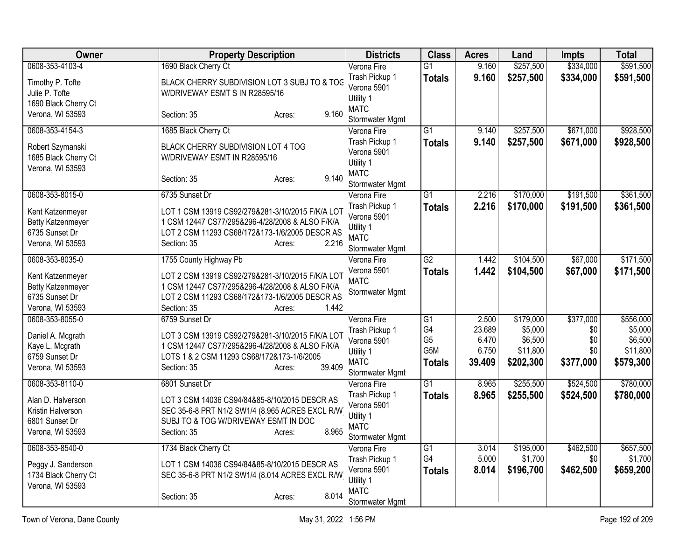| Owner                                                                              | <b>Property Description</b>                                                                                                                                                             | <b>Districts</b>                                                             | <b>Class</b>                                 | <b>Acres</b>                       | Land                                        | Impts                          | <b>Total</b>                                |
|------------------------------------------------------------------------------------|-----------------------------------------------------------------------------------------------------------------------------------------------------------------------------------------|------------------------------------------------------------------------------|----------------------------------------------|------------------------------------|---------------------------------------------|--------------------------------|---------------------------------------------|
| 0608-353-4103-4                                                                    | 1690 Black Cherry Ct                                                                                                                                                                    | Verona Fire                                                                  | $\overline{G1}$                              | 9.160                              | \$257,500                                   | \$334,000                      | \$591,500                                   |
| Timothy P. Tofte<br>Julie P. Tofte<br>1690 Black Cherry Ct                         | BLACK CHERRY SUBDIVISION LOT 3 SUBJ TO & TOG<br>W/DRIVEWAY ESMT S IN R28595/16                                                                                                          | Trash Pickup 1<br>Verona 5901<br>Utility 1                                   | <b>Totals</b>                                | 9.160                              | \$257,500                                   | \$334,000                      | \$591,500                                   |
| Verona, WI 53593                                                                   | 9.160<br>Section: 35<br>Acres:                                                                                                                                                          | <b>MATC</b><br>Stormwater Mgmt                                               |                                              |                                    |                                             |                                |                                             |
| 0608-353-4154-3                                                                    | 1685 Black Cherry Ct                                                                                                                                                                    | Verona Fire                                                                  | $\overline{G1}$                              | 9.140                              | \$257,500                                   | \$671,000                      | \$928,500                                   |
| Robert Szymanski<br>1685 Black Cherry Ct<br>Verona, WI 53593                       | BLACK CHERRY SUBDIVISION LOT 4 TOG<br>W/DRIVEWAY ESMT IN R28595/16<br>9.140                                                                                                             | Trash Pickup 1<br>Verona 5901<br>Utility 1<br><b>MATC</b>                    | <b>Totals</b>                                | 9.140                              | \$257,500                                   | \$671,000                      | \$928,500                                   |
|                                                                                    | Section: 35<br>Acres:                                                                                                                                                                   | Stormwater Mgmt                                                              |                                              |                                    |                                             |                                |                                             |
| 0608-353-8015-0                                                                    | 6735 Sunset Dr                                                                                                                                                                          | Verona Fire                                                                  | $\overline{G1}$                              | 2.216                              | \$170,000                                   | \$191,500                      | \$361,500                                   |
| Kent Katzenmeyer<br><b>Betty Katzenmeyer</b><br>6735 Sunset Dr<br>Verona, WI 53593 | LOT 1 CSM 13919 CS92/279&281-3/10/2015 F/K/A LOT<br>1 CSM 12447 CS77/295&296-4/28/2008 & ALSO F/K/A<br>LOT 2 CSM 11293 CS68/172&173-1/6/2005 DESCR AS<br>2.216<br>Section: 35<br>Acres: | Trash Pickup 1<br>Verona 5901<br>Utility 1<br><b>MATC</b><br>Stormwater Mgmt | <b>Totals</b>                                | 2.216                              | \$170,000                                   | \$191,500                      | \$361,500                                   |
| 0608-353-8035-0                                                                    | 1755 County Highway Pb                                                                                                                                                                  | Verona Fire                                                                  | G2                                           | 1.442                              | \$104,500                                   | \$67,000                       | \$171,500                                   |
| Kent Katzenmeyer<br>Betty Katzenmeyer<br>6735 Sunset Dr<br>Verona, WI 53593        | LOT 2 CSM 13919 CS92/279&281-3/10/2015 F/K/A LOT<br>1 CSM 12447 CS77/295&296-4/28/2008 & ALSO F/K/A<br>LOT 2 CSM 11293 CS68/172&173-1/6/2005 DESCR AS<br>1.442<br>Section: 35<br>Acres: | Verona 5901<br><b>MATC</b><br>Stormwater Mgmt                                | <b>Totals</b>                                | 1.442                              | \$104,500                                   | \$67,000                       | \$171,500                                   |
| 0608-353-8055-0                                                                    | 6759 Sunset Dr                                                                                                                                                                          | Verona Fire                                                                  | G1                                           | 2.500                              | \$179,000                                   | \$377,000                      | \$556,000                                   |
| Daniel A. Mcgrath<br>Kaye L. Mcgrath<br>6759 Sunset Dr<br>Verona, WI 53593         | LOT 3 CSM 13919 CS92/279&281-3/10/2015 F/K/A LOT<br>1 CSM 12447 CS77/295&296-4/28/2008 & ALSO F/K/A<br>LOTS 1 & 2 CSM 11293 CS68/172&173-1/6/2005<br>39.409<br>Section: 35<br>Acres:    | Trash Pickup 1<br>Verona 5901<br>Utility 1<br><b>MATC</b><br>Stormwater Mgmt | G4<br>G <sub>5</sub><br>G5M<br><b>Totals</b> | 23.689<br>6.470<br>6.750<br>39.409 | \$5,000<br>\$6,500<br>\$11,800<br>\$202,300 | \$0<br>\$0<br>\$0<br>\$377,000 | \$5,000<br>\$6,500<br>\$11,800<br>\$579,300 |
| 0608-353-8110-0                                                                    | 6801 Sunset Dr                                                                                                                                                                          | Verona Fire                                                                  | $\overline{G1}$                              | 8.965                              | \$255,500                                   | \$524,500                      | \$780,000                                   |
| Alan D. Halverson<br>Kristin Halverson<br>6801 Sunset Dr<br>Verona, WI 53593       | LOT 3 CSM 14036 CS94/84&85-8/10/2015 DESCR AS<br>SEC 35-6-8 PRT N1/2 SW1/4 (8.965 ACRES EXCL R/W<br>SUBJ TO & TOG W/DRIVEWAY ESMT IN DOC<br>Section: 35<br>8.965<br>Acres:              | Trash Pickup 1<br>Verona 5901<br>Utility 1<br><b>MATC</b><br>Stormwater Mgmt | <b>Totals</b>                                | 8.965                              | \$255,500                                   | \$524,500                      | \$780,000                                   |
| 0608-353-8540-0                                                                    | 1734 Black Cherry Ct                                                                                                                                                                    | Verona Fire                                                                  | G1                                           | 3.014                              | \$195,000                                   | \$462,500                      | \$657,500                                   |
| Peggy J. Sanderson<br>1734 Black Cherry Ct<br>Verona, WI 53593                     | LOT 1 CSM 14036 CS94/84&85-8/10/2015 DESCR AS<br>SEC 35-6-8 PRT N1/2 SW1/4 (8.014 ACRES EXCL R/W                                                                                        | Trash Pickup 1<br>Verona 5901<br>Utility 1<br><b>MATC</b>                    | G4<br><b>Totals</b>                          | 5.000<br>8.014                     | \$1,700<br>\$196,700                        | \$0<br>\$462,500               | \$1,700<br>\$659,200                        |
|                                                                                    | 8.014<br>Section: 35<br>Acres:                                                                                                                                                          | Stormwater Mgmt                                                              |                                              |                                    |                                             |                                |                                             |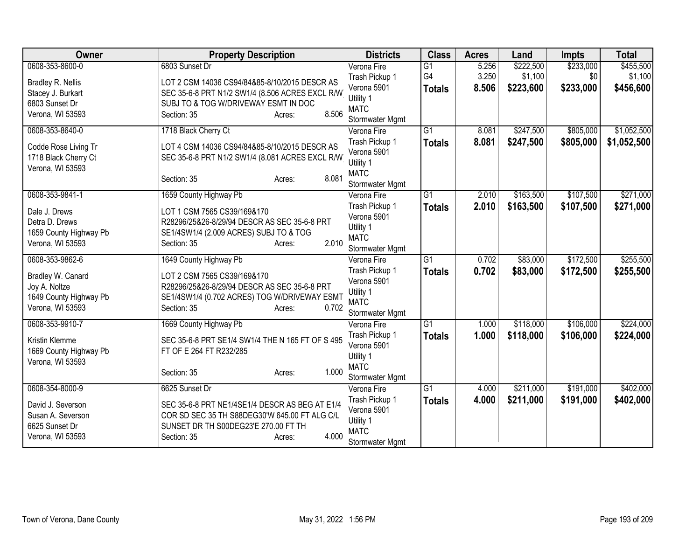| Owner                  | <b>Property Description</b>                      | <b>Districts</b>              | <b>Class</b>    | <b>Acres</b> | Land      | <b>Impts</b> | <b>Total</b> |
|------------------------|--------------------------------------------------|-------------------------------|-----------------|--------------|-----------|--------------|--------------|
| 0608-353-8600-0        | 6803 Sunset Dr                                   | Verona Fire                   | $\overline{G1}$ | 5.256        | \$222,500 | \$233,000    | \$455,500    |
| Bradley R. Nellis      | LOT 2 CSM 14036 CS94/84&85-8/10/2015 DESCR AS    | Trash Pickup 1                | G4              | 3.250        | \$1,100   | \$0          | \$1,100      |
| Stacey J. Burkart      | SEC 35-6-8 PRT N1/2 SW1/4 (8.506 ACRES EXCL R/W  | Verona 5901                   | <b>Totals</b>   | 8.506        | \$223,600 | \$233,000    | \$456,600    |
| 6803 Sunset Dr         | SUBJ TO & TOG W/DRIVEWAY ESMT IN DOC             | Utility 1<br><b>MATC</b>      |                 |              |           |              |              |
| Verona, WI 53593       | 8.506<br>Section: 35<br>Acres:                   | Stormwater Mgmt               |                 |              |           |              |              |
| 0608-353-8640-0        | 1718 Black Cherry Ct                             | Verona Fire                   | $\overline{G1}$ | 8.081        | \$247,500 | \$805,000    | \$1,052,500  |
|                        |                                                  | Trash Pickup 1                | <b>Totals</b>   | 8.081        | \$247,500 | \$805,000    | \$1,052,500  |
| Codde Rose Living Tr   | LOT 4 CSM 14036 CS94/84&85-8/10/2015 DESCR AS    | Verona 5901                   |                 |              |           |              |              |
| 1718 Black Cherry Ct   | SEC 35-6-8 PRT N1/2 SW1/4 (8.081 ACRES EXCL R/W  | Utility 1                     |                 |              |           |              |              |
| Verona, WI 53593       |                                                  | <b>MATC</b>                   |                 |              |           |              |              |
|                        | 8.081<br>Section: 35<br>Acres:                   | Stormwater Mgmt               |                 |              |           |              |              |
| 0608-353-9841-1        | 1659 County Highway Pb                           | Verona Fire                   | $\overline{G1}$ | 2.010        | \$163,500 | \$107,500    | \$271,000    |
| Dale J. Drews          | LOT 1 CSM 7565 CS39/169&170                      | Trash Pickup 1                | <b>Totals</b>   | 2.010        | \$163,500 | \$107,500    | \$271,000    |
| Detra D. Drews         | R28296/25&26-8/29/94 DESCR AS SEC 35-6-8 PRT     | Verona 5901                   |                 |              |           |              |              |
| 1659 County Highway Pb | SE1/4SW1/4 (2.009 ACRES) SUBJ TO & TOG           | Utility 1                     |                 |              |           |              |              |
| Verona, WI 53593       | 2.010<br>Section: 35<br>Acres:                   | <b>MATC</b>                   |                 |              |           |              |              |
| 0608-353-9862-6        |                                                  | Stormwater Mgmt               | $\overline{G1}$ | 0.702        | \$83,000  | \$172,500    | \$255,500    |
|                        | 1649 County Highway Pb                           | Verona Fire<br>Trash Pickup 1 |                 | 0.702        |           |              |              |
| Bradley W. Canard      | LOT 2 CSM 7565 CS39/169&170                      | Verona 5901                   | <b>Totals</b>   |              | \$83,000  | \$172,500    | \$255,500    |
| Joy A. Noltze          | R28296/25&26-8/29/94 DESCR AS SEC 35-6-8 PRT     | Utility 1                     |                 |              |           |              |              |
| 1649 County Highway Pb | SE1/4SW1/4 (0.702 ACRES) TOG W/DRIVEWAY ESMT     | <b>MATC</b>                   |                 |              |           |              |              |
| Verona, WI 53593       | 0.702<br>Section: 35<br>Acres:                   | Stormwater Mgmt               |                 |              |           |              |              |
| 0608-353-9910-7        | 1669 County Highway Pb                           | Verona Fire                   | $\overline{G1}$ | 1.000        | \$118,000 | \$106,000    | \$224,000    |
| Kristin Klemme         | SEC 35-6-8 PRT SE1/4 SW1/4 THE N 165 FT OF S 495 | Trash Pickup 1                | <b>Totals</b>   | 1.000        | \$118,000 | \$106,000    | \$224,000    |
| 1669 County Highway Pb | FT OF E 264 FT R232/285                          | Verona 5901                   |                 |              |           |              |              |
| Verona, WI 53593       |                                                  | Utility 1                     |                 |              |           |              |              |
|                        | 1.000<br>Section: 35<br>Acres:                   | <b>MATC</b>                   |                 |              |           |              |              |
|                        |                                                  | Stormwater Mgmt               |                 |              |           |              |              |
| 0608-354-8000-9        | 6625 Sunset Dr                                   | Verona Fire                   | G1              | 4.000        | \$211,000 | \$191,000    | \$402,000    |
| David J. Severson      | SEC 35-6-8 PRT NE1/4SE1/4 DESCR AS BEG AT E1/4   | Trash Pickup 1                | <b>Totals</b>   | 4.000        | \$211,000 | \$191,000    | \$402,000    |
| Susan A. Severson      | COR SD SEC 35 TH S88DEG30'W 645.00 FT ALG C/L    | Verona 5901<br>Utility 1      |                 |              |           |              |              |
| 6625 Sunset Dr         | SUNSET DR TH S00DEG23'E 270.00 FT TH             | <b>MATC</b>                   |                 |              |           |              |              |
| Verona, WI 53593       | 4.000<br>Section: 35<br>Acres:                   | Stormwater Mgmt               |                 |              |           |              |              |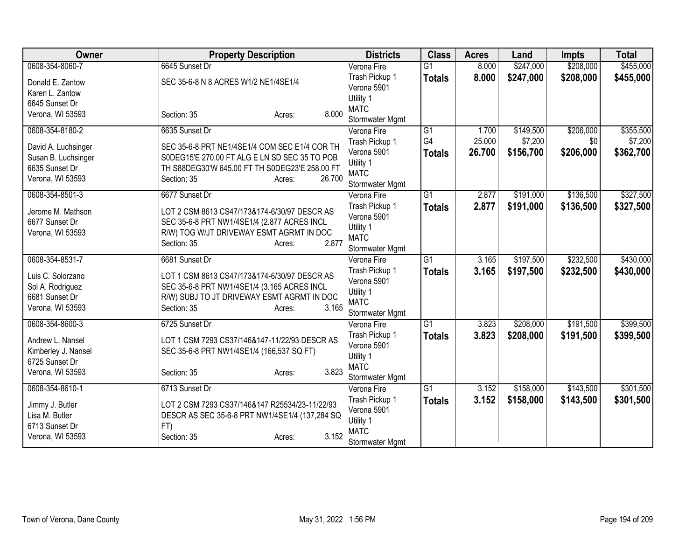| Owner               | <b>Property Description</b>                    | <b>Districts</b>              | <b>Class</b>    | <b>Acres</b> | Land      | <b>Impts</b> | <b>Total</b> |
|---------------------|------------------------------------------------|-------------------------------|-----------------|--------------|-----------|--------------|--------------|
| 0608-354-8060-7     | 6645 Sunset Dr                                 | Verona Fire                   | $\overline{G1}$ | 8.000        | \$247,000 | \$208,000    | \$455,000    |
| Donald E. Zantow    | SEC 35-6-8 N 8 ACRES W1/2 NE1/4SE1/4           | Trash Pickup 1                | <b>Totals</b>   | 8.000        | \$247,000 | \$208,000    | \$455,000    |
| Karen L. Zantow     |                                                | Verona 5901                   |                 |              |           |              |              |
| 6645 Sunset Dr      |                                                | Utility 1                     |                 |              |           |              |              |
| Verona, WI 53593    | 8.000<br>Section: 35<br>Acres:                 | <b>MATC</b>                   |                 |              |           |              |              |
|                     |                                                | Stormwater Mgmt               |                 |              |           |              |              |
| 0608-354-8180-2     | 6635 Sunset Dr                                 | Verona Fire                   | $\overline{G1}$ | 1.700        | \$149,500 | \$206,000    | \$355,500    |
| David A. Luchsinger | SEC 35-6-8 PRT NE1/4SE1/4 COM SEC E1/4 COR TH  | Trash Pickup 1                | G4              | 25.000       | \$7,200   | \$0          | \$7,200      |
| Susan B. Luchsinger | S0DEG15'E 270.00 FT ALG E LN SD SEC 35 TO POB  | Verona 5901                   | <b>Totals</b>   | 26.700       | \$156,700 | \$206,000    | \$362,700    |
| 6635 Sunset Dr      | TH S88DEG30'W 645.00 FT TH S0DEG23'E 258.00 FT | Utility 1                     |                 |              |           |              |              |
| Verona, WI 53593    | 26.700<br>Section: 35<br>Acres:                | <b>MATC</b>                   |                 |              |           |              |              |
|                     |                                                | Stormwater Mgmt               |                 |              |           |              |              |
| 0608-354-8501-3     | 6677 Sunset Dr                                 | Verona Fire                   | $\overline{G1}$ | 2.877        | \$191,000 | \$136,500    | \$327,500    |
| Jerome M. Mathson   | LOT 2 CSM 8613 CS47/173&174-6/30/97 DESCR AS   | Trash Pickup 1                | <b>Totals</b>   | 2.877        | \$191,000 | \$136,500    | \$327,500    |
| 6677 Sunset Dr      | SEC 35-6-8 PRT NW1/4SE1/4 (2.877 ACRES INCL    | Verona 5901                   |                 |              |           |              |              |
| Verona, WI 53593    | R/W) TOG W/JT DRIVEWAY ESMT AGRMT IN DOC       | Utility 1                     |                 |              |           |              |              |
|                     | 2.877<br>Section: 35<br>Acres:                 | <b>MATC</b>                   |                 |              |           |              |              |
| 0608-354-8531-7     | 6681 Sunset Dr                                 | Stormwater Mgmt               | $\overline{G1}$ | 3.165        | \$197,500 | \$232,500    | \$430,000    |
|                     |                                                | Verona Fire                   |                 |              |           |              |              |
| Luis C. Solorzano   | LOT 1 CSM 8613 CS47/173&174-6/30/97 DESCR AS   | Trash Pickup 1<br>Verona 5901 | <b>Totals</b>   | 3.165        | \$197,500 | \$232,500    | \$430,000    |
| Sol A. Rodriguez    | SEC 35-6-8 PRT NW1/4SE1/4 (3.165 ACRES INCL    | Utility 1                     |                 |              |           |              |              |
| 6681 Sunset Dr      | R/W) SUBJ TO JT DRIVEWAY ESMT AGRMT IN DOC     | <b>MATC</b>                   |                 |              |           |              |              |
| Verona, WI 53593    | Section: 35<br>3.165<br>Acres:                 | Stormwater Mgmt               |                 |              |           |              |              |
| 0608-354-8600-3     | 6725 Sunset Dr                                 | Verona Fire                   | $\overline{G1}$ | 3.823        | \$208,000 | \$191,500    | \$399,500    |
|                     |                                                | Trash Pickup 1                |                 | 3.823        | \$208,000 | \$191,500    |              |
| Andrew L. Nansel    | LOT 1 CSM 7293 CS37/146&147-11/22/93 DESCR AS  | Verona 5901                   | <b>Totals</b>   |              |           |              | \$399,500    |
| Kimberley J. Nansel | SEC 35-6-8 PRT NW1/4SE1/4 (166,537 SQ FT)      | Utility 1                     |                 |              |           |              |              |
| 6725 Sunset Dr      |                                                | <b>MATC</b>                   |                 |              |           |              |              |
| Verona, WI 53593    | 3.823<br>Section: 35<br>Acres:                 | Stormwater Mgmt               |                 |              |           |              |              |
| 0608-354-8610-1     | 6713 Sunset Dr                                 | Verona Fire                   | G1              | 3.152        | \$158,000 | \$143,500    | \$301,500    |
|                     |                                                | Trash Pickup 1                | <b>Totals</b>   | 3.152        | \$158,000 | \$143,500    | \$301,500    |
| Jimmy J. Butler     | LOT 2 CSM 7293 CS37/146&147 R25534/23-11/22/93 | Verona 5901                   |                 |              |           |              |              |
| Lisa M. Butler      | DESCR AS SEC 35-6-8 PRT NW1/4SE1/4 (137,284 SQ | Utility 1                     |                 |              |           |              |              |
| 6713 Sunset Dr      | FT)                                            | <b>MATC</b>                   |                 |              |           |              |              |
| Verona, WI 53593    | 3.152<br>Section: 35<br>Acres:                 | Stormwater Mgmt               |                 |              |           |              |              |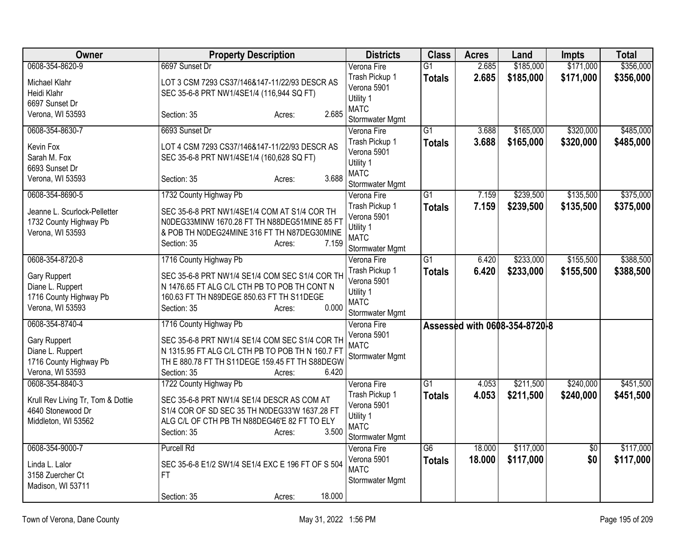| Owner                             | <b>Property Description</b>                       | <b>Districts</b>           | <b>Class</b>    | <b>Acres</b> | Land                          | <b>Impts</b> | <b>Total</b> |
|-----------------------------------|---------------------------------------------------|----------------------------|-----------------|--------------|-------------------------------|--------------|--------------|
| 0608-354-8620-9                   | 6697 Sunset Dr                                    | Verona Fire                | $\overline{G1}$ | 2.685        | \$185,000                     | \$171,000    | \$356,000    |
| Michael Klahr                     | LOT 3 CSM 7293 CS37/146&147-11/22/93 DESCR AS     | Trash Pickup 1             | <b>Totals</b>   | 2.685        | \$185,000                     | \$171,000    | \$356,000    |
| Heidi Klahr                       | SEC 35-6-8 PRT NW1/4SE1/4 (116,944 SQ FT)         | Verona 5901                |                 |              |                               |              |              |
| 6697 Sunset Dr                    |                                                   | Utility 1<br><b>MATC</b>   |                 |              |                               |              |              |
| Verona, WI 53593                  | 2.685<br>Section: 35<br>Acres:                    | Stormwater Mgmt            |                 |              |                               |              |              |
| 0608-354-8630-7                   | 6693 Sunset Dr                                    | Verona Fire                | $\overline{G1}$ | 3.688        | \$165,000                     | \$320,000    | \$485,000    |
|                                   |                                                   | Trash Pickup 1             | <b>Totals</b>   | 3.688        | \$165,000                     | \$320,000    | \$485,000    |
| Kevin Fox                         | LOT 4 CSM 7293 CS37/146&147-11/22/93 DESCR AS     | Verona 5901                |                 |              |                               |              |              |
| Sarah M. Fox                      | SEC 35-6-8 PRT NW1/4SE1/4 (160,628 SQ FT)         | Utility 1                  |                 |              |                               |              |              |
| 6693 Sunset Dr                    |                                                   | <b>MATC</b>                |                 |              |                               |              |              |
| Verona, WI 53593                  | 3.688<br>Section: 35<br>Acres:                    | Stormwater Mgmt            |                 |              |                               |              |              |
| 0608-354-8690-5                   | 1732 County Highway Pb                            | Verona Fire                | $\overline{G1}$ | 7.159        | \$239,500                     | \$135,500    | \$375,000    |
| Jeanne L. Scurlock-Pelletter      | SEC 35-6-8 PRT NW1/4SE1/4 COM AT S1/4 COR TH      | Trash Pickup 1             | <b>Totals</b>   | 7.159        | \$239,500                     | \$135,500    | \$375,000    |
| 1732 County Highway Pb            | N0DEG33MINW 1670.28 FT TH N88DEG51MINE 85 FT      | Verona 5901                |                 |              |                               |              |              |
| Verona, WI 53593                  | & POB TH NODEG24MINE 316 FT TH N87DEG30MINE       | Utility 1                  |                 |              |                               |              |              |
|                                   | 7.159<br>Section: 35<br>Acres:                    | <b>MATC</b>                |                 |              |                               |              |              |
|                                   |                                                   | Stormwater Mgmt            |                 |              |                               |              |              |
| 0608-354-8720-8                   | 1716 County Highway Pb                            | Verona Fire                | G1              | 6.420        | \$233,000                     | \$155,500    | \$388,500    |
| Gary Ruppert                      | SEC 35-6-8 PRT NW1/4 SE1/4 COM SEC S1/4 COR TH    | Trash Pickup 1             | <b>Totals</b>   | 6.420        | \$233,000                     | \$155,500    | \$388,500    |
| Diane L. Ruppert                  | N 1476.65 FT ALG C/L CTH PB TO POB TH CONT N      | Verona 5901                |                 |              |                               |              |              |
| 1716 County Highway Pb            | 160.63 FT TH N89DEGE 850.63 FT TH S11DEGE         | Utility 1                  |                 |              |                               |              |              |
| Verona, WI 53593                  | 0.000<br>Section: 35<br>Acres:                    | <b>MATC</b>                |                 |              |                               |              |              |
| 0608-354-8740-4                   |                                                   | Stormwater Mgmt            |                 |              |                               |              |              |
|                                   | 1716 County Highway Pb                            | Verona Fire<br>Verona 5901 |                 |              | Assessed with 0608-354-8720-8 |              |              |
| Gary Ruppert                      | SEC 35-6-8 PRT NW1/4 SE1/4 COM SEC S1/4 COR TH    | <b>MATC</b>                |                 |              |                               |              |              |
| Diane L. Ruppert                  | N 1315.95 FT ALG C/L CTH PB TO POB TH N 160.7 FT  | Stormwater Mgmt            |                 |              |                               |              |              |
| 1716 County Highway Pb            | TH E 880.78 FT TH S11DEGE 159.45 FT TH S88DEGW    |                            |                 |              |                               |              |              |
| Verona, WI 53593                  | 6.420<br>Section: 35<br>Acres:                    |                            |                 |              |                               |              |              |
| 0608-354-8840-3                   | 1722 County Highway Pb                            | Verona Fire                | $\overline{G1}$ | 4.053        | \$211,500                     | \$240,000    | \$451,500    |
| Krull Rev Living Tr, Tom & Dottie | SEC 35-6-8 PRT NW1/4 SE1/4 DESCR AS COM AT        | Trash Pickup 1             | <b>Totals</b>   | 4.053        | \$211,500                     | \$240,000    | \$451,500    |
| 4640 Stonewood Dr                 | S1/4 COR OF SD SEC 35 TH N0DEG33'W 1637.28 FT     | Verona 5901                |                 |              |                               |              |              |
| Middleton, WI 53562               | ALG C/L OF CTH PB TH N88DEG46'E 82 FT TO ELY      | Utility 1                  |                 |              |                               |              |              |
|                                   | 3.500<br>Section: 35<br>Acres:                    | <b>MATC</b>                |                 |              |                               |              |              |
| 0608-354-9000-7                   | <b>Purcell Rd</b>                                 | Stormwater Mgmt            | $\overline{G6}$ | 18.000       | \$117,000                     |              | \$117,000    |
|                                   |                                                   | Verona Fire<br>Verona 5901 |                 |              |                               | \$0          |              |
| Linda L. Lalor                    | SEC 35-6-8 E1/2 SW1/4 SE1/4 EXC E 196 FT OF S 504 | <b>MATC</b>                | <b>Totals</b>   | 18.000       | \$117,000                     | \$0          | \$117,000    |
| 3158 Zuercher Ct                  | FT.                                               | Stormwater Mgmt            |                 |              |                               |              |              |
| Madison, WI 53711                 |                                                   |                            |                 |              |                               |              |              |
|                                   | 18.000<br>Section: 35<br>Acres:                   |                            |                 |              |                               |              |              |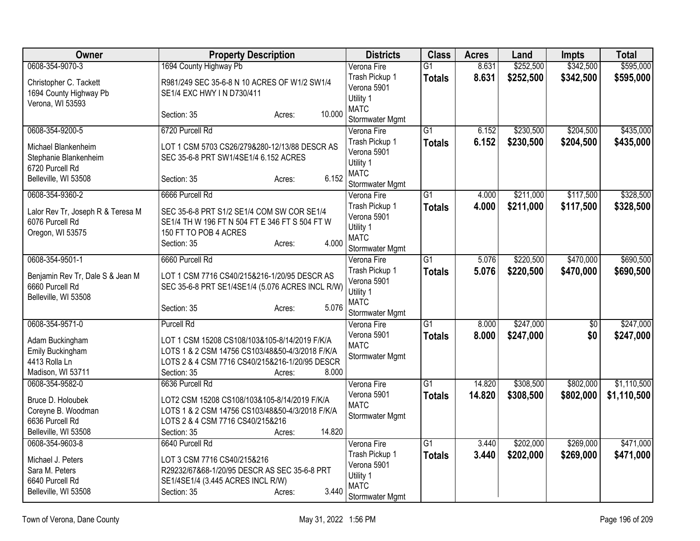| Owner                                                                              | <b>Property Description</b>                                                                                                                                       |                  | <b>Districts</b>                                                             | <b>Class</b>    | <b>Acres</b> | Land      | <b>Impts</b>    | <b>Total</b> |
|------------------------------------------------------------------------------------|-------------------------------------------------------------------------------------------------------------------------------------------------------------------|------------------|------------------------------------------------------------------------------|-----------------|--------------|-----------|-----------------|--------------|
| 0608-354-9070-3                                                                    | 1694 County Highway Pb                                                                                                                                            |                  | Verona Fire                                                                  | $\overline{G1}$ | 8.631        | \$252,500 | \$342,500       | \$595,000    |
| Christopher C. Tackett<br>1694 County Highway Pb<br>Verona, WI 53593               | R981/249 SEC 35-6-8 N 10 ACRES OF W1/2 SW1/4<br>SE1/4 EXC HWY IN D730/411                                                                                         |                  | Trash Pickup 1<br>Verona 5901<br>Utility 1                                   | <b>Totals</b>   | 8.631        | \$252,500 | \$342,500       | \$595,000    |
|                                                                                    | Section: 35                                                                                                                                                       | 10.000<br>Acres: | <b>MATC</b><br>Stormwater Mgmt                                               |                 |              |           |                 |              |
| 0608-354-9200-5                                                                    | 6720 Purcell Rd                                                                                                                                                   |                  | Verona Fire                                                                  | $\overline{G1}$ | 6.152        | \$230,500 | \$204,500       | \$435,000    |
| Michael Blankenheim<br>Stephanie Blankenheim<br>6720 Purcell Rd                    | LOT 1 CSM 5703 CS26/279&280-12/13/88 DESCR AS<br>SEC 35-6-8 PRT SW1/4SE1/4 6.152 ACRES                                                                            |                  | Trash Pickup 1<br>Verona 5901<br>Utility 1                                   | <b>Totals</b>   | 6.152        | \$230,500 | \$204,500       | \$435,000    |
| Belleville, WI 53508                                                               | Section: 35                                                                                                                                                       | 6.152<br>Acres:  | <b>MATC</b><br>Stormwater Mgmt                                               |                 |              |           |                 |              |
| 0608-354-9360-2                                                                    | 6666 Purcell Rd                                                                                                                                                   |                  | Verona Fire                                                                  | $\overline{G1}$ | 4.000        | \$211,000 | \$117,500       | \$328,500    |
| Lalor Rev Tr, Joseph R & Teresa M<br>6076 Purcell Rd<br>Oregon, WI 53575           | SEC 35-6-8 PRT S1/2 SE1/4 COM SW COR SE1/4<br>SE1/4 TH W 196 FT N 504 FT E 346 FT S 504 FT W<br>150 FT TO POB 4 ACRES<br>Section: 35                              | 4.000<br>Acres:  | Trash Pickup 1<br>Verona 5901<br>Utility 1<br><b>MATC</b><br>Stormwater Mgmt | <b>Totals</b>   | 4.000        | \$211,000 | \$117,500       | \$328,500    |
| 0608-354-9501-1                                                                    | 6660 Purcell Rd                                                                                                                                                   |                  | Verona Fire                                                                  | $\overline{G1}$ | 5.076        | \$220,500 | \$470,000       | \$690,500    |
| Benjamin Rev Tr, Dale S & Jean M<br>6660 Purcell Rd<br>Belleville, WI 53508        | LOT 1 CSM 7716 CS40/215&216-1/20/95 DESCR AS<br>SEC 35-6-8 PRT SE1/4SE1/4 (5.076 ACRES INCL R/W)                                                                  |                  | Trash Pickup 1<br>Verona 5901<br>Utility 1<br><b>MATC</b>                    | <b>Totals</b>   | 5.076        | \$220,500 | \$470,000       | \$690,500    |
|                                                                                    | Section: 35                                                                                                                                                       | 5.076<br>Acres:  | Stormwater Mgmt                                                              |                 |              |           |                 |              |
| 0608-354-9571-0                                                                    | <b>Purcell Rd</b>                                                                                                                                                 |                  | Verona Fire                                                                  | $\overline{G1}$ | 8.000        | \$247,000 | $\overline{50}$ | \$247,000    |
| Adam Buckingham<br>Emily Buckingham<br>4413 Rolla Ln<br>Madison, WI 53711          | LOT 1 CSM 15208 CS108/103&105-8/14/2019 F/K/A<br>LOTS 1 & 2 CSM 14756 CS103/48&50-4/3/2018 F/K/A<br>LOTS 2 & 4 CSM 7716 CS40/215&216-1/20/95 DESCR<br>Section: 35 | 8.000<br>Acres:  | Verona 5901<br><b>MATC</b><br>Stormwater Mgmt                                | <b>Totals</b>   | 8.000        | \$247,000 | \$0             | \$247,000    |
| 0608-354-9582-0                                                                    | 6636 Purcell Rd                                                                                                                                                   |                  | Verona Fire                                                                  | $\overline{G1}$ | 14.820       | \$308,500 | \$802,000       | \$1,110,500  |
| Bruce D. Holoubek<br>Coreyne B. Woodman<br>6636 Purcell Rd<br>Belleville, WI 53508 | LOT2 CSM 15208 CS108/103&105-8/14/2019 F/K/A<br>LOTS 1 & 2 CSM 14756 CS103/48&50-4/3/2018 F/K/A<br>LOTS 2 & 4 CSM 7716 CS40/215&216<br>Section: 35                | 14.820<br>Acres: | Verona 5901<br><b>MATC</b><br>Stormwater Mgmt                                | <b>Totals</b>   | 14.820       | \$308,500 | \$802,000       | \$1,110,500  |
| 0608-354-9603-8                                                                    | 6640 Purcell Rd                                                                                                                                                   |                  | Verona Fire                                                                  | $\overline{G1}$ | 3.440        | \$202,000 | \$269,000       | \$471,000    |
| Michael J. Peters<br>Sara M. Peters<br>6640 Purcell Rd<br>Belleville, WI 53508     | LOT 3 CSM 7716 CS40/215&216<br>R29232/67&68-1/20/95 DESCR AS SEC 35-6-8 PRT<br>SE1/4SE1/4 (3.445 ACRES INCL R/W)<br>Section: 35                                   | 3.440<br>Acres:  | Trash Pickup 1<br>Verona 5901<br>Utility 1<br><b>MATC</b><br>Stormwater Mgmt | <b>Totals</b>   | 3.440        | \$202,000 | \$269,000       | \$471,000    |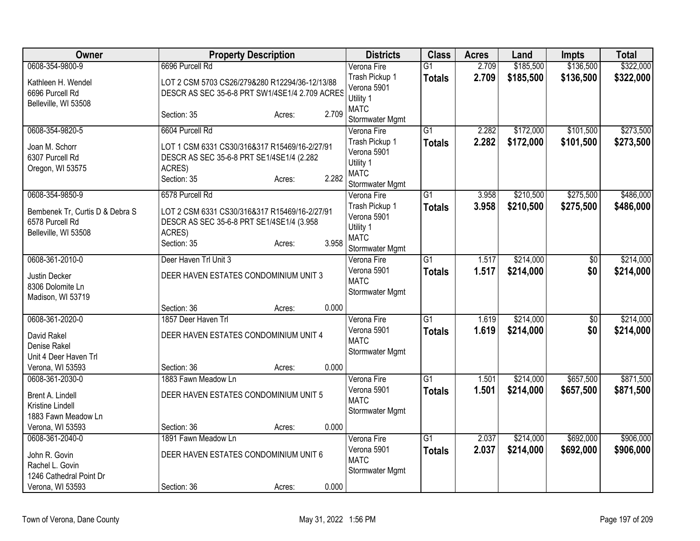| Owner                                                                      | <b>Property Description</b>                                                                                         |        |       | <b>Districts</b>                                                             | <b>Class</b>    | <b>Acres</b> | Land      | <b>Impts</b>    | <b>Total</b> |
|----------------------------------------------------------------------------|---------------------------------------------------------------------------------------------------------------------|--------|-------|------------------------------------------------------------------------------|-----------------|--------------|-----------|-----------------|--------------|
| 0608-354-9800-9                                                            | 6696 Purcell Rd                                                                                                     |        |       | Verona Fire                                                                  | $\overline{G1}$ | 2.709        | \$185,500 | \$136,500       | \$322,000    |
| Kathleen H. Wendel<br>6696 Purcell Rd<br>Belleville, WI 53508              | LOT 2 CSM 5703 CS26/279&280 R12294/36-12/13/88<br>DESCR AS SEC 35-6-8 PRT SW1/4SE1/4 2.709 ACRES                    |        |       | Trash Pickup 1<br>Verona 5901<br>Utility 1                                   | <b>Totals</b>   | 2.709        | \$185,500 | \$136,500       | \$322,000    |
|                                                                            | Section: 35                                                                                                         | Acres: | 2.709 | <b>MATC</b><br>Stormwater Mgmt                                               |                 |              |           |                 |              |
| 0608-354-9820-5                                                            | 6604 Purcell Rd                                                                                                     |        |       | Verona Fire                                                                  | $\overline{G1}$ | 2.282        | \$172,000 | \$101,500       | \$273,500    |
| Joan M. Schorr<br>6307 Purcell Rd<br>Oregon, WI 53575                      | LOT 1 CSM 6331 CS30/316&317 R15469/16-2/27/91<br>DESCR AS SEC 35-6-8 PRT SE1/4SE1/4 (2.282<br>ACRES)<br>Section: 35 | Acres: | 2.282 | Trash Pickup 1<br>Verona 5901<br>Utility 1<br><b>MATC</b><br>Stormwater Mgmt | <b>Totals</b>   | 2.282        | \$172,000 | \$101,500       | \$273,500    |
| 0608-354-9850-9                                                            | 6578 Purcell Rd                                                                                                     |        |       | Verona Fire                                                                  | G1              | 3.958        | \$210,500 | \$275,500       | \$486,000    |
| Bembenek Tr, Curtis D & Debra S<br>6578 Purcell Rd<br>Belleville, WI 53508 | LOT 2 CSM 6331 CS30/316&317 R15469/16-2/27/91<br>DESCR AS SEC 35-6-8 PRT SE1/4SE1/4 (3.958<br>ACRES)<br>Section: 35 | Acres: | 3.958 | Trash Pickup 1<br>Verona 5901<br>Utility 1<br><b>MATC</b><br>Stormwater Mgmt | <b>Totals</b>   | 3.958        | \$210,500 | \$275,500       | \$486,000    |
| 0608-361-2010-0                                                            | Deer Haven Trl Unit 3                                                                                               |        |       | Verona Fire                                                                  | G1              | 1.517        | \$214,000 | $\overline{50}$ | \$214,000    |
| Justin Decker<br>8306 Dolomite Ln<br>Madison, WI 53719                     | DEER HAVEN ESTATES CONDOMINIUM UNIT 3                                                                               |        |       | Verona 5901<br><b>MATC</b><br>Stormwater Mgmt                                | <b>Totals</b>   | 1.517        | \$214,000 | \$0             | \$214,000    |
|                                                                            | Section: 36                                                                                                         | Acres: | 0.000 |                                                                              |                 |              |           |                 |              |
| 0608-361-2020-0                                                            | 1857 Deer Haven Trl                                                                                                 |        |       | Verona Fire                                                                  | $\overline{G1}$ | 1.619        | \$214,000 | $\overline{50}$ | \$214,000    |
| David Rakel<br>Denise Rakel<br>Unit 4 Deer Haven Trl                       | DEER HAVEN ESTATES CONDOMINIUM UNIT 4                                                                               |        |       | Verona 5901<br><b>MATC</b><br>Stormwater Mgmt                                | <b>Totals</b>   | 1.619        | \$214,000 | \$0             | \$214,000    |
| Verona, WI 53593                                                           | Section: 36                                                                                                         | Acres: | 0.000 |                                                                              |                 |              |           |                 |              |
| 0608-361-2030-0                                                            | 1883 Fawn Meadow Ln                                                                                                 |        |       | Verona Fire                                                                  | $\overline{G1}$ | 1.501        | \$214,000 | \$657,500       | \$871,500    |
| Brent A. Lindell<br>Kristine Lindell<br>1883 Fawn Meadow Ln                | DEER HAVEN ESTATES CONDOMINIUM UNIT 5                                                                               |        |       | Verona 5901<br><b>MATC</b><br>Stormwater Mgmt                                | <b>Totals</b>   | 1.501        | \$214,000 | \$657,500       | \$871,500    |
| Verona, WI 53593                                                           | Section: 36                                                                                                         | Acres: | 0.000 |                                                                              |                 |              |           |                 |              |
| 0608-361-2040-0                                                            | 1891 Fawn Meadow Ln                                                                                                 |        |       | Verona Fire                                                                  | $\overline{G1}$ | 2.037        | \$214,000 | \$692,000       | \$906,000    |
| John R. Govin<br>Rachel L. Govin                                           | DEER HAVEN ESTATES CONDOMINIUM UNIT 6                                                                               |        |       | Verona 5901<br><b>MATC</b>                                                   | <b>Totals</b>   | 2.037        | \$214,000 | \$692,000       | \$906,000    |
| 1246 Cathedral Point Dr                                                    |                                                                                                                     |        |       | Stormwater Mgmt                                                              |                 |              |           |                 |              |
| Verona, WI 53593                                                           | Section: 36                                                                                                         | Acres: | 0.000 |                                                                              |                 |              |           |                 |              |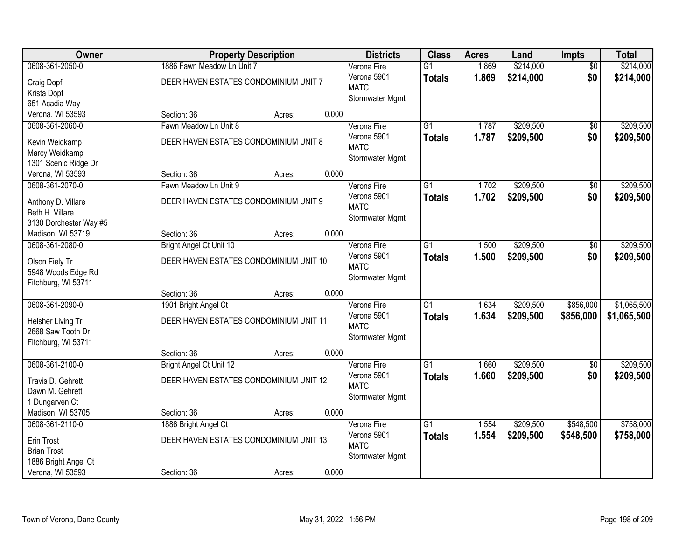| Owner                  |                                        | <b>Property Description</b> |       | <b>Districts</b> | <b>Class</b>    | <b>Acres</b> | Land      | Impts           | <b>Total</b> |
|------------------------|----------------------------------------|-----------------------------|-------|------------------|-----------------|--------------|-----------|-----------------|--------------|
| 0608-361-2050-0        | 1886 Fawn Meadow Ln Unit 7             |                             |       | Verona Fire      | $\overline{G1}$ | 1.869        | \$214,000 | $\overline{50}$ | \$214,000    |
| Craig Dopf             | DEER HAVEN ESTATES CONDOMINIUM UNIT 7  |                             |       | Verona 5901      | <b>Totals</b>   | 1.869        | \$214,000 | \$0             | \$214,000    |
| Krista Dopf            |                                        |                             |       | <b>MATC</b>      |                 |              |           |                 |              |
| 651 Acadia Way         |                                        |                             |       | Stormwater Mgmt  |                 |              |           |                 |              |
| Verona, WI 53593       | Section: 36                            | Acres:                      | 0.000 |                  |                 |              |           |                 |              |
| 0608-361-2060-0        | Fawn Meadow Ln Unit 8                  |                             |       | Verona Fire      | $\overline{G1}$ | 1.787        | \$209,500 | $\overline{50}$ | \$209,500    |
|                        |                                        |                             |       | Verona 5901      | <b>Totals</b>   | 1.787        | \$209,500 | \$0             | \$209,500    |
| Kevin Weidkamp         | DEER HAVEN ESTATES CONDOMINIUM UNIT 8  |                             |       | <b>MATC</b>      |                 |              |           |                 |              |
| Marcy Weidkamp         |                                        |                             |       | Stormwater Mgmt  |                 |              |           |                 |              |
| 1301 Scenic Ridge Dr   |                                        |                             |       |                  |                 |              |           |                 |              |
| Verona, WI 53593       | Section: 36                            | Acres:                      | 0.000 |                  |                 |              |           |                 |              |
| 0608-361-2070-0        | Fawn Meadow Ln Unit 9                  |                             |       | Verona Fire      | G1              | 1.702        | \$209,500 | \$0             | \$209,500    |
| Anthony D. Villare     | DEER HAVEN ESTATES CONDOMINIUM UNIT 9  |                             |       | Verona 5901      | <b>Totals</b>   | 1.702        | \$209,500 | \$0             | \$209,500    |
| Beth H. Villare        |                                        |                             |       | <b>MATC</b>      |                 |              |           |                 |              |
| 3130 Dorchester Way #5 |                                        |                             |       | Stormwater Mgmt  |                 |              |           |                 |              |
| Madison, WI 53719      | Section: 36                            | Acres:                      | 0.000 |                  |                 |              |           |                 |              |
| 0608-361-2080-0        | Bright Angel Ct Unit 10                |                             |       | Verona Fire      | G1              | 1.500        | \$209,500 | \$0             | \$209,500    |
|                        |                                        |                             |       | Verona 5901      | <b>Totals</b>   | 1.500        | \$209,500 | \$0             | \$209,500    |
| Olson Fiely Tr         | DEER HAVEN ESTATES CONDOMINIUM UNIT 10 |                             |       | <b>MATC</b>      |                 |              |           |                 |              |
| 5948 Woods Edge Rd     |                                        |                             |       | Stormwater Mgmt  |                 |              |           |                 |              |
| Fitchburg, WI 53711    |                                        |                             |       |                  |                 |              |           |                 |              |
|                        | Section: 36                            | Acres:                      | 0.000 |                  |                 |              |           |                 |              |
| 0608-361-2090-0        | 1901 Bright Angel Ct                   |                             |       | Verona Fire      | $\overline{G1}$ | 1.634        | \$209,500 | \$856,000       | \$1,065,500  |
| Helsher Living Tr      | DEER HAVEN ESTATES CONDOMINIUM UNIT 11 |                             |       | Verona 5901      | <b>Totals</b>   | 1.634        | \$209,500 | \$856,000       | \$1,065,500  |
| 2668 Saw Tooth Dr      |                                        |                             |       | <b>MATC</b>      |                 |              |           |                 |              |
| Fitchburg, WI 53711    |                                        |                             |       | Stormwater Mgmt  |                 |              |           |                 |              |
|                        | Section: 36                            | Acres:                      | 0.000 |                  |                 |              |           |                 |              |
| 0608-361-2100-0        | Bright Angel Ct Unit 12                |                             |       | Verona Fire      | $\overline{G1}$ | 1.660        | \$209,500 | $\overline{50}$ | \$209,500    |
| Travis D. Gehrett      | DEER HAVEN ESTATES CONDOMINIUM UNIT 12 |                             |       | Verona 5901      | <b>Totals</b>   | 1.660        | \$209,500 | \$0             | \$209,500    |
| Dawn M. Gehrett        |                                        |                             |       | <b>MATC</b>      |                 |              |           |                 |              |
| 1 Dungarven Ct         |                                        |                             |       | Stormwater Mgmt  |                 |              |           |                 |              |
| Madison, WI 53705      | Section: 36                            | Acres:                      | 0.000 |                  |                 |              |           |                 |              |
| 0608-361-2110-0        |                                        |                             |       | Verona Fire      | $\overline{G1}$ | 1.554        | \$209,500 | \$548,500       | \$758,000    |
|                        | 1886 Bright Angel Ct                   |                             |       | Verona 5901      |                 |              |           |                 |              |
| Erin Trost             | DEER HAVEN ESTATES CONDOMINIUM UNIT 13 |                             |       | <b>MATC</b>      | <b>Totals</b>   | 1.554        | \$209,500 | \$548,500       | \$758,000    |
| <b>Brian Trost</b>     |                                        |                             |       |                  |                 |              |           |                 |              |
| 1886 Bright Angel Ct   |                                        |                             |       | Stormwater Mgmt  |                 |              |           |                 |              |
| Verona, WI 53593       | Section: 36                            | Acres:                      | 0.000 |                  |                 |              |           |                 |              |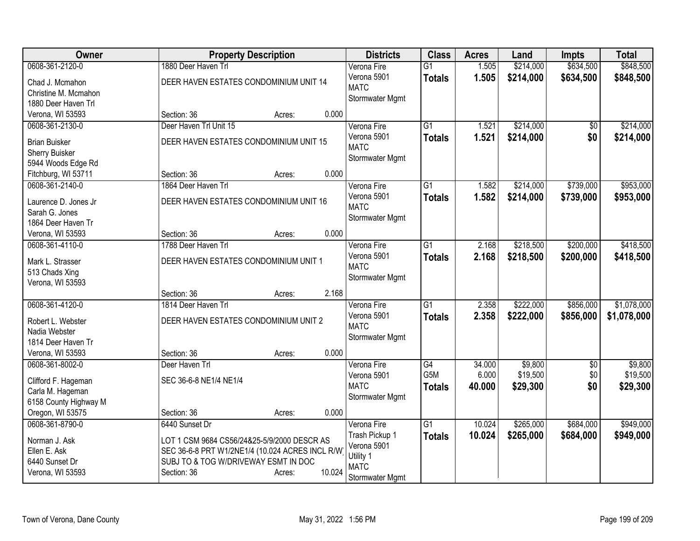| <b>Owner</b>          | <b>Property Description</b>                     |                  | <b>Districts</b> | <b>Class</b>    | <b>Acres</b> | Land      | <b>Impts</b>    | <b>Total</b> |
|-----------------------|-------------------------------------------------|------------------|------------------|-----------------|--------------|-----------|-----------------|--------------|
| 0608-361-2120-0       | 1880 Deer Haven Trl                             |                  | Verona Fire      | $\overline{G1}$ | 1.505        | \$214,000 | \$634,500       | \$848,500    |
| Chad J. Mcmahon       | DEER HAVEN ESTATES CONDOMINIUM UNIT 14          |                  | Verona 5901      | <b>Totals</b>   | 1.505        | \$214,000 | \$634,500       | \$848,500    |
| Christine M. Mcmahon  |                                                 |                  | <b>MATC</b>      |                 |              |           |                 |              |
| 1880 Deer Haven Trl   |                                                 |                  | Stormwater Mgmt  |                 |              |           |                 |              |
| Verona, WI 53593      | Section: 36                                     | 0.000<br>Acres:  |                  |                 |              |           |                 |              |
| 0608-361-2130-0       | Deer Haven Trl Unit 15                          |                  | Verona Fire      | $\overline{G1}$ | 1.521        | \$214,000 | $\overline{50}$ | \$214,000    |
|                       |                                                 |                  | Verona 5901      | <b>Totals</b>   | 1.521        | \$214,000 | \$0             | \$214,000    |
| <b>Brian Buisker</b>  | DEER HAVEN ESTATES CONDOMINIUM UNIT 15          |                  | <b>MATC</b>      |                 |              |           |                 |              |
| Sherry Buisker        |                                                 |                  | Stormwater Mgmt  |                 |              |           |                 |              |
| 5944 Woods Edge Rd    |                                                 |                  |                  |                 |              |           |                 |              |
| Fitchburg, WI 53711   | Section: 36                                     | 0.000<br>Acres:  |                  |                 |              |           |                 |              |
| 0608-361-2140-0       | 1864 Deer Haven Trl                             |                  | Verona Fire      | $\overline{G1}$ | 1.582        | \$214,000 | \$739,000       | \$953,000    |
| Laurence D. Jones Jr  | DEER HAVEN ESTATES CONDOMINIUM UNIT 16          |                  | Verona 5901      | <b>Totals</b>   | 1.582        | \$214,000 | \$739,000       | \$953,000    |
| Sarah G. Jones        |                                                 |                  | <b>MATC</b>      |                 |              |           |                 |              |
| 1864 Deer Haven Tr    |                                                 |                  | Stormwater Mgmt  |                 |              |           |                 |              |
| Verona, WI 53593      | Section: 36                                     | 0.000<br>Acres:  |                  |                 |              |           |                 |              |
| 0608-361-4110-0       | 1788 Deer Haven Trl                             |                  | Verona Fire      | $\overline{G1}$ | 2.168        | \$218,500 | \$200,000       | \$418,500    |
|                       |                                                 |                  | Verona 5901      | <b>Totals</b>   | 2.168        | \$218,500 | \$200,000       | \$418,500    |
| Mark L. Strasser      | DEER HAVEN ESTATES CONDOMINIUM UNIT 1           |                  | <b>MATC</b>      |                 |              |           |                 |              |
| 513 Chads Xing        |                                                 |                  | Stormwater Mgmt  |                 |              |           |                 |              |
| Verona, WI 53593      |                                                 |                  |                  |                 |              |           |                 |              |
|                       | Section: 36                                     | 2.168<br>Acres:  |                  |                 |              |           |                 |              |
| 0608-361-4120-0       | 1814 Deer Haven Trl                             |                  | Verona Fire      | G1              | 2.358        | \$222,000 | \$856,000       | \$1,078,000  |
| Robert L. Webster     | DEER HAVEN ESTATES CONDOMINIUM UNIT 2           |                  | Verona 5901      | <b>Totals</b>   | 2.358        | \$222,000 | \$856,000       | \$1,078,000  |
| Nadia Webster         |                                                 |                  | <b>MATC</b>      |                 |              |           |                 |              |
| 1814 Deer Haven Tr    |                                                 |                  | Stormwater Mgmt  |                 |              |           |                 |              |
| Verona, WI 53593      | Section: 36                                     | 0.000<br>Acres:  |                  |                 |              |           |                 |              |
| 0608-361-8002-0       | Deer Haven Trl                                  |                  | Verona Fire      | $\overline{G4}$ | 34.000       | \$9,800   | $\overline{50}$ | \$9,800      |
|                       |                                                 |                  | Verona 5901      | G5M             | 6.000        | \$19,500  | \$0             | \$19,500     |
| Clifford F. Hageman   | SEC 36-6-8 NE1/4 NE1/4                          |                  | <b>MATC</b>      | <b>Totals</b>   | 40.000       | \$29,300  | \$0             | \$29,300     |
| Carla M. Hageman      |                                                 |                  | Stormwater Mgmt  |                 |              |           |                 |              |
| 6158 County Highway M |                                                 |                  |                  |                 |              |           |                 |              |
| Oregon, WI 53575      | Section: 36                                     | 0.000<br>Acres:  |                  |                 |              |           |                 |              |
| 0608-361-8790-0       | 6440 Sunset Dr                                  |                  | Verona Fire      | $\overline{G1}$ | 10.024       | \$265,000 | \$684,000       | \$949,000    |
| Norman J. Ask         | LOT 1 CSM 9684 CS56/24&25-5/9/2000 DESCR AS     |                  | Trash Pickup 1   | <b>Totals</b>   | 10.024       | \$265,000 | \$684,000       | \$949,000    |
| Ellen E. Ask          | SEC 36-6-8 PRT W1/2NE1/4 (10.024 ACRES INCL R/W |                  | Verona 5901      |                 |              |           |                 |              |
| 6440 Sunset Dr        | SUBJ TO & TOG W/DRIVEWAY ESMT IN DOC            |                  | Utility 1        |                 |              |           |                 |              |
| Verona, WI 53593      | Section: 36                                     | 10.024<br>Acres: | <b>MATC</b>      |                 |              |           |                 |              |
|                       |                                                 |                  | Stormwater Mgmt  |                 |              |           |                 |              |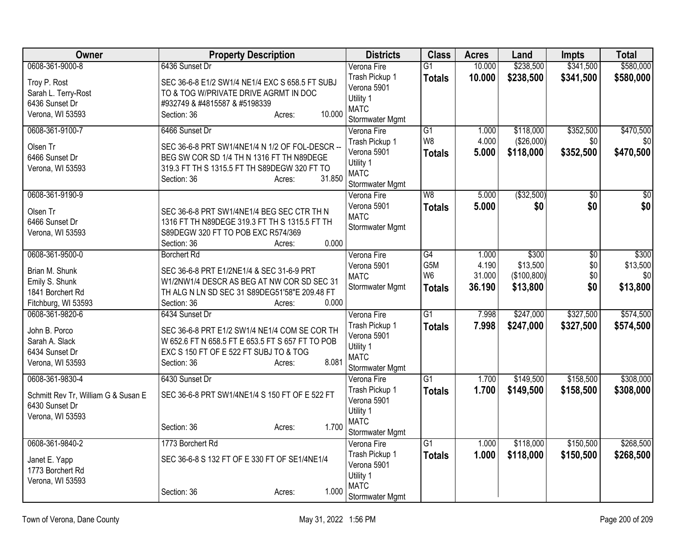| Owner                               | <b>Property Description</b>                      | <b>Districts</b>              | <b>Class</b>           | <b>Acres</b>   | Land              | Impts                  | <b>Total</b>      |
|-------------------------------------|--------------------------------------------------|-------------------------------|------------------------|----------------|-------------------|------------------------|-------------------|
| 0608-361-9000-8                     | 6436 Sunset Dr                                   | Verona Fire                   | $\overline{G1}$        | 10.000         | \$238,500         | \$341,500              | \$580,000         |
| Troy P. Rost                        | SEC 36-6-8 E1/2 SW1/4 NE1/4 EXC S 658.5 FT SUBJ  | Trash Pickup 1                | <b>Totals</b>          | 10.000         | \$238,500         | \$341,500              | \$580,000         |
| Sarah L. Terry-Rost                 | TO & TOG W/PRIVATE DRIVE AGRMT IN DOC            | Verona 5901                   |                        |                |                   |                        |                   |
| 6436 Sunset Dr                      | #932749 & #4815587 & #5198339                    | Utility 1                     |                        |                |                   |                        |                   |
| Verona, WI 53593                    | 10.000<br>Section: 36<br>Acres:                  | <b>MATC</b>                   |                        |                |                   |                        |                   |
|                                     |                                                  | Stormwater Mgmt               |                        |                |                   |                        |                   |
| 0608-361-9100-7                     | 6466 Sunset Dr                                   | Verona Fire                   | $\overline{G1}$        | 1.000          | \$118,000         | \$352,500              | \$470,500         |
| Olsen Tr                            | SEC 36-6-8 PRT SW1/4NE1/4 N 1/2 OF FOL-DESCR --  | Trash Pickup 1                | W <sub>8</sub>         | 4.000          | (\$26,000)        | \$0                    | \$0               |
| 6466 Sunset Dr                      | BEG SW COR SD 1/4 TH N 1316 FT TH N89DEGE        | Verona 5901                   | <b>Totals</b>          | 5.000          | \$118,000         | \$352,500              | \$470,500         |
| Verona, WI 53593                    | 319.3 FT TH S 1315.5 FT TH S89DEGW 320 FT TO     | Utility 1<br><b>MATC</b>      |                        |                |                   |                        |                   |
|                                     | 31.850<br>Section: 36<br>Acres:                  | Stormwater Mgmt               |                        |                |                   |                        |                   |
| 0608-361-9190-9                     |                                                  | Verona Fire                   | W8                     | 5.000          | ( \$32,500)       | $\overline{50}$        | \$0               |
|                                     |                                                  | Verona 5901                   | <b>Totals</b>          | 5.000          | \$0               | \$0                    | \$0               |
| Olsen Tr                            | SEC 36-6-8 PRT SW1/4NE1/4 BEG SEC CTR TH N       | <b>MATC</b>                   |                        |                |                   |                        |                   |
| 6466 Sunset Dr                      | 1316 FT TH N89DEGE 319.3 FT TH S 1315.5 FT TH    | Stormwater Mgmt               |                        |                |                   |                        |                   |
| Verona, WI 53593                    | S89DEGW 320 FT TO POB EXC R574/369               |                               |                        |                |                   |                        |                   |
|                                     | 0.000<br>Section: 36<br>Acres:                   |                               |                        |                |                   |                        |                   |
| 0608-361-9500-0                     | <b>Borchert Rd</b>                               | Verona Fire                   | $\overline{G4}$<br>G5M | 1.000<br>4.190 | \$300<br>\$13,500 | $\overline{50}$<br>\$0 | \$300<br>\$13,500 |
| Brian M. Shunk                      | SEC 36-6-8 PRT E1/2NE1/4 & SEC 31-6-9 PRT        | Verona 5901<br><b>MATC</b>    | W <sub>6</sub>         | 31.000         | (\$100,800)       | \$0                    | \$0               |
| Emily S. Shunk                      | W1/2NW1/4 DESCR AS BEG AT NW COR SD SEC 31       | Stormwater Mgmt               | <b>Totals</b>          | 36.190         | \$13,800          | \$0                    | \$13,800          |
| 1841 Borchert Rd                    | TH ALG N LN SD SEC 31 S89DEG51'58"E 209.48 FT    |                               |                        |                |                   |                        |                   |
| Fitchburg, WI 53593                 | Section: 36<br>0.000<br>Acres:                   |                               |                        |                |                   |                        |                   |
| 0608-361-9820-6                     | 6434 Sunset Dr                                   | Verona Fire                   | $\overline{G1}$        | 7.998          | \$247,000         | \$327,500              | \$574,500         |
| John B. Porco                       | SEC 36-6-8 PRT E1/2 SW1/4 NE1/4 COM SE COR TH    | Trash Pickup 1                | <b>Totals</b>          | 7.998          | \$247,000         | \$327,500              | \$574,500         |
| Sarah A. Slack                      | W 652.6 FT N 658.5 FT E 653.5 FT S 657 FT TO POB | Verona 5901                   |                        |                |                   |                        |                   |
| 6434 Sunset Dr                      | EXC S 150 FT OF E 522 FT SUBJ TO & TOG           | Utility 1                     |                        |                |                   |                        |                   |
| Verona, WI 53593                    | 8.081<br>Section: 36<br>Acres:                   | <b>MATC</b>                   |                        |                |                   |                        |                   |
| 0608-361-9830-4                     | 6430 Sunset Dr                                   | Stormwater Mgmt               | $\overline{G1}$        | 1.700          | \$149,500         | \$158,500              | \$308,000         |
|                                     |                                                  | Verona Fire<br>Trash Pickup 1 |                        |                |                   |                        |                   |
| Schmitt Rev Tr, William G & Susan E | SEC 36-6-8 PRT SW1/4NE1/4 S 150 FT OF E 522 FT   | Verona 5901                   | <b>Totals</b>          | 1.700          | \$149,500         | \$158,500              | \$308,000         |
| 6430 Sunset Dr                      |                                                  | Utility 1                     |                        |                |                   |                        |                   |
| Verona, WI 53593                    |                                                  | <b>MATC</b>                   |                        |                |                   |                        |                   |
|                                     | 1.700<br>Section: 36<br>Acres:                   | Stormwater Mgmt               |                        |                |                   |                        |                   |
| 0608-361-9840-2                     | 1773 Borchert Rd                                 | Verona Fire                   | $\overline{G1}$        | 1.000          | \$118,000         | \$150,500              | \$268,500         |
|                                     |                                                  | Trash Pickup 1                | <b>Totals</b>          | 1.000          | \$118,000         | \$150,500              | \$268,500         |
| Janet E. Yapp                       | SEC 36-6-8 S 132 FT OF E 330 FT OF SE1/4NE1/4    | Verona 5901                   |                        |                |                   |                        |                   |
| 1773 Borchert Rd                    |                                                  | Utility 1                     |                        |                |                   |                        |                   |
| Verona, WI 53593                    |                                                  | <b>MATC</b>                   |                        |                |                   |                        |                   |
|                                     | 1.000<br>Section: 36<br>Acres:                   | Stormwater Mgmt               |                        |                |                   |                        |                   |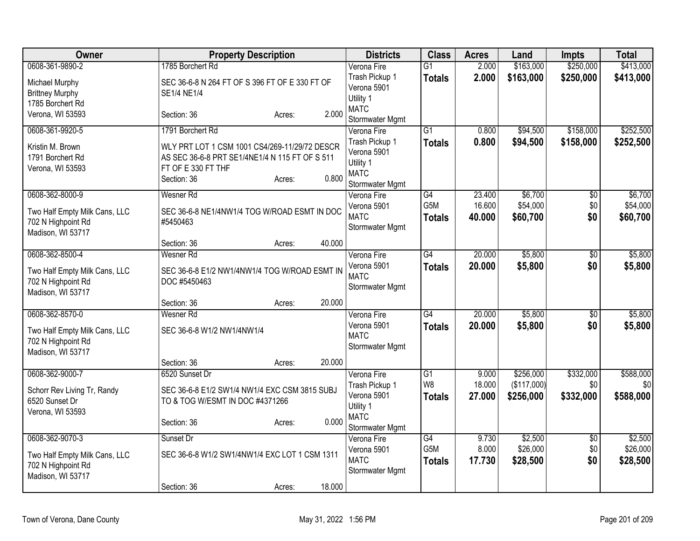| Owner                                         |                                                                      | <b>Property Description</b> |        | <b>Districts</b>               | <b>Class</b>                     | <b>Acres</b>   | Land                 | <b>Impts</b>           | <b>Total</b>           |
|-----------------------------------------------|----------------------------------------------------------------------|-----------------------------|--------|--------------------------------|----------------------------------|----------------|----------------------|------------------------|------------------------|
| 0608-361-9890-2                               | 1785 Borchert Rd                                                     |                             |        | Verona Fire                    | $\overline{G1}$                  | 2.000          | \$163,000            | \$250,000              | \$413,000              |
| Michael Murphy                                | SEC 36-6-8 N 264 FT OF S 396 FT OF E 330 FT OF                       |                             |        | Trash Pickup 1<br>Verona 5901  | <b>Totals</b>                    | 2.000          | \$163,000            | \$250,000              | \$413,000              |
| <b>Brittney Murphy</b><br>1785 Borchert Rd    | SE1/4 NE1/4                                                          |                             |        | Utility 1                      |                                  |                |                      |                        |                        |
| Verona, WI 53593                              | Section: 36                                                          | Acres:                      | 2.000  | <b>MATC</b>                    |                                  |                |                      |                        |                        |
|                                               |                                                                      |                             |        | Stormwater Mgmt                |                                  |                |                      |                        |                        |
| 0608-361-9920-5                               | 1791 Borchert Rd                                                     |                             |        | Verona Fire<br>Trash Pickup 1  | $\overline{G1}$<br><b>Totals</b> | 0.800<br>0.800 | \$94,500<br>\$94,500 | \$158,000<br>\$158,000 | \$252,500<br>\$252,500 |
| Kristin M. Brown                              | WLY PRT LOT 1 CSM 1001 CS4/269-11/29/72 DESCR                        |                             |        | Verona 5901                    |                                  |                |                      |                        |                        |
| 1791 Borchert Rd<br>Verona, WI 53593          | AS SEC 36-6-8 PRT SE1/4NE1/4 N 115 FT OF S 511<br>FT OF E 330 FT THF |                             |        | Utility 1                      |                                  |                |                      |                        |                        |
|                                               | Section: 36                                                          | Acres:                      | 0.800  | <b>MATC</b>                    |                                  |                |                      |                        |                        |
| 0608-362-8000-9                               | <b>Wesner Rd</b>                                                     |                             |        | Stormwater Mgmt<br>Verona Fire | G4                               | 23.400         | \$6,700              | $\overline{50}$        | \$6,700                |
|                                               |                                                                      |                             |        | Verona 5901                    | G <sub>5</sub> M                 | 16.600         | \$54,000             | \$0                    | \$54,000               |
| Two Half Empty Milk Cans, LLC                 | SEC 36-6-8 NE1/4NW1/4 TOG W/ROAD ESMT IN DOC                         |                             |        | <b>MATC</b>                    | <b>Totals</b>                    | 40.000         | \$60,700             | \$0                    | \$60,700               |
| 702 N Highpoint Rd<br>Madison, WI 53717       | #5450463                                                             |                             |        | Stormwater Mgmt                |                                  |                |                      |                        |                        |
|                                               | Section: 36                                                          | Acres:                      | 40.000 |                                |                                  |                |                      |                        |                        |
| 0608-362-8500-4                               | <b>Wesner Rd</b>                                                     |                             |        | Verona Fire                    | $\overline{G4}$                  | 20.000         | \$5,800              | \$0                    | \$5,800                |
| Two Half Empty Milk Cans, LLC                 | SEC 36-6-8 E1/2 NW1/4NW1/4 TOG W/ROAD ESMT IN                        |                             |        | Verona 5901                    | Totals                           | 20,000         | \$5,800              | \$0                    | \$5,800                |
| 702 N Highpoint Rd                            | DOC #5450463                                                         |                             |        | <b>MATC</b>                    |                                  |                |                      |                        |                        |
| Madison, WI 53717                             |                                                                      |                             |        | Stormwater Mgmt                |                                  |                |                      |                        |                        |
|                                               | Section: 36                                                          | Acres:                      | 20.000 |                                |                                  |                |                      |                        |                        |
| 0608-362-8570-0                               | Wesner Rd                                                            |                             |        | Verona Fire<br>Verona 5901     | G4                               | 20.000         | \$5,800              | $\overline{50}$        | \$5,800                |
| Two Half Empty Milk Cans, LLC                 | SEC 36-6-8 W1/2 NW1/4NW1/4                                           |                             |        | <b>MATC</b>                    | Totals                           | 20.000         | \$5,800              | \$0                    | \$5,800                |
| 702 N Highpoint Rd                            |                                                                      |                             |        | Stormwater Mgmt                |                                  |                |                      |                        |                        |
| Madison, WI 53717                             | Section: 36                                                          | Acres:                      | 20.000 |                                |                                  |                |                      |                        |                        |
| 0608-362-9000-7                               | 6520 Sunset Dr                                                       |                             |        | Verona Fire                    | $\overline{G1}$                  | 9.000          | \$256,000            | \$332,000              | \$588,000              |
|                                               | SEC 36-6-8 E1/2 SW1/4 NW1/4 EXC CSM 3815 SUBJ                        |                             |        | Trash Pickup 1                 | W <sub>8</sub>                   | 18.000         | (\$117,000)          | \$0                    | \$0                    |
| Schorr Rev Living Tr, Randy<br>6520 Sunset Dr | TO & TOG W/ESMT IN DOC #4371266                                      |                             |        | Verona 5901                    | <b>Totals</b>                    | 27.000         | \$256,000            | \$332,000              | \$588,000              |
| Verona, WI 53593                              |                                                                      |                             |        | Utility 1                      |                                  |                |                      |                        |                        |
|                                               | Section: 36                                                          | Acres:                      | 0.000  | <b>MATC</b><br>Stormwater Mgmt |                                  |                |                      |                        |                        |
| 0608-362-9070-3                               | Sunset Dr                                                            |                             |        | Verona Fire                    | $\overline{G4}$                  | 9.730          | \$2,500              | \$0                    | \$2,500                |
| Two Half Empty Milk Cans, LLC                 | SEC 36-6-8 W1/2 SW1/4NW1/4 EXC LOT 1 CSM 1311                        |                             |        | Verona 5901                    | G <sub>5</sub> M                 | 8.000          | \$26,000             | \$0                    | \$26,000               |
| 702 N Highpoint Rd                            |                                                                      |                             |        | <b>MATC</b>                    | <b>Totals</b>                    | 17.730         | \$28,500             | \$0                    | \$28,500               |
| Madison, WI 53717                             |                                                                      |                             |        | Stormwater Mgmt                |                                  |                |                      |                        |                        |
|                                               | Section: 36                                                          | Acres:                      | 18.000 |                                |                                  |                |                      |                        |                        |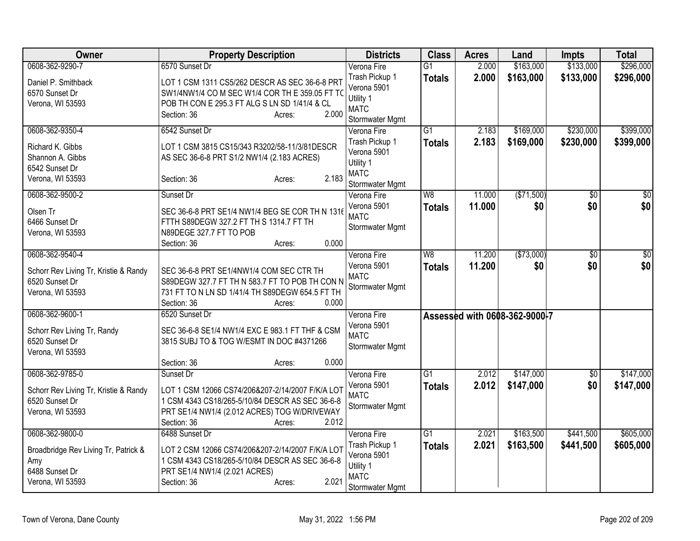| Owner                                 | <b>Property Description</b>                      | <b>Districts</b>           | <b>Class</b>    | <b>Acres</b> | Land                          | <b>Impts</b>    | <b>Total</b> |
|---------------------------------------|--------------------------------------------------|----------------------------|-----------------|--------------|-------------------------------|-----------------|--------------|
| 0608-362-9290-7                       | 6570 Sunset Dr                                   | Verona Fire                | $\overline{G1}$ | 2.000        | \$163,000                     | \$133,000       | \$296,000    |
| Daniel P. Smithback                   | LOT 1 CSM 1311 CS5/262 DESCR AS SEC 36-6-8 PRT   | Trash Pickup 1             | <b>Totals</b>   | 2.000        | \$163,000                     | \$133,000       | \$296,000    |
| 6570 Sunset Dr                        | SW1/4NW1/4 CO M SEC W1/4 COR TH E 359.05 FT TO   | Verona 5901<br>Utility 1   |                 |              |                               |                 |              |
| Verona, WI 53593                      | POB TH CON E 295.3 FT ALG S LN SD 1/41/4 & CL    | <b>MATC</b>                |                 |              |                               |                 |              |
|                                       | 2.000<br>Section: 36<br>Acres:                   | Stormwater Mgmt            |                 |              |                               |                 |              |
| 0608-362-9350-4                       | 6542 Sunset Dr                                   | Verona Fire                | $\overline{G1}$ | 2.183        | \$169,000                     | \$230,000       | \$399,000    |
| Richard K. Gibbs                      | LOT 1 CSM 3815 CS15/343 R3202/58-11/3/81DESCR    | Trash Pickup 1             | <b>Totals</b>   | 2.183        | \$169,000                     | \$230,000       | \$399,000    |
| Shannon A. Gibbs                      | AS SEC 36-6-8 PRT S1/2 NW1/4 (2.183 ACRES)       | Verona 5901                |                 |              |                               |                 |              |
| 6542 Sunset Dr                        |                                                  | Utility 1<br><b>MATC</b>   |                 |              |                               |                 |              |
| Verona, WI 53593                      | 2.183<br>Section: 36<br>Acres:                   | Stormwater Mgmt            |                 |              |                               |                 |              |
| 0608-362-9500-2                       | Sunset Dr                                        | Verona Fire                | W8              | 11.000       | (\$71,500)                    | $\overline{50}$ | $\sqrt{50}$  |
| Olsen Tr                              | SEC 36-6-8 PRT SE1/4 NW1/4 BEG SE COR TH N 1316  | Verona 5901                | <b>Totals</b>   | 11.000       | \$0                           | \$0             | \$0          |
| 6466 Sunset Dr                        | FTTH S89DEGW 327.2 FT TH S 1314.7 FT TH          | <b>MATC</b>                |                 |              |                               |                 |              |
| Verona, WI 53593                      | N89DEGE 327.7 FT TO POB                          | Stormwater Mgmt            |                 |              |                               |                 |              |
|                                       | 0.000<br>Section: 36<br>Acres:                   |                            |                 |              |                               |                 |              |
| 0608-362-9540-4                       |                                                  | Verona Fire                | $\overline{W8}$ | 11.200       | (\$73,000)                    | $\overline{50}$ | $\sqrt{50}$  |
| Schorr Rev Living Tr, Kristie & Randy | SEC 36-6-8 PRT SE1/4NW1/4 COM SEC CTR TH         | Verona 5901                | <b>Totals</b>   | 11.200       | \$0                           | \$0             | \$0          |
| 6520 Sunset Dr                        | S89DEGW 327.7 FT TH N 583.7 FT TO POB TH CON N   | <b>MATC</b>                |                 |              |                               |                 |              |
| Verona, WI 53593                      | 731 FT TO N LN SD 1/41/4 TH S89DEGW 654.5 FT TH  | Stormwater Mgmt            |                 |              |                               |                 |              |
|                                       | Section: 36<br>0.000<br>Acres:                   |                            |                 |              |                               |                 |              |
| 0608-362-9600-1                       | 6520 Sunset Dr                                   | Verona Fire                |                 |              | Assessed with 0608-362-9000-7 |                 |              |
| Schorr Rev Living Tr, Randy           | SEC 36-6-8 SE1/4 NW1/4 EXC E 983.1 FT THF & CSM  | Verona 5901<br><b>MATC</b> |                 |              |                               |                 |              |
| 6520 Sunset Dr                        | 3815 SUBJ TO & TOG W/ESMT IN DOC #4371266        | Stormwater Mgmt            |                 |              |                               |                 |              |
| Verona, WI 53593                      |                                                  |                            |                 |              |                               |                 |              |
|                                       | 0.000<br>Section: 36<br>Acres:                   |                            |                 |              |                               |                 |              |
| 0608-362-9785-0                       | Sunset Dr                                        | Verona Fire                | $\overline{G1}$ | 2.012        | \$147,000                     | $\overline{50}$ | \$147,000    |
| Schorr Rev Living Tr, Kristie & Randy | LOT 1 CSM 12066 CS74/206&207-2/14/2007 F/K/A LOT | Verona 5901<br><b>MATC</b> | <b>Totals</b>   | 2.012        | \$147,000                     | \$0             | \$147,000    |
| 6520 Sunset Dr                        | 1 CSM 4343 CS18/265-5/10/84 DESCR AS SEC 36-6-8  | Stormwater Mgmt            |                 |              |                               |                 |              |
| Verona, WI 53593                      | PRT SE1/4 NW1/4 (2.012 ACRES) TOG W/DRIVEWAY     |                            |                 |              |                               |                 |              |
| 0608-362-9800-0                       | 2.012<br>Section: 36<br>Acres:<br>6488 Sunset Dr | Verona Fire                | $\overline{G1}$ | 2.021        | \$163,500                     | \$441,500       | \$605,000    |
|                                       |                                                  | Trash Pickup 1             | <b>Totals</b>   | 2.021        | \$163,500                     | \$441,500       | \$605,000    |
| Broadbridge Rev Living Tr, Patrick &  | LOT 2 CSM 12066 CS74/206&207-2/14/2007 F/K/A LOT | Verona 5901                |                 |              |                               |                 |              |
| Amy                                   | 1 CSM 4343 CS18/265-5/10/84 DESCR AS SEC 36-6-8  | Utility 1                  |                 |              |                               |                 |              |
| 6488 Sunset Dr                        | PRT SE1/4 NW1/4 (2.021 ACRES)                    | <b>MATC</b>                |                 |              |                               |                 |              |
| Verona, WI 53593                      | 2.021<br>Section: 36<br>Acres:                   | Stormwater Mgmt            |                 |              |                               |                 |              |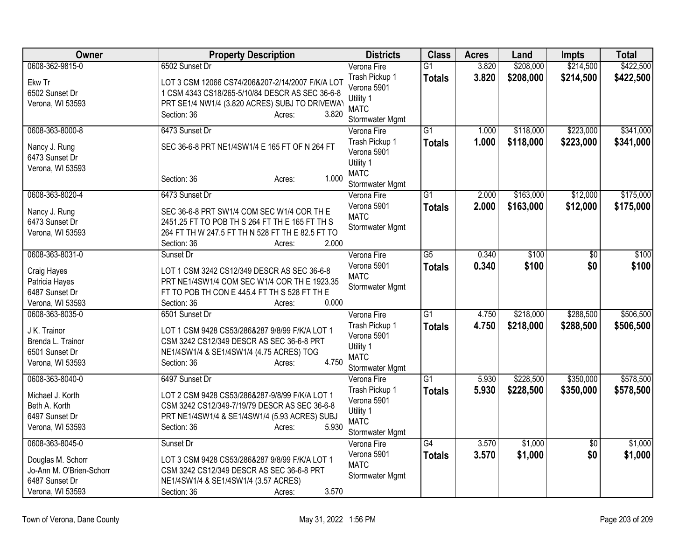| <b>Owner</b>                                                                        | <b>Property Description</b>                                                                                                                                                             | <b>Districts</b>                                                             | <b>Class</b>    | <b>Acres</b> | Land      | <b>Impts</b>    | <b>Total</b> |
|-------------------------------------------------------------------------------------|-----------------------------------------------------------------------------------------------------------------------------------------------------------------------------------------|------------------------------------------------------------------------------|-----------------|--------------|-----------|-----------------|--------------|
| 0608-362-9815-0                                                                     | 6502 Sunset Dr                                                                                                                                                                          | Verona Fire                                                                  | $\overline{G1}$ | 3.820        | \$208,000 | \$214,500       | \$422,500    |
| Ekw Tr<br>6502 Sunset Dr<br>Verona, WI 53593                                        | LOT 3 CSM 12066 CS74/206&207-2/14/2007 F/K/A LOT<br>1 CSM 4343 CS18/265-5/10/84 DESCR AS SEC 36-6-8<br>PRT SE1/4 NW1/4 (3.820 ACRES) SUBJ TO DRIVEWAY<br>Section: 36<br>3.820<br>Acres: | Trash Pickup 1<br>Verona 5901<br>Utility 1<br><b>MATC</b><br>Stormwater Mgmt | <b>Totals</b>   | 3.820        | \$208,000 | \$214,500       | \$422,500    |
| 0608-363-8000-8                                                                     | 6473 Sunset Dr                                                                                                                                                                          | Verona Fire                                                                  | $\overline{G1}$ | 1.000        | \$118,000 | \$223,000       | \$341,000    |
| Nancy J. Rung<br>6473 Sunset Dr<br>Verona, WI 53593                                 | SEC 36-6-8 PRT NE1/4SW1/4 E 165 FT OF N 264 FT<br>1.000<br>Section: 36<br>Acres:                                                                                                        | Trash Pickup 1<br>Verona 5901<br>Utility 1<br><b>MATC</b>                    | <b>Totals</b>   | 1.000        | \$118,000 | \$223,000       | \$341,000    |
| 0608-363-8020-4                                                                     | 6473 Sunset Dr                                                                                                                                                                          | Stormwater Mgmt<br>Verona Fire                                               | $\overline{G1}$ | 2.000        | \$163,000 | \$12,000        | \$175,000    |
| Nancy J. Rung<br>6473 Sunset Dr<br>Verona, WI 53593                                 | SEC 36-6-8 PRT SW1/4 COM SEC W1/4 COR TH E<br>2451.25 FT TO POB TH S 264 FT TH E 165 FT TH S<br>264 FT TH W 247.5 FT TH N 528 FT TH E 82.5 FT TO<br>2.000<br>Section: 36<br>Acres:      | Verona 5901<br><b>MATC</b><br>Stormwater Mgmt                                | <b>Totals</b>   | 2.000        | \$163,000 | \$12,000        | \$175,000    |
| 0608-363-8031-0                                                                     | Sunset Dr                                                                                                                                                                               | Verona Fire                                                                  | $\overline{G5}$ | 0.340        | \$100     | $\overline{30}$ | \$100        |
| Craig Hayes<br>Patricia Hayes<br>6487 Sunset Dr<br>Verona, WI 53593                 | LOT 1 CSM 3242 CS12/349 DESCR AS SEC 36-6-8<br>PRT NE1/4SW1/4 COM SEC W1/4 COR TH E 1923.35<br>FT TO POB TH CON E 445.4 FT TH S 528 FT TH E<br>0.000<br>Section: 36<br>Acres:           | Verona 5901<br><b>MATC</b><br>Stormwater Mgmt                                | <b>Totals</b>   | 0.340        | \$100     | \$0             | \$100        |
| 0608-363-8035-0                                                                     | 6501 Sunset Dr                                                                                                                                                                          | Verona Fire                                                                  | $\overline{G1}$ | 4.750        | \$218,000 | \$288,500       | \$506,500    |
| J K. Trainor<br>Brenda L. Trainor<br>6501 Sunset Dr<br>Verona, WI 53593             | LOT 1 CSM 9428 CS53/286&287 9/8/99 F/K/A LOT 1<br>CSM 3242 CS12/349 DESCR AS SEC 36-6-8 PRT<br>NE1/4SW1/4 & SE1/4SW1/4 (4.75 ACRES) TOG<br>4.750<br>Section: 36<br>Acres:               | Trash Pickup 1<br>Verona 5901<br>Utility 1<br><b>MATC</b><br>Stormwater Mgmt | <b>Totals</b>   | 4.750        | \$218,000 | \$288,500       | \$506,500    |
| 0608-363-8040-0                                                                     | 6497 Sunset Dr                                                                                                                                                                          | Verona Fire                                                                  | $\overline{G1}$ | 5.930        | \$228,500 | \$350,000       | \$578,500    |
| Michael J. Korth<br>Beth A. Korth<br>6497 Sunset Dr<br>Verona, WI 53593             | LOT 2 CSM 9428 CS53/286&287-9/8/99 F/K/A LOT 1<br>CSM 3242 CS12/349-7/19/79 DESCR AS SEC 36-6-8<br>PRT NE1/4SW1/4 & SE1/4SW1/4 (5.93 ACRES) SUBJ<br>5.930<br>Section: 36<br>Acres:      | Trash Pickup 1<br>Verona 5901<br>Utility 1<br><b>MATC</b><br>Stormwater Mgmt | <b>Totals</b>   | 5.930        | \$228,500 | \$350,000       | \$578,500    |
| 0608-363-8045-0                                                                     | Sunset Dr                                                                                                                                                                               | Verona Fire                                                                  | $\overline{G4}$ | 3.570        | \$1,000   | $\overline{50}$ | \$1,000      |
| Douglas M. Schorr<br>Jo-Ann M. O'Brien-Schorr<br>6487 Sunset Dr<br>Verona, WI 53593 | LOT 3 CSM 9428 CS53/286&287 9/8/99 F/K/A LOT 1<br>CSM 3242 CS12/349 DESCR AS SEC 36-6-8 PRT<br>NE1/4SW1/4 & SE1/4SW1/4 (3.57 ACRES)<br>3.570<br>Section: 36<br>Acres:                   | Verona 5901<br><b>MATC</b><br>Stormwater Mgmt                                | <b>Totals</b>   | 3.570        | \$1,000   | \$0             | \$1,000      |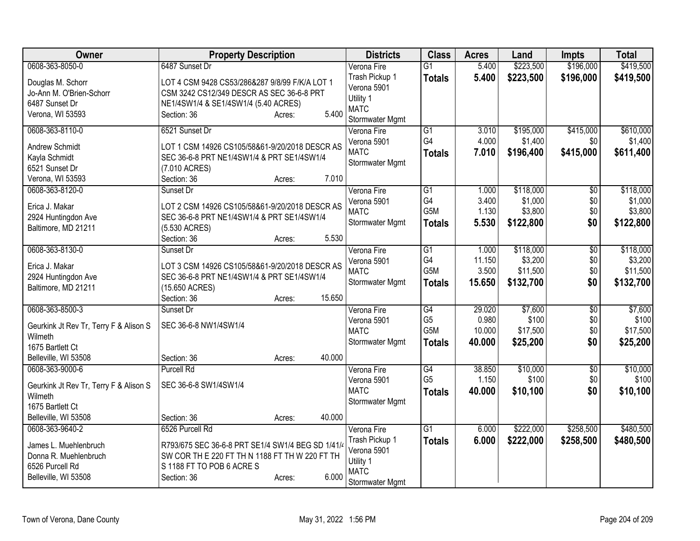| Owner                                   | <b>Property Description</b>                       | <b>Districts</b>           | <b>Class</b>          | <b>Acres</b>   | Land                 | <b>Impts</b>    | <b>Total</b>       |
|-----------------------------------------|---------------------------------------------------|----------------------------|-----------------------|----------------|----------------------|-----------------|--------------------|
| 0608-363-8050-0                         | 6487 Sunset Dr                                    | Verona Fire                | $\overline{G1}$       | 5.400          | \$223,500            | \$196,000       | \$419,500          |
| Douglas M. Schorr                       | LOT 4 CSM 9428 CS53/286&287 9/8/99 F/K/A LOT 1    | Trash Pickup 1             | <b>Totals</b>         | 5.400          | \$223,500            | \$196,000       | \$419,500          |
| Jo-Ann M. O'Brien-Schorr                | CSM 3242 CS12/349 DESCR AS SEC 36-6-8 PRT         | Verona 5901                |                       |                |                      |                 |                    |
| 6487 Sunset Dr                          | NE1/4SW1/4 & SE1/4SW1/4 (5.40 ACRES)              | Utility 1<br><b>MATC</b>   |                       |                |                      |                 |                    |
| Verona, WI 53593                        | 5.400<br>Section: 36<br>Acres:                    | Stormwater Mgmt            |                       |                |                      |                 |                    |
| 0608-363-8110-0                         | 6521 Sunset Dr                                    | Verona Fire                | G1                    | 3.010          | \$195,000            | \$415,000       | \$610,000          |
|                                         |                                                   | Verona 5901                | G4                    | 4.000          | \$1,400              | \$0             | \$1,400            |
| Andrew Schmidt                          | LOT 1 CSM 14926 CS105/58&61-9/20/2018 DESCR AS    | <b>MATC</b>                | <b>Totals</b>         | 7.010          | \$196,400            | \$415,000       | \$611,400          |
| Kayla Schmidt                           | SEC 36-6-8 PRT NE1/4SW1/4 & PRT SE1/4SW1/4        | Stormwater Mgmt            |                       |                |                      |                 |                    |
| 6521 Sunset Dr                          | (7.010 ACRES)                                     |                            |                       |                |                      |                 |                    |
| Verona, WI 53593                        | 7.010<br>Section: 36<br>Acres:                    |                            |                       |                |                      |                 |                    |
| 0608-363-8120-0                         | Sunset Dr                                         | Verona Fire                | $\overline{G1}$<br>G4 | 1.000<br>3.400 | \$118,000<br>\$1,000 | $\overline{50}$ | \$118,000          |
| Erica J. Makar                          | LOT 2 CSM 14926 CS105/58&61-9/20/2018 DESCR AS    | Verona 5901<br><b>MATC</b> | G5M                   | 1.130          | \$3,800              | \$0<br>\$0      | \$1,000<br>\$3,800 |
| 2924 Huntingdon Ave                     | SEC 36-6-8 PRT NE1/4SW1/4 & PRT SE1/4SW1/4        | Stormwater Mgmt            |                       | 5.530          | \$122,800            | \$0             | \$122,800          |
| Baltimore, MD 21211                     | (5.530 ACRES)                                     |                            | <b>Totals</b>         |                |                      |                 |                    |
|                                         | 5.530<br>Section: 36<br>Acres:                    |                            |                       |                |                      |                 |                    |
| 0608-363-8130-0                         | Sunset Dr                                         | Verona Fire                | G1                    | 1.000          | \$118,000            | $\overline{50}$ | \$118,000          |
| Erica J. Makar                          | LOT 3 CSM 14926 CS105/58&61-9/20/2018 DESCR AS    | Verona 5901                | G4                    | 11.150         | \$3,200              | \$0             | \$3,200            |
| 2924 Huntingdon Ave                     | SEC 36-6-8 PRT NE1/4SW1/4 & PRT SE1/4SW1/4        | <b>MATC</b>                | G5M                   | 3.500          | \$11,500             | \$0             | \$11,500           |
| Baltimore, MD 21211                     | (15.650 ACRES)                                    | Stormwater Mgmt            | <b>Totals</b>         | 15.650         | \$132,700            | \$0             | \$132,700          |
|                                         | 15.650<br>Section: 36<br>Acres:                   |                            |                       |                |                      |                 |                    |
| 0608-363-8500-3                         | Sunset Dr                                         | Verona Fire                | $\overline{G4}$       | 29.020         | \$7,600              | $\overline{50}$ | \$7,600            |
| Geurkink Jt Rev Tr, Terry F & Alison S  | SEC 36-6-8 NW1/4SW1/4                             | Verona 5901                | G <sub>5</sub>        | 0.980          | \$100                | \$0             | \$100              |
| Wilmeth                                 |                                                   | <b>MATC</b>                | G5M                   | 10.000         | \$17,500             | \$0             | \$17,500           |
| 1675 Bartlett Ct                        |                                                   | Stormwater Mgmt            | <b>Totals</b>         | 40.000         | \$25,200             | \$0             | \$25,200           |
| Belleville, WI 53508                    | 40.000<br>Section: 36<br>Acres:                   |                            |                       |                |                      |                 |                    |
| 0608-363-9000-6                         | <b>Purcell Rd</b>                                 | Verona Fire                | $\overline{G4}$       | 38.850         | \$10,000             | $\overline{50}$ | \$10,000           |
|                                         |                                                   | Verona 5901                | G <sub>5</sub>        | 1.150          | \$100                | \$0             | \$100              |
| Geurkink Jt Rev Tr, Terry F & Alison S  | SEC 36-6-8 SW1/4SW1/4                             | <b>MATC</b>                | <b>Totals</b>         | 40.000         | \$10,100             | \$0             | \$10,100           |
| Wilmeth                                 |                                                   | Stormwater Mgmt            |                       |                |                      |                 |                    |
| 1675 Bartlett Ct                        | 40.000<br>Section: 36                             |                            |                       |                |                      |                 |                    |
| Belleville, WI 53508<br>0608-363-9640-2 | Acres:<br>6526 Purcell Rd                         | Verona Fire                | $\overline{G1}$       | 6.000          | \$222,000            | \$258,500       | \$480,500          |
|                                         |                                                   | Trash Pickup 1             |                       | 6.000          | \$222,000            |                 |                    |
| James L. Muehlenbruch                   | R793/675 SEC 36-6-8 PRT SE1/4 SW1/4 BEG SD 1/41/4 | Verona 5901                | <b>Totals</b>         |                |                      | \$258,500       | \$480,500          |
| Donna R. Muehlenbruch                   | SW COR TH E 220 FT TH N 1188 FT TH W 220 FT TH    | Utility 1                  |                       |                |                      |                 |                    |
| 6526 Purcell Rd                         | S 1188 FT TO POB 6 ACRE S                         | <b>MATC</b>                |                       |                |                      |                 |                    |
| Belleville, WI 53508                    | 6.000<br>Section: 36<br>Acres:                    | Stormwater Mgmt            |                       |                |                      |                 |                    |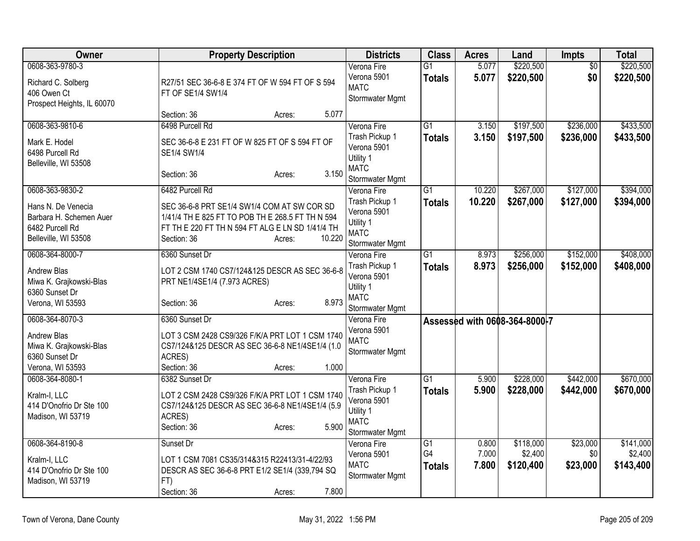| Owner                      | <b>Property Description</b>                      | <b>Districts</b>               | <b>Class</b>    | <b>Acres</b> | Land                          | <b>Impts</b>    | <b>Total</b> |
|----------------------------|--------------------------------------------------|--------------------------------|-----------------|--------------|-------------------------------|-----------------|--------------|
| 0608-363-9780-3            |                                                  | Verona Fire                    | $\overline{G1}$ | 5.077        | \$220,500                     | $\overline{50}$ | \$220,500    |
| Richard C. Solberg         | R27/51 SEC 36-6-8 E 374 FT OF W 594 FT OF S 594  | Verona 5901                    | <b>Totals</b>   | 5.077        | \$220,500                     | \$0             | \$220,500    |
| 406 Owen Ct                | FT OF SE1/4 SW1/4                                | <b>MATC</b>                    |                 |              |                               |                 |              |
| Prospect Heights, IL 60070 |                                                  | Stormwater Mgmt                |                 |              |                               |                 |              |
|                            | 5.077<br>Section: 36<br>Acres:                   |                                |                 |              |                               |                 |              |
| 0608-363-9810-6            | 6498 Purcell Rd                                  | Verona Fire                    | G1              | 3.150        | \$197,500                     | \$236,000       | \$433,500    |
| Mark E. Hodel              | SEC 36-6-8 E 231 FT OF W 825 FT OF S 594 FT OF   | Trash Pickup 1                 | <b>Totals</b>   | 3.150        | \$197,500                     | \$236,000       | \$433,500    |
| 6498 Purcell Rd            | SE1/4 SW1/4                                      | Verona 5901                    |                 |              |                               |                 |              |
| Belleville, WI 53508       |                                                  | Utility 1                      |                 |              |                               |                 |              |
|                            | 3.150<br>Section: 36<br>Acres:                   | <b>MATC</b>                    |                 |              |                               |                 |              |
|                            |                                                  | Stormwater Mgmt                |                 |              |                               |                 |              |
| 0608-363-9830-2            | 6482 Purcell Rd                                  | Verona Fire                    | $\overline{G1}$ | 10.220       | \$267,000                     | \$127,000       | \$394,000    |
| Hans N. De Venecia         | SEC 36-6-8 PRT SE1/4 SW1/4 COM AT SW COR SD      | Trash Pickup 1                 | <b>Totals</b>   | 10.220       | \$267,000                     | \$127,000       | \$394,000    |
| Barbara H. Schemen Auer    | 1/41/4 TH E 825 FT TO POB TH E 268.5 FT TH N 594 | Verona 5901                    |                 |              |                               |                 |              |
| 6482 Purcell Rd            | FT TH E 220 FT TH N 594 FT ALG E LN SD 1/41/4 TH | Utility 1                      |                 |              |                               |                 |              |
| Belleville, WI 53508       | 10.220<br>Section: 36<br>Acres:                  | <b>MATC</b><br>Stormwater Mgmt |                 |              |                               |                 |              |
| 0608-364-8000-7            | 6360 Sunset Dr                                   | Verona Fire                    | G1              | 8.973        | \$256,000                     | \$152,000       | \$408,000    |
|                            |                                                  | Trash Pickup 1                 | <b>Totals</b>   | 8.973        | \$256,000                     | \$152,000       | \$408,000    |
| Andrew Blas                | LOT 2 CSM 1740 CS7/124&125 DESCR AS SEC 36-6-8   | Verona 5901                    |                 |              |                               |                 |              |
| Miwa K. Grajkowski-Blas    | PRT NE1/4SE1/4 (7.973 ACRES)                     | Utility 1                      |                 |              |                               |                 |              |
| 6360 Sunset Dr             |                                                  | <b>MATC</b>                    |                 |              |                               |                 |              |
| Verona, WI 53593           | 8.973<br>Section: 36<br>Acres:                   | Stormwater Mgmt                |                 |              |                               |                 |              |
| 0608-364-8070-3            | 6360 Sunset Dr                                   | Verona Fire                    |                 |              | Assessed with 0608-364-8000-7 |                 |              |
| Andrew Blas                | LOT 3 CSM 2428 CS9/326 F/K/A PRT LOT 1 CSM 1740  | Verona 5901                    |                 |              |                               |                 |              |
| Miwa K. Grajkowski-Blas    | CS7/124&125 DESCR AS SEC 36-6-8 NE1/4SE1/4 (1.0  | <b>MATC</b>                    |                 |              |                               |                 |              |
| 6360 Sunset Dr             | ACRES)                                           | Stormwater Mgmt                |                 |              |                               |                 |              |
| Verona, WI 53593           | Section: 36<br>1.000<br>Acres:                   |                                |                 |              |                               |                 |              |
| 0608-364-8080-1            | 6382 Sunset Dr                                   | Verona Fire                    | G1              | 5.900        | \$228,000                     | \$442,000       | \$670,000    |
| Kralm-I, LLC               | LOT 2 CSM 2428 CS9/326 F/K/A PRT LOT 1 CSM 1740  | Trash Pickup 1                 | <b>Totals</b>   | 5.900        | \$228,000                     | \$442,000       | \$670,000    |
| 414 D'Onofrio Dr Ste 100   | CS7/124&125 DESCR AS SEC 36-6-8 NE1/4SE1/4 (5.9  | Verona 5901                    |                 |              |                               |                 |              |
| Madison, WI 53719          | ACRES)                                           | Utility 1                      |                 |              |                               |                 |              |
|                            | 5.900<br>Section: 36<br>Acres:                   | <b>MATC</b>                    |                 |              |                               |                 |              |
|                            |                                                  | Stormwater Mgmt                |                 |              |                               |                 |              |
| 0608-364-8190-8            | Sunset Dr                                        | Verona Fire                    | $\overline{G1}$ | 0.800        | \$118,000                     | \$23,000        | \$141,000    |
| Kralm-I, LLC               | LOT 1 CSM 7081 CS35/314&315 R22413/31-4/22/93    | Verona 5901                    | G4              | 7.000        | \$2,400                       | \$0             | \$2,400      |
| 414 D'Onofrio Dr Ste 100   | DESCR AS SEC 36-6-8 PRT E1/2 SE1/4 (339,794 SQ   | <b>MATC</b>                    | <b>Totals</b>   | 7.800        | \$120,400                     | \$23,000        | \$143,400    |
| Madison, WI 53719          | FT)                                              | Stormwater Mgmt                |                 |              |                               |                 |              |
|                            | 7.800<br>Section: 36<br>Acres:                   |                                |                 |              |                               |                 |              |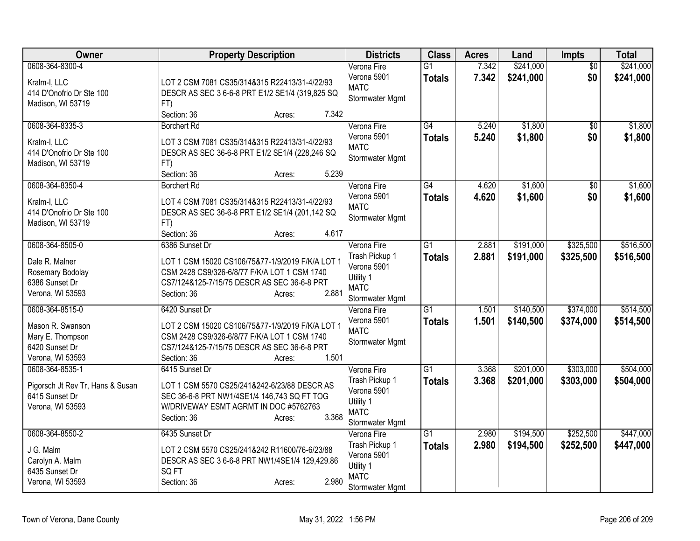| Owner                                    | <b>Property Description</b>                                                                      | <b>Districts</b> | <b>Class</b>    | <b>Acres</b> | Land      | Impts           | <b>Total</b> |
|------------------------------------------|--------------------------------------------------------------------------------------------------|------------------|-----------------|--------------|-----------|-----------------|--------------|
| 0608-364-8300-4                          |                                                                                                  | Verona Fire      | $\overline{G1}$ | 7.342        | \$241,000 | $\overline{50}$ | \$241,000    |
| Kralm-I, LLC                             | LOT 2 CSM 7081 CS35/314&315 R22413/31-4/22/93                                                    | Verona 5901      | <b>Totals</b>   | 7.342        | \$241,000 | \$0             | \$241,000    |
| 414 D'Onofrio Dr Ste 100                 | DESCR AS SEC 3 6-6-8 PRT E1/2 SE1/4 (319,825 SQ                                                  | <b>MATC</b>      |                 |              |           |                 |              |
| Madison, WI 53719                        | FT)                                                                                              | Stormwater Mgmt  |                 |              |           |                 |              |
|                                          | Section: 36<br>7.342<br>Acres:                                                                   |                  |                 |              |           |                 |              |
| 0608-364-8335-3                          | <b>Borchert Rd</b>                                                                               | Verona Fire      | G4              | 5.240        | \$1,800   | \$0             | \$1,800      |
|                                          |                                                                                                  | Verona 5901      | <b>Totals</b>   | 5.240        | \$1,800   | \$0             | \$1,800      |
| Kralm-I, LLC<br>414 D'Onofrio Dr Ste 100 | LOT 3 CSM 7081 CS35/314&315 R22413/31-4/22/93<br>DESCR AS SEC 36-6-8 PRT E1/2 SE1/4 (228,246 SQ  | <b>MATC</b>      |                 |              |           |                 |              |
| Madison, WI 53719                        |                                                                                                  | Stormwater Mgmt  |                 |              |           |                 |              |
|                                          | FT)<br>Section: 36<br>5.239                                                                      |                  |                 |              |           |                 |              |
|                                          | Acres:                                                                                           |                  |                 |              |           |                 |              |
| 0608-364-8350-4                          | <b>Borchert Rd</b>                                                                               | Verona Fire      | G4              | 4.620        | \$1,600   | \$0             | \$1,600      |
| Kralm-I, LLC                             | LOT 4 CSM 7081 CS35/314&315 R22413/31-4/22/93                                                    | Verona 5901      | <b>Totals</b>   | 4.620        | \$1,600   | \$0             | \$1,600      |
| 414 D'Onofrio Dr Ste 100                 | DESCR AS SEC 36-6-8 PRT E1/2 SE1/4 (201,142 SQ                                                   | <b>MATC</b>      |                 |              |           |                 |              |
| Madison, WI 53719                        | FT)                                                                                              | Stormwater Mgmt  |                 |              |           |                 |              |
|                                          | 4.617<br>Section: 36<br>Acres:                                                                   |                  |                 |              |           |                 |              |
| 0608-364-8505-0                          | 6386 Sunset Dr                                                                                   | Verona Fire      | $\overline{G1}$ | 2.881        | \$191,000 | \$325,500       | \$516,500    |
| Dale R. Malner                           |                                                                                                  | Trash Pickup 1   | <b>Totals</b>   | 2.881        | \$191,000 | \$325,500       | \$516,500    |
|                                          | LOT 1 CSM 15020 CS106/75&77-1/9/2019 F/K/A LOT 1<br>CSM 2428 CS9/326-6/8/77 F/K/A LOT 1 CSM 1740 | Verona 5901      |                 |              |           |                 |              |
| Rosemary Bodolay<br>6386 Sunset Dr       | CS7/124&125-7/15/75 DESCR AS SEC 36-6-8 PRT                                                      | Utility 1        |                 |              |           |                 |              |
| Verona, WI 53593                         | 2.881<br>Section: 36                                                                             | <b>MATC</b>      |                 |              |           |                 |              |
|                                          | Acres:                                                                                           | Stormwater Mgmt  |                 |              |           |                 |              |
| 0608-364-8515-0                          | 6420 Sunset Dr                                                                                   | Verona Fire      | G1              | 1.501        | \$140,500 | \$374,000       | \$514,500    |
| Mason R. Swanson                         | LOT 2 CSM 15020 CS106/75&77-1/9/2019 F/K/A LOT 1                                                 | Verona 5901      | <b>Totals</b>   | 1.501        | \$140,500 | \$374,000       | \$514,500    |
| Mary E. Thompson                         | CSM 2428 CS9/326-6/8/77 F/K/A LOT 1 CSM 1740                                                     | <b>MATC</b>      |                 |              |           |                 |              |
| 6420 Sunset Dr                           | CS7/124&125-7/15/75 DESCR AS SEC 36-6-8 PRT                                                      | Stormwater Mgmt  |                 |              |           |                 |              |
| Verona, WI 53593                         | Section: 36<br>1.501<br>Acres:                                                                   |                  |                 |              |           |                 |              |
| 0608-364-8535-1                          | 6415 Sunset Dr                                                                                   | Verona Fire      | G1              | 3.368        | \$201,000 | \$303,000       | \$504,000    |
|                                          |                                                                                                  | Trash Pickup 1   | <b>Totals</b>   | 3.368        | \$201,000 | \$303,000       | \$504,000    |
| Pigorsch Jt Rev Tr, Hans & Susan         | LOT 1 CSM 5570 CS25/241&242-6/23/88 DESCR AS                                                     | Verona 5901      |                 |              |           |                 |              |
| 6415 Sunset Dr                           | SEC 36-6-8 PRT NW1/4SE1/4 146,743 SQ FT TOG                                                      | Utility 1        |                 |              |           |                 |              |
| Verona, WI 53593                         | W/DRIVEWAY ESMT AGRMT IN DOC #5762763                                                            | <b>MATC</b>      |                 |              |           |                 |              |
|                                          | 3.368<br>Section: 36<br>Acres:                                                                   | Stormwater Mgmt  |                 |              |           |                 |              |
| 0608-364-8550-2                          | 6435 Sunset Dr                                                                                   | Verona Fire      | $\overline{G1}$ | 2.980        | \$194,500 | \$252,500       | \$447,000    |
| J G. Malm                                | LOT 2 CSM 5570 CS25/241&242 R11600/76-6/23/88                                                    | Trash Pickup 1   | <b>Totals</b>   | 2.980        | \$194,500 | \$252,500       | \$447,000    |
| Carolyn A. Malm                          | DESCR AS SEC 3 6-6-8 PRT NW1/4SE1/4 129,429.86                                                   | Verona 5901      |                 |              |           |                 |              |
| 6435 Sunset Dr                           | SQ FT                                                                                            | Utility 1        |                 |              |           |                 |              |
| Verona, WI 53593                         | 2.980<br>Section: 36<br>Acres:                                                                   | <b>MATC</b>      |                 |              |           |                 |              |
|                                          |                                                                                                  | Stormwater Mgmt  |                 |              |           |                 |              |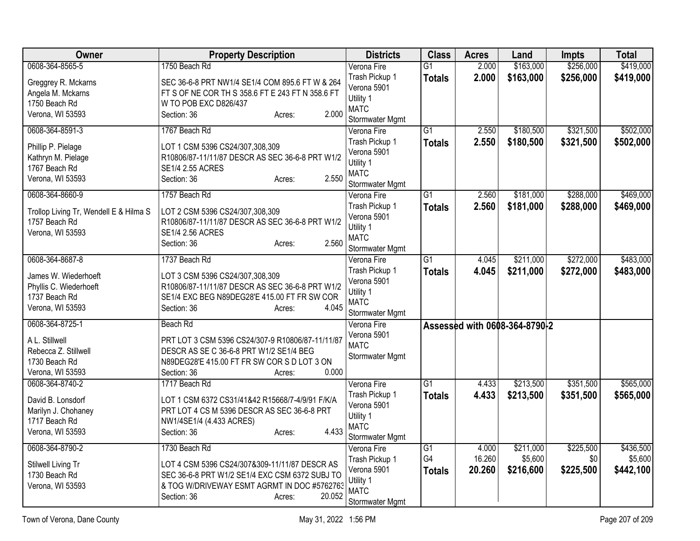| Owner                                          | <b>Property Description</b>                                                        | <b>Districts</b>              | <b>Class</b>    | <b>Acres</b> | Land                          | <b>Impts</b> | <b>Total</b> |
|------------------------------------------------|------------------------------------------------------------------------------------|-------------------------------|-----------------|--------------|-------------------------------|--------------|--------------|
| 0608-364-8565-5                                | 1750 Beach Rd                                                                      | Verona Fire                   | $\overline{G1}$ | 2.000        | \$163,000                     | \$256,000    | \$419,000    |
| Greggrey R. Mckarns                            | SEC 36-6-8 PRT NW1/4 SE1/4 COM 895.6 FT W & 264                                    | Trash Pickup 1                | <b>Totals</b>   | 2.000        | \$163,000                     | \$256,000    | \$419,000    |
| Angela M. Mckarns                              | FT S OF NE COR TH S 358.6 FT E 243 FT N 358.6 FT                                   | Verona 5901                   |                 |              |                               |              |              |
| 1750 Beach Rd                                  | W TO POB EXC D826/437                                                              | Utility 1                     |                 |              |                               |              |              |
| Verona, WI 53593                               | 2.000<br>Section: 36<br>Acres:                                                     | <b>MATC</b>                   |                 |              |                               |              |              |
|                                                | 1767 Beach Rd                                                                      | Stormwater Mgmt               | $\overline{G1}$ |              |                               |              |              |
| 0608-364-8591-3                                |                                                                                    | Verona Fire                   |                 | 2.550        | \$180,500                     | \$321,500    | \$502,000    |
| Phillip P. Pielage                             | LOT 1 CSM 5396 CS24/307,308,309                                                    | Trash Pickup 1<br>Verona 5901 | <b>Totals</b>   | 2.550        | \$180,500                     | \$321,500    | \$502,000    |
| Kathryn M. Pielage                             | R10806/87-11/11/87 DESCR AS SEC 36-6-8 PRT W1/2                                    | Utility 1                     |                 |              |                               |              |              |
| 1767 Beach Rd                                  | SE1/4 2.55 ACRES                                                                   | <b>MATC</b>                   |                 |              |                               |              |              |
| Verona, WI 53593                               | 2.550<br>Section: 36<br>Acres:                                                     | Stormwater Mgmt               |                 |              |                               |              |              |
| 0608-364-8660-9                                | 1757 Beach Rd                                                                      | Verona Fire                   | $\overline{G1}$ | 2.560        | \$181,000                     | \$288,000    | \$469,000    |
|                                                |                                                                                    | Trash Pickup 1                | <b>Totals</b>   | 2.560        | \$181,000                     | \$288,000    | \$469,000    |
| Trollop Living Tr, Wendell E & Hilma S         | LOT 2 CSM 5396 CS24/307,308,309                                                    | Verona 5901                   |                 |              |                               |              |              |
| 1757 Beach Rd                                  | R10806/87-11/11/87 DESCR AS SEC 36-6-8 PRT W1/2                                    | Utility 1                     |                 |              |                               |              |              |
| Verona, WI 53593                               | <b>SE1/4 2.56 ACRES</b>                                                            | <b>MATC</b>                   |                 |              |                               |              |              |
|                                                | 2.560<br>Section: 36<br>Acres:                                                     | Stormwater Mgmt               |                 |              |                               |              |              |
| 0608-364-8687-8                                | 1737 Beach Rd                                                                      | Verona Fire                   | $\overline{G1}$ | 4.045        | \$211,000                     | \$272,000    | \$483,000    |
|                                                |                                                                                    | Trash Pickup 1                | <b>Totals</b>   | 4.045        | \$211,000                     | \$272,000    | \$483,000    |
| James W. Wiederhoeft<br>Phyllis C. Wiederhoeft | LOT 3 CSM 5396 CS24/307,308,309<br>R10806/87-11/11/87 DESCR AS SEC 36-6-8 PRT W1/2 | Verona 5901                   |                 |              |                               |              |              |
| 1737 Beach Rd                                  | SE1/4 EXC BEG N89DEG28'E 415.00 FT FR SW COR                                       | Utility 1                     |                 |              |                               |              |              |
| Verona, WI 53593                               | Section: 36<br>4.045<br>Acres:                                                     | <b>MATC</b>                   |                 |              |                               |              |              |
|                                                |                                                                                    | Stormwater Mgmt               |                 |              |                               |              |              |
| 0608-364-8725-1                                | Beach Rd                                                                           | Verona Fire                   |                 |              | Assessed with 0608-364-8790-2 |              |              |
| A L. Stillwell                                 | PRT LOT 3 CSM 5396 CS24/307-9 R10806/87-11/11/87                                   | Verona 5901                   |                 |              |                               |              |              |
| Rebecca Z. Stillwell                           | DESCR AS SE C 36-6-8 PRT W1/2 SE1/4 BEG                                            | <b>MATC</b>                   |                 |              |                               |              |              |
| 1730 Beach Rd                                  | N89DEG28'E 415.00 FT FR SW COR S D LOT 3 ON                                        | Stormwater Mgmt               |                 |              |                               |              |              |
| Verona, WI 53593                               | 0.000<br>Section: 36<br>Acres:                                                     |                               |                 |              |                               |              |              |
| 0608-364-8740-2                                | 1717 Beach Rd                                                                      | Verona Fire                   | $\overline{G1}$ | 4.433        | \$213,500                     | \$351,500    | \$565,000    |
| David B. Lonsdorf                              | LOT 1 CSM 6372 CS31/41&42 R15668/7-4/9/91 F/K/A                                    | Trash Pickup 1                | <b>Totals</b>   | 4.433        | \$213,500                     | \$351,500    | \$565,000    |
| Marilyn J. Chohaney                            | PRT LOT 4 CS M 5396 DESCR AS SEC 36-6-8 PRT                                        | Verona 5901                   |                 |              |                               |              |              |
| 1717 Beach Rd                                  | NW1/4SE1/4 (4.433 ACRES)                                                           | Utility 1                     |                 |              |                               |              |              |
| Verona, WI 53593                               | 4.433<br>Section: 36<br>Acres:                                                     | <b>MATC</b>                   |                 |              |                               |              |              |
|                                                |                                                                                    | Stormwater Mgmt               |                 |              |                               |              |              |
| 0608-364-8790-2                                | 1730 Beach Rd                                                                      | Verona Fire                   | G1              | 4.000        | \$211,000                     | \$225,500    | \$436,500    |
| Stilwell Living Tr                             | LOT 4 CSM 5396 CS24/307&309-11/11/87 DESCR AS                                      | Trash Pickup 1                | G4              | 16.260       | \$5,600                       | \$0          | \$5,600      |
| 1730 Beach Rd                                  | SEC 36-6-8 PRT W1/2 SE1/4 EXC CSM 6372 SUBJ TO                                     | Verona 5901                   | <b>Totals</b>   | 20.260       | \$216,600                     | \$225,500    | \$442,100    |
| Verona, WI 53593                               | & TOG W/DRIVEWAY ESMT AGRMT IN DOC #5762763                                        | Utility 1                     |                 |              |                               |              |              |
|                                                | 20.052<br>Section: 36<br>Acres:                                                    | <b>MATC</b>                   |                 |              |                               |              |              |
|                                                |                                                                                    | Stormwater Mgmt               |                 |              |                               |              |              |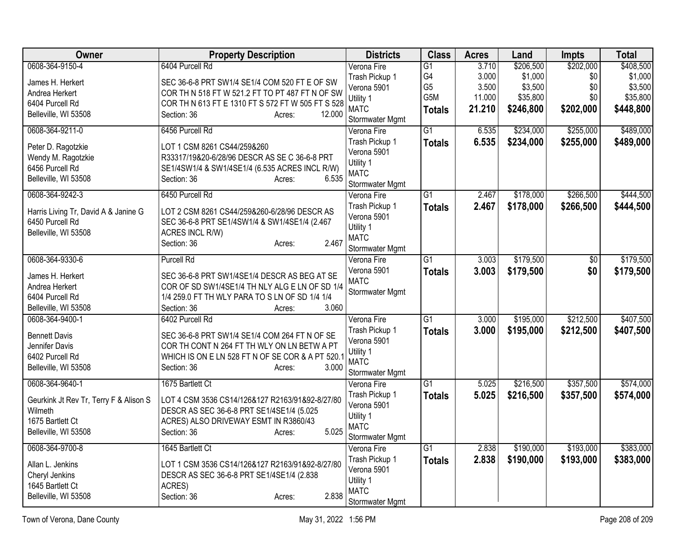| Owner                                  | <b>Property Description</b>                                                                  | <b>Districts</b> | <b>Class</b>    | <b>Acres</b> | Land      | Impts           | <b>Total</b> |
|----------------------------------------|----------------------------------------------------------------------------------------------|------------------|-----------------|--------------|-----------|-----------------|--------------|
| 0608-364-9150-4                        | 6404 Purcell Rd                                                                              | Verona Fire      | $\overline{G1}$ | 3.710        | \$206,500 | \$202,000       | \$408,500    |
| James H. Herkert                       | SEC 36-6-8 PRT SW1/4 SE1/4 COM 520 FT E OF SW                                                | Trash Pickup 1   | G4              | 3.000        | \$1,000   | \$0             | \$1,000      |
| Andrea Herkert                         | COR TH N 518 FT W 521.2 FT TO PT 487 FT N OF SW                                              | Verona 5901      | G <sub>5</sub>  | 3.500        | \$3,500   | \$0             | \$3,500      |
| 6404 Purcell Rd                        | COR TH N 613 FT E 1310 FT S 572 FT W 505 FT S 528                                            | Utility 1        | G5M             | 11.000       | \$35,800  | \$0             | \$35,800     |
| Belleville, WI 53508                   | 12.000<br>Section: 36<br>Acres:                                                              | <b>MATC</b>      | <b>Totals</b>   | 21.210       | \$246,800 | \$202,000       | \$448,800    |
|                                        |                                                                                              | Stormwater Mgmt  |                 |              |           |                 |              |
| 0608-364-9211-0                        | 6456 Purcell Rd                                                                              | Verona Fire      | $\overline{G1}$ | 6.535        | \$234,000 | \$255,000       | \$489,000    |
| Peter D. Ragotzkie                     | LOT 1 CSM 8261 CS44/259&260                                                                  | Trash Pickup 1   | <b>Totals</b>   | 6.535        | \$234,000 | \$255,000       | \$489,000    |
| Wendy M. Ragotzkie                     | R33317/19&20-6/28/96 DESCR AS SE C 36-6-8 PRT                                                | Verona 5901      |                 |              |           |                 |              |
| 6456 Purcell Rd                        | SE1/4SW1/4 & SW1/4SE1/4 (6.535 ACRES INCL R/W)                                               | Utility 1        |                 |              |           |                 |              |
| Belleville, WI 53508                   | 6.535<br>Section: 36<br>Acres:                                                               | <b>MATC</b>      |                 |              |           |                 |              |
|                                        |                                                                                              | Stormwater Mgmt  |                 |              |           |                 |              |
| 0608-364-9242-3                        | 6450 Purcell Rd                                                                              | Verona Fire      | $\overline{G1}$ | 2.467        | \$178,000 | \$266,500       | \$444,500    |
| Harris Living Tr, David A & Janine G   | LOT 2 CSM 8261 CS44/259&260-6/28/96 DESCR AS                                                 | Trash Pickup 1   | <b>Totals</b>   | 2.467        | \$178,000 | \$266,500       | \$444,500    |
| 6450 Purcell Rd                        | SEC 36-6-8 PRT SE1/4SW1/4 & SW1/4SE1/4 (2.467                                                | Verona 5901      |                 |              |           |                 |              |
| Belleville, WI 53508                   | ACRES INCL R/W)                                                                              | Utility 1        |                 |              |           |                 |              |
|                                        | 2.467<br>Section: 36<br>Acres:                                                               | <b>MATC</b>      |                 |              |           |                 |              |
|                                        |                                                                                              | Stormwater Mgmt  |                 |              |           |                 |              |
| 0608-364-9330-6                        | <b>Purcell Rd</b>                                                                            | Verona Fire      | $\overline{G1}$ | 3.003        | \$179,500 | $\overline{50}$ | \$179,500    |
| James H. Herkert                       | SEC 36-6-8 PRT SW1/4SE1/4 DESCR AS BEG AT SE                                                 | Verona 5901      | <b>Totals</b>   | 3.003        | \$179,500 | \$0             | \$179,500    |
| Andrea Herkert                         | COR OF SD SW1/4SE1/4 TH NLY ALG E LN OF SD 1/4                                               | <b>MATC</b>      |                 |              |           |                 |              |
| 6404 Purcell Rd                        | 1/4 259.0 FT TH WLY PARA TO S LN OF SD 1/4 1/4                                               | Stormwater Mgmt  |                 |              |           |                 |              |
| Belleville, WI 53508                   | 3.060<br>Section: 36<br>Acres:                                                               |                  |                 |              |           |                 |              |
| 0608-364-9400-1                        | 6402 Purcell Rd                                                                              | Verona Fire      | $\overline{G1}$ | 3.000        | \$195,000 | \$212,500       | \$407,500    |
|                                        |                                                                                              | Trash Pickup 1   | <b>Totals</b>   | 3.000        | \$195,000 | \$212,500       | \$407,500    |
| <b>Bennett Davis</b><br>Jennifer Davis | SEC 36-6-8 PRT SW1/4 SE1/4 COM 264 FT N OF SE<br>COR TH CONT N 264 FT TH WLY ON LN BETW A PT | Verona 5901      |                 |              |           |                 |              |
| 6402 Purcell Rd                        | WHICH IS ON E LN 528 FT N OF SE COR & A PT 520.1                                             | Utility 1        |                 |              |           |                 |              |
| Belleville, WI 53508                   | Section: 36<br>3.000<br>Acres:                                                               | <b>MATC</b>      |                 |              |           |                 |              |
|                                        |                                                                                              | Stormwater Mgmt  |                 |              |           |                 |              |
| 0608-364-9640-1                        | 1675 Bartlett Ct                                                                             | Verona Fire      | $\overline{G1}$ | 5.025        | \$216,500 | \$357,500       | \$574,000    |
| Geurkink Jt Rev Tr, Terry F & Alison S | LOT 4 CSM 3536 CS14/126&127 R2163/91&92-8/27/80                                              | Trash Pickup 1   | <b>Totals</b>   | 5.025        | \$216,500 | \$357,500       | \$574,000    |
| Wilmeth                                | DESCR AS SEC 36-6-8 PRT SE1/4SE1/4 (5.025                                                    | Verona 5901      |                 |              |           |                 |              |
| 1675 Bartlett Ct                       | ACRES) ALSO DRIVEWAY ESMT IN R3860/43                                                        | Utility 1        |                 |              |           |                 |              |
| Belleville, WI 53508                   | 5.025<br>Section: 36<br>Acres:                                                               | <b>MATC</b>      |                 |              |           |                 |              |
|                                        |                                                                                              | Stormwater Mgmt  |                 |              |           |                 |              |
| 0608-364-9700-8                        | 1645 Bartlett Ct                                                                             | Verona Fire      | G1              | 2.838        | \$190,000 | \$193,000       | \$383,000    |
| Allan L. Jenkins                       | LOT 1 CSM 3536 CS14/126&127 R2163/91&92-8/27/80                                              | Trash Pickup 1   | <b>Totals</b>   | 2.838        | \$190,000 | \$193,000       | \$383,000    |
| Cheryl Jenkins                         | DESCR AS SEC 36-6-8 PRT SE1/4SE1/4 (2.838                                                    | Verona 5901      |                 |              |           |                 |              |
| 1645 Bartlett Ct                       | ACRES)                                                                                       | Utility 1        |                 |              |           |                 |              |
| Belleville, WI 53508                   | 2.838<br>Section: 36<br>Acres:                                                               | <b>MATC</b>      |                 |              |           |                 |              |
|                                        |                                                                                              | Stormwater Mgmt  |                 |              |           |                 |              |